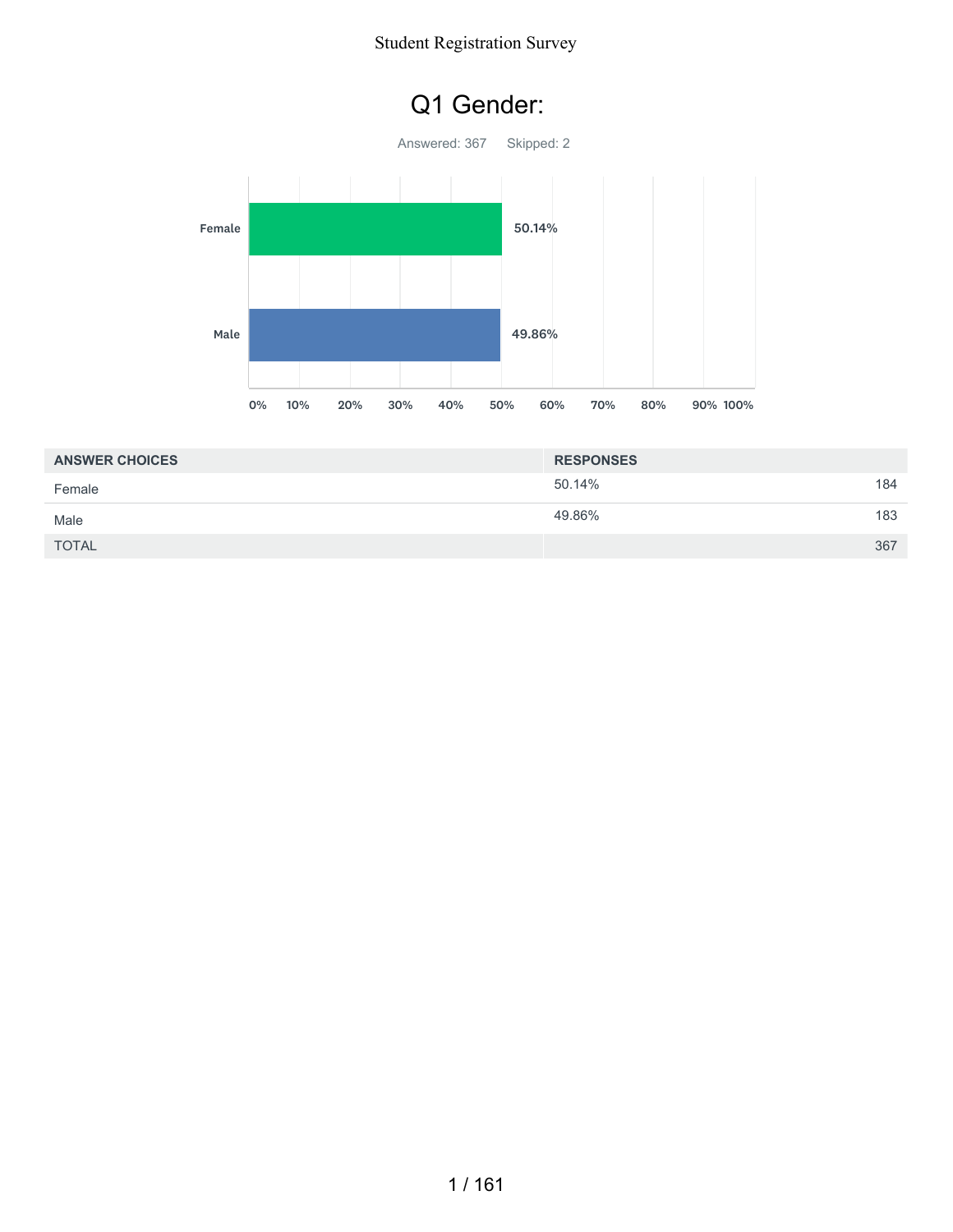### Q1 Gender:



| <b>ANSWER CHOICES</b> | <b>RESPONSES</b> |     |
|-----------------------|------------------|-----|
| Female                | 50.14%           | 184 |
| Male                  | 49.86%           | 183 |
| <b>TOTAL</b>          |                  | 367 |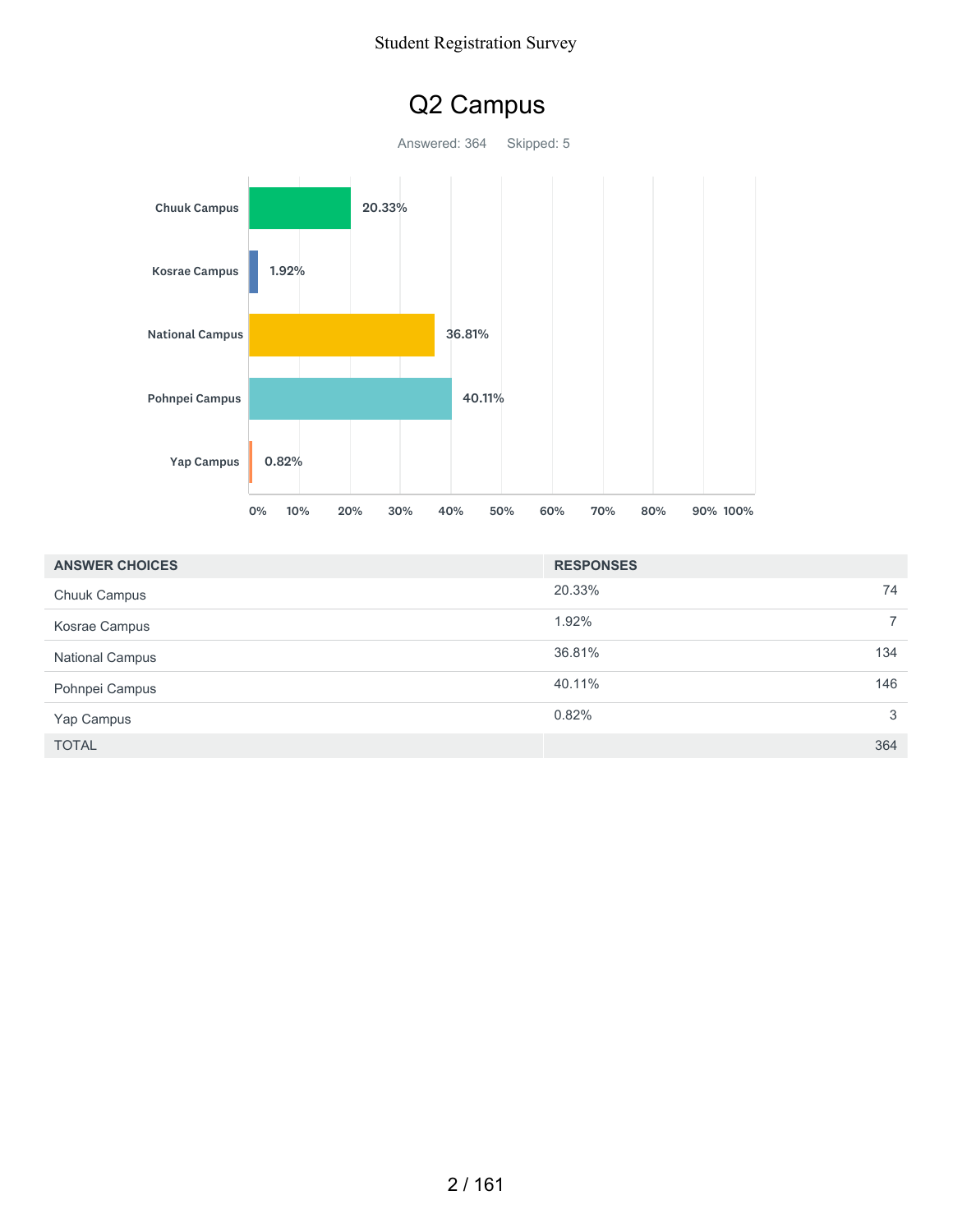## Q2 Campus

Answered: 364 Skipped: 5



| <b>ANSWER CHOICES</b>  | <b>RESPONSES</b> |                |
|------------------------|------------------|----------------|
| <b>Chuuk Campus</b>    | 20.33%           | 74             |
| Kosrae Campus          | 1.92%            | $\overline{7}$ |
| <b>National Campus</b> | 36.81%           | 134            |
| Pohnpei Campus         | 40.11%           | 146            |
| Yap Campus             | 0.82%            | 3              |
| <b>TOTAL</b>           |                  | 364            |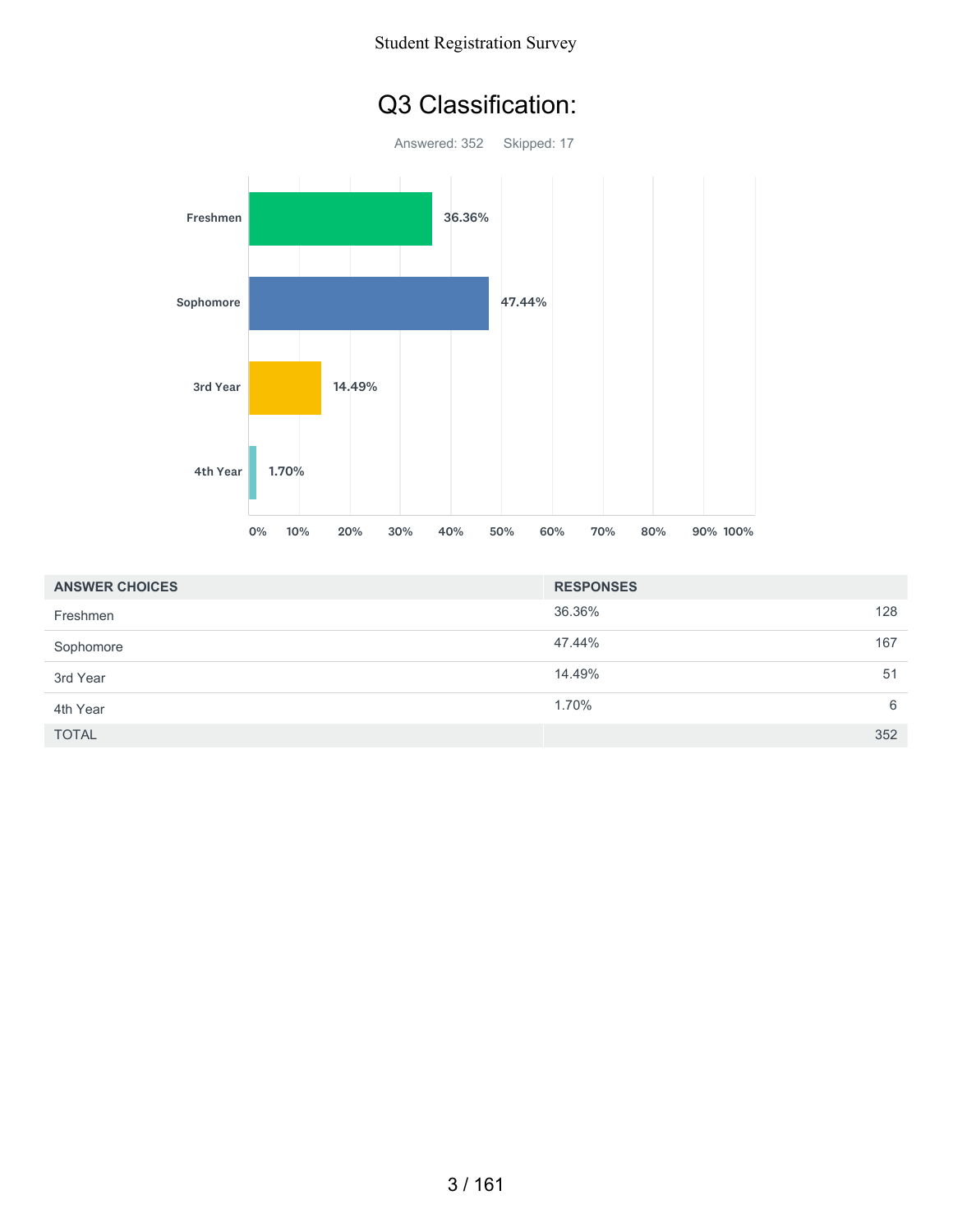





| <b>ANSWER CHOICES</b> | <b>RESPONSES</b> |     |
|-----------------------|------------------|-----|
| Freshmen              | 36.36%           | 128 |
| Sophomore             | 47.44%           | 167 |
| 3rd Year              | 14.49%           | 51  |
| 4th Year              | 1.70%            | 6   |
| <b>TOTAL</b>          |                  | 352 |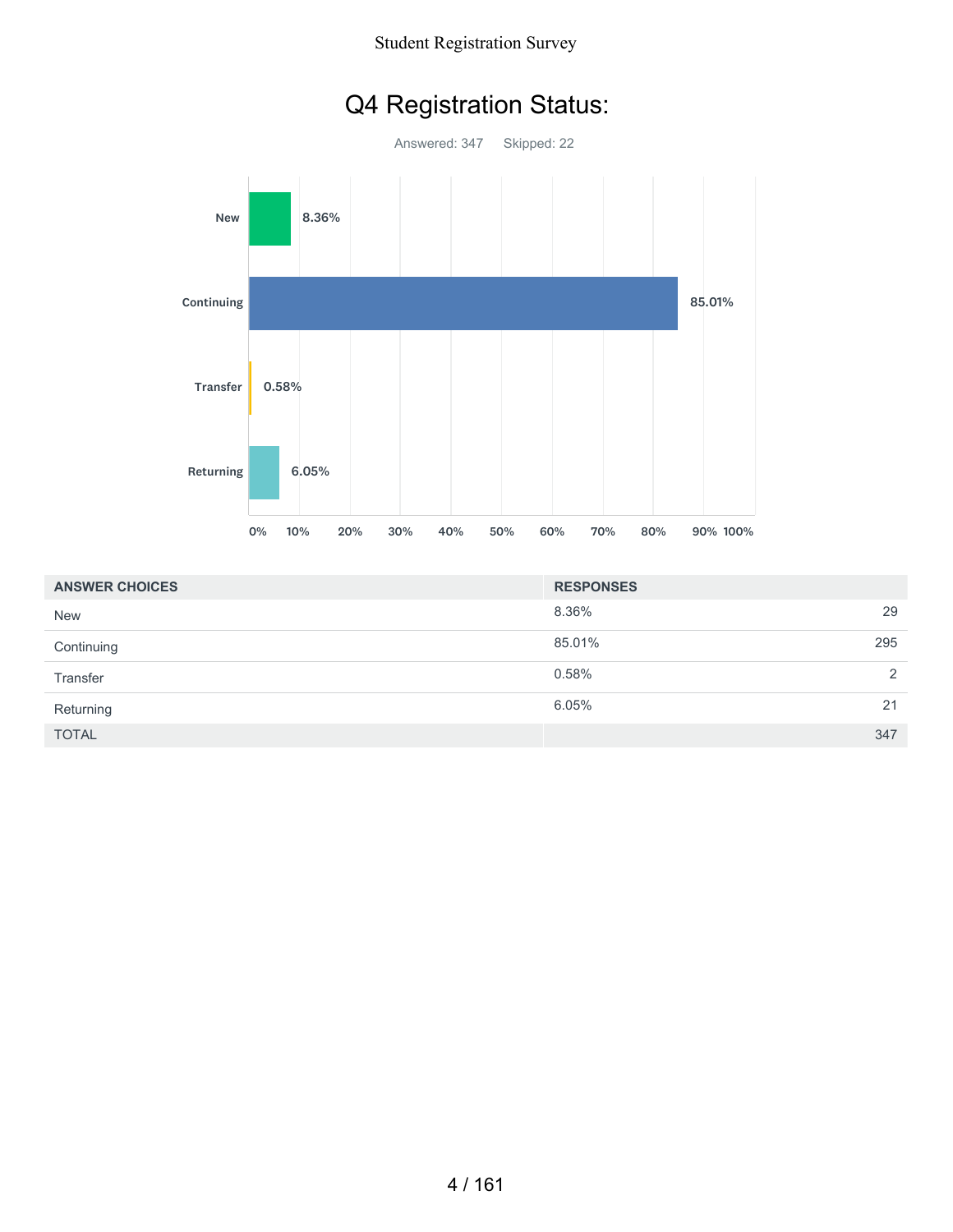# Q4 Registration Status:



| <b>ANSWER CHOICES</b> | <b>RESPONSES</b> |     |
|-----------------------|------------------|-----|
| <b>New</b>            | 8.36%            | 29  |
| Continuing            | 85.01%           | 295 |
| Transfer              | 0.58%            | 2   |
| Returning             | 6.05%            | 21  |
| <b>TOTAL</b>          |                  | 347 |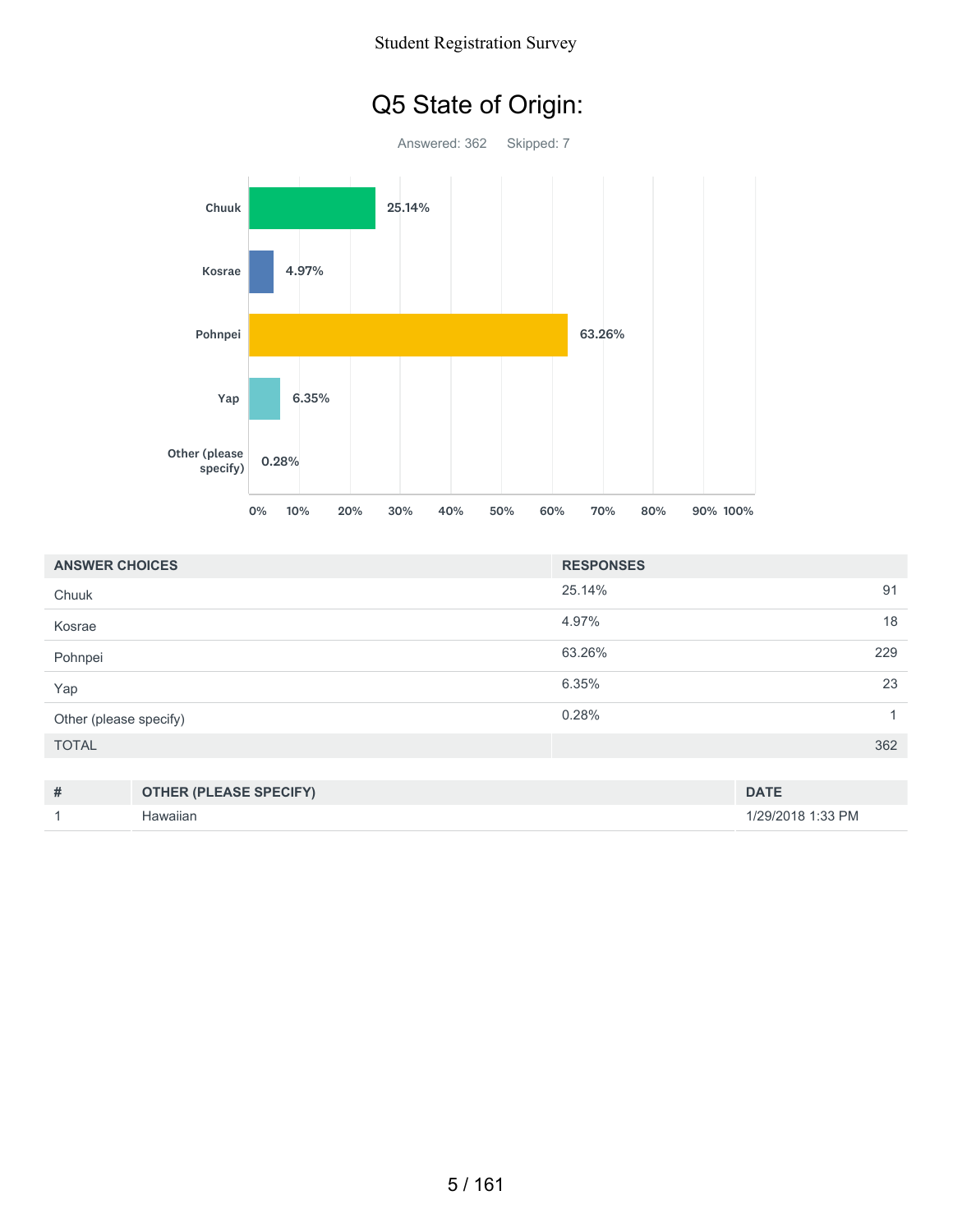# Q5 State of Origin:



| <b>ANSWER CHOICES</b>              | <b>RESPONSES</b> |
|------------------------------------|------------------|
| Chuuk                              | 25.14%<br>91     |
| Kosrae                             | 18<br>4.97%      |
| Pohnpei                            | 63.26%<br>229    |
| Yap                                | 6.35%<br>23      |
| Other (please specify)             | 0.28%<br>1       |
| <b>TOTAL</b>                       | 362              |
|                                    |                  |
| #<br><b>OTHER (PLEASE SPECIFY)</b> | <b>DATE</b>      |

1 Hawaiian 1/29/2018 1:33 PM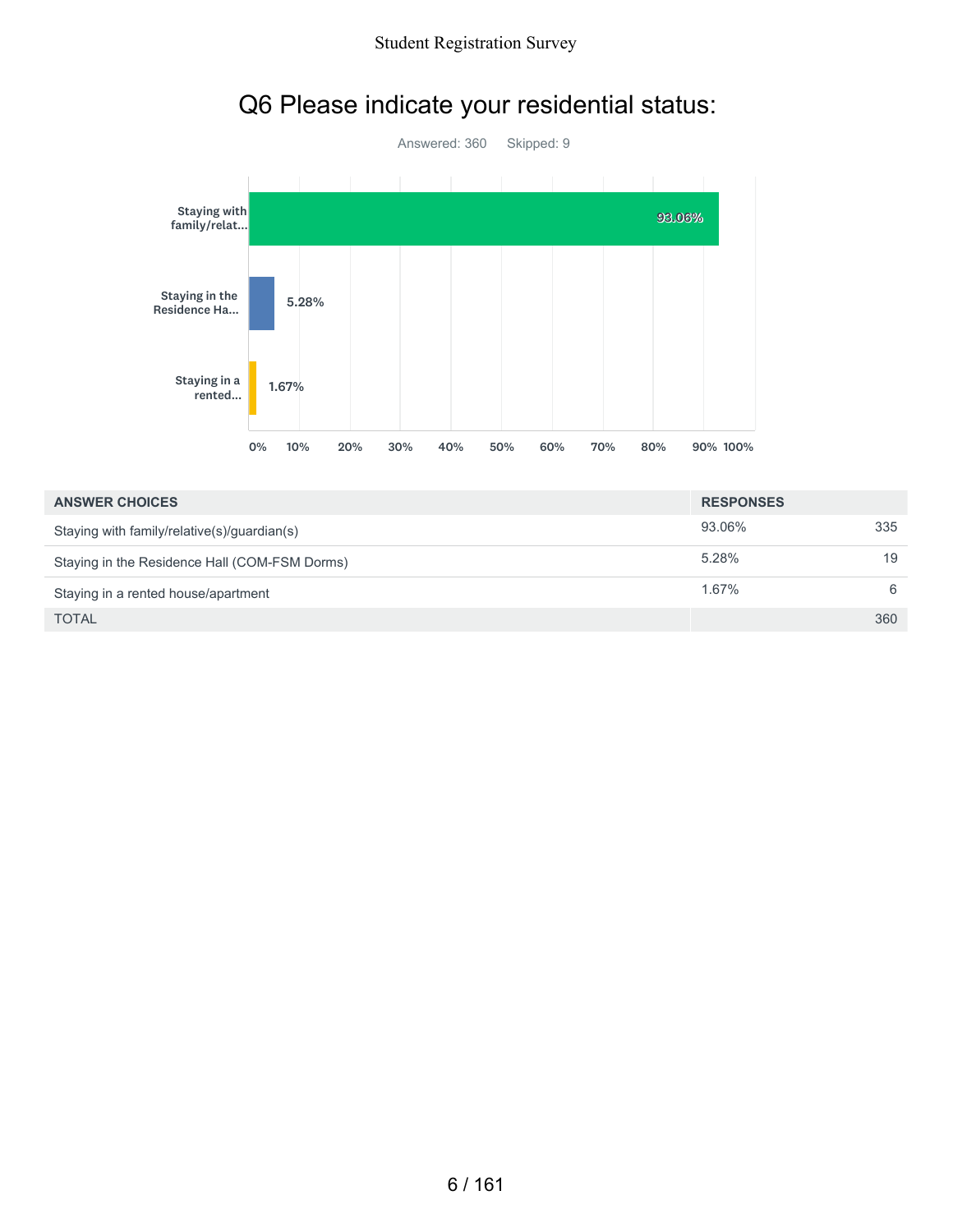

# Q6 Please indicate your residential status:

| <b>ANSWER CHOICES</b>                         | <b>RESPONSES</b> |     |
|-----------------------------------------------|------------------|-----|
| Staying with family/relative(s)/guardian(s)   | 93.06%           | 335 |
| Staying in the Residence Hall (COM-FSM Dorms) | 5.28%            | 19  |
| Staying in a rented house/apartment           | 1.67%            | -6  |
| <b>TOTAL</b>                                  |                  | 360 |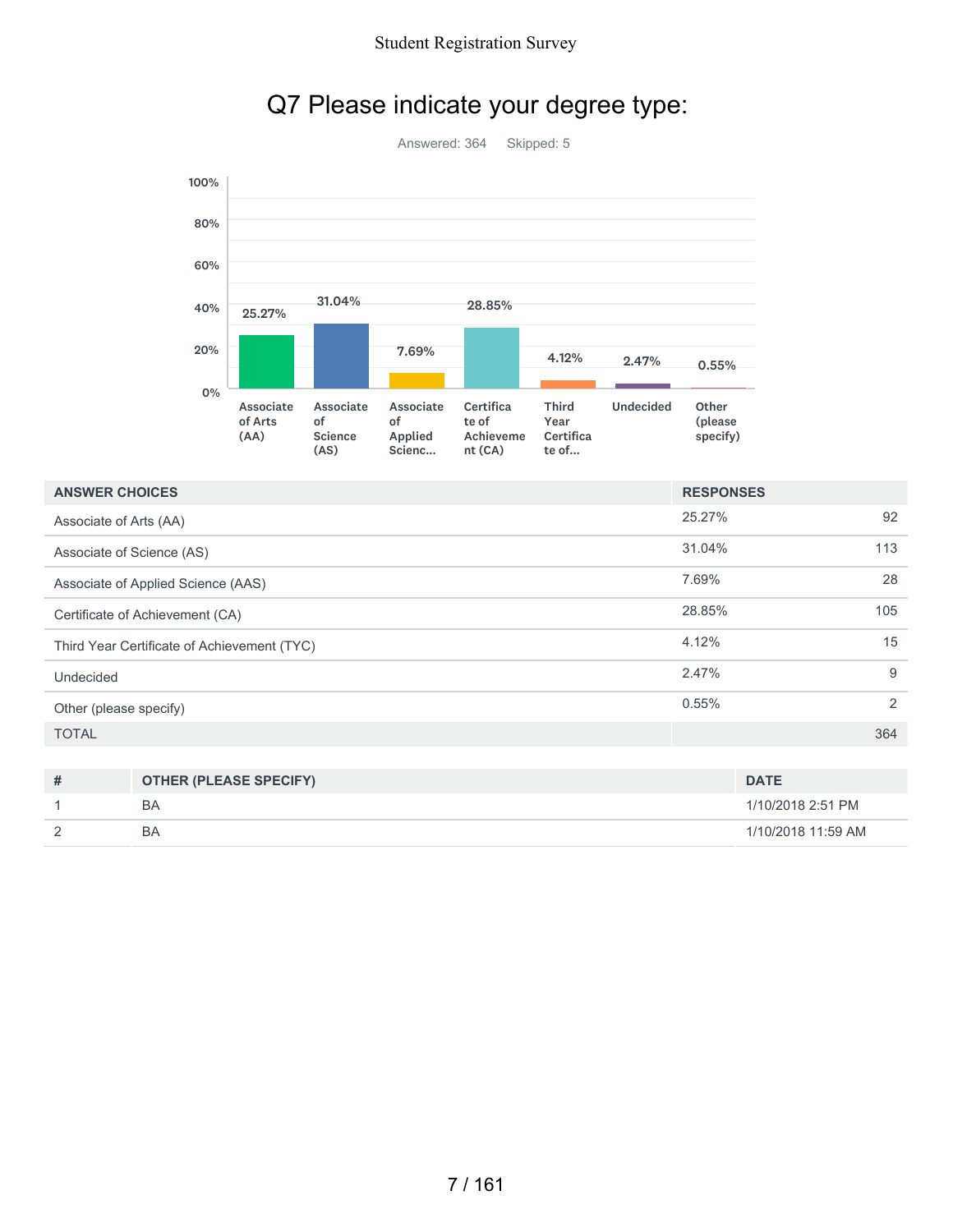

### Q7 Please indicate your degree type:

| <b>ANSWER CHOICES</b>                       | <b>RESPONSES</b> |                |
|---------------------------------------------|------------------|----------------|
| Associate of Arts (AA)                      | 25.27%           | 92             |
| Associate of Science (AS)                   | 31.04%           | 113            |
| Associate of Applied Science (AAS)          | 7.69%            | 28             |
| Certificate of Achievement (CA)             | 28.85%           | 105            |
| Third Year Certificate of Achievement (TYC) | 4.12%            | 15             |
| Undecided                                   | 2.47%            | 9              |
| Other (please specify)                      | 0.55%            | $\overline{2}$ |
| <b>TOTAL</b>                                |                  | 364            |

| # | <b>OTHER (PLEASE SPECIFY)</b> | <b>DATE</b>        |
|---|-------------------------------|--------------------|
|   | ΒA                            | 1/10/2018 2:51 PM  |
|   | BΑ                            | 1/10/2018 11:59 AM |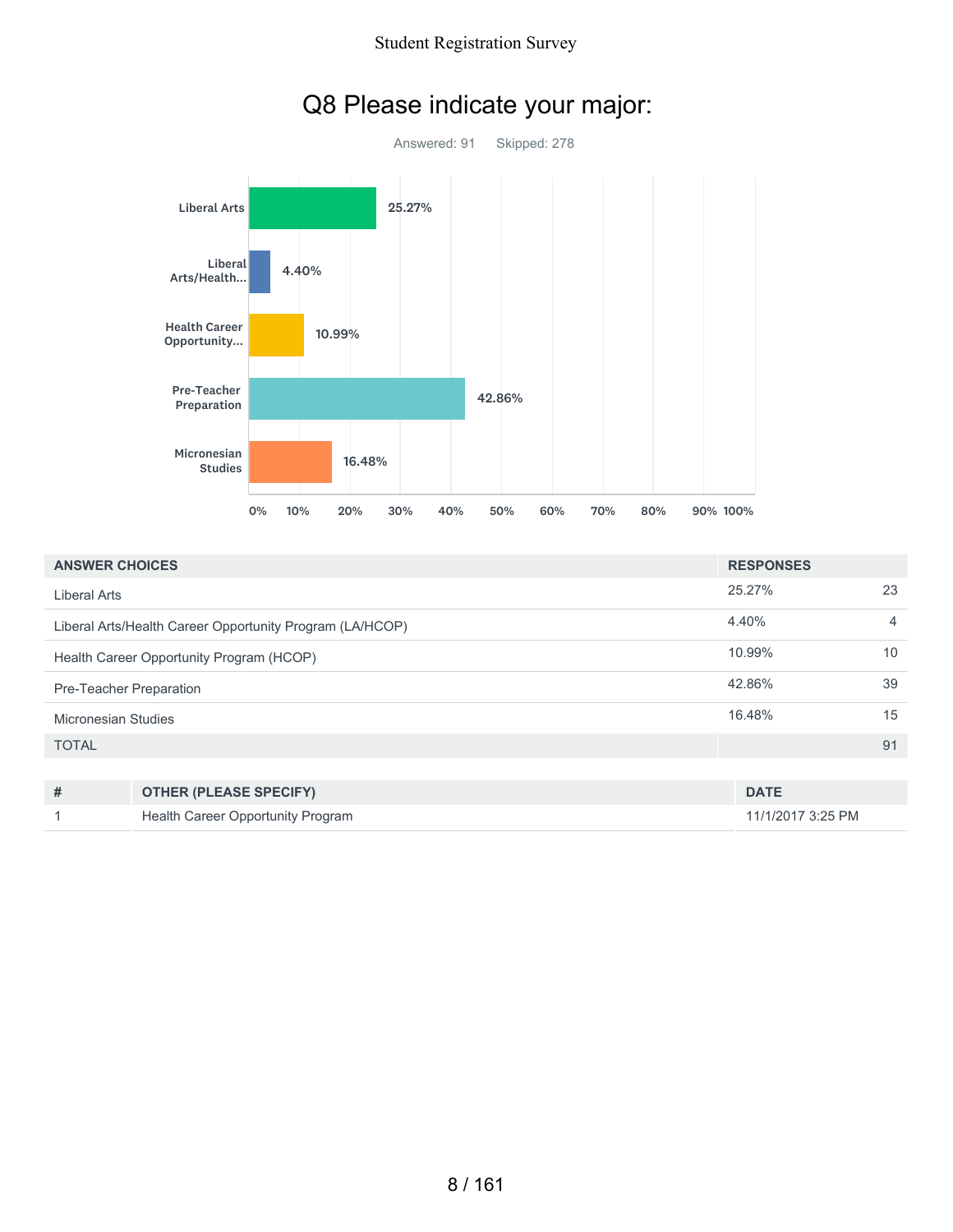

|  |  | Q8 Please indicate your major: |  |  |
|--|--|--------------------------------|--|--|
|--|--|--------------------------------|--|--|

| <b>ANSWER CHOICES</b>                                    |                                          | <b>RESPONSES</b>  |    |
|----------------------------------------------------------|------------------------------------------|-------------------|----|
| <b>Liberal Arts</b>                                      |                                          | 25.27%            | 23 |
| Liberal Arts/Health Career Opportunity Program (LA/HCOP) | 4.40%                                    | $\overline{4}$    |    |
| Health Career Opportunity Program (HCOP)                 |                                          | 10.99%            | 10 |
| Pre-Teacher Preparation                                  |                                          | 42.86%            | 39 |
| Micronesian Studies                                      |                                          | 16.48%            | 15 |
| <b>TOTAL</b>                                             |                                          |                   | 91 |
|                                                          |                                          |                   |    |
| #                                                        | <b>OTHER (PLEASE SPECIFY)</b>            | <b>DATE</b>       |    |
|                                                          | <b>Health Career Opportunity Program</b> | 11/1/2017 3:25 PM |    |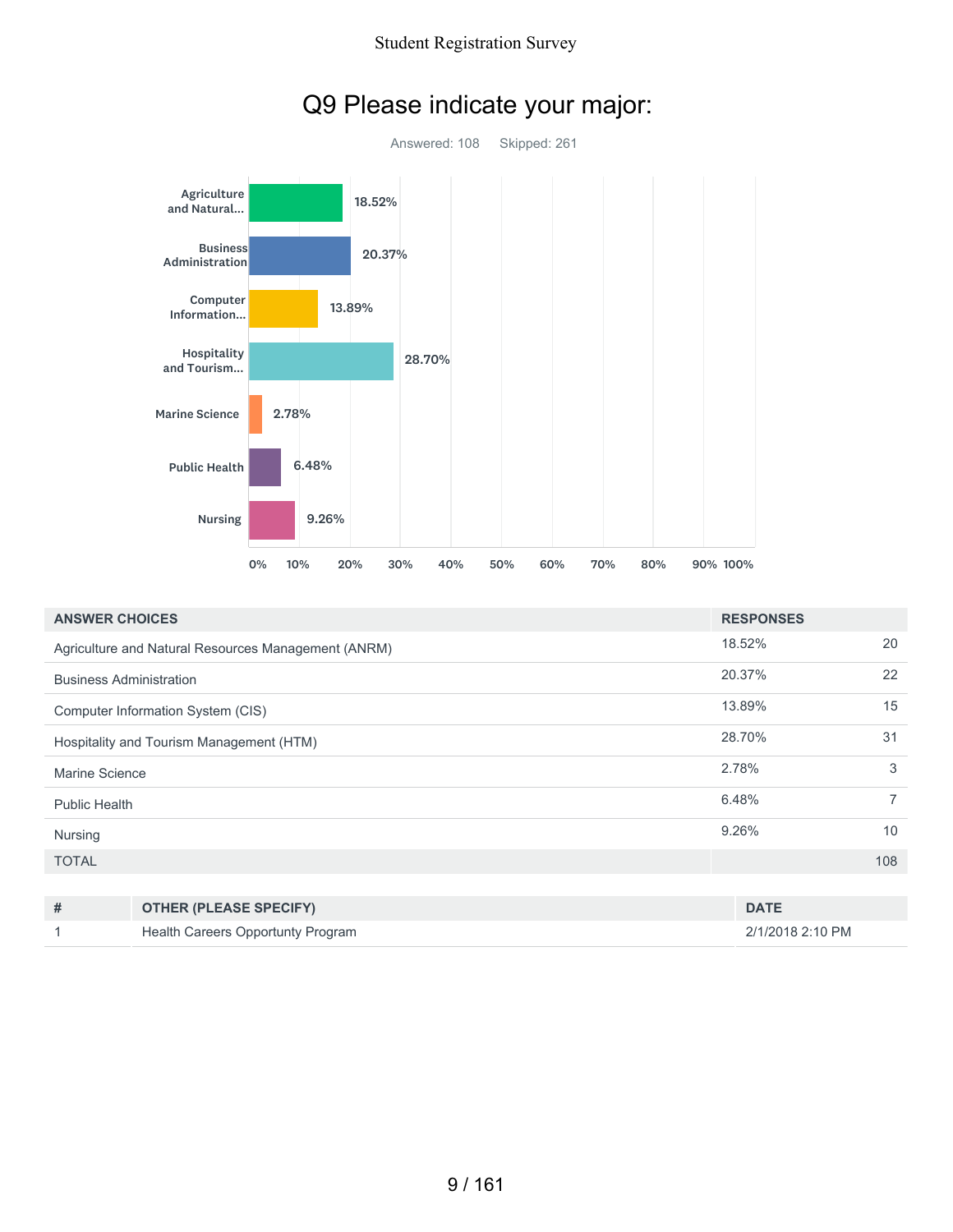

|  |  | Q9 Please indicate your major: |  |  |
|--|--|--------------------------------|--|--|
|--|--|--------------------------------|--|--|

| <b>ANSWER CHOICES</b>                    |                                                     | <b>RESPONSES</b> |                |
|------------------------------------------|-----------------------------------------------------|------------------|----------------|
|                                          | Agriculture and Natural Resources Management (ANRM) | 18.52%           | 20             |
| <b>Business Administration</b>           |                                                     | 20.37%           | 22             |
|                                          | Computer Information System (CIS)                   | 13.89%           | 15             |
| Hospitality and Tourism Management (HTM) |                                                     | 28.70%           | 31             |
| Marine Science                           |                                                     | 2.78%            | 3              |
| <b>Public Health</b>                     |                                                     | 6.48%            | $\overline{7}$ |
| Nursing                                  |                                                     | 9.26%            | 10             |
| <b>TOTAL</b>                             |                                                     |                  | 108            |
|                                          |                                                     |                  |                |
| #                                        | <b>OTHER (PLEASE SPECIFY)</b>                       | <b>DATE</b>      |                |

1 Health Careers Opportunty Program 2/1/2018 2:10 PM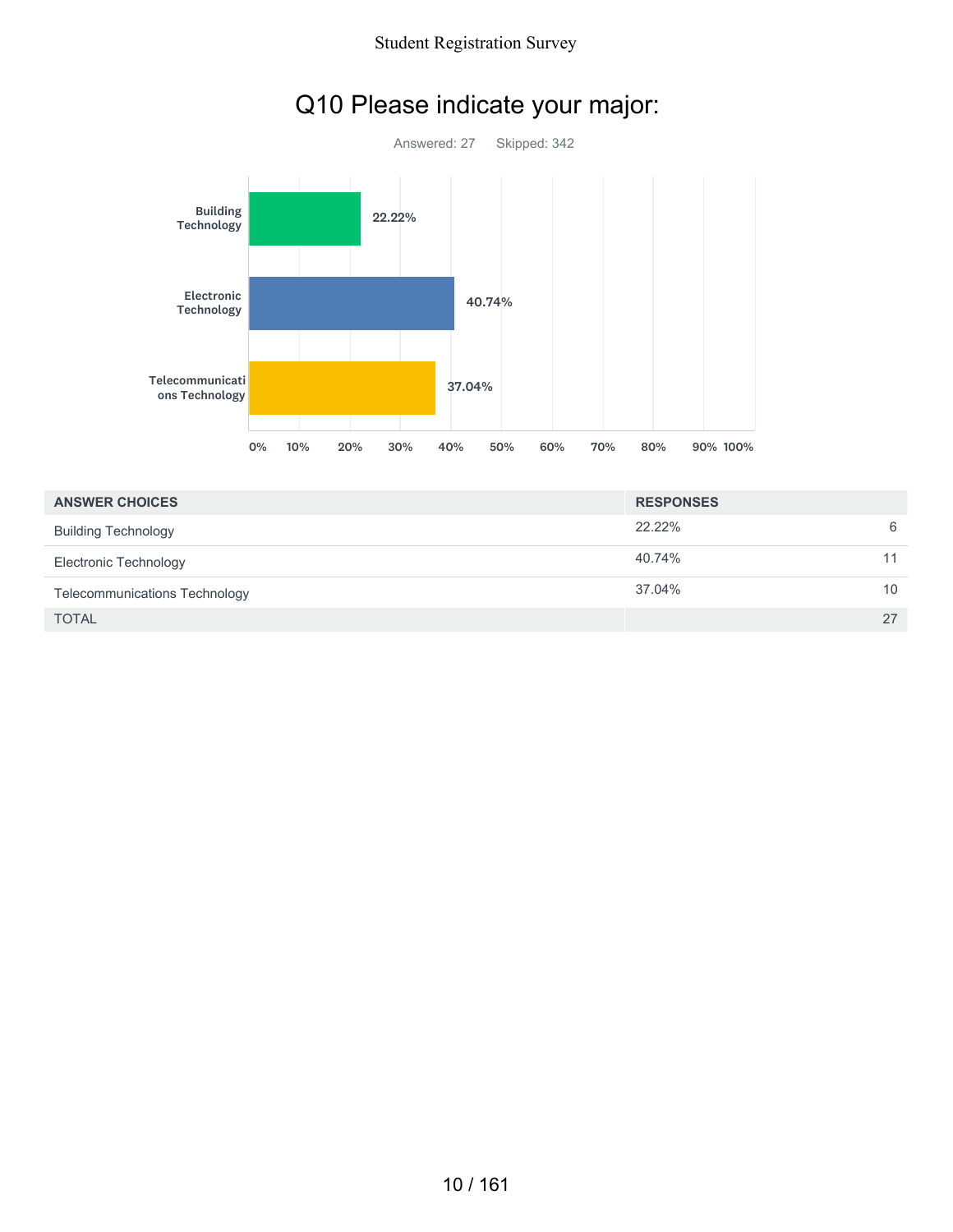

# Q10 Please indicate your major:

| <b>ANSWER CHOICES</b>                | <b>RESPONSES</b> |    |
|--------------------------------------|------------------|----|
| <b>Building Technology</b>           | 22.22%           | 6  |
| Electronic Technology                | 40.74%           | 11 |
| <b>Telecommunications Technology</b> | 37.04%           | 10 |
| <b>TOTAL</b>                         |                  | 27 |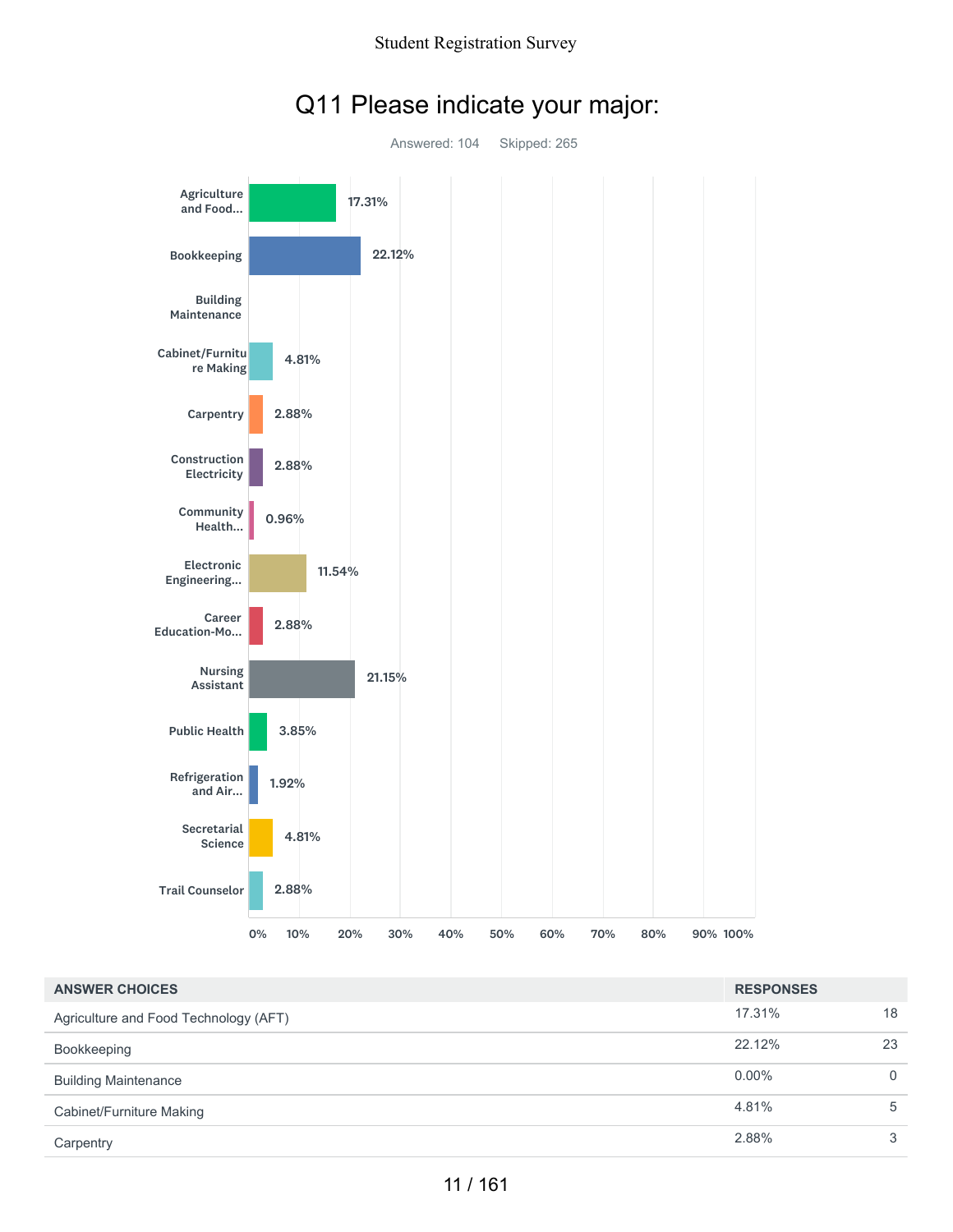

### Q11 Please indicate your major:

| <b>ANSWER CHOICES</b>                 | <b>RESPONSES</b> |          |
|---------------------------------------|------------------|----------|
| Agriculture and Food Technology (AFT) | 17.31%           | 18       |
| Bookkeeping                           | 22.12%           | 23       |
| <b>Building Maintenance</b>           | $0.00\%$         | $\Omega$ |
| Cabinet/Furniture Making              | 4.81%            | 5        |
| Carpentry                             | 2.88%            | 3        |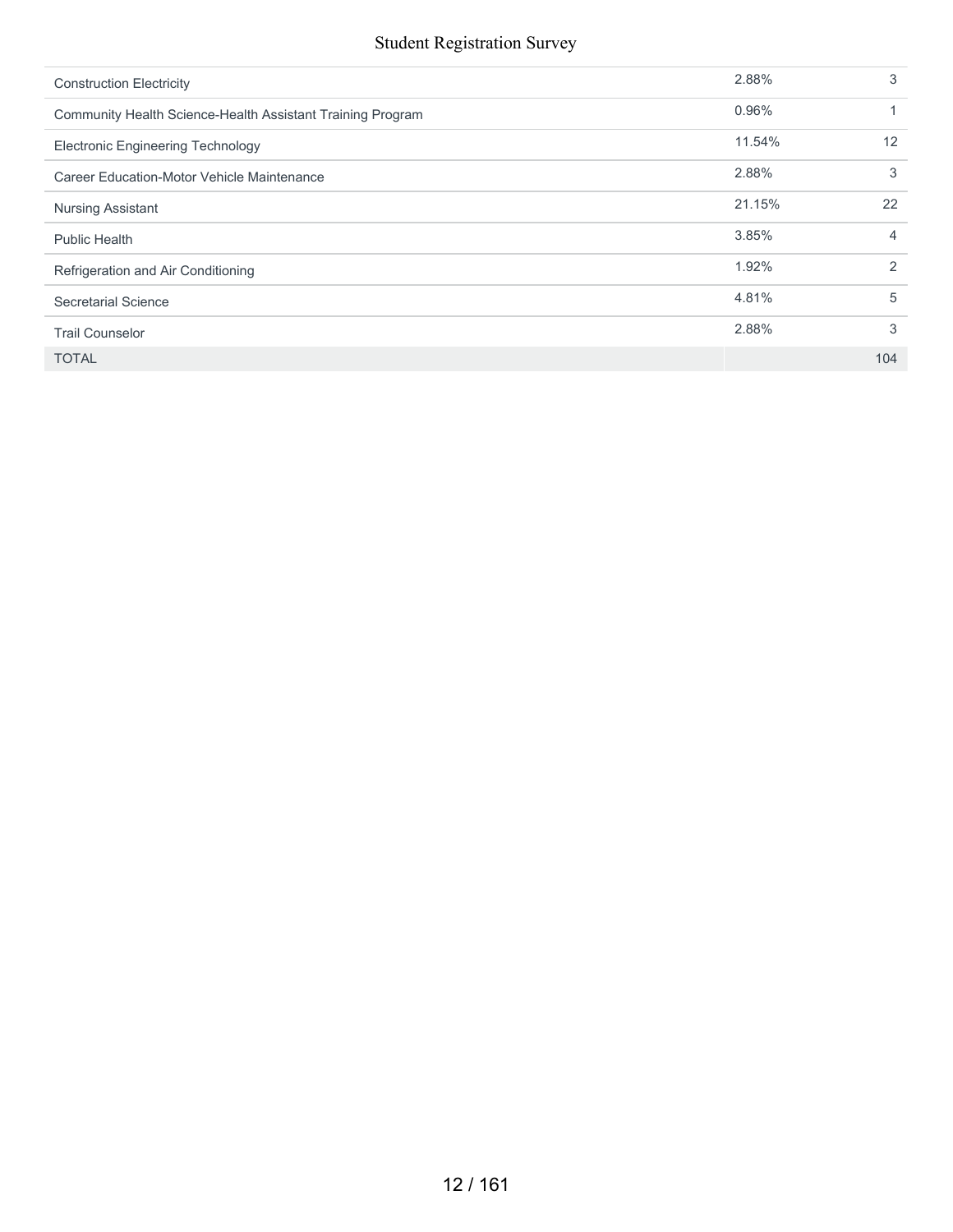| <b>Construction Electricity</b>                            | 2.88%  | 3   |
|------------------------------------------------------------|--------|-----|
| Community Health Science-Health Assistant Training Program | 0.96%  |     |
| <b>Electronic Engineering Technology</b>                   | 11.54% | 12  |
| Career Education-Motor Vehicle Maintenance                 | 2.88%  | 3   |
| <b>Nursing Assistant</b>                                   | 21.15% | 22  |
| <b>Public Health</b>                                       | 3.85%  | 4   |
| Refrigeration and Air Conditioning                         | 1.92%  | 2   |
| Secretarial Science                                        | 4.81%  | 5   |
| <b>Trail Counselor</b>                                     | 2.88%  | 3   |
| <b>TOTAL</b>                                               |        | 104 |
|                                                            |        |     |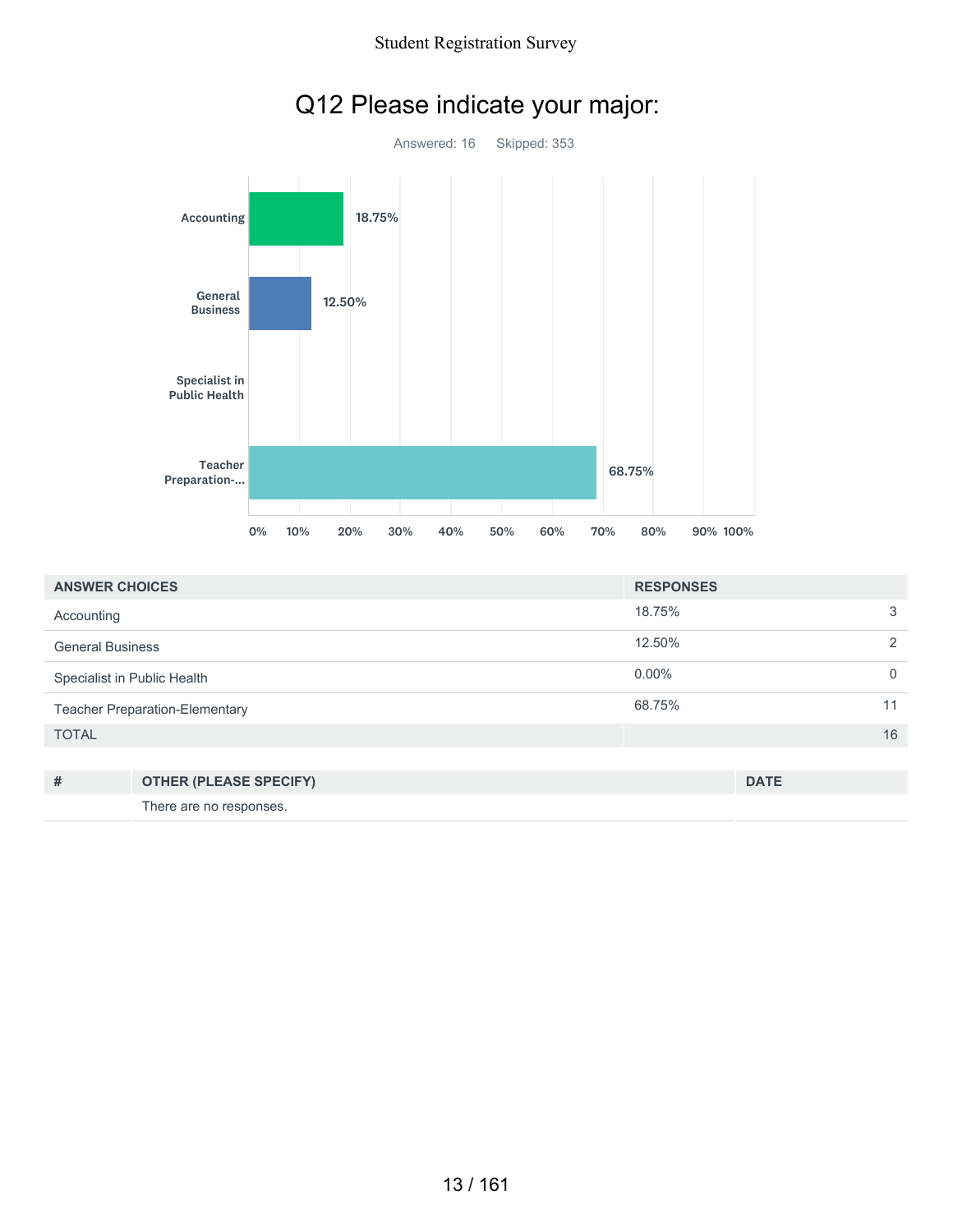

# Q12 Please indicate your major:

| <b>ANSWER CHOICES</b>                 | <b>RESPONSES</b> |          |
|---------------------------------------|------------------|----------|
| Accounting                            | 18.75%           | 3        |
| <b>General Business</b>               | 12.50%           | 2        |
| Specialist in Public Health           | $0.00\%$         | $\Omega$ |
| <b>Teacher Preparation-Elementary</b> | 68.75%           | 11       |
| <b>TOTAL</b>                          |                  | 16       |

| # | <b>OTHER (PLEASE SPECIFY)</b> | <b>DATE</b> |
|---|-------------------------------|-------------|
|   | There are no responses.       |             |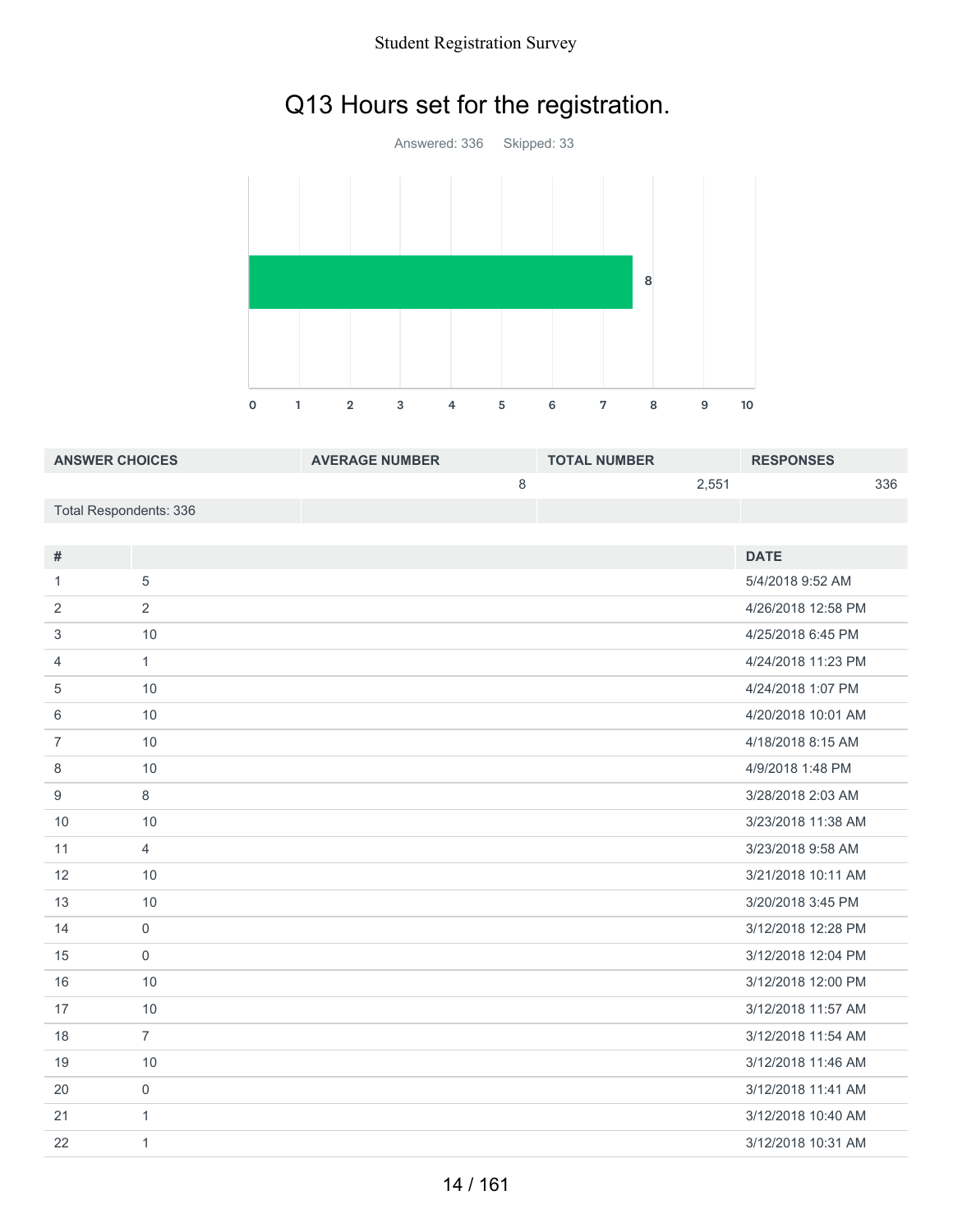# Q13 Hours set for the registration.



| <b>ANSWER CHOICES</b>  | <b>AVERAGE NUMBER</b> | <b>TOTAL NUMBER</b> | <b>RESPONSES</b> |
|------------------------|-----------------------|---------------------|------------------|
|                        |                       | 2.551               | 336              |
| Total Respondents: 336 |                       |                     |                  |

| #              |                | <b>DATE</b>        |
|----------------|----------------|--------------------|
|                |                |                    |
| 1              | 5              | 5/4/2018 9:52 AM   |
| 2              | $\overline{2}$ | 4/26/2018 12:58 PM |
| 3              | 10             | 4/25/2018 6:45 PM  |
| $\overline{4}$ | $\mathbf{1}$   | 4/24/2018 11:23 PM |
| 5              | 10             | 4/24/2018 1:07 PM  |
| 6              | 10             | 4/20/2018 10:01 AM |
| $\overline{7}$ | 10             | 4/18/2018 8:15 AM  |
| 8              | 10             | 4/9/2018 1:48 PM   |
| 9              | 8              | 3/28/2018 2:03 AM  |
| 10             | 10             | 3/23/2018 11:38 AM |
| 11             | $\overline{4}$ | 3/23/2018 9:58 AM  |
| 12             | 10             | 3/21/2018 10:11 AM |
| 13             | 10             | 3/20/2018 3:45 PM  |
| 14             | $\mathbf 0$    | 3/12/2018 12:28 PM |
| 15             | $\mathbf 0$    | 3/12/2018 12:04 PM |
| 16             | 10             | 3/12/2018 12:00 PM |
| 17             | 10             | 3/12/2018 11:57 AM |
| 18             | $\overline{7}$ | 3/12/2018 11:54 AM |
| 19             | 10             | 3/12/2018 11:46 AM |
| 20             | $\mathbf 0$    | 3/12/2018 11:41 AM |
| 21             | $\mathbf{1}$   | 3/12/2018 10:40 AM |
| 22             | 1              | 3/12/2018 10:31 AM |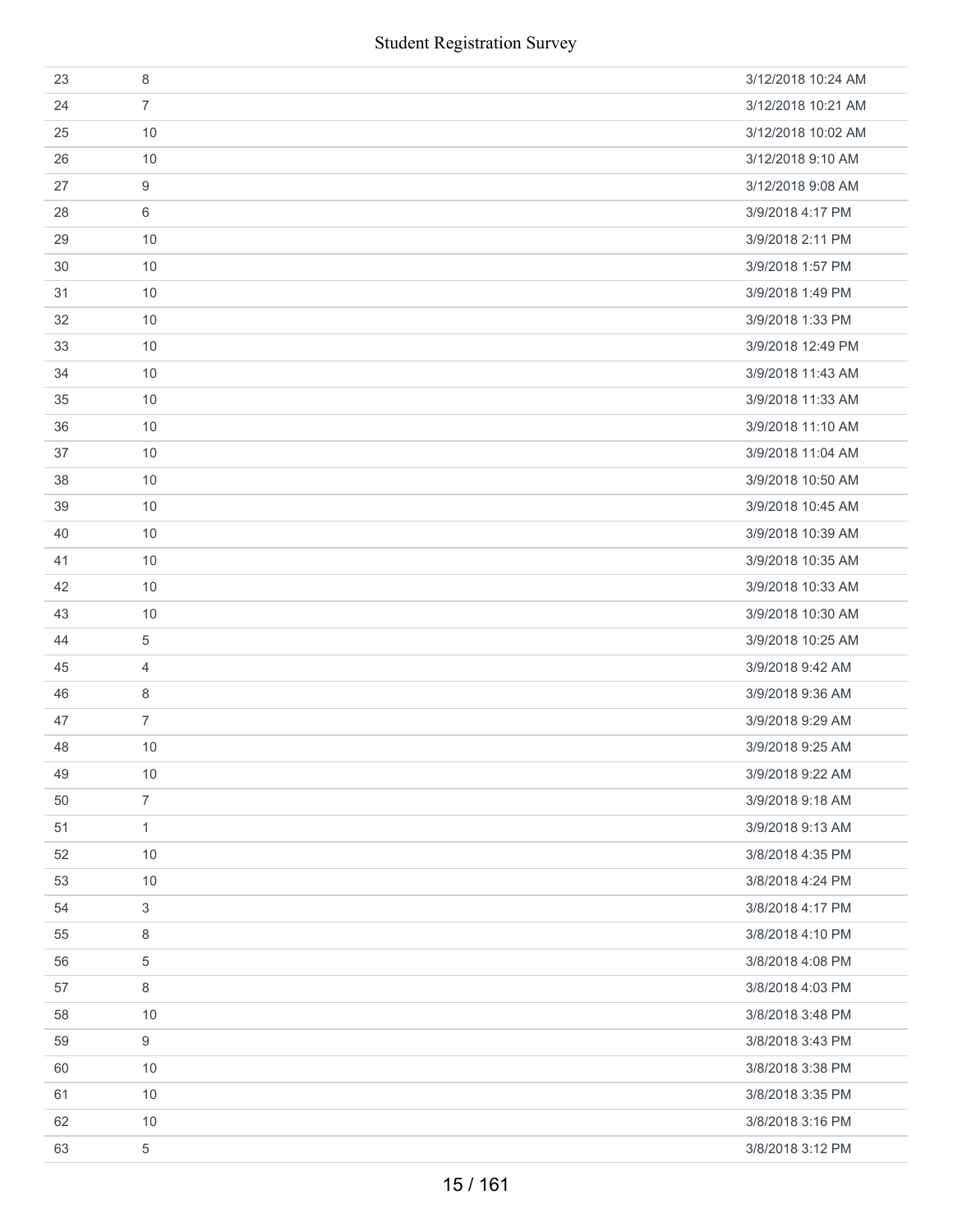| 23 | 8              | 3/12/2018 10:24 AM |
|----|----------------|--------------------|
| 24 | $\overline{7}$ | 3/12/2018 10:21 AM |
| 25 | 10             | 3/12/2018 10:02 AM |
| 26 | 10             | 3/12/2018 9:10 AM  |
| 27 | 9              | 3/12/2018 9:08 AM  |
| 28 | 6              | 3/9/2018 4:17 PM   |
| 29 | 10             | 3/9/2018 2:11 PM   |
| 30 | 10             | 3/9/2018 1:57 PM   |
| 31 | 10             | 3/9/2018 1:49 PM   |
| 32 | 10             | 3/9/2018 1:33 PM   |
| 33 | 10             | 3/9/2018 12:49 PM  |
| 34 | 10             | 3/9/2018 11:43 AM  |
| 35 | 10             | 3/9/2018 11:33 AM  |
| 36 | 10             | 3/9/2018 11:10 AM  |
| 37 | 10             | 3/9/2018 11:04 AM  |
| 38 | 10             | 3/9/2018 10:50 AM  |
| 39 | 10             | 3/9/2018 10:45 AM  |
| 40 | 10             | 3/9/2018 10:39 AM  |
| 41 | 10             | 3/9/2018 10:35 AM  |
| 42 | 10             | 3/9/2018 10:33 AM  |
| 43 | 10             | 3/9/2018 10:30 AM  |
| 44 | 5              | 3/9/2018 10:25 AM  |
| 45 | $\overline{4}$ | 3/9/2018 9:42 AM   |
| 46 | 8              | 3/9/2018 9:36 AM   |
| 47 | $\overline{7}$ | 3/9/2018 9:29 AM   |
| 48 | 10             | 3/9/2018 9:25 AM   |
| 49 | 10             | 3/9/2018 9:22 AM   |
| 50 | $\overline{7}$ | 3/9/2018 9:18 AM   |
| 51 | $\mathbf{1}$   | 3/9/2018 9:13 AM   |
| 52 | 10             | 3/8/2018 4:35 PM   |
| 53 | 10             | 3/8/2018 4:24 PM   |
| 54 | 3              | 3/8/2018 4:17 PM   |
| 55 | 8              | 3/8/2018 4:10 PM   |
| 56 | 5              | 3/8/2018 4:08 PM   |
| 57 | 8              | 3/8/2018 4:03 PM   |
| 58 | 10             | 3/8/2018 3:48 PM   |
| 59 | 9              | 3/8/2018 3:43 PM   |
| 60 | 10             | 3/8/2018 3:38 PM   |
| 61 | $10$           | 3/8/2018 3:35 PM   |
| 62 | 10             | 3/8/2018 3:16 PM   |
| 63 | 5              | 3/8/2018 3:12 PM   |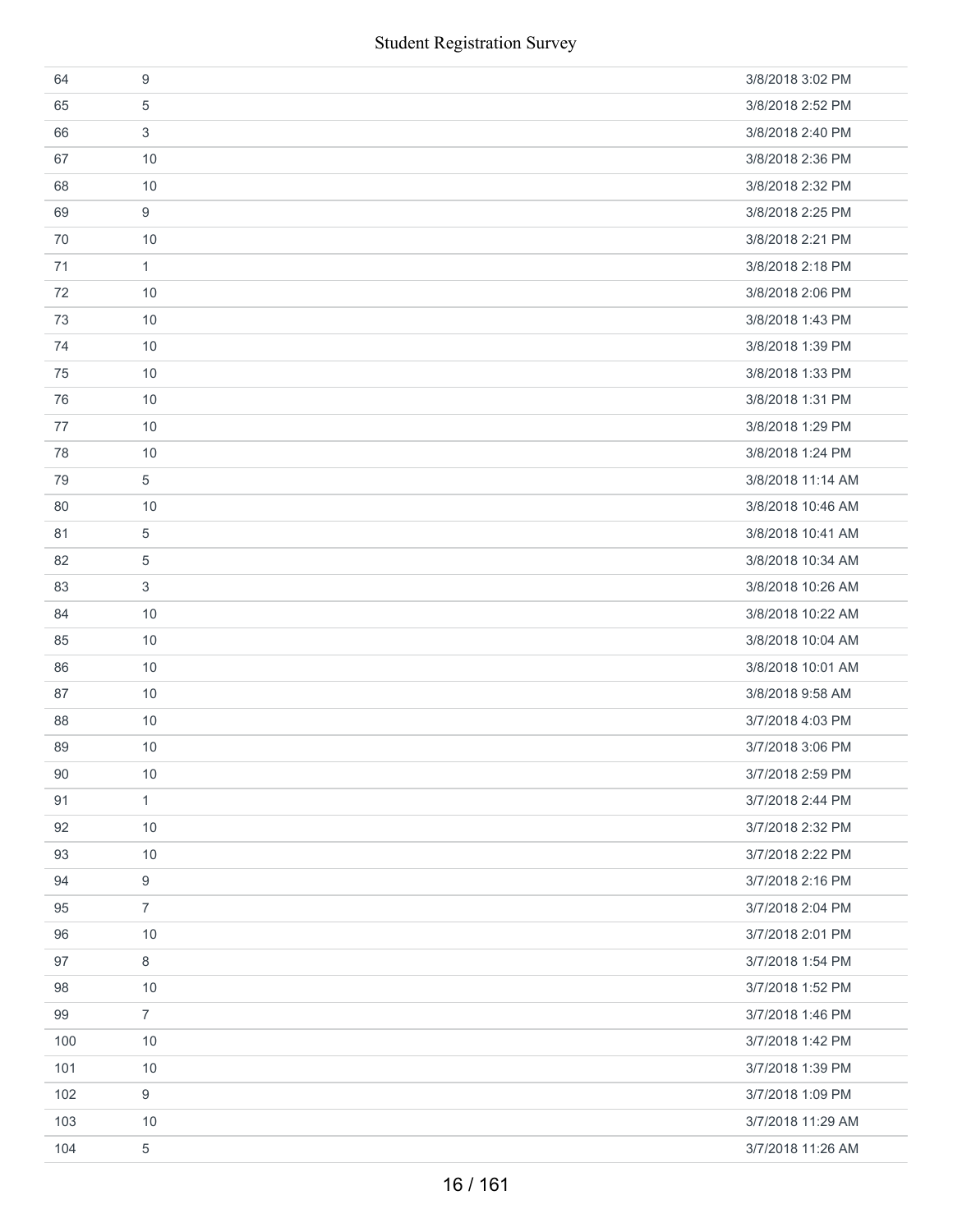|     | <b>Student Registration Survey</b> |                   |
|-----|------------------------------------|-------------------|
| 64  | $\boldsymbol{9}$                   | 3/8/2018 3:02 PM  |
| 65  | 5                                  | 3/8/2018 2:52 PM  |
| 66  | 3                                  | 3/8/2018 2:40 PM  |
| 67  | 10                                 | 3/8/2018 2:36 PM  |
| 68  | 10                                 | 3/8/2018 2:32 PM  |
| 69  | $\boldsymbol{9}$                   | 3/8/2018 2:25 PM  |
| 70  | 10                                 | 3/8/2018 2:21 PM  |
| 71  | $\mathbf{1}$                       | 3/8/2018 2:18 PM  |
| 72  | 10                                 | 3/8/2018 2:06 PM  |
| 73  | 10                                 | 3/8/2018 1:43 PM  |
| 74  | 10                                 | 3/8/2018 1:39 PM  |
| 75  | 10                                 | 3/8/2018 1:33 PM  |
| 76  | 10                                 | 3/8/2018 1:31 PM  |
| 77  | 10                                 | 3/8/2018 1:29 PM  |
| 78  | 10                                 | 3/8/2018 1:24 PM  |
| 79  | 5                                  | 3/8/2018 11:14 AM |
| 80  | 10                                 | 3/8/2018 10:46 AM |
| 81  | 5                                  | 3/8/2018 10:41 AM |
| 82  | 5                                  | 3/8/2018 10:34 AM |
| 83  | 3                                  | 3/8/2018 10:26 AM |
| 84  | 10                                 | 3/8/2018 10:22 AM |
| 85  | 10                                 | 3/8/2018 10:04 AM |
| 86  | 10                                 | 3/8/2018 10:01 AM |
| 87  | 10                                 | 3/8/2018 9:58 AM  |
| 88  | $10$                               | 3/7/2018 4:03 PM  |
| 89  | 10                                 | 3/7/2018 3:06 PM  |
| 90  | 10                                 | 3/7/2018 2:59 PM  |
| 91  | $\mathbf{1}$                       | 3/7/2018 2:44 PM  |
| 92  | 10                                 | 3/7/2018 2:32 PM  |
| 93  | 10                                 | 3/7/2018 2:22 PM  |
| 94  | 9                                  | 3/7/2018 2:16 PM  |
| 95  | $\overline{7}$                     | 3/7/2018 2:04 PM  |
| 96  | 10                                 | 3/7/2018 2:01 PM  |
| 97  | 8                                  | 3/7/2018 1:54 PM  |
| 98  | 10                                 | 3/7/2018 1:52 PM  |
| 99  | $\overline{7}$                     | 3/7/2018 1:46 PM  |
| 100 | 10                                 | 3/7/2018 1:42 PM  |
| 101 | 10                                 | 3/7/2018 1:39 PM  |
| 102 | 9                                  | 3/7/2018 1:09 PM  |
| 103 | 10                                 | 3/7/2018 11:29 AM |
| 104 | 5                                  | 3/7/2018 11:26 AM |
|     | 16 / 161                           |                   |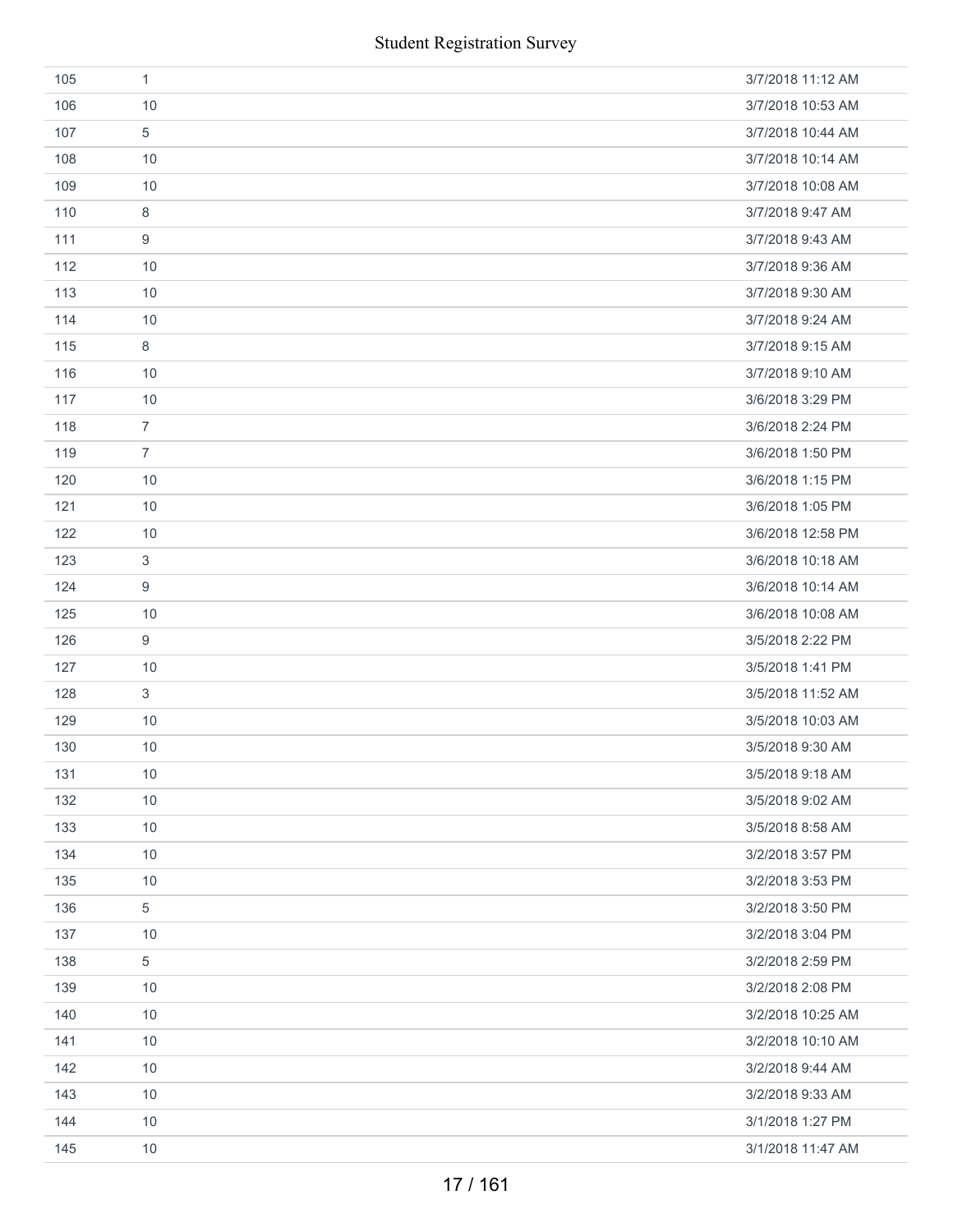|     |                           | <b>Student Registration Survey</b> |
|-----|---------------------------|------------------------------------|
| 105 | $\mathbf{1}$              | 3/7/2018 11:12 AM                  |
| 106 | 10                        | 3/7/2018 10:53 AM                  |
| 107 | $\,$ 5 $\,$               | 3/7/2018 10:44 AM                  |
| 108 | 10                        | 3/7/2018 10:14 AM                  |
| 109 | 10                        | 3/7/2018 10:08 AM                  |
| 110 | $\,8\,$                   | 3/7/2018 9:47 AM                   |
| 111 | $\boldsymbol{9}$          | 3/7/2018 9:43 AM                   |
| 112 | 10                        | 3/7/2018 9:36 AM                   |
| 113 | 10                        | 3/7/2018 9:30 AM                   |
| 114 | 10                        | 3/7/2018 9:24 AM                   |
| 115 | $\,8\,$                   | 3/7/2018 9:15 AM                   |
| 116 | 10                        | 3/7/2018 9:10 AM                   |
| 117 | 10                        | 3/6/2018 3:29 PM                   |
| 118 | $\overline{7}$            | 3/6/2018 2:24 PM                   |
| 119 | $\overline{7}$            | 3/6/2018 1:50 PM                   |
| 120 | 10                        | 3/6/2018 1:15 PM                   |
| 121 | 10                        | 3/6/2018 1:05 PM                   |
| 122 | 10                        | 3/6/2018 12:58 PM                  |
| 123 | $\mathbf{3}$              | 3/6/2018 10:18 AM                  |
| 124 | 9                         | 3/6/2018 10:14 AM                  |
| 125 | 10                        | 3/6/2018 10:08 AM                  |
| 126 | $\boldsymbol{9}$          | 3/5/2018 2:22 PM                   |
| 127 | 10                        | 3/5/2018 1:41 PM                   |
| 128 | $\ensuremath{\mathsf{3}}$ | 3/5/2018 11:52 AM                  |
| 129 | 10                        | 3/5/2018 10:03 AM                  |
| 130 | 10                        | 3/5/2018 9:30 AM                   |
| 131 | 10                        | 3/5/2018 9:18 AM                   |
| 132 | 10                        | 3/5/2018 9:02 AM                   |
| 133 | 10                        | 3/5/2018 8:58 AM                   |
| 134 | 10                        | 3/2/2018 3:57 PM                   |
| 135 | 10                        | 3/2/2018 3:53 PM                   |
| 136 | $\,$ 5 $\,$               | 3/2/2018 3:50 PM                   |
| 137 | 10                        | 3/2/2018 3:04 PM                   |
| 138 | $\overline{5}$            | 3/2/2018 2:59 PM                   |
| 139 | 10                        | 3/2/2018 2:08 PM                   |
| 140 | 10                        | 3/2/2018 10:25 AM                  |
| 141 | 10                        | 3/2/2018 10:10 AM                  |
| 142 | 10                        | 3/2/2018 9:44 AM                   |
| 143 | 10                        | 3/2/2018 9:33 AM                   |
| 144 | 10                        | 3/1/2018 1:27 PM                   |
| 145 | 10                        | 3/1/2018 11:47 AM                  |
|     |                           | 17 / 161                           |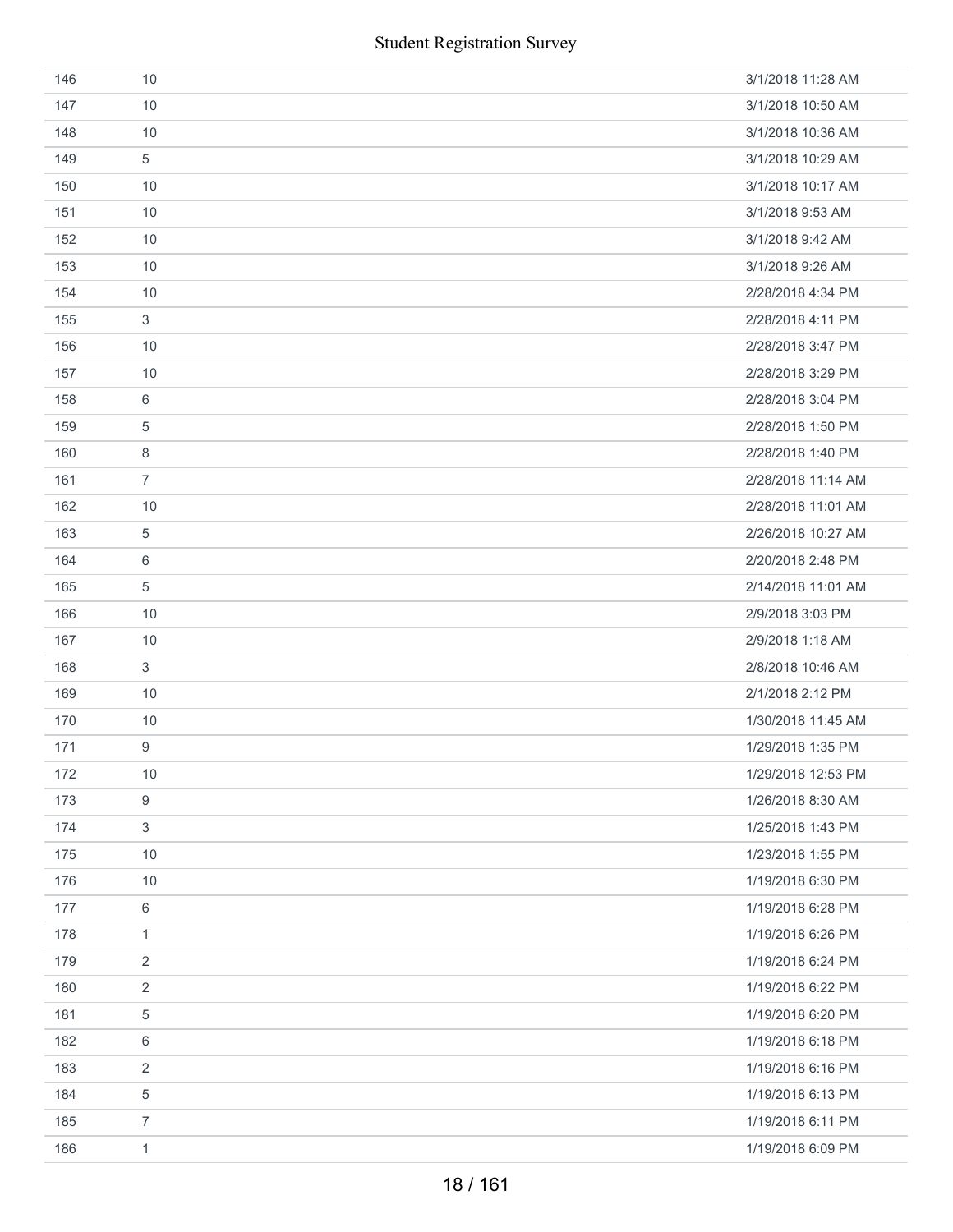| 146 | 10             | 3/1/2018 11:28 AM  |
|-----|----------------|--------------------|
| 147 | 10             | 3/1/2018 10:50 AM  |
| 148 | 10             | 3/1/2018 10:36 AM  |
| 149 | 5              | 3/1/2018 10:29 AM  |
| 150 | 10             | 3/1/2018 10:17 AM  |
| 151 | 10             | 3/1/2018 9:53 AM   |
| 152 | 10             | 3/1/2018 9:42 AM   |
| 153 | 10             | 3/1/2018 9:26 AM   |
| 154 | 10             | 2/28/2018 4:34 PM  |
| 155 | 3              | 2/28/2018 4:11 PM  |
| 156 | 10             | 2/28/2018 3:47 PM  |
| 157 | 10             | 2/28/2018 3:29 PM  |
| 158 | 6              | 2/28/2018 3:04 PM  |
| 159 | 5              | 2/28/2018 1:50 PM  |
| 160 | 8              | 2/28/2018 1:40 PM  |
| 161 | $\overline{7}$ | 2/28/2018 11:14 AM |
| 162 | 10             | 2/28/2018 11:01 AM |
| 163 | 5              | 2/26/2018 10:27 AM |
| 164 | 6              | 2/20/2018 2:48 PM  |
| 165 | 5              | 2/14/2018 11:01 AM |
| 166 | 10             | 2/9/2018 3:03 PM   |
| 167 | 10             | 2/9/2018 1:18 AM   |
| 168 | 3              | 2/8/2018 10:46 AM  |
| 169 | 10             | 2/1/2018 2:12 PM   |
| 170 | 10             | 1/30/2018 11:45 AM |
| 171 | 9              | 1/29/2018 1:35 PM  |
| 172 | 10             | 1/29/2018 12:53 PM |
| 173 | 9              | 1/26/2018 8:30 AM  |
| 174 | $\sqrt{3}$     | 1/25/2018 1:43 PM  |
| 175 | 10             | 1/23/2018 1:55 PM  |
| 176 | 10             | 1/19/2018 6:30 PM  |
| 177 | 6              | 1/19/2018 6:28 PM  |
| 178 | $\mathbf{1}$   | 1/19/2018 6:26 PM  |
| 179 | $\overline{2}$ | 1/19/2018 6:24 PM  |
| 180 | 2              | 1/19/2018 6:22 PM  |
| 181 | 5              | 1/19/2018 6:20 PM  |
| 182 | 6              | 1/19/2018 6:18 PM  |
| 183 | 2              | 1/19/2018 6:16 PM  |
| 184 | 5              | 1/19/2018 6:13 PM  |
| 185 | $\overline{7}$ | 1/19/2018 6:11 PM  |
| 186 | $\mathbf{1}$   | 1/19/2018 6:09 PM  |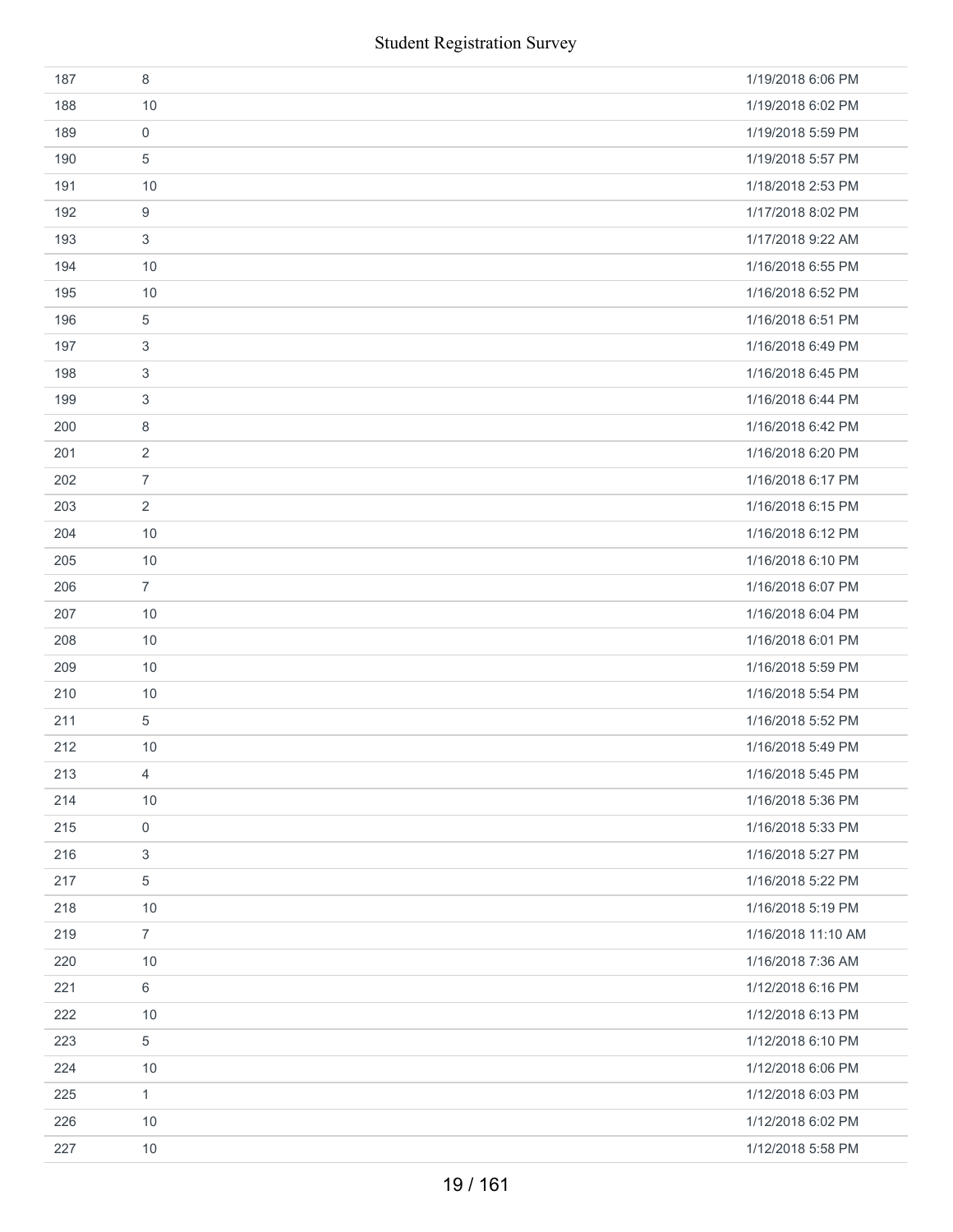|     | <b>Student Registration Survey</b> |                    |
|-----|------------------------------------|--------------------|
| 187 | 8                                  | 1/19/2018 6:06 PM  |
| 188 | 10                                 | 1/19/2018 6:02 PM  |
| 189 | 0                                  | 1/19/2018 5:59 PM  |
| 190 | 5                                  | 1/19/2018 5:57 PM  |
| 191 | 10                                 | 1/18/2018 2:53 PM  |
| 192 | 9                                  | 1/17/2018 8:02 PM  |
| 193 | 3                                  | 1/17/2018 9:22 AM  |
| 194 | 10                                 | 1/16/2018 6:55 PM  |
| 195 | 10                                 | 1/16/2018 6:52 PM  |
| 196 | 5                                  | 1/16/2018 6:51 PM  |
| 197 | 3                                  | 1/16/2018 6:49 PM  |
| 198 | 3                                  | 1/16/2018 6:45 PM  |
| 199 | 3                                  | 1/16/2018 6:44 PM  |
| 200 | 8                                  | 1/16/2018 6:42 PM  |
| 201 | $\overline{2}$                     | 1/16/2018 6:20 PM  |
| 202 | $\overline{7}$                     | 1/16/2018 6:17 PM  |
| 203 | $\overline{2}$                     | 1/16/2018 6:15 PM  |
| 204 | 10                                 | 1/16/2018 6:12 PM  |
| 205 | 10                                 | 1/16/2018 6:10 PM  |
| 206 | $\overline{7}$                     | 1/16/2018 6:07 PM  |
| 207 | 10                                 | 1/16/2018 6:04 PM  |
| 208 | 10                                 | 1/16/2018 6:01 PM  |
| 209 | 10                                 | 1/16/2018 5:59 PM  |
| 210 | $10$                               | 1/16/2018 5:54 PM  |
| 211 | 5                                  | 1/16/2018 5:52 PM  |
| 212 | 10                                 | 1/16/2018 5:49 PM  |
| 213 | $\overline{4}$                     | 1/16/2018 5:45 PM  |
| 214 | $10$                               | 1/16/2018 5:36 PM  |
| 215 | 0                                  | 1/16/2018 5:33 PM  |
| 216 | 3                                  | 1/16/2018 5:27 PM  |
| 217 | 5                                  | 1/16/2018 5:22 PM  |
| 218 | $10$                               | 1/16/2018 5:19 PM  |
| 219 | $\overline{7}$                     | 1/16/2018 11:10 AM |
| 220 | 10                                 | 1/16/2018 7:36 AM  |
| 221 | 6                                  | 1/12/2018 6:16 PM  |
| 222 | 10                                 | 1/12/2018 6:13 PM  |
| 223 | 5                                  | 1/12/2018 6:10 PM  |
| 224 | $10$                               | 1/12/2018 6:06 PM  |
| 225 | $\mathbf{1}$                       | 1/12/2018 6:03 PM  |
| 226 | 10                                 | 1/12/2018 6:02 PM  |
| 227 | $10$                               | 1/12/2018 5:58 PM  |
|     | 19 / 161                           |                    |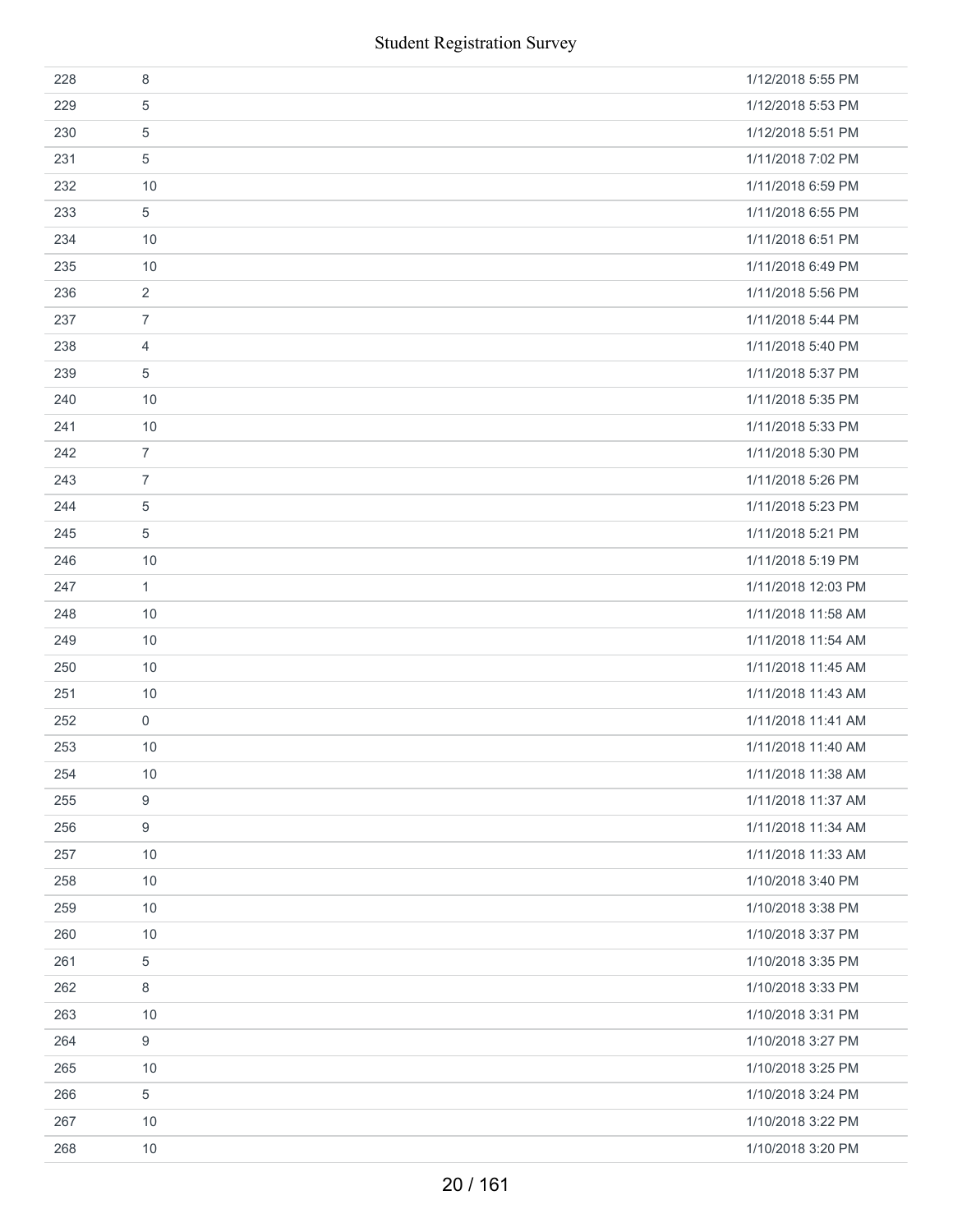|     | <b>Student Registration Survey</b> |                    |
|-----|------------------------------------|--------------------|
| 228 | $\,8\,$                            | 1/12/2018 5:55 PM  |
| 229 | 5                                  | 1/12/2018 5:53 PM  |
| 230 | 5                                  | 1/12/2018 5:51 PM  |
| 231 | 5                                  | 1/11/2018 7:02 PM  |
| 232 | 10                                 | 1/11/2018 6:59 PM  |
| 233 | 5                                  | 1/11/2018 6:55 PM  |
| 234 | 10                                 | 1/11/2018 6:51 PM  |
| 235 | 10                                 | 1/11/2018 6:49 PM  |
| 236 | 2                                  | 1/11/2018 5:56 PM  |
| 237 | $\overline{7}$                     | 1/11/2018 5:44 PM  |
| 238 | 4                                  | 1/11/2018 5:40 PM  |
| 239 | 5                                  | 1/11/2018 5:37 PM  |
| 240 | 10                                 | 1/11/2018 5:35 PM  |
| 241 | 10                                 | 1/11/2018 5:33 PM  |
| 242 | $\overline{7}$                     | 1/11/2018 5:30 PM  |
| 243 | $\overline{7}$                     | 1/11/2018 5:26 PM  |
| 244 | 5                                  | 1/11/2018 5:23 PM  |
| 245 | 5                                  | 1/11/2018 5:21 PM  |
| 246 | 10                                 | 1/11/2018 5:19 PM  |
| 247 | $\mathbf{1}$                       | 1/11/2018 12:03 PM |
| 248 | 10                                 | 1/11/2018 11:58 AM |
| 249 | 10                                 | 1/11/2018 11:54 AM |
| 250 | 10                                 | 1/11/2018 11:45 AM |
| 251 | $10$                               | 1/11/2018 11:43 AM |
| 252 | $\mathbf 0$                        | 1/11/2018 11:41 AM |
| 253 | 10                                 | 1/11/2018 11:40 AM |
| 254 | 10                                 | 1/11/2018 11:38 AM |
| 255 | $\boldsymbol{9}$                   | 1/11/2018 11:37 AM |
| 256 | 9                                  | 1/11/2018 11:34 AM |
| 257 | 10                                 | 1/11/2018 11:33 AM |
| 258 | 10                                 | 1/10/2018 3:40 PM  |
| 259 | 10                                 | 1/10/2018 3:38 PM  |
| 260 | 10                                 | 1/10/2018 3:37 PM  |
| 261 | 5                                  | 1/10/2018 3:35 PM  |
| 262 | 8                                  | 1/10/2018 3:33 PM  |
| 263 | 10                                 | 1/10/2018 3:31 PM  |
| 264 | 9                                  | 1/10/2018 3:27 PM  |
| 265 | 10                                 | 1/10/2018 3:25 PM  |
| 266 | 5                                  | 1/10/2018 3:24 PM  |
| 267 | 10                                 | 1/10/2018 3:22 PM  |
| 268 | 10                                 | 1/10/2018 3:20 PM  |
|     | 20 / 161                           |                    |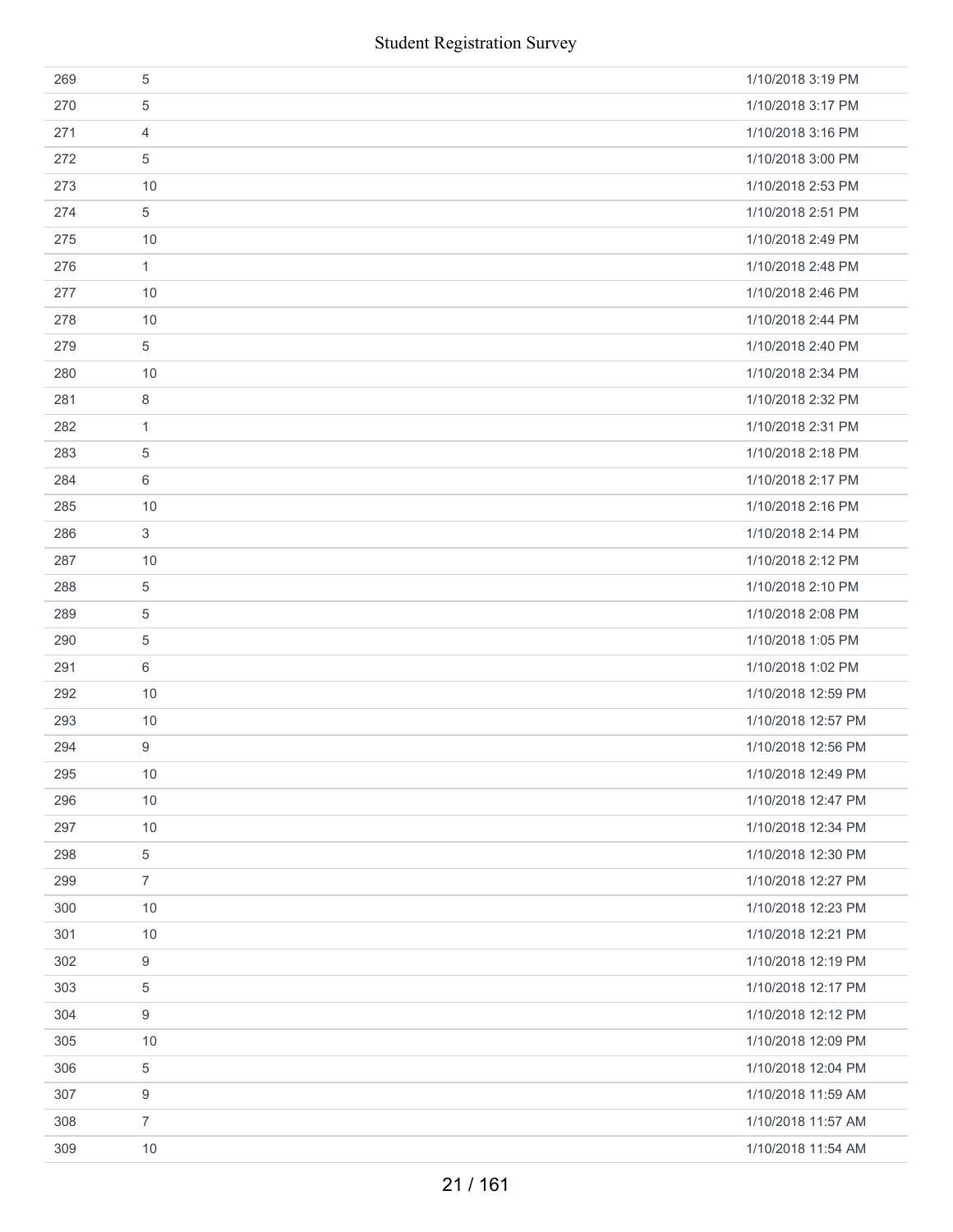|     | <b>Student Registration Survey</b> |                    |
|-----|------------------------------------|--------------------|
| 269 | 5                                  | 1/10/2018 3:19 PM  |
| 270 | 5                                  | 1/10/2018 3:17 PM  |
| 271 | $\overline{4}$                     | 1/10/2018 3:16 PM  |
| 272 | 5                                  | 1/10/2018 3:00 PM  |
| 273 | 10                                 | 1/10/2018 2:53 PM  |
| 274 | 5                                  | 1/10/2018 2:51 PM  |
| 275 | 10                                 | 1/10/2018 2:49 PM  |
| 276 | 1                                  | 1/10/2018 2:48 PM  |
| 277 | 10                                 | 1/10/2018 2:46 PM  |
| 278 | 10                                 | 1/10/2018 2:44 PM  |
| 279 | 5                                  | 1/10/2018 2:40 PM  |
| 280 | 10                                 | 1/10/2018 2:34 PM  |
| 281 | 8                                  | 1/10/2018 2:32 PM  |
| 282 | 1                                  | 1/10/2018 2:31 PM  |
| 283 | 5                                  | 1/10/2018 2:18 PM  |
| 284 | 6                                  | 1/10/2018 2:17 PM  |
| 285 | 10                                 | 1/10/2018 2:16 PM  |
| 286 | 3                                  | 1/10/2018 2:14 PM  |
| 287 | 10                                 | 1/10/2018 2:12 PM  |
| 288 | 5                                  | 1/10/2018 2:10 PM  |
| 289 | $\sqrt{5}$                         | 1/10/2018 2:08 PM  |
| 290 | 5                                  | 1/10/2018 1:05 PM  |
| 291 | 6                                  | 1/10/2018 1:02 PM  |
| 292 | 10                                 | 1/10/2018 12:59 PM |
| 293 | 10                                 | 1/10/2018 12:57 PM |
| 294 | 9                                  | 1/10/2018 12:56 PM |
| 295 | 10                                 | 1/10/2018 12:49 PM |
| 296 | 10                                 | 1/10/2018 12:47 PM |
| 297 | 10                                 | 1/10/2018 12:34 PM |
| 298 | 5                                  | 1/10/2018 12:30 PM |
| 299 | $\overline{7}$                     | 1/10/2018 12:27 PM |
| 300 | 10                                 | 1/10/2018 12:23 PM |
| 301 | 10                                 | 1/10/2018 12:21 PM |
| 302 | 9                                  | 1/10/2018 12:19 PM |
| 303 | 5                                  | 1/10/2018 12:17 PM |
| 304 | 9                                  | 1/10/2018 12:12 PM |
| 305 | 10                                 | 1/10/2018 12:09 PM |
| 306 | 5                                  | 1/10/2018 12:04 PM |
| 307 | 9                                  | 1/10/2018 11:59 AM |
| 308 | $\overline{7}$                     | 1/10/2018 11:57 AM |
| 309 | 10                                 | 1/10/2018 11:54 AM |
|     | 21 / 161                           |                    |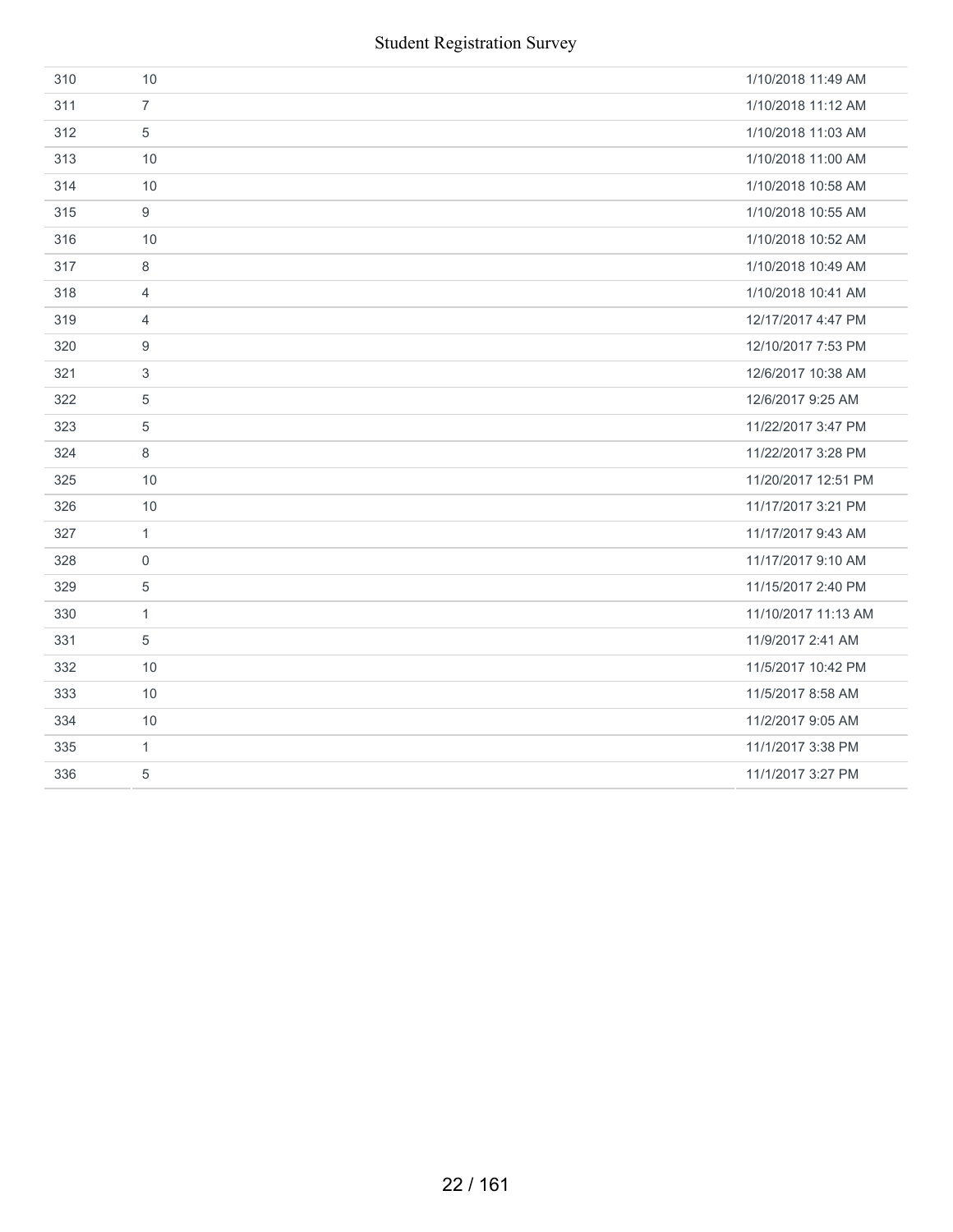| 310 | 10               | 1/10/2018 11:49 AM  |
|-----|------------------|---------------------|
| 311 | $\overline{7}$   | 1/10/2018 11:12 AM  |
| 312 | $\sqrt{5}$       | 1/10/2018 11:03 AM  |
| 313 | 10               | 1/10/2018 11:00 AM  |
| 314 | 10               | 1/10/2018 10:58 AM  |
| 315 | 9                | 1/10/2018 10:55 AM  |
| 316 | 10               | 1/10/2018 10:52 AM  |
| 317 | 8                | 1/10/2018 10:49 AM  |
| 318 | $\overline{4}$   | 1/10/2018 10:41 AM  |
| 319 | $\overline{4}$   | 12/17/2017 4:47 PM  |
| 320 | $\boldsymbol{9}$ | 12/10/2017 7:53 PM  |
| 321 | $\sqrt{3}$       | 12/6/2017 10:38 AM  |
| 322 | 5                | 12/6/2017 9:25 AM   |
| 323 | $\,$ 5 $\,$      | 11/22/2017 3:47 PM  |
| 324 | $\,8\,$          | 11/22/2017 3:28 PM  |
| 325 | 10               | 11/20/2017 12:51 PM |
| 326 | 10               | 11/17/2017 3:21 PM  |
| 327 | $\mathbf{1}$     | 11/17/2017 9:43 AM  |
| 328 | $\mathbf 0$      | 11/17/2017 9:10 AM  |
| 329 | 5                | 11/15/2017 2:40 PM  |
| 330 | $\mathbf{1}$     | 11/10/2017 11:13 AM |
| 331 | 5                | 11/9/2017 2:41 AM   |
| 332 | 10               | 11/5/2017 10:42 PM  |
| 333 | 10               | 11/5/2017 8:58 AM   |
| 334 | 10               | 11/2/2017 9:05 AM   |
| 335 | $\mathbf{1}$     | 11/1/2017 3:38 PM   |
| 336 | 5                | 11/1/2017 3:27 PM   |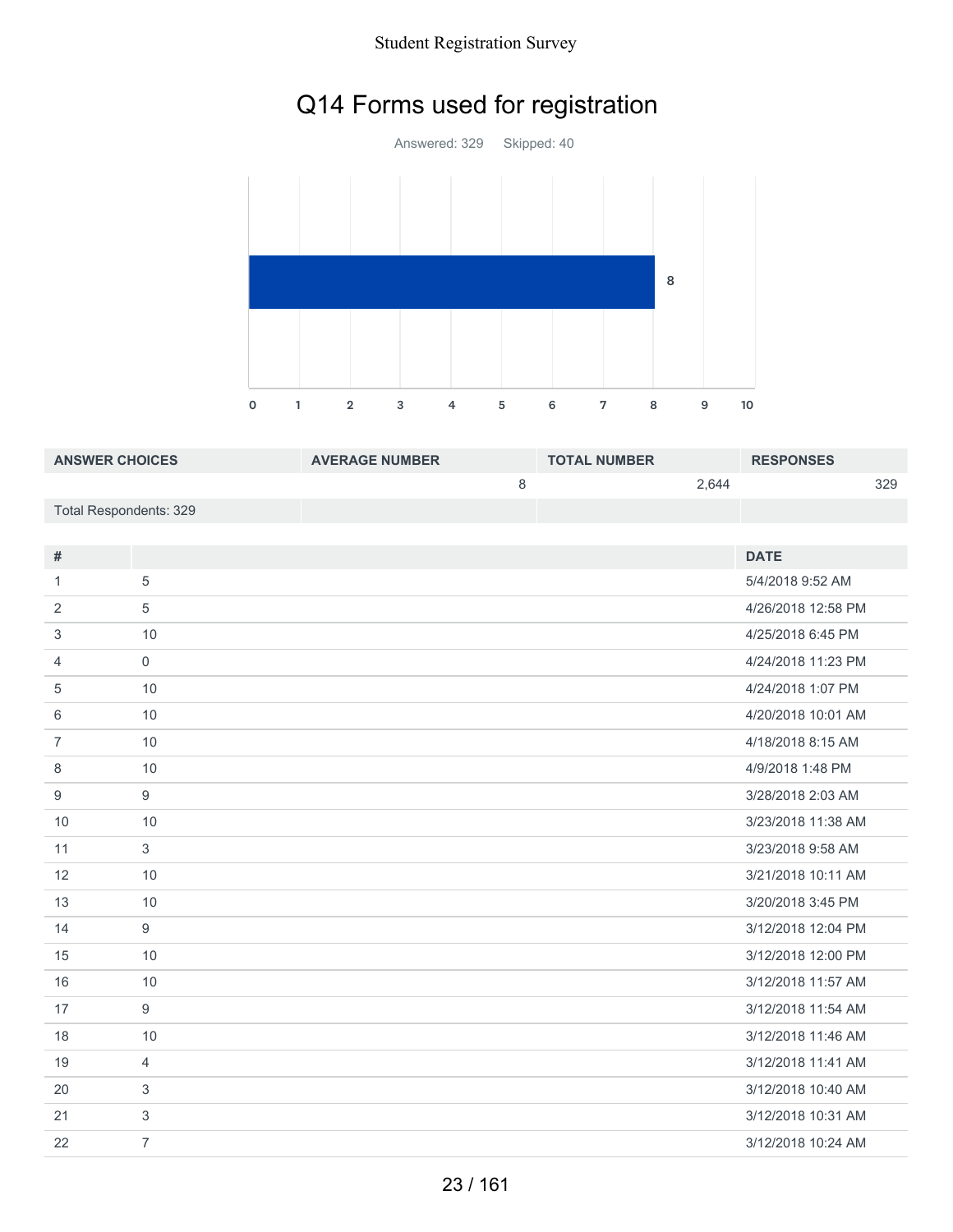# Q14 Forms used for registration

Answered: 329 Skipped: 40 1 2 3 4 5 6 7 8 9 10 

| <b>ANSWER CHOICES</b>  | <b>AVERAGE NUMBER</b> | <b>TOTAL NUMBER</b> | <b>RESPONSES</b> |
|------------------------|-----------------------|---------------------|------------------|
|                        |                       | 2.644               | 329              |
| Total Respondents: 329 |                       |                     |                  |

| #              |                | <b>DATE</b>        |
|----------------|----------------|--------------------|
| 1              | 5              | 5/4/2018 9:52 AM   |
| 2              | 5              | 4/26/2018 12:58 PM |
| 3              | 10             | 4/25/2018 6:45 PM  |
| 4              | $\mathbf 0$    | 4/24/2018 11:23 PM |
| 5              | 10             | 4/24/2018 1:07 PM  |
| 6              | 10             | 4/20/2018 10:01 AM |
| $\overline{7}$ | 10             | 4/18/2018 8:15 AM  |
| 8              | 10             | 4/9/2018 1:48 PM   |
| 9              | 9              | 3/28/2018 2:03 AM  |
| 10             | 10             | 3/23/2018 11:38 AM |
| 11             | 3              | 3/23/2018 9:58 AM  |
| 12             | 10             | 3/21/2018 10:11 AM |
| 13             | 10             | 3/20/2018 3:45 PM  |
| 14             | 9              | 3/12/2018 12:04 PM |
| 15             | 10             | 3/12/2018 12:00 PM |
| 16             | 10             | 3/12/2018 11:57 AM |
| 17             | 9              | 3/12/2018 11:54 AM |
| 18             | 10             | 3/12/2018 11:46 AM |
| 19             | $\overline{4}$ | 3/12/2018 11:41 AM |
| 20             | 3              | 3/12/2018 10:40 AM |
| 21             | $\sqrt{3}$     | 3/12/2018 10:31 AM |
| 22             | $\overline{7}$ | 3/12/2018 10:24 AM |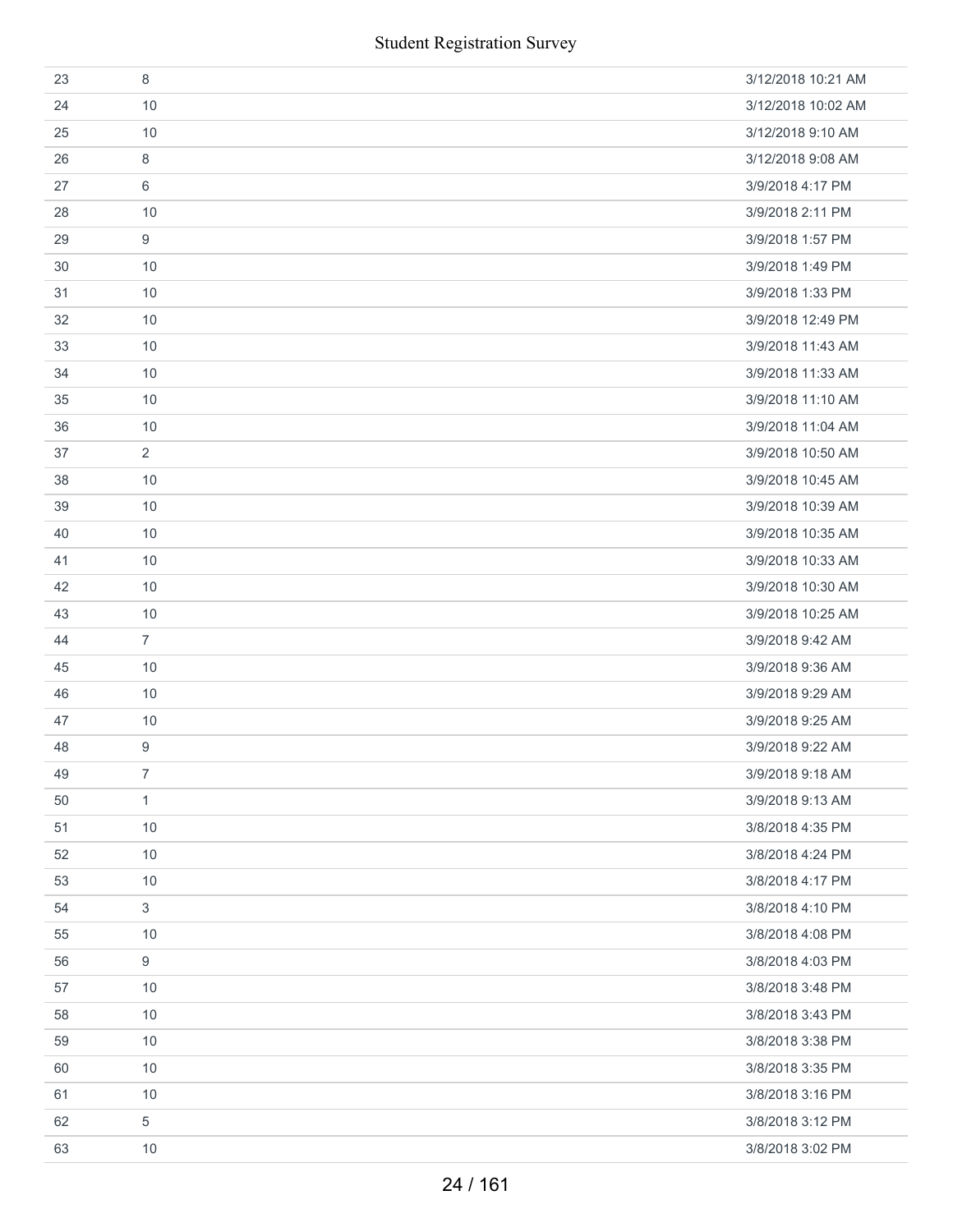| 23 | 8                | 3/12/2018 10:21 AM |
|----|------------------|--------------------|
| 24 | 10               | 3/12/2018 10:02 AM |
| 25 | 10               | 3/12/2018 9:10 AM  |
| 26 | 8                | 3/12/2018 9:08 AM  |
| 27 | 6                | 3/9/2018 4:17 PM   |
| 28 | 10               | 3/9/2018 2:11 PM   |
| 29 | 9                | 3/9/2018 1:57 PM   |
| 30 | 10               | 3/9/2018 1:49 PM   |
| 31 | 10               | 3/9/2018 1:33 PM   |
| 32 | 10               | 3/9/2018 12:49 PM  |
| 33 | 10               | 3/9/2018 11:43 AM  |
| 34 | 10               | 3/9/2018 11:33 AM  |
| 35 | 10               | 3/9/2018 11:10 AM  |
| 36 | 10               | 3/9/2018 11:04 AM  |
| 37 | $\overline{2}$   | 3/9/2018 10:50 AM  |
| 38 | 10               | 3/9/2018 10:45 AM  |
| 39 | 10               | 3/9/2018 10:39 AM  |
| 40 | 10               | 3/9/2018 10:35 AM  |
| 41 | 10               | 3/9/2018 10:33 AM  |
| 42 | 10               | 3/9/2018 10:30 AM  |
| 43 | 10               | 3/9/2018 10:25 AM  |
| 44 | $\overline{7}$   | 3/9/2018 9:42 AM   |
| 45 | 10               | 3/9/2018 9:36 AM   |
| 46 | 10               | 3/9/2018 9:29 AM   |
| 47 | 10               | 3/9/2018 9:25 AM   |
| 48 | 9                | 3/9/2018 9:22 AM   |
| 49 | $\overline{7}$   | 3/9/2018 9:18 AM   |
| 50 | $\mathbf{1}$     | 3/9/2018 9:13 AM   |
| 51 | 10               | 3/8/2018 4:35 PM   |
| 52 | 10               | 3/8/2018 4:24 PM   |
| 53 | 10               | 3/8/2018 4:17 PM   |
| 54 | $\mathfrak{S}$   | 3/8/2018 4:10 PM   |
| 55 | 10               | 3/8/2018 4:08 PM   |
| 56 | $\boldsymbol{9}$ | 3/8/2018 4:03 PM   |
| 57 | 10               | 3/8/2018 3:48 PM   |
| 58 | 10               | 3/8/2018 3:43 PM   |
| 59 | 10               | 3/8/2018 3:38 PM   |
| 60 | 10               | 3/8/2018 3:35 PM   |
| 61 | $10$             | 3/8/2018 3:16 PM   |
| 62 | 5                | 3/8/2018 3:12 PM   |
| 63 | 10               | 3/8/2018 3:02 PM   |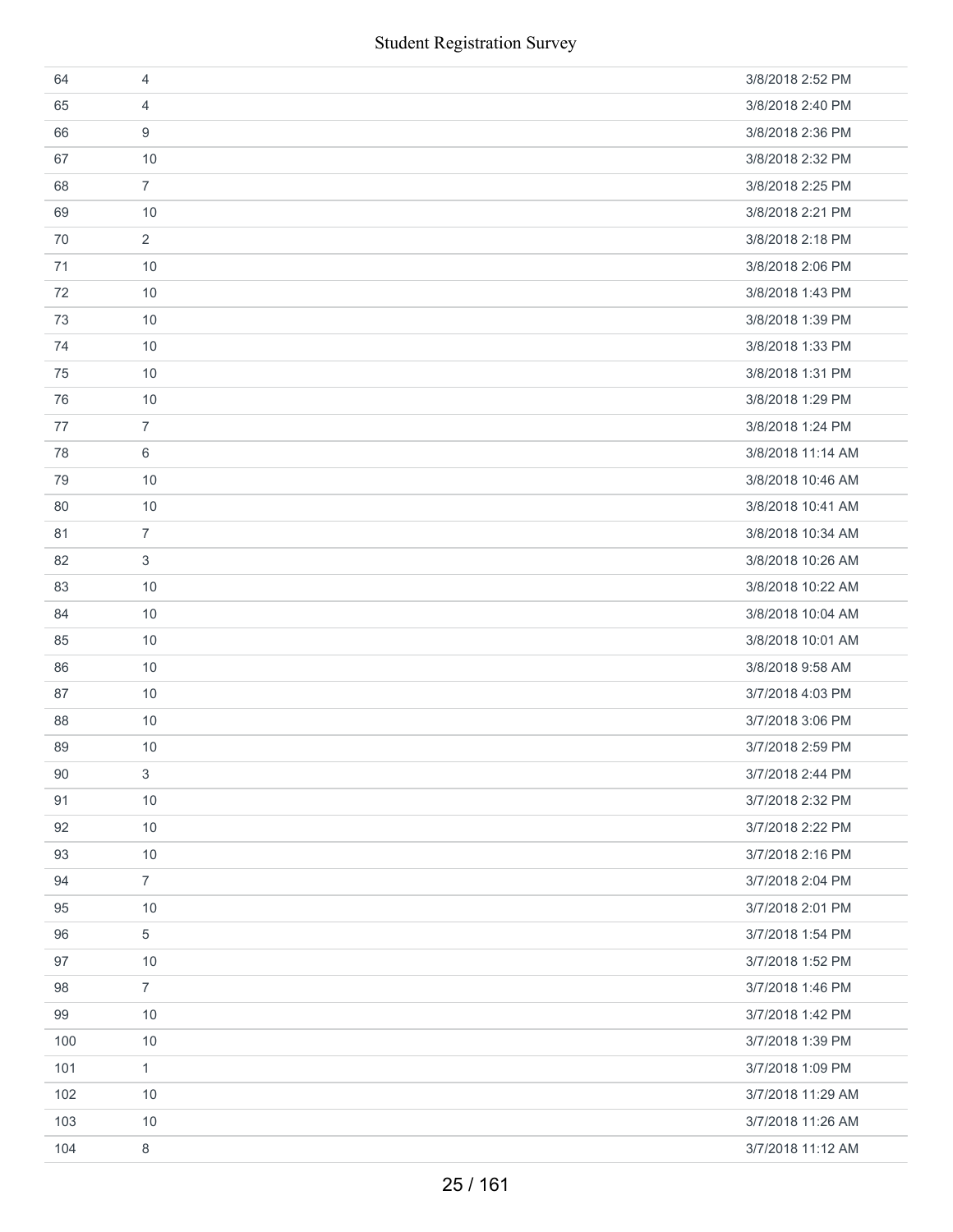|     | <b>Student Registration Survey</b> |                   |
|-----|------------------------------------|-------------------|
| 64  | $\overline{4}$                     | 3/8/2018 2:52 PM  |
| 65  | 4                                  | 3/8/2018 2:40 PM  |
| 66  | 9                                  | 3/8/2018 2:36 PM  |
| 67  | 10                                 | 3/8/2018 2:32 PM  |
| 68  | $\overline{7}$                     | 3/8/2018 2:25 PM  |
| 69  | 10                                 | 3/8/2018 2:21 PM  |
| 70  | $\overline{2}$                     | 3/8/2018 2:18 PM  |
| 71  | 10                                 | 3/8/2018 2:06 PM  |
| 72  | 10                                 | 3/8/2018 1:43 PM  |
| 73  | 10                                 | 3/8/2018 1:39 PM  |
| 74  | 10                                 | 3/8/2018 1:33 PM  |
| 75  | 10                                 | 3/8/2018 1:31 PM  |
| 76  | 10                                 | 3/8/2018 1:29 PM  |
| 77  | $\overline{7}$                     | 3/8/2018 1:24 PM  |
| 78  | 6                                  | 3/8/2018 11:14 AM |
| 79  | 10                                 | 3/8/2018 10:46 AM |
| 80  | 10                                 | 3/8/2018 10:41 AM |
| 81  | $\overline{7}$                     | 3/8/2018 10:34 AM |
| 82  | $\ensuremath{\mathsf{3}}$          | 3/8/2018 10:26 AM |
| 83  | 10                                 | 3/8/2018 10:22 AM |
| 84  | 10                                 | 3/8/2018 10:04 AM |
| 85  | 10                                 | 3/8/2018 10:01 AM |
| 86  | 10                                 | 3/8/2018 9:58 AM  |
| 87  | 10                                 | 3/7/2018 4:03 PM  |
| 88  | $10$                               | 3/7/2018 3:06 PM  |
| 89  | 10                                 | 3/7/2018 2:59 PM  |
| 90  | 3                                  | 3/7/2018 2:44 PM  |
| 91  | 10                                 | 3/7/2018 2:32 PM  |
| 92  | 10                                 | 3/7/2018 2:22 PM  |
| 93  | 10                                 | 3/7/2018 2:16 PM  |
| 94  | $\overline{7}$                     | 3/7/2018 2:04 PM  |
| 95  | 10                                 | 3/7/2018 2:01 PM  |
| 96  | 5                                  | 3/7/2018 1:54 PM  |
| 97  | 10                                 | 3/7/2018 1:52 PM  |
| 98  | $\overline{7}$                     | 3/7/2018 1:46 PM  |
| 99  | 10                                 | 3/7/2018 1:42 PM  |
| 100 | 10                                 | 3/7/2018 1:39 PM  |
| 101 | $\mathbf{1}$                       | 3/7/2018 1:09 PM  |
| 102 | 10                                 | 3/7/2018 11:29 AM |
| 103 | 10                                 | 3/7/2018 11:26 AM |
| 104 | 8                                  | 3/7/2018 11:12 AM |
|     | 25 / 161                           |                   |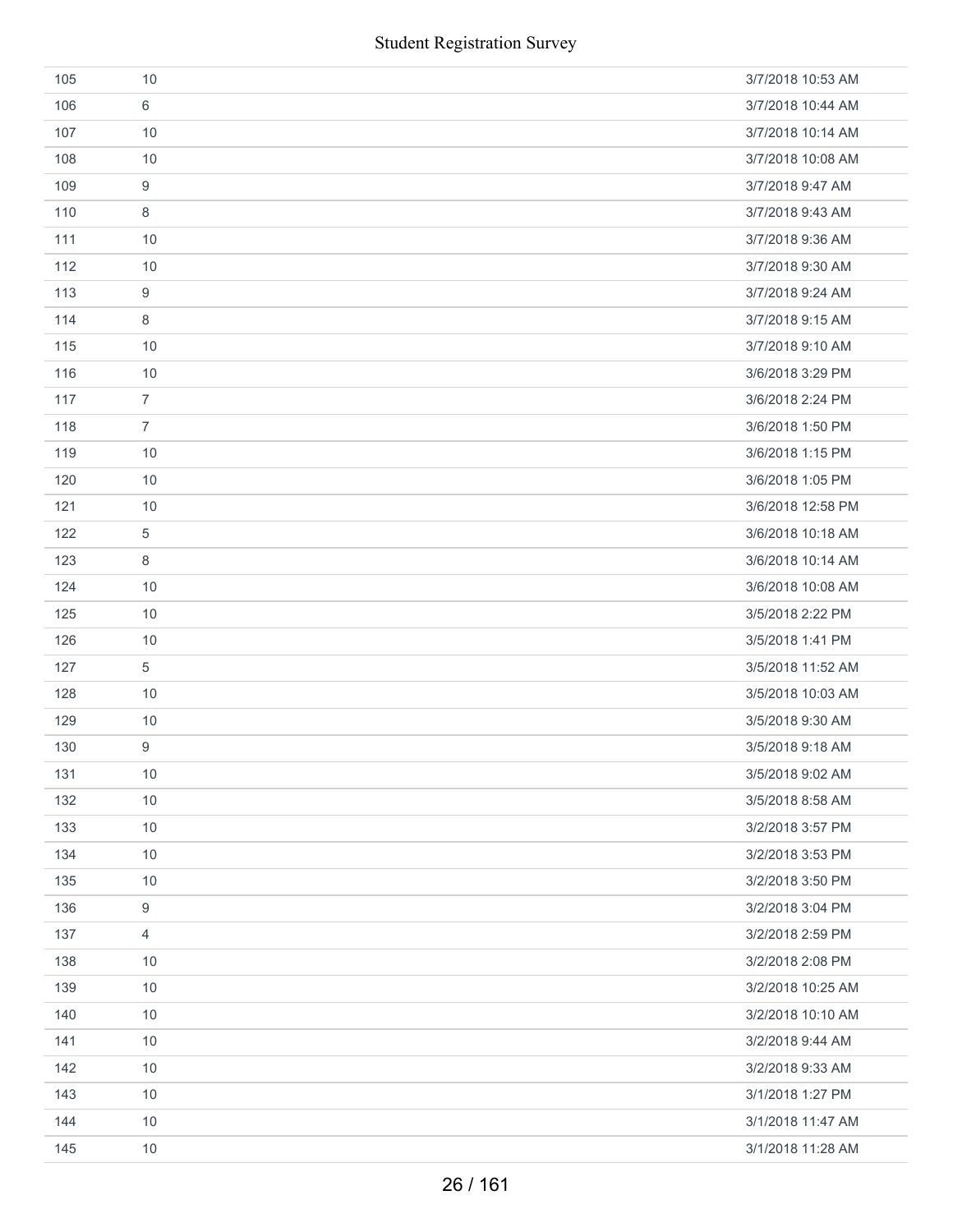|     | <b>Student Registration Survey</b> |                   |
|-----|------------------------------------|-------------------|
| 105 | 10                                 | 3/7/2018 10:53 AM |
| 106 | 6                                  | 3/7/2018 10:44 AM |
| 107 | 10                                 | 3/7/2018 10:14 AM |
| 108 | 10                                 | 3/7/2018 10:08 AM |
| 109 | $\boldsymbol{9}$                   | 3/7/2018 9:47 AM  |
| 110 | 8                                  | 3/7/2018 9:43 AM  |
| 111 | 10                                 | 3/7/2018 9:36 AM  |
| 112 | 10                                 | 3/7/2018 9:30 AM  |
| 113 | 9                                  | 3/7/2018 9:24 AM  |
| 114 | 8                                  | 3/7/2018 9:15 AM  |
| 115 | 10                                 | 3/7/2018 9:10 AM  |
| 116 | 10                                 | 3/6/2018 3:29 PM  |
| 117 | $\overline{7}$                     | 3/6/2018 2:24 PM  |
| 118 | $\overline{7}$                     | 3/6/2018 1:50 PM  |
| 119 | 10                                 | 3/6/2018 1:15 PM  |
| 120 | 10                                 | 3/6/2018 1:05 PM  |
| 121 | 10                                 | 3/6/2018 12:58 PM |
| 122 | 5                                  | 3/6/2018 10:18 AM |
| 123 | 8                                  | 3/6/2018 10:14 AM |
| 124 | 10                                 | 3/6/2018 10:08 AM |
| 125 | 10                                 | 3/5/2018 2:22 PM  |
| 126 | 10                                 | 3/5/2018 1:41 PM  |
| 127 | 5                                  | 3/5/2018 11:52 AM |
| 128 | 10                                 | 3/5/2018 10:03 AM |
| 129 | $10$                               | 3/5/2018 9:30 AM  |
| 130 | 9                                  | 3/5/2018 9:18 AM  |
| 131 | 10                                 | 3/5/2018 9:02 AM  |
| 132 | 10                                 | 3/5/2018 8:58 AM  |
| 133 | 10                                 | 3/2/2018 3:57 PM  |
| 134 | 10                                 | 3/2/2018 3:53 PM  |
| 135 | 10                                 | 3/2/2018 3:50 PM  |
| 136 | 9                                  | 3/2/2018 3:04 PM  |
| 137 | 4                                  | 3/2/2018 2:59 PM  |
| 138 | 10                                 | 3/2/2018 2:08 PM  |
| 139 | 10                                 | 3/2/2018 10:25 AM |
| 140 | 10                                 | 3/2/2018 10:10 AM |
| 141 | 10                                 | 3/2/2018 9:44 AM  |
| 142 | 10                                 | 3/2/2018 9:33 AM  |
| 143 | 10                                 | 3/1/2018 1:27 PM  |
| 144 | 10                                 | 3/1/2018 11:47 AM |
| 145 | 10                                 | 3/1/2018 11:28 AM |
|     | 26 / 161                           |                   |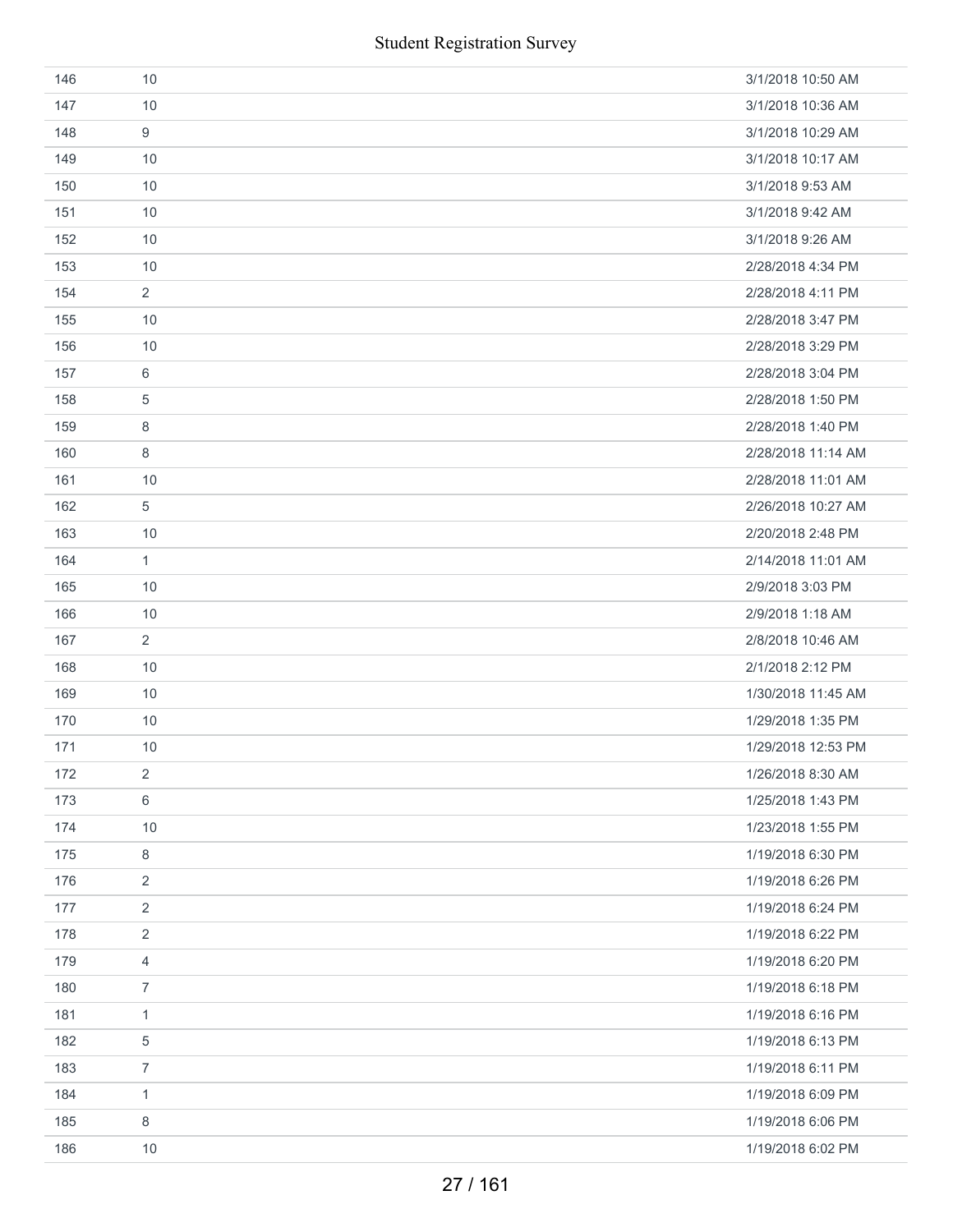| 146 | 10             | 3/1/2018 10:50 AM  |
|-----|----------------|--------------------|
| 147 | 10             | 3/1/2018 10:36 AM  |
| 148 | 9              | 3/1/2018 10:29 AM  |
| 149 | 10             | 3/1/2018 10:17 AM  |
| 150 | 10             | 3/1/2018 9:53 AM   |
| 151 | 10             | 3/1/2018 9:42 AM   |
| 152 | 10             | 3/1/2018 9:26 AM   |
| 153 | 10             | 2/28/2018 4:34 PM  |
| 154 | $\overline{2}$ | 2/28/2018 4:11 PM  |
| 155 | 10             | 2/28/2018 3:47 PM  |
| 156 | 10             | 2/28/2018 3:29 PM  |
| 157 | 6              | 2/28/2018 3:04 PM  |
| 158 | 5              | 2/28/2018 1:50 PM  |
| 159 | 8              | 2/28/2018 1:40 PM  |
| 160 | 8              | 2/28/2018 11:14 AM |
| 161 | 10             | 2/28/2018 11:01 AM |
| 162 | 5              | 2/26/2018 10:27 AM |
| 163 | 10             | 2/20/2018 2:48 PM  |
| 164 | $\mathbf{1}$   | 2/14/2018 11:01 AM |
| 165 | 10             | 2/9/2018 3:03 PM   |
| 166 | 10             | 2/9/2018 1:18 AM   |
| 167 | 2              | 2/8/2018 10:46 AM  |
| 168 | 10             | 2/1/2018 2:12 PM   |
| 169 | 10             | 1/30/2018 11:45 AM |
| 170 | 10             | 1/29/2018 1:35 PM  |
| 171 | 10             | 1/29/2018 12:53 PM |
| 172 | 2              | 1/26/2018 8:30 AM  |
| 173 | 6              | 1/25/2018 1:43 PM  |
| 174 | 10             | 1/23/2018 1:55 PM  |
| 175 | 8              | 1/19/2018 6:30 PM  |
| 176 | $\sqrt{2}$     | 1/19/2018 6:26 PM  |
| 177 | $\overline{2}$ | 1/19/2018 6:24 PM  |
| 178 | $\overline{2}$ | 1/19/2018 6:22 PM  |
| 179 | 4              | 1/19/2018 6:20 PM  |
| 180 | $\overline{7}$ | 1/19/2018 6:18 PM  |
| 181 | $\mathbf{1}$   | 1/19/2018 6:16 PM  |
| 182 | 5              | 1/19/2018 6:13 PM  |
| 183 | $\overline{7}$ | 1/19/2018 6:11 PM  |
| 184 | $\mathbf{1}$   | 1/19/2018 6:09 PM  |
| 185 | 8              | 1/19/2018 6:06 PM  |
| 186 | 10             | 1/19/2018 6:02 PM  |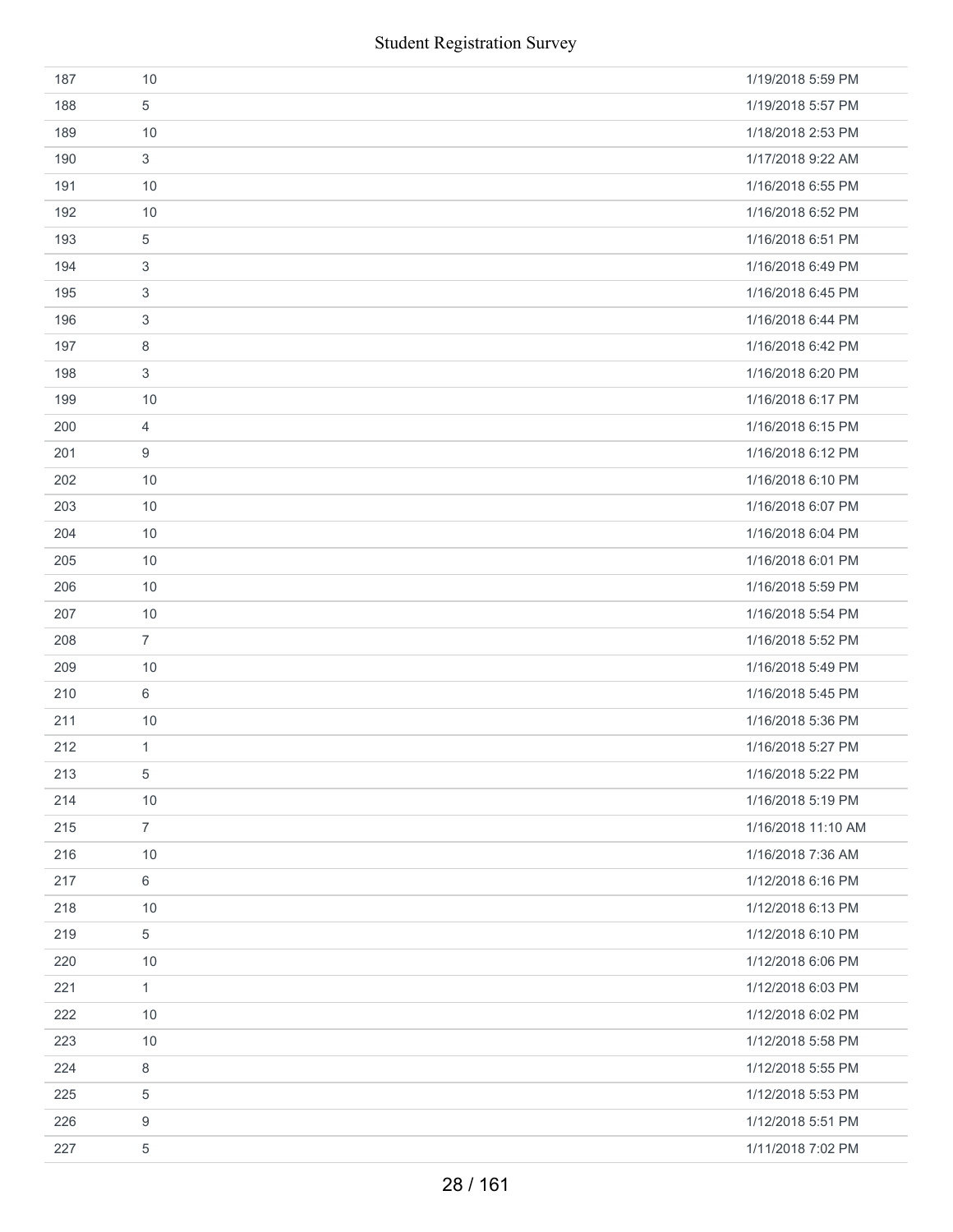|     | <b>Student Registration Survey</b> |                    |
|-----|------------------------------------|--------------------|
| 187 | 10                                 | 1/19/2018 5:59 PM  |
| 188 | 5                                  | 1/19/2018 5:57 PM  |
| 189 | 10                                 | 1/18/2018 2:53 PM  |
| 190 | 3                                  | 1/17/2018 9:22 AM  |
| 191 | 10                                 | 1/16/2018 6:55 PM  |
| 192 | 10                                 | 1/16/2018 6:52 PM  |
| 193 | $\,$ 5 $\,$                        | 1/16/2018 6:51 PM  |
| 194 | 3                                  | 1/16/2018 6:49 PM  |
| 195 | 3                                  | 1/16/2018 6:45 PM  |
| 196 | 3                                  | 1/16/2018 6:44 PM  |
| 197 | 8                                  | 1/16/2018 6:42 PM  |
| 198 | 3                                  | 1/16/2018 6:20 PM  |
| 199 | 10                                 | 1/16/2018 6:17 PM  |
| 200 | $\overline{4}$                     | 1/16/2018 6:15 PM  |
| 201 | 9                                  | 1/16/2018 6:12 PM  |
| 202 | 10                                 | 1/16/2018 6:10 PM  |
| 203 | 10                                 | 1/16/2018 6:07 PM  |
| 204 | 10                                 | 1/16/2018 6:04 PM  |
| 205 | 10                                 | 1/16/2018 6:01 PM  |
| 206 | 10                                 | 1/16/2018 5:59 PM  |
| 207 | 10                                 | 1/16/2018 5:54 PM  |
| 208 | $\overline{7}$                     | 1/16/2018 5:52 PM  |
| 209 | 10                                 | 1/16/2018 5:49 PM  |
| 210 | 6                                  | 1/16/2018 5:45 PM  |
| 211 | 10                                 | 1/16/2018 5:36 PM  |
| 212 | 1                                  | 1/16/2018 5:27 PM  |
| 213 | 5                                  | 1/16/2018 5:22 PM  |
| 214 | 10                                 | 1/16/2018 5:19 PM  |
| 215 | $\overline{7}$                     | 1/16/2018 11:10 AM |
| 216 | 10                                 | 1/16/2018 7:36 AM  |
| 217 | 6                                  | 1/12/2018 6:16 PM  |
| 218 | 10                                 | 1/12/2018 6:13 PM  |
| 219 | 5                                  | 1/12/2018 6:10 PM  |
| 220 | 10                                 | 1/12/2018 6:06 PM  |
| 221 | $\mathbf{1}$                       | 1/12/2018 6:03 PM  |
| 222 | 10                                 | 1/12/2018 6:02 PM  |
| 223 | 10                                 | 1/12/2018 5:58 PM  |
| 224 | 8                                  | 1/12/2018 5:55 PM  |
| 225 | 5                                  | 1/12/2018 5:53 PM  |
| 226 | 9                                  | 1/12/2018 5:51 PM  |
| 227 | $\,$ 5 $\,$                        | 1/11/2018 7:02 PM  |
|     | 28 / 161                           |                    |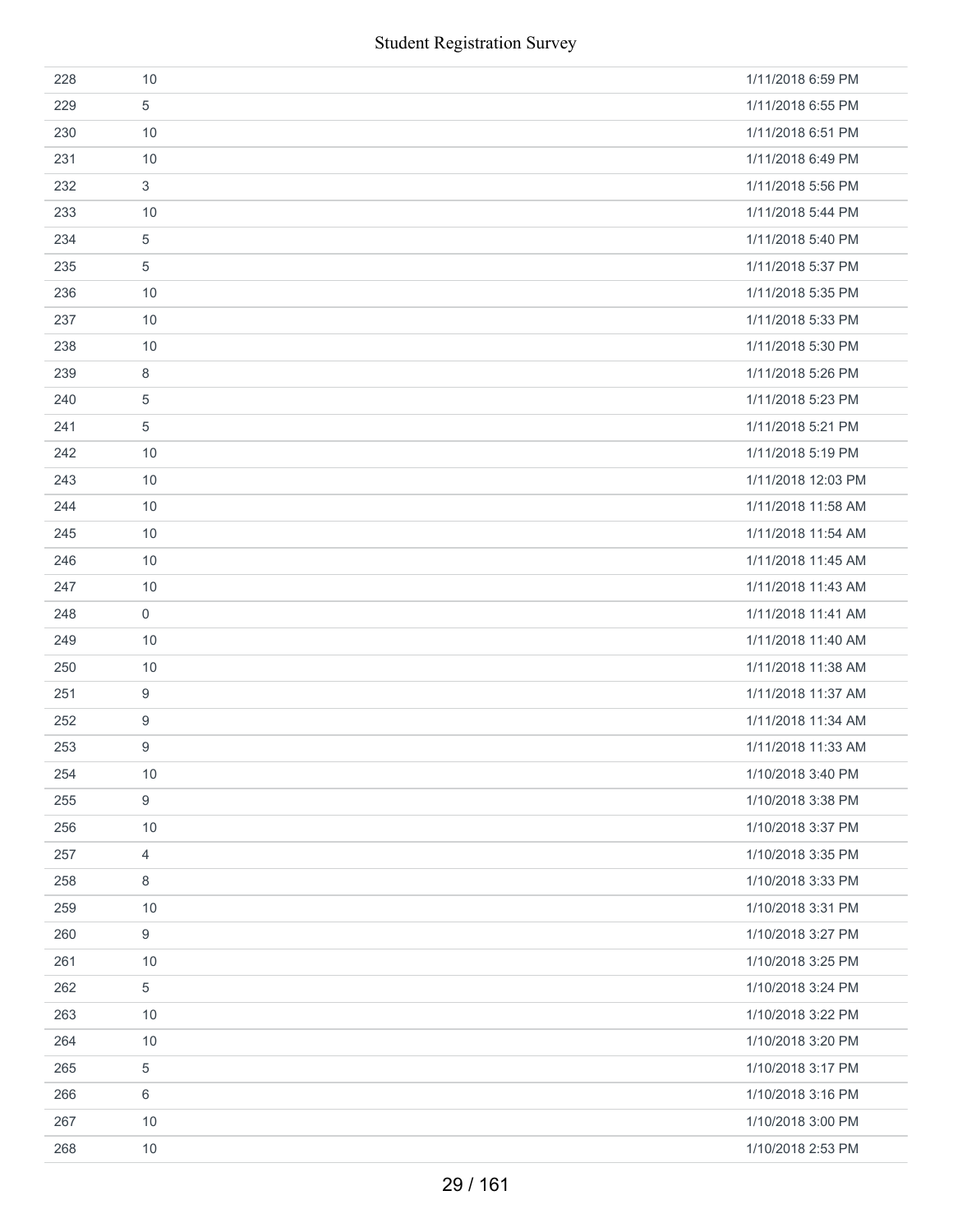|     | <b>Student Registration Survey</b> |                    |
|-----|------------------------------------|--------------------|
| 228 | 10                                 | 1/11/2018 6:59 PM  |
| 229 | 5                                  | 1/11/2018 6:55 PM  |
| 230 | 10                                 | 1/11/2018 6:51 PM  |
| 231 | 10                                 | 1/11/2018 6:49 PM  |
| 232 | 3                                  | 1/11/2018 5:56 PM  |
| 233 | 10                                 | 1/11/2018 5:44 PM  |
| 234 | 5                                  | 1/11/2018 5:40 PM  |
| 235 | $\sqrt{5}$                         | 1/11/2018 5:37 PM  |
| 236 | 10                                 | 1/11/2018 5:35 PM  |
| 237 | 10                                 | 1/11/2018 5:33 PM  |
| 238 | 10                                 | 1/11/2018 5:30 PM  |
| 239 | 8                                  | 1/11/2018 5:26 PM  |
| 240 | 5                                  | 1/11/2018 5:23 PM  |
| 241 | $\sqrt{5}$                         | 1/11/2018 5:21 PM  |
| 242 | 10                                 | 1/11/2018 5:19 PM  |
| 243 | 10                                 | 1/11/2018 12:03 PM |
| 244 | 10                                 | 1/11/2018 11:58 AM |
| 245 | 10                                 | 1/11/2018 11:54 AM |
| 246 | 10                                 | 1/11/2018 11:45 AM |
| 247 | 10                                 | 1/11/2018 11:43 AM |
| 248 | $\mathsf{O}\xspace$                | 1/11/2018 11:41 AM |
| 249 | 10                                 | 1/11/2018 11:40 AM |
| 250 | 10                                 | 1/11/2018 11:38 AM |
| 251 | $\boldsymbol{9}$                   | 1/11/2018 11:37 AM |
| 252 | $\boldsymbol{9}$                   | 1/11/2018 11:34 AM |
| 253 | 9                                  | 1/11/2018 11:33 AM |
| 254 | 10                                 | 1/10/2018 3:40 PM  |
| 255 | $\boldsymbol{9}$                   | 1/10/2018 3:38 PM  |
| 256 | 10                                 | 1/10/2018 3:37 PM  |
| 257 | $\overline{4}$                     | 1/10/2018 3:35 PM  |
| 258 | 8                                  | 1/10/2018 3:33 PM  |
| 259 | 10                                 | 1/10/2018 3:31 PM  |
| 260 | 9                                  | 1/10/2018 3:27 PM  |
| 261 | 10                                 | 1/10/2018 3:25 PM  |
| 262 | $\,$ 5 $\,$                        | 1/10/2018 3:24 PM  |
| 263 | 10                                 | 1/10/2018 3:22 PM  |
| 264 | 10                                 | 1/10/2018 3:20 PM  |
| 265 | 5                                  | 1/10/2018 3:17 PM  |
| 266 | $\,6\,$                            | 1/10/2018 3:16 PM  |
| 267 | 10                                 | 1/10/2018 3:00 PM  |
| 268 | 10                                 | 1/10/2018 2:53 PM  |
|     | 29 / 161                           |                    |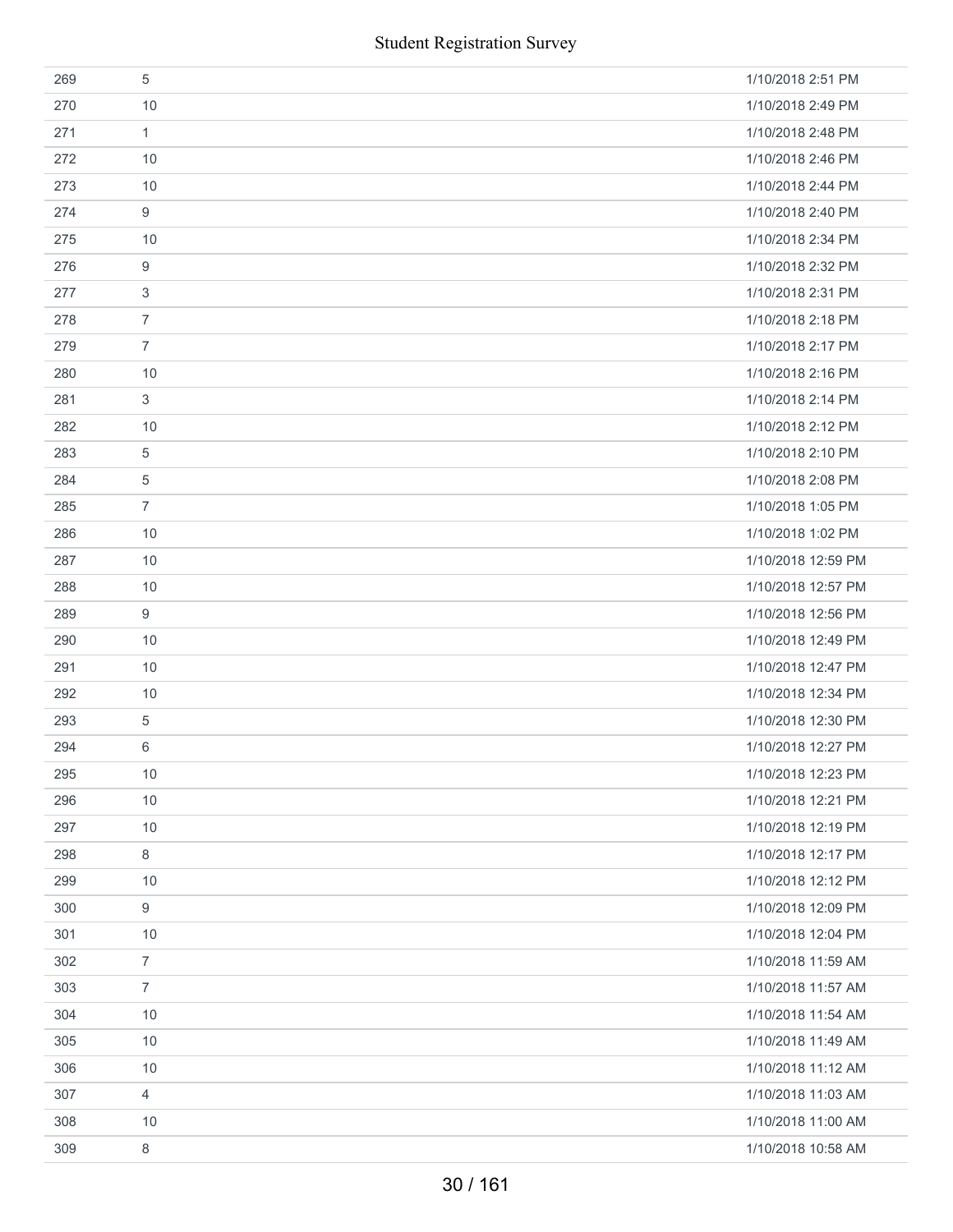| <b>Student Registration Survey</b> |                  |                    |  |
|------------------------------------|------------------|--------------------|--|
| 269                                | 5                | 1/10/2018 2:51 PM  |  |
| 270                                | 10               | 1/10/2018 2:49 PM  |  |
| 271                                | $\mathbf{1}$     | 1/10/2018 2:48 PM  |  |
| 272                                | 10               | 1/10/2018 2:46 PM  |  |
| 273                                | 10               | 1/10/2018 2:44 PM  |  |
| 274                                | $\boldsymbol{9}$ | 1/10/2018 2:40 PM  |  |
| 275                                | 10               | 1/10/2018 2:34 PM  |  |
| 276                                | 9                | 1/10/2018 2:32 PM  |  |
| 277                                | 3                | 1/10/2018 2:31 PM  |  |
| 278                                | $\overline{7}$   | 1/10/2018 2:18 PM  |  |
| 279                                | $\overline{7}$   | 1/10/2018 2:17 PM  |  |
| 280                                | 10               | 1/10/2018 2:16 PM  |  |
| 281                                | 3                | 1/10/2018 2:14 PM  |  |
| 282                                | 10               | 1/10/2018 2:12 PM  |  |
| 283                                | 5                | 1/10/2018 2:10 PM  |  |
| 284                                | 5                | 1/10/2018 2:08 PM  |  |
| 285                                | $\overline{7}$   | 1/10/2018 1:05 PM  |  |
| 286                                | 10               | 1/10/2018 1:02 PM  |  |
| 287                                | 10               | 1/10/2018 12:59 PM |  |
| 288                                | 10               | 1/10/2018 12:57 PM |  |
| 289                                | $\boldsymbol{9}$ | 1/10/2018 12:56 PM |  |
| 290                                | 10               | 1/10/2018 12:49 PM |  |
| 291                                | 10               | 1/10/2018 12:47 PM |  |
| 292                                | 10               | 1/10/2018 12:34 PM |  |
| 293                                | 5                | 1/10/2018 12:30 PM |  |
| 294                                | 6                | 1/10/2018 12:27 PM |  |
| 295                                | 10               | 1/10/2018 12:23 PM |  |
| 296                                | 10               | 1/10/2018 12:21 PM |  |
| 297                                | 10               | 1/10/2018 12:19 PM |  |
| 298                                | 8                | 1/10/2018 12:17 PM |  |
| 299                                | 10               | 1/10/2018 12:12 PM |  |
| 300                                | 9                | 1/10/2018 12:09 PM |  |
| 301                                | 10               | 1/10/2018 12:04 PM |  |
| 302                                | $\overline{7}$   | 1/10/2018 11:59 AM |  |
| 303                                | $\overline{7}$   | 1/10/2018 11:57 AM |  |
| 304                                | 10               | 1/10/2018 11:54 AM |  |
| 305                                | 10               | 1/10/2018 11:49 AM |  |
| 306                                | 10               | 1/10/2018 11:12 AM |  |
| 307                                | 4                | 1/10/2018 11:03 AM |  |
| 308                                | 10               | 1/10/2018 11:00 AM |  |
| 309                                | 8                | 1/10/2018 10:58 AM |  |
|                                    | 30/161           |                    |  |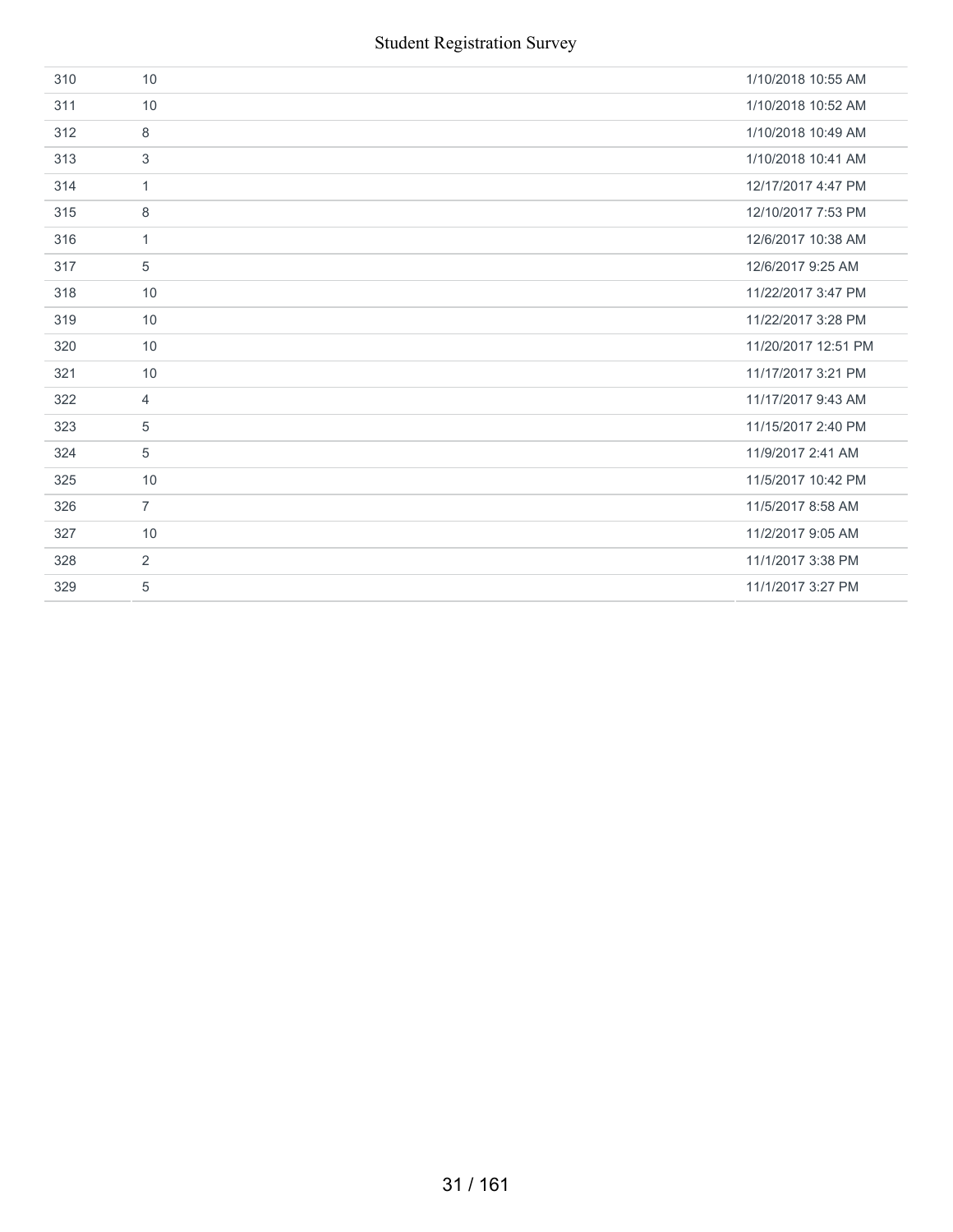| 310 | 10             | 1/10/2018 10:55 AM  |
|-----|----------------|---------------------|
| 311 | 10             | 1/10/2018 10:52 AM  |
| 312 | 8              | 1/10/2018 10:49 AM  |
| 313 | $\mathbf{3}$   | 1/10/2018 10:41 AM  |
| 314 | $\mathbf{1}$   | 12/17/2017 4:47 PM  |
| 315 | 8              | 12/10/2017 7:53 PM  |
| 316 | $\mathbf{1}$   | 12/6/2017 10:38 AM  |
| 317 | 5              | 12/6/2017 9:25 AM   |
| 318 | 10             | 11/22/2017 3:47 PM  |
| 319 | 10             | 11/22/2017 3:28 PM  |
| 320 | 10             | 11/20/2017 12:51 PM |
| 321 | 10             | 11/17/2017 3:21 PM  |
| 322 | $\overline{4}$ | 11/17/2017 9:43 AM  |
| 323 | 5              | 11/15/2017 2:40 PM  |
| 324 | 5              | 11/9/2017 2:41 AM   |
| 325 | 10             | 11/5/2017 10:42 PM  |
| 326 | $\overline{7}$ | 11/5/2017 8:58 AM   |
| 327 | 10             | 11/2/2017 9:05 AM   |
| 328 | $\overline{2}$ | 11/1/2017 3:38 PM   |
| 329 | 5              | 11/1/2017 3:27 PM   |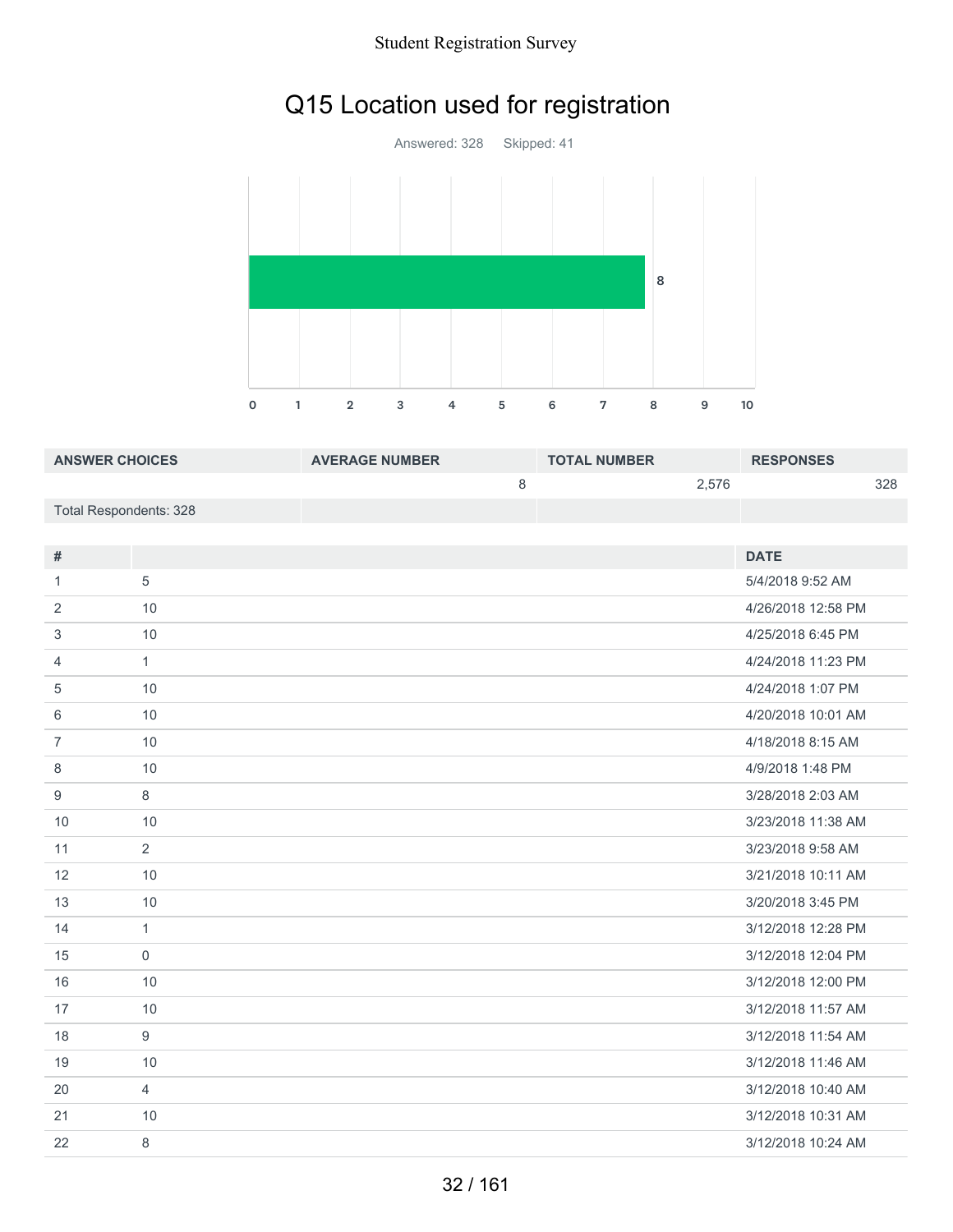# Q15 Location used for registration

Answered: 328 Skipped: 41 1 2 3 4 5 6 7 8 9 10 

| <b>ANSWER CHOICES</b>  | <b>AVERAGE NUMBER</b> | <b>TOTAL NUMBER</b> | <b>RESPONSES</b> |
|------------------------|-----------------------|---------------------|------------------|
|                        |                       | 2.576               | 328              |
| Total Respondents: 328 |                       |                     |                  |

| #              |                | <b>DATE</b>        |
|----------------|----------------|--------------------|
| $\mathbf{1}$   | 5              | 5/4/2018 9:52 AM   |
| 2              | 10             | 4/26/2018 12:58 PM |
| 3              | 10             | 4/25/2018 6:45 PM  |
| 4              | $\mathbf{1}$   | 4/24/2018 11:23 PM |
| 5              | 10             | 4/24/2018 1:07 PM  |
| 6              | 10             | 4/20/2018 10:01 AM |
| $\overline{7}$ | 10             | 4/18/2018 8:15 AM  |
| 8              | 10             | 4/9/2018 1:48 PM   |
| 9              | 8              | 3/28/2018 2:03 AM  |
| 10             | 10             | 3/23/2018 11:38 AM |
| 11             | 2              | 3/23/2018 9:58 AM  |
| 12             | 10             | 3/21/2018 10:11 AM |
| 13             | 10             | 3/20/2018 3:45 PM  |
| 14             | $\mathbf{1}$   | 3/12/2018 12:28 PM |
| 15             | $\mathbf 0$    | 3/12/2018 12:04 PM |
| 16             | 10             | 3/12/2018 12:00 PM |
| 17             | 10             | 3/12/2018 11:57 AM |
| 18             | $9\,$          | 3/12/2018 11:54 AM |
| 19             | 10             | 3/12/2018 11:46 AM |
| 20             | $\overline{4}$ | 3/12/2018 10:40 AM |
| 21             | 10             | 3/12/2018 10:31 AM |
| 22             | $\,8\,$        | 3/12/2018 10:24 AM |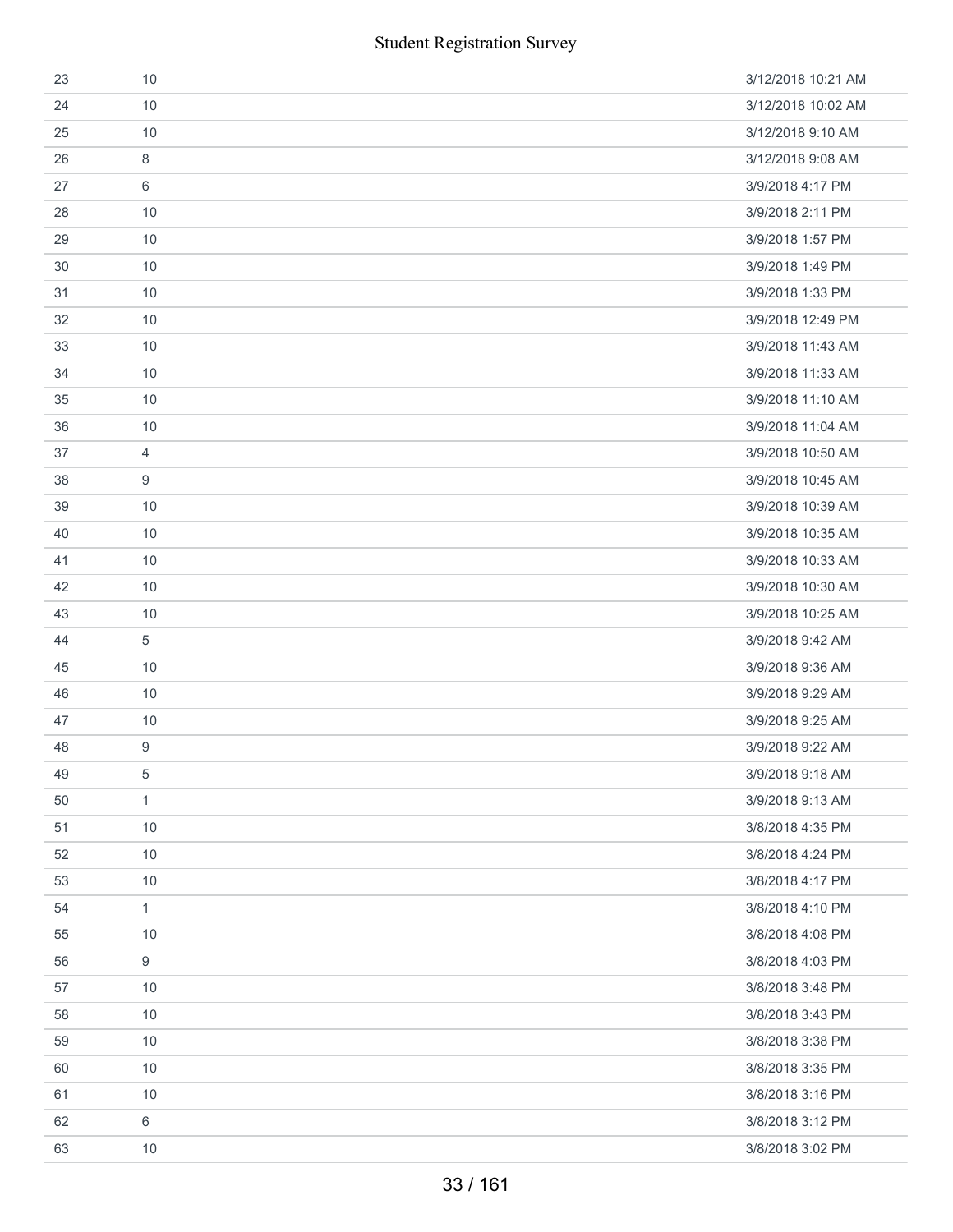| 23 | 10               | 3/12/2018 10:21 AM |
|----|------------------|--------------------|
| 24 | 10               | 3/12/2018 10:02 AM |
| 25 | 10               | 3/12/2018 9:10 AM  |
| 26 | 8                | 3/12/2018 9:08 AM  |
| 27 | 6                | 3/9/2018 4:17 PM   |
| 28 | 10               | 3/9/2018 2:11 PM   |
| 29 | 10               | 3/9/2018 1:57 PM   |
| 30 | 10               | 3/9/2018 1:49 PM   |
| 31 | 10               | 3/9/2018 1:33 PM   |
| 32 | 10               | 3/9/2018 12:49 PM  |
| 33 | 10               | 3/9/2018 11:43 AM  |
| 34 | 10               | 3/9/2018 11:33 AM  |
| 35 | 10               | 3/9/2018 11:10 AM  |
| 36 | 10               | 3/9/2018 11:04 AM  |
| 37 | 4                | 3/9/2018 10:50 AM  |
| 38 | 9                | 3/9/2018 10:45 AM  |
| 39 | 10               | 3/9/2018 10:39 AM  |
| 40 | 10               | 3/9/2018 10:35 AM  |
| 41 | 10               | 3/9/2018 10:33 AM  |
| 42 | 10               | 3/9/2018 10:30 AM  |
| 43 | 10               | 3/9/2018 10:25 AM  |
| 44 | 5                | 3/9/2018 9:42 AM   |
| 45 | 10               | 3/9/2018 9:36 AM   |
| 46 | 10               | 3/9/2018 9:29 AM   |
| 47 | 10               | 3/9/2018 9:25 AM   |
| 48 | 9                | 3/9/2018 9:22 AM   |
| 49 | 5                | 3/9/2018 9:18 AM   |
| 50 | $\mathbf{1}$     | 3/9/2018 9:13 AM   |
| 51 | 10               | 3/8/2018 4:35 PM   |
| 52 | 10               | 3/8/2018 4:24 PM   |
| 53 | 10               | 3/8/2018 4:17 PM   |
| 54 | $\mathbf{1}$     | 3/8/2018 4:10 PM   |
| 55 | 10               | 3/8/2018 4:08 PM   |
| 56 | $\boldsymbol{9}$ | 3/8/2018 4:03 PM   |
| 57 | 10               | 3/8/2018 3:48 PM   |
| 58 | 10               | 3/8/2018 3:43 PM   |
| 59 | 10               | 3/8/2018 3:38 PM   |
| 60 | 10               | 3/8/2018 3:35 PM   |
| 61 | 10               | 3/8/2018 3:16 PM   |
| 62 | $6\,$            | 3/8/2018 3:12 PM   |
| 63 | 10               | 3/8/2018 3:02 PM   |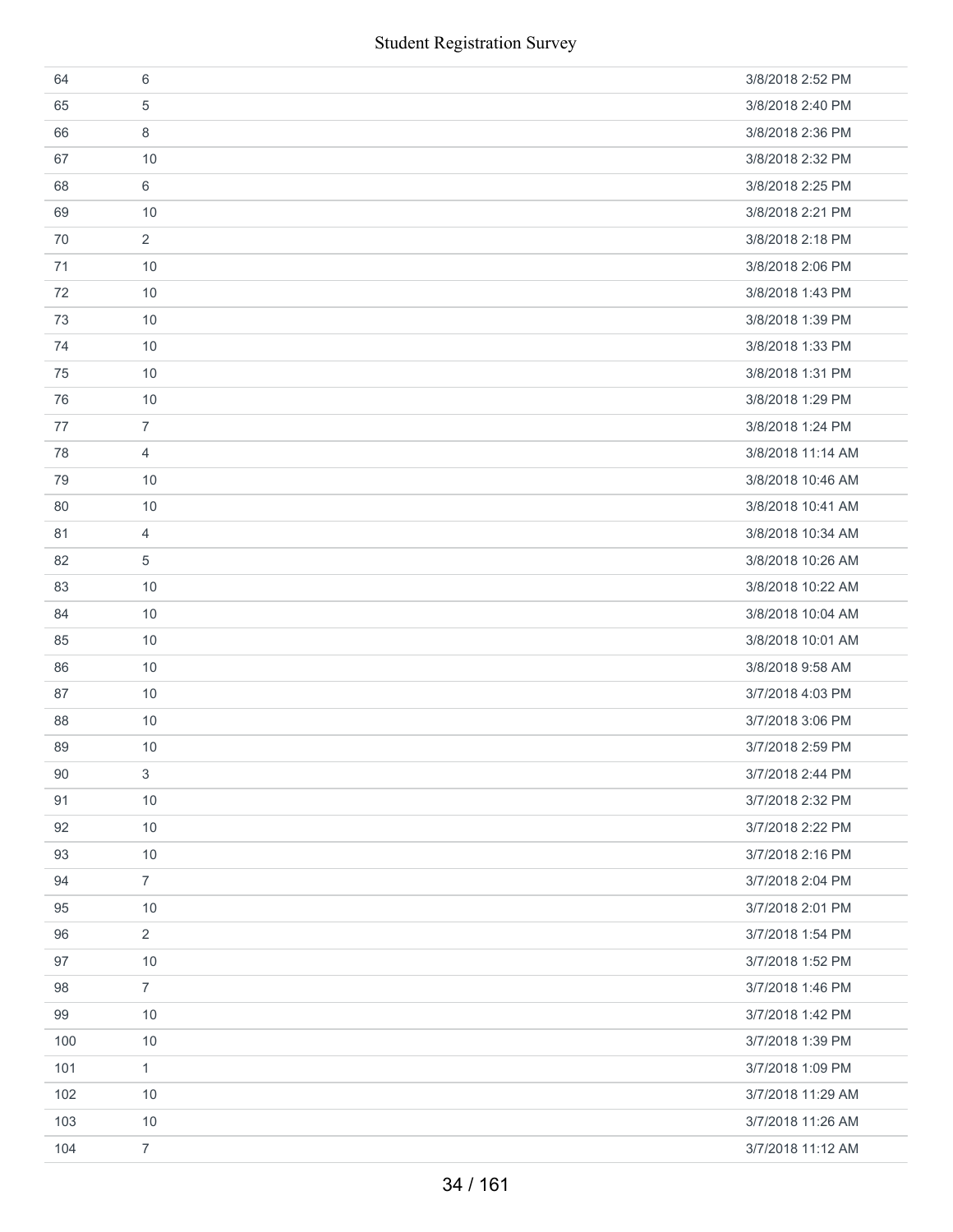|     | <b>Student Registration Survey</b> |                   |
|-----|------------------------------------|-------------------|
| 64  | 6                                  | 3/8/2018 2:52 PM  |
| 65  | 5                                  | 3/8/2018 2:40 PM  |
| 66  | 8                                  | 3/8/2018 2:36 PM  |
| 67  | 10                                 | 3/8/2018 2:32 PM  |
| 68  | 6                                  | 3/8/2018 2:25 PM  |
| 69  | 10                                 | 3/8/2018 2:21 PM  |
| 70  | $\overline{2}$                     | 3/8/2018 2:18 PM  |
| 71  | 10                                 | 3/8/2018 2:06 PM  |
| 72  | 10                                 | 3/8/2018 1:43 PM  |
| 73  | 10                                 | 3/8/2018 1:39 PM  |
| 74  | 10                                 | 3/8/2018 1:33 PM  |
| 75  | 10                                 | 3/8/2018 1:31 PM  |
| 76  | 10                                 | 3/8/2018 1:29 PM  |
| 77  | $\overline{7}$                     | 3/8/2018 1:24 PM  |
| 78  | $\overline{4}$                     | 3/8/2018 11:14 AM |
| 79  | 10                                 | 3/8/2018 10:46 AM |
| 80  | 10                                 | 3/8/2018 10:41 AM |
| 81  | 4                                  | 3/8/2018 10:34 AM |
| 82  | 5                                  | 3/8/2018 10:26 AM |
| 83  | 10                                 | 3/8/2018 10:22 AM |
| 84  | 10                                 | 3/8/2018 10:04 AM |
| 85  | 10                                 | 3/8/2018 10:01 AM |
| 86  | 10                                 | 3/8/2018 9:58 AM  |
| 87  | 10                                 | 3/7/2018 4:03 PM  |
| 88  | $10$                               | 3/7/2018 3:06 PM  |
| 89  | 10                                 | 3/7/2018 2:59 PM  |
| 90  | 3                                  | 3/7/2018 2:44 PM  |
| 91  | 10                                 | 3/7/2018 2:32 PM  |
| 92  | 10                                 | 3/7/2018 2:22 PM  |
| 93  | 10                                 | 3/7/2018 2:16 PM  |
| 94  | $\overline{7}$                     | 3/7/2018 2:04 PM  |
| 95  | 10                                 | 3/7/2018 2:01 PM  |
| 96  | $\overline{2}$                     | 3/7/2018 1:54 PM  |
| 97  | 10                                 | 3/7/2018 1:52 PM  |
| 98  | $\overline{7}$                     | 3/7/2018 1:46 PM  |
| 99  | 10                                 | 3/7/2018 1:42 PM  |
| 100 | 10                                 | 3/7/2018 1:39 PM  |
| 101 | $\mathbf{1}$                       | 3/7/2018 1:09 PM  |
| 102 | 10                                 | 3/7/2018 11:29 AM |
| 103 | 10                                 | 3/7/2018 11:26 AM |
| 104 | $\overline{7}$                     | 3/7/2018 11:12 AM |
|     | 34 / 161                           |                   |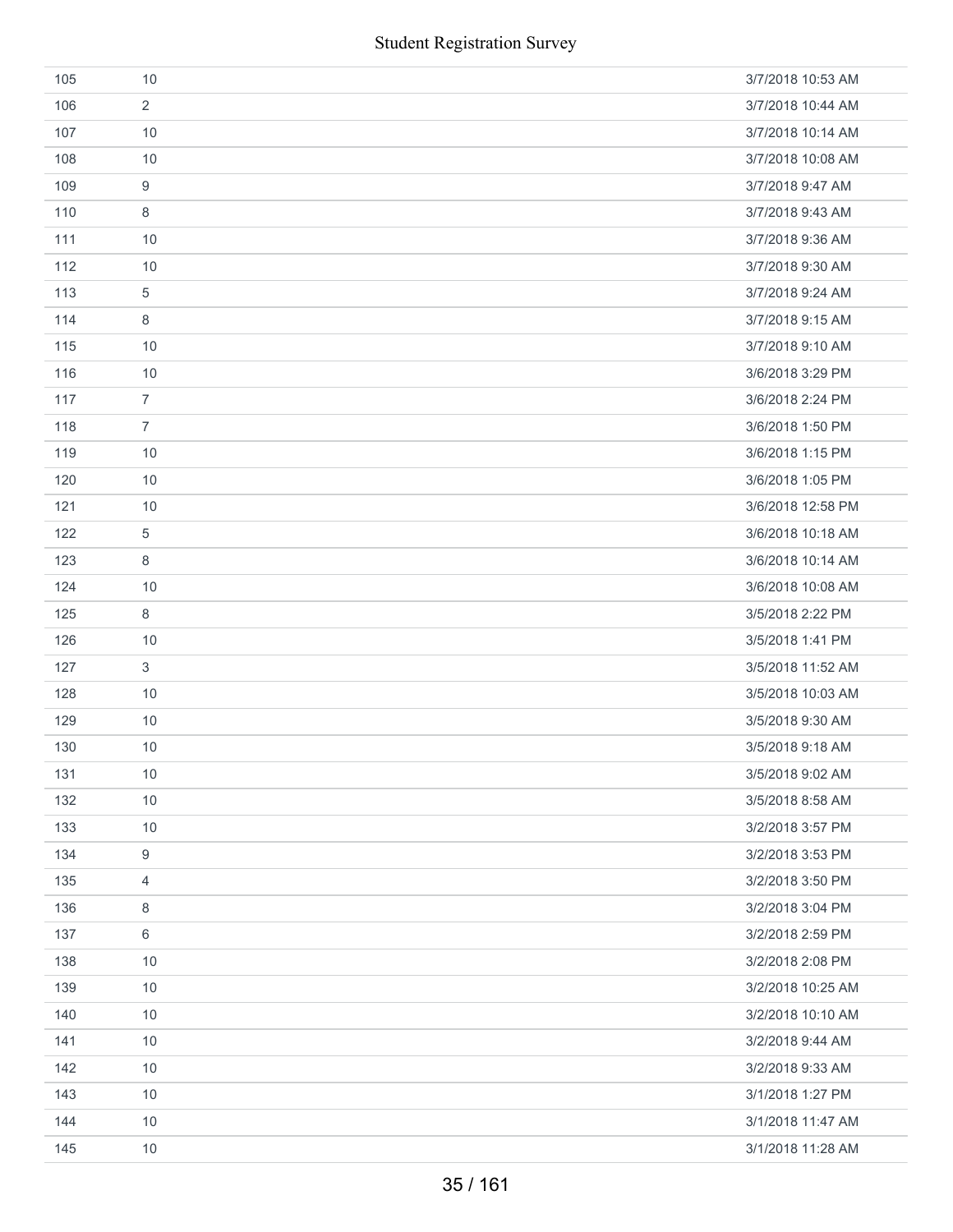|     | <b>Student Registration Survey</b> |                   |
|-----|------------------------------------|-------------------|
| 105 | 10                                 | 3/7/2018 10:53 AM |
| 106 | 2                                  | 3/7/2018 10:44 AM |
| 107 | 10                                 | 3/7/2018 10:14 AM |
| 108 | 10                                 | 3/7/2018 10:08 AM |
| 109 | $\boldsymbol{9}$                   | 3/7/2018 9:47 AM  |
| 110 | 8                                  | 3/7/2018 9:43 AM  |
| 111 | 10                                 | 3/7/2018 9:36 AM  |
| 112 | 10                                 | 3/7/2018 9:30 AM  |
| 113 | 5                                  | 3/7/2018 9:24 AM  |
| 114 | 8                                  | 3/7/2018 9:15 AM  |
| 115 | 10                                 | 3/7/2018 9:10 AM  |
| 116 | 10                                 | 3/6/2018 3:29 PM  |
| 117 | $\overline{7}$                     | 3/6/2018 2:24 PM  |
| 118 | $\overline{7}$                     | 3/6/2018 1:50 PM  |
| 119 | 10                                 | 3/6/2018 1:15 PM  |
| 120 | 10                                 | 3/6/2018 1:05 PM  |
| 121 | 10                                 | 3/6/2018 12:58 PM |
| 122 | 5                                  | 3/6/2018 10:18 AM |
| 123 | 8                                  | 3/6/2018 10:14 AM |
| 124 | 10                                 | 3/6/2018 10:08 AM |
| 125 | 8                                  | 3/5/2018 2:22 PM  |
| 126 | 10                                 | 3/5/2018 1:41 PM  |
| 127 | 3                                  | 3/5/2018 11:52 AM |
| 128 | 10                                 | 3/5/2018 10:03 AM |
| 129 | $10$                               | 3/5/2018 9:30 AM  |
| 130 | 10                                 | 3/5/2018 9:18 AM  |
| 131 | 10                                 | 3/5/2018 9:02 AM  |
| 132 | 10                                 | 3/5/2018 8:58 AM  |
| 133 | 10                                 | 3/2/2018 3:57 PM  |
| 134 | 9                                  | 3/2/2018 3:53 PM  |
| 135 | 4                                  | 3/2/2018 3:50 PM  |
| 136 | 8                                  | 3/2/2018 3:04 PM  |
| 137 | 6                                  | 3/2/2018 2:59 PM  |
| 138 | 10                                 | 3/2/2018 2:08 PM  |
| 139 | 10                                 | 3/2/2018 10:25 AM |
| 140 | 10                                 | 3/2/2018 10:10 AM |
| 141 | 10                                 | 3/2/2018 9:44 AM  |
| 142 | 10                                 | 3/2/2018 9:33 AM  |
| 143 | 10                                 | 3/1/2018 1:27 PM  |
| 144 | 10                                 | 3/1/2018 11:47 AM |
| 145 | 10                                 | 3/1/2018 11:28 AM |
|     | 35/161                             |                   |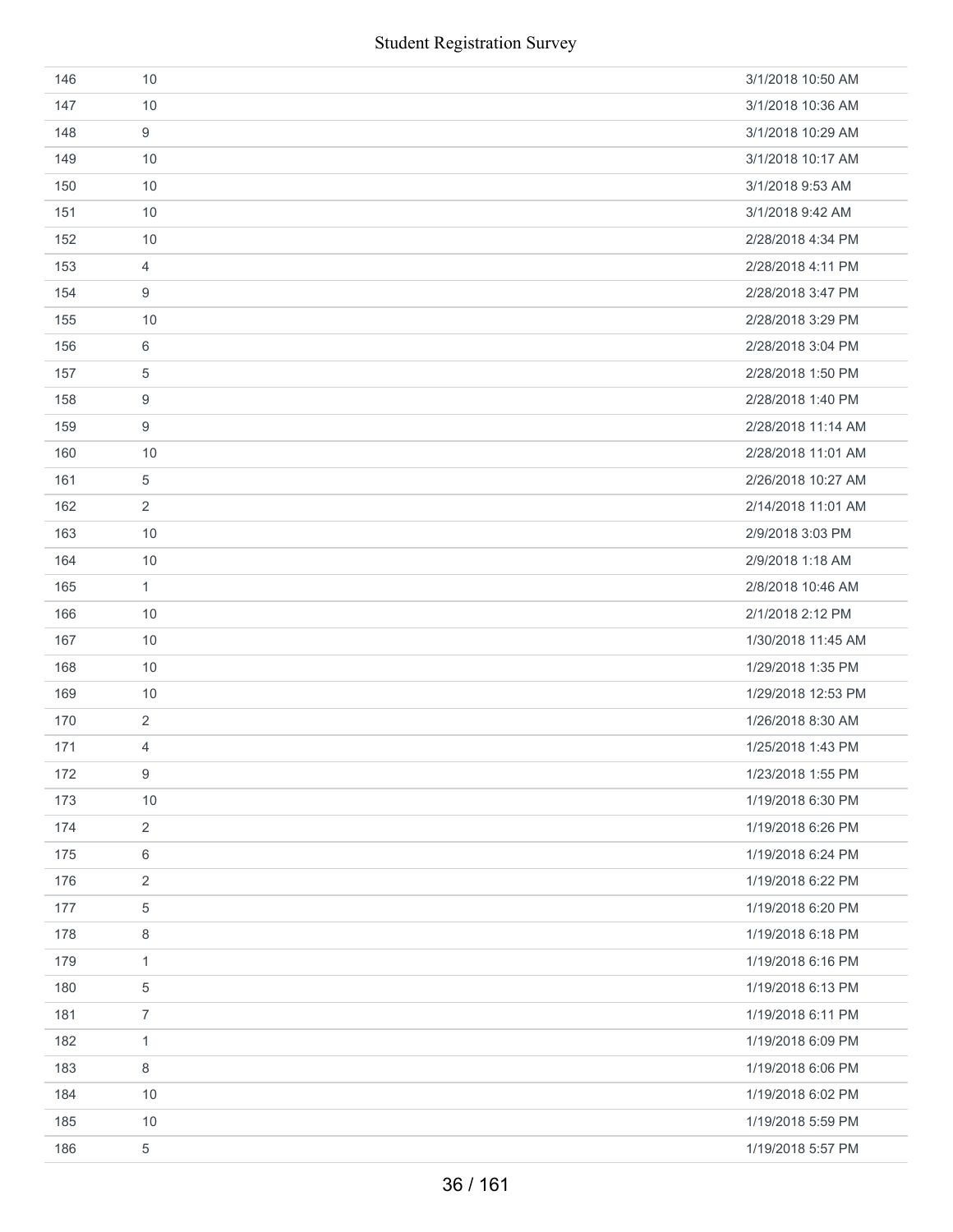| 146 | 10             | 3/1/2018 10:50 AM  |
|-----|----------------|--------------------|
| 147 | 10             | 3/1/2018 10:36 AM  |
| 148 | 9              | 3/1/2018 10:29 AM  |
| 149 | 10             | 3/1/2018 10:17 AM  |
| 150 | 10             | 3/1/2018 9:53 AM   |
| 151 | 10             | 3/1/2018 9:42 AM   |
| 152 | 10             | 2/28/2018 4:34 PM  |
| 153 | $\overline{4}$ | 2/28/2018 4:11 PM  |
| 154 | 9              | 2/28/2018 3:47 PM  |
| 155 | 10             | 2/28/2018 3:29 PM  |
| 156 | 6              | 2/28/2018 3:04 PM  |
| 157 | 5              | 2/28/2018 1:50 PM  |
| 158 | 9              | 2/28/2018 1:40 PM  |
| 159 | 9              | 2/28/2018 11:14 AM |
| 160 | 10             | 2/28/2018 11:01 AM |
| 161 | $\,$ 5 $\,$    | 2/26/2018 10:27 AM |
| 162 | $\overline{2}$ | 2/14/2018 11:01 AM |
| 163 | 10             | 2/9/2018 3:03 PM   |
| 164 | 10             | 2/9/2018 1:18 AM   |
| 165 | $\mathbf{1}$   | 2/8/2018 10:46 AM  |
| 166 | 10             | 2/1/2018 2:12 PM   |
| 167 | 10             | 1/30/2018 11:45 AM |
| 168 | 10             | 1/29/2018 1:35 PM  |
| 169 | 10             | 1/29/2018 12:53 PM |
| 170 | $\overline{2}$ | 1/26/2018 8:30 AM  |
| 171 | 4              | 1/25/2018 1:43 PM  |
| 172 | 9              | 1/23/2018 1:55 PM  |
| 173 | 10             | 1/19/2018 6:30 PM  |
| 174 | 2              | 1/19/2018 6:26 PM  |
| 175 | 6              | 1/19/2018 6:24 PM  |
| 176 | $\sqrt{2}$     | 1/19/2018 6:22 PM  |
| 177 | $\,$ 5 $\,$    | 1/19/2018 6:20 PM  |
| 178 | 8              | 1/19/2018 6:18 PM  |
| 179 | $\mathbf{1}$   | 1/19/2018 6:16 PM  |
| 180 | 5              | 1/19/2018 6:13 PM  |
| 181 | $\overline{7}$ | 1/19/2018 6:11 PM  |
| 182 | 1              | 1/19/2018 6:09 PM  |
| 183 | 8              | 1/19/2018 6:06 PM  |
| 184 | 10             | 1/19/2018 6:02 PM  |
| 185 | 10             | 1/19/2018 5:59 PM  |
| 186 | $\,$ 5 $\,$    | 1/19/2018 5:57 PM  |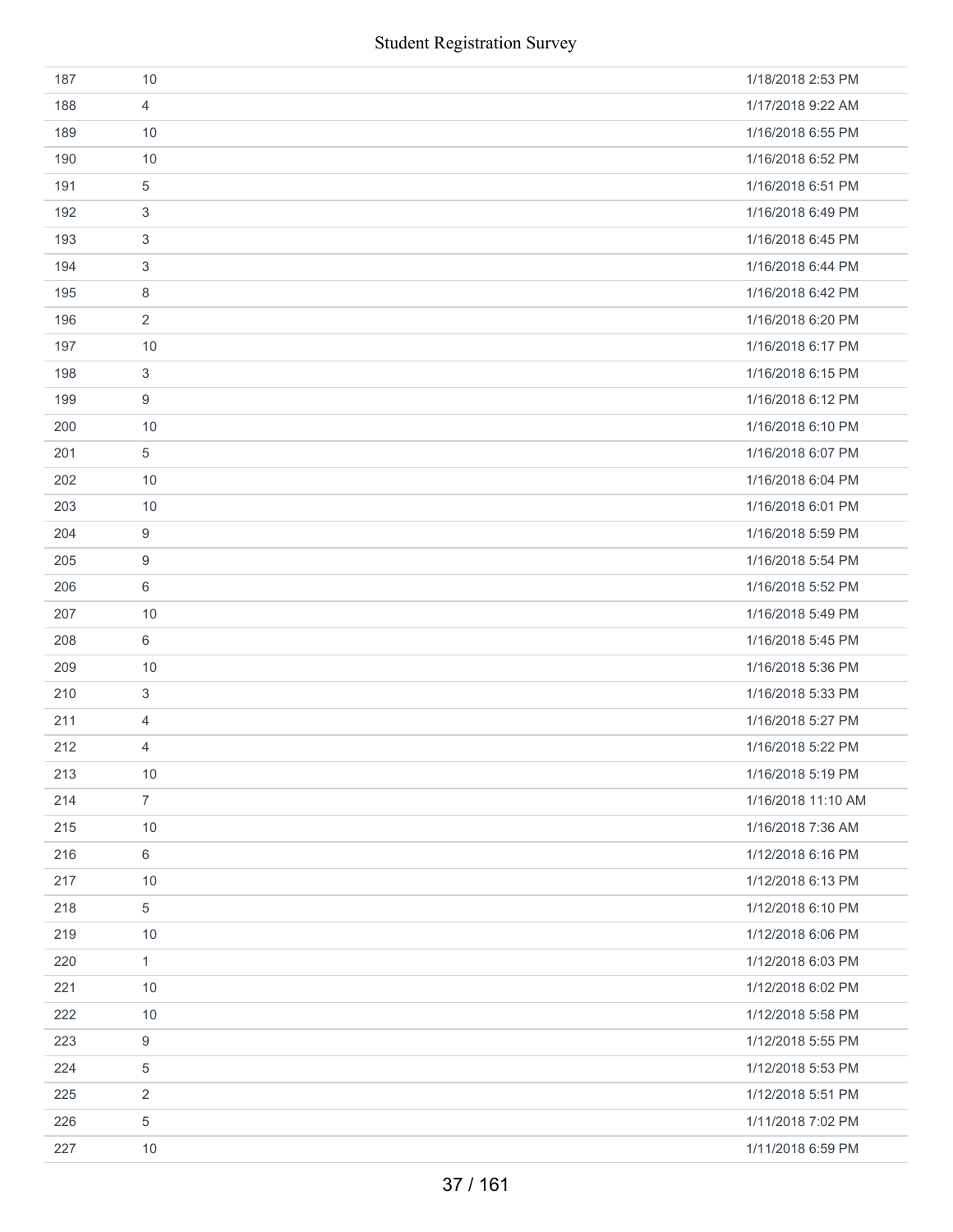|     | <b>Student Registration Survey</b> |                    |
|-----|------------------------------------|--------------------|
| 187 | 10                                 | 1/18/2018 2:53 PM  |
| 188 | $\overline{4}$                     | 1/17/2018 9:22 AM  |
| 189 | 10                                 | 1/16/2018 6:55 PM  |
| 190 | 10                                 | 1/16/2018 6:52 PM  |
| 191 | 5                                  | 1/16/2018 6:51 PM  |
| 192 | 3                                  | 1/16/2018 6:49 PM  |
| 193 | 3                                  | 1/16/2018 6:45 PM  |
| 194 | 3                                  | 1/16/2018 6:44 PM  |
| 195 | 8                                  | 1/16/2018 6:42 PM  |
| 196 | $\overline{2}$                     | 1/16/2018 6:20 PM  |
| 197 | 10                                 | 1/16/2018 6:17 PM  |
| 198 | 3                                  | 1/16/2018 6:15 PM  |
| 199 | 9                                  | 1/16/2018 6:12 PM  |
| 200 | 10                                 | 1/16/2018 6:10 PM  |
| 201 | 5                                  | 1/16/2018 6:07 PM  |
| 202 | 10                                 | 1/16/2018 6:04 PM  |
| 203 | 10                                 | 1/16/2018 6:01 PM  |
| 204 | 9                                  | 1/16/2018 5:59 PM  |
| 205 | 9                                  | 1/16/2018 5:54 PM  |
| 206 | 6                                  | 1/16/2018 5:52 PM  |
| 207 | 10                                 | 1/16/2018 5:49 PM  |
| 208 | 6                                  | 1/16/2018 5:45 PM  |
| 209 | 10                                 | 1/16/2018 5:36 PM  |
| 210 | 3                                  | 1/16/2018 5:33 PM  |
| 211 | 4                                  | 1/16/2018 5:27 PM  |
| 212 | 4                                  | 1/16/2018 5:22 PM  |
| 213 | $10$                               | 1/16/2018 5:19 PM  |
| 214 | $\overline{7}$                     | 1/16/2018 11:10 AM |
| 215 | 10                                 | 1/16/2018 7:36 AM  |
| 216 | 6                                  | 1/12/2018 6:16 PM  |
| 217 | 10                                 | 1/12/2018 6:13 PM  |
| 218 | $\,$ 5 $\,$                        | 1/12/2018 6:10 PM  |
| 219 | 10                                 | 1/12/2018 6:06 PM  |
| 220 | $\mathbf{1}$                       | 1/12/2018 6:03 PM  |
| 221 | $10$                               | 1/12/2018 6:02 PM  |
| 222 | 10                                 | 1/12/2018 5:58 PM  |
| 223 | 9                                  | 1/12/2018 5:55 PM  |
| 224 | 5                                  | 1/12/2018 5:53 PM  |
| 225 | 2                                  | 1/12/2018 5:51 PM  |
| 226 | 5                                  | 1/11/2018 7:02 PM  |
| 227 | $10$                               | 1/11/2018 6:59 PM  |
|     | 37/161                             |                    |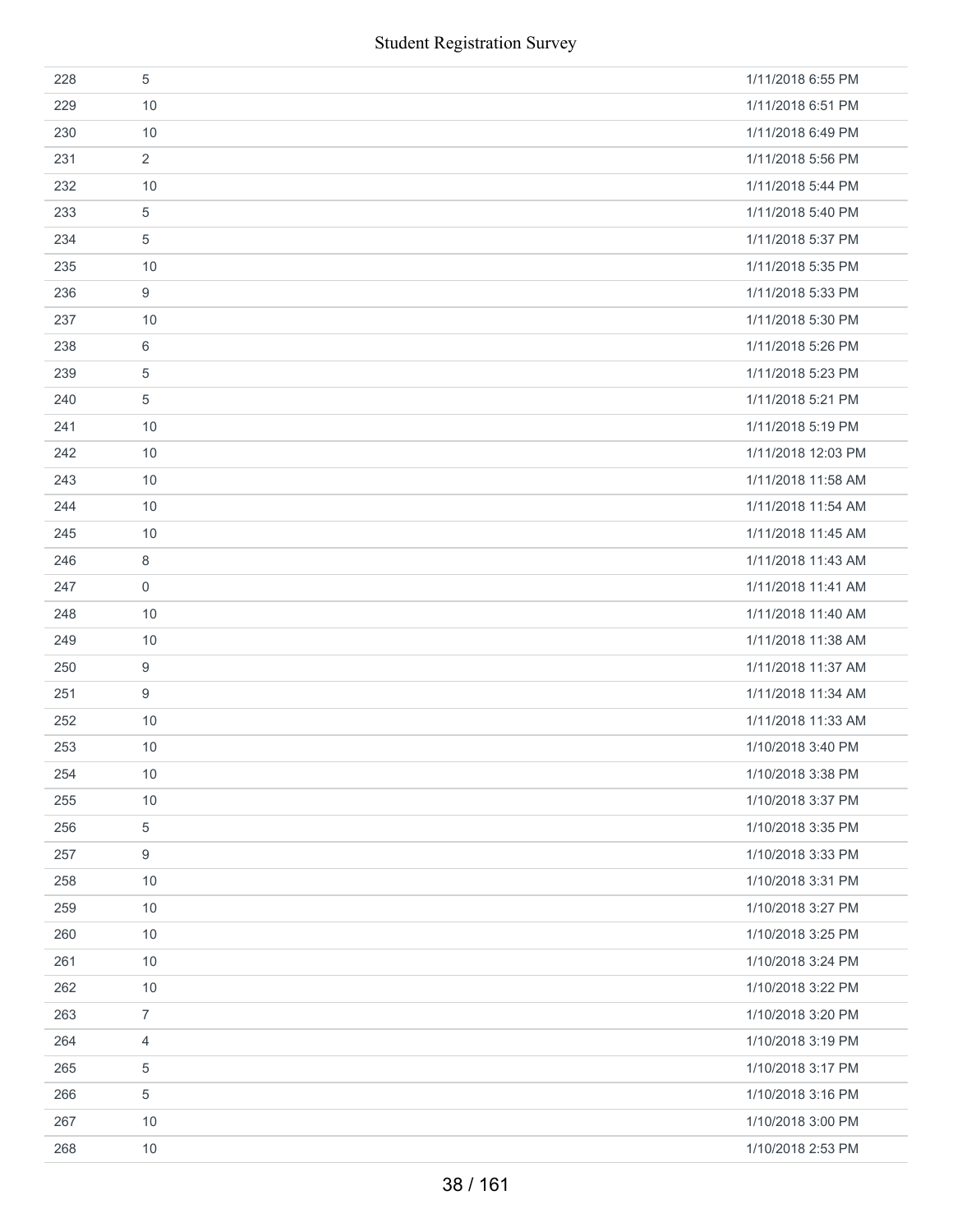|     | <b>Student Registration Survey</b> |                    |
|-----|------------------------------------|--------------------|
| 228 | $\sqrt{5}$                         | 1/11/2018 6:55 PM  |
| 229 | 10                                 | 1/11/2018 6:51 PM  |
| 230 | 10                                 | 1/11/2018 6:49 PM  |
| 231 | 2                                  | 1/11/2018 5:56 PM  |
| 232 | 10                                 | 1/11/2018 5:44 PM  |
| 233 | $\sqrt{5}$                         | 1/11/2018 5:40 PM  |
| 234 | 5                                  | 1/11/2018 5:37 PM  |
| 235 | 10                                 | 1/11/2018 5:35 PM  |
| 236 | 9                                  | 1/11/2018 5:33 PM  |
| 237 | 10                                 | 1/11/2018 5:30 PM  |
| 238 | 6                                  | 1/11/2018 5:26 PM  |
| 239 | $\overline{5}$                     | 1/11/2018 5:23 PM  |
| 240 | 5                                  | 1/11/2018 5:21 PM  |
| 241 | 10                                 | 1/11/2018 5:19 PM  |
| 242 | 10                                 | 1/11/2018 12:03 PM |
| 243 | 10                                 | 1/11/2018 11:58 AM |
| 244 | 10                                 | 1/11/2018 11:54 AM |
| 245 | 10                                 | 1/11/2018 11:45 AM |
| 246 | 8                                  | 1/11/2018 11:43 AM |
| 247 | $\boldsymbol{0}$                   | 1/11/2018 11:41 AM |
| 248 | 10                                 | 1/11/2018 11:40 AM |
| 249 | 10                                 | 1/11/2018 11:38 AM |
| 250 | 9                                  | 1/11/2018 11:37 AM |
| 251 | 9                                  | 1/11/2018 11:34 AM |
| 252 | 10                                 | 1/11/2018 11:33 AM |
| 253 | 10                                 | 1/10/2018 3:40 PM  |
| 254 | 10                                 | 1/10/2018 3:38 PM  |
| 255 | 10                                 | 1/10/2018 3:37 PM  |
| 256 | $\,$ 5 $\,$                        | 1/10/2018 3:35 PM  |
| 257 | 9                                  | 1/10/2018 3:33 PM  |
| 258 | 10                                 | 1/10/2018 3:31 PM  |
| 259 | $10$                               | 1/10/2018 3:27 PM  |
| 260 | 10                                 | 1/10/2018 3:25 PM  |
| 261 | 10                                 | 1/10/2018 3:24 PM  |
| 262 | $10$                               | 1/10/2018 3:22 PM  |
| 263 | $\overline{7}$                     | 1/10/2018 3:20 PM  |
| 264 | 4                                  | 1/10/2018 3:19 PM  |
| 265 | 5                                  | 1/10/2018 3:17 PM  |
| 266 | $\,$ 5 $\,$                        | 1/10/2018 3:16 PM  |
| 267 | 10                                 | 1/10/2018 3:00 PM  |
| 268 | 10                                 | 1/10/2018 2:53 PM  |
|     | 38 / 161                           |                    |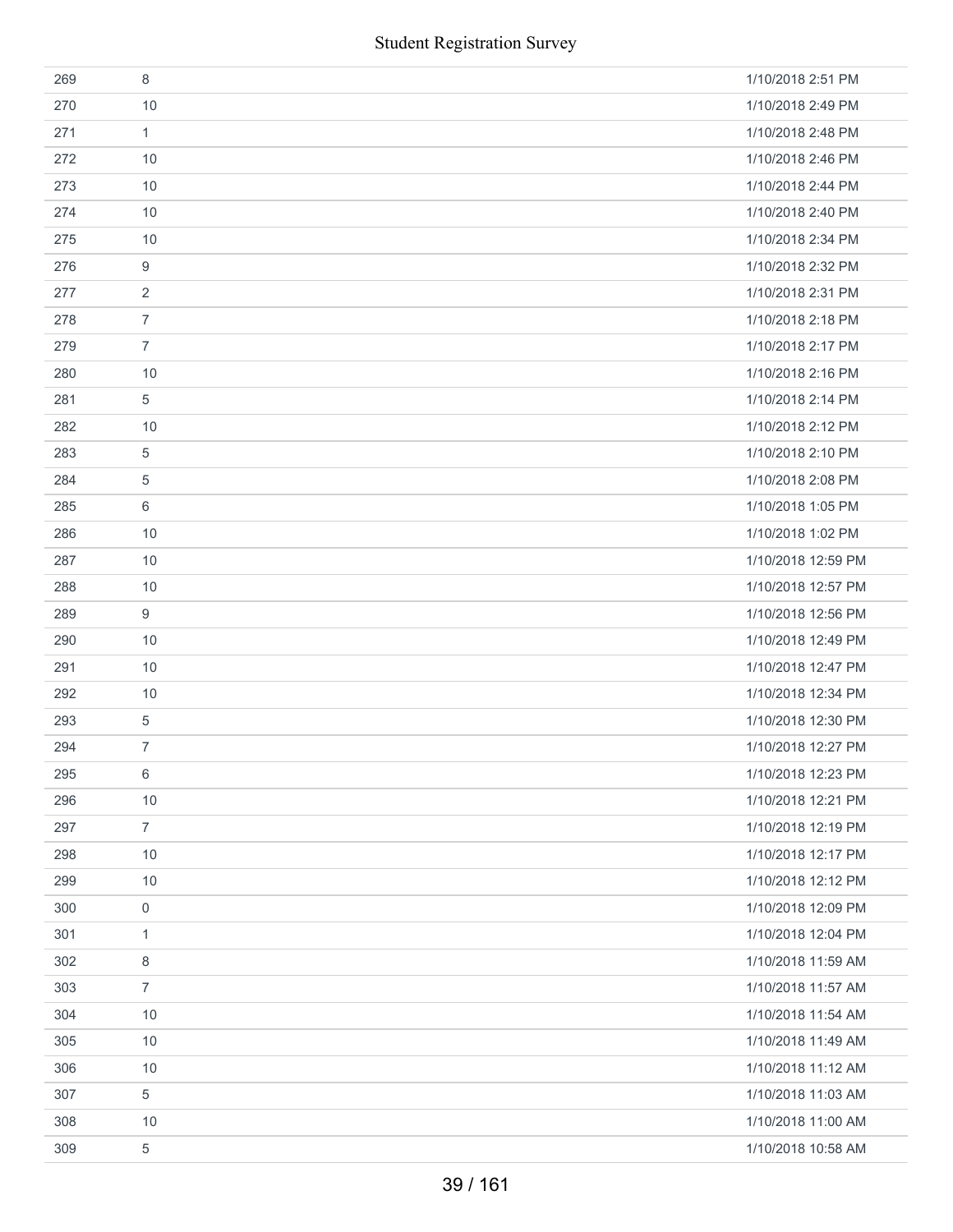|     | <b>Student Registration Survey</b> |                    |
|-----|------------------------------------|--------------------|
| 269 | 8                                  | 1/10/2018 2:51 PM  |
| 270 | 10                                 | 1/10/2018 2:49 PM  |
| 271 | $\mathbf{1}$                       | 1/10/2018 2:48 PM  |
| 272 | 10                                 | 1/10/2018 2:46 PM  |
| 273 | 10                                 | 1/10/2018 2:44 PM  |
| 274 | 10                                 | 1/10/2018 2:40 PM  |
| 275 | 10                                 | 1/10/2018 2:34 PM  |
| 276 | 9                                  | 1/10/2018 2:32 PM  |
| 277 | 2                                  | 1/10/2018 2:31 PM  |
| 278 | $\overline{7}$                     | 1/10/2018 2:18 PM  |
| 279 | $\overline{7}$                     | 1/10/2018 2:17 PM  |
| 280 | 10                                 | 1/10/2018 2:16 PM  |
| 281 | 5                                  | 1/10/2018 2:14 PM  |
| 282 | 10                                 | 1/10/2018 2:12 PM  |
| 283 | 5                                  | 1/10/2018 2:10 PM  |
| 284 | 5                                  | 1/10/2018 2:08 PM  |
| 285 | 6                                  | 1/10/2018 1:05 PM  |
| 286 | 10                                 | 1/10/2018 1:02 PM  |
| 287 | 10                                 | 1/10/2018 12:59 PM |
| 288 | 10                                 | 1/10/2018 12:57 PM |
| 289 | $\boldsymbol{9}$                   | 1/10/2018 12:56 PM |
| 290 | 10                                 | 1/10/2018 12:49 PM |
| 291 | 10                                 | 1/10/2018 12:47 PM |
| 292 | 10                                 | 1/10/2018 12:34 PM |
| 293 | 5                                  | 1/10/2018 12:30 PM |
| 294 | 7                                  | 1/10/2018 12:27 PM |
| 295 | 6                                  | 1/10/2018 12:23 PM |
| 296 | $10$                               | 1/10/2018 12:21 PM |
| 297 | $\overline{7}$                     | 1/10/2018 12:19 PM |
| 298 | 10                                 | 1/10/2018 12:17 PM |
| 299 | 10                                 | 1/10/2018 12:12 PM |
| 300 | $\mathsf{0}$                       | 1/10/2018 12:09 PM |
| 301 | 1                                  | 1/10/2018 12:04 PM |
| 302 | 8                                  | 1/10/2018 11:59 AM |
| 303 | $\overline{7}$                     | 1/10/2018 11:57 AM |
| 304 | 10                                 | 1/10/2018 11:54 AM |
| 305 | 10                                 | 1/10/2018 11:49 AM |
| 306 | 10                                 | 1/10/2018 11:12 AM |
| 307 | 5                                  | 1/10/2018 11:03 AM |
| 308 | 10                                 | 1/10/2018 11:00 AM |
| 309 | 5                                  | 1/10/2018 10:58 AM |
|     | 39 / 161                           |                    |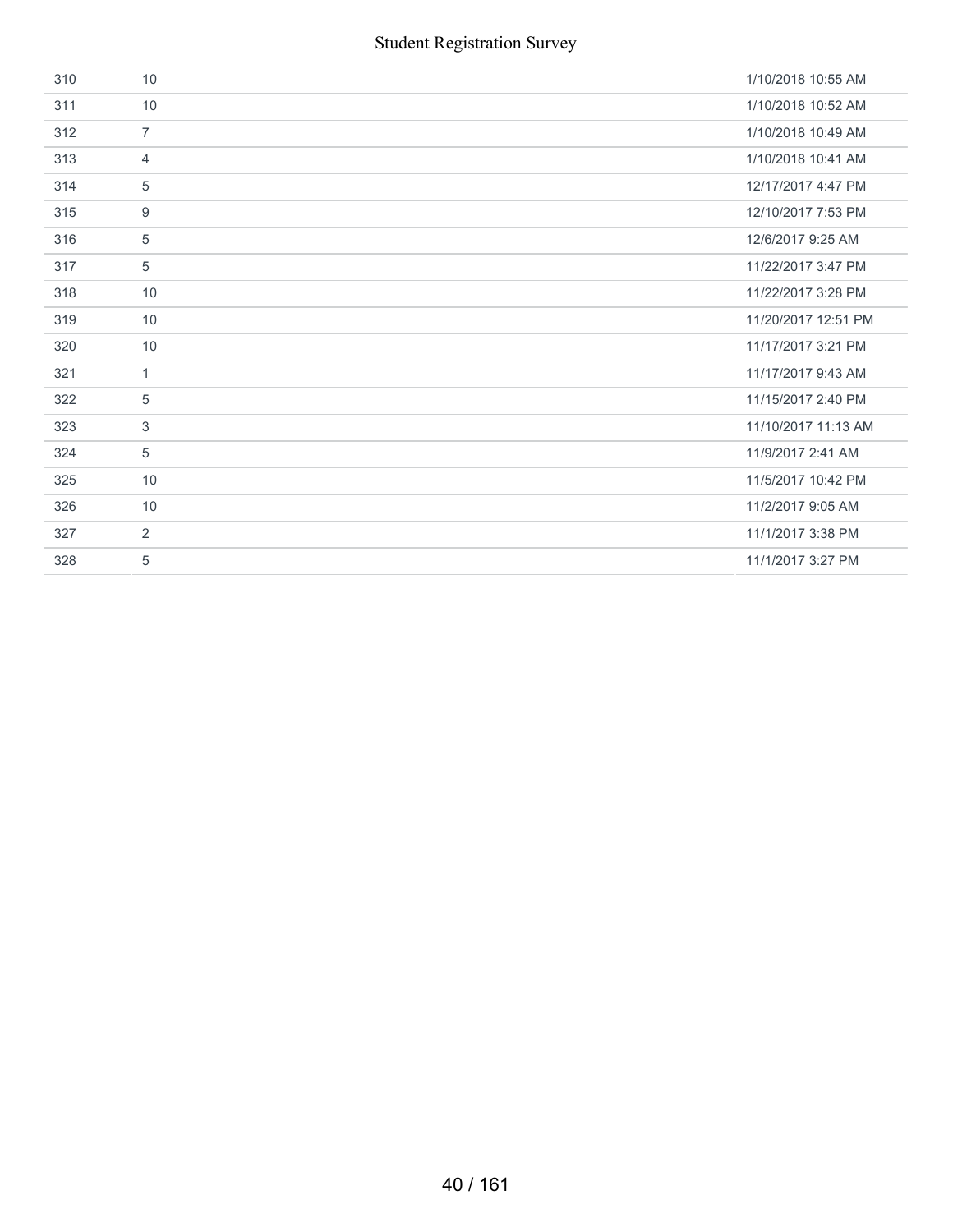| 310 | 10             | 1/10/2018 10:55 AM  |
|-----|----------------|---------------------|
| 311 | 10             | 1/10/2018 10:52 AM  |
| 312 | $\overline{7}$ | 1/10/2018 10:49 AM  |
| 313 | $\overline{4}$ | 1/10/2018 10:41 AM  |
| 314 | 5              | 12/17/2017 4:47 PM  |
| 315 | 9              | 12/10/2017 7:53 PM  |
| 316 | 5              | 12/6/2017 9:25 AM   |
| 317 | 5              | 11/22/2017 3:47 PM  |
| 318 | 10             | 11/22/2017 3:28 PM  |
| 319 | 10             | 11/20/2017 12:51 PM |
| 320 | 10             | 11/17/2017 3:21 PM  |
| 321 | $\mathbf{1}$   | 11/17/2017 9:43 AM  |
| 322 | $\sqrt{5}$     | 11/15/2017 2:40 PM  |
| 323 | 3              | 11/10/2017 11:13 AM |
| 324 | 5              | 11/9/2017 2:41 AM   |
| 325 | 10             | 11/5/2017 10:42 PM  |
| 326 | 10             | 11/2/2017 9:05 AM   |
| 327 | 2              | 11/1/2017 3:38 PM   |
| 328 | 5              | 11/1/2017 3:27 PM   |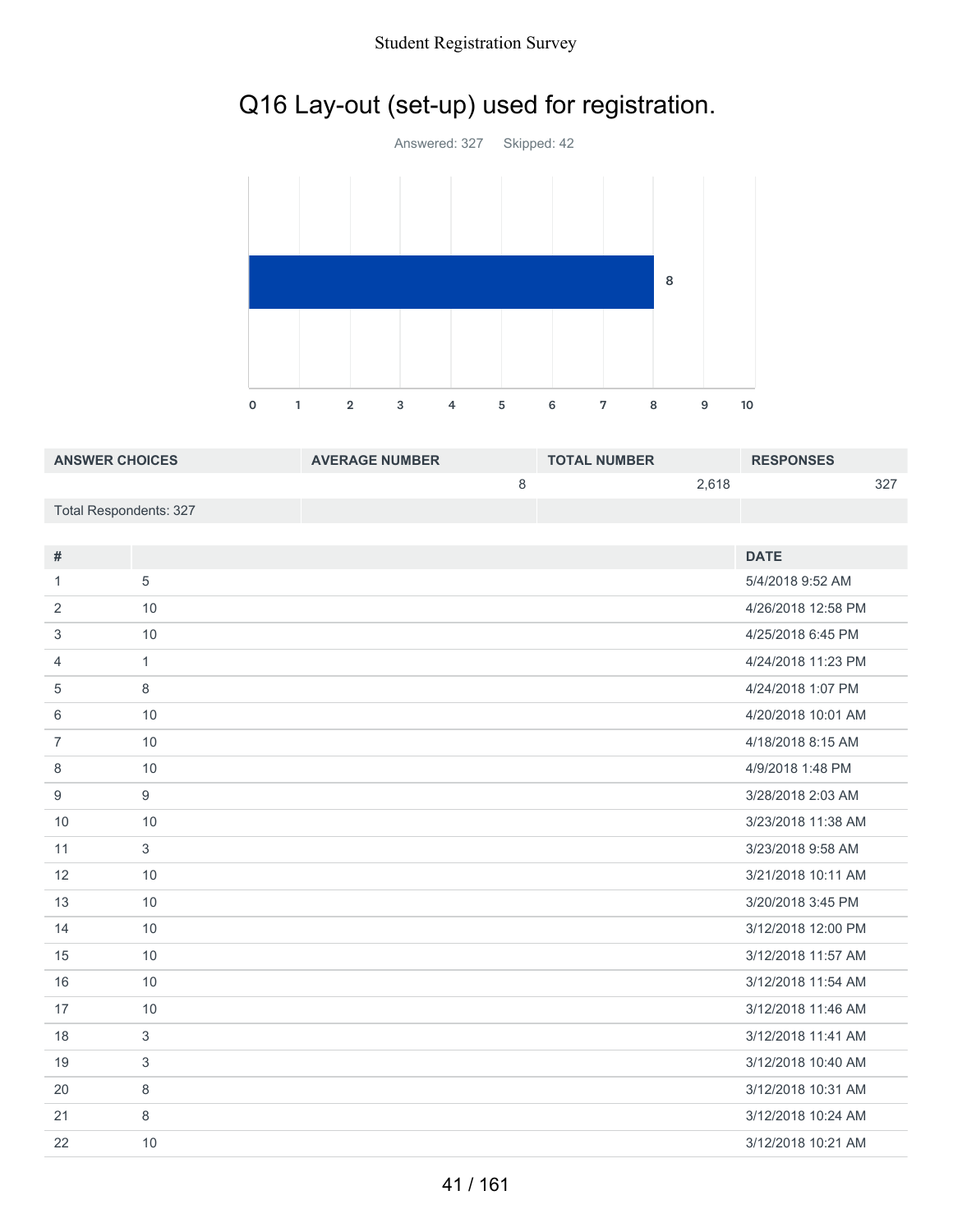### Student Registration Survey

# Q16 Lay-out (set-up) used for registration.



| <b>ANSWER CHOICES</b>  | <b>AVERAGE NUMBER</b> | <b>TOTAL NUMBER</b> | <b>RESPONSES</b> |
|------------------------|-----------------------|---------------------|------------------|
|                        |                       | 2.618               | 377              |
| Total Respondents: 327 |                       |                     |                  |

| #              |              | <b>DATE</b>        |
|----------------|--------------|--------------------|
| 1              | 5            | 5/4/2018 9:52 AM   |
| 2              | 10           | 4/26/2018 12:58 PM |
| 3              | 10           | 4/25/2018 6:45 PM  |
| $\overline{4}$ | $\mathbf{1}$ | 4/24/2018 11:23 PM |
| 5              | 8            | 4/24/2018 1:07 PM  |
| 6              | 10           | 4/20/2018 10:01 AM |
| $\overline{7}$ | 10           | 4/18/2018 8:15 AM  |
| 8              | 10           | 4/9/2018 1:48 PM   |
| 9              | 9            | 3/28/2018 2:03 AM  |
| 10             | 10           | 3/23/2018 11:38 AM |
| 11             | 3            | 3/23/2018 9:58 AM  |
| 12             | 10           | 3/21/2018 10:11 AM |
| 13             | 10           | 3/20/2018 3:45 PM  |
| 14             | 10           | 3/12/2018 12:00 PM |
| 15             | 10           | 3/12/2018 11:57 AM |
| 16             | 10           | 3/12/2018 11:54 AM |
| 17             | 10           | 3/12/2018 11:46 AM |
| 18             | 3            | 3/12/2018 11:41 AM |
| 19             | 3            | 3/12/2018 10:40 AM |
| 20             | 8            | 3/12/2018 10:31 AM |
| 21             | 8            | 3/12/2018 10:24 AM |
| 22             | 10           | 3/12/2018 10:21 AM |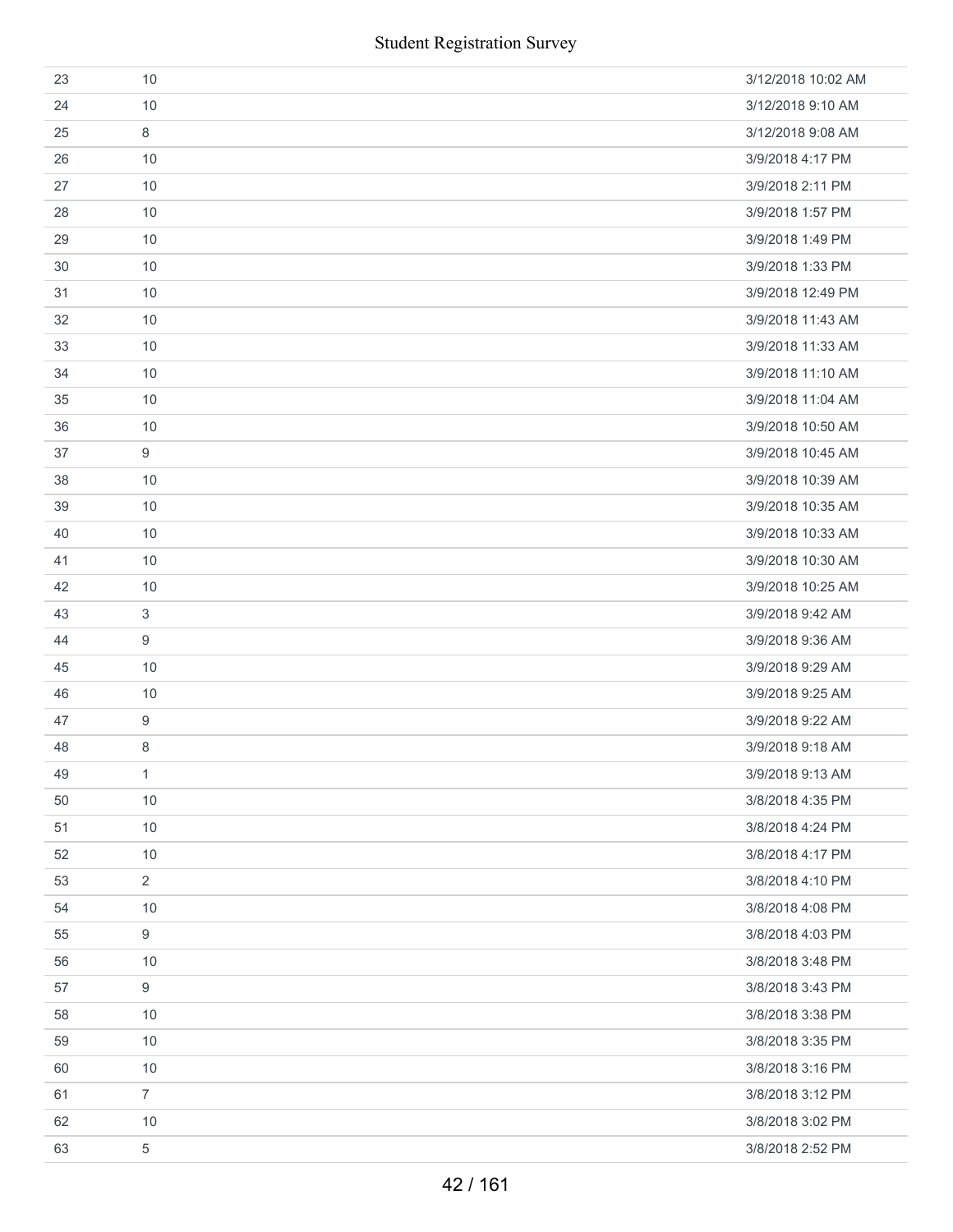| 23 | 10             | 3/12/2018 10:02 AM |
|----|----------------|--------------------|
| 24 | 10             | 3/12/2018 9:10 AM  |
| 25 | 8              | 3/12/2018 9:08 AM  |
| 26 | 10             | 3/9/2018 4:17 PM   |
| 27 | 10             | 3/9/2018 2:11 PM   |
| 28 | 10             | 3/9/2018 1:57 PM   |
| 29 | 10             | 3/9/2018 1:49 PM   |
| 30 | 10             | 3/9/2018 1:33 PM   |
| 31 | 10             | 3/9/2018 12:49 PM  |
| 32 | 10             | 3/9/2018 11:43 AM  |
| 33 | 10             | 3/9/2018 11:33 AM  |
| 34 | 10             | 3/9/2018 11:10 AM  |
| 35 | 10             | 3/9/2018 11:04 AM  |
| 36 | 10             | 3/9/2018 10:50 AM  |
| 37 | 9              | 3/9/2018 10:45 AM  |
| 38 | 10             | 3/9/2018 10:39 AM  |
| 39 | 10             | 3/9/2018 10:35 AM  |
| 40 | 10             | 3/9/2018 10:33 AM  |
| 41 | 10             | 3/9/2018 10:30 AM  |
| 42 | 10             | 3/9/2018 10:25 AM  |
| 43 | 3              | 3/9/2018 9:42 AM   |
| 44 | 9              | 3/9/2018 9:36 AM   |
| 45 | 10             | 3/9/2018 9:29 AM   |
| 46 | 10             | 3/9/2018 9:25 AM   |
| 47 | $9\,$          | 3/9/2018 9:22 AM   |
| 48 | 8              | 3/9/2018 9:18 AM   |
| 49 | $\mathbf{1}$   | 3/9/2018 9:13 AM   |
| 50 | 10             | 3/8/2018 4:35 PM   |
| 51 | 10             | 3/8/2018 4:24 PM   |
| 52 | 10             | 3/8/2018 4:17 PM   |
| 53 | $\overline{2}$ | 3/8/2018 4:10 PM   |
| 54 | 10             | 3/8/2018 4:08 PM   |
| 55 | 9              | 3/8/2018 4:03 PM   |
| 56 | 10             | 3/8/2018 3:48 PM   |
| 57 | 9              | 3/8/2018 3:43 PM   |
| 58 | 10             | 3/8/2018 3:38 PM   |
| 59 | 10             | 3/8/2018 3:35 PM   |
| 60 | 10             | 3/8/2018 3:16 PM   |
| 61 | $\overline{7}$ | 3/8/2018 3:12 PM   |
| 62 | 10             | 3/8/2018 3:02 PM   |
| 63 | 5              | 3/8/2018 2:52 PM   |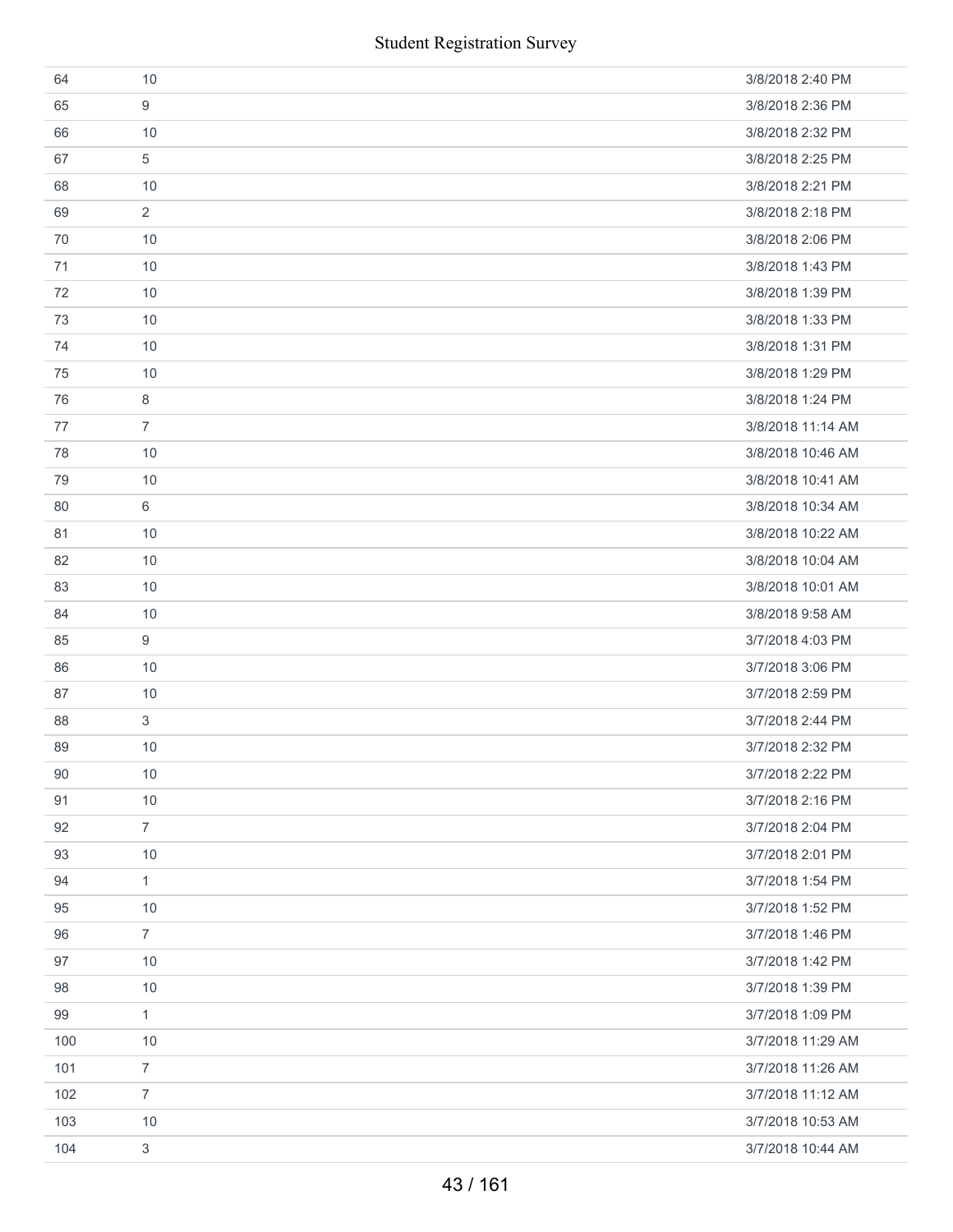|     | <b>Student Registration Survey</b> |                   |
|-----|------------------------------------|-------------------|
| 64  | 10                                 | 3/8/2018 2:40 PM  |
| 65  | 9                                  | 3/8/2018 2:36 PM  |
| 66  | 10                                 | 3/8/2018 2:32 PM  |
| 67  | 5                                  | 3/8/2018 2:25 PM  |
| 68  | 10                                 | 3/8/2018 2:21 PM  |
| 69  | $\overline{2}$                     | 3/8/2018 2:18 PM  |
| 70  | 10                                 | 3/8/2018 2:06 PM  |
| 71  | 10                                 | 3/8/2018 1:43 PM  |
| 72  | 10                                 | 3/8/2018 1:39 PM  |
| 73  | 10                                 | 3/8/2018 1:33 PM  |
| 74  | 10                                 | 3/8/2018 1:31 PM  |
| 75  | 10                                 | 3/8/2018 1:29 PM  |
| 76  | 8                                  | 3/8/2018 1:24 PM  |
| 77  | $\overline{7}$                     | 3/8/2018 11:14 AM |
| 78  | 10                                 | 3/8/2018 10:46 AM |
| 79  | 10                                 | 3/8/2018 10:41 AM |
| 80  | 6                                  | 3/8/2018 10:34 AM |
| 81  | 10                                 | 3/8/2018 10:22 AM |
| 82  | 10                                 | 3/8/2018 10:04 AM |
| 83  | 10                                 | 3/8/2018 10:01 AM |
| 84  | 10                                 | 3/8/2018 9:58 AM  |
| 85  | 9                                  | 3/7/2018 4:03 PM  |
| 86  | 10                                 | 3/7/2018 3:06 PM  |
| 87  | 10                                 | 3/7/2018 2:59 PM  |
| 88  | 3                                  | 3/7/2018 2:44 PM  |
| 89  | 10                                 | 3/7/2018 2:32 PM  |
| 90  | 10                                 | 3/7/2018 2:22 PM  |
| 91  | 10                                 | 3/7/2018 2:16 PM  |
| 92  | $\overline{7}$                     | 3/7/2018 2:04 PM  |
| 93  | 10                                 | 3/7/2018 2:01 PM  |
| 94  | $\mathbf{1}$                       | 3/7/2018 1:54 PM  |
| 95  | 10                                 | 3/7/2018 1:52 PM  |
| 96  | $\overline{7}$                     | 3/7/2018 1:46 PM  |
| 97  | 10                                 | 3/7/2018 1:42 PM  |
| 98  | 10                                 | 3/7/2018 1:39 PM  |
| 99  | $\mathbf{1}$                       | 3/7/2018 1:09 PM  |
| 100 | 10                                 | 3/7/2018 11:29 AM |
| 101 | $\overline{7}$                     | 3/7/2018 11:26 AM |
| 102 | $\overline{7}$                     | 3/7/2018 11:12 AM |
| 103 | 10                                 | 3/7/2018 10:53 AM |
| 104 | 3                                  | 3/7/2018 10:44 AM |
|     | 43 / 161                           |                   |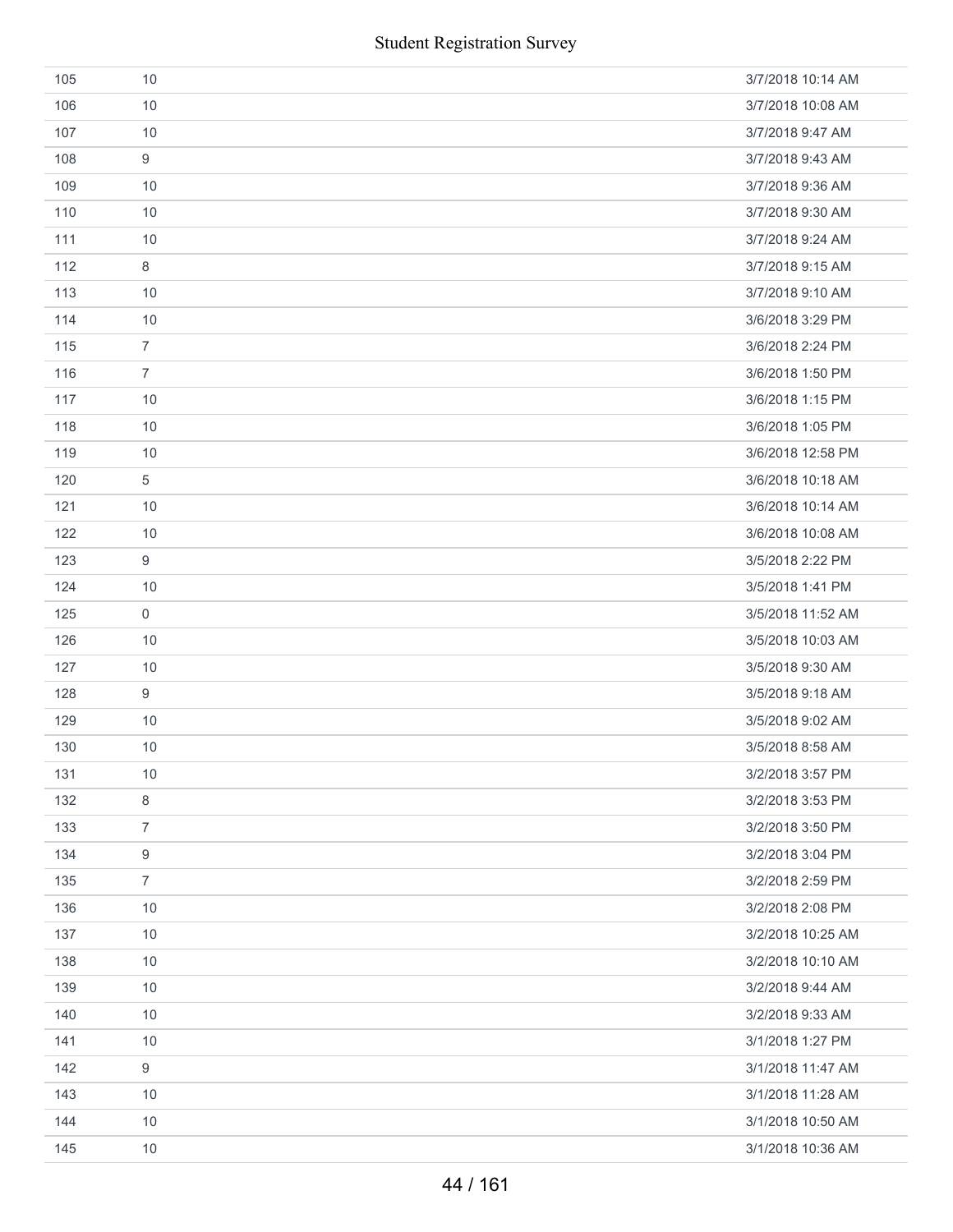|     | <b>Student Registration Survey</b> |                   |
|-----|------------------------------------|-------------------|
| 105 | 10                                 | 3/7/2018 10:14 AM |
| 106 | 10                                 | 3/7/2018 10:08 AM |
| 107 | 10                                 | 3/7/2018 9:47 AM  |
| 108 | 9                                  | 3/7/2018 9:43 AM  |
| 109 | 10                                 | 3/7/2018 9:36 AM  |
| 110 | 10                                 | 3/7/2018 9:30 AM  |
| 111 | 10                                 | 3/7/2018 9:24 AM  |
| 112 | 8                                  | 3/7/2018 9:15 AM  |
| 113 | 10                                 | 3/7/2018 9:10 AM  |
| 114 | 10                                 | 3/6/2018 3:29 PM  |
| 115 | $\overline{7}$                     | 3/6/2018 2:24 PM  |
| 116 | $\overline{7}$                     | 3/6/2018 1:50 PM  |
| 117 | 10                                 | 3/6/2018 1:15 PM  |
| 118 | 10                                 | 3/6/2018 1:05 PM  |
| 119 | 10                                 | 3/6/2018 12:58 PM |
| 120 | 5                                  | 3/6/2018 10:18 AM |
| 121 | 10                                 | 3/6/2018 10:14 AM |
| 122 | 10                                 | 3/6/2018 10:08 AM |
| 123 | $\boldsymbol{9}$                   | 3/5/2018 2:22 PM  |
| 124 | 10                                 | 3/5/2018 1:41 PM  |
| 125 | $\mathsf{O}\xspace$                | 3/5/2018 11:52 AM |
| 126 | 10                                 | 3/5/2018 10:03 AM |
| 127 | 10                                 | 3/5/2018 9:30 AM  |
| 128 | $\boldsymbol{9}$                   | 3/5/2018 9:18 AM  |
| 129 | 10                                 | 3/5/2018 9:02 AM  |
| 130 | 10                                 | 3/5/2018 8:58 AM  |
| 131 | 10                                 | 3/2/2018 3:57 PM  |
| 132 | $\,8\,$                            | 3/2/2018 3:53 PM  |
| 133 | $\overline{7}$                     | 3/2/2018 3:50 PM  |
| 134 | $\boldsymbol{9}$                   | 3/2/2018 3:04 PM  |
| 135 | $\overline{7}$                     | 3/2/2018 2:59 PM  |
| 136 | 10                                 | 3/2/2018 2:08 PM  |
| 137 | 10                                 | 3/2/2018 10:25 AM |
| 138 | 10                                 | 3/2/2018 10:10 AM |
| 139 | 10                                 | 3/2/2018 9:44 AM  |
| 140 | 10                                 | 3/2/2018 9:33 AM  |
| 141 | 10                                 | 3/1/2018 1:27 PM  |
| 142 | $\boldsymbol{9}$                   | 3/1/2018 11:47 AM |
| 143 | 10                                 | 3/1/2018 11:28 AM |
| 144 | 10                                 | 3/1/2018 10:50 AM |
| 145 | 10                                 | 3/1/2018 10:36 AM |
|     | 44 / 161                           |                   |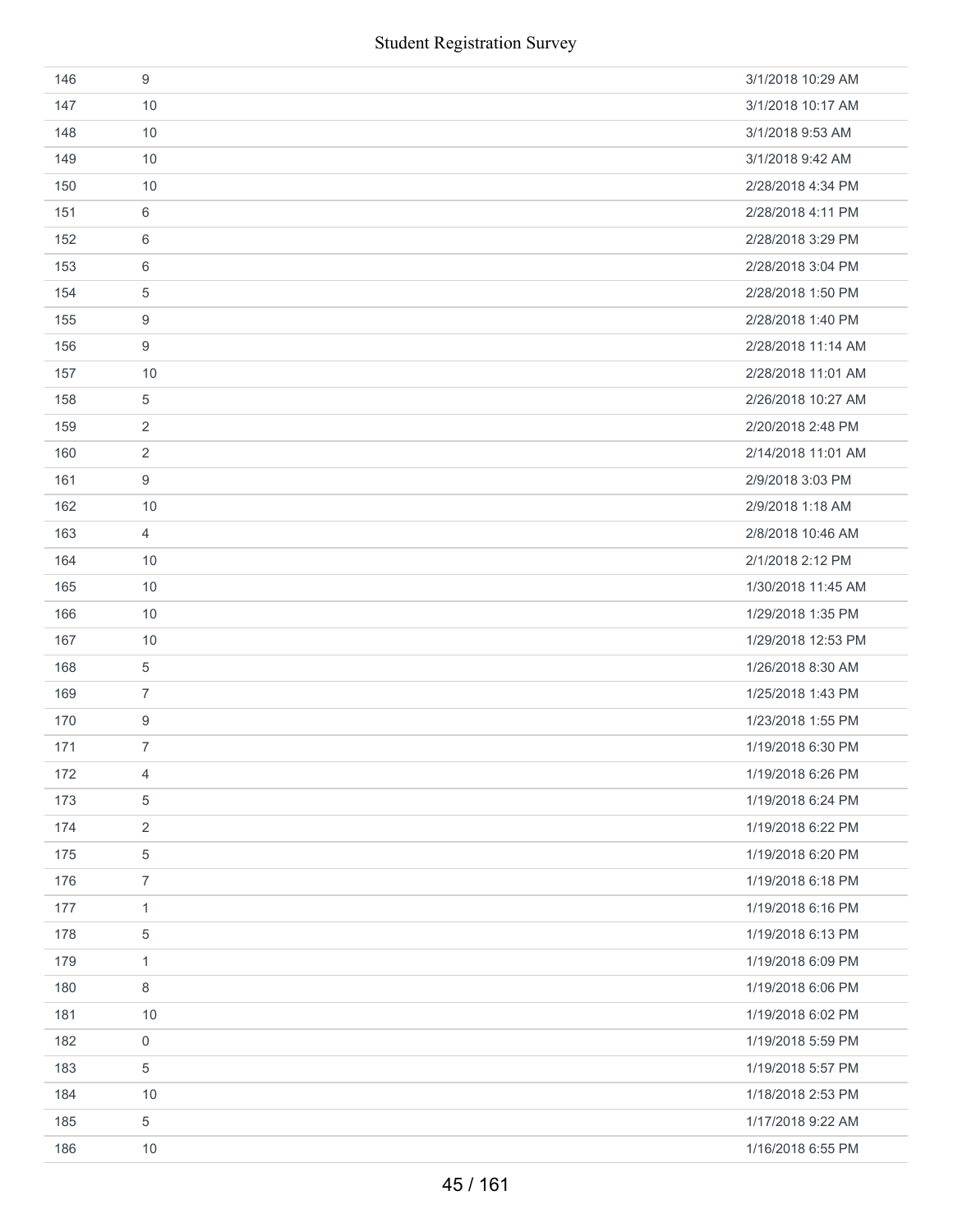| 146 | 9                | 3/1/2018 10:29 AM  |
|-----|------------------|--------------------|
| 147 | 10               | 3/1/2018 10:17 AM  |
| 148 | 10               | 3/1/2018 9:53 AM   |
| 149 | 10               | 3/1/2018 9:42 AM   |
| 150 | 10               | 2/28/2018 4:34 PM  |
| 151 | 6                | 2/28/2018 4:11 PM  |
| 152 | 6                | 2/28/2018 3:29 PM  |
| 153 | 6                | 2/28/2018 3:04 PM  |
| 154 | 5                | 2/28/2018 1:50 PM  |
| 155 | 9                | 2/28/2018 1:40 PM  |
| 156 | 9                | 2/28/2018 11:14 AM |
| 157 | 10               | 2/28/2018 11:01 AM |
| 158 | 5                | 2/26/2018 10:27 AM |
| 159 | $\overline{2}$   | 2/20/2018 2:48 PM  |
| 160 | $\overline{2}$   | 2/14/2018 11:01 AM |
| 161 | $9\,$            | 2/9/2018 3:03 PM   |
| 162 | 10               | 2/9/2018 1:18 AM   |
| 163 | $\overline{4}$   | 2/8/2018 10:46 AM  |
| 164 | 10               | 2/1/2018 2:12 PM   |
| 165 | 10               | 1/30/2018 11:45 AM |
| 166 | 10               | 1/29/2018 1:35 PM  |
| 167 | 10               | 1/29/2018 12:53 PM |
| 168 | $\,$ 5 $\,$      | 1/26/2018 8:30 AM  |
| 169 | $\overline{7}$   | 1/25/2018 1:43 PM  |
| 170 | $\boldsymbol{9}$ | 1/23/2018 1:55 PM  |
| 171 | $\overline{7}$   | 1/19/2018 6:30 PM  |
| 172 | 4                | 1/19/2018 6:26 PM  |
| 173 | $\sqrt{5}$       | 1/19/2018 6:24 PM  |
| 174 | $\overline{2}$   | 1/19/2018 6:22 PM  |
| 175 | 5                | 1/19/2018 6:20 PM  |
| 176 | $\overline{7}$   | 1/19/2018 6:18 PM  |
| 177 | $\mathbf{1}$     | 1/19/2018 6:16 PM  |
| 178 | $\,$ 5 $\,$      | 1/19/2018 6:13 PM  |
| 179 | $\mathbf{1}$     | 1/19/2018 6:09 PM  |
| 180 | 8                | 1/19/2018 6:06 PM  |
| 181 | 10               | 1/19/2018 6:02 PM  |
| 182 | 0                | 1/19/2018 5:59 PM  |
| 183 | $\,$ 5 $\,$      | 1/19/2018 5:57 PM  |
| 184 | 10               | 1/18/2018 2:53 PM  |
| 185 | $\sqrt{5}$       | 1/17/2018 9:22 AM  |
| 186 | 10               | 1/16/2018 6:55 PM  |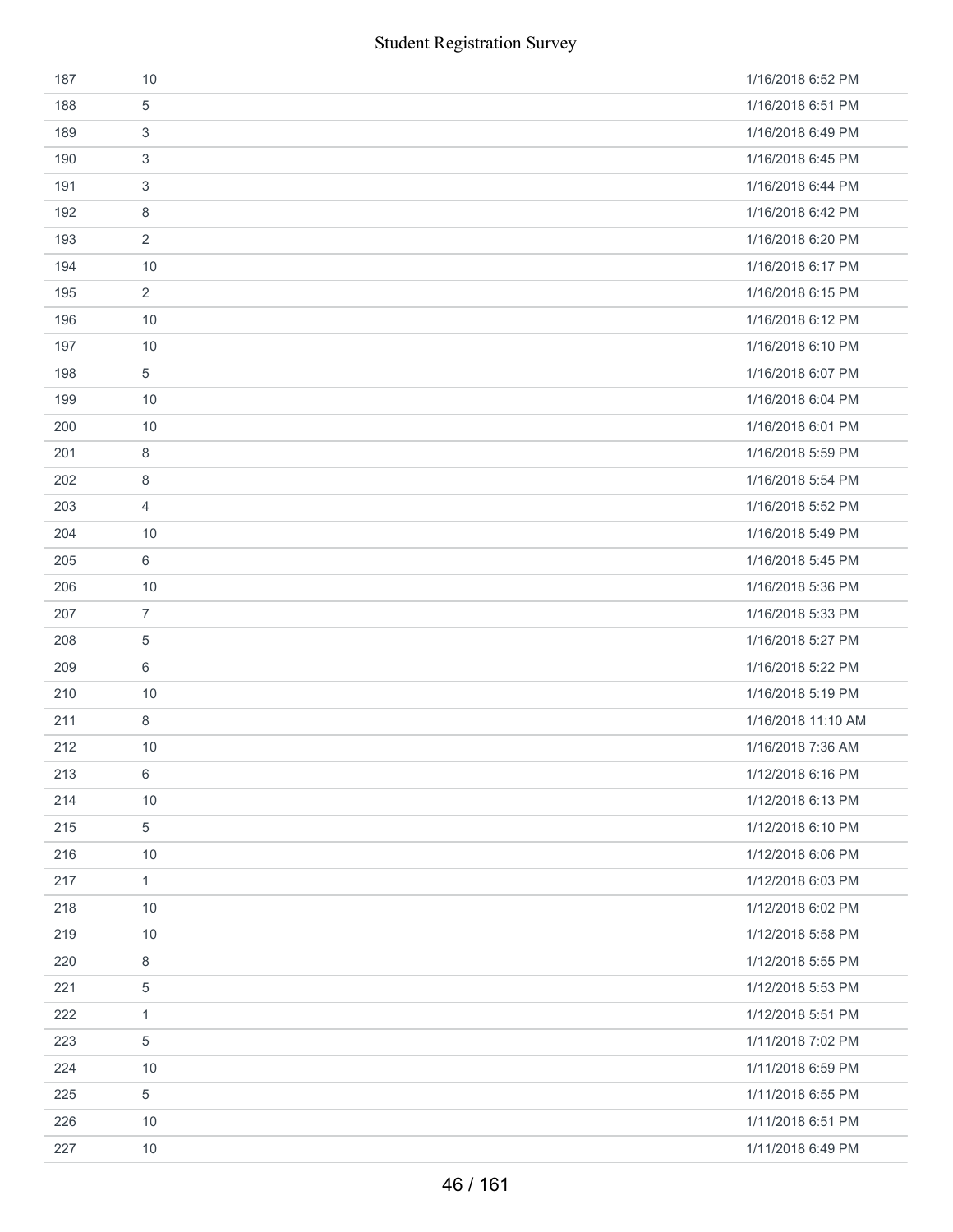|     | <b>Student Registration Survey</b> |                    |
|-----|------------------------------------|--------------------|
| 187 | 10                                 | 1/16/2018 6:52 PM  |
| 188 | 5                                  | 1/16/2018 6:51 PM  |
| 189 | 3                                  | 1/16/2018 6:49 PM  |
| 190 | 3                                  | 1/16/2018 6:45 PM  |
| 191 | 3                                  | 1/16/2018 6:44 PM  |
| 192 | 8                                  | 1/16/2018 6:42 PM  |
| 193 | 2                                  | 1/16/2018 6:20 PM  |
| 194 | 10                                 | 1/16/2018 6:17 PM  |
| 195 | 2                                  | 1/16/2018 6:15 PM  |
| 196 | 10                                 | 1/16/2018 6:12 PM  |
| 197 | 10                                 | 1/16/2018 6:10 PM  |
| 198 | 5                                  | 1/16/2018 6:07 PM  |
| 199 | 10                                 | 1/16/2018 6:04 PM  |
| 200 | 10                                 | 1/16/2018 6:01 PM  |
| 201 | 8                                  | 1/16/2018 5:59 PM  |
| 202 | 8                                  | 1/16/2018 5:54 PM  |
| 203 | $\overline{4}$                     | 1/16/2018 5:52 PM  |
| 204 | 10                                 | 1/16/2018 5:49 PM  |
| 205 | 6                                  | 1/16/2018 5:45 PM  |
| 206 | 10                                 | 1/16/2018 5:36 PM  |
| 207 | $\overline{7}$                     | 1/16/2018 5:33 PM  |
| 208 | 5                                  | 1/16/2018 5:27 PM  |
| 209 | 6                                  | 1/16/2018 5:22 PM  |
| 210 | $10$                               | 1/16/2018 5:19 PM  |
| 211 | 8                                  | 1/16/2018 11:10 AM |
| 212 | 10                                 | 1/16/2018 7:36 AM  |
| 213 | 6                                  | 1/12/2018 6:16 PM  |
| 214 | 10                                 | 1/12/2018 6:13 PM  |
| 215 | 5                                  | 1/12/2018 6:10 PM  |
| 216 | 10                                 | 1/12/2018 6:06 PM  |
| 217 | $\mathbf{1}$                       | 1/12/2018 6:03 PM  |
| 218 | $10$                               | 1/12/2018 6:02 PM  |
| 219 | 10                                 | 1/12/2018 5:58 PM  |
| 220 | 8                                  | 1/12/2018 5:55 PM  |
| 221 | 5                                  | 1/12/2018 5:53 PM  |
| 222 | $\mathbf{1}$                       | 1/12/2018 5:51 PM  |
| 223 | $\,$ 5 $\,$                        | 1/11/2018 7:02 PM  |
| 224 | 10                                 | 1/11/2018 6:59 PM  |
| 225 | 5                                  | 1/11/2018 6:55 PM  |
| 226 | 10                                 | 1/11/2018 6:51 PM  |
| 227 | $10$                               | 1/11/2018 6:49 PM  |
|     | 46 / 161                           |                    |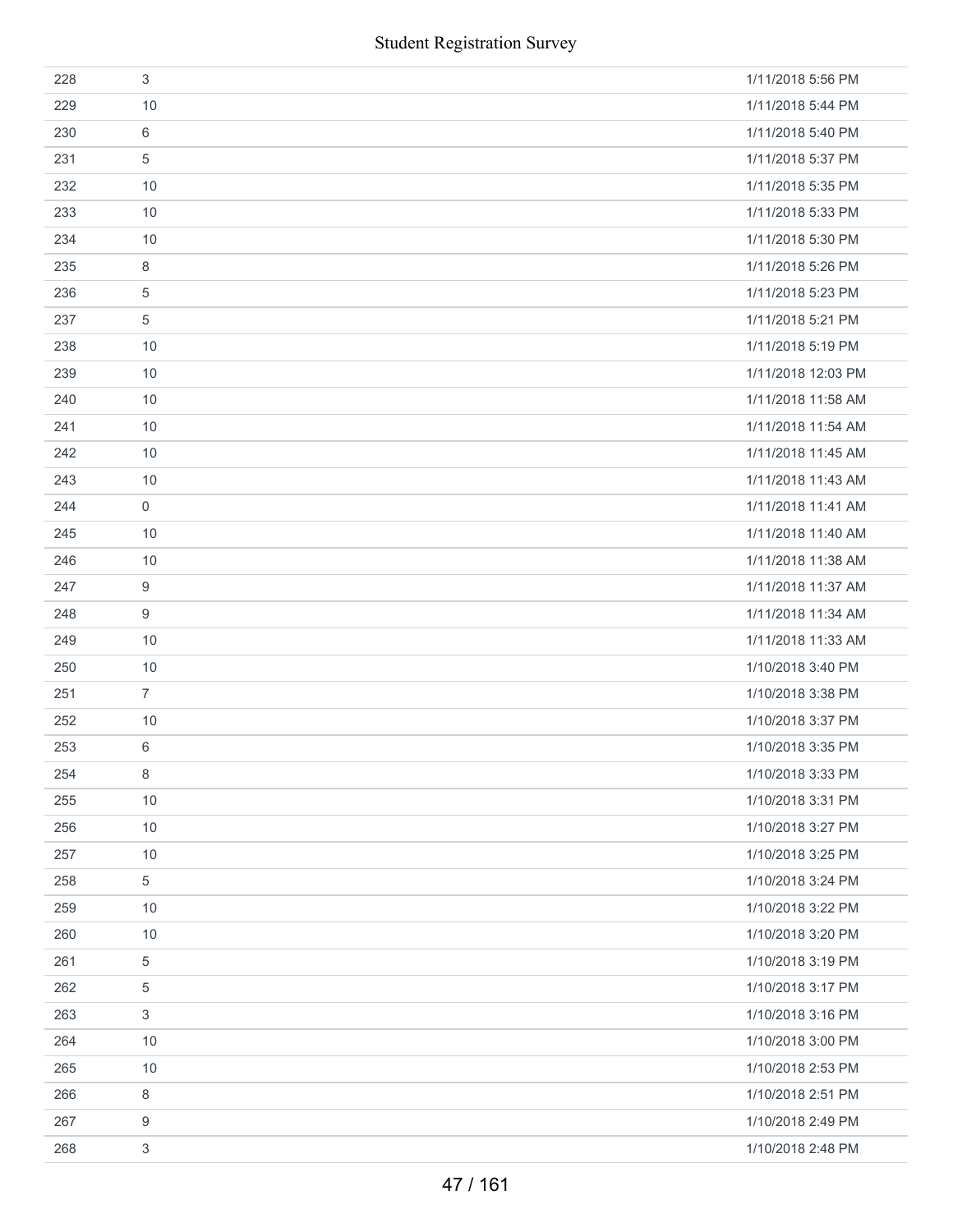|     | <b>Student Registration Survey</b> |                    |
|-----|------------------------------------|--------------------|
| 228 | $\sqrt{3}$                         | 1/11/2018 5:56 PM  |
| 229 | 10                                 | 1/11/2018 5:44 PM  |
| 230 | 6                                  | 1/11/2018 5:40 PM  |
| 231 | 5                                  | 1/11/2018 5:37 PM  |
| 232 | 10                                 | 1/11/2018 5:35 PM  |
| 233 | 10                                 | 1/11/2018 5:33 PM  |
| 234 | 10                                 | 1/11/2018 5:30 PM  |
| 235 | 8                                  | 1/11/2018 5:26 PM  |
| 236 | 5                                  | 1/11/2018 5:23 PM  |
| 237 | $\sqrt{5}$                         | 1/11/2018 5:21 PM  |
| 238 | 10                                 | 1/11/2018 5:19 PM  |
| 239 | 10                                 | 1/11/2018 12:03 PM |
| 240 | 10                                 | 1/11/2018 11:58 AM |
| 241 | 10                                 | 1/11/2018 11:54 AM |
| 242 | 10                                 | 1/11/2018 11:45 AM |
| 243 | 10                                 | 1/11/2018 11:43 AM |
| 244 | $\mathsf{O}\xspace$                | 1/11/2018 11:41 AM |
| 245 | 10                                 | 1/11/2018 11:40 AM |
| 246 | 10                                 | 1/11/2018 11:38 AM |
| 247 | 9                                  | 1/11/2018 11:37 AM |
| 248 | $\boldsymbol{9}$                   | 1/11/2018 11:34 AM |
| 249 | 10                                 | 1/11/2018 11:33 AM |
| 250 | 10                                 | 1/10/2018 3:40 PM  |
| 251 | $\overline{7}$                     | 1/10/2018 3:38 PM  |
| 252 | 10                                 | 1/10/2018 3:37 PM  |
| 253 | 6                                  | 1/10/2018 3:35 PM  |
| 254 | 8                                  | 1/10/2018 3:33 PM  |
| 255 | 10                                 | 1/10/2018 3:31 PM  |
| 256 | 10                                 | 1/10/2018 3:27 PM  |
| 257 | 10                                 | 1/10/2018 3:25 PM  |
| 258 | 5                                  | 1/10/2018 3:24 PM  |
| 259 | 10                                 | 1/10/2018 3:22 PM  |
| 260 | 10                                 | 1/10/2018 3:20 PM  |
| 261 | 5                                  | 1/10/2018 3:19 PM  |
| 262 | 5                                  | 1/10/2018 3:17 PM  |
| 263 | 3                                  | 1/10/2018 3:16 PM  |
| 264 | 10                                 | 1/10/2018 3:00 PM  |
| 265 | 10                                 | 1/10/2018 2:53 PM  |
| 266 | 8                                  | 1/10/2018 2:51 PM  |
| 267 | 9                                  | 1/10/2018 2:49 PM  |
| 268 | 3                                  | 1/10/2018 2:48 PM  |
|     | 47 / 161                           |                    |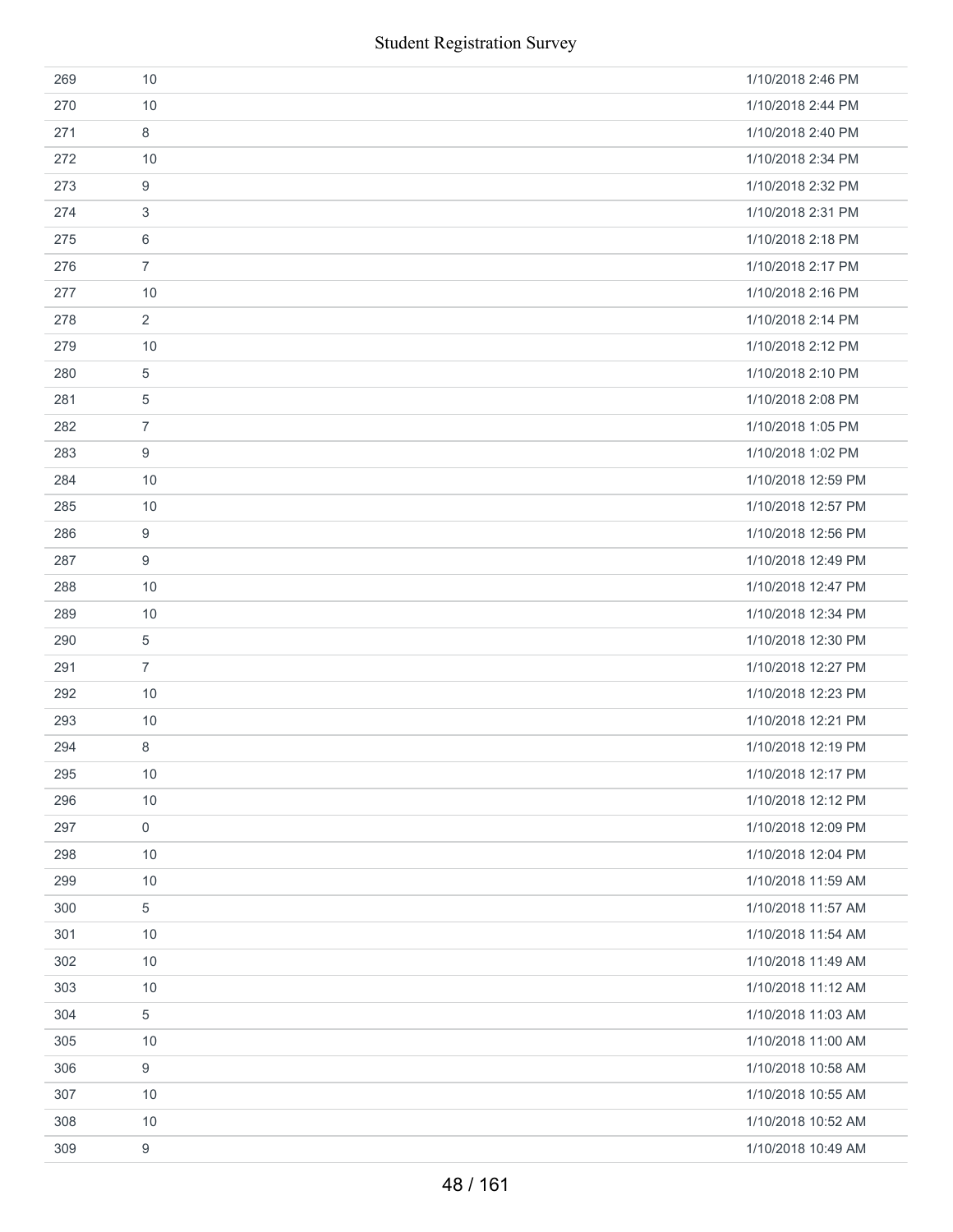|     | <b>Student Registration Survey</b> |                    |
|-----|------------------------------------|--------------------|
| 269 | 10                                 | 1/10/2018 2:46 PM  |
| 270 | 10                                 | 1/10/2018 2:44 PM  |
| 271 | $\,8\,$                            | 1/10/2018 2:40 PM  |
| 272 | 10                                 | 1/10/2018 2:34 PM  |
| 273 | $\boldsymbol{9}$                   | 1/10/2018 2:32 PM  |
| 274 | 3                                  | 1/10/2018 2:31 PM  |
| 275 | 6                                  | 1/10/2018 2:18 PM  |
| 276 | $\overline{7}$                     | 1/10/2018 2:17 PM  |
| 277 | 10                                 | 1/10/2018 2:16 PM  |
| 278 | $\overline{2}$                     | 1/10/2018 2:14 PM  |
| 279 | 10                                 | 1/10/2018 2:12 PM  |
| 280 | $\overline{5}$                     | 1/10/2018 2:10 PM  |
| 281 | 5                                  | 1/10/2018 2:08 PM  |
| 282 | $\overline{7}$                     | 1/10/2018 1:05 PM  |
| 283 | 9                                  | 1/10/2018 1:02 PM  |
| 284 | 10                                 | 1/10/2018 12:59 PM |
| 285 | 10                                 | 1/10/2018 12:57 PM |
| 286 | 9                                  | 1/10/2018 12:56 PM |
| 287 | 9                                  | 1/10/2018 12:49 PM |
| 288 | 10                                 | 1/10/2018 12:47 PM |
| 289 | 10                                 | 1/10/2018 12:34 PM |
| 290 | 5                                  | 1/10/2018 12:30 PM |
| 291 | $\overline{7}$                     | 1/10/2018 12:27 PM |
| 292 | 10                                 | 1/10/2018 12:23 PM |
| 293 | 10                                 | 1/10/2018 12:21 PM |
| 294 | 8                                  | 1/10/2018 12:19 PM |
| 295 | $10$                               | 1/10/2018 12:17 PM |
| 296 | 10                                 | 1/10/2018 12:12 PM |
| 297 | $\boldsymbol{0}$                   | 1/10/2018 12:09 PM |
| 298 | 10                                 | 1/10/2018 12:04 PM |
| 299 | 10                                 | 1/10/2018 11:59 AM |
| 300 | $\,$ 5 $\,$                        | 1/10/2018 11:57 AM |
| 301 | 10                                 | 1/10/2018 11:54 AM |
| 302 | 10                                 | 1/10/2018 11:49 AM |
| 303 | 10                                 | 1/10/2018 11:12 AM |
| 304 | $\,$ 5 $\,$                        | 1/10/2018 11:03 AM |
| 305 | 10                                 | 1/10/2018 11:00 AM |
| 306 | 9                                  | 1/10/2018 10:58 AM |
| 307 | 10                                 | 1/10/2018 10:55 AM |
| 308 | 10                                 | 1/10/2018 10:52 AM |
| 309 | $\boldsymbol{9}$                   | 1/10/2018 10:49 AM |
|     | 48 / 161                           |                    |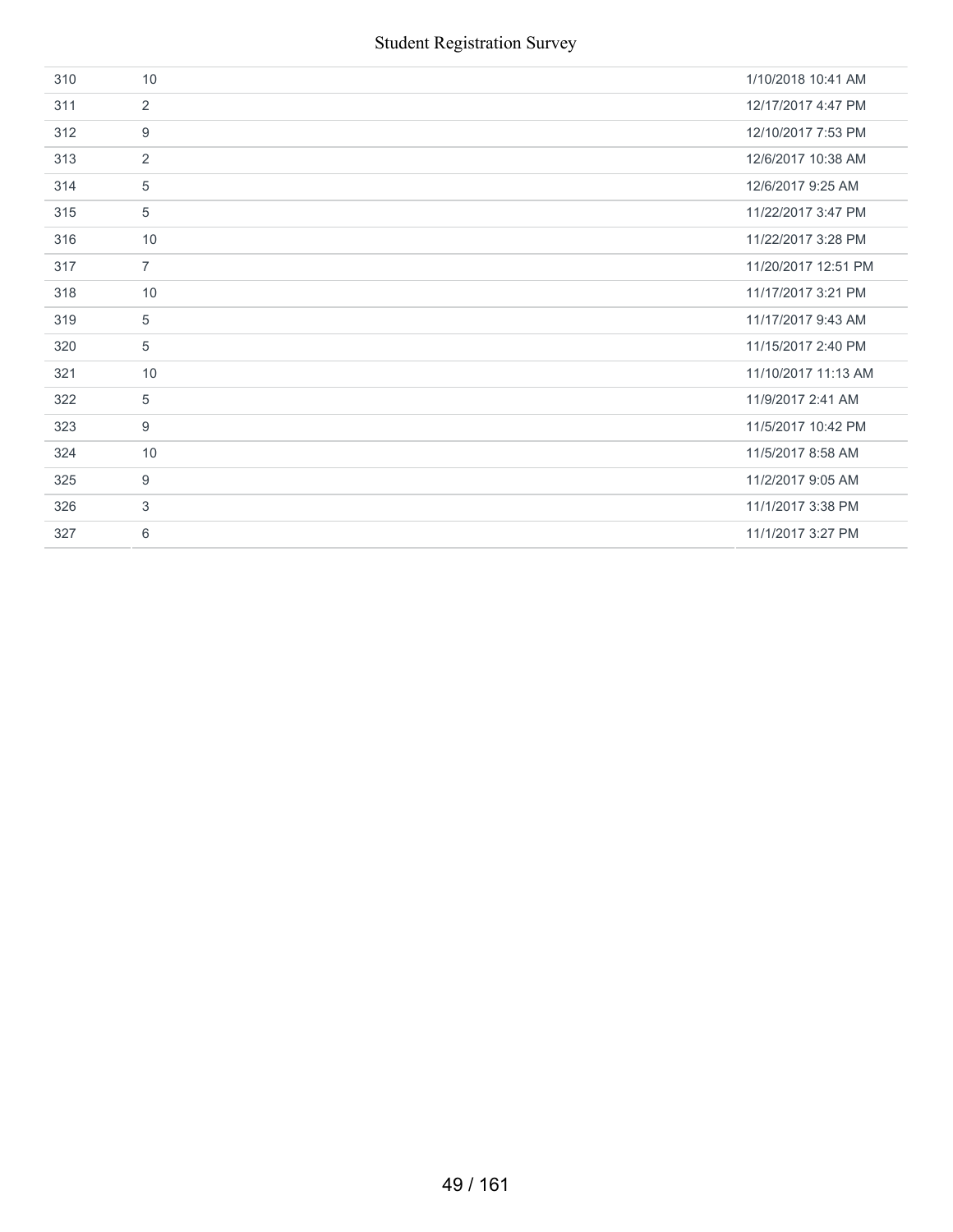| 310 | 10             | 1/10/2018 10:41 AM  |
|-----|----------------|---------------------|
| 311 | 2              | 12/17/2017 4:47 PM  |
| 312 | 9              | 12/10/2017 7:53 PM  |
| 313 | $\overline{2}$ | 12/6/2017 10:38 AM  |
| 314 | 5              | 12/6/2017 9:25 AM   |
| 315 | 5              | 11/22/2017 3:47 PM  |
| 316 | 10             | 11/22/2017 3:28 PM  |
| 317 | $\overline{7}$ | 11/20/2017 12:51 PM |
| 318 | 10             | 11/17/2017 3:21 PM  |
| 319 | 5              | 11/17/2017 9:43 AM  |
| 320 | 5              | 11/15/2017 2:40 PM  |
| 321 | 10             | 11/10/2017 11:13 AM |
| 322 | 5              | 11/9/2017 2:41 AM   |
| 323 | 9              | 11/5/2017 10:42 PM  |
| 324 | 10             | 11/5/2017 8:58 AM   |
| 325 | 9              | 11/2/2017 9:05 AM   |
| 326 | 3              | 11/1/2017 3:38 PM   |
| 327 | 6              | 11/1/2017 3:27 PM   |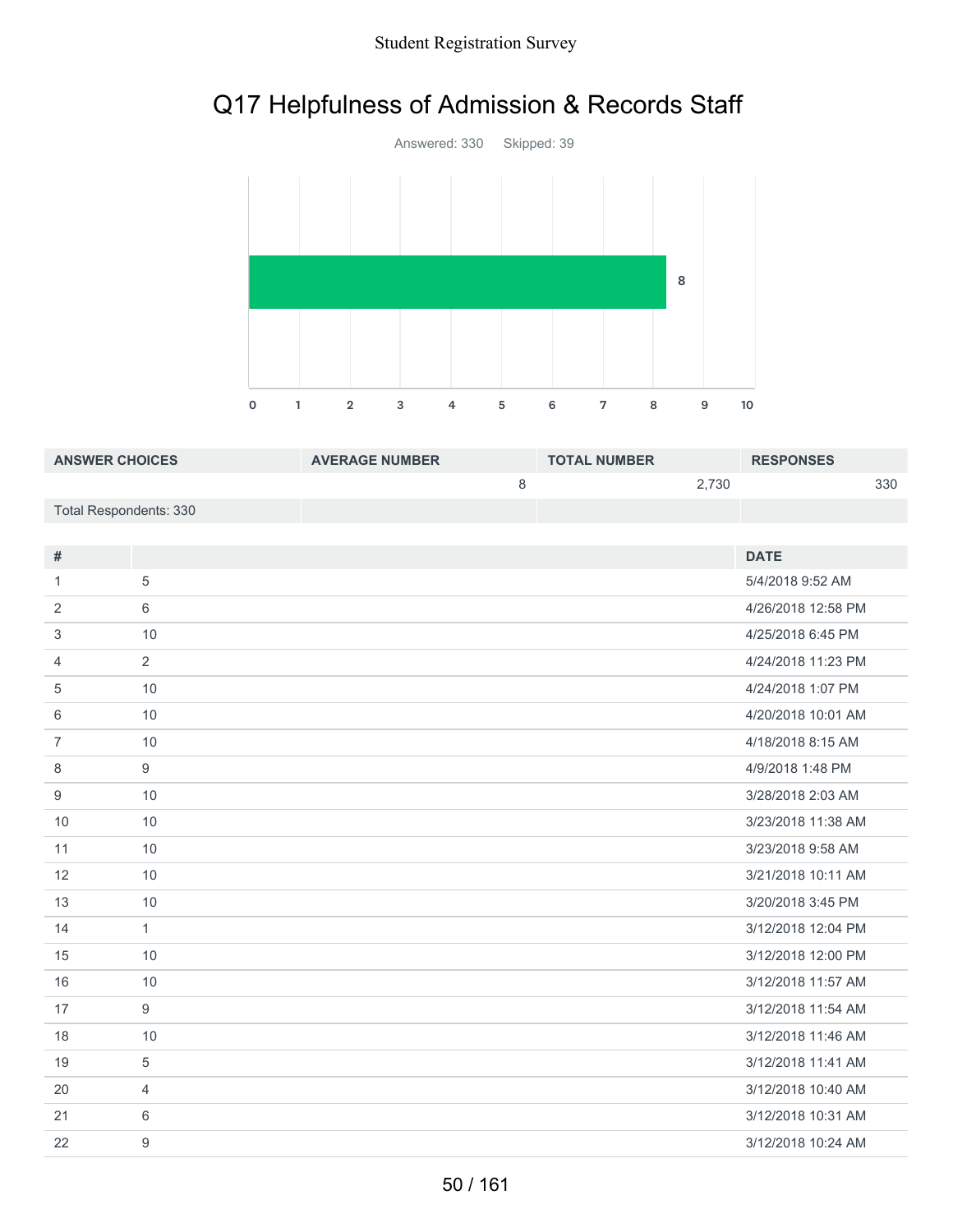# Q17 Helpfulness of Admission & Records Staff



| <b>ANSWER CHOICES</b>  | <b>AVERAGE NUMBER</b> | <b>TOTAL NUMBER</b> | <b>RESPONSES</b> |
|------------------------|-----------------------|---------------------|------------------|
|                        |                       | 2.730               | 330              |
| Total Respondents: 330 |                       |                     |                  |

| #              |                  | <b>DATE</b>        |
|----------------|------------------|--------------------|
| 1              | 5                | 5/4/2018 9:52 AM   |
| 2              | 6                | 4/26/2018 12:58 PM |
| 3              | 10               | 4/25/2018 6:45 PM  |
| 4              | 2                | 4/24/2018 11:23 PM |
| 5              | 10               | 4/24/2018 1:07 PM  |
| 6              | 10               | 4/20/2018 10:01 AM |
| $\overline{7}$ | 10               | 4/18/2018 8:15 AM  |
| 8              | 9                | 4/9/2018 1:48 PM   |
| 9              | 10               | 3/28/2018 2:03 AM  |
| 10             | 10               | 3/23/2018 11:38 AM |
| 11             | 10               | 3/23/2018 9:58 AM  |
| 12             | 10               | 3/21/2018 10:11 AM |
| 13             | 10               | 3/20/2018 3:45 PM  |
| 14             | $\mathbf{1}$     | 3/12/2018 12:04 PM |
| 15             | 10               | 3/12/2018 12:00 PM |
| 16             | 10               | 3/12/2018 11:57 AM |
| 17             | 9                | 3/12/2018 11:54 AM |
| 18             | 10               | 3/12/2018 11:46 AM |
| 19             | 5                | 3/12/2018 11:41 AM |
| 20             | $\overline{4}$   | 3/12/2018 10:40 AM |
| 21             | 6                | 3/12/2018 10:31 AM |
| 22             | $\boldsymbol{9}$ | 3/12/2018 10:24 AM |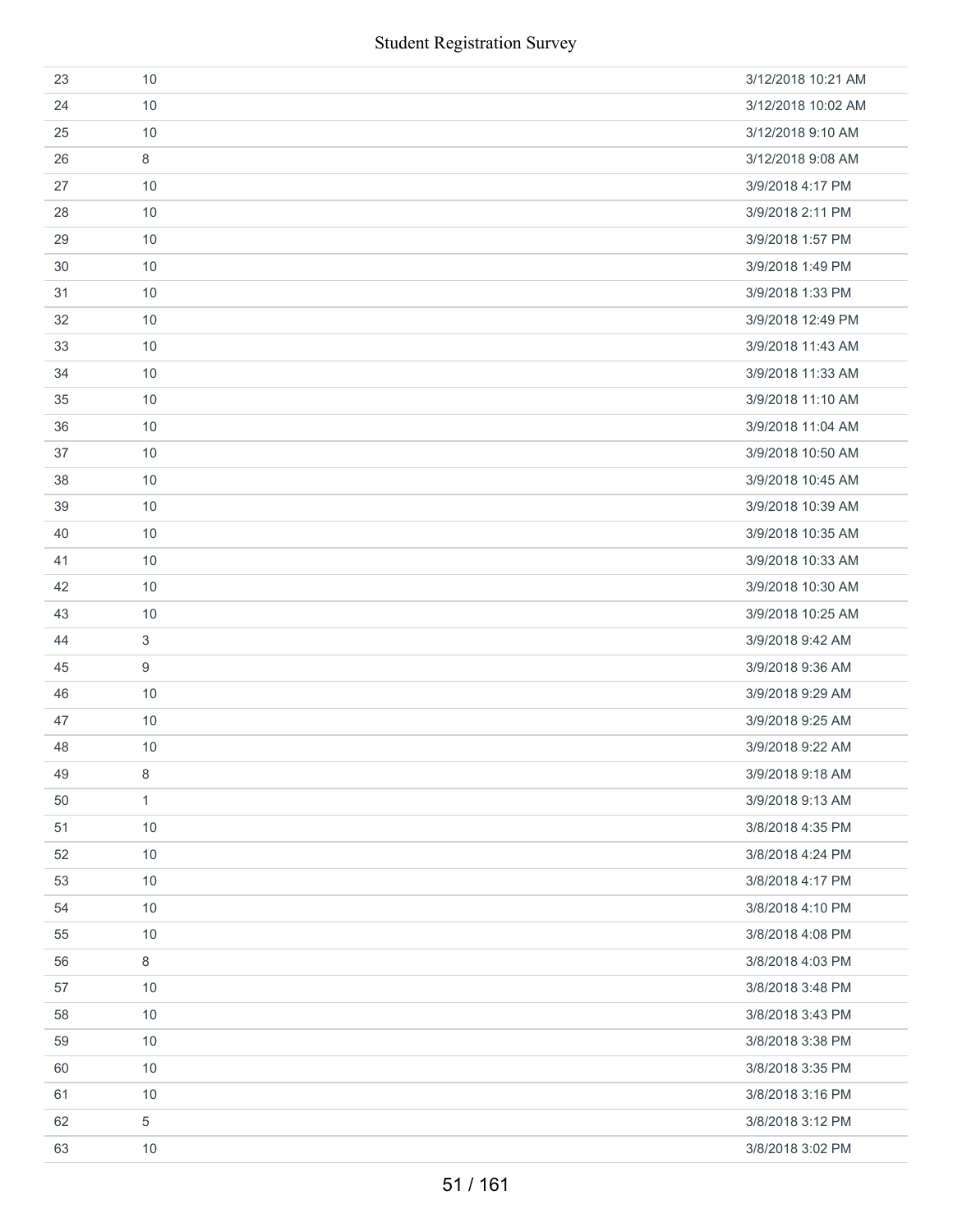| 23 | 10             | 3/12/2018 10:21 AM |
|----|----------------|--------------------|
| 24 | 10             | 3/12/2018 10:02 AM |
| 25 | 10             | 3/12/2018 9:10 AM  |
| 26 | 8              | 3/12/2018 9:08 AM  |
| 27 | 10             | 3/9/2018 4:17 PM   |
| 28 | 10             | 3/9/2018 2:11 PM   |
| 29 | 10             | 3/9/2018 1:57 PM   |
| 30 | 10             | 3/9/2018 1:49 PM   |
| 31 | 10             | 3/9/2018 1:33 PM   |
| 32 | 10             | 3/9/2018 12:49 PM  |
| 33 | 10             | 3/9/2018 11:43 AM  |
| 34 | 10             | 3/9/2018 11:33 AM  |
| 35 | 10             | 3/9/2018 11:10 AM  |
| 36 | 10             | 3/9/2018 11:04 AM  |
| 37 | 10             | 3/9/2018 10:50 AM  |
| 38 | 10             | 3/9/2018 10:45 AM  |
| 39 | 10             | 3/9/2018 10:39 AM  |
| 40 | 10             | 3/9/2018 10:35 AM  |
| 41 | 10             | 3/9/2018 10:33 AM  |
| 42 | 10             | 3/9/2018 10:30 AM  |
| 43 | 10             | 3/9/2018 10:25 AM  |
| 44 | 3              | 3/9/2018 9:42 AM   |
| 45 | 9              | 3/9/2018 9:36 AM   |
| 46 | 10             | 3/9/2018 9:29 AM   |
| 47 | 10             | 3/9/2018 9:25 AM   |
| 48 | 10             | 3/9/2018 9:22 AM   |
| 49 | 8              | 3/9/2018 9:18 AM   |
| 50 | $\mathbf{1}$   | 3/9/2018 9:13 AM   |
| 51 | 10             | 3/8/2018 4:35 PM   |
| 52 | 10             | 3/8/2018 4:24 PM   |
| 53 | 10             | 3/8/2018 4:17 PM   |
| 54 | 10             | 3/8/2018 4:10 PM   |
| 55 | 10             | 3/8/2018 4:08 PM   |
| 56 | 8              | 3/8/2018 4:03 PM   |
| 57 | 10             | 3/8/2018 3:48 PM   |
| 58 | 10             | 3/8/2018 3:43 PM   |
| 59 | 10             | 3/8/2018 3:38 PM   |
| 60 | 10             | 3/8/2018 3:35 PM   |
| 61 | 10             | 3/8/2018 3:16 PM   |
| 62 | $\overline{5}$ | 3/8/2018 3:12 PM   |
| 63 | 10             | 3/8/2018 3:02 PM   |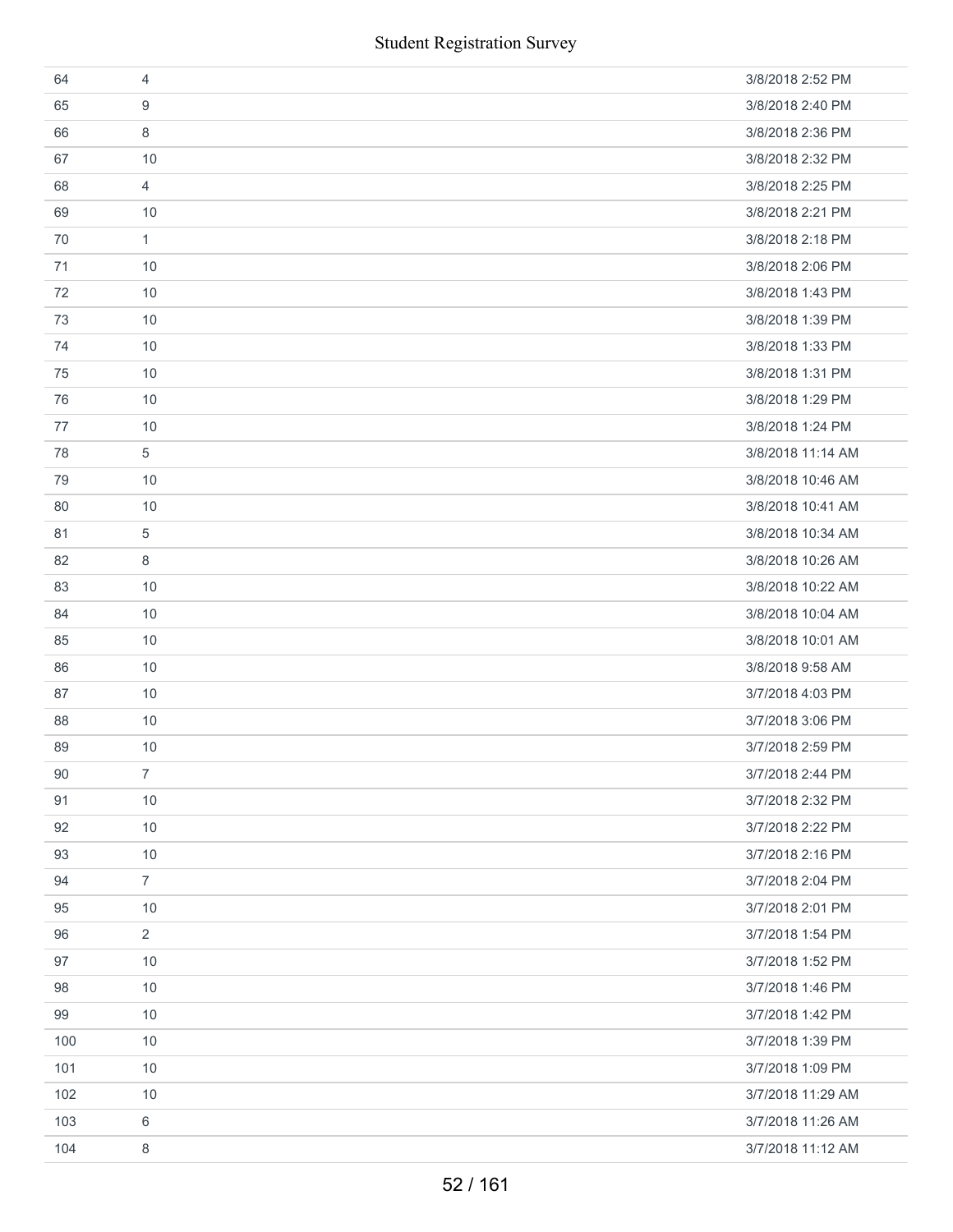|     | <b>Student Registration Survey</b> |                   |
|-----|------------------------------------|-------------------|
| 64  | $\overline{4}$                     | 3/8/2018 2:52 PM  |
| 65  | 9                                  | 3/8/2018 2:40 PM  |
| 66  | 8                                  | 3/8/2018 2:36 PM  |
| 67  | 10                                 | 3/8/2018 2:32 PM  |
| 68  | $\overline{4}$                     | 3/8/2018 2:25 PM  |
| 69  | 10                                 | 3/8/2018 2:21 PM  |
| 70  | $\mathbf{1}$                       | 3/8/2018 2:18 PM  |
| 71  | 10                                 | 3/8/2018 2:06 PM  |
| 72  | 10                                 | 3/8/2018 1:43 PM  |
| 73  | 10                                 | 3/8/2018 1:39 PM  |
| 74  | 10                                 | 3/8/2018 1:33 PM  |
| 75  | 10                                 | 3/8/2018 1:31 PM  |
| 76  | 10                                 | 3/8/2018 1:29 PM  |
| 77  | 10                                 | 3/8/2018 1:24 PM  |
| 78  | $\sqrt{5}$                         | 3/8/2018 11:14 AM |
| 79  | 10                                 | 3/8/2018 10:46 AM |
| 80  | 10                                 | 3/8/2018 10:41 AM |
| 81  | 5                                  | 3/8/2018 10:34 AM |
| 82  | 8                                  | 3/8/2018 10:26 AM |
| 83  | 10                                 | 3/8/2018 10:22 AM |
| 84  | 10                                 | 3/8/2018 10:04 AM |
| 85  | 10                                 | 3/8/2018 10:01 AM |
| 86  | 10                                 | 3/8/2018 9:58 AM  |
| 87  | 10                                 | 3/7/2018 4:03 PM  |
| 88  | 10                                 | 3/7/2018 3:06 PM  |
| 89  | 10                                 | 3/7/2018 2:59 PM  |
| 90  | $\overline{7}$                     | 3/7/2018 2:44 PM  |
| 91  | 10                                 | 3/7/2018 2:32 PM  |
| 92  | 10                                 | 3/7/2018 2:22 PM  |
| 93  | 10                                 | 3/7/2018 2:16 PM  |
| 94  | $\overline{7}$                     | 3/7/2018 2:04 PM  |
| 95  | 10                                 | 3/7/2018 2:01 PM  |
| 96  | $\overline{2}$                     | 3/7/2018 1:54 PM  |
| 97  | 10                                 | 3/7/2018 1:52 PM  |
| 98  | 10                                 | 3/7/2018 1:46 PM  |
| 99  | 10                                 | 3/7/2018 1:42 PM  |
| 100 | 10                                 | 3/7/2018 1:39 PM  |
| 101 | 10                                 | 3/7/2018 1:09 PM  |
| 102 | 10                                 | 3/7/2018 11:29 AM |
| 103 | 6                                  | 3/7/2018 11:26 AM |
| 104 | 8                                  | 3/7/2018 11:12 AM |
|     | 52/161                             |                   |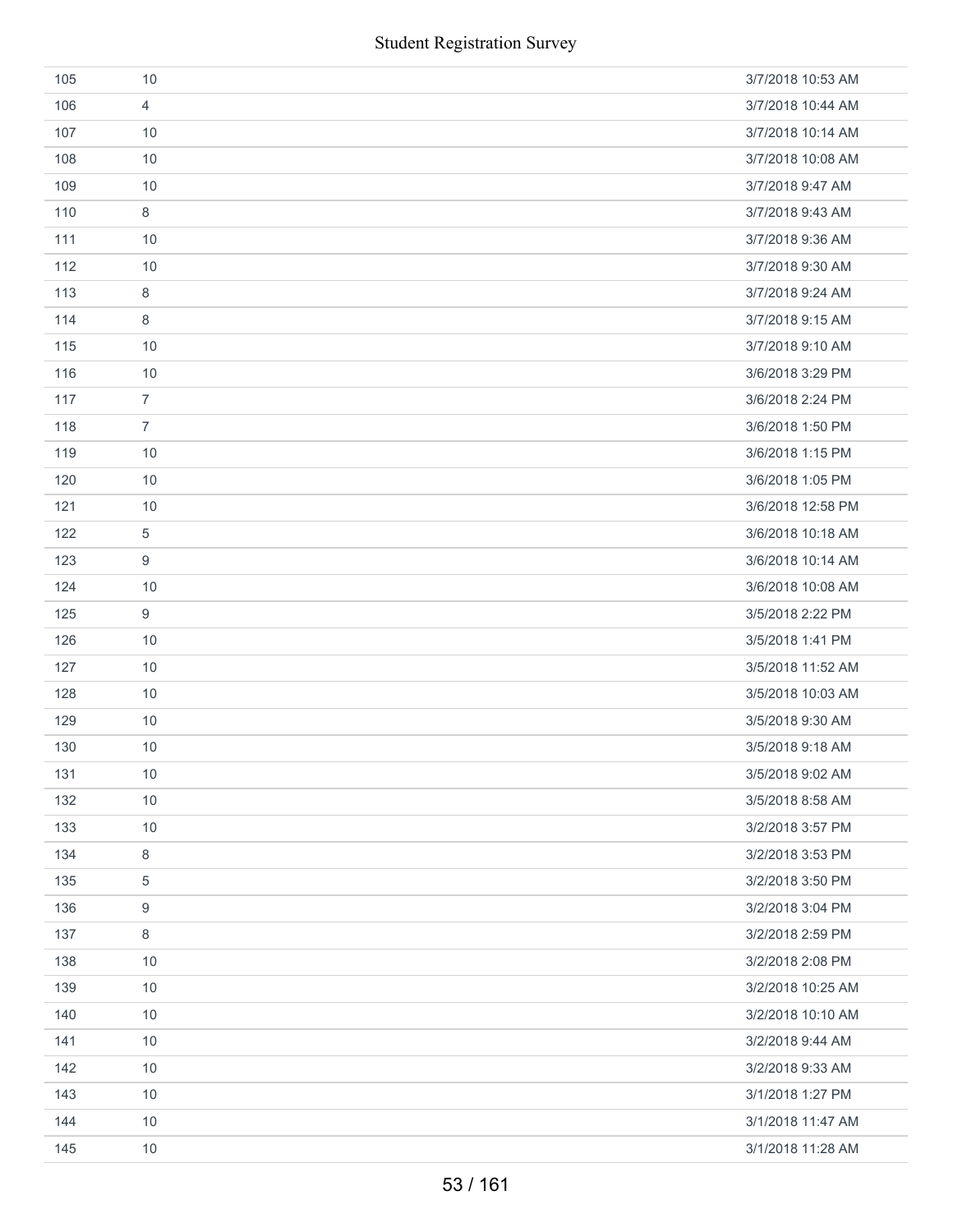|     | <b>Student Registration Survey</b> |                   |
|-----|------------------------------------|-------------------|
| 105 | 10                                 | 3/7/2018 10:53 AM |
| 106 | $\overline{4}$                     | 3/7/2018 10:44 AM |
| 107 | 10                                 | 3/7/2018 10:14 AM |
| 108 | 10                                 | 3/7/2018 10:08 AM |
| 109 | 10                                 | 3/7/2018 9:47 AM  |
| 110 | 8                                  | 3/7/2018 9:43 AM  |
| 111 | 10                                 | 3/7/2018 9:36 AM  |
| 112 | 10                                 | 3/7/2018 9:30 AM  |
| 113 | 8                                  | 3/7/2018 9:24 AM  |
| 114 | 8                                  | 3/7/2018 9:15 AM  |
| 115 | 10                                 | 3/7/2018 9:10 AM  |
| 116 | 10                                 | 3/6/2018 3:29 PM  |
| 117 | $\overline{7}$                     | 3/6/2018 2:24 PM  |
| 118 | $\overline{7}$                     | 3/6/2018 1:50 PM  |
| 119 | 10                                 | 3/6/2018 1:15 PM  |
| 120 | 10                                 | 3/6/2018 1:05 PM  |
| 121 | 10                                 | 3/6/2018 12:58 PM |
| 122 | 5                                  | 3/6/2018 10:18 AM |
| 123 | 9                                  | 3/6/2018 10:14 AM |
| 124 | 10                                 | 3/6/2018 10:08 AM |
| 125 | 9                                  | 3/5/2018 2:22 PM  |
| 126 | 10                                 | 3/5/2018 1:41 PM  |
| 127 | 10                                 | 3/5/2018 11:52 AM |
| 128 | 10                                 | 3/5/2018 10:03 AM |
| 129 | $10$                               | 3/5/2018 9:30 AM  |
| 130 | 10                                 | 3/5/2018 9:18 AM  |
| 131 | 10                                 | 3/5/2018 9:02 AM  |
| 132 | 10                                 | 3/5/2018 8:58 AM  |
| 133 | 10                                 | 3/2/2018 3:57 PM  |
| 134 | 8                                  | 3/2/2018 3:53 PM  |
| 135 | 5                                  | 3/2/2018 3:50 PM  |
| 136 | 9                                  | 3/2/2018 3:04 PM  |
| 137 | 8                                  | 3/2/2018 2:59 PM  |
| 138 | 10                                 | 3/2/2018 2:08 PM  |
| 139 | 10                                 | 3/2/2018 10:25 AM |
| 140 | 10                                 | 3/2/2018 10:10 AM |
| 141 | 10                                 | 3/2/2018 9:44 AM  |
| 142 | 10                                 | 3/2/2018 9:33 AM  |
| 143 | 10                                 | 3/1/2018 1:27 PM  |
| 144 | 10                                 | 3/1/2018 11:47 AM |
| 145 | 10                                 | 3/1/2018 11:28 AM |
|     | 53/161                             |                   |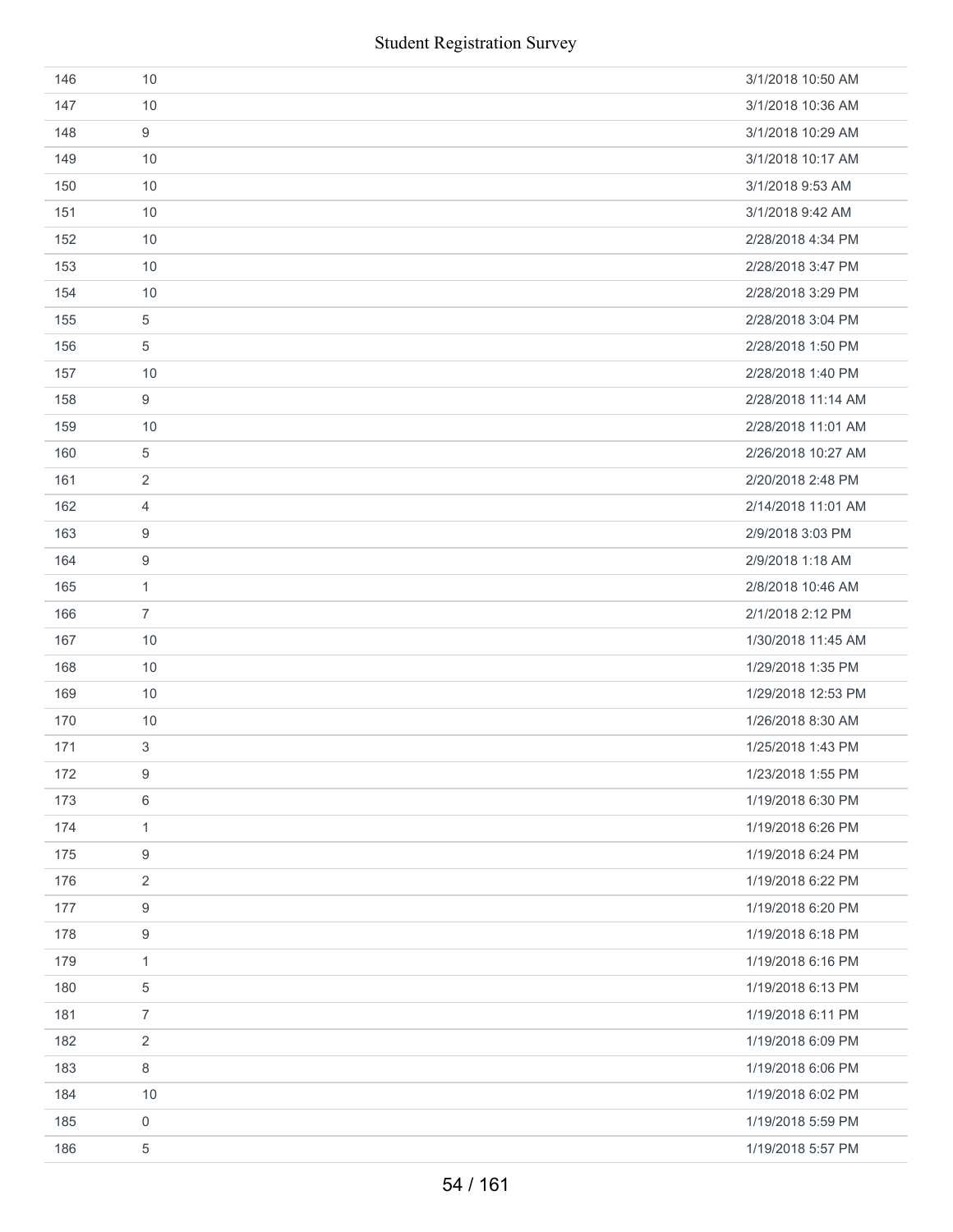| 146 | 10               | 3/1/2018 10:50 AM  |
|-----|------------------|--------------------|
| 147 | 10               | 3/1/2018 10:36 AM  |
| 148 | 9                | 3/1/2018 10:29 AM  |
| 149 | 10               | 3/1/2018 10:17 AM  |
| 150 | 10               | 3/1/2018 9:53 AM   |
| 151 | 10               | 3/1/2018 9:42 AM   |
| 152 | 10               | 2/28/2018 4:34 PM  |
| 153 | 10               | 2/28/2018 3:47 PM  |
| 154 | 10               | 2/28/2018 3:29 PM  |
| 155 | 5                | 2/28/2018 3:04 PM  |
| 156 | 5                | 2/28/2018 1:50 PM  |
| 157 | 10               | 2/28/2018 1:40 PM  |
| 158 | 9                | 2/28/2018 11:14 AM |
| 159 | 10               | 2/28/2018 11:01 AM |
| 160 | 5                | 2/26/2018 10:27 AM |
| 161 | $\overline{2}$   | 2/20/2018 2:48 PM  |
| 162 | 4                | 2/14/2018 11:01 AM |
| 163 | 9                | 2/9/2018 3:03 PM   |
| 164 | 9                | 2/9/2018 1:18 AM   |
| 165 | $\mathbf{1}$     | 2/8/2018 10:46 AM  |
| 166 | $\overline{7}$   | 2/1/2018 2:12 PM   |
| 167 | 10               | 1/30/2018 11:45 AM |
| 168 | 10               | 1/29/2018 1:35 PM  |
| 169 | 10               | 1/29/2018 12:53 PM |
| 170 | 10               | 1/26/2018 8:30 AM  |
| 171 | $\mathfrak{S}$   | 1/25/2018 1:43 PM  |
| 172 | $\boldsymbol{9}$ | 1/23/2018 1:55 PM  |
| 173 | $\,6\,$          | 1/19/2018 6:30 PM  |
| 174 | $\mathbf{1}$     | 1/19/2018 6:26 PM  |
| 175 | 9                | 1/19/2018 6:24 PM  |
| 176 | 2                | 1/19/2018 6:22 PM  |
| 177 | 9                | 1/19/2018 6:20 PM  |
| 178 | $\boldsymbol{9}$ | 1/19/2018 6:18 PM  |
| 179 | $\mathbf{1}$     | 1/19/2018 6:16 PM  |
| 180 | 5                | 1/19/2018 6:13 PM  |
| 181 | $\overline{7}$   | 1/19/2018 6:11 PM  |
| 182 | $\sqrt{2}$       | 1/19/2018 6:09 PM  |
| 183 | 8                | 1/19/2018 6:06 PM  |
| 184 | 10               | 1/19/2018 6:02 PM  |
| 185 | $\mathbf 0$      | 1/19/2018 5:59 PM  |
| 186 | 5                | 1/19/2018 5:57 PM  |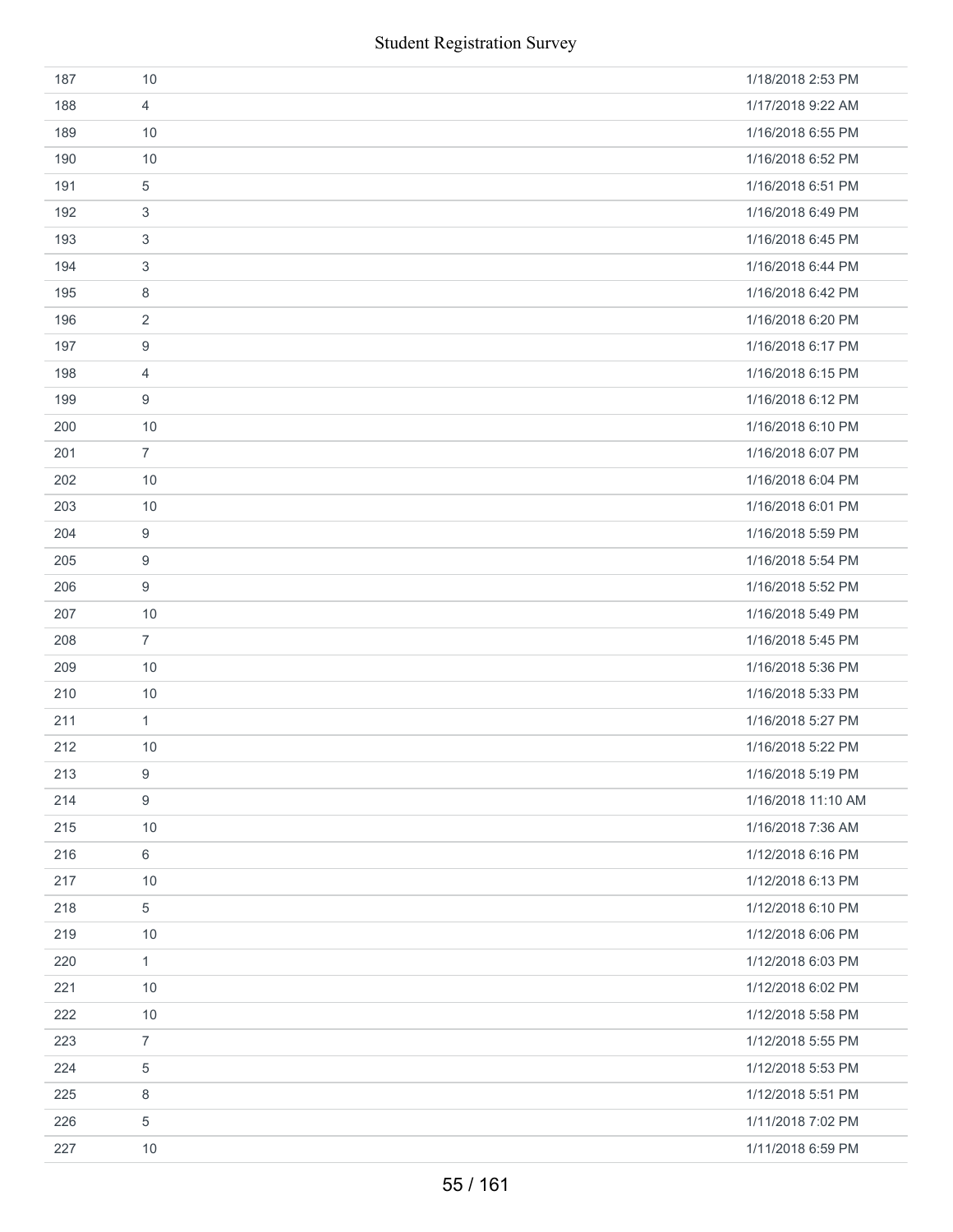|     | <b>Student Registration Survey</b> |                    |
|-----|------------------------------------|--------------------|
| 187 | 10                                 | 1/18/2018 2:53 PM  |
| 188 | $\overline{4}$                     | 1/17/2018 9:22 AM  |
| 189 | 10                                 | 1/16/2018 6:55 PM  |
| 190 | 10                                 | 1/16/2018 6:52 PM  |
| 191 | 5                                  | 1/16/2018 6:51 PM  |
| 192 | 3                                  | 1/16/2018 6:49 PM  |
| 193 | 3                                  | 1/16/2018 6:45 PM  |
| 194 | 3                                  | 1/16/2018 6:44 PM  |
| 195 | 8                                  | 1/16/2018 6:42 PM  |
| 196 | $\overline{2}$                     | 1/16/2018 6:20 PM  |
| 197 | 9                                  | 1/16/2018 6:17 PM  |
| 198 | 4                                  | 1/16/2018 6:15 PM  |
| 199 | 9                                  | 1/16/2018 6:12 PM  |
| 200 | 10                                 | 1/16/2018 6:10 PM  |
| 201 | $\overline{7}$                     | 1/16/2018 6:07 PM  |
| 202 | 10                                 | 1/16/2018 6:04 PM  |
| 203 | 10                                 | 1/16/2018 6:01 PM  |
| 204 | 9                                  | 1/16/2018 5:59 PM  |
| 205 | 9                                  | 1/16/2018 5:54 PM  |
| 206 | 9                                  | 1/16/2018 5:52 PM  |
| 207 | 10                                 | 1/16/2018 5:49 PM  |
| 208 | $\overline{7}$                     | 1/16/2018 5:45 PM  |
| 209 | 10                                 | 1/16/2018 5:36 PM  |
| 210 | $10$                               | 1/16/2018 5:33 PM  |
| 211 | $\mathbf{1}$                       | 1/16/2018 5:27 PM  |
| 212 | 10                                 | 1/16/2018 5:22 PM  |
| 213 | 9                                  | 1/16/2018 5:19 PM  |
| 214 | $\boldsymbol{9}$                   | 1/16/2018 11:10 AM |
| 215 | 10                                 | 1/16/2018 7:36 AM  |
| 216 | 6                                  | 1/12/2018 6:16 PM  |
| 217 | 10                                 | 1/12/2018 6:13 PM  |
| 218 | $\,$ 5 $\,$                        | 1/12/2018 6:10 PM  |
| 219 | 10                                 | 1/12/2018 6:06 PM  |
| 220 | $\mathbf{1}$                       | 1/12/2018 6:03 PM  |
| 221 | 10                                 | 1/12/2018 6:02 PM  |
| 222 | 10                                 | 1/12/2018 5:58 PM  |
| 223 | $\overline{7}$                     | 1/12/2018 5:55 PM  |
| 224 | 5                                  | 1/12/2018 5:53 PM  |
| 225 | 8                                  | 1/12/2018 5:51 PM  |
| 226 | 5                                  | 1/11/2018 7:02 PM  |
| 227 | 10                                 | 1/11/2018 6:59 PM  |
|     | 55 / 161                           |                    |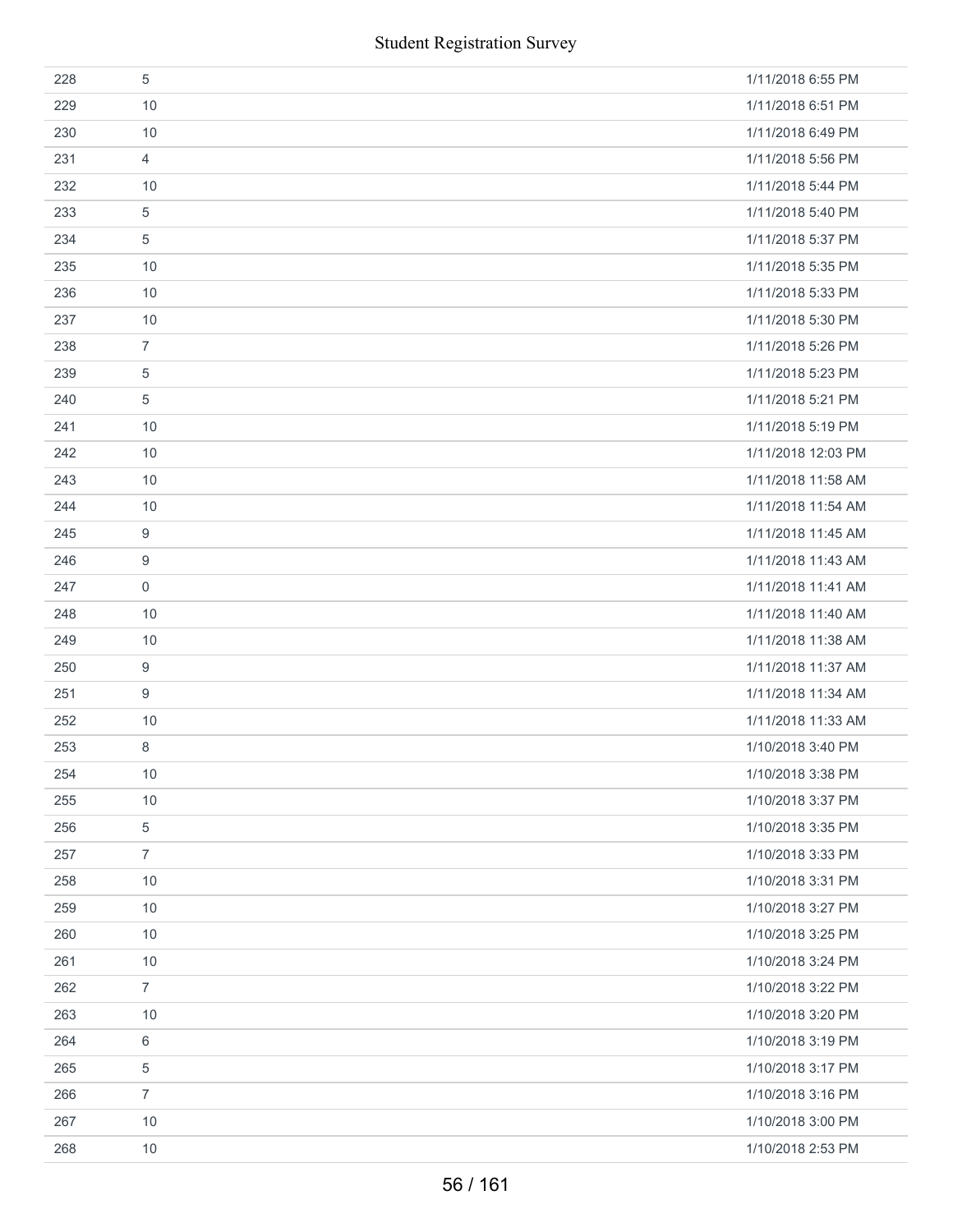|     | <b>Student Registration Survey</b> |                    |
|-----|------------------------------------|--------------------|
| 228 | $\sqrt{5}$                         | 1/11/2018 6:55 PM  |
| 229 | 10                                 | 1/11/2018 6:51 PM  |
| 230 | 10                                 | 1/11/2018 6:49 PM  |
| 231 | $\overline{4}$                     | 1/11/2018 5:56 PM  |
| 232 | 10                                 | 1/11/2018 5:44 PM  |
| 233 | $\sqrt{5}$                         | 1/11/2018 5:40 PM  |
| 234 | 5                                  | 1/11/2018 5:37 PM  |
| 235 | 10                                 | 1/11/2018 5:35 PM  |
| 236 | 10                                 | 1/11/2018 5:33 PM  |
| 237 | 10                                 | 1/11/2018 5:30 PM  |
| 238 | $\overline{7}$                     | 1/11/2018 5:26 PM  |
| 239 | $\sqrt{5}$                         | 1/11/2018 5:23 PM  |
| 240 | 5                                  | 1/11/2018 5:21 PM  |
| 241 | 10                                 | 1/11/2018 5:19 PM  |
| 242 | 10                                 | 1/11/2018 12:03 PM |
| 243 | 10                                 | 1/11/2018 11:58 AM |
| 244 | 10                                 | 1/11/2018 11:54 AM |
| 245 | $\boldsymbol{9}$                   | 1/11/2018 11:45 AM |
| 246 | 9                                  | 1/11/2018 11:43 AM |
| 247 | $\boldsymbol{0}$                   | 1/11/2018 11:41 AM |
| 248 | 10                                 | 1/11/2018 11:40 AM |
| 249 | 10                                 | 1/11/2018 11:38 AM |
| 250 | 9                                  | 1/11/2018 11:37 AM |
| 251 | 9                                  | 1/11/2018 11:34 AM |
| 252 | 10                                 | 1/11/2018 11:33 AM |
| 253 | 8                                  | 1/10/2018 3:40 PM  |
| 254 | 10                                 | 1/10/2018 3:38 PM  |
| 255 | 10                                 | 1/10/2018 3:37 PM  |
| 256 | $\,$ 5 $\,$                        | 1/10/2018 3:35 PM  |
| 257 | $\overline{7}$                     | 1/10/2018 3:33 PM  |
| 258 | 10                                 | 1/10/2018 3:31 PM  |
| 259 | 10                                 | 1/10/2018 3:27 PM  |
| 260 | 10                                 | 1/10/2018 3:25 PM  |
| 261 | 10                                 | 1/10/2018 3:24 PM  |
| 262 | $\overline{7}$                     | 1/10/2018 3:22 PM  |
| 263 | 10                                 | 1/10/2018 3:20 PM  |
| 264 | $\,6\,$                            | 1/10/2018 3:19 PM  |
| 265 | 5                                  | 1/10/2018 3:17 PM  |
| 266 | $\overline{7}$                     | 1/10/2018 3:16 PM  |
| 267 | 10                                 | 1/10/2018 3:00 PM  |
| 268 | 10                                 | 1/10/2018 2:53 PM  |
|     | 56 / 161                           |                    |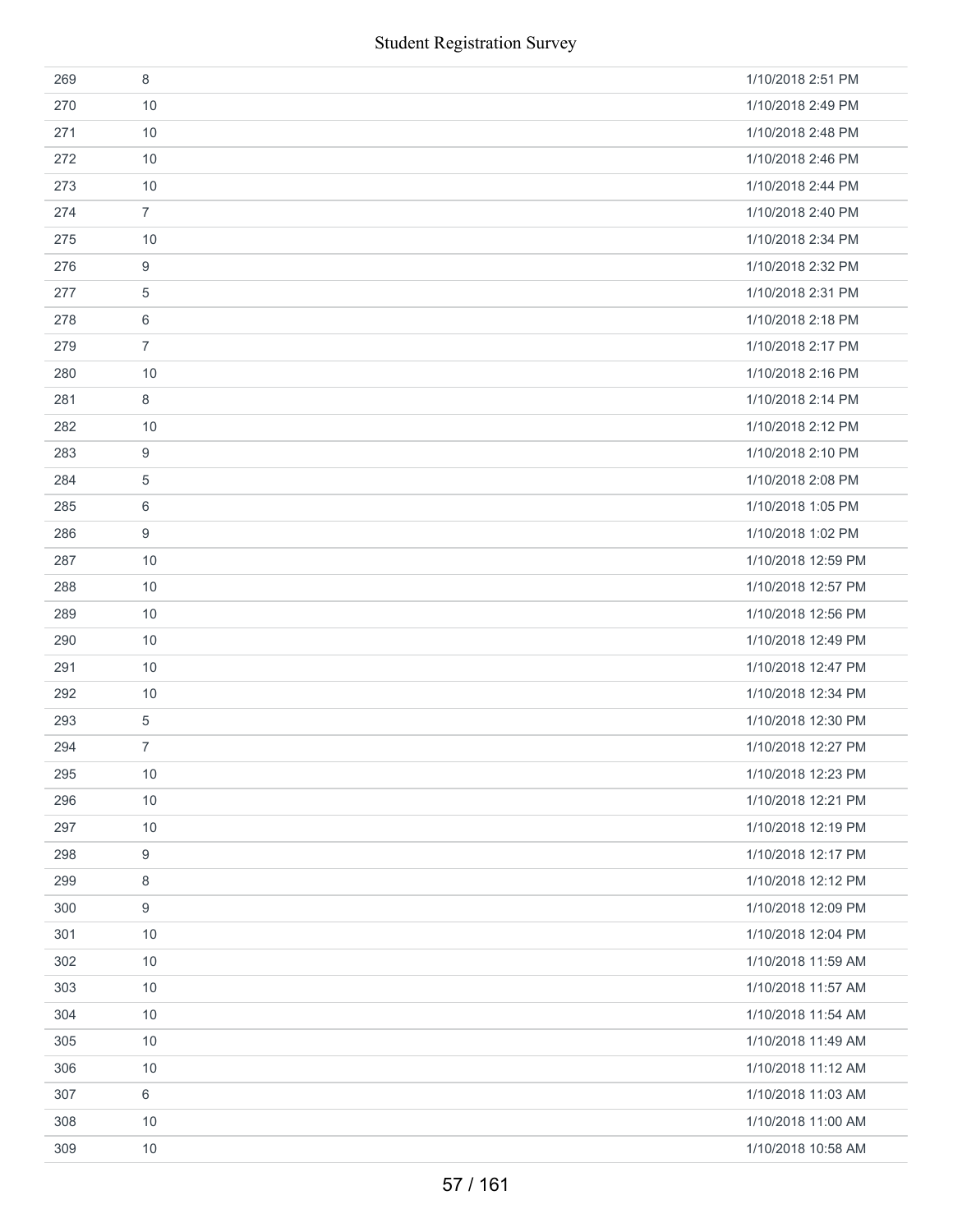|     | <b>Student Registration Survey</b> |                    |
|-----|------------------------------------|--------------------|
| 269 | 8                                  | 1/10/2018 2:51 PM  |
| 270 | 10                                 | 1/10/2018 2:49 PM  |
| 271 | 10                                 | 1/10/2018 2:48 PM  |
| 272 | 10                                 | 1/10/2018 2:46 PM  |
| 273 | 10                                 | 1/10/2018 2:44 PM  |
| 274 | $\overline{7}$                     | 1/10/2018 2:40 PM  |
| 275 | 10                                 | 1/10/2018 2:34 PM  |
| 276 | 9                                  | 1/10/2018 2:32 PM  |
| 277 | 5                                  | 1/10/2018 2:31 PM  |
| 278 | 6                                  | 1/10/2018 2:18 PM  |
| 279 | $\overline{7}$                     | 1/10/2018 2:17 PM  |
| 280 | 10                                 | 1/10/2018 2:16 PM  |
| 281 | 8                                  | 1/10/2018 2:14 PM  |
| 282 | 10                                 | 1/10/2018 2:12 PM  |
| 283 | 9                                  | 1/10/2018 2:10 PM  |
| 284 | 5                                  | 1/10/2018 2:08 PM  |
| 285 | 6                                  | 1/10/2018 1:05 PM  |
| 286 | 9                                  | 1/10/2018 1:02 PM  |
| 287 | 10                                 | 1/10/2018 12:59 PM |
| 288 | 10                                 | 1/10/2018 12:57 PM |
| 289 | 10                                 | 1/10/2018 12:56 PM |
| 290 | 10                                 | 1/10/2018 12:49 PM |
| 291 | 10                                 | 1/10/2018 12:47 PM |
| 292 | 10                                 | 1/10/2018 12:34 PM |
| 293 | 5                                  | 1/10/2018 12:30 PM |
| 294 | 7                                  | 1/10/2018 12:27 PM |
| 295 | 10                                 | 1/10/2018 12:23 PM |
| 296 | 10                                 | 1/10/2018 12:21 PM |
| 297 | 10                                 | 1/10/2018 12:19 PM |
| 298 | 9                                  | 1/10/2018 12:17 PM |
| 299 | 8                                  | 1/10/2018 12:12 PM |
| 300 | 9                                  | 1/10/2018 12:09 PM |
| 301 | 10                                 | 1/10/2018 12:04 PM |
| 302 | 10                                 | 1/10/2018 11:59 AM |
| 303 | 10                                 | 1/10/2018 11:57 AM |
| 304 | 10                                 | 1/10/2018 11:54 AM |
| 305 | 10                                 | 1/10/2018 11:49 AM |
| 306 | 10                                 | 1/10/2018 11:12 AM |
| 307 | 6                                  | 1/10/2018 11:03 AM |
| 308 | 10                                 | 1/10/2018 11:00 AM |
| 309 | 10                                 | 1/10/2018 10:58 AM |
|     | 57 / 161                           |                    |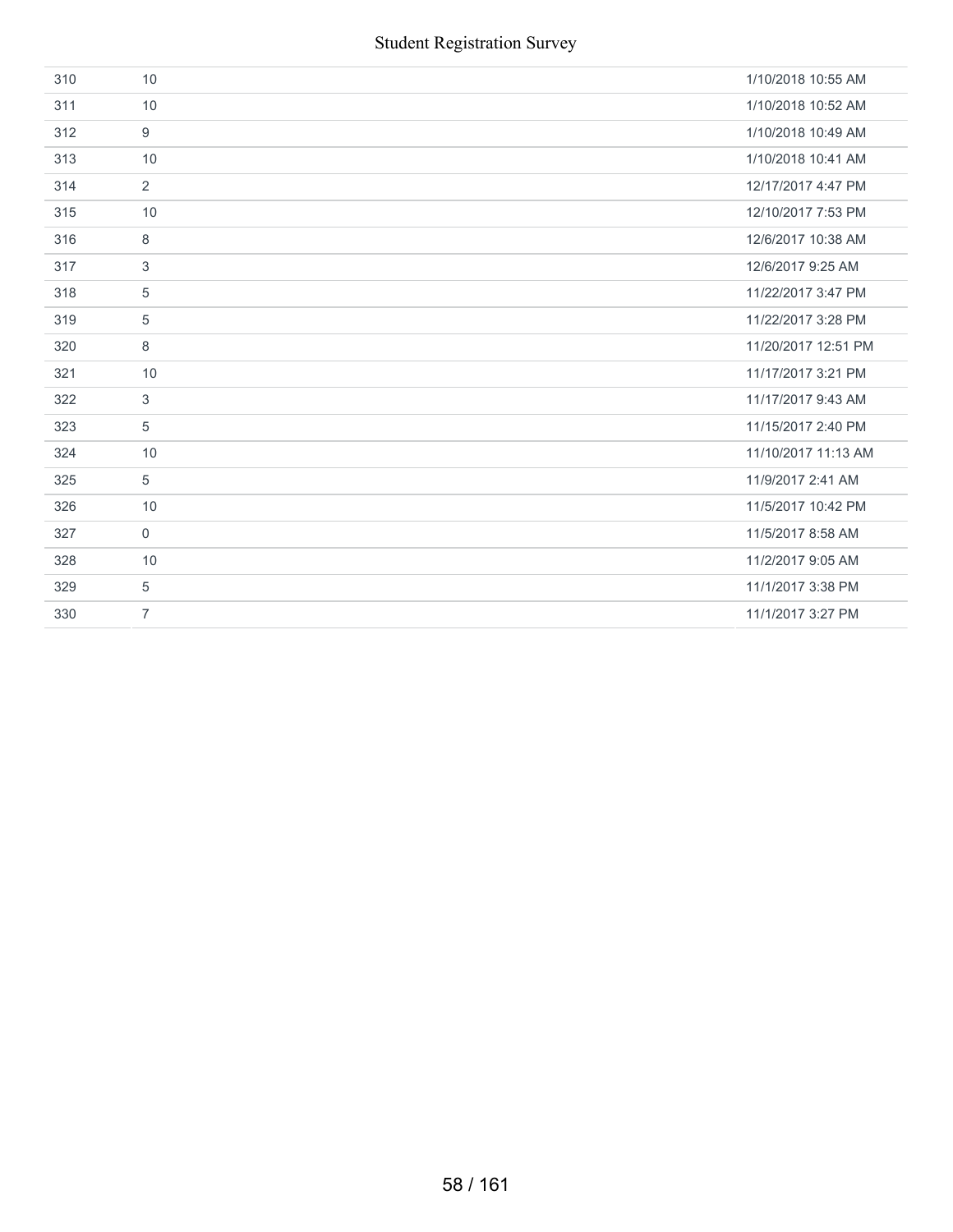| 310 | 10             | 1/10/2018 10:55 AM  |
|-----|----------------|---------------------|
| 311 | 10             | 1/10/2018 10:52 AM  |
| 312 | 9              | 1/10/2018 10:49 AM  |
| 313 | 10             | 1/10/2018 10:41 AM  |
| 314 | $\overline{2}$ | 12/17/2017 4:47 PM  |
| 315 | 10             | 12/10/2017 7:53 PM  |
| 316 | 8              | 12/6/2017 10:38 AM  |
| 317 | 3              | 12/6/2017 9:25 AM   |
| 318 | 5              | 11/22/2017 3:47 PM  |
| 319 | 5              | 11/22/2017 3:28 PM  |
| 320 | 8              | 11/20/2017 12:51 PM |
| 321 | 10             | 11/17/2017 3:21 PM  |
| 322 | 3              | 11/17/2017 9:43 AM  |
| 323 | 5              | 11/15/2017 2:40 PM  |
| 324 | 10             | 11/10/2017 11:13 AM |
| 325 | 5              | 11/9/2017 2:41 AM   |
| 326 | 10             | 11/5/2017 10:42 PM  |
| 327 | $\mathbf 0$    | 11/5/2017 8:58 AM   |
| 328 | 10             | 11/2/2017 9:05 AM   |
| 329 | 5              | 11/1/2017 3:38 PM   |
| 330 | $\overline{7}$ | 11/1/2017 3:27 PM   |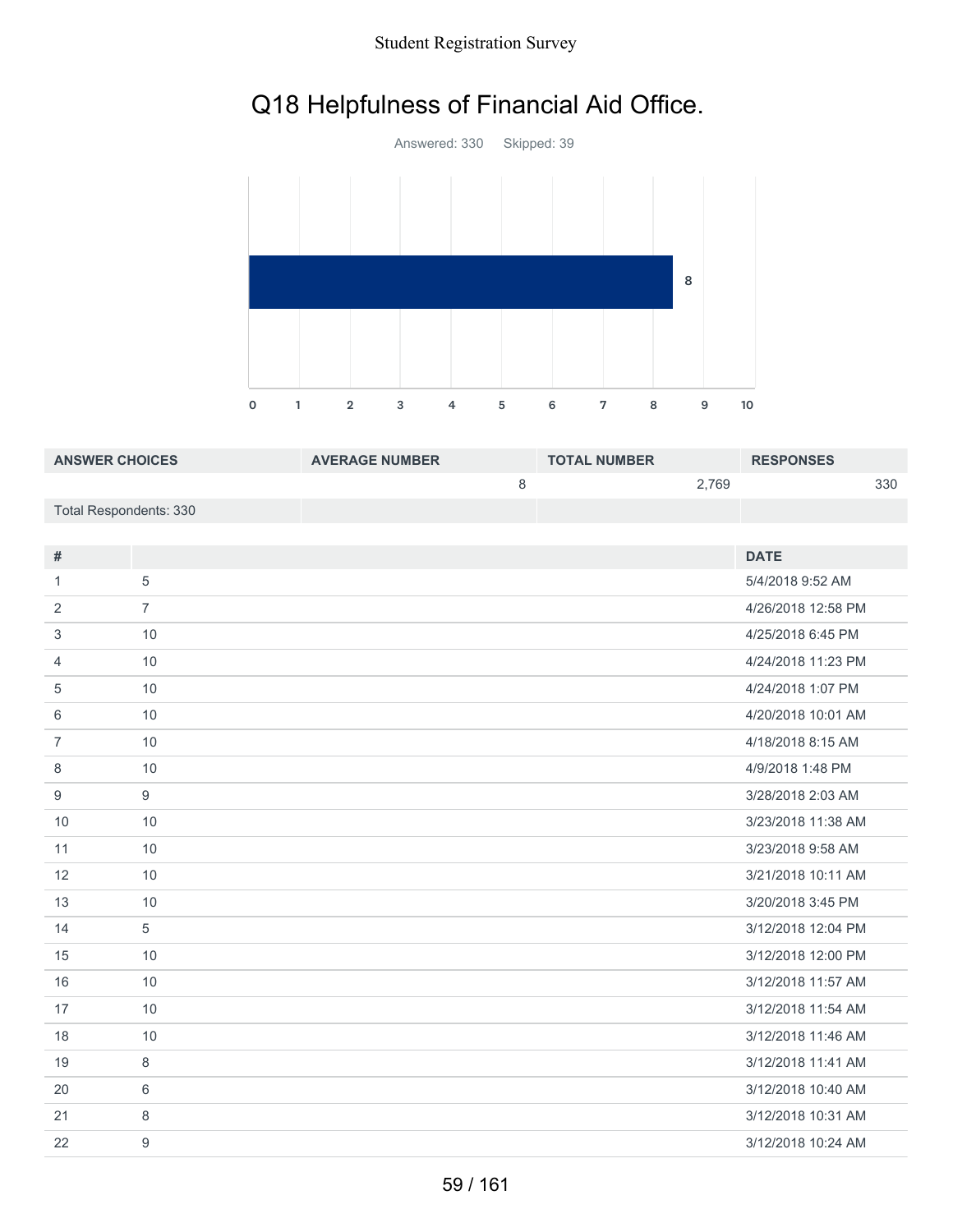### Student Registration Survey

# Q18 Helpfulness of Financial Aid Office.



| <b>ANSWER CHOICES</b>  | <b>AVERAGE NUMBER</b> | <b>TOTAL NUMBER</b> |       | <b>RESPONSES</b> |     |
|------------------------|-----------------------|---------------------|-------|------------------|-----|
|                        |                       |                     | 2.769 |                  | 330 |
| Total Respondents: 330 |                       |                     |       |                  |     |

| #              |                | <b>DATE</b>        |
|----------------|----------------|--------------------|
| 1              | 5              | 5/4/2018 9:52 AM   |
| 2              | $\overline{7}$ | 4/26/2018 12:58 PM |
| 3              | 10             | 4/25/2018 6:45 PM  |
| 4              | 10             | 4/24/2018 11:23 PM |
| 5              | 10             | 4/24/2018 1:07 PM  |
| 6              | 10             | 4/20/2018 10:01 AM |
| $\overline{7}$ | 10             | 4/18/2018 8:15 AM  |
| 8              | 10             | 4/9/2018 1:48 PM   |
| 9              | 9              | 3/28/2018 2:03 AM  |
| 10             | 10             | 3/23/2018 11:38 AM |
| 11             | 10             | 3/23/2018 9:58 AM  |
| 12             | 10             | 3/21/2018 10:11 AM |
| 13             | 10             | 3/20/2018 3:45 PM  |
| 14             | 5              | 3/12/2018 12:04 PM |
| 15             | 10             | 3/12/2018 12:00 PM |
| 16             | 10             | 3/12/2018 11:57 AM |
| 17             | 10             | 3/12/2018 11:54 AM |
| 18             | 10             | 3/12/2018 11:46 AM |
| 19             | 8              | 3/12/2018 11:41 AM |
| 20             | 6              | 3/12/2018 10:40 AM |
| 21             | 8              | 3/12/2018 10:31 AM |
| 22             | 9              | 3/12/2018 10:24 AM |
|                |                |                    |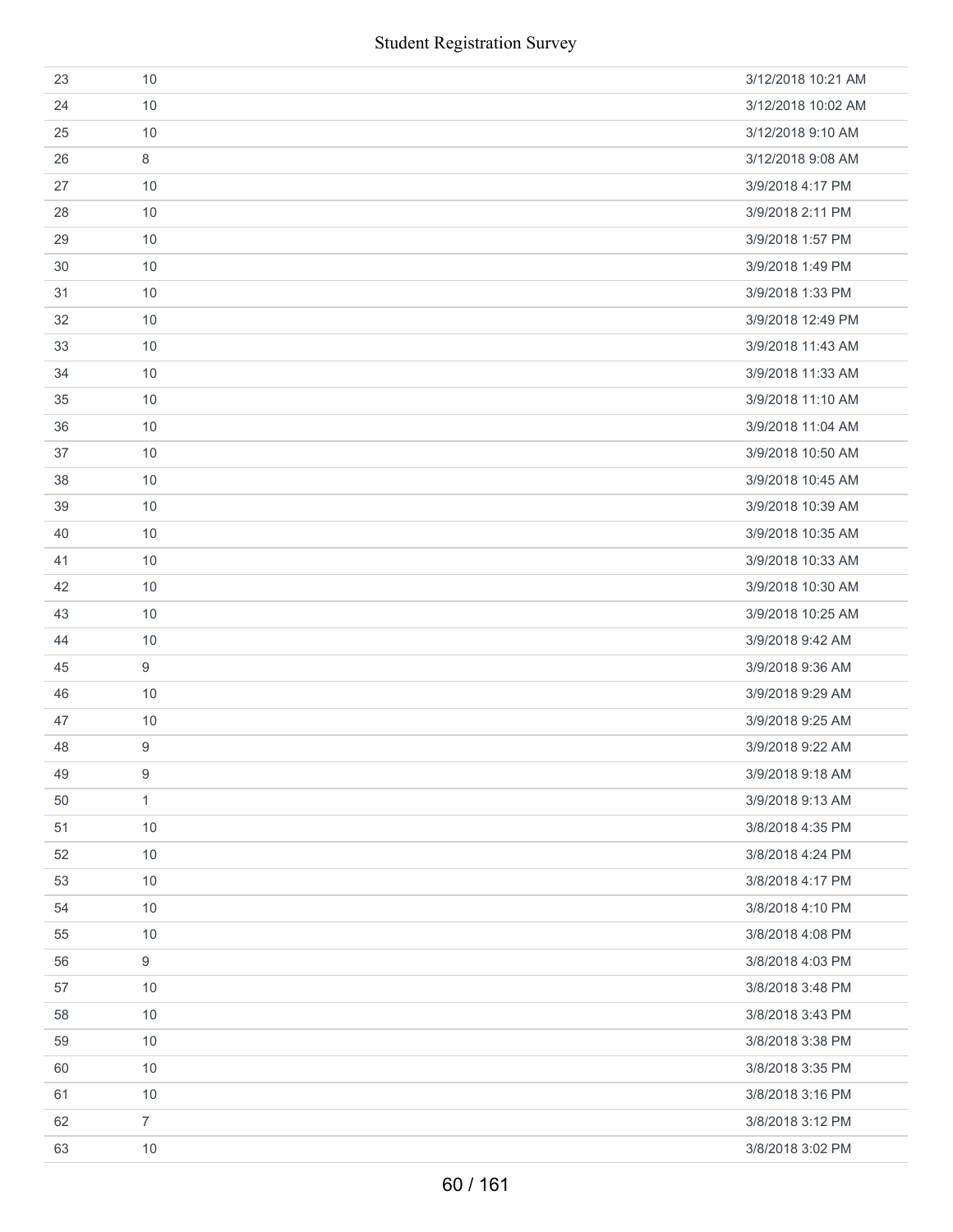| 23 | 10               | 3/12/2018 10:21 AM |
|----|------------------|--------------------|
| 24 | 10               | 3/12/2018 10:02 AM |
| 25 | 10               | 3/12/2018 9:10 AM  |
| 26 | 8                | 3/12/2018 9:08 AM  |
| 27 | 10               | 3/9/2018 4:17 PM   |
| 28 | 10               | 3/9/2018 2:11 PM   |
| 29 | 10               | 3/9/2018 1:57 PM   |
| 30 | 10               | 3/9/2018 1:49 PM   |
| 31 | 10               | 3/9/2018 1:33 PM   |
| 32 | 10               | 3/9/2018 12:49 PM  |
| 33 | 10               | 3/9/2018 11:43 AM  |
| 34 | 10               | 3/9/2018 11:33 AM  |
| 35 | 10               | 3/9/2018 11:10 AM  |
| 36 | 10               | 3/9/2018 11:04 AM  |
| 37 | 10               | 3/9/2018 10:50 AM  |
| 38 | 10               | 3/9/2018 10:45 AM  |
| 39 | 10               | 3/9/2018 10:39 AM  |
| 40 | 10               | 3/9/2018 10:35 AM  |
| 41 | 10               | 3/9/2018 10:33 AM  |
| 42 | 10               | 3/9/2018 10:30 AM  |
| 43 | 10               | 3/9/2018 10:25 AM  |
| 44 | 10               | 3/9/2018 9:42 AM   |
| 45 | 9                | 3/9/2018 9:36 AM   |
| 46 | 10               | 3/9/2018 9:29 AM   |
| 47 | 10               | 3/9/2018 9:25 AM   |
| 48 | 9                | 3/9/2018 9:22 AM   |
| 49 | 9                | 3/9/2018 9:18 AM   |
| 50 | $\mathbf{1}$     | 3/9/2018 9:13 AM   |
| 51 | 10               | 3/8/2018 4:35 PM   |
| 52 | 10               | 3/8/2018 4:24 PM   |
| 53 | 10               | 3/8/2018 4:17 PM   |
| 54 | 10               | 3/8/2018 4:10 PM   |
| 55 | 10               | 3/8/2018 4:08 PM   |
| 56 | $\boldsymbol{9}$ | 3/8/2018 4:03 PM   |
| 57 | 10               | 3/8/2018 3:48 PM   |
| 58 | 10               | 3/8/2018 3:43 PM   |
| 59 | 10               | 3/8/2018 3:38 PM   |
| 60 | 10               | 3/8/2018 3:35 PM   |
| 61 | 10               | 3/8/2018 3:16 PM   |
| 62 | $\overline{7}$   | 3/8/2018 3:12 PM   |
| 63 | 10               | 3/8/2018 3:02 PM   |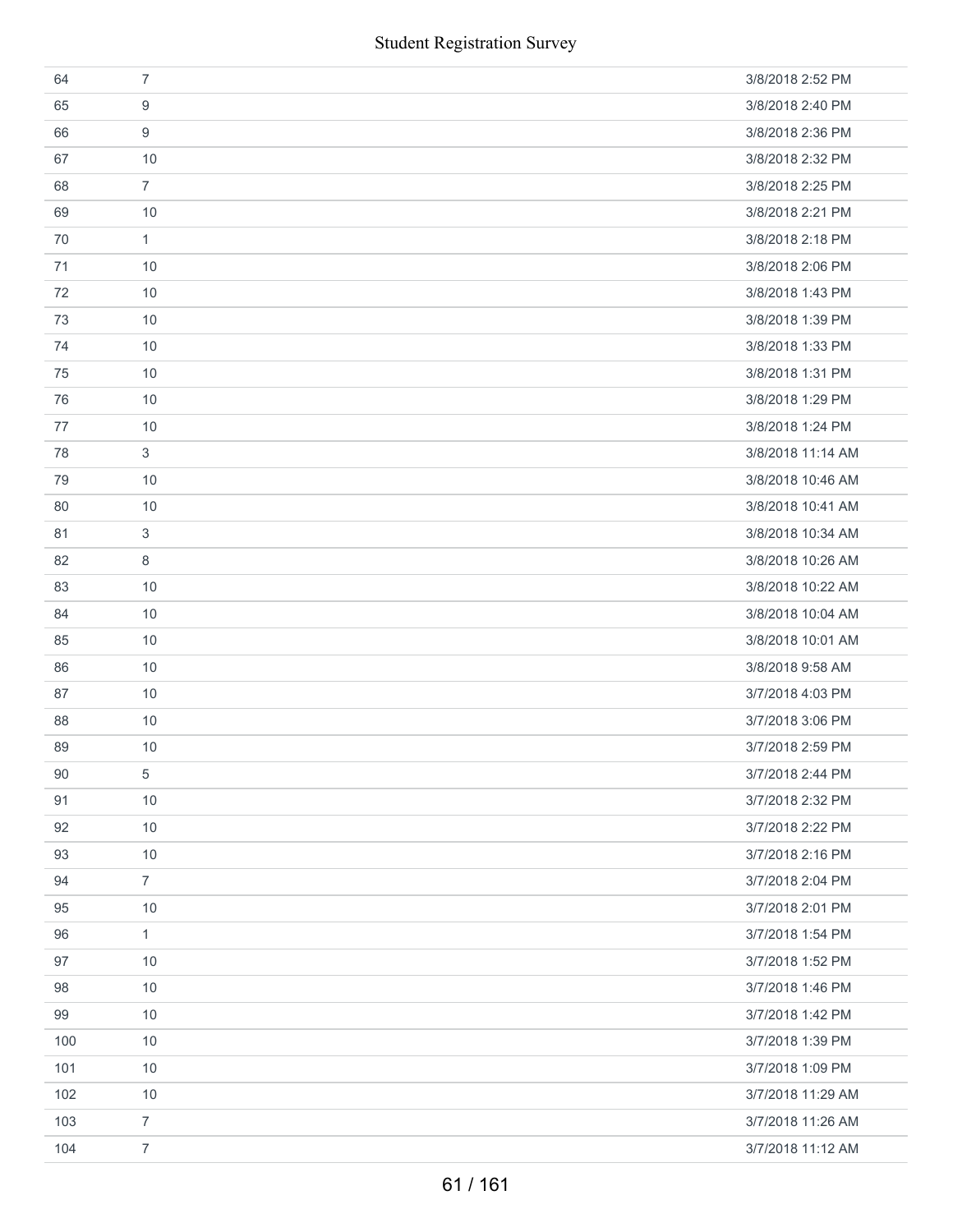|     | <b>Student Registration Survey</b> |                   |
|-----|------------------------------------|-------------------|
| 64  | $\overline{7}$                     | 3/8/2018 2:52 PM  |
| 65  | 9                                  | 3/8/2018 2:40 PM  |
| 66  | 9                                  | 3/8/2018 2:36 PM  |
| 67  | 10                                 | 3/8/2018 2:32 PM  |
| 68  | $\overline{7}$                     | 3/8/2018 2:25 PM  |
| 69  | 10                                 | 3/8/2018 2:21 PM  |
| 70  | $\mathbf{1}$                       | 3/8/2018 2:18 PM  |
| 71  | 10                                 | 3/8/2018 2:06 PM  |
| 72  | 10                                 | 3/8/2018 1:43 PM  |
| 73  | 10                                 | 3/8/2018 1:39 PM  |
| 74  | 10                                 | 3/8/2018 1:33 PM  |
| 75  | 10                                 | 3/8/2018 1:31 PM  |
| 76  | 10                                 | 3/8/2018 1:29 PM  |
| 77  | 10                                 | 3/8/2018 1:24 PM  |
| 78  | 3                                  | 3/8/2018 11:14 AM |
| 79  | 10                                 | 3/8/2018 10:46 AM |
| 80  | 10                                 | 3/8/2018 10:41 AM |
| 81  | 3                                  | 3/8/2018 10:34 AM |
| 82  | 8                                  | 3/8/2018 10:26 AM |
| 83  | 10                                 | 3/8/2018 10:22 AM |
| 84  | 10                                 | 3/8/2018 10:04 AM |
| 85  | 10                                 | 3/8/2018 10:01 AM |
| 86  | 10                                 | 3/8/2018 9:58 AM  |
| 87  | 10                                 | 3/7/2018 4:03 PM  |
| 88  | $10$                               | 3/7/2018 3:06 PM  |
| 89  | 10                                 | 3/7/2018 2:59 PM  |
| 90  | 5                                  | 3/7/2018 2:44 PM  |
| 91  | 10                                 | 3/7/2018 2:32 PM  |
| 92  | 10                                 | 3/7/2018 2:22 PM  |
| 93  | 10                                 | 3/7/2018 2:16 PM  |
| 94  | $\overline{7}$                     | 3/7/2018 2:04 PM  |
| 95  | 10                                 | 3/7/2018 2:01 PM  |
| 96  | $\mathbf{1}$                       | 3/7/2018 1:54 PM  |
| 97  | 10                                 | 3/7/2018 1:52 PM  |
| 98  | 10                                 | 3/7/2018 1:46 PM  |
| 99  | 10                                 | 3/7/2018 1:42 PM  |
| 100 | 10                                 | 3/7/2018 1:39 PM  |
| 101 | 10                                 | 3/7/2018 1:09 PM  |
| 102 | $10$                               | 3/7/2018 11:29 AM |
| 103 | $\overline{7}$                     | 3/7/2018 11:26 AM |
| 104 | $\boldsymbol{7}$                   | 3/7/2018 11:12 AM |
|     | 61 / 161                           |                   |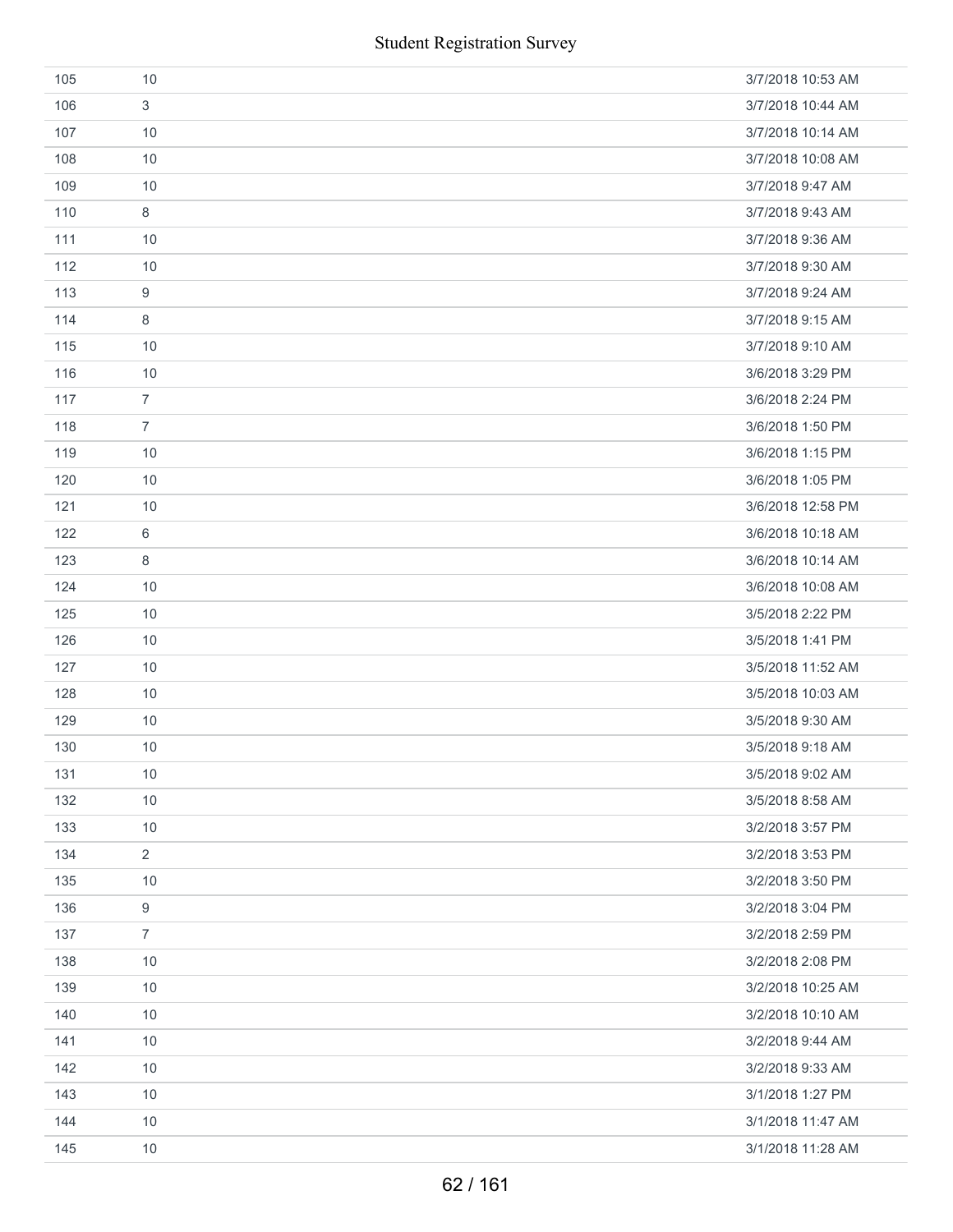|     | <b>Student Registration Survey</b> |                   |
|-----|------------------------------------|-------------------|
| 105 | 10                                 | 3/7/2018 10:53 AM |
| 106 | 3                                  | 3/7/2018 10:44 AM |
| 107 | 10                                 | 3/7/2018 10:14 AM |
| 108 | 10                                 | 3/7/2018 10:08 AM |
| 109 | 10                                 | 3/7/2018 9:47 AM  |
| 110 | 8                                  | 3/7/2018 9:43 AM  |
| 111 | 10                                 | 3/7/2018 9:36 AM  |
| 112 | 10                                 | 3/7/2018 9:30 AM  |
| 113 | 9                                  | 3/7/2018 9:24 AM  |
| 114 | 8                                  | 3/7/2018 9:15 AM  |
| 115 | 10                                 | 3/7/2018 9:10 AM  |
| 116 | 10                                 | 3/6/2018 3:29 PM  |
| 117 | $\overline{7}$                     | 3/6/2018 2:24 PM  |
| 118 | $\overline{7}$                     | 3/6/2018 1:50 PM  |
| 119 | 10                                 | 3/6/2018 1:15 PM  |
| 120 | 10                                 | 3/6/2018 1:05 PM  |
| 121 | 10                                 | 3/6/2018 12:58 PM |
| 122 | 6                                  | 3/6/2018 10:18 AM |
| 123 | 8                                  | 3/6/2018 10:14 AM |
| 124 | 10                                 | 3/6/2018 10:08 AM |
| 125 | 10                                 | 3/5/2018 2:22 PM  |
| 126 | 10                                 | 3/5/2018 1:41 PM  |
| 127 | 10                                 | 3/5/2018 11:52 AM |
| 128 | 10                                 | 3/5/2018 10:03 AM |
| 129 | $10$                               | 3/5/2018 9:30 AM  |
| 130 | 10                                 | 3/5/2018 9:18 AM  |
| 131 | 10                                 | 3/5/2018 9:02 AM  |
| 132 | 10                                 | 3/5/2018 8:58 AM  |
| 133 | 10                                 | 3/2/2018 3:57 PM  |
| 134 | $\overline{2}$                     | 3/2/2018 3:53 PM  |
| 135 | 10                                 | 3/2/2018 3:50 PM  |
| 136 | 9                                  | 3/2/2018 3:04 PM  |
| 137 | $\overline{7}$                     | 3/2/2018 2:59 PM  |
| 138 | 10                                 | 3/2/2018 2:08 PM  |
| 139 | 10                                 | 3/2/2018 10:25 AM |
| 140 | 10                                 | 3/2/2018 10:10 AM |
| 141 | 10                                 | 3/2/2018 9:44 AM  |
| 142 | 10                                 | 3/2/2018 9:33 AM  |
| 143 | 10                                 | 3/1/2018 1:27 PM  |
| 144 | 10                                 | 3/1/2018 11:47 AM |
| 145 | 10                                 | 3/1/2018 11:28 AM |
|     | 62 / 161                           |                   |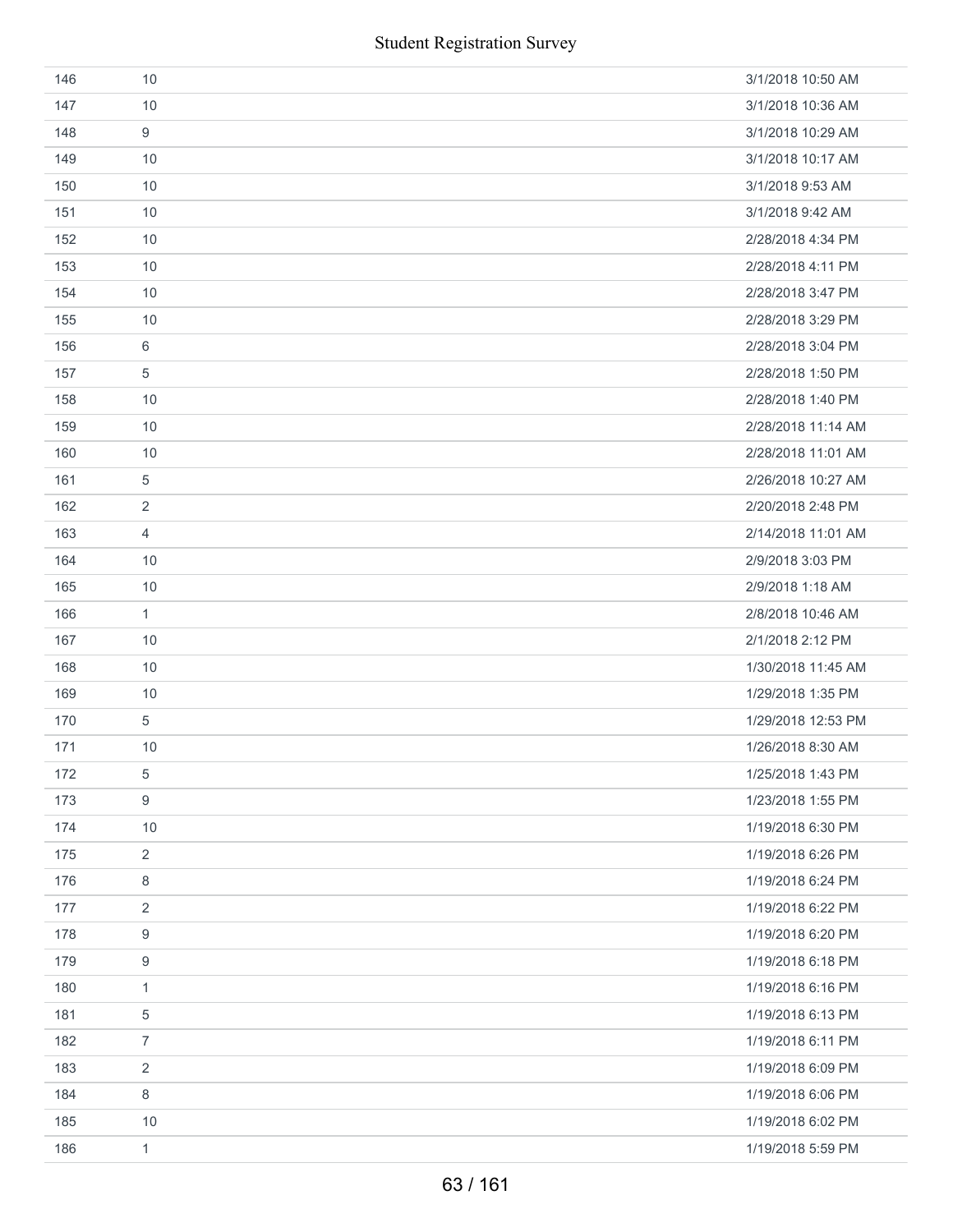| 146 | 10               | 3/1/2018 10:50 AM  |
|-----|------------------|--------------------|
| 147 | 10               | 3/1/2018 10:36 AM  |
| 148 | 9                | 3/1/2018 10:29 AM  |
| 149 | 10               | 3/1/2018 10:17 AM  |
| 150 | 10               | 3/1/2018 9:53 AM   |
| 151 | 10               | 3/1/2018 9:42 AM   |
| 152 | 10               | 2/28/2018 4:34 PM  |
| 153 | 10               | 2/28/2018 4:11 PM  |
| 154 | 10               | 2/28/2018 3:47 PM  |
| 155 | 10               | 2/28/2018 3:29 PM  |
| 156 | 6                | 2/28/2018 3:04 PM  |
| 157 | 5                | 2/28/2018 1:50 PM  |
| 158 | 10               | 2/28/2018 1:40 PM  |
| 159 | 10               | 2/28/2018 11:14 AM |
| 160 | 10               | 2/28/2018 11:01 AM |
| 161 | $\sqrt{5}$       | 2/26/2018 10:27 AM |
| 162 | $\overline{2}$   | 2/20/2018 2:48 PM  |
| 163 | $\overline{4}$   | 2/14/2018 11:01 AM |
| 164 | 10               | 2/9/2018 3:03 PM   |
| 165 | 10               | 2/9/2018 1:18 AM   |
| 166 | $\mathbf{1}$     | 2/8/2018 10:46 AM  |
| 167 | 10               | 2/1/2018 2:12 PM   |
| 168 | 10               | 1/30/2018 11:45 AM |
| 169 | 10               | 1/29/2018 1:35 PM  |
| 170 | $\sqrt{5}$       | 1/29/2018 12:53 PM |
| 171 | 10               | 1/26/2018 8:30 AM  |
| 172 | $\,$ 5 $\,$      | 1/25/2018 1:43 PM  |
| 173 | $\boldsymbol{9}$ | 1/23/2018 1:55 PM  |
| 174 | 10               | 1/19/2018 6:30 PM  |
| 175 | $\sqrt{2}$       | 1/19/2018 6:26 PM  |
| 176 | 8                | 1/19/2018 6:24 PM  |
| 177 | $\overline{2}$   | 1/19/2018 6:22 PM  |
| 178 | $\boldsymbol{9}$ | 1/19/2018 6:20 PM  |
| 179 | 9                | 1/19/2018 6:18 PM  |
| 180 | 1                | 1/19/2018 6:16 PM  |
| 181 | $\,$ 5 $\,$      | 1/19/2018 6:13 PM  |
| 182 | $\overline{7}$   | 1/19/2018 6:11 PM  |
| 183 | $\overline{2}$   | 1/19/2018 6:09 PM  |
| 184 | 8                | 1/19/2018 6:06 PM  |
| 185 | 10               | 1/19/2018 6:02 PM  |
| 186 | $\mathbf{1}$     | 1/19/2018 5:59 PM  |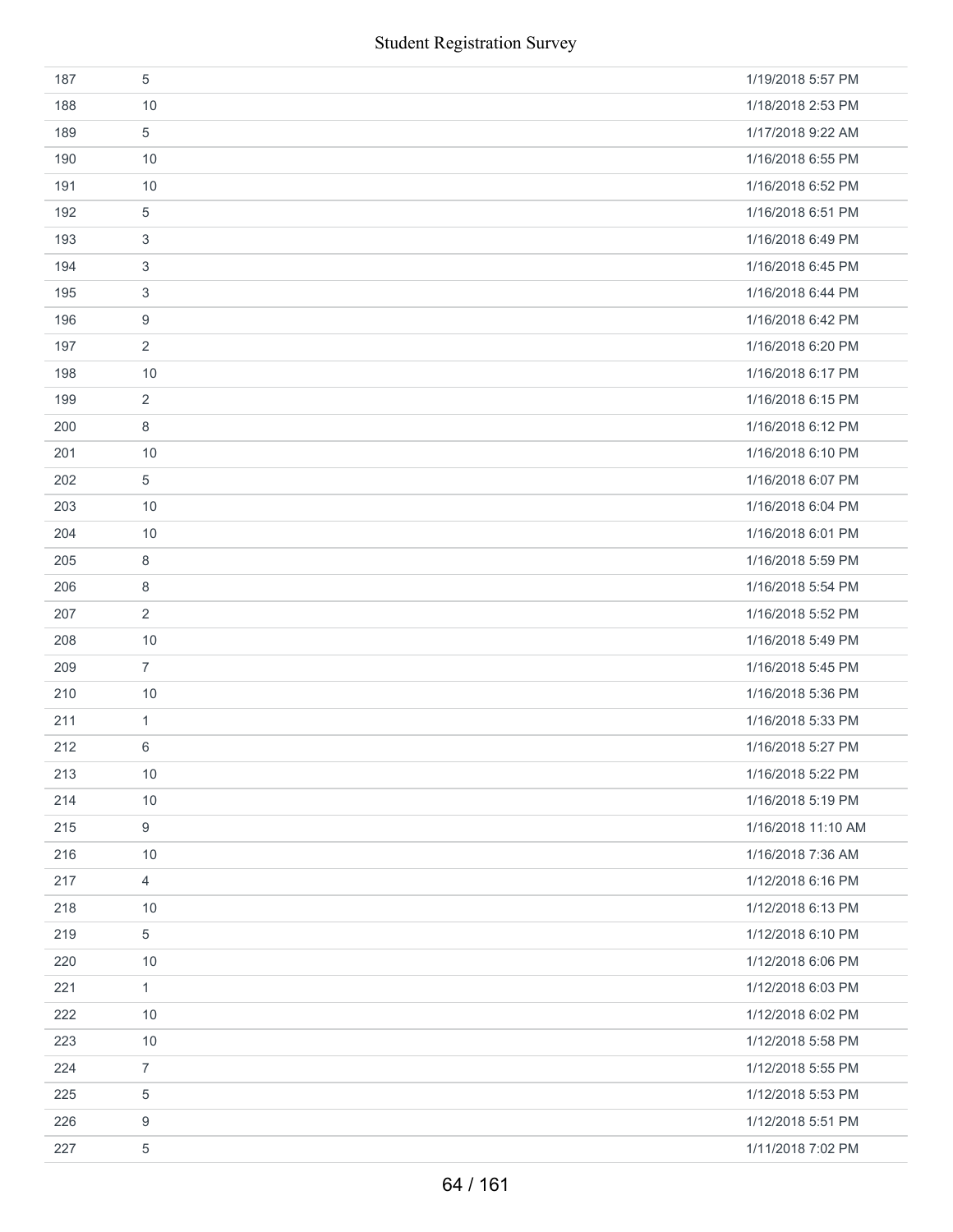|     | <b>Student Registration Survey</b> |                    |
|-----|------------------------------------|--------------------|
| 187 | 5                                  | 1/19/2018 5:57 PM  |
| 188 | 10                                 | 1/18/2018 2:53 PM  |
| 189 | 5                                  | 1/17/2018 9:22 AM  |
| 190 | 10                                 | 1/16/2018 6:55 PM  |
| 191 | 10                                 | 1/16/2018 6:52 PM  |
| 192 | 5                                  | 1/16/2018 6:51 PM  |
| 193 | 3                                  | 1/16/2018 6:49 PM  |
| 194 | 3                                  | 1/16/2018 6:45 PM  |
| 195 | 3                                  | 1/16/2018 6:44 PM  |
| 196 | 9                                  | 1/16/2018 6:42 PM  |
| 197 | $\overline{2}$                     | 1/16/2018 6:20 PM  |
| 198 | 10                                 | 1/16/2018 6:17 PM  |
| 199 | 2                                  | 1/16/2018 6:15 PM  |
| 200 | 8                                  | 1/16/2018 6:12 PM  |
| 201 | 10                                 | 1/16/2018 6:10 PM  |
| 202 | 5                                  | 1/16/2018 6:07 PM  |
| 203 | 10                                 | 1/16/2018 6:04 PM  |
| 204 | 10                                 | 1/16/2018 6:01 PM  |
| 205 | 8                                  | 1/16/2018 5:59 PM  |
| 206 | 8                                  | 1/16/2018 5:54 PM  |
| 207 | $\sqrt{2}$                         | 1/16/2018 5:52 PM  |
| 208 | 10                                 | 1/16/2018 5:49 PM  |
| 209 | $\overline{7}$                     | 1/16/2018 5:45 PM  |
| 210 | 10                                 | 1/16/2018 5:36 PM  |
| 211 | $\mathbf{1}$                       | 1/16/2018 5:33 PM  |
| 212 | 6                                  | 1/16/2018 5:27 PM  |
| 213 | 10                                 | 1/16/2018 5:22 PM  |
| 214 | 10                                 | 1/16/2018 5:19 PM  |
| 215 | 9                                  | 1/16/2018 11:10 AM |
| 216 | 10                                 | 1/16/2018 7:36 AM  |
| 217 | 4                                  | 1/12/2018 6:16 PM  |
| 218 | 10                                 | 1/12/2018 6:13 PM  |
| 219 | 5                                  | 1/12/2018 6:10 PM  |
| 220 | 10                                 | 1/12/2018 6:06 PM  |
| 221 | $\mathbf{1}$                       | 1/12/2018 6:03 PM  |
| 222 | 10                                 | 1/12/2018 6:02 PM  |
| 223 | 10                                 | 1/12/2018 5:58 PM  |
| 224 | $\overline{7}$                     | 1/12/2018 5:55 PM  |
| 225 | 5                                  | 1/12/2018 5:53 PM  |
| 226 | 9                                  | 1/12/2018 5:51 PM  |
| 227 | $\,$ 5 $\,$                        | 1/11/2018 7:02 PM  |
|     | 64 / 161                           |                    |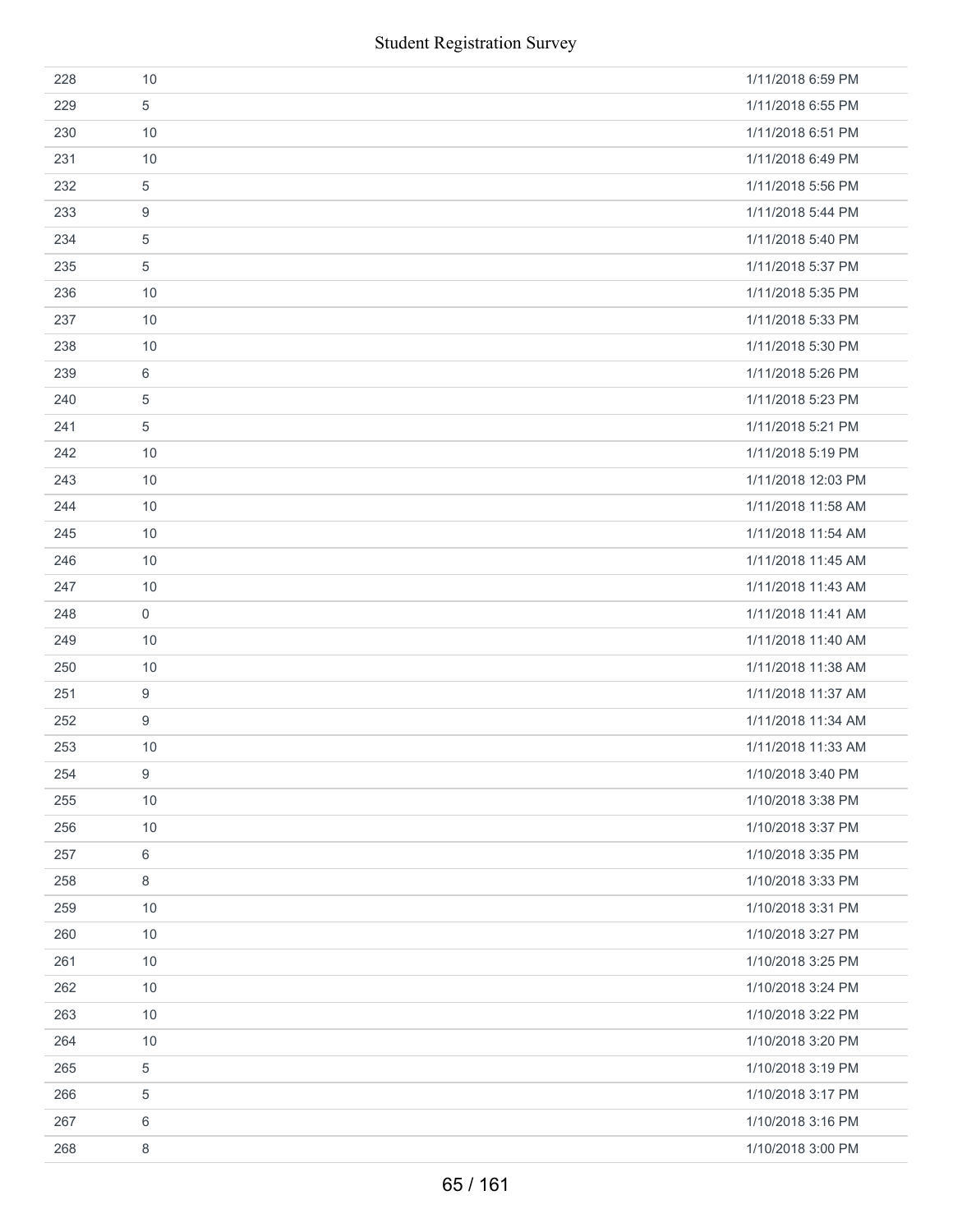|     | <b>Student Registration Survey</b> |                    |
|-----|------------------------------------|--------------------|
| 228 | 10                                 | 1/11/2018 6:59 PM  |
| 229 | 5                                  | 1/11/2018 6:55 PM  |
| 230 | 10                                 | 1/11/2018 6:51 PM  |
| 231 | 10                                 | 1/11/2018 6:49 PM  |
| 232 | 5                                  | 1/11/2018 5:56 PM  |
| 233 | $\boldsymbol{9}$                   | 1/11/2018 5:44 PM  |
| 234 | 5                                  | 1/11/2018 5:40 PM  |
| 235 | $\sqrt{5}$                         | 1/11/2018 5:37 PM  |
| 236 | 10                                 | 1/11/2018 5:35 PM  |
| 237 | 10                                 | 1/11/2018 5:33 PM  |
| 238 | 10                                 | 1/11/2018 5:30 PM  |
| 239 | 6                                  | 1/11/2018 5:26 PM  |
| 240 | 5                                  | 1/11/2018 5:23 PM  |
| 241 | $\sqrt{5}$                         | 1/11/2018 5:21 PM  |
| 242 | 10                                 | 1/11/2018 5:19 PM  |
| 243 | 10                                 | 1/11/2018 12:03 PM |
| 244 | 10                                 | 1/11/2018 11:58 AM |
| 245 | 10                                 | 1/11/2018 11:54 AM |
| 246 | 10                                 | 1/11/2018 11:45 AM |
| 247 | 10                                 | 1/11/2018 11:43 AM |
| 248 | $\mathsf{O}\xspace$                | 1/11/2018 11:41 AM |
| 249 | 10                                 | 1/11/2018 11:40 AM |
| 250 | 10                                 | 1/11/2018 11:38 AM |
| 251 | $\boldsymbol{9}$                   | 1/11/2018 11:37 AM |
| 252 | $\boldsymbol{9}$                   | 1/11/2018 11:34 AM |
| 253 | 10                                 | 1/11/2018 11:33 AM |
| 254 | $\boldsymbol{9}$                   | 1/10/2018 3:40 PM  |
| 255 | 10                                 | 1/10/2018 3:38 PM  |
| 256 | 10                                 | 1/10/2018 3:37 PM  |
| 257 | 6                                  | 1/10/2018 3:35 PM  |
| 258 | 8                                  | 1/10/2018 3:33 PM  |
| 259 | 10                                 | 1/10/2018 3:31 PM  |
| 260 | 10                                 | 1/10/2018 3:27 PM  |
| 261 | 10                                 | 1/10/2018 3:25 PM  |
| 262 | 10                                 | 1/10/2018 3:24 PM  |
| 263 | 10                                 | 1/10/2018 3:22 PM  |
| 264 | 10                                 | 1/10/2018 3:20 PM  |
| 265 | 5                                  | 1/10/2018 3:19 PM  |
| 266 | $\sqrt{5}$                         | 1/10/2018 3:17 PM  |
| 267 | $\,6\,$                            | 1/10/2018 3:16 PM  |
| 268 | $\,8\,$                            | 1/10/2018 3:00 PM  |
|     | 65 / 161                           |                    |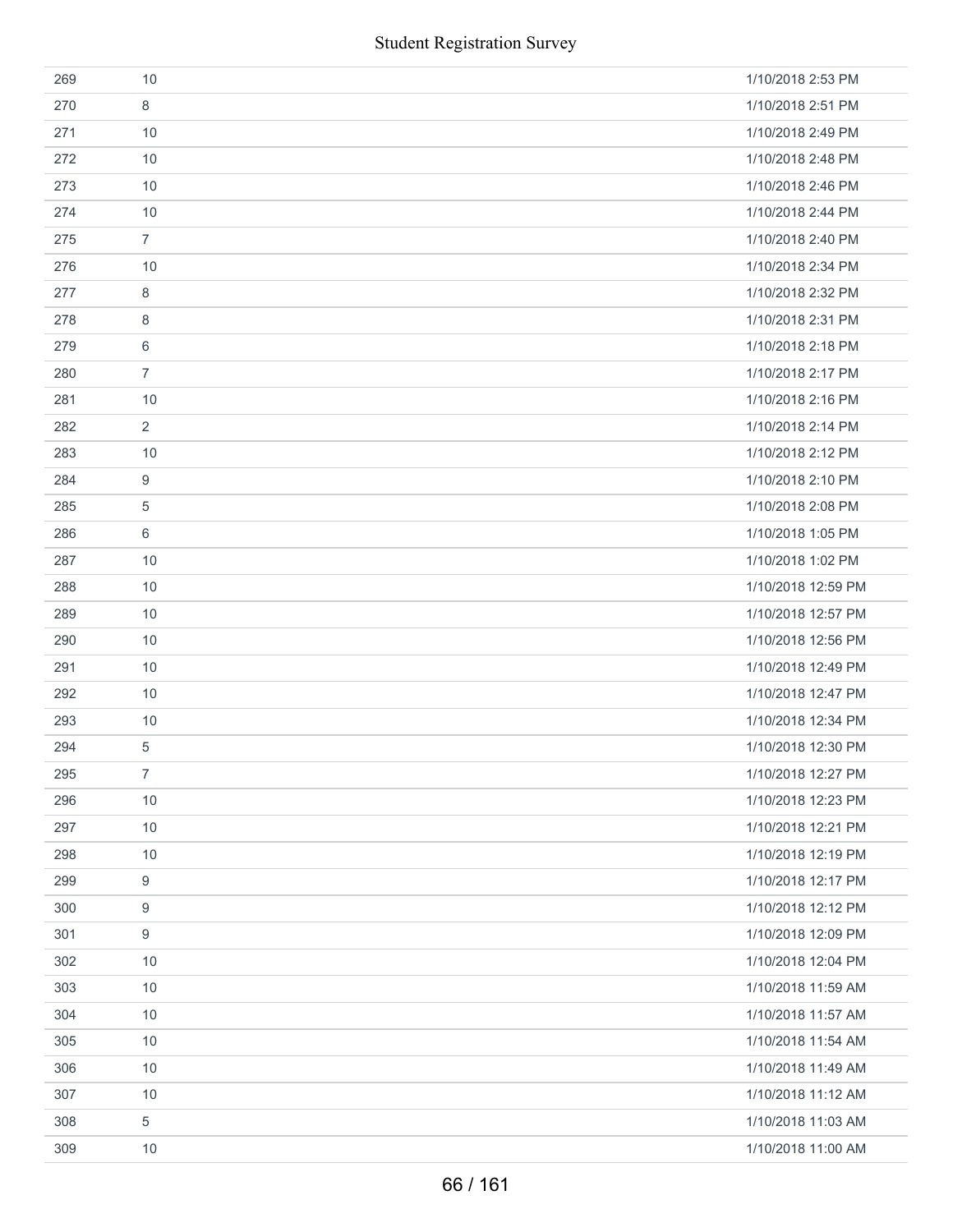|     | <b>Student Registration Survey</b> |                    |
|-----|------------------------------------|--------------------|
| 269 | 10                                 | 1/10/2018 2:53 PM  |
| 270 | 8                                  | 1/10/2018 2:51 PM  |
| 271 | 10                                 | 1/10/2018 2:49 PM  |
| 272 | 10                                 | 1/10/2018 2:48 PM  |
| 273 | 10                                 | 1/10/2018 2:46 PM  |
| 274 | 10                                 | 1/10/2018 2:44 PM  |
| 275 | $\overline{7}$                     | 1/10/2018 2:40 PM  |
| 276 | 10                                 | 1/10/2018 2:34 PM  |
| 277 | 8                                  | 1/10/2018 2:32 PM  |
| 278 | 8                                  | 1/10/2018 2:31 PM  |
| 279 | 6                                  | 1/10/2018 2:18 PM  |
| 280 | $\overline{7}$                     | 1/10/2018 2:17 PM  |
| 281 | 10                                 | 1/10/2018 2:16 PM  |
| 282 | 2                                  | 1/10/2018 2:14 PM  |
| 283 | 10                                 | 1/10/2018 2:12 PM  |
| 284 | 9                                  | 1/10/2018 2:10 PM  |
| 285 | $\sqrt{5}$                         | 1/10/2018 2:08 PM  |
| 286 | 6                                  | 1/10/2018 1:05 PM  |
| 287 | 10                                 | 1/10/2018 1:02 PM  |
| 288 | 10                                 | 1/10/2018 12:59 PM |
| 289 | 10                                 | 1/10/2018 12:57 PM |
| 290 | 10                                 | 1/10/2018 12:56 PM |
| 291 | 10                                 | 1/10/2018 12:49 PM |
| 292 | 10                                 | 1/10/2018 12:47 PM |
| 293 | 10                                 | 1/10/2018 12:34 PM |
| 294 | 5                                  | 1/10/2018 12:30 PM |
| 295 | $\overline{7}$                     | 1/10/2018 12:27 PM |
| 296 | 10                                 | 1/10/2018 12:23 PM |
| 297 | 10                                 | 1/10/2018 12:21 PM |
| 298 | 10                                 | 1/10/2018 12:19 PM |
| 299 | 9                                  | 1/10/2018 12:17 PM |
| 300 | $\boldsymbol{9}$                   | 1/10/2018 12:12 PM |
| 301 | 9                                  | 1/10/2018 12:09 PM |
| 302 | 10                                 | 1/10/2018 12:04 PM |
| 303 | 10                                 | 1/10/2018 11:59 AM |
| 304 | 10                                 | 1/10/2018 11:57 AM |
| 305 | 10                                 | 1/10/2018 11:54 AM |
| 306 | 10                                 | 1/10/2018 11:49 AM |
| 307 | 10                                 | 1/10/2018 11:12 AM |
| 308 | 5                                  | 1/10/2018 11:03 AM |
| 309 | 10                                 | 1/10/2018 11:00 AM |
|     | 66 / 161                           |                    |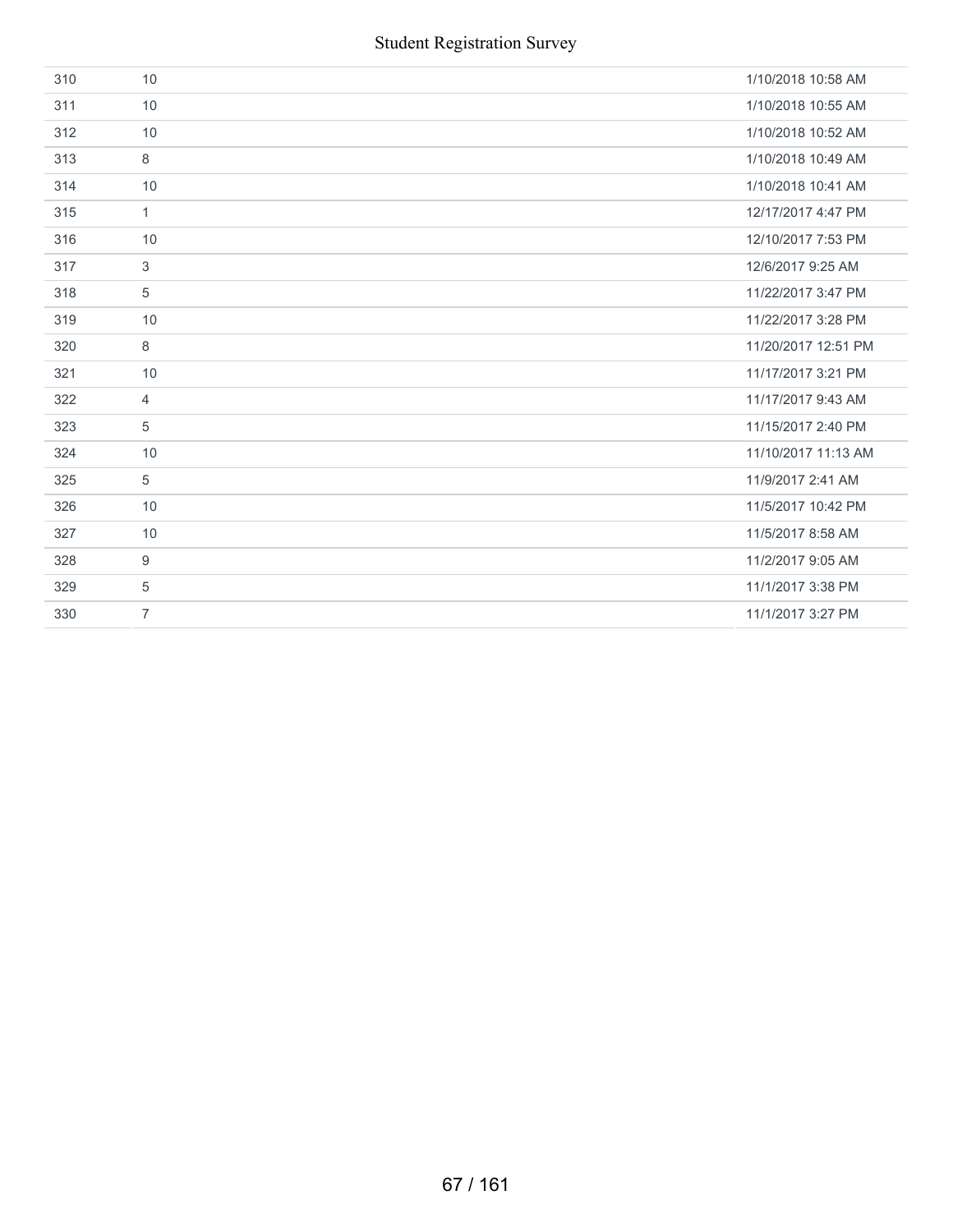| 310 | 10             | 1/10/2018 10:58 AM  |
|-----|----------------|---------------------|
| 311 | 10             | 1/10/2018 10:55 AM  |
| 312 | 10             | 1/10/2018 10:52 AM  |
| 313 | 8              | 1/10/2018 10:49 AM  |
| 314 | 10             | 1/10/2018 10:41 AM  |
| 315 | 1              | 12/17/2017 4:47 PM  |
| 316 | 10             | 12/10/2017 7:53 PM  |
| 317 | 3              | 12/6/2017 9:25 AM   |
| 318 | 5              | 11/22/2017 3:47 PM  |
| 319 | 10             | 11/22/2017 3:28 PM  |
| 320 | 8              | 11/20/2017 12:51 PM |
| 321 | 10             | 11/17/2017 3:21 PM  |
| 322 | $\overline{4}$ | 11/17/2017 9:43 AM  |
| 323 | 5              | 11/15/2017 2:40 PM  |
| 324 | 10             | 11/10/2017 11:13 AM |
| 325 | 5              | 11/9/2017 2:41 AM   |
| 326 | 10             | 11/5/2017 10:42 PM  |
| 327 | 10             | 11/5/2017 8:58 AM   |
| 328 | 9              | 11/2/2017 9:05 AM   |
| 329 | 5              | 11/1/2017 3:38 PM   |
| 330 | $\overline{7}$ | 11/1/2017 3:27 PM   |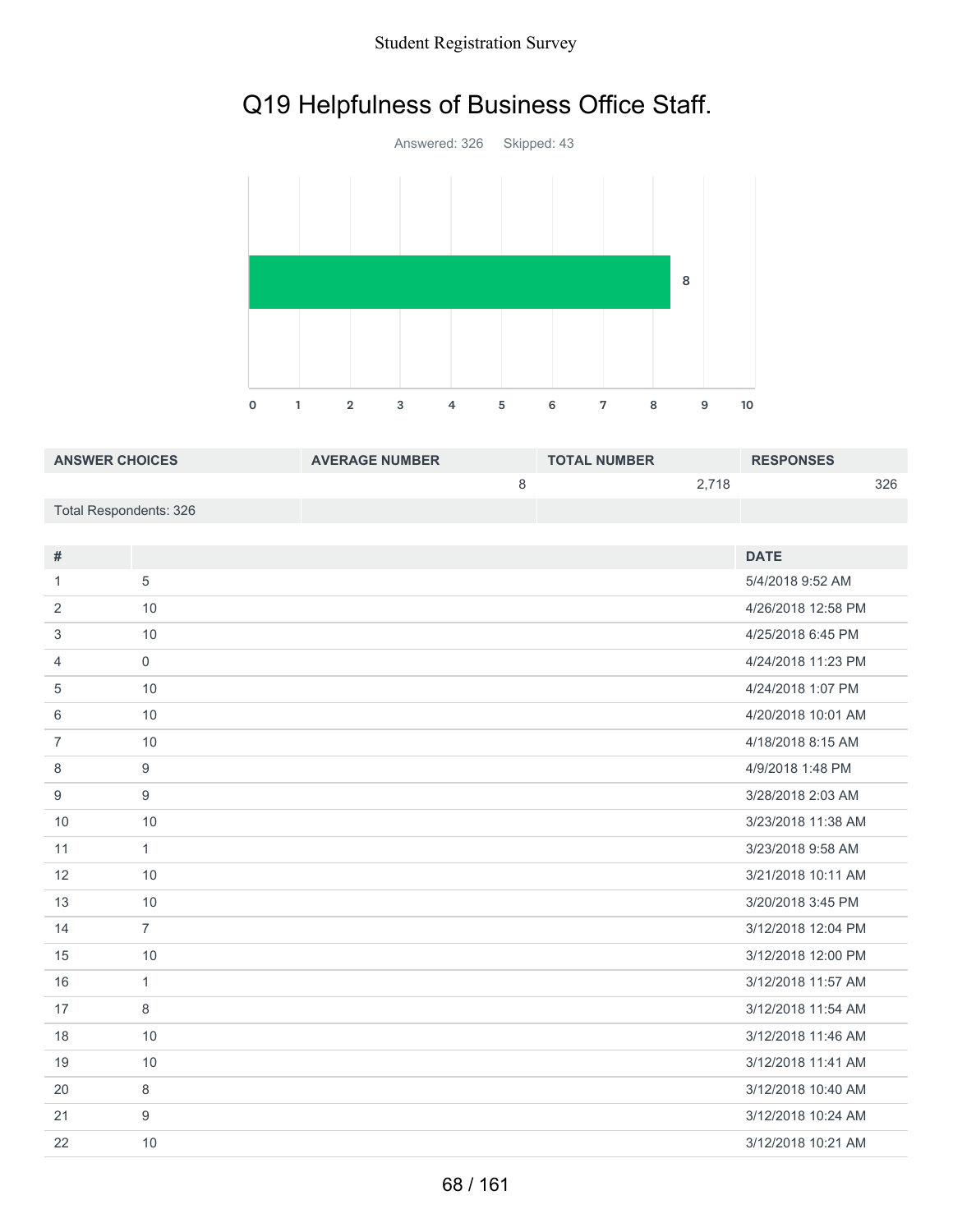### Student Registration Survey

# Q19 Helpfulness of Business Office Staff.



| <b>ANSWER CHOICES</b>  | <b>AVERAGE NUMBER</b> | <b>TOTAL NUMBER</b> |       | <b>RESPONSES</b> |     |
|------------------------|-----------------------|---------------------|-------|------------------|-----|
|                        |                       |                     | 2.718 |                  | 326 |
| Total Respondents: 326 |                       |                     |       |                  |     |

| #              |                     | <b>DATE</b>        |
|----------------|---------------------|--------------------|
| $\mathbf{1}$   | 5                   | 5/4/2018 9:52 AM   |
| 2              | 10                  | 4/26/2018 12:58 PM |
| 3              | 10                  | 4/25/2018 6:45 PM  |
| 4              | $\mathsf{O}\xspace$ | 4/24/2018 11:23 PM |
| 5              | 10                  | 4/24/2018 1:07 PM  |
| 6              | 10                  | 4/20/2018 10:01 AM |
| $\overline{7}$ | 10                  | 4/18/2018 8:15 AM  |
| 8              | 9                   | 4/9/2018 1:48 PM   |
| 9              | 9                   | 3/28/2018 2:03 AM  |
| 10             | 10                  | 3/23/2018 11:38 AM |
| 11             | $\mathbf{1}$        | 3/23/2018 9:58 AM  |
| 12             | 10                  | 3/21/2018 10:11 AM |
| 13             | 10                  | 3/20/2018 3:45 PM  |
| 14             | $\overline{7}$      | 3/12/2018 12:04 PM |
| 15             | 10                  | 3/12/2018 12:00 PM |
| 16             | $\mathbf{1}$        | 3/12/2018 11:57 AM |
| 17             | 8                   | 3/12/2018 11:54 AM |
| 18             | 10                  | 3/12/2018 11:46 AM |
| 19             | 10                  | 3/12/2018 11:41 AM |
| 20             | 8                   | 3/12/2018 10:40 AM |
| 21             | 9                   | 3/12/2018 10:24 AM |
| 22             | 10                  | 3/12/2018 10:21 AM |
|                |                     |                    |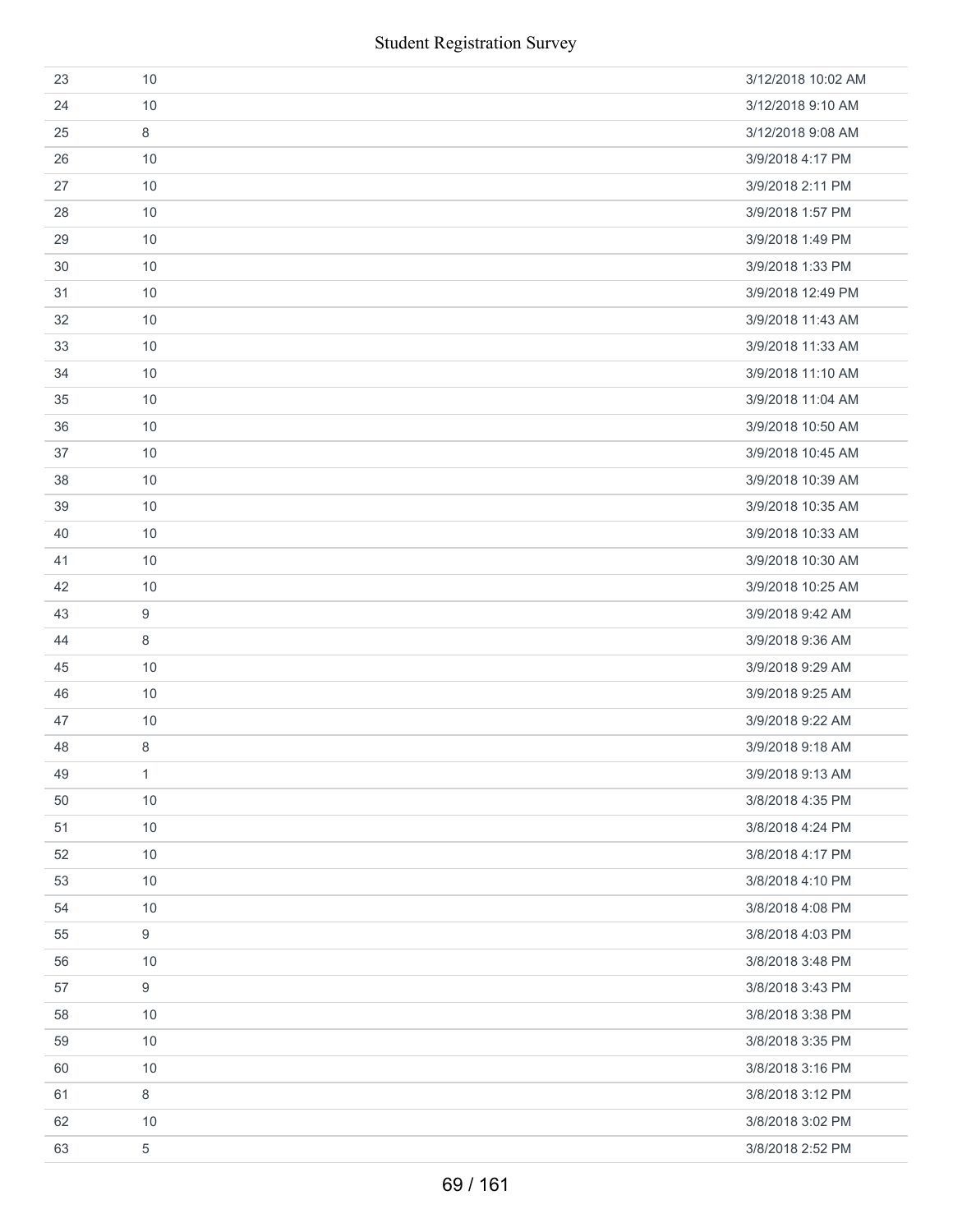| 23 | 10           | 3/12/2018 10:02 AM |
|----|--------------|--------------------|
| 24 | 10           | 3/12/2018 9:10 AM  |
| 25 | 8            | 3/12/2018 9:08 AM  |
| 26 | 10           | 3/9/2018 4:17 PM   |
| 27 | 10           | 3/9/2018 2:11 PM   |
| 28 | 10           | 3/9/2018 1:57 PM   |
| 29 | 10           | 3/9/2018 1:49 PM   |
| 30 | 10           | 3/9/2018 1:33 PM   |
| 31 | 10           | 3/9/2018 12:49 PM  |
| 32 | 10           | 3/9/2018 11:43 AM  |
| 33 | 10           | 3/9/2018 11:33 AM  |
| 34 | 10           | 3/9/2018 11:10 AM  |
| 35 | 10           | 3/9/2018 11:04 AM  |
| 36 | 10           | 3/9/2018 10:50 AM  |
| 37 | 10           | 3/9/2018 10:45 AM  |
| 38 | 10           | 3/9/2018 10:39 AM  |
| 39 | 10           | 3/9/2018 10:35 AM  |
| 40 | 10           | 3/9/2018 10:33 AM  |
| 41 | 10           | 3/9/2018 10:30 AM  |
| 42 | 10           | 3/9/2018 10:25 AM  |
| 43 | 9            | 3/9/2018 9:42 AM   |
| 44 | 8            | 3/9/2018 9:36 AM   |
| 45 | 10           | 3/9/2018 9:29 AM   |
| 46 | 10           | 3/9/2018 9:25 AM   |
| 47 | 10           | 3/9/2018 9:22 AM   |
| 48 | $\,8\,$      | 3/9/2018 9:18 AM   |
| 49 | $\mathbf{1}$ | 3/9/2018 9:13 AM   |
| 50 | 10           | 3/8/2018 4:35 PM   |
| 51 | 10           | 3/8/2018 4:24 PM   |
| 52 | 10           | 3/8/2018 4:17 PM   |
| 53 | 10           | 3/8/2018 4:10 PM   |
| 54 | 10           | 3/8/2018 4:08 PM   |
| 55 | 9            | 3/8/2018 4:03 PM   |
| 56 | 10           | 3/8/2018 3:48 PM   |
| 57 | 9            | 3/8/2018 3:43 PM   |
| 58 | 10           | 3/8/2018 3:38 PM   |
| 59 | 10           | 3/8/2018 3:35 PM   |
| 60 | 10           | 3/8/2018 3:16 PM   |
| 61 | $\,8\,$      | 3/8/2018 3:12 PM   |
| 62 | 10           | 3/8/2018 3:02 PM   |
| 63 | 5            | 3/8/2018 2:52 PM   |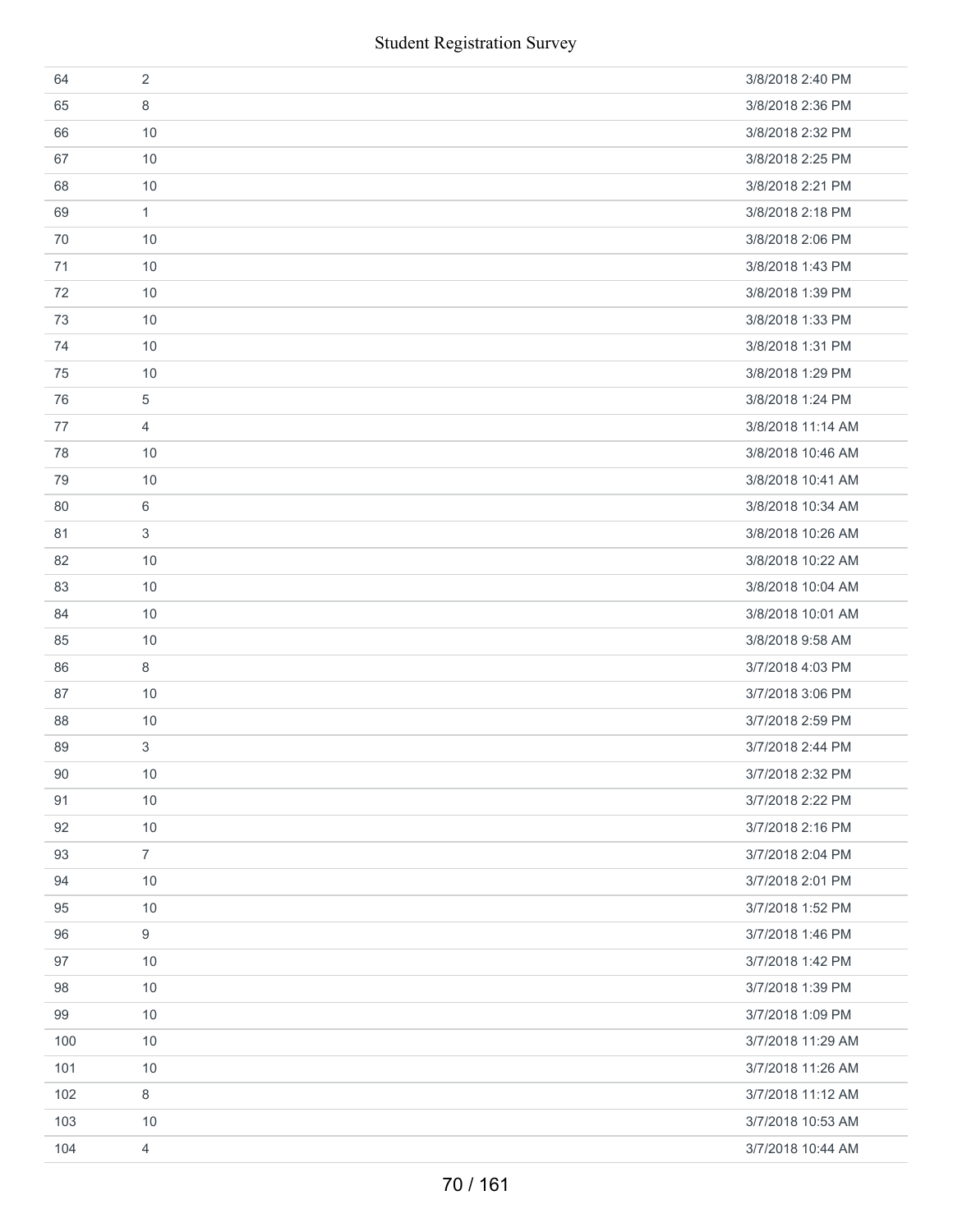|     | <b>Student Registration Survey</b> |                   |
|-----|------------------------------------|-------------------|
| 64  | $\overline{2}$                     | 3/8/2018 2:40 PM  |
| 65  | 8                                  | 3/8/2018 2:36 PM  |
| 66  | 10                                 | 3/8/2018 2:32 PM  |
| 67  | 10                                 | 3/8/2018 2:25 PM  |
| 68  | 10                                 | 3/8/2018 2:21 PM  |
| 69  | $\mathbf{1}$                       | 3/8/2018 2:18 PM  |
| 70  | 10                                 | 3/8/2018 2:06 PM  |
| 71  | 10                                 | 3/8/2018 1:43 PM  |
| 72  | 10                                 | 3/8/2018 1:39 PM  |
| 73  | 10                                 | 3/8/2018 1:33 PM  |
| 74  | 10                                 | 3/8/2018 1:31 PM  |
| 75  | 10                                 | 3/8/2018 1:29 PM  |
| 76  | 5                                  | 3/8/2018 1:24 PM  |
| 77  | $\overline{4}$                     | 3/8/2018 11:14 AM |
| 78  | 10                                 | 3/8/2018 10:46 AM |
| 79  | 10                                 | 3/8/2018 10:41 AM |
| 80  | 6                                  | 3/8/2018 10:34 AM |
| 81  | 3                                  | 3/8/2018 10:26 AM |
| 82  | 10                                 | 3/8/2018 10:22 AM |
| 83  | 10                                 | 3/8/2018 10:04 AM |
| 84  | 10                                 | 3/8/2018 10:01 AM |
| 85  | $10$                               | 3/8/2018 9:58 AM  |
| 86  | 8                                  | 3/7/2018 4:03 PM  |
| 87  | 10                                 | 3/7/2018 3:06 PM  |
| 88  | $10$                               | 3/7/2018 2:59 PM  |
| 89  | 3                                  | 3/7/2018 2:44 PM  |
| 90  | 10                                 | 3/7/2018 2:32 PM  |
| 91  | $10$                               | 3/7/2018 2:22 PM  |
| 92  | 10                                 | 3/7/2018 2:16 PM  |
| 93  | $\overline{7}$                     | 3/7/2018 2:04 PM  |
| 94  | $10$                               | 3/7/2018 2:01 PM  |
| 95  | 10                                 | 3/7/2018 1:52 PM  |
| 96  | 9                                  | 3/7/2018 1:46 PM  |
| 97  | 10                                 | 3/7/2018 1:42 PM  |
| 98  | 10                                 | 3/7/2018 1:39 PM  |
| 99  | 10                                 | 3/7/2018 1:09 PM  |
| 100 | 10                                 | 3/7/2018 11:29 AM |
| 101 | 10                                 | 3/7/2018 11:26 AM |
| 102 | $\,8\,$                            | 3/7/2018 11:12 AM |
| 103 | 10                                 | 3/7/2018 10:53 AM |
| 104 | 4                                  | 3/7/2018 10:44 AM |
|     | 70 / 161                           |                   |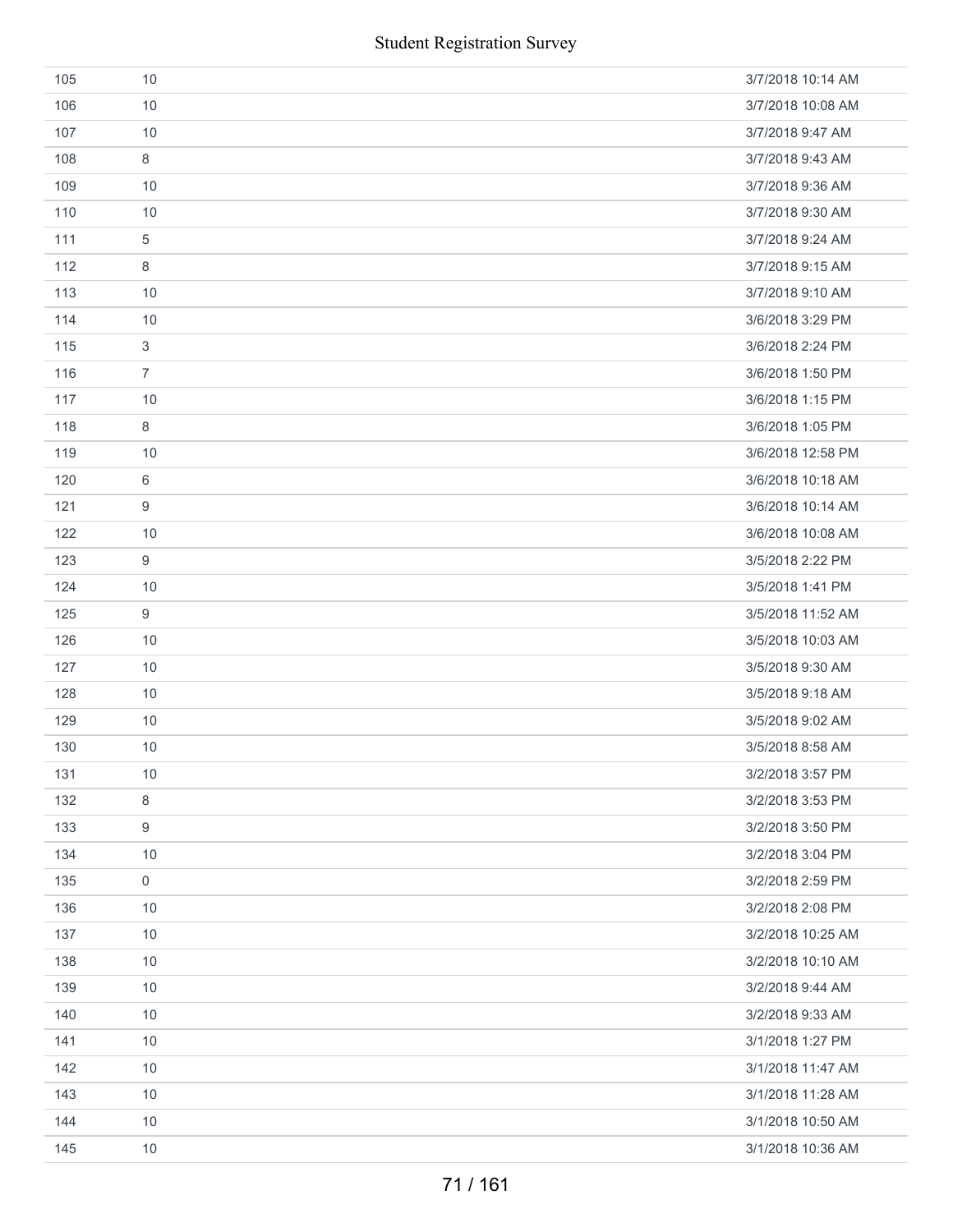|     | <b>Student Registration Survey</b> |                   |
|-----|------------------------------------|-------------------|
| 105 | 10                                 | 3/7/2018 10:14 AM |
| 106 | 10                                 | 3/7/2018 10:08 AM |
| 107 | 10                                 | 3/7/2018 9:47 AM  |
| 108 | 8                                  | 3/7/2018 9:43 AM  |
| 109 | 10                                 | 3/7/2018 9:36 AM  |
| 110 | 10                                 | 3/7/2018 9:30 AM  |
| 111 | $\sqrt{5}$                         | 3/7/2018 9:24 AM  |
| 112 | 8                                  | 3/7/2018 9:15 AM  |
| 113 | 10                                 | 3/7/2018 9:10 AM  |
| 114 | 10                                 | 3/6/2018 3:29 PM  |
| 115 | $\sqrt{3}$                         | 3/6/2018 2:24 PM  |
| 116 | $\overline{7}$                     | 3/6/2018 1:50 PM  |
| 117 | 10                                 | 3/6/2018 1:15 PM  |
| 118 | 8                                  | 3/6/2018 1:05 PM  |
| 119 | 10                                 | 3/6/2018 12:58 PM |
| 120 | 6                                  | 3/6/2018 10:18 AM |
| 121 | $\boldsymbol{9}$                   | 3/6/2018 10:14 AM |
| 122 | 10                                 | 3/6/2018 10:08 AM |
| 123 | $\boldsymbol{9}$                   | 3/5/2018 2:22 PM  |
| 124 | 10                                 | 3/5/2018 1:41 PM  |
| 125 | $\boldsymbol{9}$                   | 3/5/2018 11:52 AM |
| 126 | 10                                 | 3/5/2018 10:03 AM |
| 127 | 10                                 | 3/5/2018 9:30 AM  |
| 128 | 10                                 | 3/5/2018 9:18 AM  |
| 129 | 10                                 | 3/5/2018 9:02 AM  |
| 130 | 10                                 | 3/5/2018 8:58 AM  |
| 131 | 10                                 | 3/2/2018 3:57 PM  |
| 132 | $\,8\,$                            | 3/2/2018 3:53 PM  |
| 133 | 9                                  | 3/2/2018 3:50 PM  |
| 134 | 10                                 | 3/2/2018 3:04 PM  |
| 135 | $\mathbf 0$                        | 3/2/2018 2:59 PM  |
| 136 | 10                                 | 3/2/2018 2:08 PM  |
| 137 | 10                                 | 3/2/2018 10:25 AM |
| 138 | 10                                 | 3/2/2018 10:10 AM |
| 139 | 10                                 | 3/2/2018 9:44 AM  |
| 140 | 10                                 | 3/2/2018 9:33 AM  |
| 141 | 10                                 | 3/1/2018 1:27 PM  |
| 142 | 10                                 | 3/1/2018 11:47 AM |
| 143 | 10                                 | 3/1/2018 11:28 AM |
| 144 | 10                                 | 3/1/2018 10:50 AM |
| 145 | 10                                 | 3/1/2018 10:36 AM |
|     | 71 / 161                           |                   |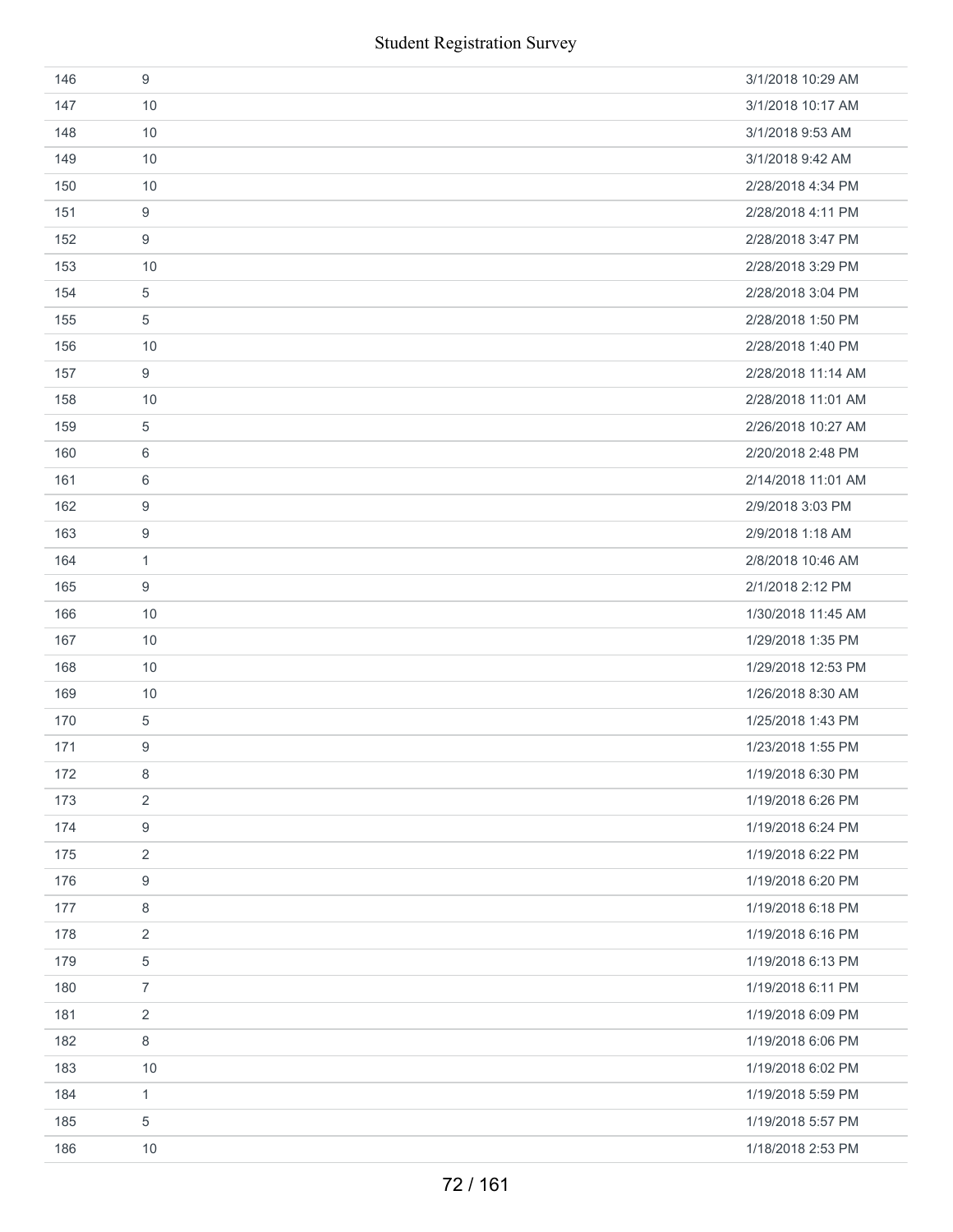| 146 | 9              | 3/1/2018 10:29 AM  |
|-----|----------------|--------------------|
| 147 | 10             | 3/1/2018 10:17 AM  |
| 148 | 10             | 3/1/2018 9:53 AM   |
| 149 | 10             | 3/1/2018 9:42 AM   |
| 150 | 10             | 2/28/2018 4:34 PM  |
| 151 | 9              | 2/28/2018 4:11 PM  |
| 152 | 9              | 2/28/2018 3:47 PM  |
| 153 | 10             | 2/28/2018 3:29 PM  |
| 154 | $\,$ 5 $\,$    | 2/28/2018 3:04 PM  |
| 155 | 5              | 2/28/2018 1:50 PM  |
| 156 | 10             | 2/28/2018 1:40 PM  |
| 157 | 9              | 2/28/2018 11:14 AM |
| 158 | 10             | 2/28/2018 11:01 AM |
| 159 | 5              | 2/26/2018 10:27 AM |
| 160 | 6              | 2/20/2018 2:48 PM  |
| 161 | 6              | 2/14/2018 11:01 AM |
| 162 | 9              | 2/9/2018 3:03 PM   |
| 163 | 9              | 2/9/2018 1:18 AM   |
| 164 | $\mathbf{1}$   | 2/8/2018 10:46 AM  |
| 165 | 9              | 2/1/2018 2:12 PM   |
| 166 | 10             | 1/30/2018 11:45 AM |
| 167 | 10             | 1/29/2018 1:35 PM  |
| 168 | 10             | 1/29/2018 12:53 PM |
| 169 | 10             | 1/26/2018 8:30 AM  |
| 170 | $\,$ 5 $\,$    | 1/25/2018 1:43 PM  |
| 171 | 9              | 1/23/2018 1:55 PM  |
| 172 | 8              | 1/19/2018 6:30 PM  |
| 173 | $\overline{2}$ | 1/19/2018 6:26 PM  |
| 174 | 9              | 1/19/2018 6:24 PM  |
| 175 | $\overline{2}$ | 1/19/2018 6:22 PM  |
| 176 | 9              | 1/19/2018 6:20 PM  |
| 177 | $\,8\,$        | 1/19/2018 6:18 PM  |
| 178 | 2              | 1/19/2018 6:16 PM  |
| 179 | $\mathbf 5$    | 1/19/2018 6:13 PM  |
| 180 | $\overline{7}$ | 1/19/2018 6:11 PM  |
| 181 | $\overline{2}$ | 1/19/2018 6:09 PM  |
| 182 | 8              | 1/19/2018 6:06 PM  |
| 183 | 10             | 1/19/2018 6:02 PM  |
| 184 | $\mathbf{1}$   | 1/19/2018 5:59 PM  |
| 185 | 5              | 1/19/2018 5:57 PM  |
| 186 | 10             | 1/18/2018 2:53 PM  |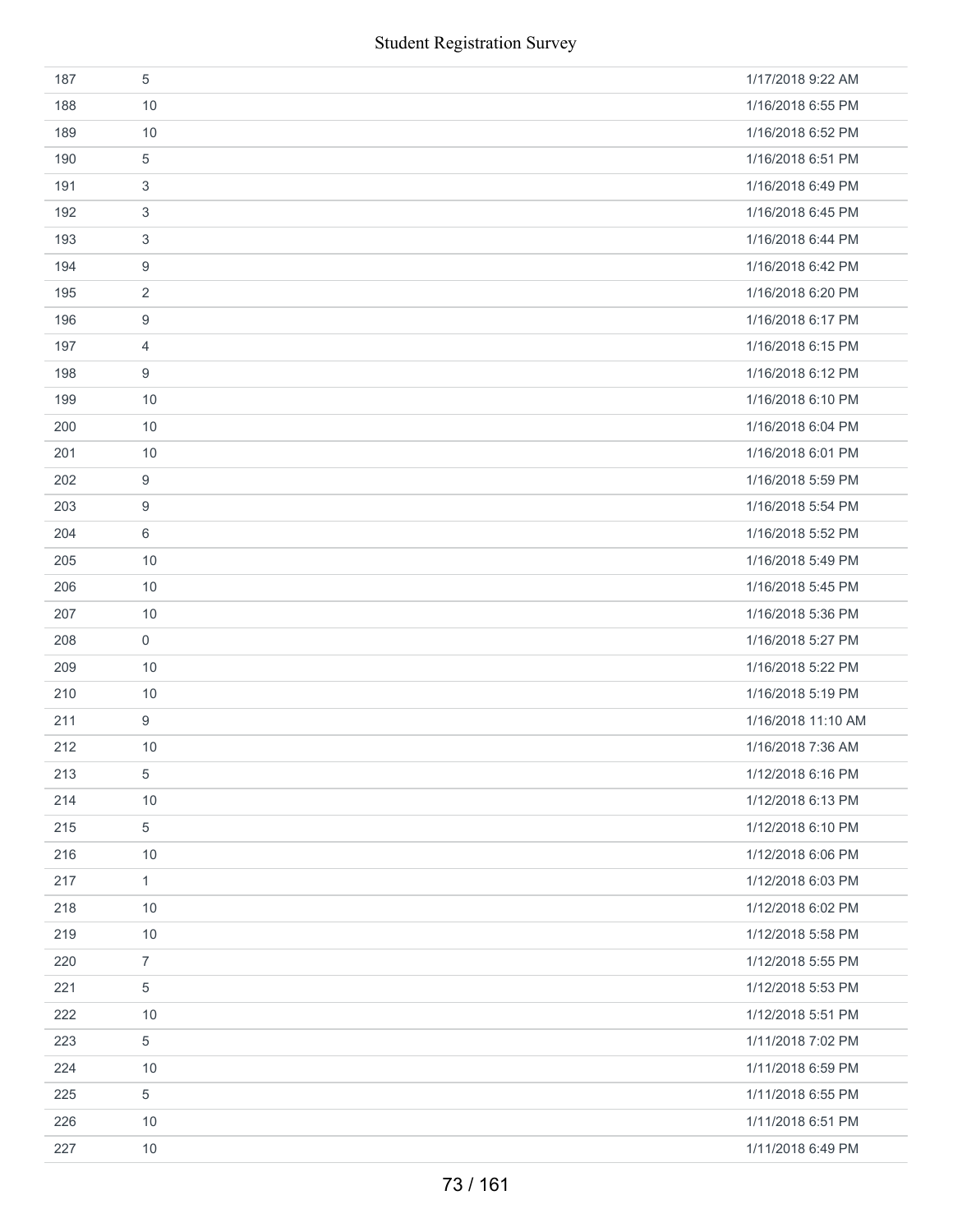|     | <b>Student Registration Survey</b> |                    |
|-----|------------------------------------|--------------------|
| 187 | 5                                  | 1/17/2018 9:22 AM  |
| 188 | 10                                 | 1/16/2018 6:55 PM  |
| 189 | 10                                 | 1/16/2018 6:52 PM  |
| 190 | 5                                  | 1/16/2018 6:51 PM  |
| 191 | 3                                  | 1/16/2018 6:49 PM  |
| 192 | 3                                  | 1/16/2018 6:45 PM  |
| 193 | 3                                  | 1/16/2018 6:44 PM  |
| 194 | 9                                  | 1/16/2018 6:42 PM  |
| 195 | $\overline{2}$                     | 1/16/2018 6:20 PM  |
| 196 | 9                                  | 1/16/2018 6:17 PM  |
| 197 | 4                                  | 1/16/2018 6:15 PM  |
| 198 | 9                                  | 1/16/2018 6:12 PM  |
| 199 | 10                                 | 1/16/2018 6:10 PM  |
| 200 | 10                                 | 1/16/2018 6:04 PM  |
| 201 | 10                                 | 1/16/2018 6:01 PM  |
| 202 | 9                                  | 1/16/2018 5:59 PM  |
| 203 | 9                                  | 1/16/2018 5:54 PM  |
| 204 | 6                                  | 1/16/2018 5:52 PM  |
| 205 | 10                                 | 1/16/2018 5:49 PM  |
| 206 | 10                                 | 1/16/2018 5:45 PM  |
| 207 | 10                                 | 1/16/2018 5:36 PM  |
| 208 | 0                                  | 1/16/2018 5:27 PM  |
| 209 | 10                                 | 1/16/2018 5:22 PM  |
| 210 | 10                                 | 1/16/2018 5:19 PM  |
| 211 | 9                                  | 1/16/2018 11:10 AM |
| 212 | 10                                 | 1/16/2018 7:36 AM  |
| 213 | 5                                  | 1/12/2018 6:16 PM  |
| 214 | 10                                 | 1/12/2018 6:13 PM  |
| 215 | 5                                  | 1/12/2018 6:10 PM  |
| 216 | 10                                 | 1/12/2018 6:06 PM  |
| 217 | $\mathbf{1}$                       | 1/12/2018 6:03 PM  |
| 218 | 10                                 | 1/12/2018 6:02 PM  |
| 219 | 10                                 | 1/12/2018 5:58 PM  |
| 220 | $\overline{7}$                     | 1/12/2018 5:55 PM  |
| 221 | 5                                  | 1/12/2018 5:53 PM  |
| 222 | 10                                 | 1/12/2018 5:51 PM  |
| 223 | 5                                  | 1/11/2018 7:02 PM  |
| 224 | 10                                 | 1/11/2018 6:59 PM  |
| 225 | 5                                  | 1/11/2018 6:55 PM  |
| 226 | 10                                 | 1/11/2018 6:51 PM  |
| 227 | 10                                 | 1/11/2018 6:49 PM  |
|     | 73 / 161                           |                    |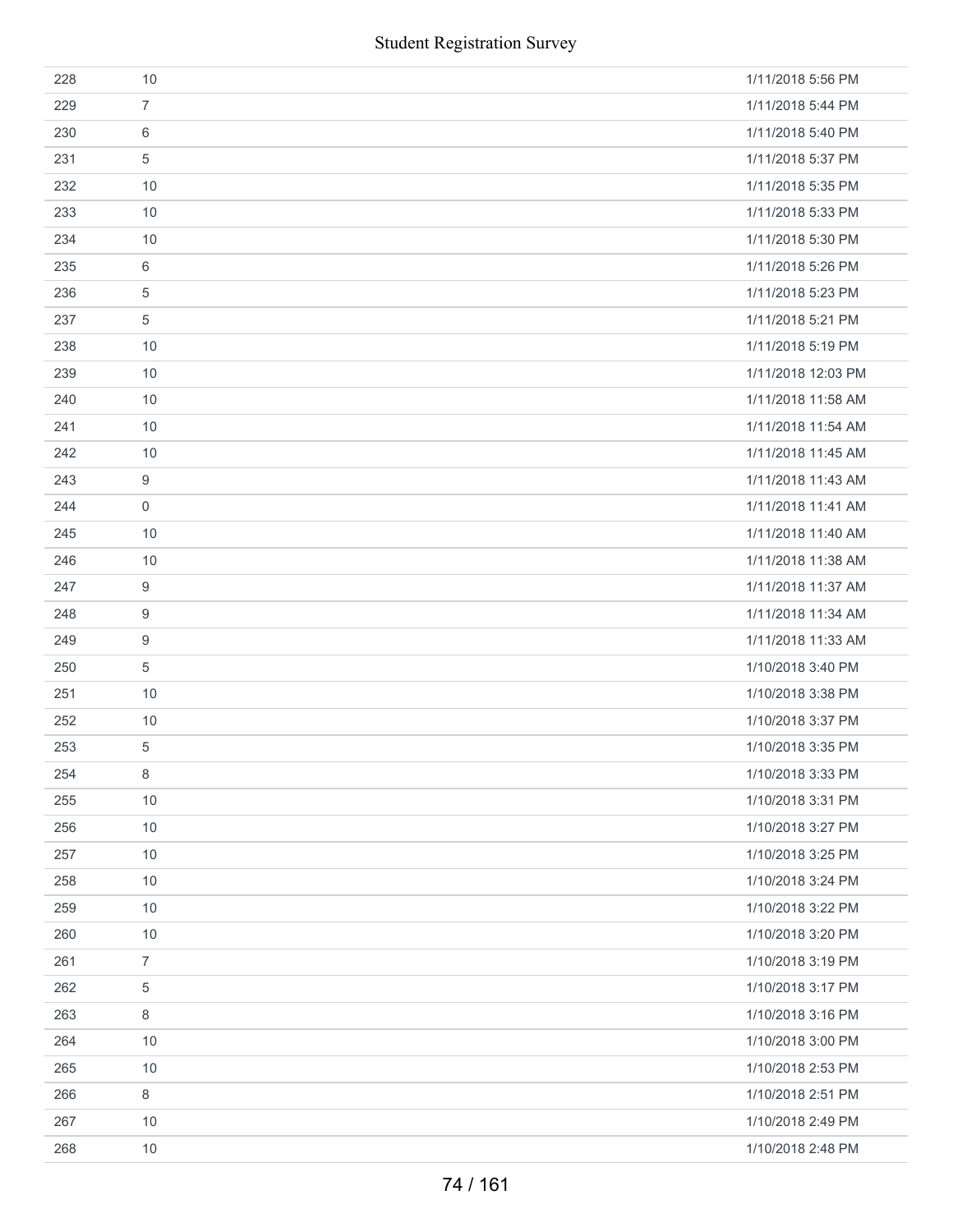|     | <b>Student Registration Survey</b> |                    |
|-----|------------------------------------|--------------------|
| 228 | 10                                 | 1/11/2018 5:56 PM  |
| 229 | $\overline{7}$                     | 1/11/2018 5:44 PM  |
| 230 | $\,6\,$                            | 1/11/2018 5:40 PM  |
| 231 | 5                                  | 1/11/2018 5:37 PM  |
| 232 | 10                                 | 1/11/2018 5:35 PM  |
| 233 | 10                                 | 1/11/2018 5:33 PM  |
| 234 | 10                                 | 1/11/2018 5:30 PM  |
| 235 | 6                                  | 1/11/2018 5:26 PM  |
| 236 | 5                                  | 1/11/2018 5:23 PM  |
| 237 | $\overline{5}$                     | 1/11/2018 5:21 PM  |
| 238 | 10                                 | 1/11/2018 5:19 PM  |
| 239 | 10                                 | 1/11/2018 12:03 PM |
| 240 | 10                                 | 1/11/2018 11:58 AM |
| 241 | 10                                 | 1/11/2018 11:54 AM |
| 242 | 10                                 | 1/11/2018 11:45 AM |
| 243 | 9                                  | 1/11/2018 11:43 AM |
| 244 | $\mathbf 0$                        | 1/11/2018 11:41 AM |
| 245 | 10                                 | 1/11/2018 11:40 AM |
| 246 | 10                                 | 1/11/2018 11:38 AM |
| 247 | $\boldsymbol{9}$                   | 1/11/2018 11:37 AM |
| 248 | $\boldsymbol{9}$                   | 1/11/2018 11:34 AM |
| 249 | 9                                  | 1/11/2018 11:33 AM |
| 250 | $\sqrt{5}$                         | 1/10/2018 3:40 PM  |
| 251 | 10                                 | 1/10/2018 3:38 PM  |
| 252 | 10                                 | 1/10/2018 3:37 PM  |
| 253 | 5                                  | 1/10/2018 3:35 PM  |
| 254 | $\,8\,$                            | 1/10/2018 3:33 PM  |
| 255 | 10                                 | 1/10/2018 3:31 PM  |
| 256 | 10                                 | 1/10/2018 3:27 PM  |
| 257 | 10                                 | 1/10/2018 3:25 PM  |
| 258 | 10                                 | 1/10/2018 3:24 PM  |
| 259 | 10                                 | 1/10/2018 3:22 PM  |
| 260 | 10                                 | 1/10/2018 3:20 PM  |
| 261 | $\overline{7}$                     | 1/10/2018 3:19 PM  |
| 262 | 5                                  | 1/10/2018 3:17 PM  |
| 263 | 8                                  | 1/10/2018 3:16 PM  |
| 264 | 10                                 | 1/10/2018 3:00 PM  |
| 265 | 10                                 | 1/10/2018 2:53 PM  |
| 266 | $\,8\,$                            | 1/10/2018 2:51 PM  |
| 267 | 10                                 | 1/10/2018 2:49 PM  |
| 268 | 10                                 | 1/10/2018 2:48 PM  |
|     | 74 / 161                           |                    |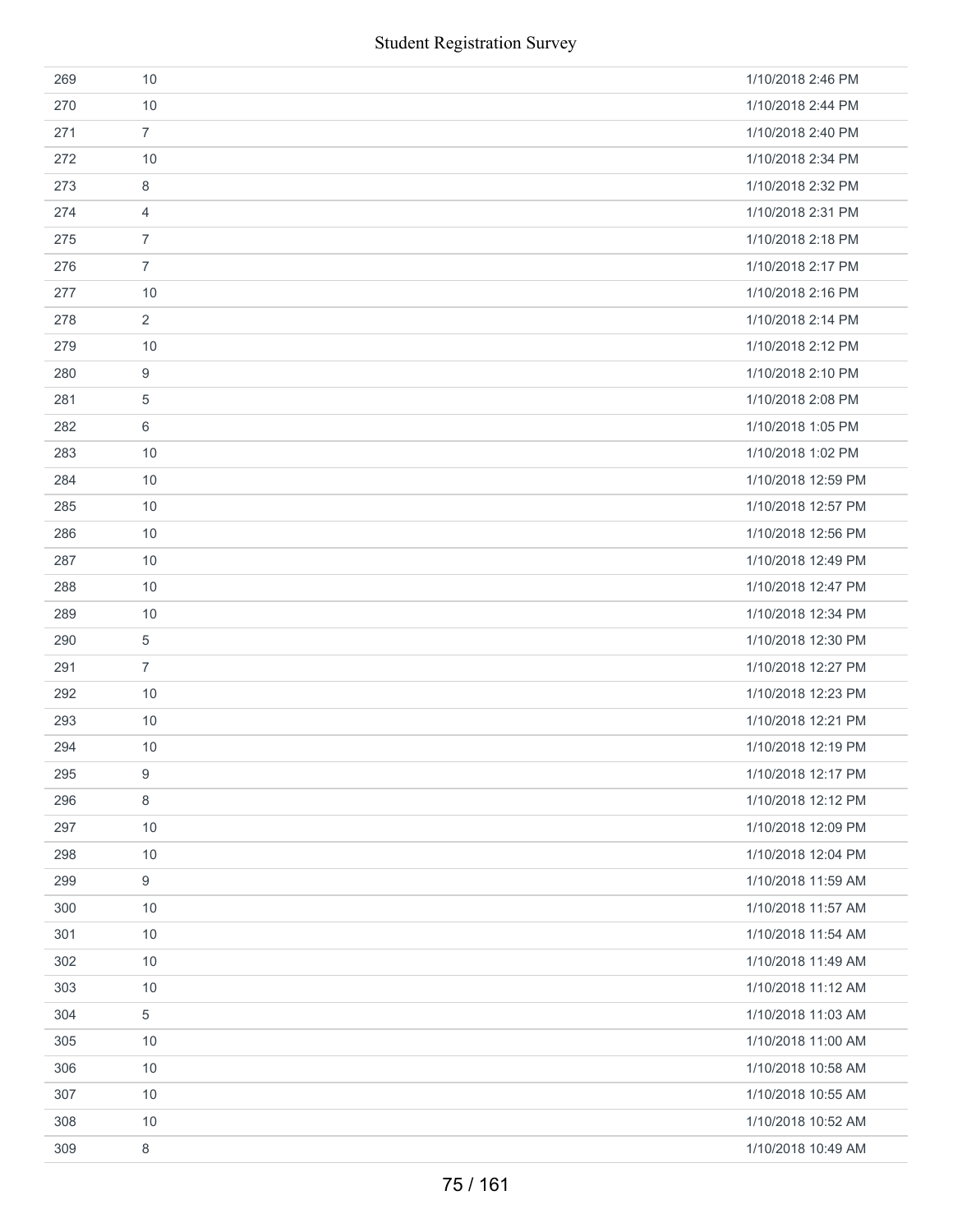|     | <b>Student Registration Survey</b> |                    |
|-----|------------------------------------|--------------------|
| 269 | 10                                 | 1/10/2018 2:46 PM  |
| 270 | 10                                 | 1/10/2018 2:44 PM  |
| 271 | $\overline{7}$                     | 1/10/2018 2:40 PM  |
| 272 | 10                                 | 1/10/2018 2:34 PM  |
| 273 | 8                                  | 1/10/2018 2:32 PM  |
| 274 | 4                                  | 1/10/2018 2:31 PM  |
| 275 | $\overline{7}$                     | 1/10/2018 2:18 PM  |
| 276 | $\overline{7}$                     | 1/10/2018 2:17 PM  |
| 277 | 10                                 | 1/10/2018 2:16 PM  |
| 278 | 2                                  | 1/10/2018 2:14 PM  |
| 279 | 10                                 | 1/10/2018 2:12 PM  |
| 280 | 9                                  | 1/10/2018 2:10 PM  |
| 281 | 5                                  | 1/10/2018 2:08 PM  |
| 282 | 6                                  | 1/10/2018 1:05 PM  |
| 283 | 10                                 | 1/10/2018 1:02 PM  |
| 284 | 10                                 | 1/10/2018 12:59 PM |
| 285 | 10                                 | 1/10/2018 12:57 PM |
| 286 | 10                                 | 1/10/2018 12:56 PM |
| 287 | 10                                 | 1/10/2018 12:49 PM |
| 288 | 10                                 | 1/10/2018 12:47 PM |
| 289 | 10                                 | 1/10/2018 12:34 PM |
| 290 | 5                                  | 1/10/2018 12:30 PM |
| 291 | $\overline{7}$                     | 1/10/2018 12:27 PM |
| 292 | 10                                 | 1/10/2018 12:23 PM |
| 293 | 10                                 | 1/10/2018 12:21 PM |
| 294 | 10                                 | 1/10/2018 12:19 PM |
| 295 | 9                                  | 1/10/2018 12:17 PM |
| 296 | 8                                  | 1/10/2018 12:12 PM |
| 297 | 10                                 | 1/10/2018 12:09 PM |
| 298 | 10                                 | 1/10/2018 12:04 PM |
| 299 | 9                                  | 1/10/2018 11:59 AM |
| 300 | 10                                 | 1/10/2018 11:57 AM |
| 301 | 10                                 | 1/10/2018 11:54 AM |
| 302 | 10                                 | 1/10/2018 11:49 AM |
| 303 | 10                                 | 1/10/2018 11:12 AM |
| 304 | 5                                  | 1/10/2018 11:03 AM |
| 305 | 10                                 | 1/10/2018 11:00 AM |
| 306 | 10                                 | 1/10/2018 10:58 AM |
| 307 | 10                                 | 1/10/2018 10:55 AM |
| 308 | 10                                 | 1/10/2018 10:52 AM |
| 309 | 8                                  | 1/10/2018 10:49 AM |
|     | 75 / 161                           |                    |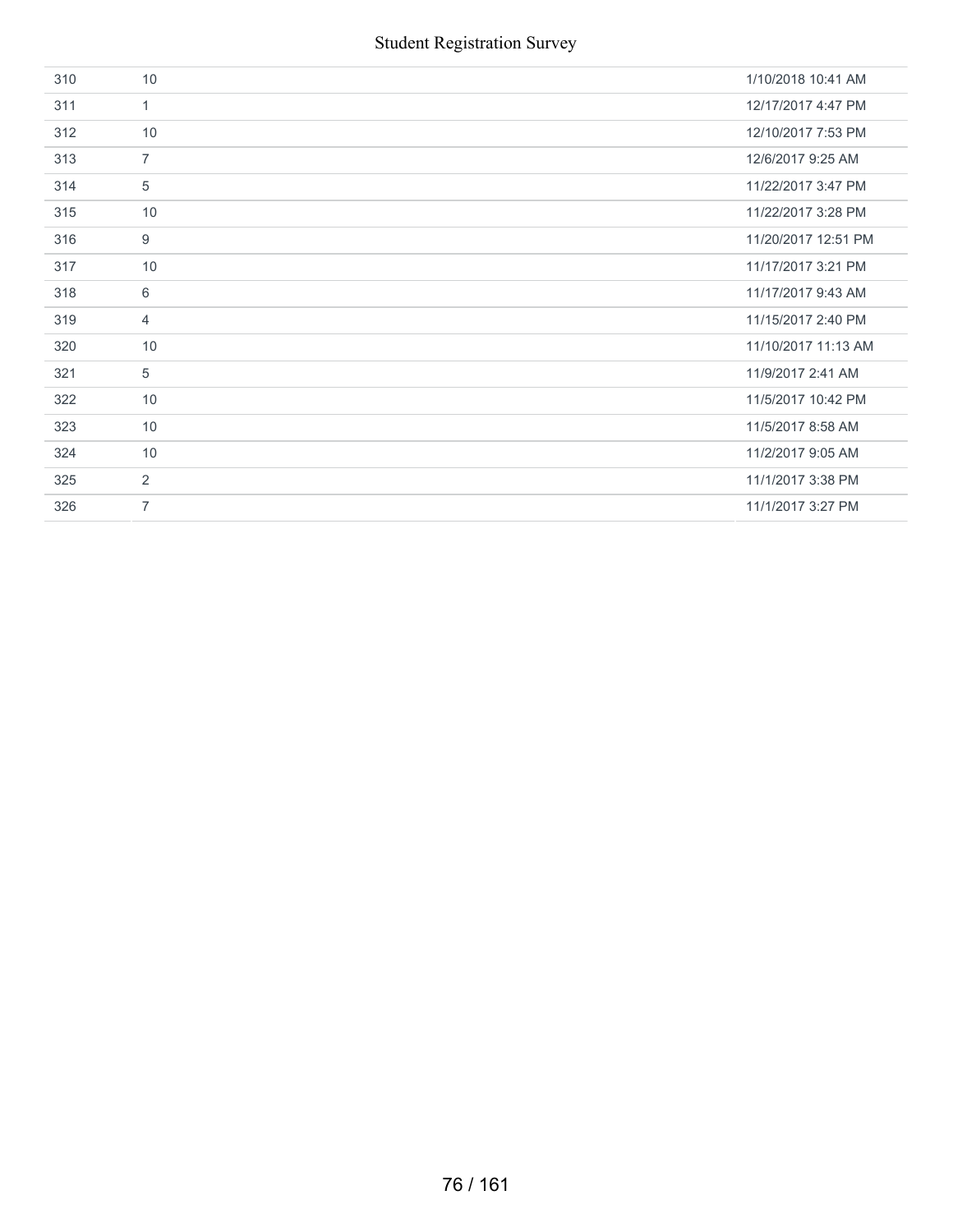| 310 | 10             | 1/10/2018 10:41 AM  |
|-----|----------------|---------------------|
| 311 | $\mathbf{1}$   | 12/17/2017 4:47 PM  |
| 312 | 10             | 12/10/2017 7:53 PM  |
| 313 | $\overline{7}$ | 12/6/2017 9:25 AM   |
| 314 | 5              | 11/22/2017 3:47 PM  |
| 315 | 10             | 11/22/2017 3:28 PM  |
| 316 | 9              | 11/20/2017 12:51 PM |
| 317 | 10             | 11/17/2017 3:21 PM  |
| 318 | 6              | 11/17/2017 9:43 AM  |
| 319 | $\overline{4}$ | 11/15/2017 2:40 PM  |
| 320 | 10             | 11/10/2017 11:13 AM |
| 321 | 5              | 11/9/2017 2:41 AM   |
| 322 | 10             | 11/5/2017 10:42 PM  |
| 323 | 10             | 11/5/2017 8:58 AM   |
| 324 | 10             | 11/2/2017 9:05 AM   |
| 325 | 2              | 11/1/2017 3:38 PM   |
| 326 | $\overline{7}$ | 11/1/2017 3:27 PM   |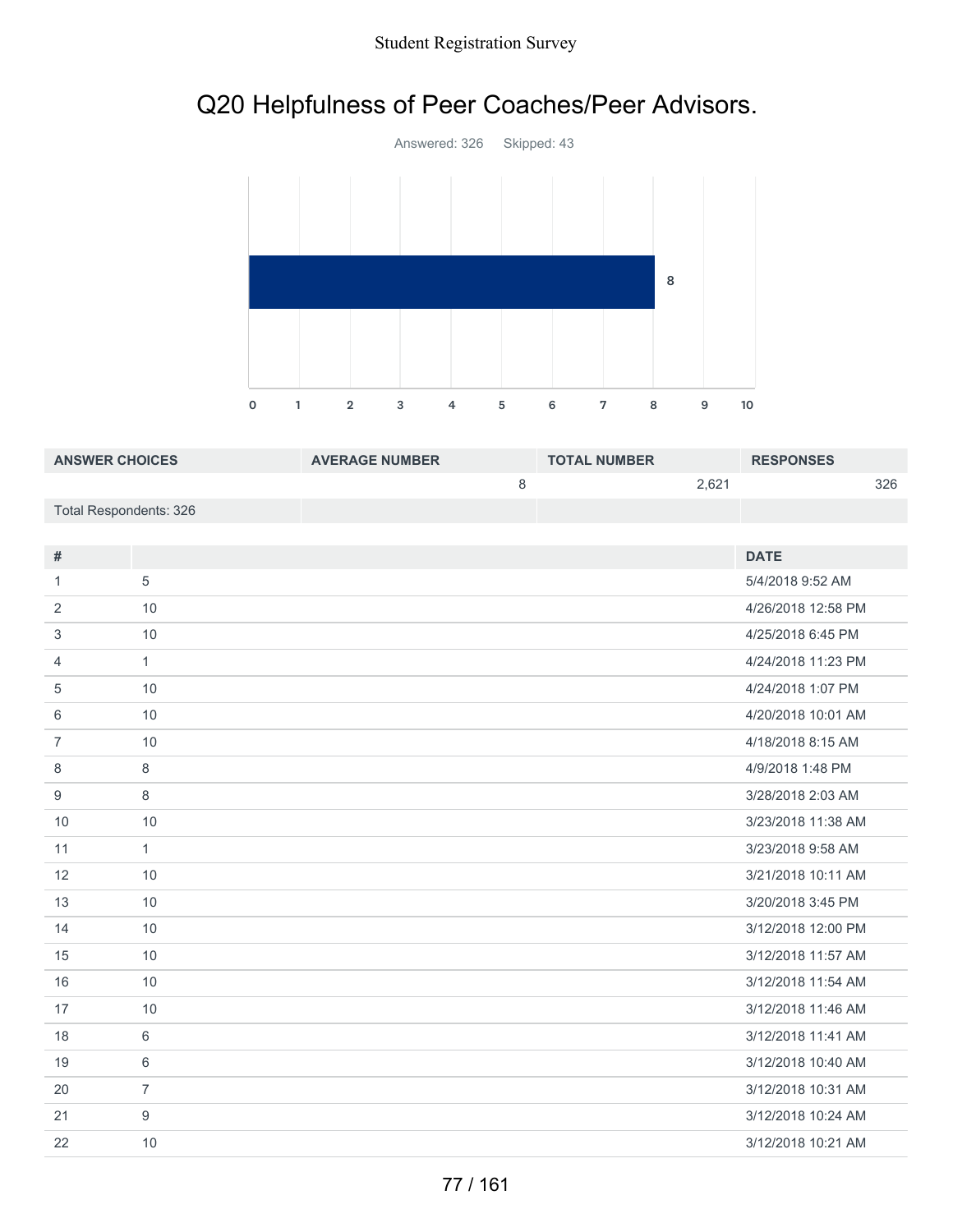## Q20 Helpfulness of Peer Coaches/Peer Advisors.



| <b>ANSWER CHOICES</b>  | <b>AVERAGE NUMBER</b> | <b>TOTAL NUMBER</b> |       | <b>RESPONSES</b> |     |
|------------------------|-----------------------|---------------------|-------|------------------|-----|
|                        |                       |                     | 2.621 |                  | 326 |
| Total Respondents: 326 |                       |                     |       |                  |     |

| #              |                | <b>DATE</b>        |
|----------------|----------------|--------------------|
| 1.             | 5              | 5/4/2018 9:52 AM   |
| 2              | 10             | 4/26/2018 12:58 PM |
| 3              | 10             | 4/25/2018 6:45 PM  |
| 4              | $\mathbf{1}$   | 4/24/2018 11:23 PM |
| 5              | 10             | 4/24/2018 1:07 PM  |
| 6              | 10             | 4/20/2018 10:01 AM |
| $\overline{7}$ | 10             | 4/18/2018 8:15 AM  |
| 8              | 8              | 4/9/2018 1:48 PM   |
| 9              | 8              | 3/28/2018 2:03 AM  |
| 10             | 10             | 3/23/2018 11:38 AM |
| 11             | $\mathbf{1}$   | 3/23/2018 9:58 AM  |
| 12             | 10             | 3/21/2018 10:11 AM |
| 13             | 10             | 3/20/2018 3:45 PM  |
| 14             | 10             | 3/12/2018 12:00 PM |
| 15             | 10             | 3/12/2018 11:57 AM |
| 16             | 10             | 3/12/2018 11:54 AM |
| 17             | 10             | 3/12/2018 11:46 AM |
| 18             | 6              | 3/12/2018 11:41 AM |
| 19             | 6              | 3/12/2018 10:40 AM |
| 20             | $\overline{7}$ | 3/12/2018 10:31 AM |
| 21             | 9              | 3/12/2018 10:24 AM |
| 22             | 10             | 3/12/2018 10:21 AM |
|                |                |                    |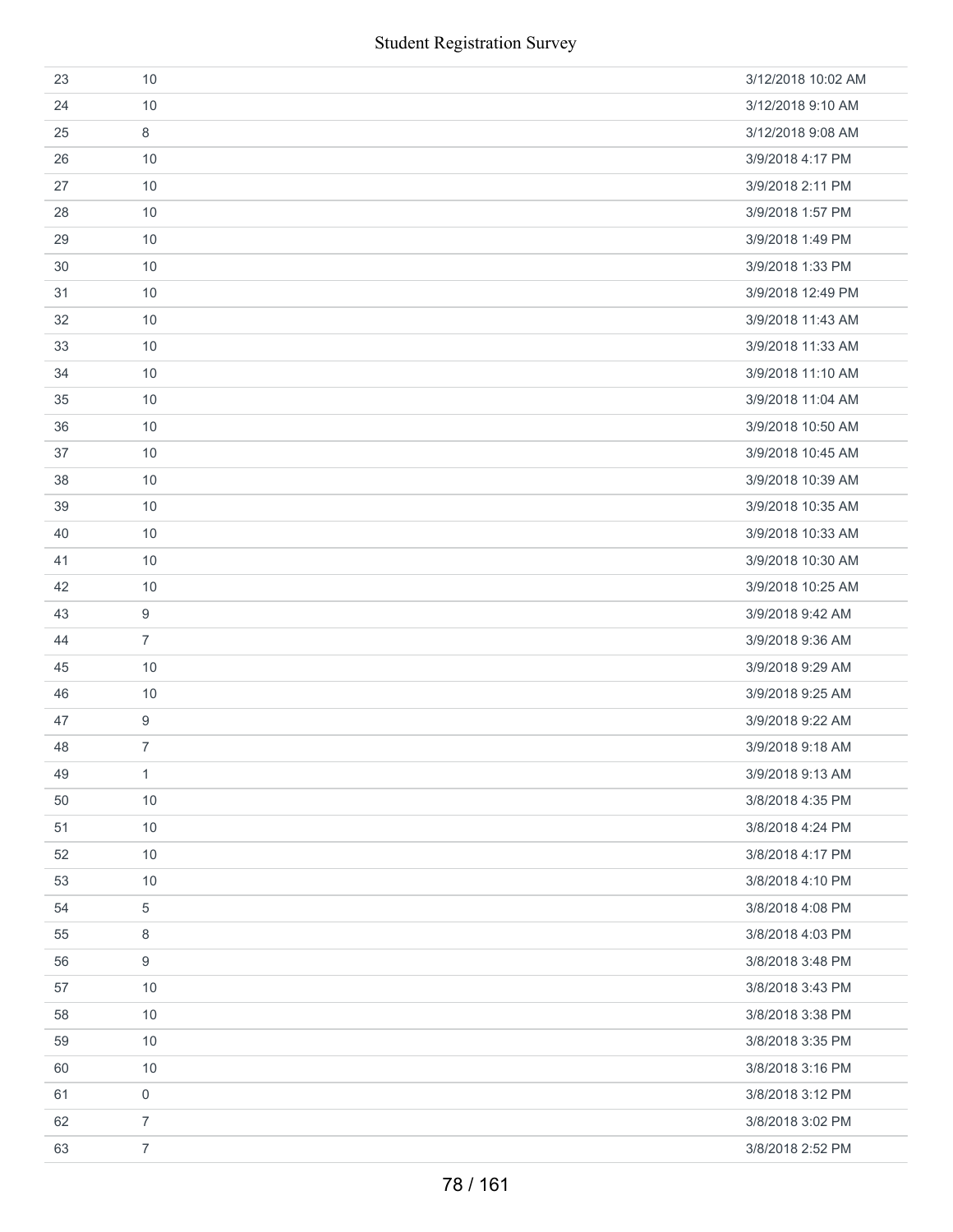| 23 | 10               | 3/12/2018 10:02 AM |
|----|------------------|--------------------|
| 24 | 10               | 3/12/2018 9:10 AM  |
| 25 | 8                | 3/12/2018 9:08 AM  |
| 26 | 10               | 3/9/2018 4:17 PM   |
| 27 | 10               | 3/9/2018 2:11 PM   |
| 28 | 10               | 3/9/2018 1:57 PM   |
| 29 | 10               | 3/9/2018 1:49 PM   |
| 30 | 10               | 3/9/2018 1:33 PM   |
| 31 | 10               | 3/9/2018 12:49 PM  |
| 32 | 10               | 3/9/2018 11:43 AM  |
| 33 | 10               | 3/9/2018 11:33 AM  |
| 34 | 10               | 3/9/2018 11:10 AM  |
| 35 | 10               | 3/9/2018 11:04 AM  |
| 36 | 10               | 3/9/2018 10:50 AM  |
| 37 | 10               | 3/9/2018 10:45 AM  |
| 38 | 10               | 3/9/2018 10:39 AM  |
| 39 | 10               | 3/9/2018 10:35 AM  |
| 40 | 10               | 3/9/2018 10:33 AM  |
| 41 | 10               | 3/9/2018 10:30 AM  |
| 42 | 10               | 3/9/2018 10:25 AM  |
| 43 | 9                | 3/9/2018 9:42 AM   |
| 44 | $\overline{7}$   | 3/9/2018 9:36 AM   |
| 45 | 10               | 3/9/2018 9:29 AM   |
| 46 | 10               | 3/9/2018 9:25 AM   |
| 47 | $9\,$            | 3/9/2018 9:22 AM   |
| 48 | $\overline{7}$   | 3/9/2018 9:18 AM   |
| 49 | 1                | 3/9/2018 9:13 AM   |
| 50 | 10               | 3/8/2018 4:35 PM   |
| 51 | $10$             | 3/8/2018 4:24 PM   |
| 52 | 10               | 3/8/2018 4:17 PM   |
| 53 | 10               | 3/8/2018 4:10 PM   |
| 54 | 5                | 3/8/2018 4:08 PM   |
| 55 | 8                | 3/8/2018 4:03 PM   |
| 56 | $\boldsymbol{9}$ | 3/8/2018 3:48 PM   |
| 57 | 10               | 3/8/2018 3:43 PM   |
| 58 | 10               | 3/8/2018 3:38 PM   |
| 59 | 10               | 3/8/2018 3:35 PM   |
| 60 | 10               | 3/8/2018 3:16 PM   |
| 61 | 0                | 3/8/2018 3:12 PM   |
| 62 | $\overline{7}$   | 3/8/2018 3:02 PM   |
| 63 | $\overline{7}$   | 3/8/2018 2:52 PM   |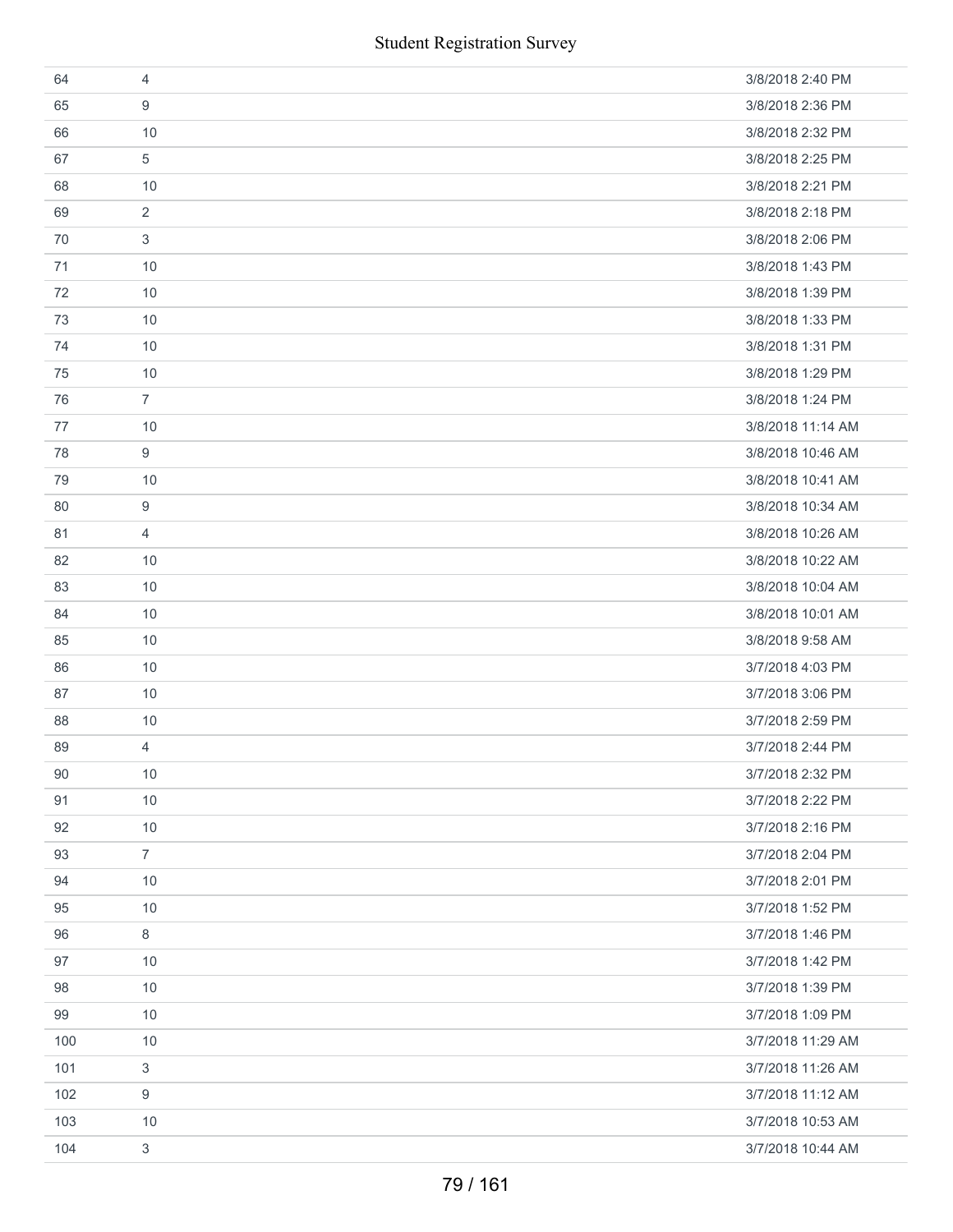|     | <b>Student Registration Survey</b> |                   |
|-----|------------------------------------|-------------------|
| 64  | $\overline{4}$                     | 3/8/2018 2:40 PM  |
| 65  | 9                                  | 3/8/2018 2:36 PM  |
| 66  | 10                                 | 3/8/2018 2:32 PM  |
| 67  | 5                                  | 3/8/2018 2:25 PM  |
| 68  | 10                                 | 3/8/2018 2:21 PM  |
| 69  | $\overline{2}$                     | 3/8/2018 2:18 PM  |
| 70  | 3                                  | 3/8/2018 2:06 PM  |
| 71  | 10                                 | 3/8/2018 1:43 PM  |
| 72  | 10                                 | 3/8/2018 1:39 PM  |
| 73  | 10                                 | 3/8/2018 1:33 PM  |
| 74  | 10                                 | 3/8/2018 1:31 PM  |
| 75  | 10                                 | 3/8/2018 1:29 PM  |
| 76  | $\overline{7}$                     | 3/8/2018 1:24 PM  |
| 77  | 10                                 | 3/8/2018 11:14 AM |
| 78  | 9                                  | 3/8/2018 10:46 AM |
| 79  | 10                                 | 3/8/2018 10:41 AM |
| 80  | 9                                  | 3/8/2018 10:34 AM |
| 81  | $\overline{4}$                     | 3/8/2018 10:26 AM |
| 82  | 10                                 | 3/8/2018 10:22 AM |
| 83  | 10                                 | 3/8/2018 10:04 AM |
| 84  | 10                                 | 3/8/2018 10:01 AM |
| 85  | 10                                 | 3/8/2018 9:58 AM  |
| 86  | 10                                 | 3/7/2018 4:03 PM  |
| 87  | 10                                 | 3/7/2018 3:06 PM  |
| 88  | 10                                 | 3/7/2018 2:59 PM  |
| 89  | 4                                  | 3/7/2018 2:44 PM  |
| 90  | 10                                 | 3/7/2018 2:32 PM  |
| 91  | $10$                               | 3/7/2018 2:22 PM  |
| 92  | 10                                 | 3/7/2018 2:16 PM  |
| 93  | $\overline{7}$                     | 3/7/2018 2:04 PM  |
| 94  | 10                                 | 3/7/2018 2:01 PM  |
| 95  | 10                                 | 3/7/2018 1:52 PM  |
| 96  | 8                                  | 3/7/2018 1:46 PM  |
| 97  | 10                                 | 3/7/2018 1:42 PM  |
| 98  | 10                                 | 3/7/2018 1:39 PM  |
| 99  | 10                                 | 3/7/2018 1:09 PM  |
| 100 | 10                                 | 3/7/2018 11:29 AM |
| 101 | 3                                  | 3/7/2018 11:26 AM |
| 102 | 9                                  | 3/7/2018 11:12 AM |
| 103 | 10                                 | 3/7/2018 10:53 AM |
| 104 | 3                                  | 3/7/2018 10:44 AM |
|     | 79 / 161                           |                   |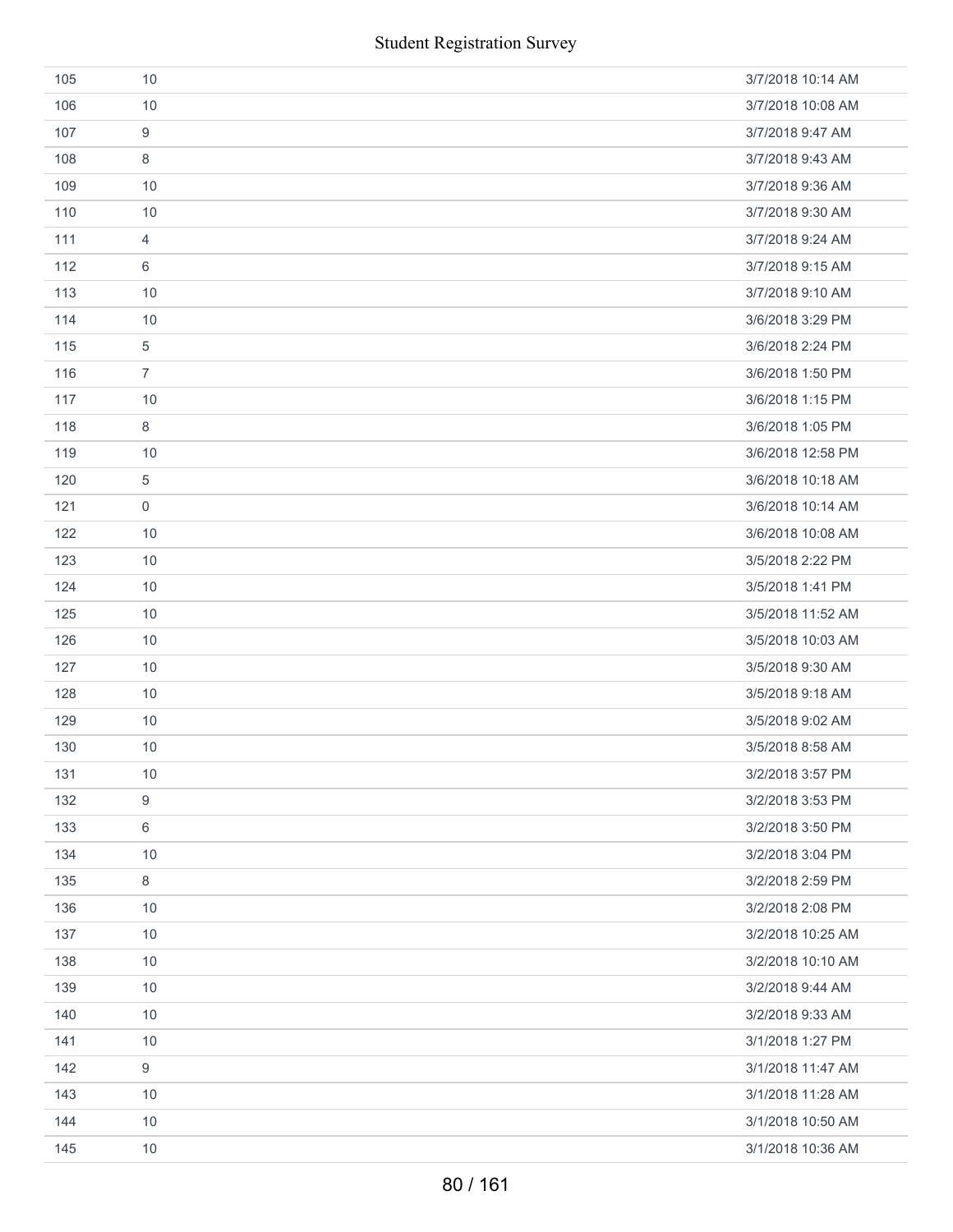|     | <b>Student Registration Survey</b> |                   |
|-----|------------------------------------|-------------------|
| 105 | 10                                 | 3/7/2018 10:14 AM |
| 106 | 10                                 | 3/7/2018 10:08 AM |
| 107 | 9                                  | 3/7/2018 9:47 AM  |
| 108 | 8                                  | 3/7/2018 9:43 AM  |
| 109 | 10                                 | 3/7/2018 9:36 AM  |
| 110 | 10                                 | 3/7/2018 9:30 AM  |
| 111 | $\overline{4}$                     | 3/7/2018 9:24 AM  |
| 112 | 6                                  | 3/7/2018 9:15 AM  |
| 113 | 10                                 | 3/7/2018 9:10 AM  |
| 114 | 10                                 | 3/6/2018 3:29 PM  |
| 115 | $\,$ 5 $\,$                        | 3/6/2018 2:24 PM  |
| 116 | $\overline{7}$                     | 3/6/2018 1:50 PM  |
| 117 | 10                                 | 3/6/2018 1:15 PM  |
| 118 | 8                                  | 3/6/2018 1:05 PM  |
| 119 | 10                                 | 3/6/2018 12:58 PM |
| 120 | $\sqrt{5}$                         | 3/6/2018 10:18 AM |
| 121 | $\mathsf{O}\xspace$                | 3/6/2018 10:14 AM |
| 122 | 10                                 | 3/6/2018 10:08 AM |
| 123 | 10                                 | 3/5/2018 2:22 PM  |
| 124 | 10                                 | 3/5/2018 1:41 PM  |
| 125 | 10                                 | 3/5/2018 11:52 AM |
| 126 | 10                                 | 3/5/2018 10:03 AM |
| 127 | 10                                 | 3/5/2018 9:30 AM  |
| 128 | 10                                 | 3/5/2018 9:18 AM  |
| 129 | 10                                 | 3/5/2018 9:02 AM  |
| 130 | 10                                 | 3/5/2018 8:58 AM  |
| 131 | 10                                 | 3/2/2018 3:57 PM  |
| 132 | $\boldsymbol{9}$                   | 3/2/2018 3:53 PM  |
| 133 | 6                                  | 3/2/2018 3:50 PM  |
| 134 | 10                                 | 3/2/2018 3:04 PM  |
| 135 | 8                                  | 3/2/2018 2:59 PM  |
| 136 | 10                                 | 3/2/2018 2:08 PM  |
| 137 | 10                                 | 3/2/2018 10:25 AM |
| 138 | 10                                 | 3/2/2018 10:10 AM |
| 139 | 10                                 | 3/2/2018 9:44 AM  |
| 140 | 10                                 | 3/2/2018 9:33 AM  |
| 141 | 10                                 | 3/1/2018 1:27 PM  |
| 142 | $\boldsymbol{9}$                   | 3/1/2018 11:47 AM |
| 143 | 10                                 | 3/1/2018 11:28 AM |
| 144 | 10                                 | 3/1/2018 10:50 AM |
| 145 | 10                                 | 3/1/2018 10:36 AM |
|     | 80 / 161                           |                   |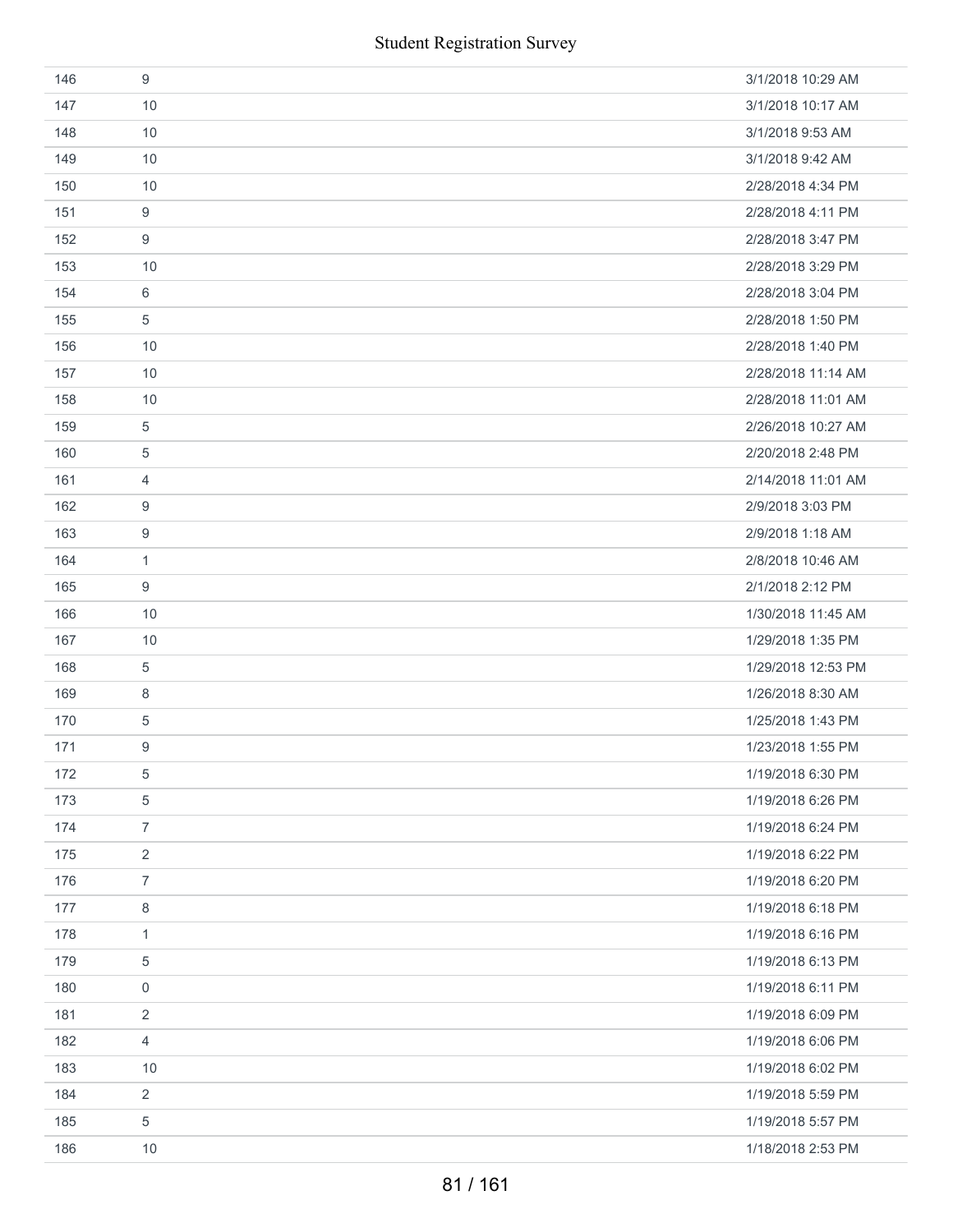| 146 | 9              | 3/1/2018 10:29 AM  |
|-----|----------------|--------------------|
| 147 | 10             | 3/1/2018 10:17 AM  |
| 148 | 10             | 3/1/2018 9:53 AM   |
| 149 | 10             | 3/1/2018 9:42 AM   |
| 150 | 10             | 2/28/2018 4:34 PM  |
| 151 | 9              | 2/28/2018 4:11 PM  |
| 152 | 9              | 2/28/2018 3:47 PM  |
| 153 | 10             | 2/28/2018 3:29 PM  |
| 154 | 6              | 2/28/2018 3:04 PM  |
| 155 | 5              | 2/28/2018 1:50 PM  |
| 156 | 10             | 2/28/2018 1:40 PM  |
| 157 | 10             | 2/28/2018 11:14 AM |
| 158 | 10             | 2/28/2018 11:01 AM |
| 159 | 5              | 2/26/2018 10:27 AM |
| 160 | 5              | 2/20/2018 2:48 PM  |
| 161 | $\overline{4}$ | 2/14/2018 11:01 AM |
| 162 | 9              | 2/9/2018 3:03 PM   |
| 163 | 9              | 2/9/2018 1:18 AM   |
| 164 | $\mathbf{1}$   | 2/8/2018 10:46 AM  |
| 165 | 9              | 2/1/2018 2:12 PM   |
| 166 | 10             | 1/30/2018 11:45 AM |
| 167 | 10             | 1/29/2018 1:35 PM  |
| 168 | $\,$ 5 $\,$    | 1/29/2018 12:53 PM |
| 169 | 8              | 1/26/2018 8:30 AM  |
| 170 | 5              | 1/25/2018 1:43 PM  |
| 171 | 9              | 1/23/2018 1:55 PM  |
| 172 | 5              | 1/19/2018 6:30 PM  |
| 173 | $\sqrt{5}$     | 1/19/2018 6:26 PM  |
| 174 | $\overline{7}$ | 1/19/2018 6:24 PM  |
| 175 | $\overline{2}$ | 1/19/2018 6:22 PM  |
| 176 | $\overline{7}$ | 1/19/2018 6:20 PM  |
| 177 | $\,8\,$        | 1/19/2018 6:18 PM  |
| 178 | $\mathbf{1}$   | 1/19/2018 6:16 PM  |
| 179 | $\sqrt{5}$     | 1/19/2018 6:13 PM  |
| 180 | $\mathbf 0$    | 1/19/2018 6:11 PM  |
| 181 | $\overline{2}$ | 1/19/2018 6:09 PM  |
| 182 | $\overline{4}$ | 1/19/2018 6:06 PM  |
| 183 | 10             | 1/19/2018 6:02 PM  |
| 184 | $\sqrt{2}$     | 1/19/2018 5:59 PM  |
| 185 | 5              | 1/19/2018 5:57 PM  |
| 186 | 10             | 1/18/2018 2:53 PM  |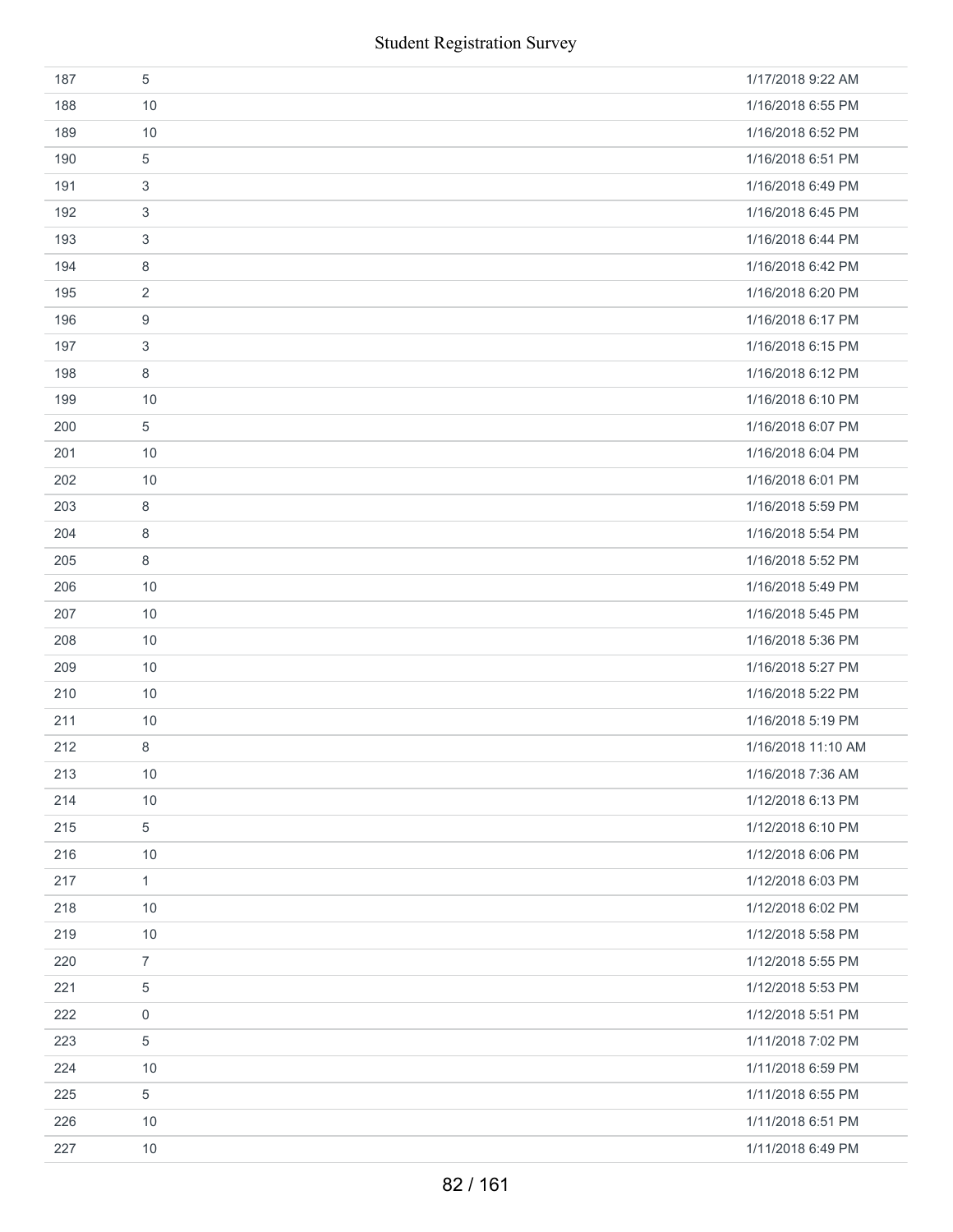|     | <b>Student Registration Survey</b> |                    |
|-----|------------------------------------|--------------------|
| 187 | 5                                  | 1/17/2018 9:22 AM  |
| 188 | 10                                 | 1/16/2018 6:55 PM  |
| 189 | 10                                 | 1/16/2018 6:52 PM  |
| 190 | 5                                  | 1/16/2018 6:51 PM  |
| 191 | 3                                  | 1/16/2018 6:49 PM  |
| 192 | 3                                  | 1/16/2018 6:45 PM  |
| 193 | 3                                  | 1/16/2018 6:44 PM  |
| 194 | 8                                  | 1/16/2018 6:42 PM  |
| 195 | $\overline{2}$                     | 1/16/2018 6:20 PM  |
| 196 | 9                                  | 1/16/2018 6:17 PM  |
| 197 | 3                                  | 1/16/2018 6:15 PM  |
| 198 | 8                                  | 1/16/2018 6:12 PM  |
| 199 | 10                                 | 1/16/2018 6:10 PM  |
| 200 | 5                                  | 1/16/2018 6:07 PM  |
| 201 | 10                                 | 1/16/2018 6:04 PM  |
| 202 | 10                                 | 1/16/2018 6:01 PM  |
| 203 | 8                                  | 1/16/2018 5:59 PM  |
| 204 | 8                                  | 1/16/2018 5:54 PM  |
| 205 | 8                                  | 1/16/2018 5:52 PM  |
| 206 | 10                                 | 1/16/2018 5:49 PM  |
| 207 | 10                                 | 1/16/2018 5:45 PM  |
| 208 | 10                                 | 1/16/2018 5:36 PM  |
| 209 | 10                                 | 1/16/2018 5:27 PM  |
| 210 | 10                                 | 1/16/2018 5:22 PM  |
| 211 | 10                                 | 1/16/2018 5:19 PM  |
| 212 | 8                                  | 1/16/2018 11:10 AM |
| 213 | 10                                 | 1/16/2018 7:36 AM  |
| 214 | 10                                 | 1/12/2018 6:13 PM  |
| 215 | 5                                  | 1/12/2018 6:10 PM  |
| 216 | 10                                 | 1/12/2018 6:06 PM  |
| 217 | 1                                  | 1/12/2018 6:03 PM  |
| 218 | 10                                 | 1/12/2018 6:02 PM  |
| 219 | 10                                 | 1/12/2018 5:58 PM  |
| 220 | $\overline{7}$                     | 1/12/2018 5:55 PM  |
| 221 | 5                                  | 1/12/2018 5:53 PM  |
| 222 | 0                                  | 1/12/2018 5:51 PM  |
| 223 | $\,$ 5 $\,$                        | 1/11/2018 7:02 PM  |
| 224 | 10                                 | 1/11/2018 6:59 PM  |
| 225 | 5                                  | 1/11/2018 6:55 PM  |
| 226 | 10                                 | 1/11/2018 6:51 PM  |
| 227 | 10                                 | 1/11/2018 6:49 PM  |
|     | 82 / 161                           |                    |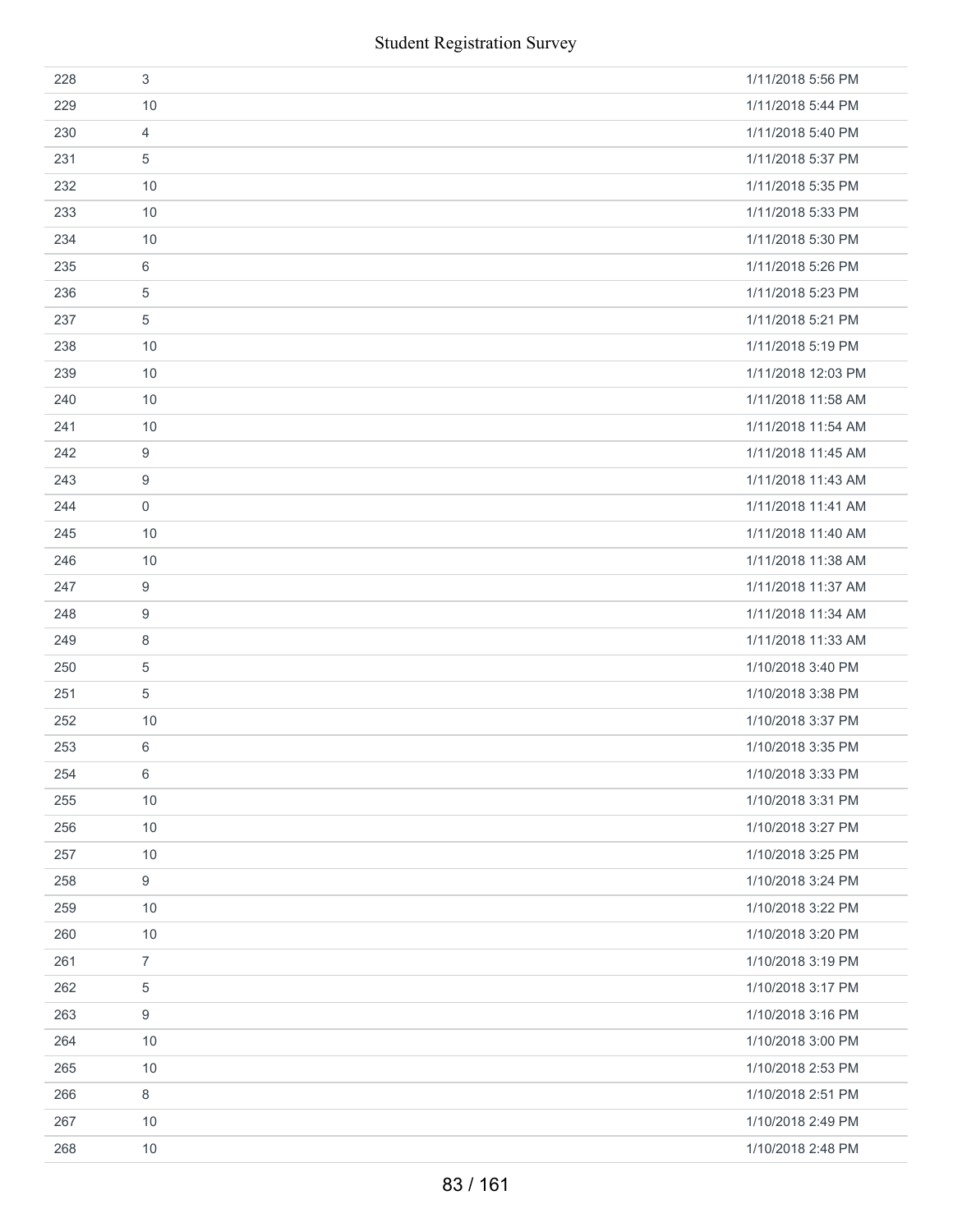|     | <b>Student Registration Survey</b> |                    |
|-----|------------------------------------|--------------------|
| 228 | 3                                  | 1/11/2018 5:56 PM  |
| 229 | 10                                 | 1/11/2018 5:44 PM  |
| 230 | $\overline{4}$                     | 1/11/2018 5:40 PM  |
| 231 | 5                                  | 1/11/2018 5:37 PM  |
| 232 | 10                                 | 1/11/2018 5:35 PM  |
| 233 | 10                                 | 1/11/2018 5:33 PM  |
| 234 | 10                                 | 1/11/2018 5:30 PM  |
| 235 | 6                                  | 1/11/2018 5:26 PM  |
| 236 | 5                                  | 1/11/2018 5:23 PM  |
| 237 | 5                                  | 1/11/2018 5:21 PM  |
| 238 | 10                                 | 1/11/2018 5:19 PM  |
| 239 | 10                                 | 1/11/2018 12:03 PM |
| 240 | 10                                 | 1/11/2018 11:58 AM |
| 241 | 10                                 | 1/11/2018 11:54 AM |
| 242 | 9                                  | 1/11/2018 11:45 AM |
| 243 | 9                                  | 1/11/2018 11:43 AM |
| 244 | $\mathsf{O}\xspace$                | 1/11/2018 11:41 AM |
| 245 | 10                                 | 1/11/2018 11:40 AM |
| 246 | 10                                 | 1/11/2018 11:38 AM |
| 247 | $\boldsymbol{9}$                   | 1/11/2018 11:37 AM |
| 248 | 9                                  | 1/11/2018 11:34 AM |
| 249 | 8                                  | 1/11/2018 11:33 AM |
| 250 | 5                                  | 1/10/2018 3:40 PM  |
| 251 | 5                                  | 1/10/2018 3:38 PM  |
| 252 | 10                                 | 1/10/2018 3:37 PM  |
| 253 | 6                                  | 1/10/2018 3:35 PM  |
| 254 | 6                                  | 1/10/2018 3:33 PM  |
| 255 | 10                                 | 1/10/2018 3:31 PM  |
| 256 | 10                                 | 1/10/2018 3:27 PM  |
| 257 | 10                                 | 1/10/2018 3:25 PM  |
| 258 | 9                                  | 1/10/2018 3:24 PM  |
| 259 | 10                                 | 1/10/2018 3:22 PM  |
| 260 | 10                                 | 1/10/2018 3:20 PM  |
| 261 | $\overline{7}$                     | 1/10/2018 3:19 PM  |
| 262 | 5                                  | 1/10/2018 3:17 PM  |
| 263 | 9                                  | 1/10/2018 3:16 PM  |
| 264 | 10                                 | 1/10/2018 3:00 PM  |
| 265 | 10                                 | 1/10/2018 2:53 PM  |
| 266 | 8                                  | 1/10/2018 2:51 PM  |
| 267 | 10                                 | 1/10/2018 2:49 PM  |
| 268 | 10                                 | 1/10/2018 2:48 PM  |
|     | 83 / 161                           |                    |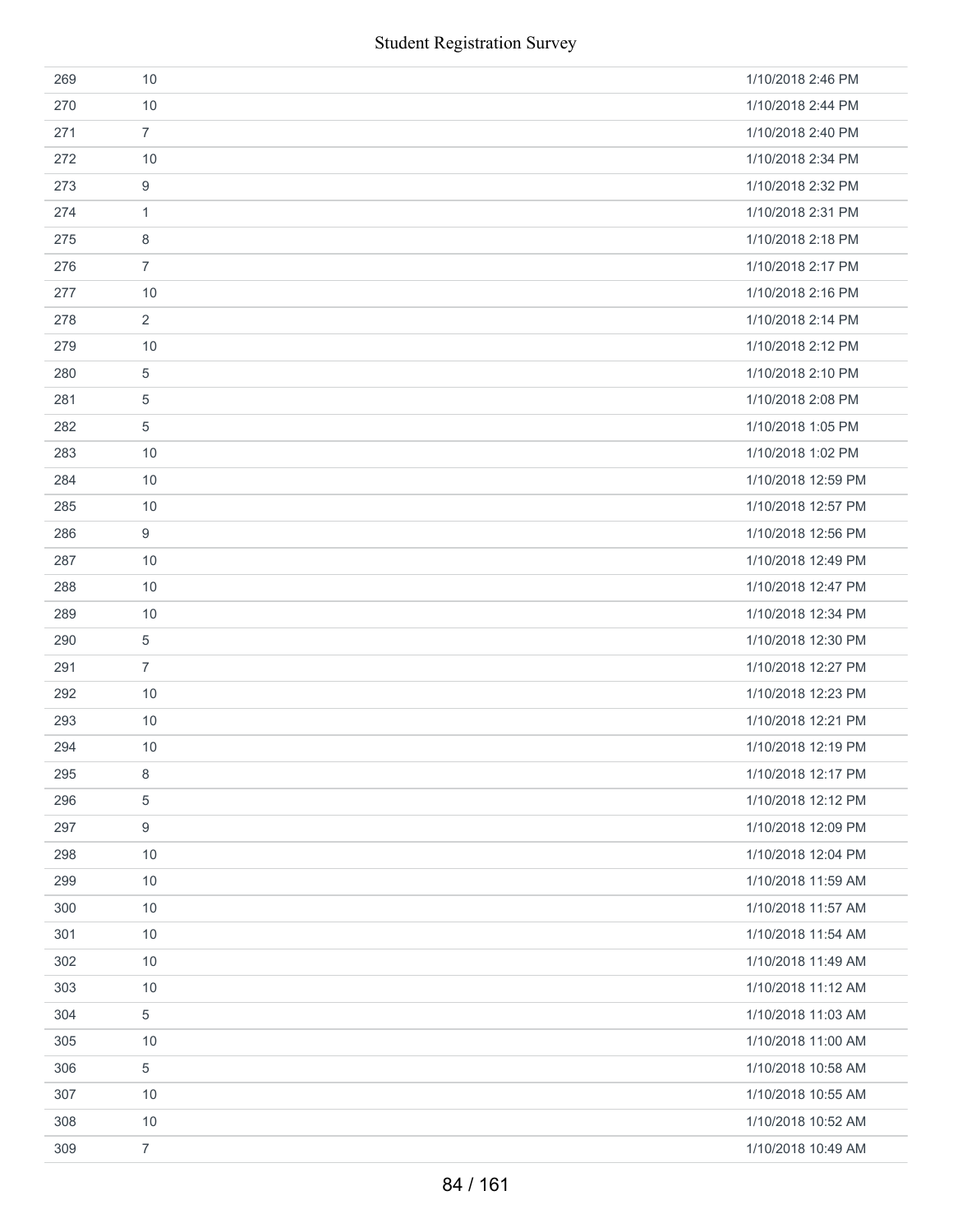|     |                | <b>Student Registration Survey</b> |
|-----|----------------|------------------------------------|
| 269 | 10             | 1/10/2018 2:46 PM                  |
| 270 | 10             | 1/10/2018 2:44 PM                  |
| 271 | $\overline{7}$ | 1/10/2018 2:40 PM                  |
| 272 | 10             | 1/10/2018 2:34 PM                  |
| 273 | 9              | 1/10/2018 2:32 PM                  |
| 274 | $\mathbf{1}$   | 1/10/2018 2:31 PM                  |
| 275 | 8              | 1/10/2018 2:18 PM                  |
| 276 | $\overline{7}$ | 1/10/2018 2:17 PM                  |
| 277 | 10             | 1/10/2018 2:16 PM                  |
| 278 | 2              | 1/10/2018 2:14 PM                  |
| 279 | 10             | 1/10/2018 2:12 PM                  |
| 280 | 5              | 1/10/2018 2:10 PM                  |
| 281 | 5              | 1/10/2018 2:08 PM                  |
| 282 | 5              | 1/10/2018 1:05 PM                  |
| 283 | 10             | 1/10/2018 1:02 PM                  |
| 284 | 10             | 1/10/2018 12:59 PM                 |
| 285 | 10             | 1/10/2018 12:57 PM                 |
| 286 | 9              | 1/10/2018 12:56 PM                 |
| 287 | 10             | 1/10/2018 12:49 PM                 |
| 288 | 10             | 1/10/2018 12:47 PM                 |
| 289 | 10             | 1/10/2018 12:34 PM                 |
| 290 | 5              | 1/10/2018 12:30 PM                 |
| 291 | $\overline{7}$ | 1/10/2018 12:27 PM                 |
| 292 | 10             | 1/10/2018 12:23 PM                 |
| 293 | 10             | 1/10/2018 12:21 PM                 |
| 294 | 10             | 1/10/2018 12:19 PM                 |
| 295 | 8              | 1/10/2018 12:17 PM                 |
| 296 | 5              | 1/10/2018 12:12 PM                 |
| 297 | 9              | 1/10/2018 12:09 PM                 |
| 298 | 10             | 1/10/2018 12:04 PM                 |
| 299 | 10             | 1/10/2018 11:59 AM                 |
| 300 | 10             | 1/10/2018 11:57 AM                 |
| 301 | 10             | 1/10/2018 11:54 AM                 |
| 302 | 10             | 1/10/2018 11:49 AM                 |
| 303 | 10             | 1/10/2018 11:12 AM                 |
| 304 | 5              | 1/10/2018 11:03 AM                 |
| 305 | 10             | 1/10/2018 11:00 AM                 |
| 306 | 5              | 1/10/2018 10:58 AM                 |
| 307 | 10             | 1/10/2018 10:55 AM                 |
| 308 | 10             | 1/10/2018 10:52 AM                 |
| 309 | $\overline{7}$ | 1/10/2018 10:49 AM                 |
|     |                | 84 / 161                           |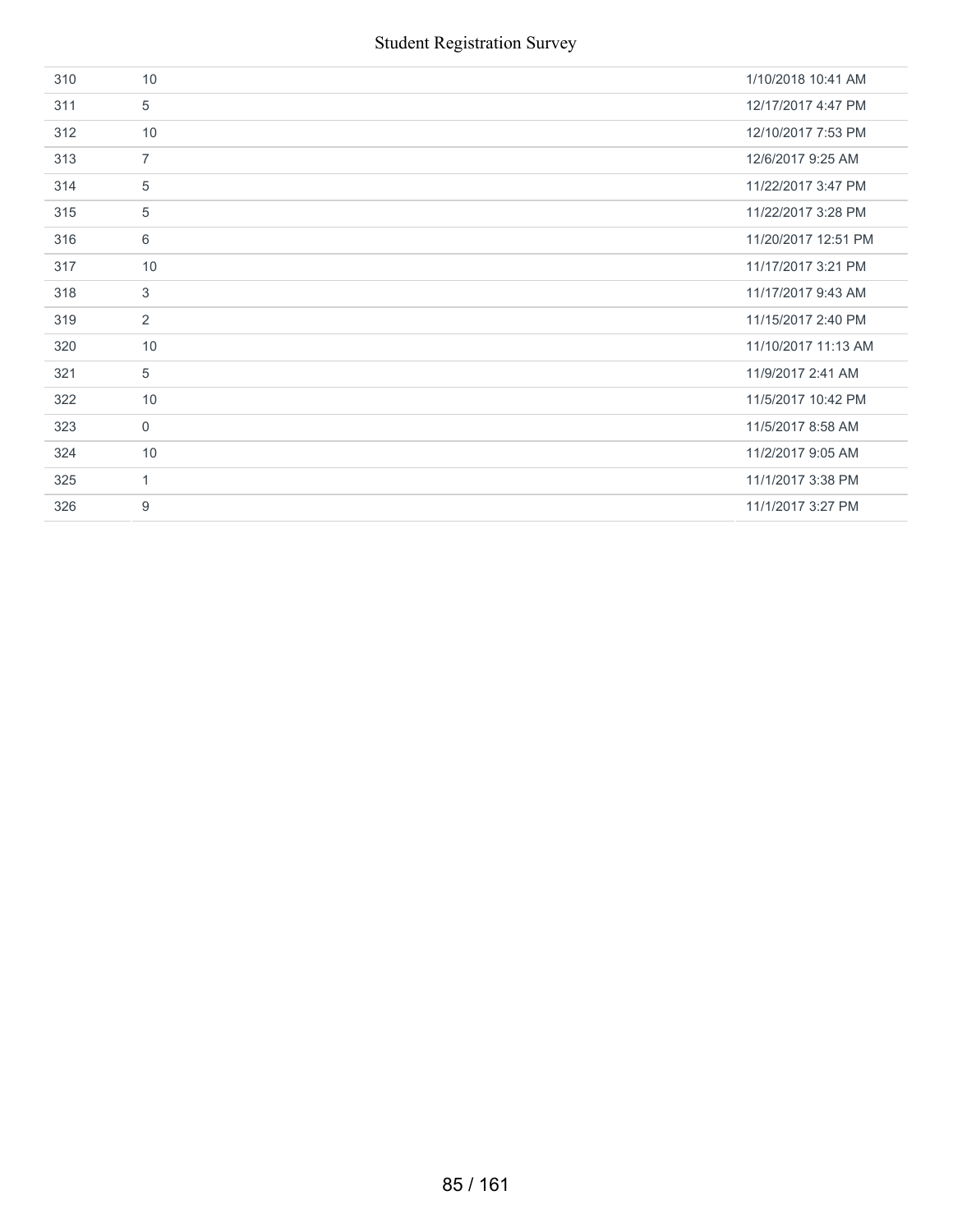| 310 | 10             | 1/10/2018 10:41 AM  |
|-----|----------------|---------------------|
| 311 | 5              | 12/17/2017 4:47 PM  |
| 312 | 10             | 12/10/2017 7:53 PM  |
| 313 | $\overline{7}$ | 12/6/2017 9:25 AM   |
| 314 | 5              | 11/22/2017 3:47 PM  |
| 315 | 5              | 11/22/2017 3:28 PM  |
| 316 | 6              | 11/20/2017 12:51 PM |
| 317 | 10             | 11/17/2017 3:21 PM  |
| 318 | 3              | 11/17/2017 9:43 AM  |
| 319 | $\overline{2}$ | 11/15/2017 2:40 PM  |
| 320 | 10             | 11/10/2017 11:13 AM |
| 321 | 5              | 11/9/2017 2:41 AM   |
| 322 | 10             | 11/5/2017 10:42 PM  |
| 323 | $\mathbf 0$    | 11/5/2017 8:58 AM   |
| 324 | 10             | 11/2/2017 9:05 AM   |
| 325 | $\mathbf{1}$   | 11/1/2017 3:38 PM   |
| 326 | 9              | 11/1/2017 3:27 PM   |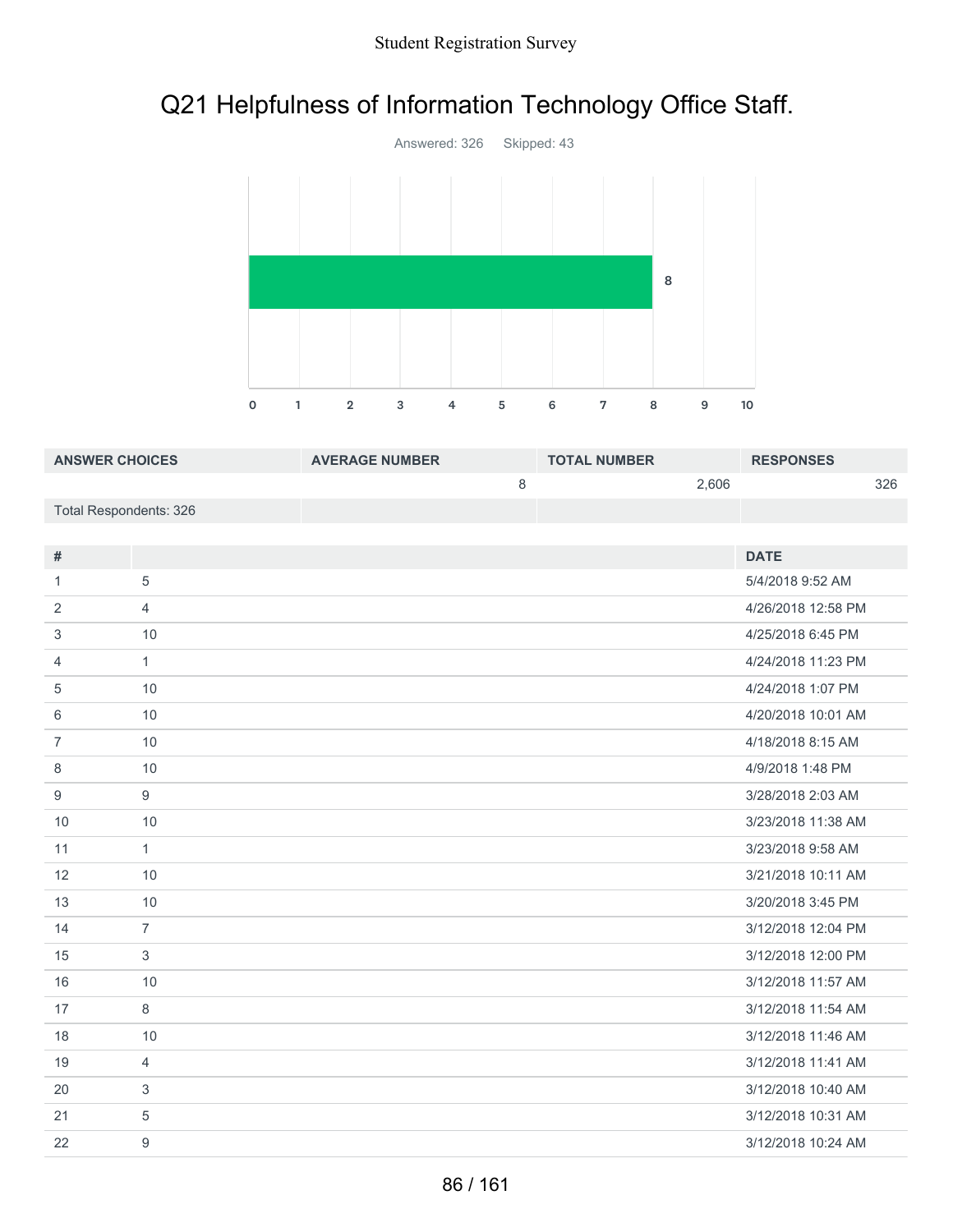## Q21 Helpfulness of Information Technology Office Staff.



| <b>ANSWER CHOICES</b>  | <b>AVERAGE NUMBER</b> | <b>TOTAL NUMBER</b> |       | <b>RESPONSES</b> |     |
|------------------------|-----------------------|---------------------|-------|------------------|-----|
|                        |                       |                     | 2.606 |                  | 326 |
| Total Respondents: 326 |                       |                     |       |                  |     |

| #              |                | <b>DATE</b>        |
|----------------|----------------|--------------------|
| 1              | 5              | 5/4/2018 9:52 AM   |
| 2              | $\overline{4}$ | 4/26/2018 12:58 PM |
| 3              | 10             | 4/25/2018 6:45 PM  |
| 4              | $\mathbf{1}$   | 4/24/2018 11:23 PM |
| 5              | 10             | 4/24/2018 1:07 PM  |
| 6              | 10             | 4/20/2018 10:01 AM |
| $\overline{7}$ | 10             | 4/18/2018 8:15 AM  |
| 8              | 10             | 4/9/2018 1:48 PM   |
| 9              | 9              | 3/28/2018 2:03 AM  |
| 10             | 10             | 3/23/2018 11:38 AM |
| 11             | $\mathbf{1}$   | 3/23/2018 9:58 AM  |
| 12             | 10             | 3/21/2018 10:11 AM |
| 13             | 10             | 3/20/2018 3:45 PM  |
| 14             | $\overline{7}$ | 3/12/2018 12:04 PM |
| 15             | 3              | 3/12/2018 12:00 PM |
| 16             | 10             | 3/12/2018 11:57 AM |
| 17             | 8              | 3/12/2018 11:54 AM |
| 18             | 10             | 3/12/2018 11:46 AM |
| 19             | $\overline{4}$ | 3/12/2018 11:41 AM |
| 20             | 3              | 3/12/2018 10:40 AM |
| 21             | 5              | 3/12/2018 10:31 AM |
| 22             | 9              | 3/12/2018 10:24 AM |
|                |                |                    |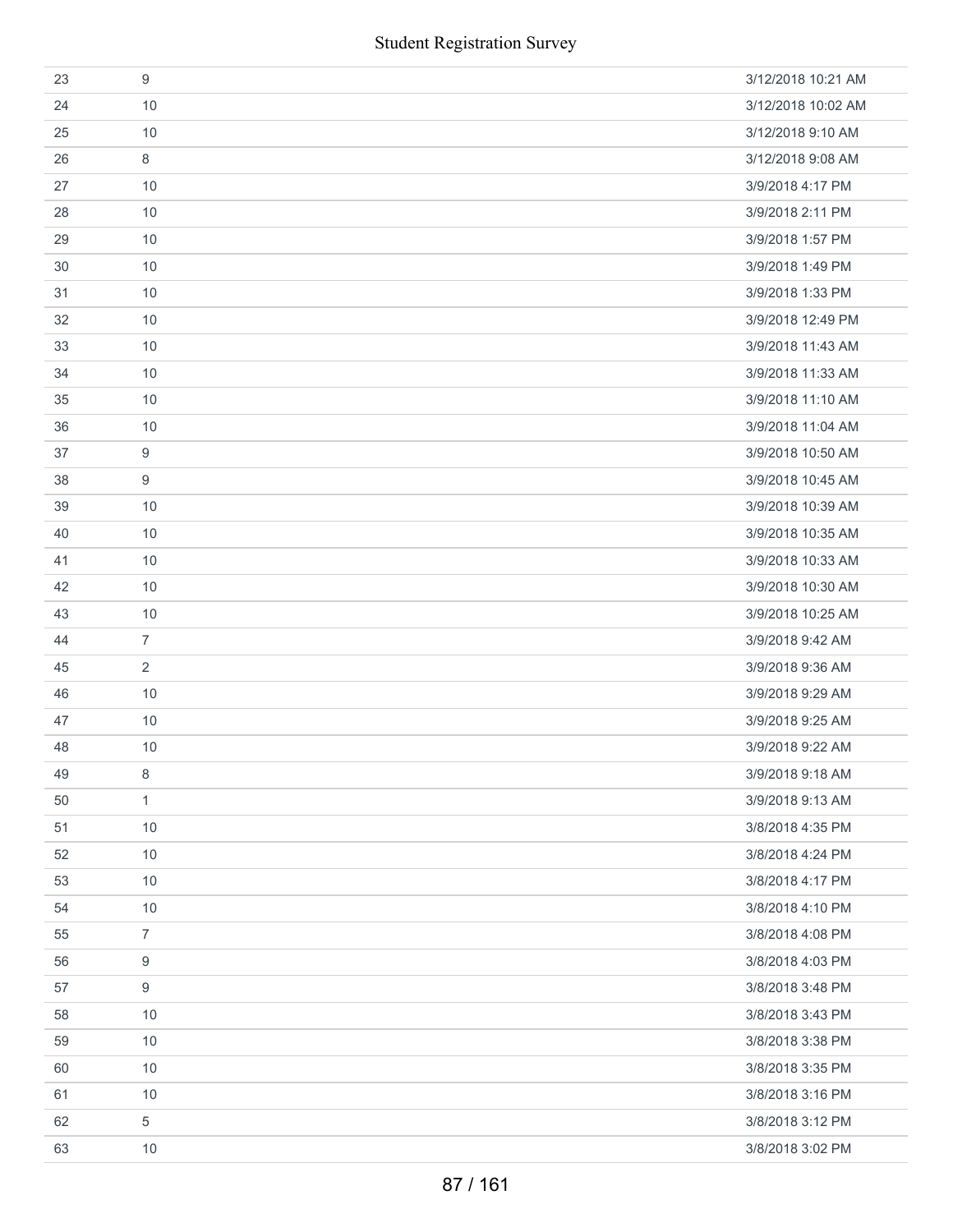| 23 | 9              | 3/12/2018 10:21 AM |
|----|----------------|--------------------|
| 24 | 10             | 3/12/2018 10:02 AM |
| 25 | 10             | 3/12/2018 9:10 AM  |
| 26 | 8              | 3/12/2018 9:08 AM  |
| 27 | 10             | 3/9/2018 4:17 PM   |
| 28 | 10             | 3/9/2018 2:11 PM   |
| 29 | 10             | 3/9/2018 1:57 PM   |
| 30 | 10             | 3/9/2018 1:49 PM   |
| 31 | 10             | 3/9/2018 1:33 PM   |
| 32 | 10             | 3/9/2018 12:49 PM  |
| 33 | 10             | 3/9/2018 11:43 AM  |
| 34 | 10             | 3/9/2018 11:33 AM  |
| 35 | 10             | 3/9/2018 11:10 AM  |
| 36 | 10             | 3/9/2018 11:04 AM  |
| 37 | 9              | 3/9/2018 10:50 AM  |
| 38 | 9              | 3/9/2018 10:45 AM  |
| 39 | 10             | 3/9/2018 10:39 AM  |
| 40 | 10             | 3/9/2018 10:35 AM  |
| 41 | 10             | 3/9/2018 10:33 AM  |
| 42 | 10             | 3/9/2018 10:30 AM  |
| 43 | 10             | 3/9/2018 10:25 AM  |
| 44 | $\overline{7}$ | 3/9/2018 9:42 AM   |
| 45 | $\overline{2}$ | 3/9/2018 9:36 AM   |
| 46 | 10             | 3/9/2018 9:29 AM   |
| 47 | 10             | 3/9/2018 9:25 AM   |
| 48 | 10             | 3/9/2018 9:22 AM   |
| 49 | 8              | 3/9/2018 9:18 AM   |
| 50 | $\mathbf{1}$   | 3/9/2018 9:13 AM   |
| 51 | 10             | 3/8/2018 4:35 PM   |
| 52 | 10             | 3/8/2018 4:24 PM   |
| 53 | 10             | 3/8/2018 4:17 PM   |
| 54 | 10             | 3/8/2018 4:10 PM   |
| 55 | $\overline{7}$ | 3/8/2018 4:08 PM   |
| 56 | 9              | 3/8/2018 4:03 PM   |
| 57 | 9              | 3/8/2018 3:48 PM   |
| 58 | 10             | 3/8/2018 3:43 PM   |
| 59 | 10             | 3/8/2018 3:38 PM   |
| 60 | 10             | 3/8/2018 3:35 PM   |
| 61 | $10$           | 3/8/2018 3:16 PM   |
| 62 | 5              | 3/8/2018 3:12 PM   |
| 63 | 10             | 3/8/2018 3:02 PM   |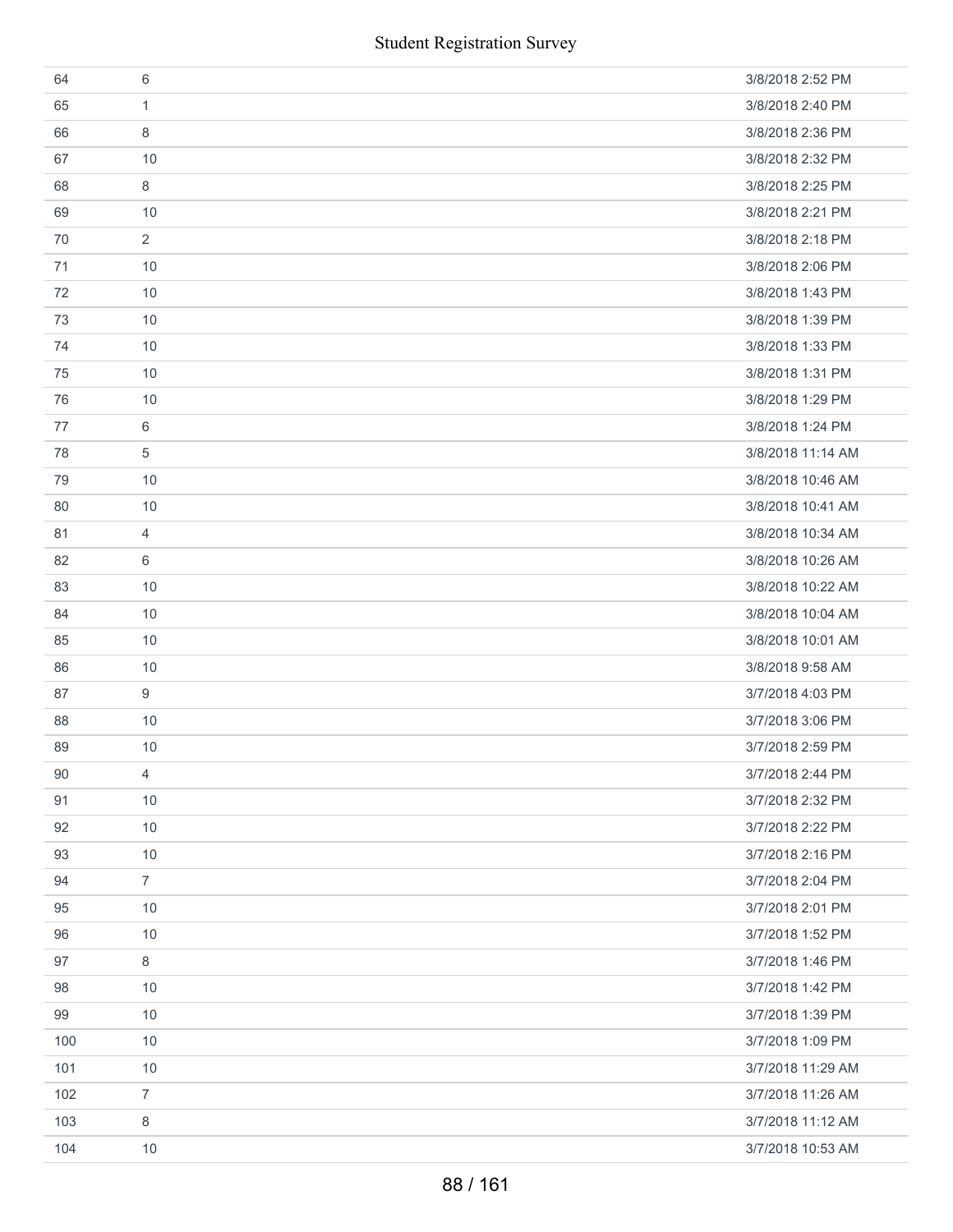|     | <b>Student Registration Survey</b> |                   |
|-----|------------------------------------|-------------------|
| 64  | 6                                  | 3/8/2018 2:52 PM  |
| 65  | 1                                  | 3/8/2018 2:40 PM  |
| 66  | 8                                  | 3/8/2018 2:36 PM  |
| 67  | 10                                 | 3/8/2018 2:32 PM  |
| 68  | 8                                  | 3/8/2018 2:25 PM  |
| 69  | 10                                 | 3/8/2018 2:21 PM  |
| 70  | $\overline{2}$                     | 3/8/2018 2:18 PM  |
| 71  | 10                                 | 3/8/2018 2:06 PM  |
| 72  | 10                                 | 3/8/2018 1:43 PM  |
| 73  | 10                                 | 3/8/2018 1:39 PM  |
| 74  | 10                                 | 3/8/2018 1:33 PM  |
| 75  | 10                                 | 3/8/2018 1:31 PM  |
| 76  | 10                                 | 3/8/2018 1:29 PM  |
| 77  | 6                                  | 3/8/2018 1:24 PM  |
| 78  | 5                                  | 3/8/2018 11:14 AM |
| 79  | 10                                 | 3/8/2018 10:46 AM |
| 80  | 10                                 | 3/8/2018 10:41 AM |
| 81  | 4                                  | 3/8/2018 10:34 AM |
| 82  | 6                                  | 3/8/2018 10:26 AM |
| 83  | 10                                 | 3/8/2018 10:22 AM |
| 84  | 10                                 | 3/8/2018 10:04 AM |
| 85  | 10                                 | 3/8/2018 10:01 AM |
| 86  | 10                                 | 3/8/2018 9:58 AM  |
| 87  | 9                                  | 3/7/2018 4:03 PM  |
| 88  | $10$                               | 3/7/2018 3:06 PM  |
| 89  | 10                                 | 3/7/2018 2:59 PM  |
| 90  | $\overline{4}$                     | 3/7/2018 2:44 PM  |
| 91  | 10                                 | 3/7/2018 2:32 PM  |
| 92  | 10                                 | 3/7/2018 2:22 PM  |
| 93  | 10                                 | 3/7/2018 2:16 PM  |
| 94  | $\overline{7}$                     | 3/7/2018 2:04 PM  |
| 95  | 10                                 | 3/7/2018 2:01 PM  |
| 96  | 10                                 | 3/7/2018 1:52 PM  |
| 97  | 8                                  | 3/7/2018 1:46 PM  |
| 98  | 10                                 | 3/7/2018 1:42 PM  |
| 99  | 10                                 | 3/7/2018 1:39 PM  |
| 100 | 10                                 | 3/7/2018 1:09 PM  |
| 101 | 10                                 | 3/7/2018 11:29 AM |
| 102 | $\overline{7}$                     | 3/7/2018 11:26 AM |
| 103 | 8                                  | 3/7/2018 11:12 AM |
| 104 | 10                                 | 3/7/2018 10:53 AM |
|     | 88 / 161                           |                   |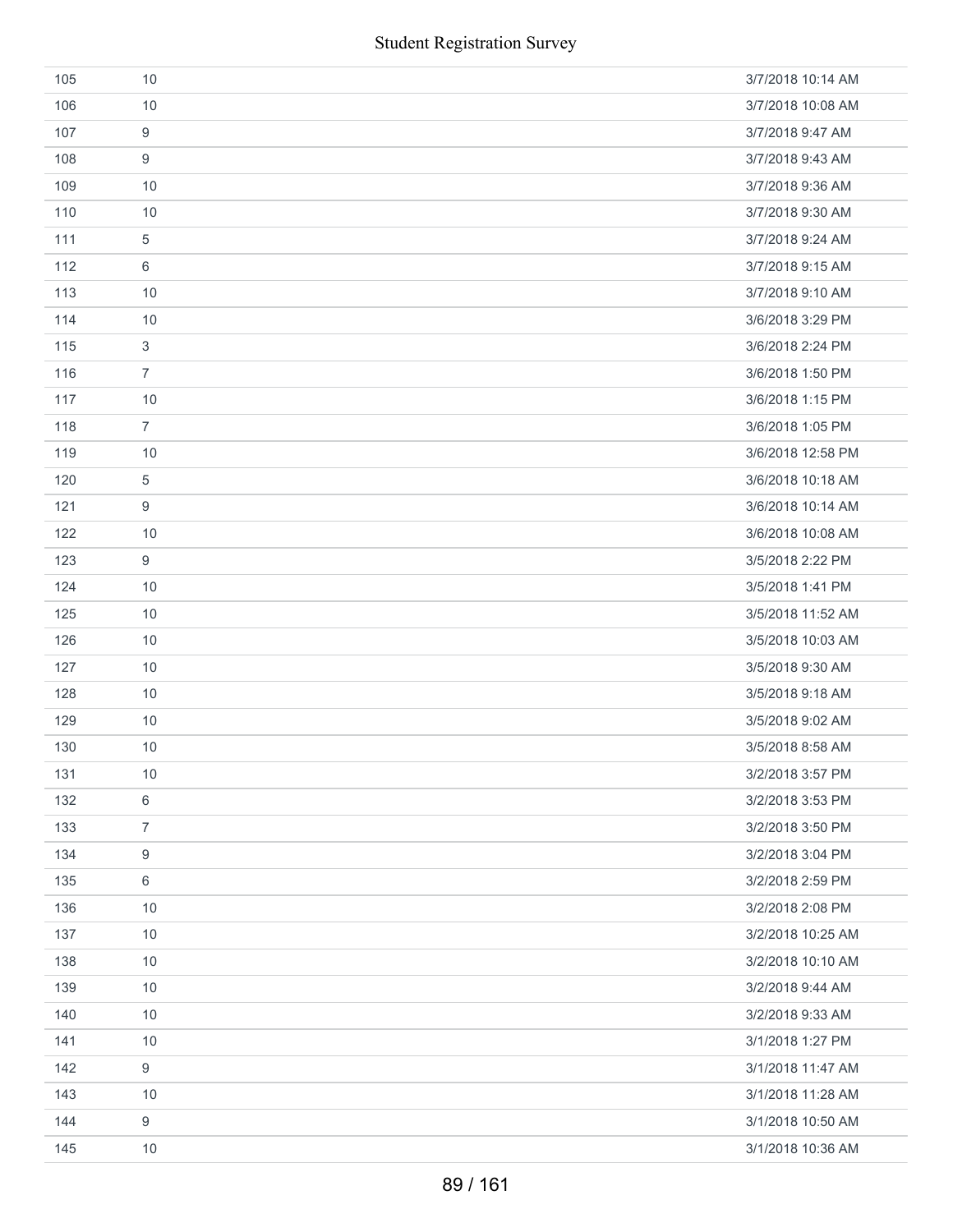|     | <b>Student Registration Survey</b> |                   |
|-----|------------------------------------|-------------------|
| 105 | 10                                 | 3/7/2018 10:14 AM |
| 106 | 10                                 | 3/7/2018 10:08 AM |
| 107 | 9                                  | 3/7/2018 9:47 AM  |
| 108 | 9                                  | 3/7/2018 9:43 AM  |
| 109 | 10                                 | 3/7/2018 9:36 AM  |
| 110 | 10                                 | 3/7/2018 9:30 AM  |
| 111 | $\sqrt{5}$                         | 3/7/2018 9:24 AM  |
| 112 | 6                                  | 3/7/2018 9:15 AM  |
| 113 | 10                                 | 3/7/2018 9:10 AM  |
| 114 | 10                                 | 3/6/2018 3:29 PM  |
| 115 | $\sqrt{3}$                         | 3/6/2018 2:24 PM  |
| 116 | $\overline{7}$                     | 3/6/2018 1:50 PM  |
| 117 | 10                                 | 3/6/2018 1:15 PM  |
| 118 | $\overline{7}$                     | 3/6/2018 1:05 PM  |
| 119 | 10                                 | 3/6/2018 12:58 PM |
| 120 | $\sqrt{5}$                         | 3/6/2018 10:18 AM |
| 121 | $\boldsymbol{9}$                   | 3/6/2018 10:14 AM |
| 122 | 10                                 | 3/6/2018 10:08 AM |
| 123 | $\boldsymbol{9}$                   | 3/5/2018 2:22 PM  |
| 124 | 10                                 | 3/5/2018 1:41 PM  |
| 125 | 10                                 | 3/5/2018 11:52 AM |
| 126 | 10                                 | 3/5/2018 10:03 AM |
| 127 | 10                                 | 3/5/2018 9:30 AM  |
| 128 | 10                                 | 3/5/2018 9:18 AM  |
| 129 | 10                                 | 3/5/2018 9:02 AM  |
| 130 | 10                                 | 3/5/2018 8:58 AM  |
| 131 | 10                                 | 3/2/2018 3:57 PM  |
| 132 | $\,6$                              | 3/2/2018 3:53 PM  |
| 133 | $\overline{7}$                     | 3/2/2018 3:50 PM  |
| 134 | $\boldsymbol{9}$                   | 3/2/2018 3:04 PM  |
| 135 | 6                                  | 3/2/2018 2:59 PM  |
| 136 | 10                                 | 3/2/2018 2:08 PM  |
| 137 | 10                                 | 3/2/2018 10:25 AM |
| 138 | 10                                 | 3/2/2018 10:10 AM |
| 139 | 10                                 | 3/2/2018 9:44 AM  |
| 140 | 10                                 | 3/2/2018 9:33 AM  |
| 141 | 10                                 | 3/1/2018 1:27 PM  |
| 142 | $\boldsymbol{9}$                   | 3/1/2018 11:47 AM |
| 143 | 10                                 | 3/1/2018 11:28 AM |
| 144 | 9                                  | 3/1/2018 10:50 AM |
| 145 | 10                                 | 3/1/2018 10:36 AM |
|     | 89 / 161                           |                   |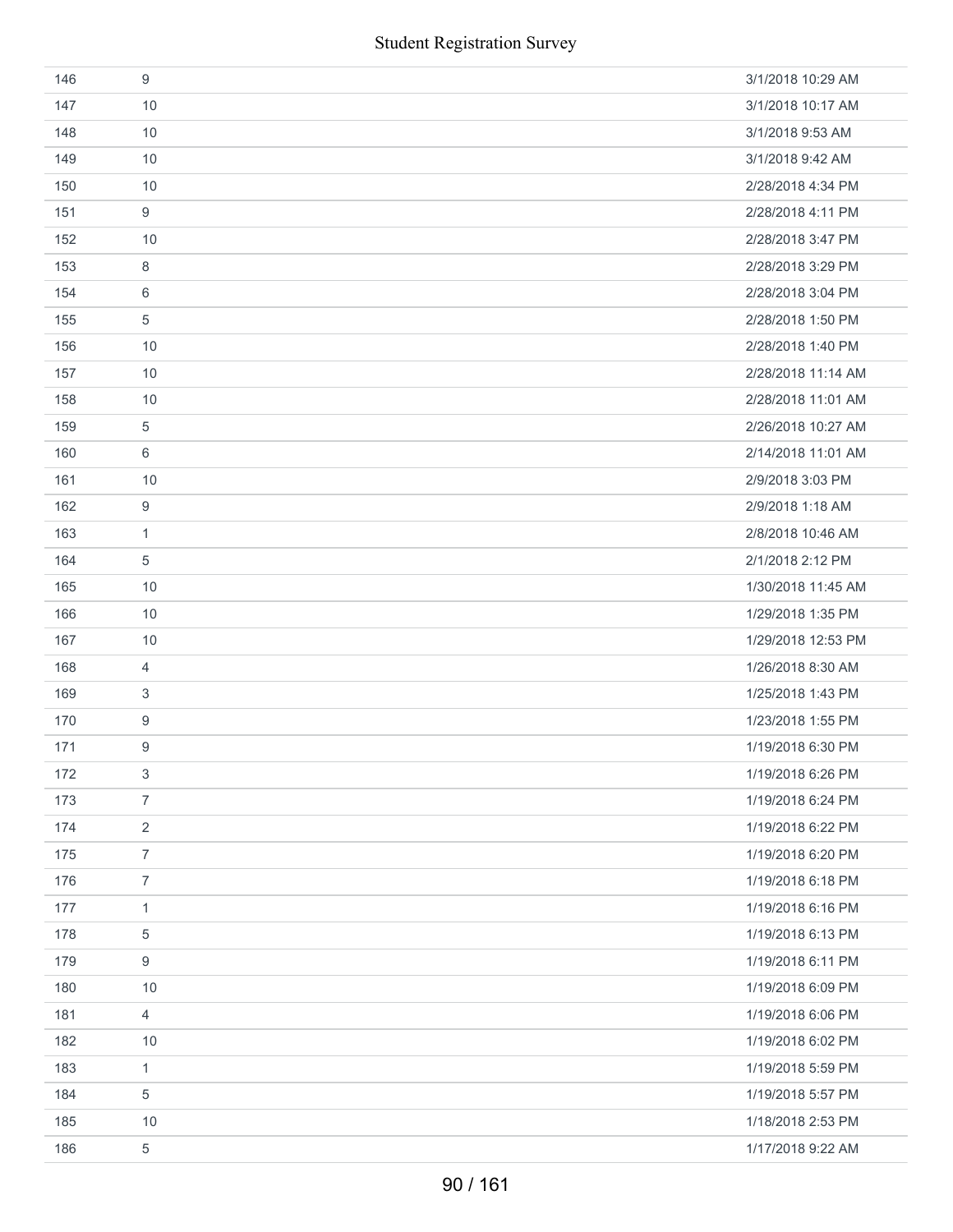| 146 | 9                | 3/1/2018 10:29 AM  |
|-----|------------------|--------------------|
| 147 | 10               | 3/1/2018 10:17 AM  |
| 148 | 10               | 3/1/2018 9:53 AM   |
| 149 | 10               | 3/1/2018 9:42 AM   |
| 150 | 10               | 2/28/2018 4:34 PM  |
| 151 | 9                | 2/28/2018 4:11 PM  |
| 152 | 10               | 2/28/2018 3:47 PM  |
| 153 | 8                | 2/28/2018 3:29 PM  |
| 154 | 6                | 2/28/2018 3:04 PM  |
| 155 | 5                | 2/28/2018 1:50 PM  |
| 156 | 10               | 2/28/2018 1:40 PM  |
| 157 | 10               | 2/28/2018 11:14 AM |
| 158 | 10               | 2/28/2018 11:01 AM |
| 159 | 5                | 2/26/2018 10:27 AM |
| 160 | 6                | 2/14/2018 11:01 AM |
| 161 | 10               | 2/9/2018 3:03 PM   |
| 162 | $\boldsymbol{9}$ | 2/9/2018 1:18 AM   |
| 163 | $\mathbf{1}$     | 2/8/2018 10:46 AM  |
| 164 | 5                | 2/1/2018 2:12 PM   |
| 165 | 10               | 1/30/2018 11:45 AM |
| 166 | 10               | 1/29/2018 1:35 PM  |
| 167 | 10               | 1/29/2018 12:53 PM |
| 168 | $\overline{4}$   | 1/26/2018 8:30 AM  |
| 169 | 3                | 1/25/2018 1:43 PM  |
| 170 | 9                | 1/23/2018 1:55 PM  |
| 171 | 9                | 1/19/2018 6:30 PM  |
| 172 | 3                | 1/19/2018 6:26 PM  |
| 173 | $\overline{7}$   | 1/19/2018 6:24 PM  |
| 174 | $\overline{2}$   | 1/19/2018 6:22 PM  |
| 175 | $\overline{7}$   | 1/19/2018 6:20 PM  |
| 176 | $\overline{7}$   | 1/19/2018 6:18 PM  |
| 177 | $\mathbf{1}$     | 1/19/2018 6:16 PM  |
| 178 | $\,$ 5 $\,$      | 1/19/2018 6:13 PM  |
| 179 | $\boldsymbol{9}$ | 1/19/2018 6:11 PM  |
| 180 | 10               | 1/19/2018 6:09 PM  |
| 181 | $\overline{4}$   | 1/19/2018 6:06 PM  |
| 182 | 10               | 1/19/2018 6:02 PM  |
| 183 | $\mathbf{1}$     | 1/19/2018 5:59 PM  |
| 184 | 5                | 1/19/2018 5:57 PM  |
| 185 | 10               | 1/18/2018 2:53 PM  |
| 186 | $\,$ 5 $\,$      | 1/17/2018 9:22 AM  |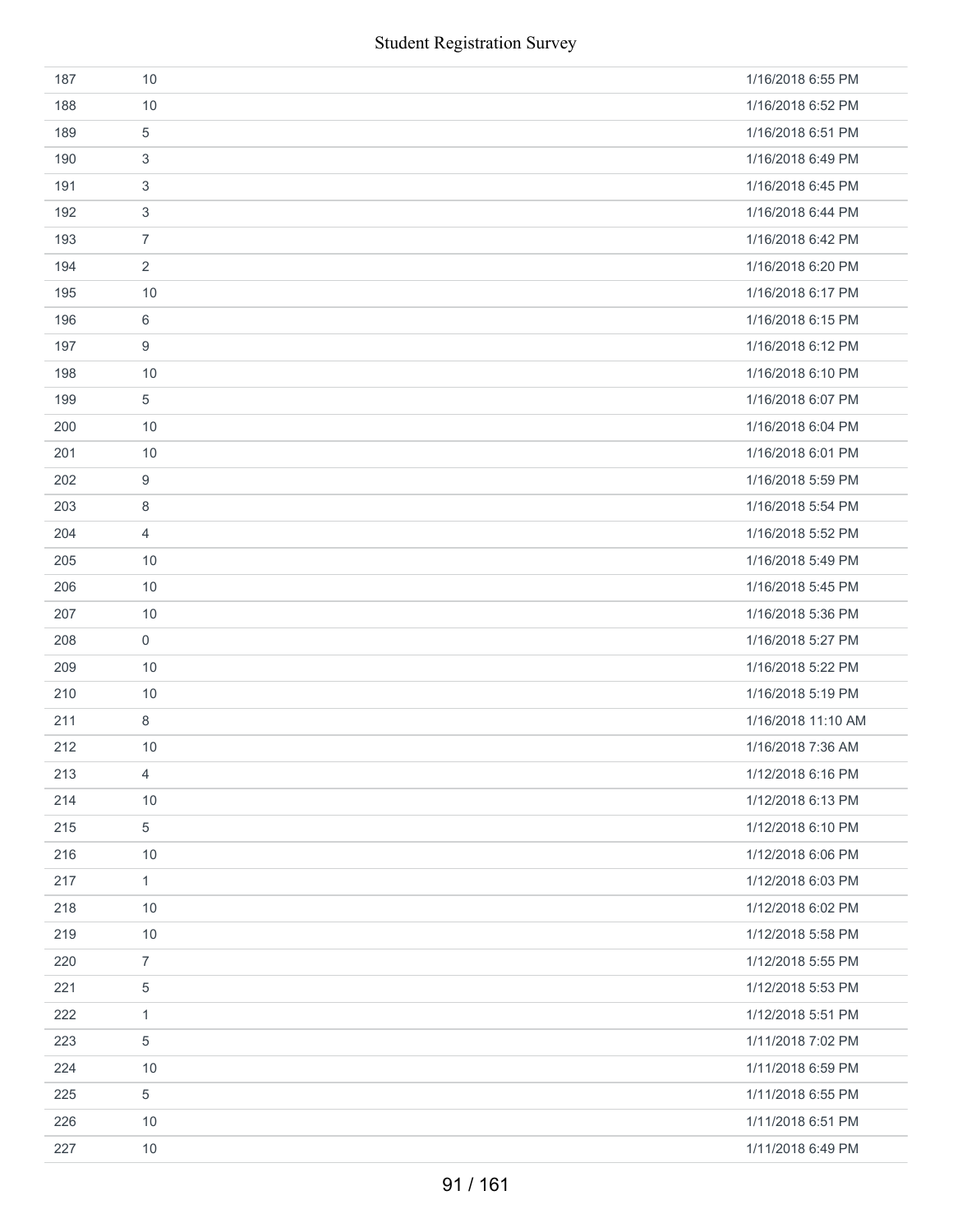|     | <b>Student Registration Survey</b> |                    |
|-----|------------------------------------|--------------------|
| 187 | 10                                 | 1/16/2018 6:55 PM  |
| 188 | 10                                 | 1/16/2018 6:52 PM  |
| 189 | $\,$ 5 $\,$                        | 1/16/2018 6:51 PM  |
| 190 | 3                                  | 1/16/2018 6:49 PM  |
| 191 | 3                                  | 1/16/2018 6:45 PM  |
| 192 | 3                                  | 1/16/2018 6:44 PM  |
| 193 | $\overline{7}$                     | 1/16/2018 6:42 PM  |
| 194 | $\overline{2}$                     | 1/16/2018 6:20 PM  |
| 195 | 10                                 | 1/16/2018 6:17 PM  |
| 196 | $\,6$                              | 1/16/2018 6:15 PM  |
| 197 | 9                                  | 1/16/2018 6:12 PM  |
| 198 | 10                                 | 1/16/2018 6:10 PM  |
| 199 | 5                                  | 1/16/2018 6:07 PM  |
| 200 | 10                                 | 1/16/2018 6:04 PM  |
| 201 | 10                                 | 1/16/2018 6:01 PM  |
| 202 | $\boldsymbol{9}$                   | 1/16/2018 5:59 PM  |
| 203 | 8                                  | 1/16/2018 5:54 PM  |
| 204 | $\overline{4}$                     | 1/16/2018 5:52 PM  |
| 205 | 10                                 | 1/16/2018 5:49 PM  |
| 206 | 10                                 | 1/16/2018 5:45 PM  |
| 207 | 10                                 | 1/16/2018 5:36 PM  |
| 208 | $\mathsf{O}\xspace$                | 1/16/2018 5:27 PM  |
| 209 | 10                                 | 1/16/2018 5:22 PM  |
| 210 | 10                                 | 1/16/2018 5:19 PM  |
| 211 | 8                                  | 1/16/2018 11:10 AM |
| 212 | 10                                 | 1/16/2018 7:36 AM  |
| 213 | $\overline{4}$                     | 1/12/2018 6:16 PM  |
| 214 | 10                                 | 1/12/2018 6:13 PM  |
| 215 | $\sqrt{5}$                         | 1/12/2018 6:10 PM  |
| 216 | 10                                 | 1/12/2018 6:06 PM  |
| 217 | $\mathbf{1}$                       | 1/12/2018 6:03 PM  |
| 218 | 10                                 | 1/12/2018 6:02 PM  |
| 219 | 10                                 | 1/12/2018 5:58 PM  |
| 220 | $\overline{7}$                     | 1/12/2018 5:55 PM  |
| 221 | 5                                  | 1/12/2018 5:53 PM  |
| 222 | $\mathbf{1}$                       | 1/12/2018 5:51 PM  |
| 223 | 5                                  | 1/11/2018 7:02 PM  |
| 224 | 10                                 | 1/11/2018 6:59 PM  |
| 225 | $\sqrt{5}$                         | 1/11/2018 6:55 PM  |
| 226 | 10                                 | 1/11/2018 6:51 PM  |
| 227 | 10                                 | 1/11/2018 6:49 PM  |
|     | 91/161                             |                    |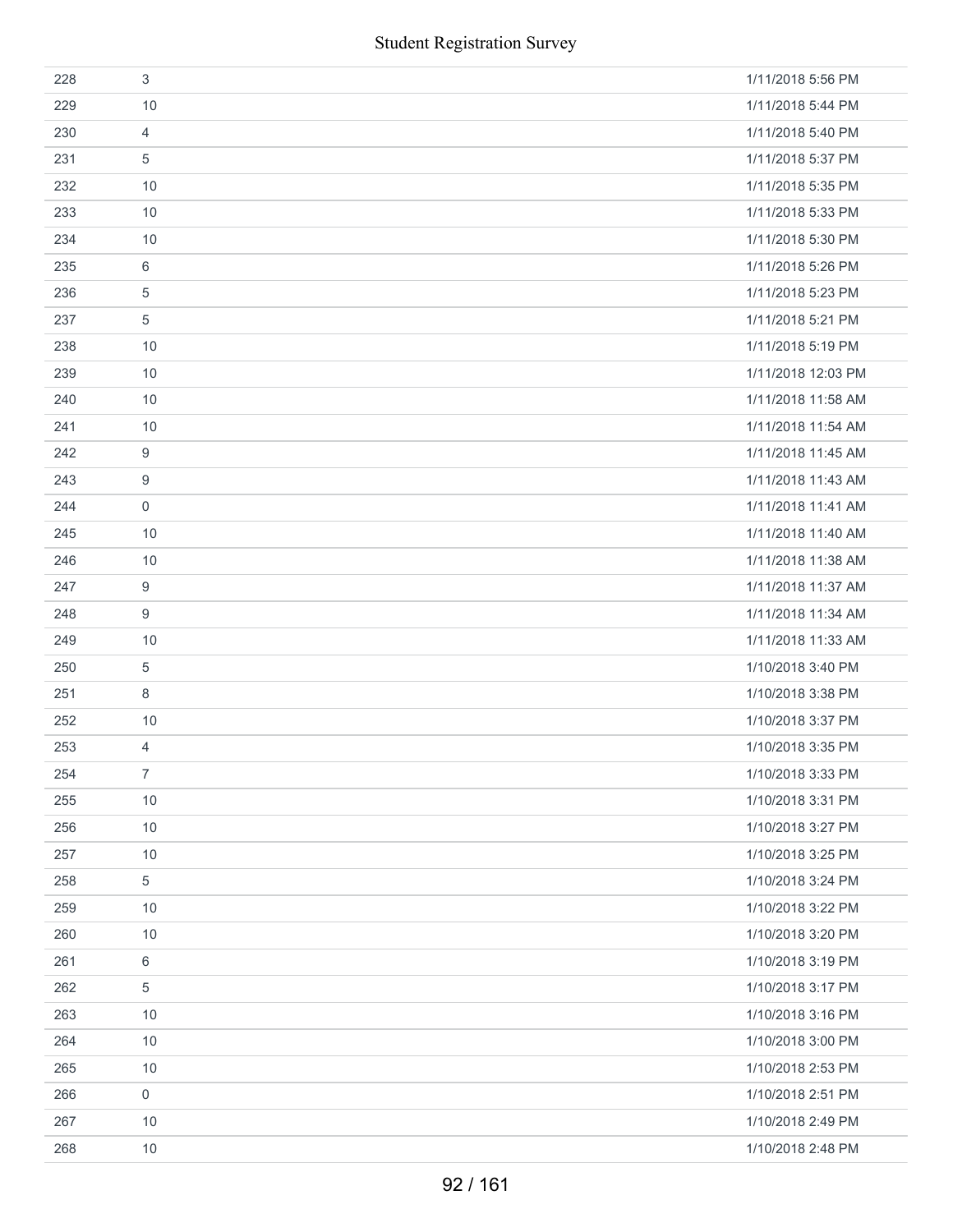|     | <b>Student Registration Survey</b> |                    |
|-----|------------------------------------|--------------------|
| 228 | $\sqrt{3}$                         | 1/11/2018 5:56 PM  |
| 229 | 10                                 | 1/11/2018 5:44 PM  |
| 230 | $\overline{4}$                     | 1/11/2018 5:40 PM  |
| 231 | 5                                  | 1/11/2018 5:37 PM  |
| 232 | 10                                 | 1/11/2018 5:35 PM  |
| 233 | 10                                 | 1/11/2018 5:33 PM  |
| 234 | 10                                 | 1/11/2018 5:30 PM  |
| 235 | 6                                  | 1/11/2018 5:26 PM  |
| 236 | 5                                  | 1/11/2018 5:23 PM  |
| 237 | 5                                  | 1/11/2018 5:21 PM  |
| 238 | 10                                 | 1/11/2018 5:19 PM  |
| 239 | 10                                 | 1/11/2018 12:03 PM |
| 240 | 10                                 | 1/11/2018 11:58 AM |
| 241 | 10                                 | 1/11/2018 11:54 AM |
| 242 | 9                                  | 1/11/2018 11:45 AM |
| 243 | 9                                  | 1/11/2018 11:43 AM |
| 244 | $\mathbf 0$                        | 1/11/2018 11:41 AM |
| 245 | 10                                 | 1/11/2018 11:40 AM |
| 246 | 10                                 | 1/11/2018 11:38 AM |
| 247 | 9                                  | 1/11/2018 11:37 AM |
| 248 | $\boldsymbol{9}$                   | 1/11/2018 11:34 AM |
| 249 | 10                                 | 1/11/2018 11:33 AM |
| 250 | $\sqrt{5}$                         | 1/10/2018 3:40 PM  |
| 251 | 8                                  | 1/10/2018 3:38 PM  |
| 252 | 10                                 | 1/10/2018 3:37 PM  |
| 253 | 4                                  | 1/10/2018 3:35 PM  |
| 254 | $\overline{7}$                     | 1/10/2018 3:33 PM  |
| 255 | $10$                               | 1/10/2018 3:31 PM  |
| 256 | 10                                 | 1/10/2018 3:27 PM  |
| 257 | 10                                 | 1/10/2018 3:25 PM  |
| 258 | 5                                  | 1/10/2018 3:24 PM  |
| 259 | 10                                 | 1/10/2018 3:22 PM  |
| 260 | 10                                 | 1/10/2018 3:20 PM  |
| 261 | 6                                  | 1/10/2018 3:19 PM  |
| 262 | 5                                  | 1/10/2018 3:17 PM  |
| 263 | 10                                 | 1/10/2018 3:16 PM  |
| 264 | 10                                 | 1/10/2018 3:00 PM  |
| 265 | 10                                 | 1/10/2018 2:53 PM  |
| 266 | $\mathbf 0$                        | 1/10/2018 2:51 PM  |
| 267 | 10                                 | 1/10/2018 2:49 PM  |
| 268 | 10                                 | 1/10/2018 2:48 PM  |
|     | 92/161                             |                    |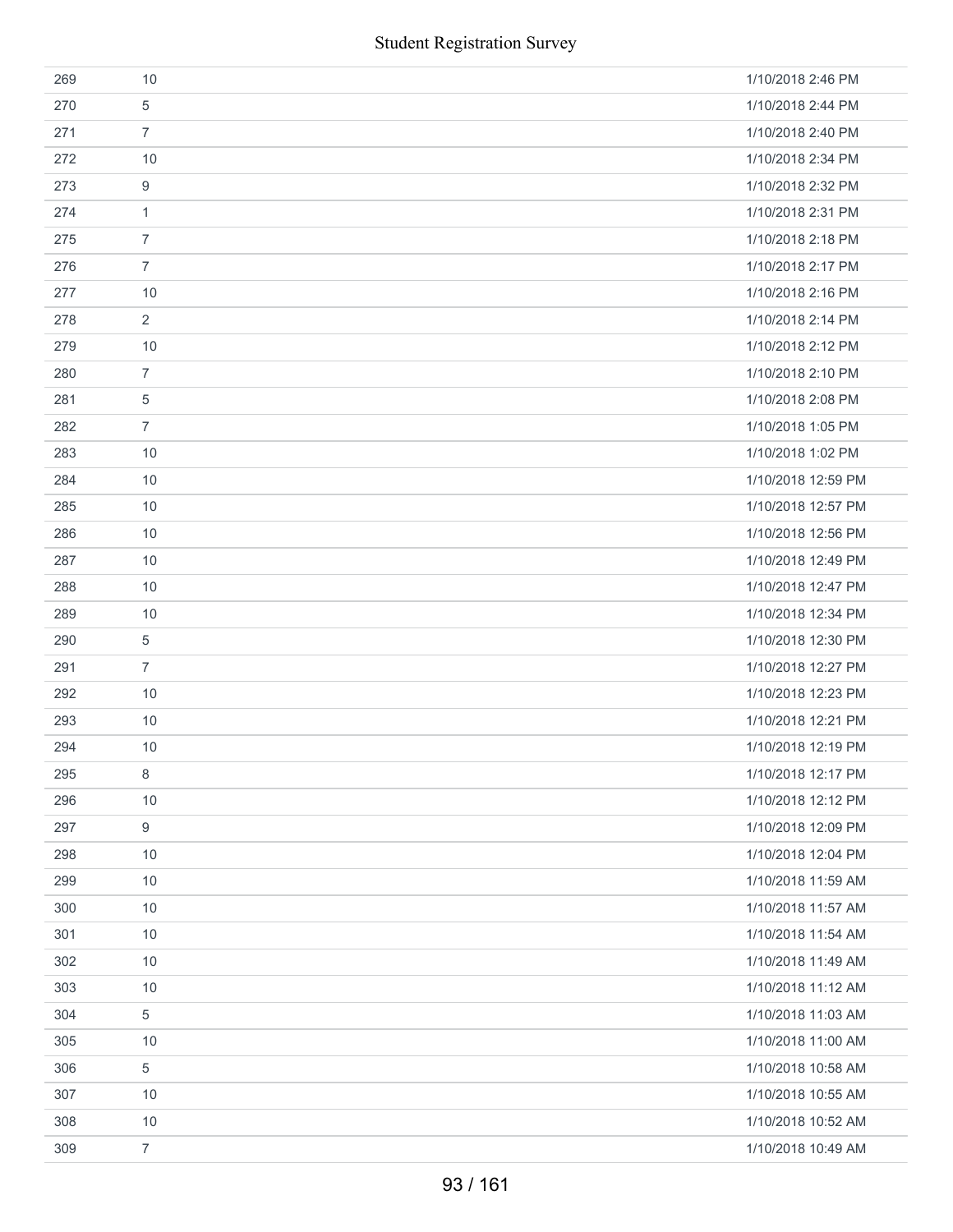|     | <b>Student Registration Survey</b> |                    |
|-----|------------------------------------|--------------------|
| 269 | 10                                 | 1/10/2018 2:46 PM  |
| 270 | 5                                  | 1/10/2018 2:44 PM  |
| 271 | $\overline{7}$                     | 1/10/2018 2:40 PM  |
| 272 | 10                                 | 1/10/2018 2:34 PM  |
| 273 | 9                                  | 1/10/2018 2:32 PM  |
| 274 | 1                                  | 1/10/2018 2:31 PM  |
| 275 | $\overline{7}$                     | 1/10/2018 2:18 PM  |
| 276 | $\overline{7}$                     | 1/10/2018 2:17 PM  |
| 277 | 10                                 | 1/10/2018 2:16 PM  |
| 278 | 2                                  | 1/10/2018 2:14 PM  |
| 279 | 10                                 | 1/10/2018 2:12 PM  |
| 280 | $\overline{7}$                     | 1/10/2018 2:10 PM  |
| 281 | 5                                  | 1/10/2018 2:08 PM  |
| 282 | $\overline{7}$                     | 1/10/2018 1:05 PM  |
| 283 | 10                                 | 1/10/2018 1:02 PM  |
| 284 | 10                                 | 1/10/2018 12:59 PM |
| 285 | 10                                 | 1/10/2018 12:57 PM |
| 286 | 10                                 | 1/10/2018 12:56 PM |
| 287 | 10                                 | 1/10/2018 12:49 PM |
| 288 | 10                                 | 1/10/2018 12:47 PM |
| 289 | 10                                 | 1/10/2018 12:34 PM |
| 290 | 5                                  | 1/10/2018 12:30 PM |
| 291 | $\overline{7}$                     | 1/10/2018 12:27 PM |
| 292 | 10                                 | 1/10/2018 12:23 PM |
| 293 | 10                                 | 1/10/2018 12:21 PM |
| 294 | 10                                 | 1/10/2018 12:19 PM |
| 295 | 8                                  | 1/10/2018 12:17 PM |
| 296 | 10                                 | 1/10/2018 12:12 PM |
| 297 | 9                                  | 1/10/2018 12:09 PM |
| 298 | 10                                 | 1/10/2018 12:04 PM |
| 299 | 10                                 | 1/10/2018 11:59 AM |
| 300 | 10                                 | 1/10/2018 11:57 AM |
| 301 | 10                                 | 1/10/2018 11:54 AM |
| 302 | 10                                 | 1/10/2018 11:49 AM |
| 303 | 10                                 | 1/10/2018 11:12 AM |
| 304 | 5                                  | 1/10/2018 11:03 AM |
| 305 | 10                                 | 1/10/2018 11:00 AM |
| 306 | 5                                  | 1/10/2018 10:58 AM |
| 307 | 10                                 | 1/10/2018 10:55 AM |
| 308 | 10                                 | 1/10/2018 10:52 AM |
| 309 | $\overline{7}$                     | 1/10/2018 10:49 AM |
|     | 93 / 161                           |                    |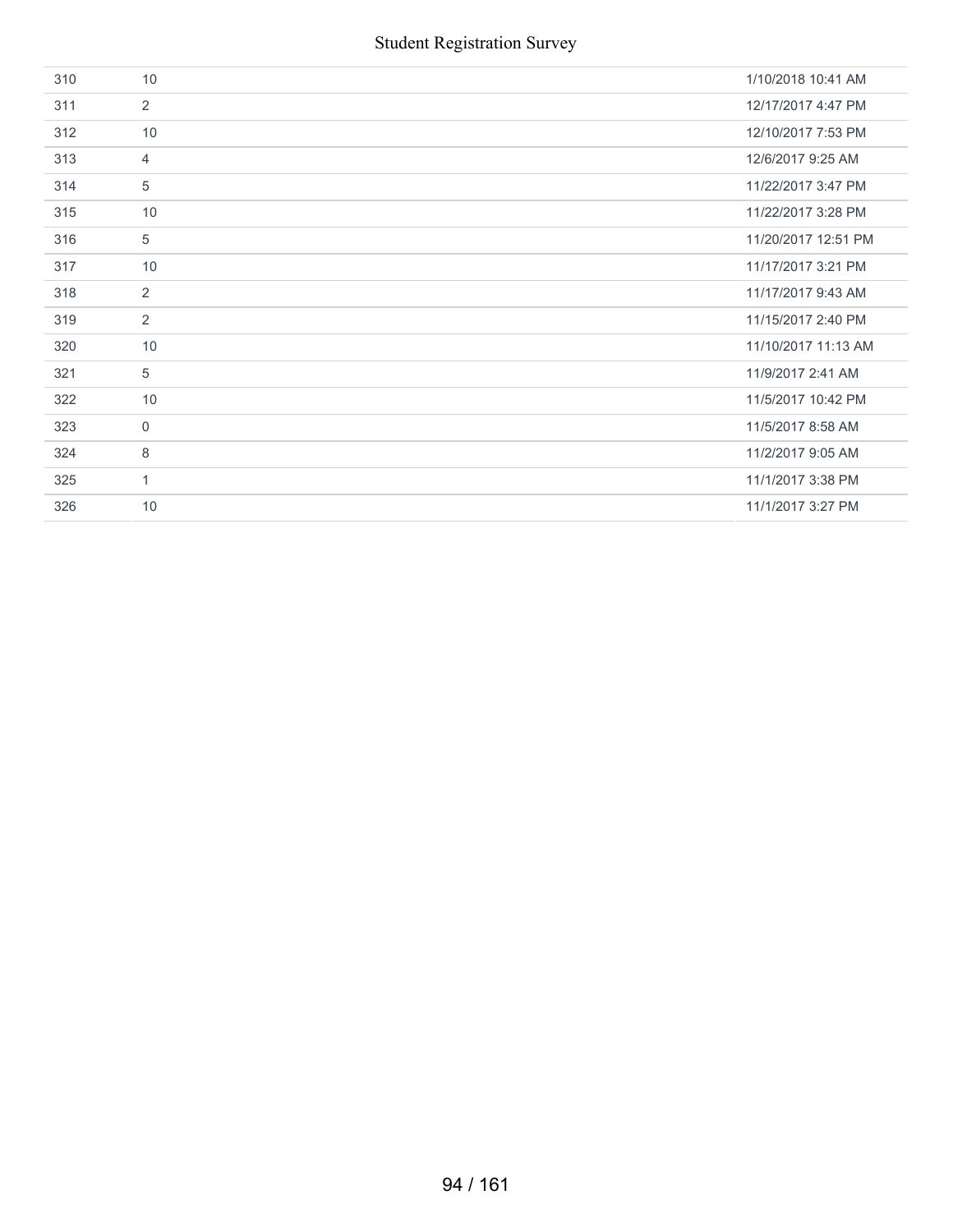| 310 | 10             | 1/10/2018 10:41 AM  |
|-----|----------------|---------------------|
| 311 | $\overline{2}$ | 12/17/2017 4:47 PM  |
| 312 | 10             | 12/10/2017 7:53 PM  |
| 313 | $\overline{4}$ | 12/6/2017 9:25 AM   |
| 314 | 5              | 11/22/2017 3:47 PM  |
| 315 | 10             | 11/22/2017 3:28 PM  |
| 316 | 5              | 11/20/2017 12:51 PM |
| 317 | 10             | 11/17/2017 3:21 PM  |
| 318 | 2              | 11/17/2017 9:43 AM  |
| 319 | $\overline{2}$ | 11/15/2017 2:40 PM  |
| 320 | 10             | 11/10/2017 11:13 AM |
| 321 | $\overline{5}$ | 11/9/2017 2:41 AM   |
| 322 | 10             | 11/5/2017 10:42 PM  |
| 323 | $\mathbf 0$    | 11/5/2017 8:58 AM   |
| 324 | 8              | 11/2/2017 9:05 AM   |
| 325 | $\mathbf{1}$   | 11/1/2017 3:38 PM   |
| 326 | 10             | 11/1/2017 3:27 PM   |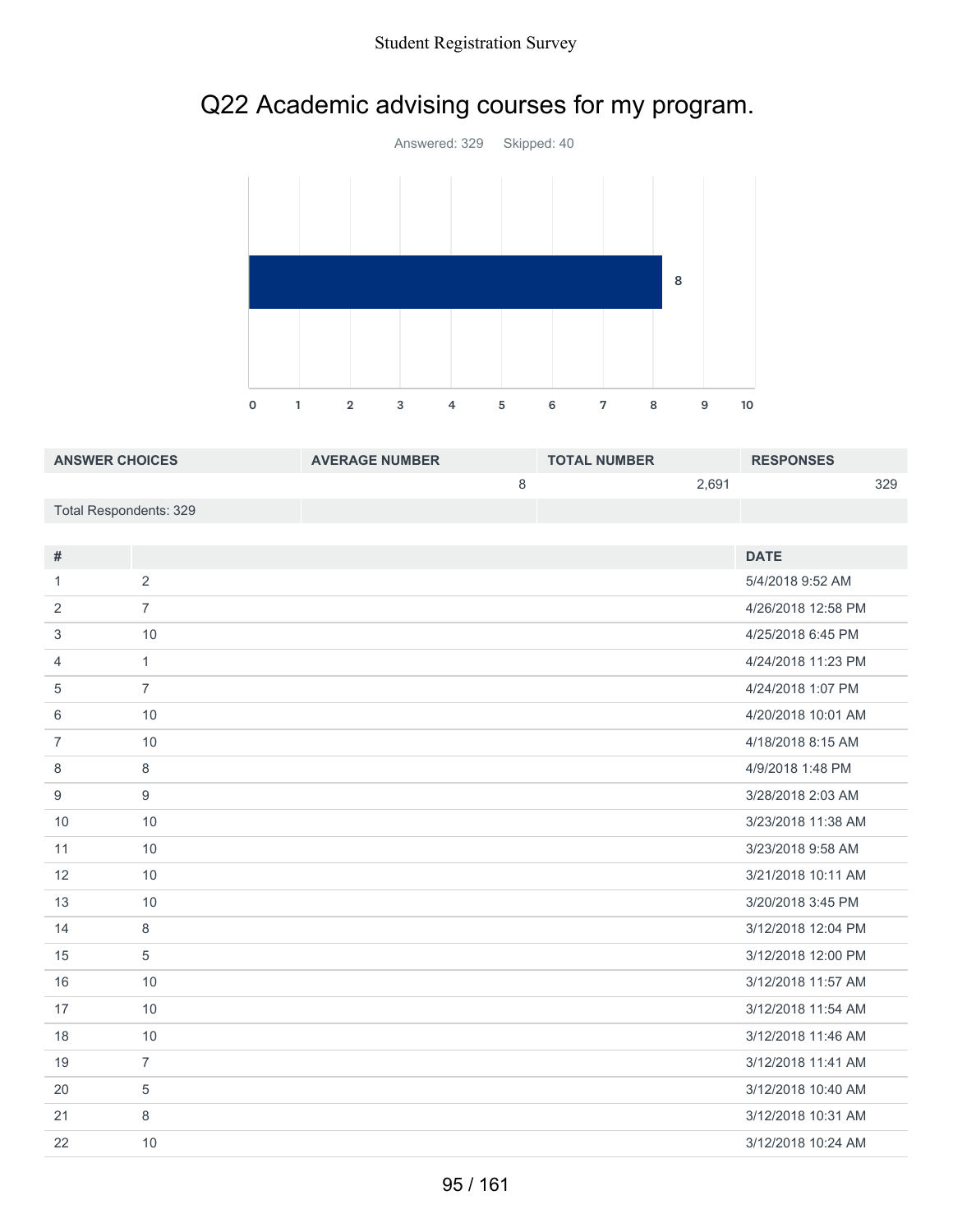



| <b>ANSWER CHOICES</b>  | <b>AVERAGE NUMBER</b> | <b>TOTAL NUMBER</b> |       | <b>RESPONSES</b> |     |
|------------------------|-----------------------|---------------------|-------|------------------|-----|
|                        |                       |                     | 2.691 |                  | 329 |
| Total Respondents: 329 |                       |                     |       |                  |     |

| #              |                | <b>DATE</b>        |
|----------------|----------------|--------------------|
| 1              | 2              | 5/4/2018 9:52 AM   |
| 2              | $\overline{7}$ | 4/26/2018 12:58 PM |
| 3              | 10             | 4/25/2018 6:45 PM  |
| 4              | $\mathbf{1}$   | 4/24/2018 11:23 PM |
| 5              | $\overline{7}$ | 4/24/2018 1:07 PM  |
| 6              | 10             | 4/20/2018 10:01 AM |
| $\overline{7}$ | 10             | 4/18/2018 8:15 AM  |
| 8              | 8              | 4/9/2018 1:48 PM   |
| 9              | 9              | 3/28/2018 2:03 AM  |
| 10             | 10             | 3/23/2018 11:38 AM |
| 11             | 10             | 3/23/2018 9:58 AM  |
| 12             | 10             | 3/21/2018 10:11 AM |
| 13             | 10             | 3/20/2018 3:45 PM  |
| 14             | 8              | 3/12/2018 12:04 PM |
| 15             | 5              | 3/12/2018 12:00 PM |
| 16             | 10             | 3/12/2018 11:57 AM |
| 17             | 10             | 3/12/2018 11:54 AM |
| 18             | 10             | 3/12/2018 11:46 AM |
| 19             | $\overline{7}$ | 3/12/2018 11:41 AM |
| 20             | 5              | 3/12/2018 10:40 AM |
| 21             | 8              | 3/12/2018 10:31 AM |
| 22             | 10             | 3/12/2018 10:24 AM |
|                |                |                    |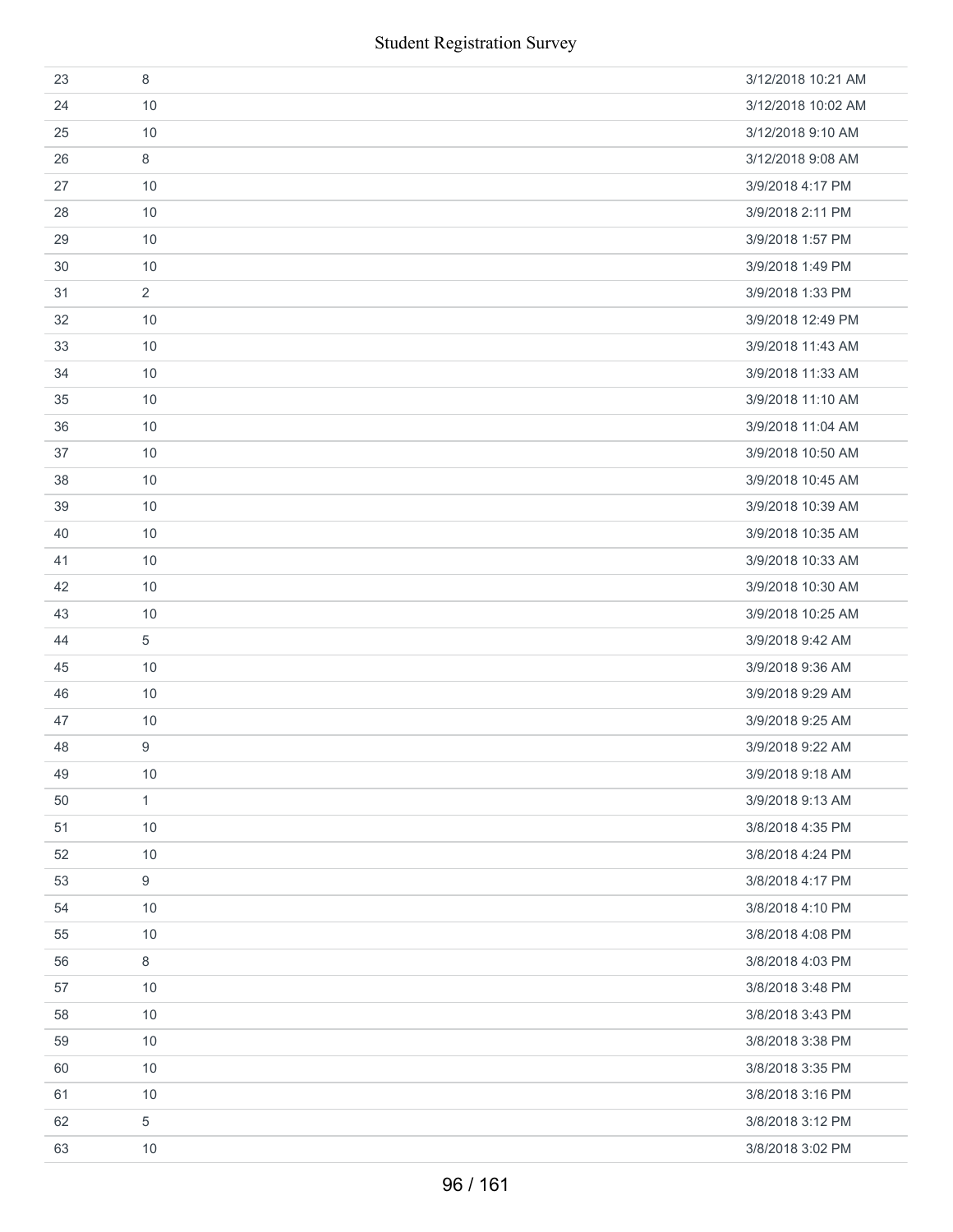| 23 | 8               | 3/12/2018 10:21 AM |
|----|-----------------|--------------------|
| 24 | 10              | 3/12/2018 10:02 AM |
| 25 | 10              | 3/12/2018 9:10 AM  |
| 26 | 8               | 3/12/2018 9:08 AM  |
| 27 | 10              | 3/9/2018 4:17 PM   |
| 28 | 10              | 3/9/2018 2:11 PM   |
| 29 | 10              | 3/9/2018 1:57 PM   |
| 30 | 10              | 3/9/2018 1:49 PM   |
| 31 | $\overline{2}$  | 3/9/2018 1:33 PM   |
| 32 | 10              | 3/9/2018 12:49 PM  |
| 33 | 10              | 3/9/2018 11:43 AM  |
| 34 | 10              | 3/9/2018 11:33 AM  |
| 35 | 10              | 3/9/2018 11:10 AM  |
| 36 | 10              | 3/9/2018 11:04 AM  |
| 37 | 10              | 3/9/2018 10:50 AM  |
| 38 | 10              | 3/9/2018 10:45 AM  |
| 39 | 10              | 3/9/2018 10:39 AM  |
| 40 | 10              | 3/9/2018 10:35 AM  |
| 41 | 10              | 3/9/2018 10:33 AM  |
| 42 | 10              | 3/9/2018 10:30 AM  |
| 43 | 10              | 3/9/2018 10:25 AM  |
| 44 | 5               | 3/9/2018 9:42 AM   |
| 45 | 10              | 3/9/2018 9:36 AM   |
| 46 | 10              | 3/9/2018 9:29 AM   |
| 47 | 10              | 3/9/2018 9:25 AM   |
| 48 | 9               | 3/9/2018 9:22 AM   |
| 49 | 10              | 3/9/2018 9:18 AM   |
| 50 | $\mathbf{1}$    | 3/9/2018 9:13 AM   |
| 51 | 10              | 3/8/2018 4:35 PM   |
| 52 | $10$            | 3/8/2018 4:24 PM   |
| 53 | $9\phantom{.0}$ | 3/8/2018 4:17 PM   |
| 54 | 10              | 3/8/2018 4:10 PM   |
| 55 | 10              | 3/8/2018 4:08 PM   |
| 56 | $\,8\,$         | 3/8/2018 4:03 PM   |
| 57 | 10              | 3/8/2018 3:48 PM   |
| 58 | 10              | 3/8/2018 3:43 PM   |
| 59 | 10              | 3/8/2018 3:38 PM   |
| 60 | 10              | 3/8/2018 3:35 PM   |
| 61 | $10$            | 3/8/2018 3:16 PM   |
| 62 | 5               | 3/8/2018 3:12 PM   |
| 63 | 10              | 3/8/2018 3:02 PM   |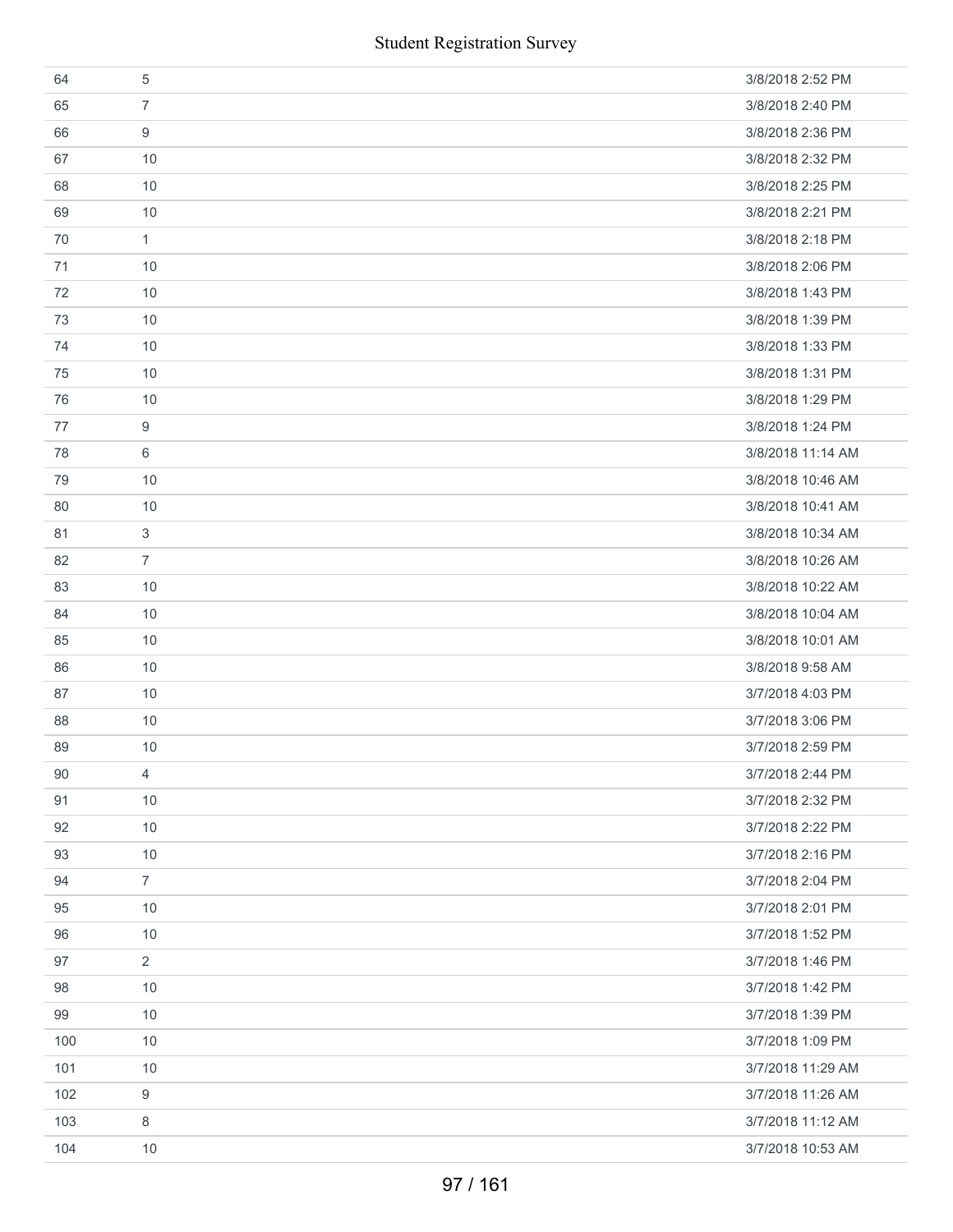|     | <b>Student Registration Survey</b> |                   |
|-----|------------------------------------|-------------------|
| 64  | $\sqrt{5}$                         | 3/8/2018 2:52 PM  |
| 65  | $\overline{7}$                     | 3/8/2018 2:40 PM  |
| 66  | 9                                  | 3/8/2018 2:36 PM  |
| 67  | 10                                 | 3/8/2018 2:32 PM  |
| 68  | 10                                 | 3/8/2018 2:25 PM  |
| 69  | 10                                 | 3/8/2018 2:21 PM  |
| 70  | $\mathbf{1}$                       | 3/8/2018 2:18 PM  |
| 71  | 10                                 | 3/8/2018 2:06 PM  |
| 72  | 10                                 | 3/8/2018 1:43 PM  |
| 73  | 10                                 | 3/8/2018 1:39 PM  |
| 74  | 10                                 | 3/8/2018 1:33 PM  |
| 75  | 10                                 | 3/8/2018 1:31 PM  |
| 76  | 10                                 | 3/8/2018 1:29 PM  |
| 77  | $\boldsymbol{9}$                   | 3/8/2018 1:24 PM  |
| 78  | 6                                  | 3/8/2018 11:14 AM |
| 79  | 10                                 | 3/8/2018 10:46 AM |
| 80  | 10                                 | 3/8/2018 10:41 AM |
| 81  | $\ensuremath{\mathsf{3}}$          | 3/8/2018 10:34 AM |
| 82  | $\overline{7}$                     | 3/8/2018 10:26 AM |
| 83  | 10                                 | 3/8/2018 10:22 AM |
| 84  | 10                                 | 3/8/2018 10:04 AM |
| 85  | 10                                 | 3/8/2018 10:01 AM |
| 86  | 10                                 | 3/8/2018 9:58 AM  |
| 87  | 10                                 | 3/7/2018 4:03 PM  |
| 88  | $10$                               | 3/7/2018 3:06 PM  |
| 89  | 10                                 | 3/7/2018 2:59 PM  |
| 90  | $\overline{4}$                     | 3/7/2018 2:44 PM  |
| 91  | 10                                 | 3/7/2018 2:32 PM  |
| 92  | 10                                 | 3/7/2018 2:22 PM  |
| 93  | 10                                 | 3/7/2018 2:16 PM  |
| 94  | $\overline{7}$                     | 3/7/2018 2:04 PM  |
| 95  | 10                                 | 3/7/2018 2:01 PM  |
| 96  | 10                                 | 3/7/2018 1:52 PM  |
| 97  | $\overline{2}$                     | 3/7/2018 1:46 PM  |
| 98  | 10                                 | 3/7/2018 1:42 PM  |
| 99  | 10                                 | 3/7/2018 1:39 PM  |
| 100 | 10                                 | 3/7/2018 1:09 PM  |
| 101 | 10                                 | 3/7/2018 11:29 AM |
| 102 | 9                                  | 3/7/2018 11:26 AM |
| 103 | 8                                  | 3/7/2018 11:12 AM |
| 104 | 10                                 | 3/7/2018 10:53 AM |
|     | 97 / 161                           |                   |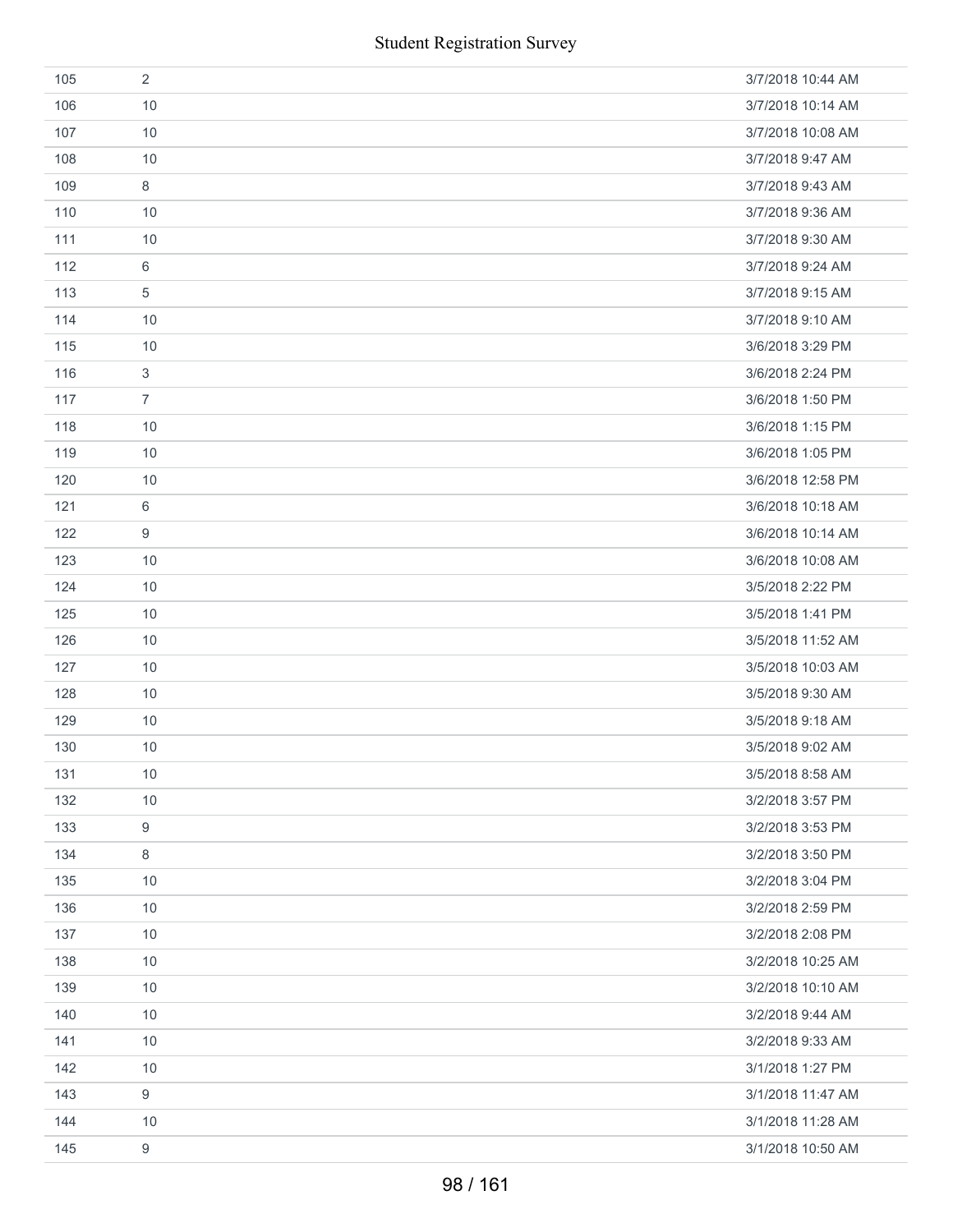|     | <b>Student Registration Survey</b> |                   |
|-----|------------------------------------|-------------------|
| 105 | $\overline{2}$                     | 3/7/2018 10:44 AM |
| 106 | 10                                 | 3/7/2018 10:14 AM |
| 107 | 10                                 | 3/7/2018 10:08 AM |
| 108 | 10                                 | 3/7/2018 9:47 AM  |
| 109 | $\,8\,$                            | 3/7/2018 9:43 AM  |
| 110 | 10                                 | 3/7/2018 9:36 AM  |
| 111 | 10                                 | 3/7/2018 9:30 AM  |
| 112 | 6                                  | 3/7/2018 9:24 AM  |
| 113 | $\sqrt{5}$                         | 3/7/2018 9:15 AM  |
| 114 | 10                                 | 3/7/2018 9:10 AM  |
| 115 | 10                                 | 3/6/2018 3:29 PM  |
| 116 | $\sqrt{3}$                         | 3/6/2018 2:24 PM  |
| 117 | $\overline{7}$                     | 3/6/2018 1:50 PM  |
| 118 | 10                                 | 3/6/2018 1:15 PM  |
| 119 | 10                                 | 3/6/2018 1:05 PM  |
| 120 | 10                                 | 3/6/2018 12:58 PM |
| 121 | 6                                  | 3/6/2018 10:18 AM |
| 122 | 9                                  | 3/6/2018 10:14 AM |
| 123 | 10                                 | 3/6/2018 10:08 AM |
| 124 | 10                                 | 3/5/2018 2:22 PM  |
| 125 | 10                                 | 3/5/2018 1:41 PM  |
| 126 | 10                                 | 3/5/2018 11:52 AM |
| 127 | 10                                 | 3/5/2018 10:03 AM |
| 128 | 10                                 | 3/5/2018 9:30 AM  |
| 129 | 10                                 | 3/5/2018 9:18 AM  |
| 130 | 10                                 | 3/5/2018 9:02 AM  |
| 131 | 10                                 | 3/5/2018 8:58 AM  |
| 132 | 10                                 | 3/2/2018 3:57 PM  |
| 133 | $\boldsymbol{9}$                   | 3/2/2018 3:53 PM  |
| 134 | 8                                  | 3/2/2018 3:50 PM  |
| 135 | 10                                 | 3/2/2018 3:04 PM  |
| 136 | 10                                 | 3/2/2018 2:59 PM  |
| 137 | 10                                 | 3/2/2018 2:08 PM  |
| 138 | 10                                 | 3/2/2018 10:25 AM |
| 139 | 10                                 | 3/2/2018 10:10 AM |
| 140 | 10                                 | 3/2/2018 9:44 AM  |
| 141 | 10                                 | 3/2/2018 9:33 AM  |
| 142 | 10                                 | 3/1/2018 1:27 PM  |
| 143 | $9\,$                              | 3/1/2018 11:47 AM |
| 144 | 10                                 | 3/1/2018 11:28 AM |
| 145 | $\boldsymbol{9}$                   | 3/1/2018 10:50 AM |
|     | 98 / 161                           |                   |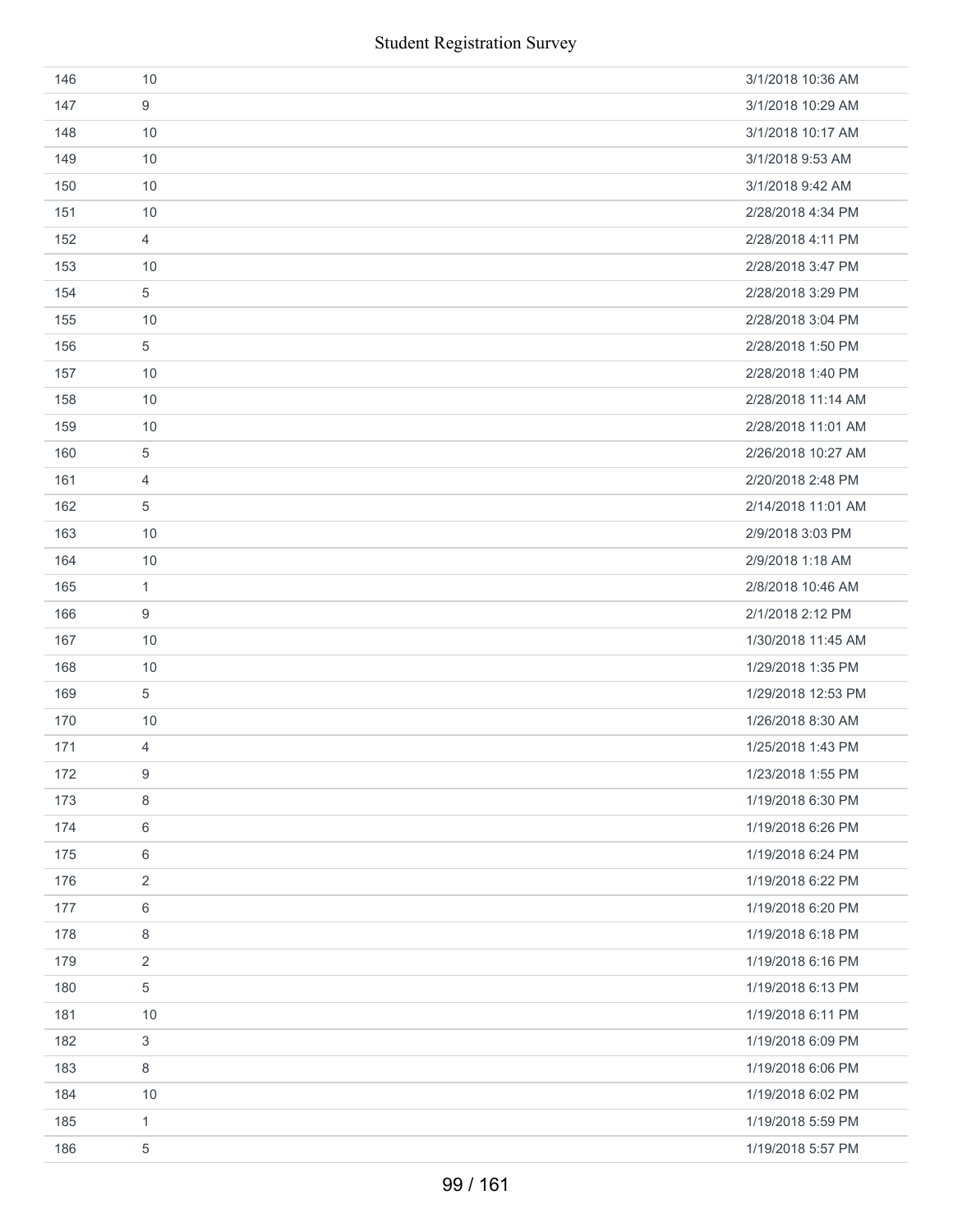| 146 | 10             | 3/1/2018 10:36 AM  |
|-----|----------------|--------------------|
| 147 | 9              | 3/1/2018 10:29 AM  |
| 148 | 10             | 3/1/2018 10:17 AM  |
| 149 | 10             | 3/1/2018 9:53 AM   |
| 150 | 10             | 3/1/2018 9:42 AM   |
| 151 | 10             | 2/28/2018 4:34 PM  |
| 152 | $\overline{4}$ | 2/28/2018 4:11 PM  |
| 153 | 10             | 2/28/2018 3:47 PM  |
| 154 | $\,$ 5 $\,$    | 2/28/2018 3:29 PM  |
| 155 | 10             | 2/28/2018 3:04 PM  |
| 156 | 5              | 2/28/2018 1:50 PM  |
| 157 | 10             | 2/28/2018 1:40 PM  |
| 158 | 10             | 2/28/2018 11:14 AM |
| 159 | 10             | 2/28/2018 11:01 AM |
| 160 | 5              | 2/26/2018 10:27 AM |
| 161 | 4              | 2/20/2018 2:48 PM  |
| 162 | 5              | 2/14/2018 11:01 AM |
| 163 | 10             | 2/9/2018 3:03 PM   |
| 164 | 10             | 2/9/2018 1:18 AM   |
| 165 | 1              | 2/8/2018 10:46 AM  |
| 166 | 9              | 2/1/2018 2:12 PM   |
| 167 | 10             | 1/30/2018 11:45 AM |
| 168 | 10             | 1/29/2018 1:35 PM  |
| 169 | 5              | 1/29/2018 12:53 PM |
| 170 | 10             | 1/26/2018 8:30 AM  |
| 171 | $\overline{4}$ | 1/25/2018 1:43 PM  |
| 172 | 9              | 1/23/2018 1:55 PM  |
| 173 | 8              | 1/19/2018 6:30 PM  |
| 174 | 6              | 1/19/2018 6:26 PM  |
| 175 | 6              | 1/19/2018 6:24 PM  |
| 176 | 2              | 1/19/2018 6:22 PM  |
| 177 | 6              | 1/19/2018 6:20 PM  |
| 178 | 8              | 1/19/2018 6:18 PM  |
| 179 | $\overline{2}$ | 1/19/2018 6:16 PM  |
| 180 | 5              | 1/19/2018 6:13 PM  |
| 181 | 10             | 1/19/2018 6:11 PM  |
| 182 | 3              | 1/19/2018 6:09 PM  |
| 183 | 8              | 1/19/2018 6:06 PM  |
| 184 | $10$           | 1/19/2018 6:02 PM  |
| 185 | $\mathbf{1}$   | 1/19/2018 5:59 PM  |
| 186 | 5              | 1/19/2018 5:57 PM  |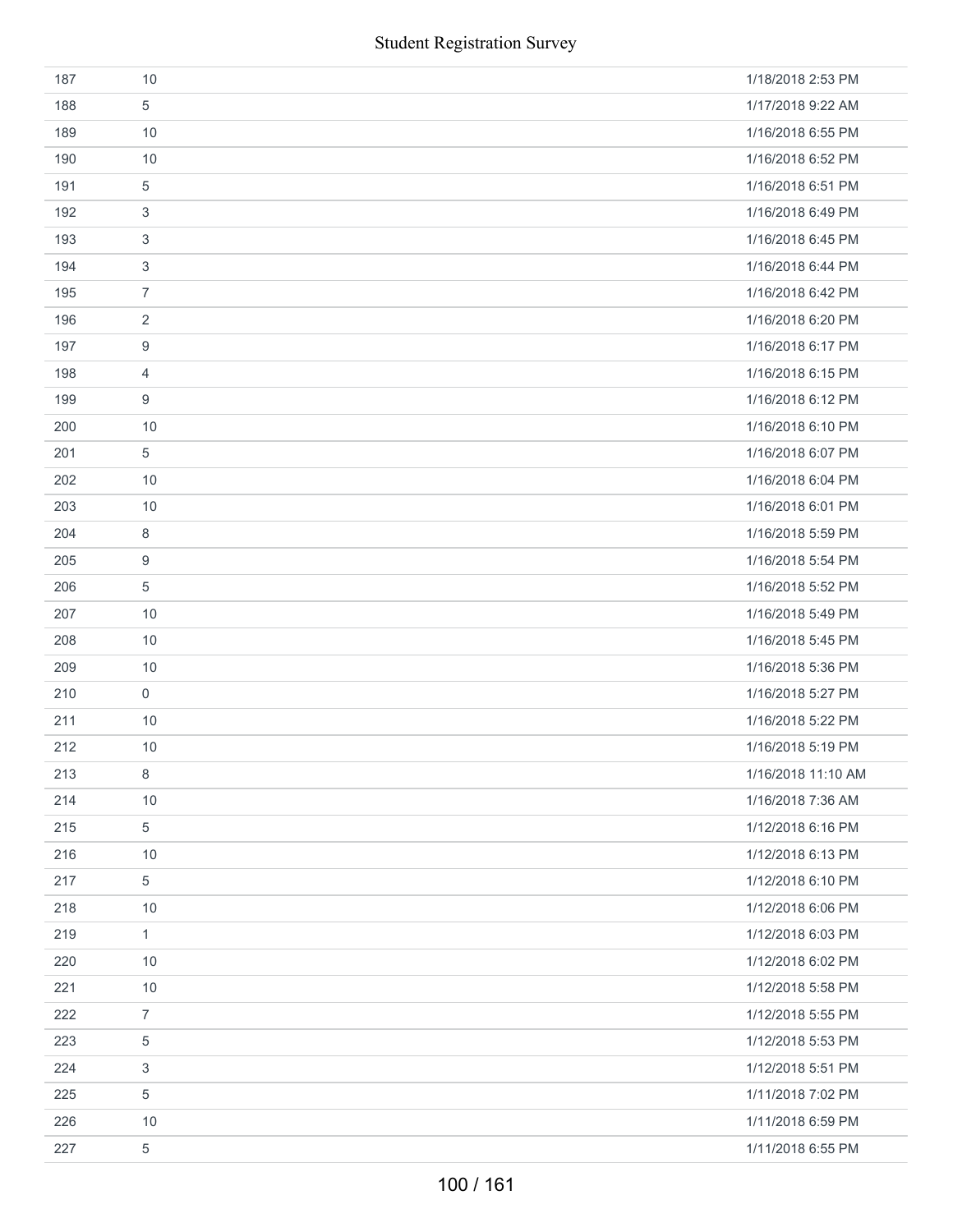|     | <b>Student Registration Survey</b> |                    |  |
|-----|------------------------------------|--------------------|--|
| 187 | 10                                 | 1/18/2018 2:53 PM  |  |
| 188 | 5                                  | 1/17/2018 9:22 AM  |  |
| 189 | 10                                 | 1/16/2018 6:55 PM  |  |
| 190 | 10                                 | 1/16/2018 6:52 PM  |  |
| 191 | 5                                  | 1/16/2018 6:51 PM  |  |
| 192 | 3                                  | 1/16/2018 6:49 PM  |  |
| 193 | 3                                  | 1/16/2018 6:45 PM  |  |
| 194 | 3                                  | 1/16/2018 6:44 PM  |  |
| 195 | $\overline{7}$                     | 1/16/2018 6:42 PM  |  |
| 196 | $\overline{2}$                     | 1/16/2018 6:20 PM  |  |
| 197 | 9                                  | 1/16/2018 6:17 PM  |  |
| 198 | 4                                  | 1/16/2018 6:15 PM  |  |
| 199 | 9                                  | 1/16/2018 6:12 PM  |  |
| 200 | 10                                 | 1/16/2018 6:10 PM  |  |
| 201 | 5                                  | 1/16/2018 6:07 PM  |  |
| 202 | 10                                 | 1/16/2018 6:04 PM  |  |
| 203 | 10                                 | 1/16/2018 6:01 PM  |  |
| 204 | 8                                  | 1/16/2018 5:59 PM  |  |
| 205 | 9                                  | 1/16/2018 5:54 PM  |  |
| 206 | 5                                  | 1/16/2018 5:52 PM  |  |
| 207 | 10                                 | 1/16/2018 5:49 PM  |  |
| 208 | 10                                 | 1/16/2018 5:45 PM  |  |
| 209 | 10                                 | 1/16/2018 5:36 PM  |  |
| 210 | $\mathsf{O}\xspace$                | 1/16/2018 5:27 PM  |  |
| 211 | 10                                 | 1/16/2018 5:22 PM  |  |
| 212 | 10                                 | 1/16/2018 5:19 PM  |  |
| 213 | 8                                  | 1/16/2018 11:10 AM |  |
| 214 | 10                                 | 1/16/2018 7:36 AM  |  |
| 215 | 5                                  | 1/12/2018 6:16 PM  |  |
| 216 | 10                                 | 1/12/2018 6:13 PM  |  |
| 217 | 5                                  | 1/12/2018 6:10 PM  |  |
| 218 | $10$                               | 1/12/2018 6:06 PM  |  |
| 219 | 1                                  | 1/12/2018 6:03 PM  |  |
| 220 | 10                                 | 1/12/2018 6:02 PM  |  |
| 221 | $10$                               | 1/12/2018 5:58 PM  |  |
| 222 | $\overline{7}$                     | 1/12/2018 5:55 PM  |  |
| 223 | $\,$ 5 $\,$                        | 1/12/2018 5:53 PM  |  |
| 224 | 3                                  | 1/12/2018 5:51 PM  |  |
| 225 | 5                                  | 1/11/2018 7:02 PM  |  |
| 226 | $10$                               | 1/11/2018 6:59 PM  |  |
| 227 | 5                                  | 1/11/2018 6:55 PM  |  |
|     | 100 / 161                          |                    |  |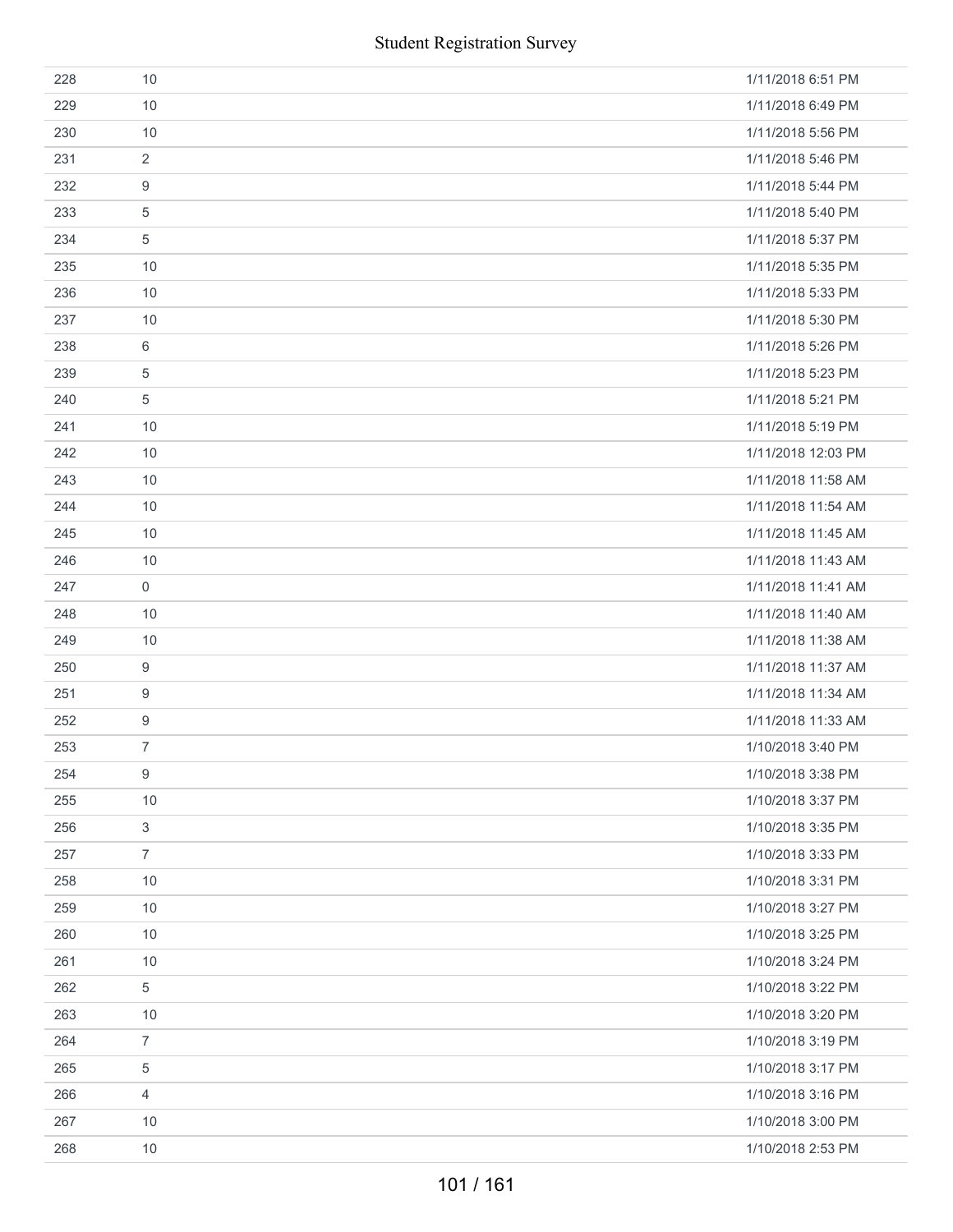|     | <b>Student Registration Survey</b> |                    |
|-----|------------------------------------|--------------------|
| 228 | 10                                 | 1/11/2018 6:51 PM  |
| 229 | 10                                 | 1/11/2018 6:49 PM  |
| 230 | 10                                 | 1/11/2018 5:56 PM  |
| 231 | 2                                  | 1/11/2018 5:46 PM  |
| 232 | 9                                  | 1/11/2018 5:44 PM  |
| 233 | $\overline{5}$                     | 1/11/2018 5:40 PM  |
| 234 | 5                                  | 1/11/2018 5:37 PM  |
| 235 | 10                                 | 1/11/2018 5:35 PM  |
| 236 | 10                                 | 1/11/2018 5:33 PM  |
| 237 | 10                                 | 1/11/2018 5:30 PM  |
| 238 | 6                                  | 1/11/2018 5:26 PM  |
| 239 | $\overline{5}$                     | 1/11/2018 5:23 PM  |
| 240 | 5                                  | 1/11/2018 5:21 PM  |
| 241 | 10                                 | 1/11/2018 5:19 PM  |
| 242 | 10                                 | 1/11/2018 12:03 PM |
| 243 | 10                                 | 1/11/2018 11:58 AM |
| 244 | 10                                 | 1/11/2018 11:54 AM |
| 245 | 10                                 | 1/11/2018 11:45 AM |
| 246 | 10                                 | 1/11/2018 11:43 AM |
| 247 | $\boldsymbol{0}$                   | 1/11/2018 11:41 AM |
| 248 | 10                                 | 1/11/2018 11:40 AM |
| 249 | 10                                 | 1/11/2018 11:38 AM |
| 250 | 9                                  | 1/11/2018 11:37 AM |
| 251 | $\boldsymbol{9}$                   | 1/11/2018 11:34 AM |
| 252 | $\boldsymbol{9}$                   | 1/11/2018 11:33 AM |
| 253 | $\overline{7}$                     | 1/10/2018 3:40 PM  |
| 254 | $\boldsymbol{9}$                   | 1/10/2018 3:38 PM  |
| 255 | 10                                 | 1/10/2018 3:37 PM  |
| 256 | $\ensuremath{\mathsf{3}}$          | 1/10/2018 3:35 PM  |
| 257 | $\overline{7}$                     | 1/10/2018 3:33 PM  |
| 258 | 10                                 | 1/10/2018 3:31 PM  |
| 259 | $10$                               | 1/10/2018 3:27 PM  |
| 260 | 10                                 | 1/10/2018 3:25 PM  |
| 261 | 10                                 | 1/10/2018 3:24 PM  |
| 262 | $\,$ 5 $\,$                        | 1/10/2018 3:22 PM  |
| 263 | 10                                 | 1/10/2018 3:20 PM  |
| 264 | $\boldsymbol{7}$                   | 1/10/2018 3:19 PM  |
| 265 | 5                                  | 1/10/2018 3:17 PM  |
| 266 | $\overline{4}$                     | 1/10/2018 3:16 PM  |
| 267 | 10                                 | 1/10/2018 3:00 PM  |
| 268 | 10                                 | 1/10/2018 2:53 PM  |
|     | 101 / 161                          |                    |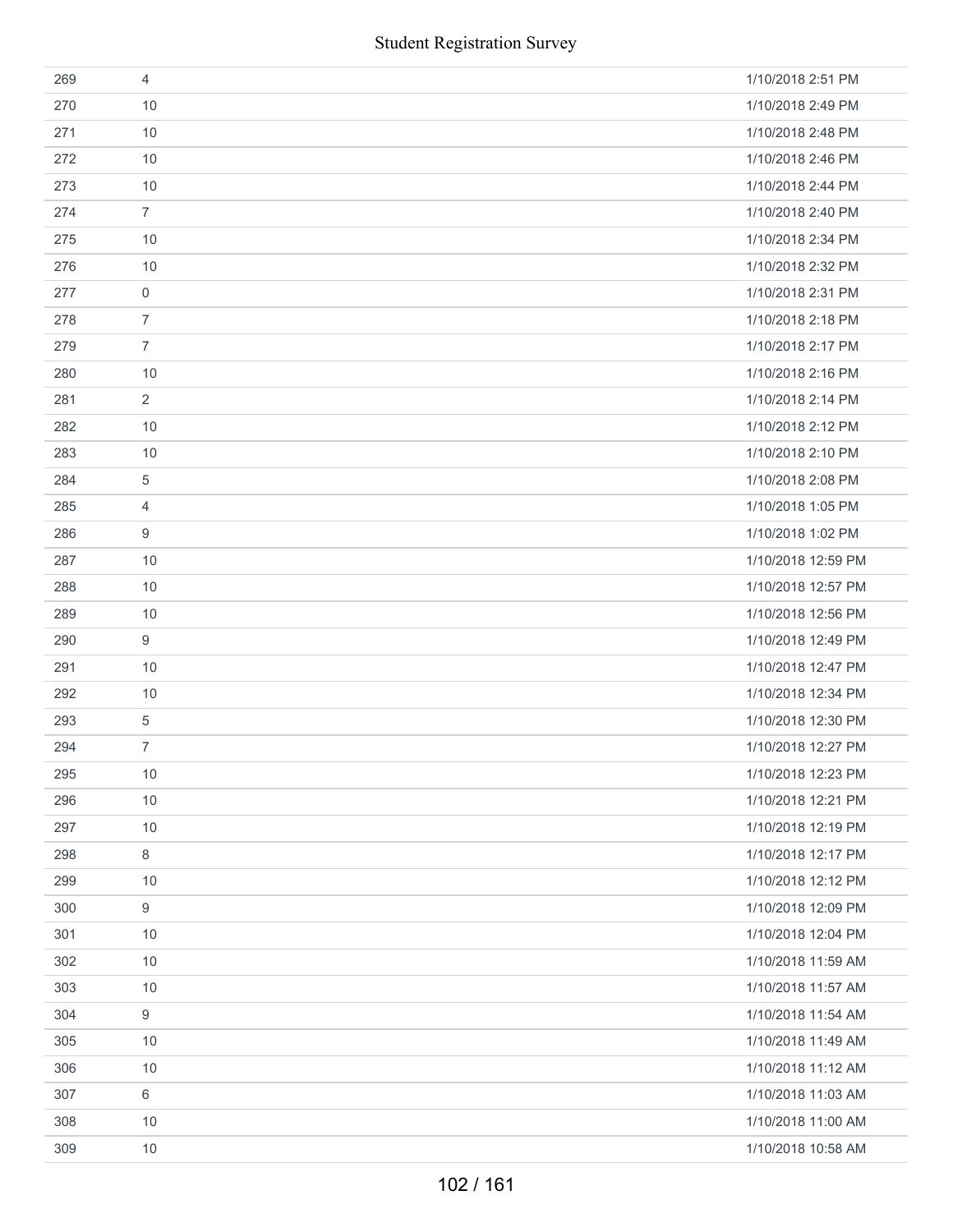|     | <b>Student Registration Survey</b> |                    |
|-----|------------------------------------|--------------------|
| 269 | $\overline{4}$                     | 1/10/2018 2:51 PM  |
| 270 | 10                                 | 1/10/2018 2:49 PM  |
| 271 | 10                                 | 1/10/2018 2:48 PM  |
| 272 | 10                                 | 1/10/2018 2:46 PM  |
| 273 | 10                                 | 1/10/2018 2:44 PM  |
| 274 | $\overline{7}$                     | 1/10/2018 2:40 PM  |
| 275 | 10                                 | 1/10/2018 2:34 PM  |
| 276 | 10                                 | 1/10/2018 2:32 PM  |
| 277 | $\mathbf 0$                        | 1/10/2018 2:31 PM  |
| 278 | $\overline{7}$                     | 1/10/2018 2:18 PM  |
| 279 | $\overline{7}$                     | 1/10/2018 2:17 PM  |
| 280 | 10                                 | 1/10/2018 2:16 PM  |
| 281 | $\overline{2}$                     | 1/10/2018 2:14 PM  |
| 282 | 10                                 | 1/10/2018 2:12 PM  |
| 283 | 10                                 | 1/10/2018 2:10 PM  |
| 284 | 5                                  | 1/10/2018 2:08 PM  |
| 285 | $\overline{4}$                     | 1/10/2018 1:05 PM  |
| 286 | 9                                  | 1/10/2018 1:02 PM  |
| 287 | 10                                 | 1/10/2018 12:59 PM |
| 288 | 10                                 | 1/10/2018 12:57 PM |
| 289 | 10                                 | 1/10/2018 12:56 PM |
| 290 | 9                                  | 1/10/2018 12:49 PM |
| 291 | 10                                 | 1/10/2018 12:47 PM |
| 292 | 10                                 | 1/10/2018 12:34 PM |
| 293 | 5                                  | 1/10/2018 12:30 PM |
| 294 | 7                                  | 1/10/2018 12:27 PM |
| 295 | $10$                               | 1/10/2018 12:23 PM |
| 296 | 10                                 | 1/10/2018 12:21 PM |
| 297 | 10                                 | 1/10/2018 12:19 PM |
| 298 | 8                                  | 1/10/2018 12:17 PM |
| 299 | 10                                 | 1/10/2018 12:12 PM |
| 300 | 9                                  | 1/10/2018 12:09 PM |
| 301 | 10                                 | 1/10/2018 12:04 PM |
| 302 | 10                                 | 1/10/2018 11:59 AM |
| 303 | $10$                               | 1/10/2018 11:57 AM |
| 304 | 9                                  | 1/10/2018 11:54 AM |
| 305 | 10                                 | 1/10/2018 11:49 AM |
| 306 | 10                                 | 1/10/2018 11:12 AM |
| 307 | 6                                  | 1/10/2018 11:03 AM |
| 308 | 10                                 | 1/10/2018 11:00 AM |
| 309 | 10                                 | 1/10/2018 10:58 AM |
|     | 102 / 161                          |                    |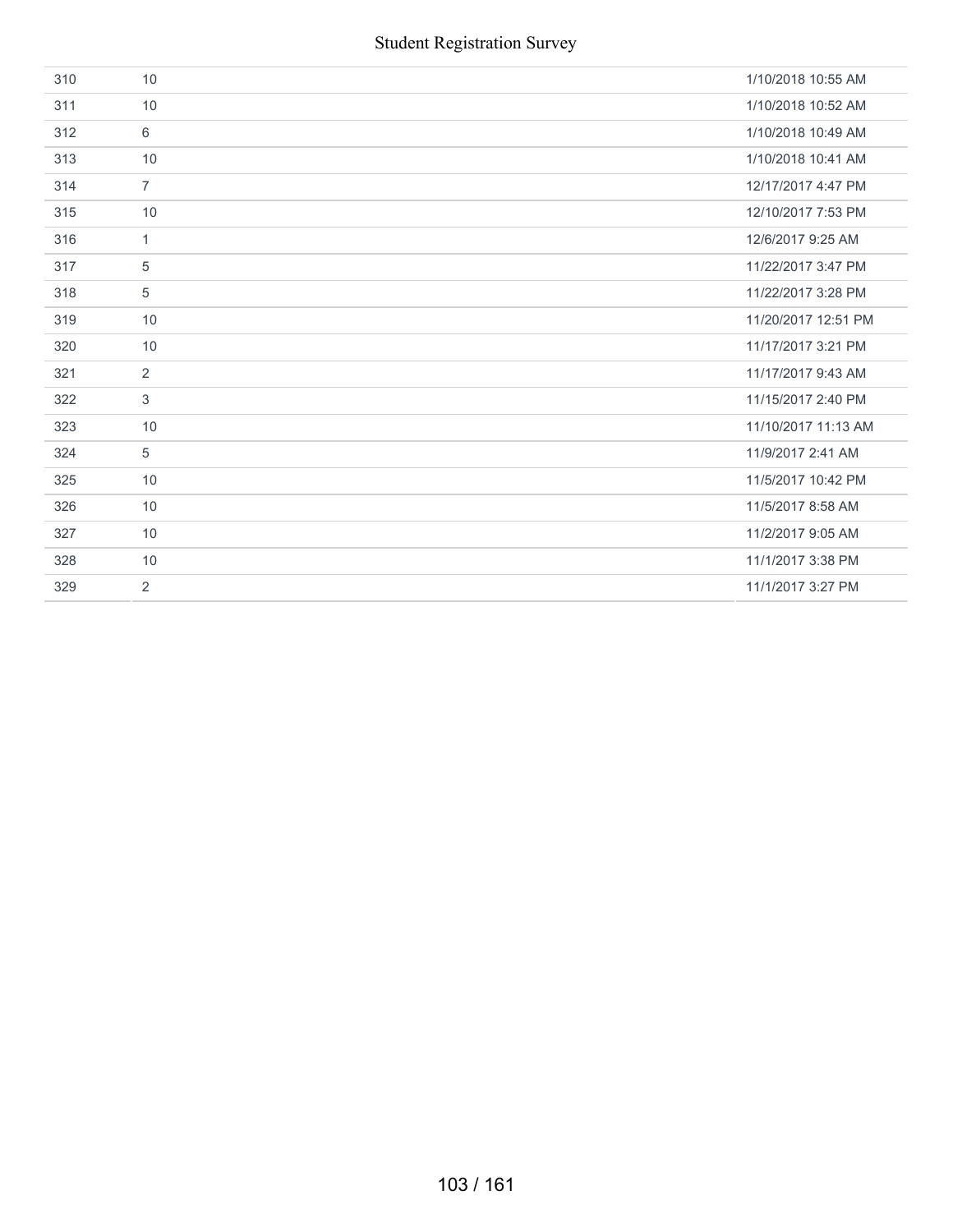| 310 | 10             | 1/10/2018 10:55 AM  |
|-----|----------------|---------------------|
| 311 | 10             | 1/10/2018 10:52 AM  |
| 312 | 6              | 1/10/2018 10:49 AM  |
| 313 | 10             | 1/10/2018 10:41 AM  |
| 314 | $\overline{7}$ | 12/17/2017 4:47 PM  |
| 315 | 10             | 12/10/2017 7:53 PM  |
| 316 | $\mathbf{1}$   | 12/6/2017 9:25 AM   |
| 317 | 5              | 11/22/2017 3:47 PM  |
| 318 | 5              | 11/22/2017 3:28 PM  |
| 319 | 10             | 11/20/2017 12:51 PM |
| 320 | 10             | 11/17/2017 3:21 PM  |
| 321 | $\overline{2}$ | 11/17/2017 9:43 AM  |
| 322 | 3              | 11/15/2017 2:40 PM  |
| 323 | 10             | 11/10/2017 11:13 AM |
| 324 | 5              | 11/9/2017 2:41 AM   |
| 325 | 10             | 11/5/2017 10:42 PM  |
| 326 | 10             | 11/5/2017 8:58 AM   |
| 327 | 10             | 11/2/2017 9:05 AM   |
| 328 | 10             | 11/1/2017 3:38 PM   |
| 329 | 2              | 11/1/2017 3:27 PM   |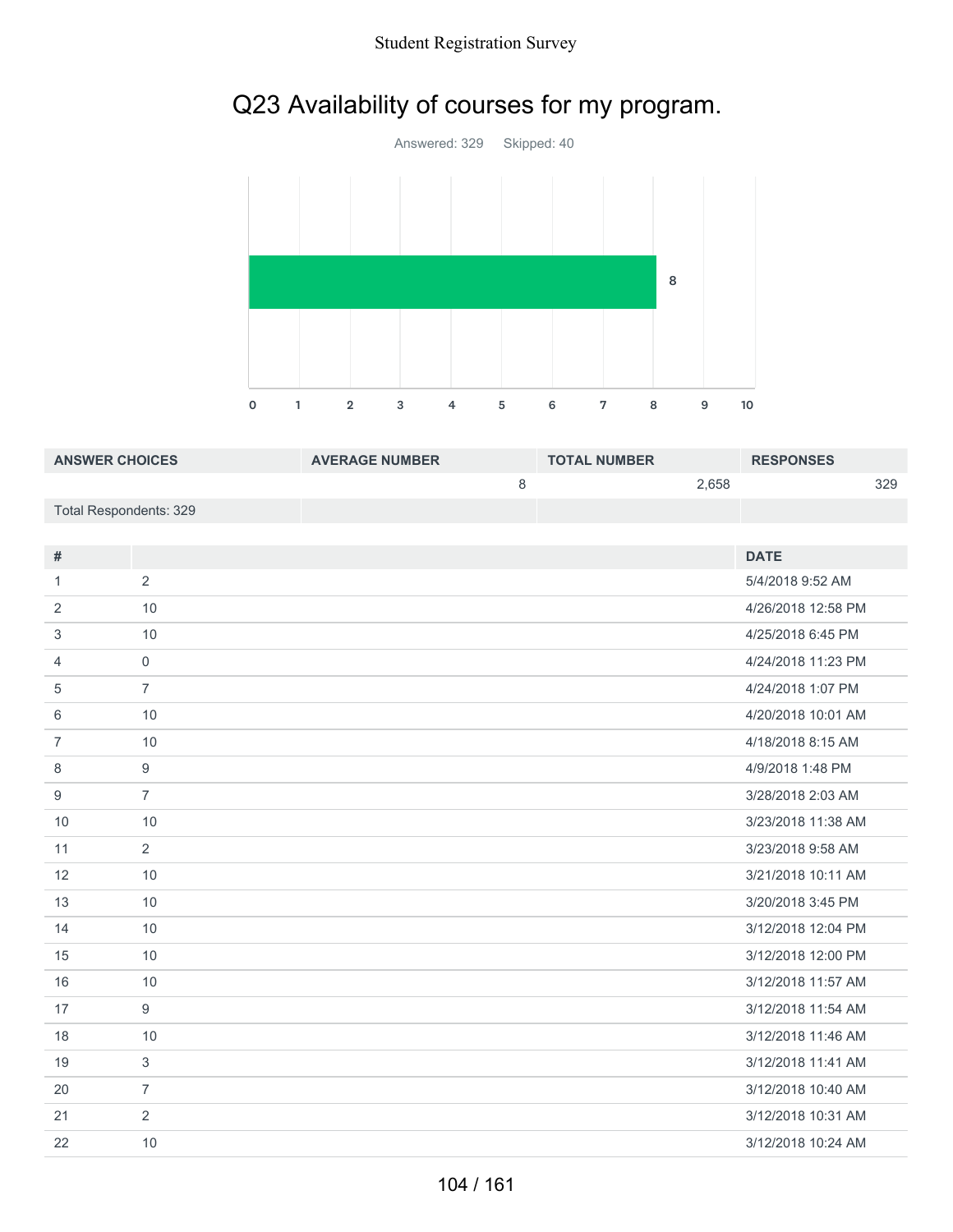## Student Registration Survey

## Q23 Availability of courses for my program.



| <b>ANSWER CHOICES</b>  | <b>AVERAGE NUMBER</b> | <b>TOTAL NUMBER</b> | <b>RESPONSES</b> |     |
|------------------------|-----------------------|---------------------|------------------|-----|
|                        |                       |                     | 2.658            | 329 |
| Total Respondents: 329 |                       |                     |                  |     |

| #              |                | <b>DATE</b>        |
|----------------|----------------|--------------------|
| 1              | 2              | 5/4/2018 9:52 AM   |
|                |                |                    |
| 2              | 10             | 4/26/2018 12:58 PM |
| 3              | 10             | 4/25/2018 6:45 PM  |
| $\overline{4}$ | $\mathbf{0}$   | 4/24/2018 11:23 PM |
| 5              | $\overline{7}$ | 4/24/2018 1:07 PM  |
| 6              | 10             | 4/20/2018 10:01 AM |
| $\overline{7}$ | 10             | 4/18/2018 8:15 AM  |
| 8              | 9              | 4/9/2018 1:48 PM   |
| 9              | $\overline{7}$ | 3/28/2018 2:03 AM  |
| 10             | 10             | 3/23/2018 11:38 AM |
| 11             | 2              | 3/23/2018 9:58 AM  |
| 12             | 10             | 3/21/2018 10:11 AM |
| 13             | 10             | 3/20/2018 3:45 PM  |
| 14             | 10             | 3/12/2018 12:04 PM |
| 15             | 10             | 3/12/2018 12:00 PM |
| 16             | 10             | 3/12/2018 11:57 AM |
| 17             | 9              | 3/12/2018 11:54 AM |
| 18             | 10             | 3/12/2018 11:46 AM |
| 19             | 3              | 3/12/2018 11:41 AM |
| 20             | $\overline{7}$ | 3/12/2018 10:40 AM |
| 21             | 2              | 3/12/2018 10:31 AM |
| 22             | 10             | 3/12/2018 10:24 AM |
|                |                |                    |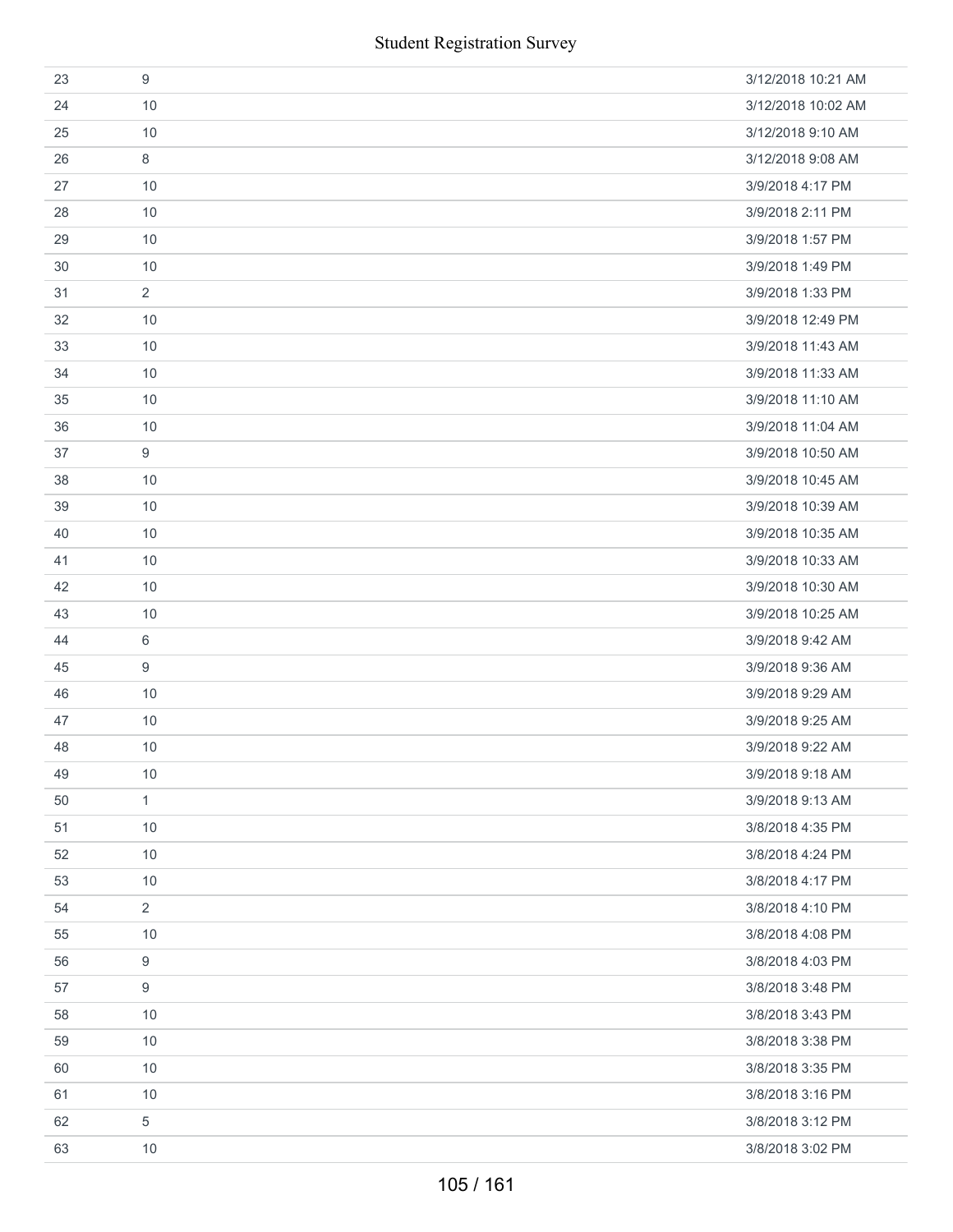| 23 | 9                | 3/12/2018 10:21 AM |
|----|------------------|--------------------|
| 24 | 10               | 3/12/2018 10:02 AM |
| 25 | 10               | 3/12/2018 9:10 AM  |
| 26 | 8                | 3/12/2018 9:08 AM  |
| 27 | 10               | 3/9/2018 4:17 PM   |
| 28 | 10               | 3/9/2018 2:11 PM   |
| 29 | 10               | 3/9/2018 1:57 PM   |
| 30 | 10               | 3/9/2018 1:49 PM   |
| 31 | $\overline{2}$   | 3/9/2018 1:33 PM   |
| 32 | 10               | 3/9/2018 12:49 PM  |
| 33 | 10               | 3/9/2018 11:43 AM  |
| 34 | 10               | 3/9/2018 11:33 AM  |
| 35 | 10               | 3/9/2018 11:10 AM  |
| 36 | 10               | 3/9/2018 11:04 AM  |
| 37 | 9                | 3/9/2018 10:50 AM  |
| 38 | 10               | 3/9/2018 10:45 AM  |
| 39 | 10               | 3/9/2018 10:39 AM  |
| 40 | 10               | 3/9/2018 10:35 AM  |
| 41 | 10               | 3/9/2018 10:33 AM  |
| 42 | 10               | 3/9/2018 10:30 AM  |
| 43 | 10               | 3/9/2018 10:25 AM  |
| 44 | 6                | 3/9/2018 9:42 AM   |
| 45 | 9                | 3/9/2018 9:36 AM   |
| 46 | 10               | 3/9/2018 9:29 AM   |
| 47 | 10               | 3/9/2018 9:25 AM   |
| 48 | 10               | 3/9/2018 9:22 AM   |
| 49 | 10               | 3/9/2018 9:18 AM   |
| 50 | $\mathbf{1}$     | 3/9/2018 9:13 AM   |
| 51 | 10               | 3/8/2018 4:35 PM   |
| 52 | 10               | 3/8/2018 4:24 PM   |
| 53 | 10               | 3/8/2018 4:17 PM   |
| 54 | $\overline{2}$   | 3/8/2018 4:10 PM   |
| 55 | 10               | 3/8/2018 4:08 PM   |
| 56 | 9                | 3/8/2018 4:03 PM   |
| 57 | $\boldsymbol{9}$ | 3/8/2018 3:48 PM   |
| 58 | 10               | 3/8/2018 3:43 PM   |
| 59 | 10               | 3/8/2018 3:38 PM   |
| 60 | 10               | 3/8/2018 3:35 PM   |
| 61 | 10               | 3/8/2018 3:16 PM   |
| 62 | 5                | 3/8/2018 3:12 PM   |
| 63 | 10               | 3/8/2018 3:02 PM   |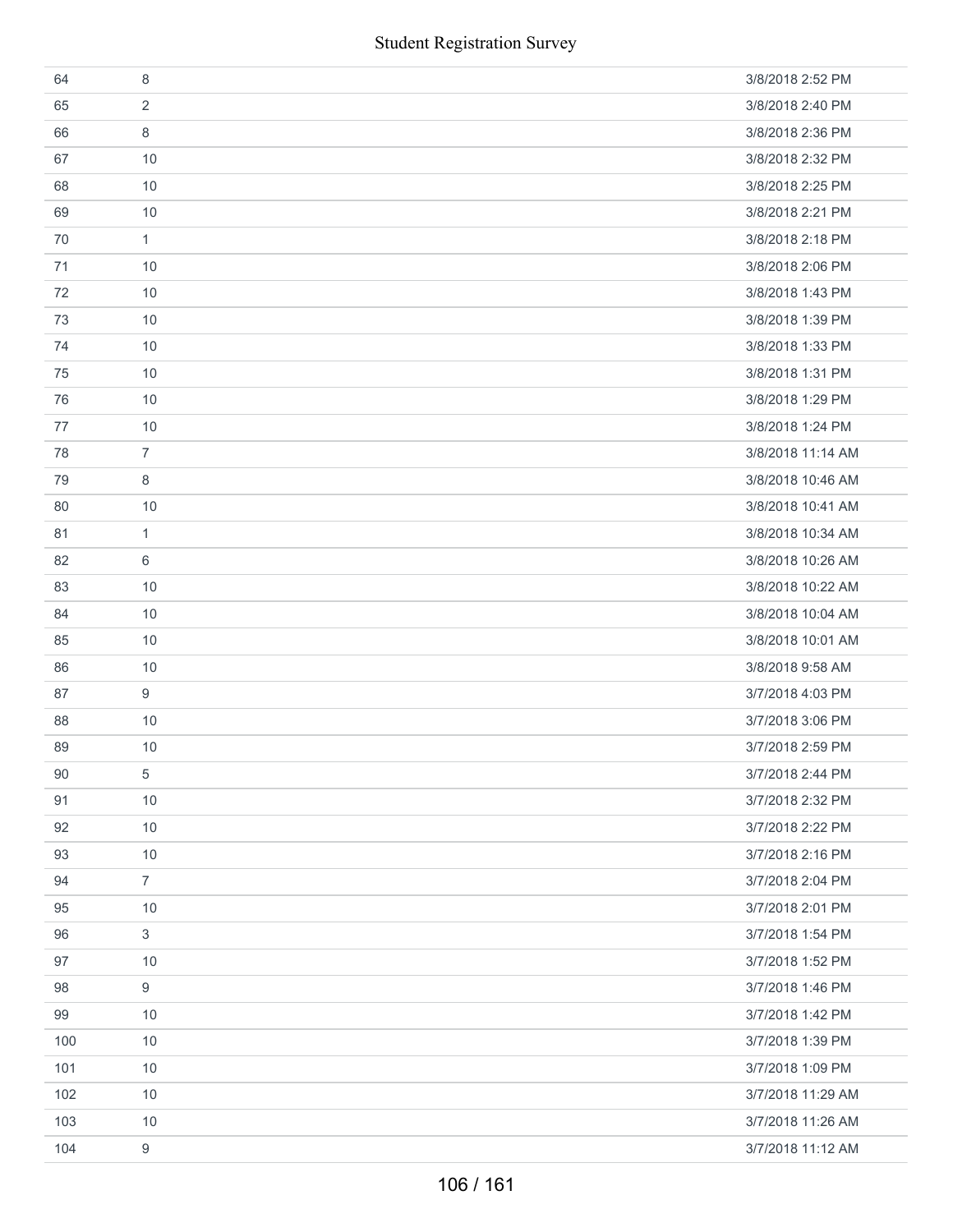|     | <b>Student Registration Survey</b> |                   |
|-----|------------------------------------|-------------------|
| 64  | 8                                  | 3/8/2018 2:52 PM  |
| 65  | $\overline{2}$                     | 3/8/2018 2:40 PM  |
| 66  | 8                                  | 3/8/2018 2:36 PM  |
| 67  | 10                                 | 3/8/2018 2:32 PM  |
| 68  | 10                                 | 3/8/2018 2:25 PM  |
| 69  | 10                                 | 3/8/2018 2:21 PM  |
| 70  | $\mathbf{1}$                       | 3/8/2018 2:18 PM  |
| 71  | 10                                 | 3/8/2018 2:06 PM  |
| 72  | 10                                 | 3/8/2018 1:43 PM  |
| 73  | 10                                 | 3/8/2018 1:39 PM  |
| 74  | 10                                 | 3/8/2018 1:33 PM  |
| 75  | 10                                 | 3/8/2018 1:31 PM  |
| 76  | 10                                 | 3/8/2018 1:29 PM  |
| 77  | 10                                 | 3/8/2018 1:24 PM  |
| 78  | $\overline{7}$                     | 3/8/2018 11:14 AM |
| 79  | 8                                  | 3/8/2018 10:46 AM |
| 80  | 10                                 | 3/8/2018 10:41 AM |
| 81  | 1                                  | 3/8/2018 10:34 AM |
| 82  | 6                                  | 3/8/2018 10:26 AM |
| 83  | 10                                 | 3/8/2018 10:22 AM |
| 84  | 10                                 | 3/8/2018 10:04 AM |
| 85  | 10                                 | 3/8/2018 10:01 AM |
| 86  | 10                                 | 3/8/2018 9:58 AM  |
| 87  | 9                                  | 3/7/2018 4:03 PM  |
| 88  | $10$                               | 3/7/2018 3:06 PM  |
| 89  | 10                                 | 3/7/2018 2:59 PM  |
| 90  | 5                                  | 3/7/2018 2:44 PM  |
| 91  | 10                                 | 3/7/2018 2:32 PM  |
| 92  | 10                                 | 3/7/2018 2:22 PM  |
| 93  | 10                                 | 3/7/2018 2:16 PM  |
| 94  | $\overline{7}$                     | 3/7/2018 2:04 PM  |
| 95  | 10                                 | 3/7/2018 2:01 PM  |
| 96  | $\mathfrak{S}$                     | 3/7/2018 1:54 PM  |
| 97  | 10                                 | 3/7/2018 1:52 PM  |
| 98  | 9                                  | 3/7/2018 1:46 PM  |
| 99  | 10                                 | 3/7/2018 1:42 PM  |
| 100 | 10                                 | 3/7/2018 1:39 PM  |
| 101 | 10                                 | 3/7/2018 1:09 PM  |
| 102 | 10                                 | 3/7/2018 11:29 AM |
| 103 | 10                                 | 3/7/2018 11:26 AM |
| 104 | 9                                  | 3/7/2018 11:12 AM |
|     | 106 / 161                          |                   |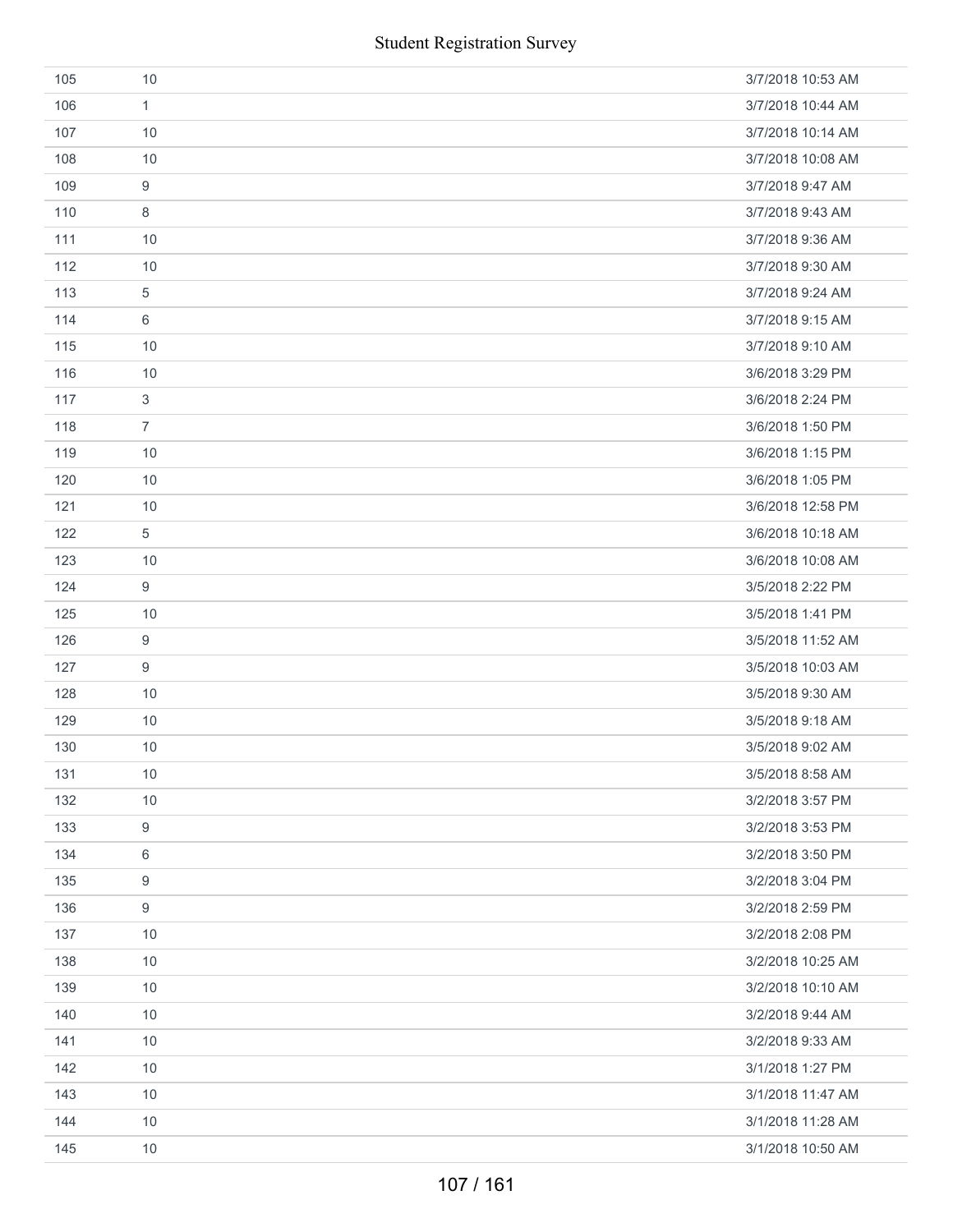|     | <b>Student Registration Survey</b> |                   |
|-----|------------------------------------|-------------------|
| 105 | 10                                 | 3/7/2018 10:53 AM |
| 106 | $\mathbf{1}$                       | 3/7/2018 10:44 AM |
| 107 | 10                                 | 3/7/2018 10:14 AM |
| 108 | 10                                 | 3/7/2018 10:08 AM |
| 109 | $\boldsymbol{9}$                   | 3/7/2018 9:47 AM  |
| 110 | 8                                  | 3/7/2018 9:43 AM  |
| 111 | 10                                 | 3/7/2018 9:36 AM  |
| 112 | 10                                 | 3/7/2018 9:30 AM  |
| 113 | 5                                  | 3/7/2018 9:24 AM  |
| 114 | 6                                  | 3/7/2018 9:15 AM  |
| 115 | 10                                 | 3/7/2018 9:10 AM  |
| 116 | 10                                 | 3/6/2018 3:29 PM  |
| 117 | 3                                  | 3/6/2018 2:24 PM  |
| 118 | $\overline{7}$                     | 3/6/2018 1:50 PM  |
| 119 | 10                                 | 3/6/2018 1:15 PM  |
| 120 | 10                                 | 3/6/2018 1:05 PM  |
| 121 | 10                                 | 3/6/2018 12:58 PM |
| 122 | 5                                  | 3/6/2018 10:18 AM |
| 123 | 10                                 | 3/6/2018 10:08 AM |
| 124 | 9                                  | 3/5/2018 2:22 PM  |
| 125 | 10                                 | 3/5/2018 1:41 PM  |
| 126 | $\boldsymbol{9}$                   | 3/5/2018 11:52 AM |
| 127 | $\boldsymbol{9}$                   | 3/5/2018 10:03 AM |
| 128 | 10                                 | 3/5/2018 9:30 AM  |
| 129 | 10                                 | 3/5/2018 9:18 AM  |
| 130 | 10                                 | 3/5/2018 9:02 AM  |
| 131 | 10                                 | 3/5/2018 8:58 AM  |
| 132 | 10                                 | 3/2/2018 3:57 PM  |
| 133 | 9                                  | 3/2/2018 3:53 PM  |
| 134 | $6\,$                              | 3/2/2018 3:50 PM  |
| 135 | 9                                  | 3/2/2018 3:04 PM  |
| 136 | $\boldsymbol{9}$                   | 3/2/2018 2:59 PM  |
| 137 | 10                                 | 3/2/2018 2:08 PM  |
| 138 | 10                                 | 3/2/2018 10:25 AM |
| 139 | 10                                 | 3/2/2018 10:10 AM |
| 140 | 10                                 | 3/2/2018 9:44 AM  |
| 141 | 10                                 | 3/2/2018 9:33 AM  |
| 142 | 10                                 | 3/1/2018 1:27 PM  |
| 143 | 10                                 | 3/1/2018 11:47 AM |
| 144 | 10                                 | 3/1/2018 11:28 AM |
| 145 | 10                                 | 3/1/2018 10:50 AM |
|     | 107 / 161                          |                   |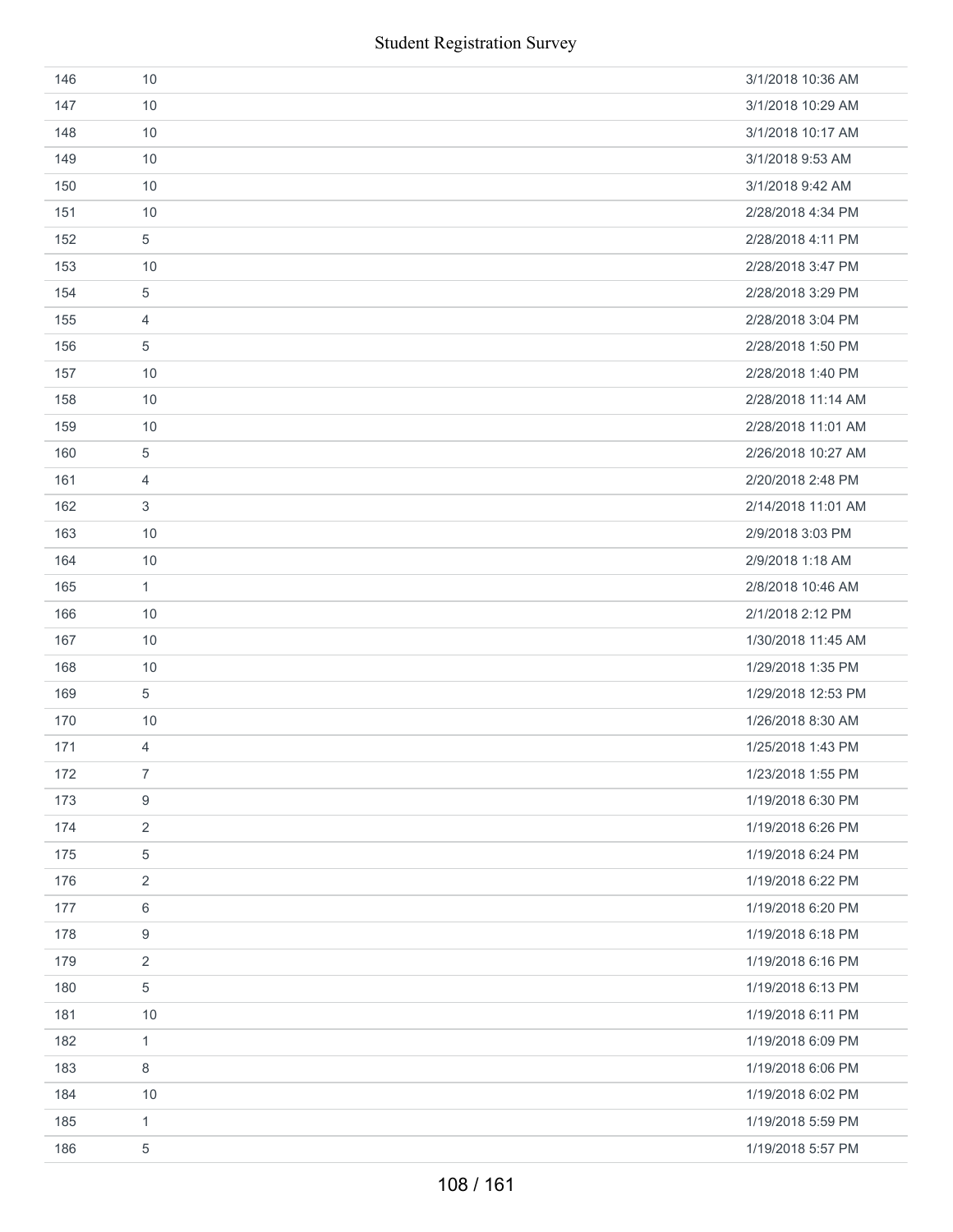| 146 | 10             | 3/1/2018 10:36 AM  |
|-----|----------------|--------------------|
| 147 | 10             | 3/1/2018 10:29 AM  |
| 148 | 10             | 3/1/2018 10:17 AM  |
| 149 | 10             | 3/1/2018 9:53 AM   |
| 150 | 10             | 3/1/2018 9:42 AM   |
| 151 | 10             | 2/28/2018 4:34 PM  |
| 152 | 5              | 2/28/2018 4:11 PM  |
| 153 | 10             | 2/28/2018 3:47 PM  |
| 154 | 5              | 2/28/2018 3:29 PM  |
| 155 | 4              | 2/28/2018 3:04 PM  |
| 156 | 5              | 2/28/2018 1:50 PM  |
| 157 | 10             | 2/28/2018 1:40 PM  |
| 158 | 10             | 2/28/2018 11:14 AM |
| 159 | 10             | 2/28/2018 11:01 AM |
| 160 | 5              | 2/26/2018 10:27 AM |
| 161 | 4              | 2/20/2018 2:48 PM  |
| 162 | 3              | 2/14/2018 11:01 AM |
| 163 | 10             | 2/9/2018 3:03 PM   |
| 164 | 10             | 2/9/2018 1:18 AM   |
| 165 | $\mathbf{1}$   | 2/8/2018 10:46 AM  |
| 166 | 10             | 2/1/2018 2:12 PM   |
| 167 | 10             | 1/30/2018 11:45 AM |
| 168 | 10             | 1/29/2018 1:35 PM  |
| 169 | 5              | 1/29/2018 12:53 PM |
| 170 | 10             | 1/26/2018 8:30 AM  |
| 171 | 4              | 1/25/2018 1:43 PM  |
| 172 | 7              | 1/23/2018 1:55 PM  |
| 173 | 9              | 1/19/2018 6:30 PM  |
| 174 | 2              | 1/19/2018 6:26 PM  |
| 175 | 5              | 1/19/2018 6:24 PM  |
| 176 | $\overline{2}$ | 1/19/2018 6:22 PM  |
| 177 | 6              | 1/19/2018 6:20 PM  |
| 178 | 9              | 1/19/2018 6:18 PM  |
| 179 | 2              | 1/19/2018 6:16 PM  |
| 180 | 5              | 1/19/2018 6:13 PM  |
| 181 | 10             | 1/19/2018 6:11 PM  |
| 182 | 1              | 1/19/2018 6:09 PM  |
| 183 | 8              | 1/19/2018 6:06 PM  |
| 184 | 10             | 1/19/2018 6:02 PM  |
| 185 | $\mathbf{1}$   | 1/19/2018 5:59 PM  |
| 186 | $\,$ 5 $\,$    | 1/19/2018 5:57 PM  |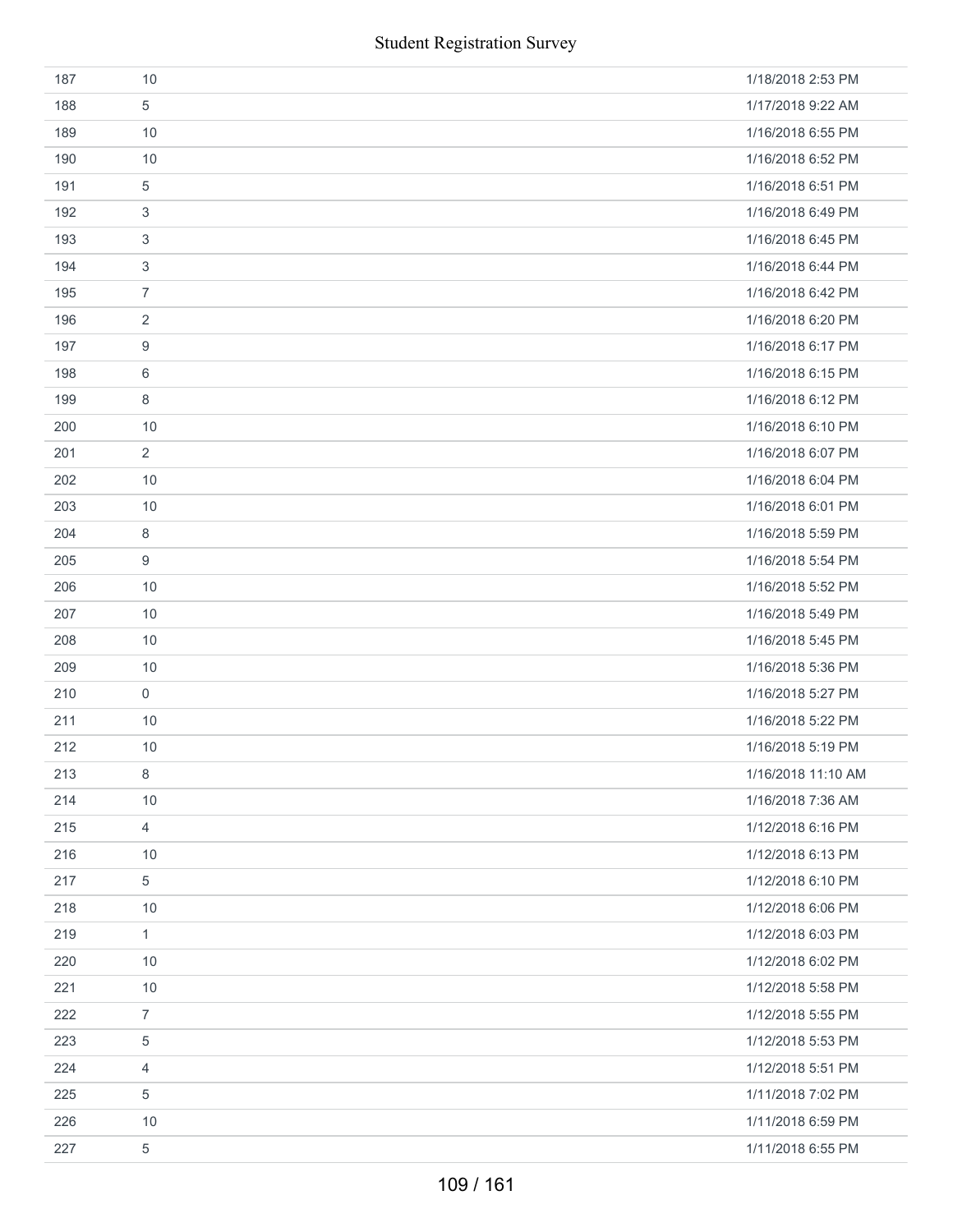|     | <b>Student Registration Survey</b> |                    |
|-----|------------------------------------|--------------------|
| 187 | 10                                 | 1/18/2018 2:53 PM  |
| 188 | 5                                  | 1/17/2018 9:22 AM  |
| 189 | 10                                 | 1/16/2018 6:55 PM  |
| 190 | 10                                 | 1/16/2018 6:52 PM  |
| 191 | 5                                  | 1/16/2018 6:51 PM  |
| 192 | 3                                  | 1/16/2018 6:49 PM  |
| 193 | 3                                  | 1/16/2018 6:45 PM  |
| 194 | 3                                  | 1/16/2018 6:44 PM  |
| 195 | $\overline{7}$                     | 1/16/2018 6:42 PM  |
| 196 | $\overline{2}$                     | 1/16/2018 6:20 PM  |
| 197 | 9                                  | 1/16/2018 6:17 PM  |
| 198 | 6                                  | 1/16/2018 6:15 PM  |
| 199 | 8                                  | 1/16/2018 6:12 PM  |
| 200 | 10                                 | 1/16/2018 6:10 PM  |
| 201 | $\overline{2}$                     | 1/16/2018 6:07 PM  |
| 202 | 10                                 | 1/16/2018 6:04 PM  |
| 203 | 10                                 | 1/16/2018 6:01 PM  |
| 204 | 8                                  | 1/16/2018 5:59 PM  |
| 205 | 9                                  | 1/16/2018 5:54 PM  |
| 206 | 10                                 | 1/16/2018 5:52 PM  |
| 207 | 10                                 | 1/16/2018 5:49 PM  |
| 208 | 10                                 | 1/16/2018 5:45 PM  |
| 209 | 10                                 | 1/16/2018 5:36 PM  |
| 210 | $\mathsf{O}\xspace$                | 1/16/2018 5:27 PM  |
| 211 | 10                                 | 1/16/2018 5:22 PM  |
| 212 | 10                                 | 1/16/2018 5:19 PM  |
| 213 | 8                                  | 1/16/2018 11:10 AM |
| 214 | 10                                 | 1/16/2018 7:36 AM  |
| 215 | 4                                  | 1/12/2018 6:16 PM  |
| 216 | 10                                 | 1/12/2018 6:13 PM  |
| 217 | 5                                  | 1/12/2018 6:10 PM  |
| 218 | $10$                               | 1/12/2018 6:06 PM  |
| 219 | 1                                  | 1/12/2018 6:03 PM  |
| 220 | 10                                 | 1/12/2018 6:02 PM  |
| 221 | $10$                               | 1/12/2018 5:58 PM  |
| 222 | $\overline{7}$                     | 1/12/2018 5:55 PM  |
| 223 | 5                                  | 1/12/2018 5:53 PM  |
| 224 | 4                                  | 1/12/2018 5:51 PM  |
| 225 | 5                                  | 1/11/2018 7:02 PM  |
| 226 | $10$                               | 1/11/2018 6:59 PM  |
| 227 | 5                                  | 1/11/2018 6:55 PM  |
|     | 109 / 161                          |                    |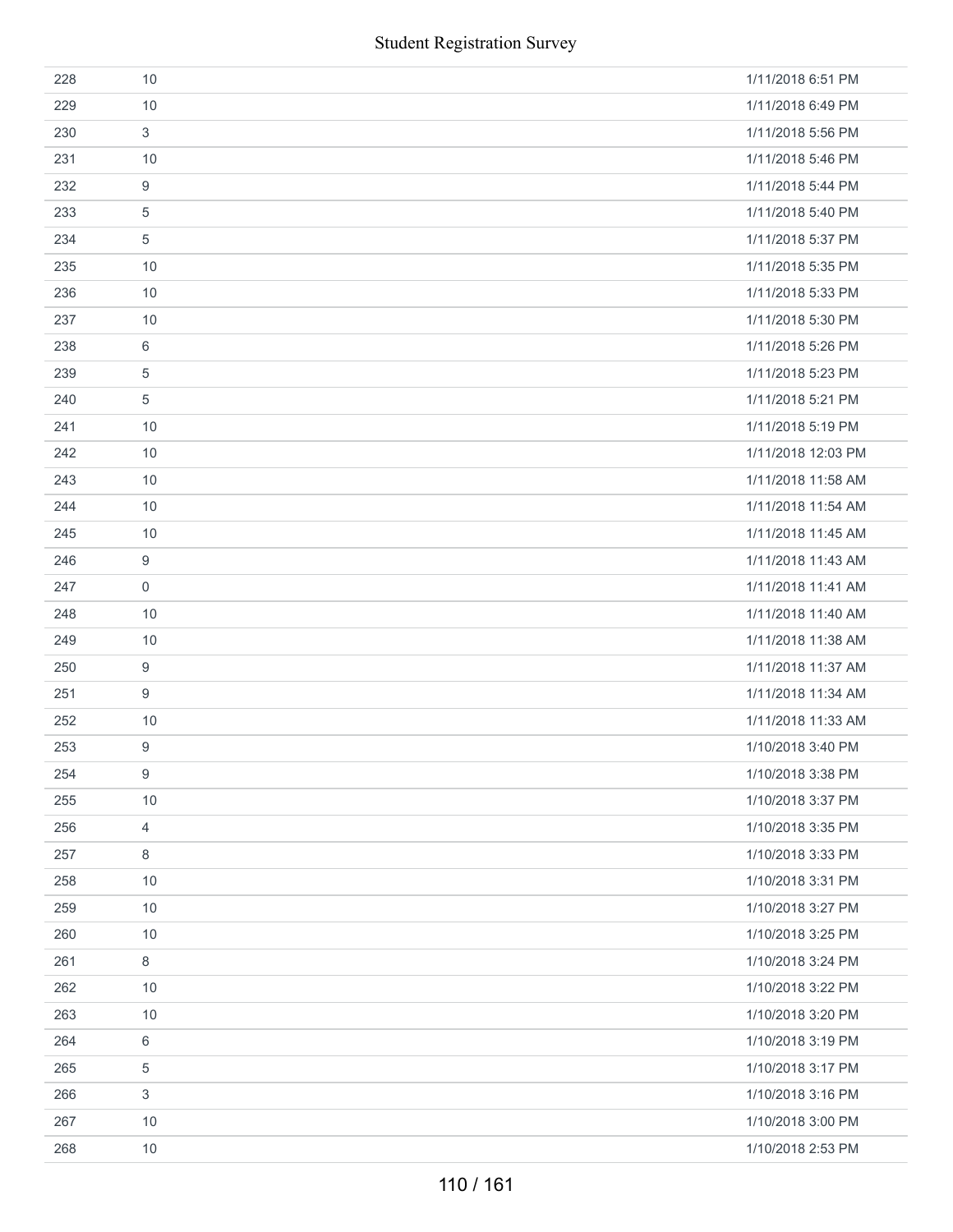| 1/11/2018 6:51 PM  |
|--------------------|
| 1/11/2018 6:49 PM  |
| 1/11/2018 5:56 PM  |
| 1/11/2018 5:46 PM  |
| 1/11/2018 5:44 PM  |
| 1/11/2018 5:40 PM  |
| 1/11/2018 5:37 PM  |
| 1/11/2018 5:35 PM  |
| 1/11/2018 5:33 PM  |
| 1/11/2018 5:30 PM  |
| 1/11/2018 5:26 PM  |
| 1/11/2018 5:23 PM  |
| 1/11/2018 5:21 PM  |
| 1/11/2018 5:19 PM  |
| 1/11/2018 12:03 PM |
| 1/11/2018 11:58 AM |
| 1/11/2018 11:54 AM |
| 1/11/2018 11:45 AM |
| 1/11/2018 11:43 AM |
| 1/11/2018 11:41 AM |
| 1/11/2018 11:40 AM |
| 1/11/2018 11:38 AM |
| 1/11/2018 11:37 AM |
| 1/11/2018 11:34 AM |
| 1/11/2018 11:33 AM |
| 1/10/2018 3:40 PM  |
| 1/10/2018 3:38 PM  |
| 1/10/2018 3:37 PM  |
| 1/10/2018 3:35 PM  |
| 1/10/2018 3:33 PM  |
| 1/10/2018 3:31 PM  |
| 1/10/2018 3:27 PM  |
| 1/10/2018 3:25 PM  |
| 1/10/2018 3:24 PM  |
| 1/10/2018 3:22 PM  |
| 1/10/2018 3:20 PM  |
| 1/10/2018 3:19 PM  |
| 1/10/2018 3:17 PM  |
| 1/10/2018 3:16 PM  |
| 1/10/2018 3:00 PM  |
| 1/10/2018 2:53 PM  |
|                    |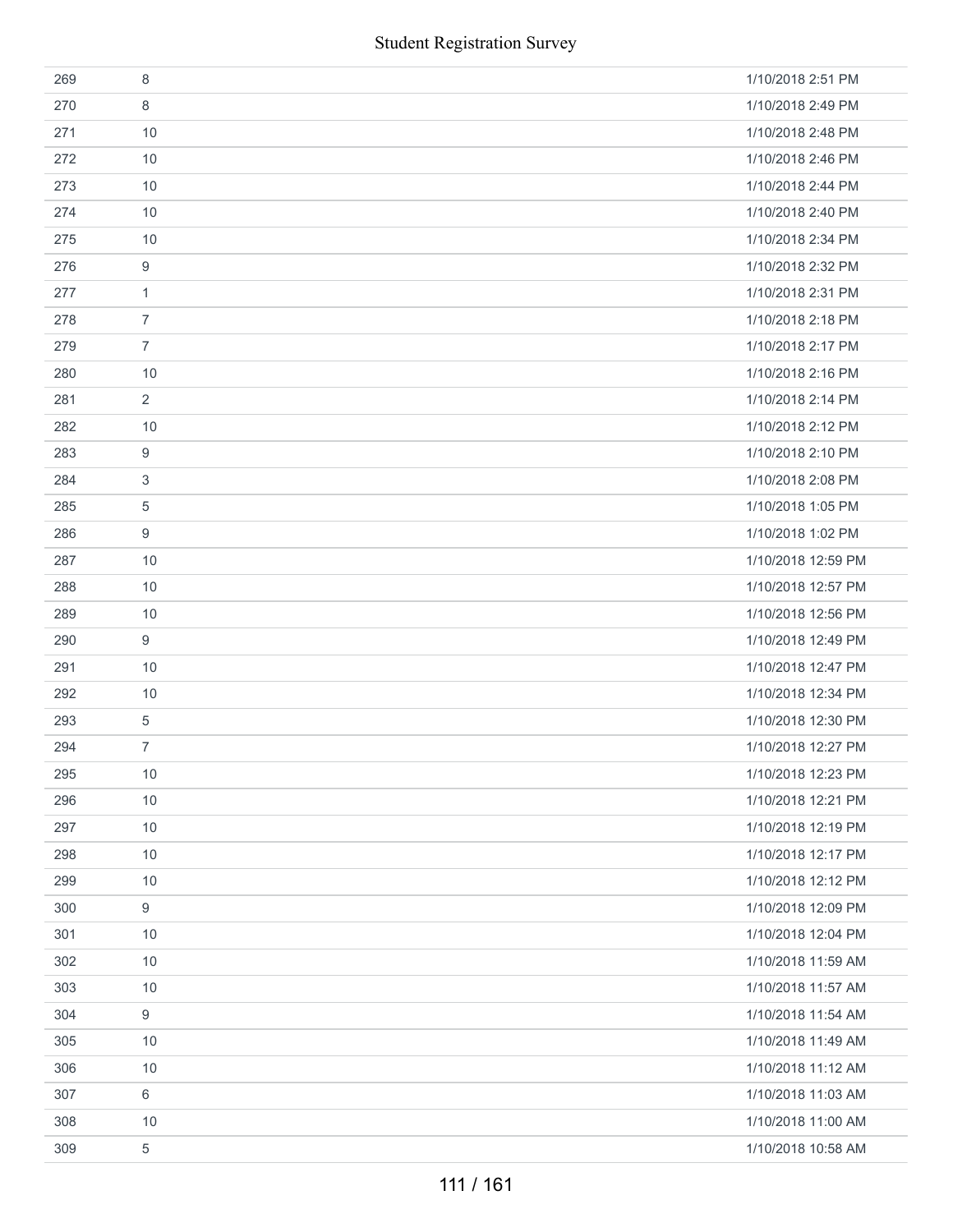|     | <b>Student Registration Survey</b> |                    |
|-----|------------------------------------|--------------------|
| 269 | 8                                  | 1/10/2018 2:51 PM  |
| 270 | 8                                  | 1/10/2018 2:49 PM  |
| 271 | 10                                 | 1/10/2018 2:48 PM  |
| 272 | 10                                 | 1/10/2018 2:46 PM  |
| 273 | 10                                 | 1/10/2018 2:44 PM  |
| 274 | 10                                 | 1/10/2018 2:40 PM  |
| 275 | 10                                 | 1/10/2018 2:34 PM  |
| 276 | $\boldsymbol{9}$                   | 1/10/2018 2:32 PM  |
| 277 | 1                                  | 1/10/2018 2:31 PM  |
| 278 | $\overline{7}$                     | 1/10/2018 2:18 PM  |
| 279 | $\overline{7}$                     | 1/10/2018 2:17 PM  |
| 280 | 10                                 | 1/10/2018 2:16 PM  |
| 281 | $\overline{2}$                     | 1/10/2018 2:14 PM  |
| 282 | 10                                 | 1/10/2018 2:12 PM  |
| 283 | 9                                  | 1/10/2018 2:10 PM  |
| 284 | 3                                  | 1/10/2018 2:08 PM  |
| 285 | 5                                  | 1/10/2018 1:05 PM  |
| 286 | 9                                  | 1/10/2018 1:02 PM  |
| 287 | 10                                 | 1/10/2018 12:59 PM |
| 288 | 10                                 | 1/10/2018 12:57 PM |
| 289 | 10                                 | 1/10/2018 12:56 PM |
| 290 | 9                                  | 1/10/2018 12:49 PM |
| 291 | 10                                 | 1/10/2018 12:47 PM |
| 292 | 10                                 | 1/10/2018 12:34 PM |
| 293 | 5                                  | 1/10/2018 12:30 PM |
| 294 | 7                                  | 1/10/2018 12:27 PM |
| 295 | 10                                 | 1/10/2018 12:23 PM |
| 296 | 10                                 | 1/10/2018 12:21 PM |
| 297 | 10                                 | 1/10/2018 12:19 PM |
| 298 | 10                                 | 1/10/2018 12:17 PM |
| 299 | 10                                 | 1/10/2018 12:12 PM |
| 300 | 9                                  | 1/10/2018 12:09 PM |
| 301 | 10                                 | 1/10/2018 12:04 PM |
| 302 | 10                                 | 1/10/2018 11:59 AM |
| 303 | 10                                 | 1/10/2018 11:57 AM |
| 304 | 9                                  | 1/10/2018 11:54 AM |
| 305 | 10                                 | 1/10/2018 11:49 AM |
| 306 | 10                                 | 1/10/2018 11:12 AM |
| 307 | 6                                  | 1/10/2018 11:03 AM |
| 308 | 10                                 | 1/10/2018 11:00 AM |
| 309 | 5                                  | 1/10/2018 10:58 AM |
|     | 111 / 161                          |                    |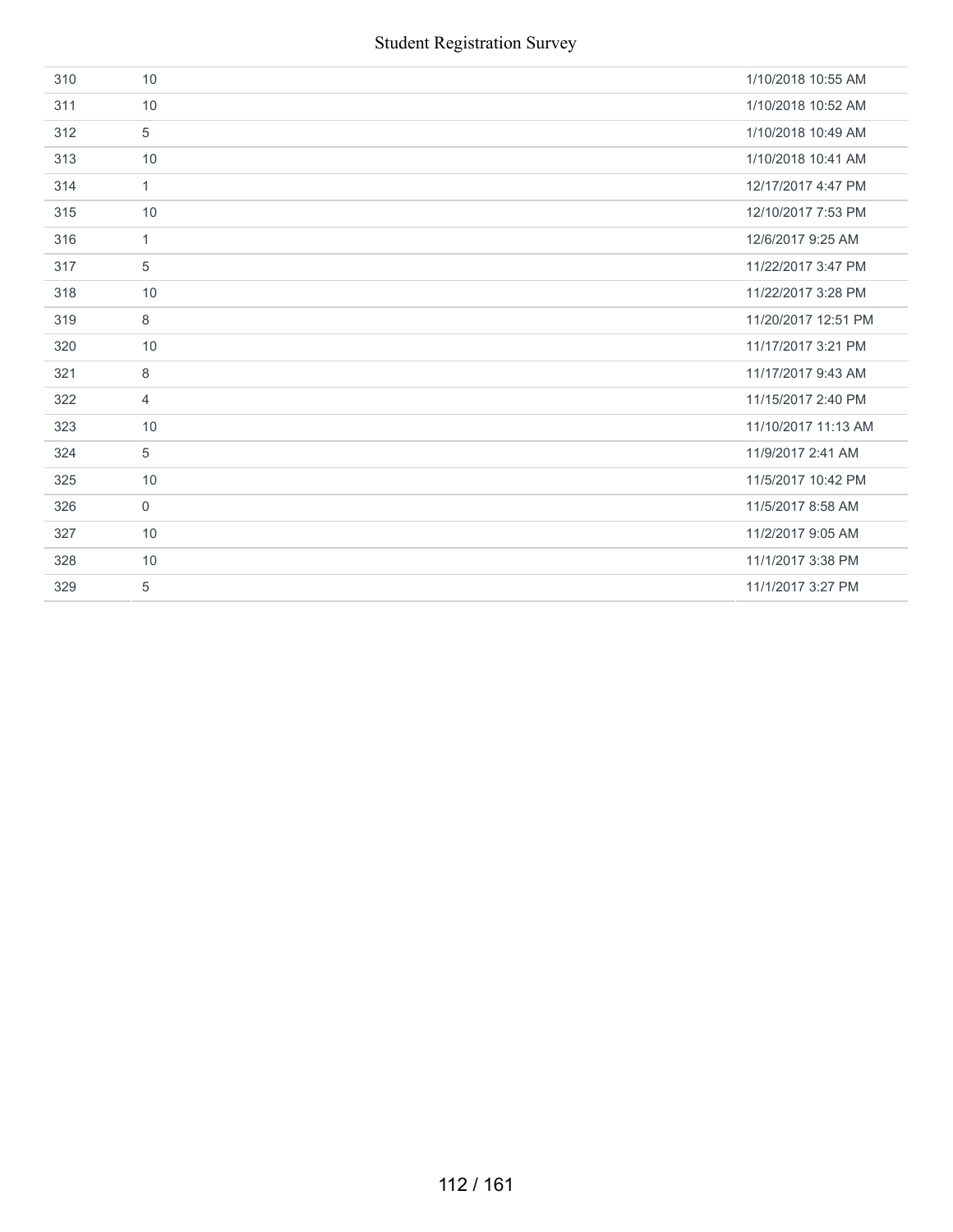| 310 | 10             | 1/10/2018 10:55 AM  |
|-----|----------------|---------------------|
| 311 | 10             | 1/10/2018 10:52 AM  |
| 312 | 5              | 1/10/2018 10:49 AM  |
| 313 | 10             | 1/10/2018 10:41 AM  |
| 314 | $\mathbf{1}$   | 12/17/2017 4:47 PM  |
| 315 | 10             | 12/10/2017 7:53 PM  |
| 316 | $\mathbf{1}$   | 12/6/2017 9:25 AM   |
| 317 | 5              | 11/22/2017 3:47 PM  |
| 318 | 10             | 11/22/2017 3:28 PM  |
| 319 | 8              | 11/20/2017 12:51 PM |
| 320 | 10             | 11/17/2017 3:21 PM  |
| 321 | 8              | 11/17/2017 9:43 AM  |
| 322 | $\overline{4}$ | 11/15/2017 2:40 PM  |
| 323 | 10             | 11/10/2017 11:13 AM |
| 324 | 5              | 11/9/2017 2:41 AM   |
| 325 | 10             | 11/5/2017 10:42 PM  |
| 326 | $\mathbf 0$    | 11/5/2017 8:58 AM   |
| 327 | 10             | 11/2/2017 9:05 AM   |
| 328 | 10             | 11/1/2017 3:38 PM   |
| 329 | 5              | 11/1/2017 3:27 PM   |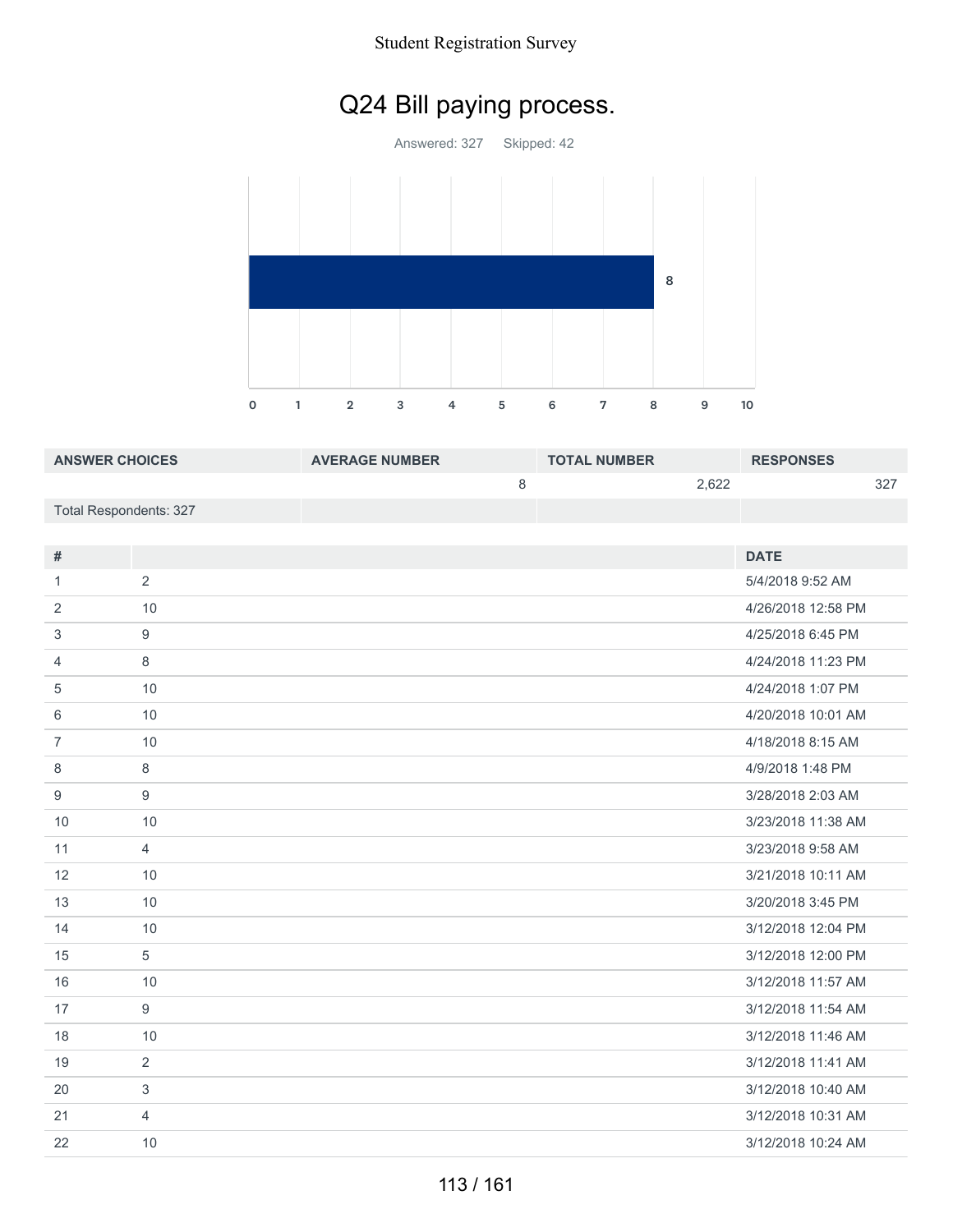#### Student Registration Survey

# Q24 Bill paying process.

Answered: 327 Skipped: 42



| <b>ANSWER CHOICES</b>  | <b>AVERAGE NUMBER</b> | <b>TOTAL NUMBER</b> |       | <b>RESPONSES</b> |     |
|------------------------|-----------------------|---------------------|-------|------------------|-----|
|                        |                       |                     | 2.622 |                  | つつフ |
| Total Respondents: 327 |                       |                     |       |                  |     |

| #              |                | <b>DATE</b>        |
|----------------|----------------|--------------------|
| 1              | 2              | 5/4/2018 9:52 AM   |
| 2              | 10             | 4/26/2018 12:58 PM |
| 3              | 9              | 4/25/2018 6:45 PM  |
| $\overline{4}$ | 8              | 4/24/2018 11:23 PM |
| 5              | 10             | 4/24/2018 1:07 PM  |
| 6              | 10             | 4/20/2018 10:01 AM |
| $\overline{7}$ | 10             | 4/18/2018 8:15 AM  |
| 8              | 8              | 4/9/2018 1:48 PM   |
| 9              | 9              | 3/28/2018 2:03 AM  |
| 10             | 10             | 3/23/2018 11:38 AM |
| 11             | $\overline{4}$ | 3/23/2018 9:58 AM  |
| 12             | 10             | 3/21/2018 10:11 AM |
| 13             | 10             | 3/20/2018 3:45 PM  |
| 14             | 10             | 3/12/2018 12:04 PM |
| 15             | 5              | 3/12/2018 12:00 PM |
| 16             | 10             | 3/12/2018 11:57 AM |
| 17             | 9              | 3/12/2018 11:54 AM |
| 18             | 10             | 3/12/2018 11:46 AM |
| 19             | 2              | 3/12/2018 11:41 AM |
| 20             | 3              | 3/12/2018 10:40 AM |
| 21             | $\overline{4}$ | 3/12/2018 10:31 AM |
| 22             | 10             | 3/12/2018 10:24 AM |
|                |                |                    |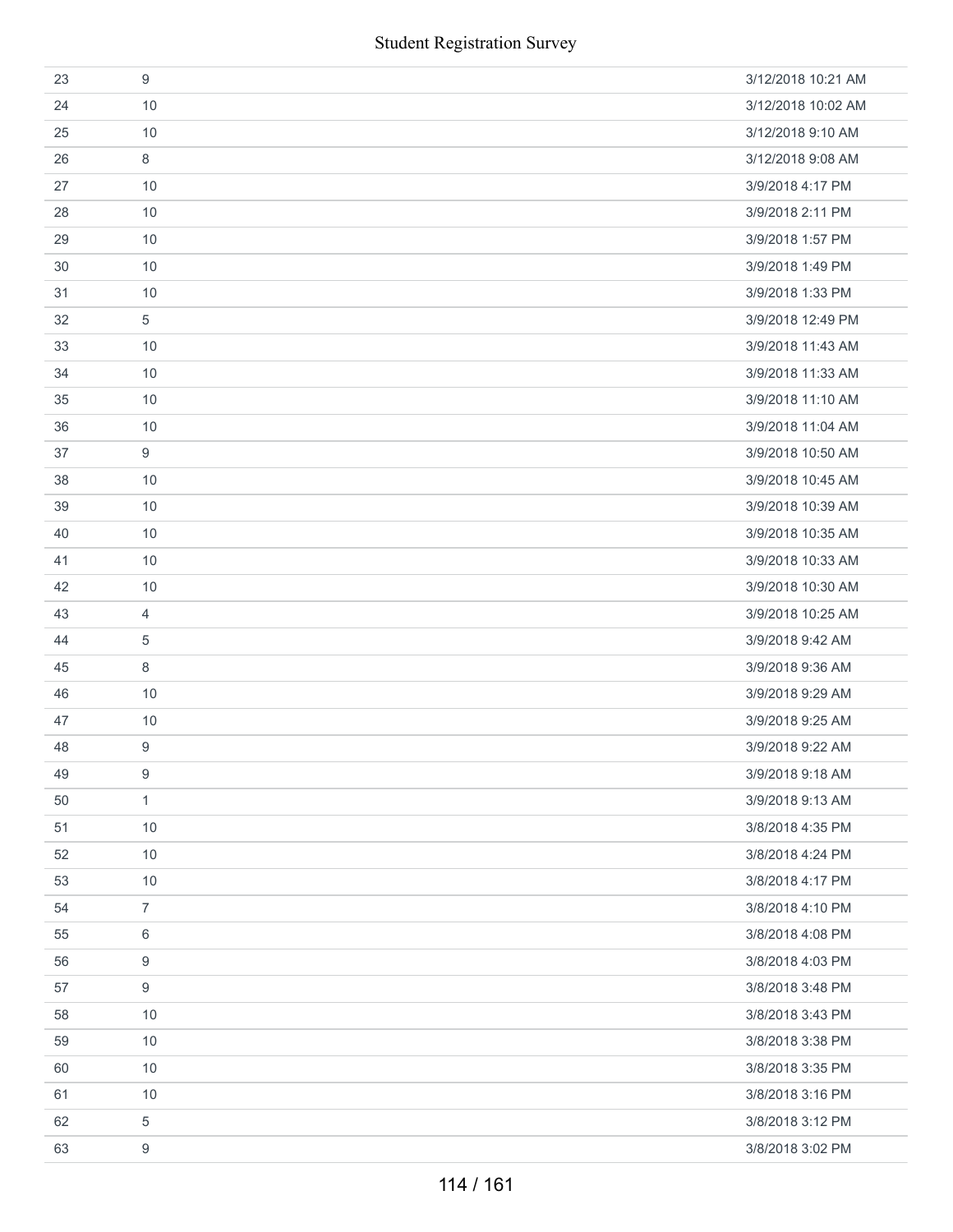|    | <b>Student Registration Survey</b> |                    |
|----|------------------------------------|--------------------|
| 23 | $\boldsymbol{9}$                   | 3/12/2018 10:21 AM |
| 24 | 10                                 | 3/12/2018 10:02 AM |
| 25 | 10                                 | 3/12/2018 9:10 AM  |
| 26 | 8                                  | 3/12/2018 9:08 AM  |
| 27 | 10                                 | 3/9/2018 4:17 PM   |
| 28 | 10                                 | 3/9/2018 2:11 PM   |
| 29 | 10                                 | 3/9/2018 1:57 PM   |
| 30 | 10                                 | 3/9/2018 1:49 PM   |
| 31 | 10                                 | 3/9/2018 1:33 PM   |
| 32 | $\,$ 5 $\,$                        | 3/9/2018 12:49 PM  |
| 33 | 10                                 | 3/9/2018 11:43 AM  |
| 34 | 10                                 | 3/9/2018 11:33 AM  |
| 35 | 10                                 | 3/9/2018 11:10 AM  |
| 36 | 10                                 | 3/9/2018 11:04 AM  |
| 37 | 9                                  | 3/9/2018 10:50 AM  |
| 38 | 10                                 | 3/9/2018 10:45 AM  |
| 39 | 10                                 | 3/9/2018 10:39 AM  |
| 40 | $10$                               | 3/9/2018 10:35 AM  |
| 41 | 10                                 | 3/9/2018 10:33 AM  |
| 42 | 10                                 | 3/9/2018 10:30 AM  |
| 43 | $\overline{4}$                     | 3/9/2018 10:25 AM  |
| 44 | 5                                  | 3/9/2018 9:42 AM   |
| 45 | 8                                  | 3/9/2018 9:36 AM   |
| 46 | 10                                 | 3/9/2018 9:29 AM   |
| 47 | 10                                 | 3/9/2018 9:25 AM   |
| 48 | 9                                  | 3/9/2018 9:22 AM   |
| 49 | 9                                  | 3/9/2018 9:18 AM   |
| 50 | $\mathbf{1}$                       | 3/9/2018 9:13 AM   |
| 51 | 10                                 | 3/8/2018 4:35 PM   |
| 52 | 10                                 | 3/8/2018 4:24 PM   |
| 53 | $10$                               | 3/8/2018 4:17 PM   |
| 54 | $\overline{7}$                     | 3/8/2018 4:10 PM   |
| 55 | 6                                  | 3/8/2018 4:08 PM   |
| 56 | 9                                  | 3/8/2018 4:03 PM   |
| 57 | 9                                  | 3/8/2018 3:48 PM   |
| 58 | 10                                 | 3/8/2018 3:43 PM   |
| 59 | 10                                 | 3/8/2018 3:38 PM   |
| 60 | 10                                 | 3/8/2018 3:35 PM   |
| 61 | 10                                 | 3/8/2018 3:16 PM   |
| 62 | 5                                  | 3/8/2018 3:12 PM   |
| 63 | 9                                  | 3/8/2018 3:02 PM   |
|    | 114 / 161                          |                    |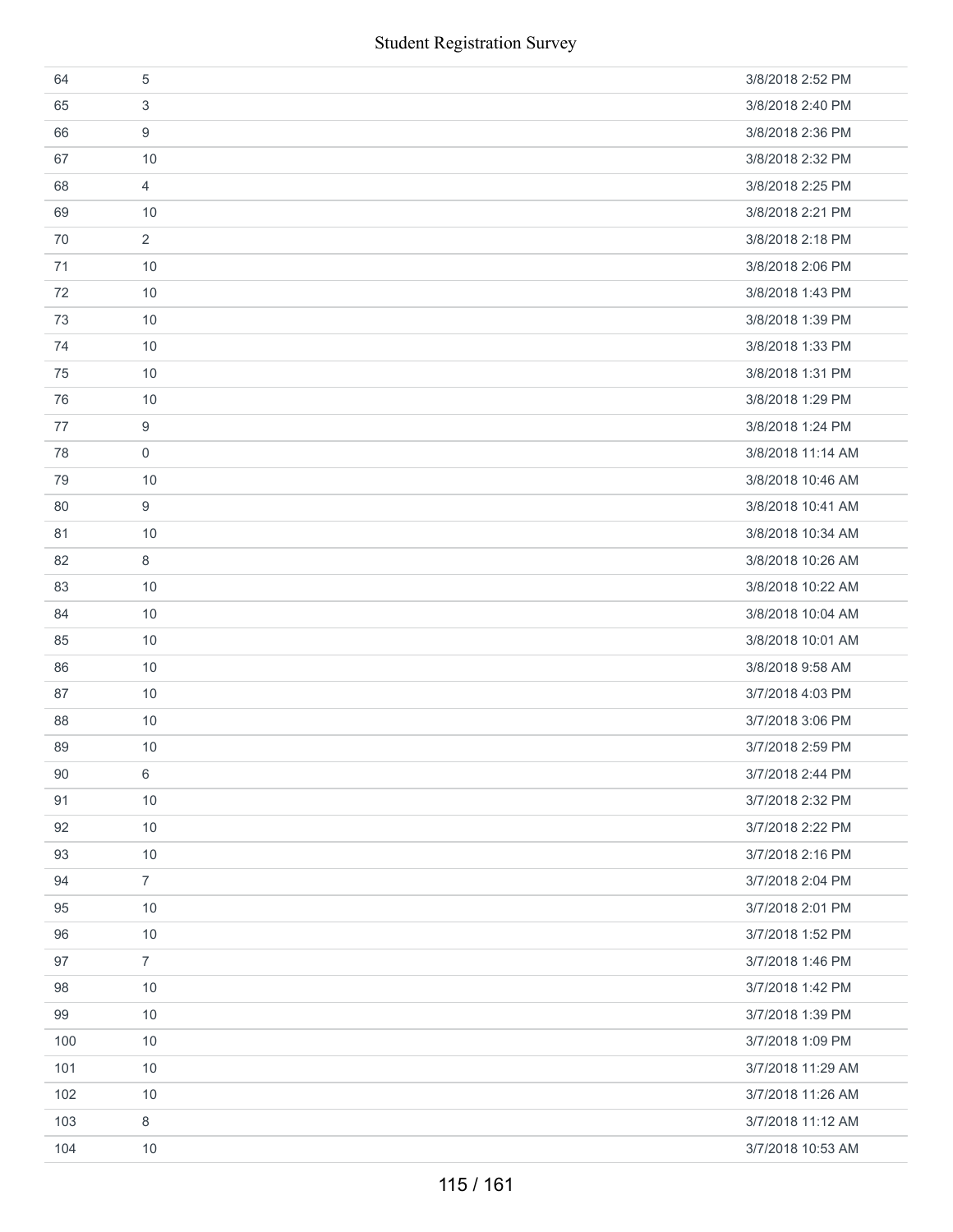|     | <b>Student Registration Survey</b> |                   |
|-----|------------------------------------|-------------------|
| 64  | $\sqrt{5}$                         | 3/8/2018 2:52 PM  |
| 65  | 3                                  | 3/8/2018 2:40 PM  |
| 66  | 9                                  | 3/8/2018 2:36 PM  |
| 67  | 10                                 | 3/8/2018 2:32 PM  |
| 68  | $\overline{4}$                     | 3/8/2018 2:25 PM  |
| 69  | 10                                 | 3/8/2018 2:21 PM  |
| 70  | $\overline{2}$                     | 3/8/2018 2:18 PM  |
| 71  | 10                                 | 3/8/2018 2:06 PM  |
| 72  | 10                                 | 3/8/2018 1:43 PM  |
| 73  | 10                                 | 3/8/2018 1:39 PM  |
| 74  | 10                                 | 3/8/2018 1:33 PM  |
| 75  | 10                                 | 3/8/2018 1:31 PM  |
| 76  | 10                                 | 3/8/2018 1:29 PM  |
| 77  | $\boldsymbol{9}$                   | 3/8/2018 1:24 PM  |
| 78  | $\mathbf 0$                        | 3/8/2018 11:14 AM |
| 79  | 10                                 | 3/8/2018 10:46 AM |
| 80  | 9                                  | 3/8/2018 10:41 AM |
| 81  | $10$                               | 3/8/2018 10:34 AM |
| 82  | 8                                  | 3/8/2018 10:26 AM |
| 83  | 10                                 | 3/8/2018 10:22 AM |
| 84  | 10                                 | 3/8/2018 10:04 AM |
| 85  | 10                                 | 3/8/2018 10:01 AM |
| 86  | 10                                 | 3/8/2018 9:58 AM  |
| 87  | $10$                               | 3/7/2018 4:03 PM  |
| 88  | $10$                               | 3/7/2018 3:06 PM  |
| 89  | 10                                 | 3/7/2018 2:59 PM  |
| 90  | 6                                  | 3/7/2018 2:44 PM  |
| 91  | $10$                               | 3/7/2018 2:32 PM  |
| 92  | 10                                 | 3/7/2018 2:22 PM  |
| 93  | 10                                 | 3/7/2018 2:16 PM  |
| 94  | $\overline{7}$                     | 3/7/2018 2:04 PM  |
| 95  | 10                                 | 3/7/2018 2:01 PM  |
| 96  | 10                                 | 3/7/2018 1:52 PM  |
| 97  | $\overline{7}$                     | 3/7/2018 1:46 PM  |
| 98  | 10                                 | 3/7/2018 1:42 PM  |
| 99  | 10                                 | 3/7/2018 1:39 PM  |
| 100 | 10                                 | 3/7/2018 1:09 PM  |
| 101 | 10                                 | 3/7/2018 11:29 AM |
| 102 | $10$                               | 3/7/2018 11:26 AM |
| 103 | 8                                  | 3/7/2018 11:12 AM |
| 104 | 10                                 | 3/7/2018 10:53 AM |
|     | 115 / 161                          |                   |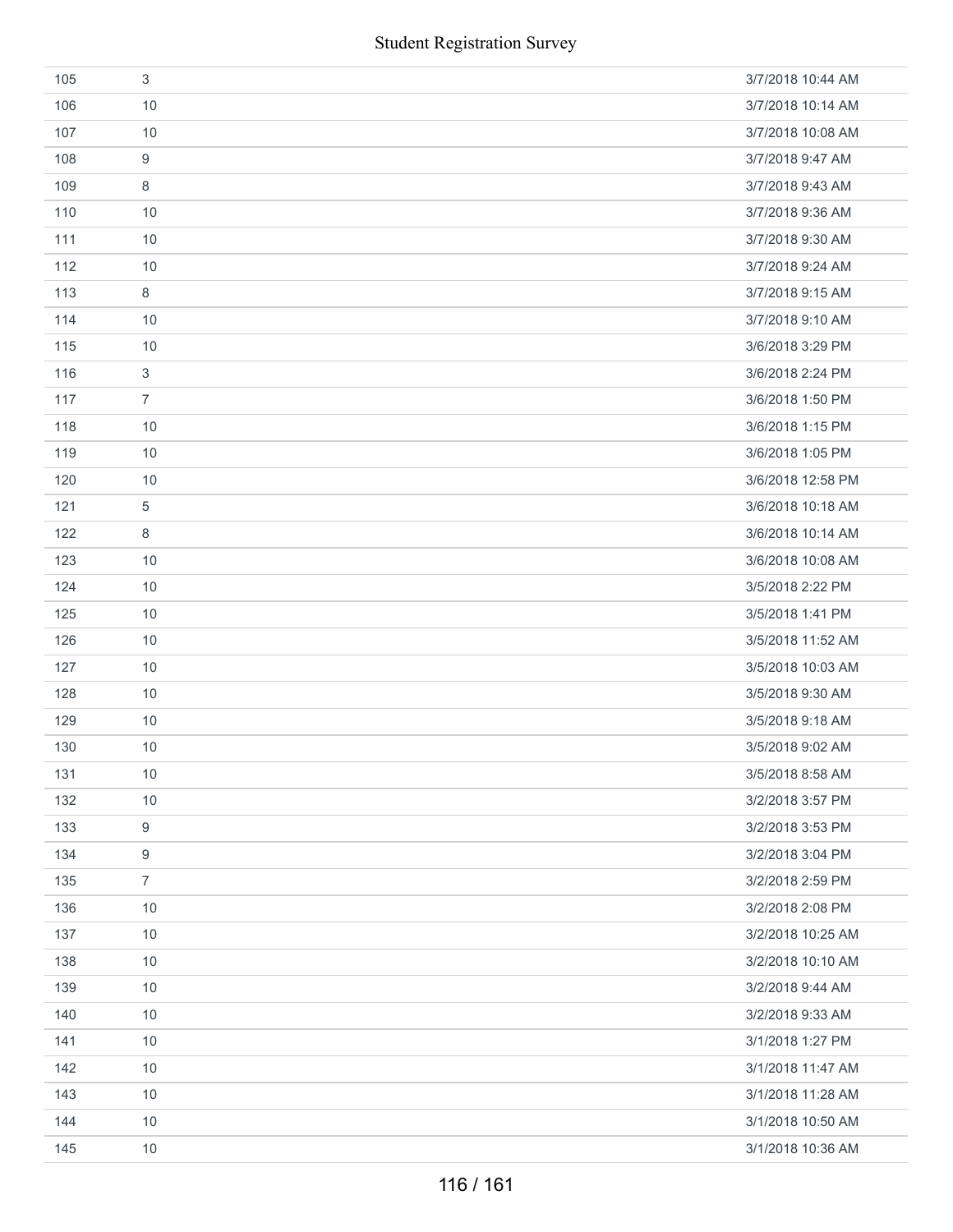|     | <b>Student Registration Survey</b> |                   |
|-----|------------------------------------|-------------------|
| 105 | $\sqrt{3}$                         | 3/7/2018 10:44 AM |
| 106 | 10                                 | 3/7/2018 10:14 AM |
| 107 | 10                                 | 3/7/2018 10:08 AM |
| 108 | 9                                  | 3/7/2018 9:47 AM  |
| 109 | $\,8\,$                            | 3/7/2018 9:43 AM  |
| 110 | 10                                 | 3/7/2018 9:36 AM  |
| 111 | 10                                 | 3/7/2018 9:30 AM  |
| 112 | 10                                 | 3/7/2018 9:24 AM  |
| 113 | 8                                  | 3/7/2018 9:15 AM  |
| 114 | 10                                 | 3/7/2018 9:10 AM  |
| 115 | 10                                 | 3/6/2018 3:29 PM  |
| 116 | $\mathbf{3}$                       | 3/6/2018 2:24 PM  |
| 117 | $\overline{7}$                     | 3/6/2018 1:50 PM  |
| 118 | 10                                 | 3/6/2018 1:15 PM  |
| 119 | 10                                 | 3/6/2018 1:05 PM  |
| 120 | 10                                 | 3/6/2018 12:58 PM |
| 121 | 5                                  | 3/6/2018 10:18 AM |
| 122 | 8                                  | 3/6/2018 10:14 AM |
| 123 | 10                                 | 3/6/2018 10:08 AM |
| 124 | 10                                 | 3/5/2018 2:22 PM  |
| 125 | 10                                 | 3/5/2018 1:41 PM  |
| 126 | 10                                 | 3/5/2018 11:52 AM |
| 127 | 10                                 | 3/5/2018 10:03 AM |
| 128 | 10                                 | 3/5/2018 9:30 AM  |
| 129 | 10                                 | 3/5/2018 9:18 AM  |
| 130 | 10                                 | 3/5/2018 9:02 AM  |
| 131 | 10                                 | 3/5/2018 8:58 AM  |
| 132 | 10                                 | 3/2/2018 3:57 PM  |
| 133 | 9                                  | 3/2/2018 3:53 PM  |
| 134 | $\boldsymbol{9}$                   | 3/2/2018 3:04 PM  |
| 135 | $\overline{7}$                     | 3/2/2018 2:59 PM  |
| 136 | 10                                 | 3/2/2018 2:08 PM  |
| 137 | 10                                 | 3/2/2018 10:25 AM |
| 138 | 10                                 | 3/2/2018 10:10 AM |
| 139 | 10                                 | 3/2/2018 9:44 AM  |
| 140 | 10                                 | 3/2/2018 9:33 AM  |
| 141 | 10                                 | 3/1/2018 1:27 PM  |
| 142 | 10                                 | 3/1/2018 11:47 AM |
| 143 | 10                                 | 3/1/2018 11:28 AM |
| 144 | 10                                 | 3/1/2018 10:50 AM |
| 145 | 10                                 | 3/1/2018 10:36 AM |
|     | 116 / 161                          |                   |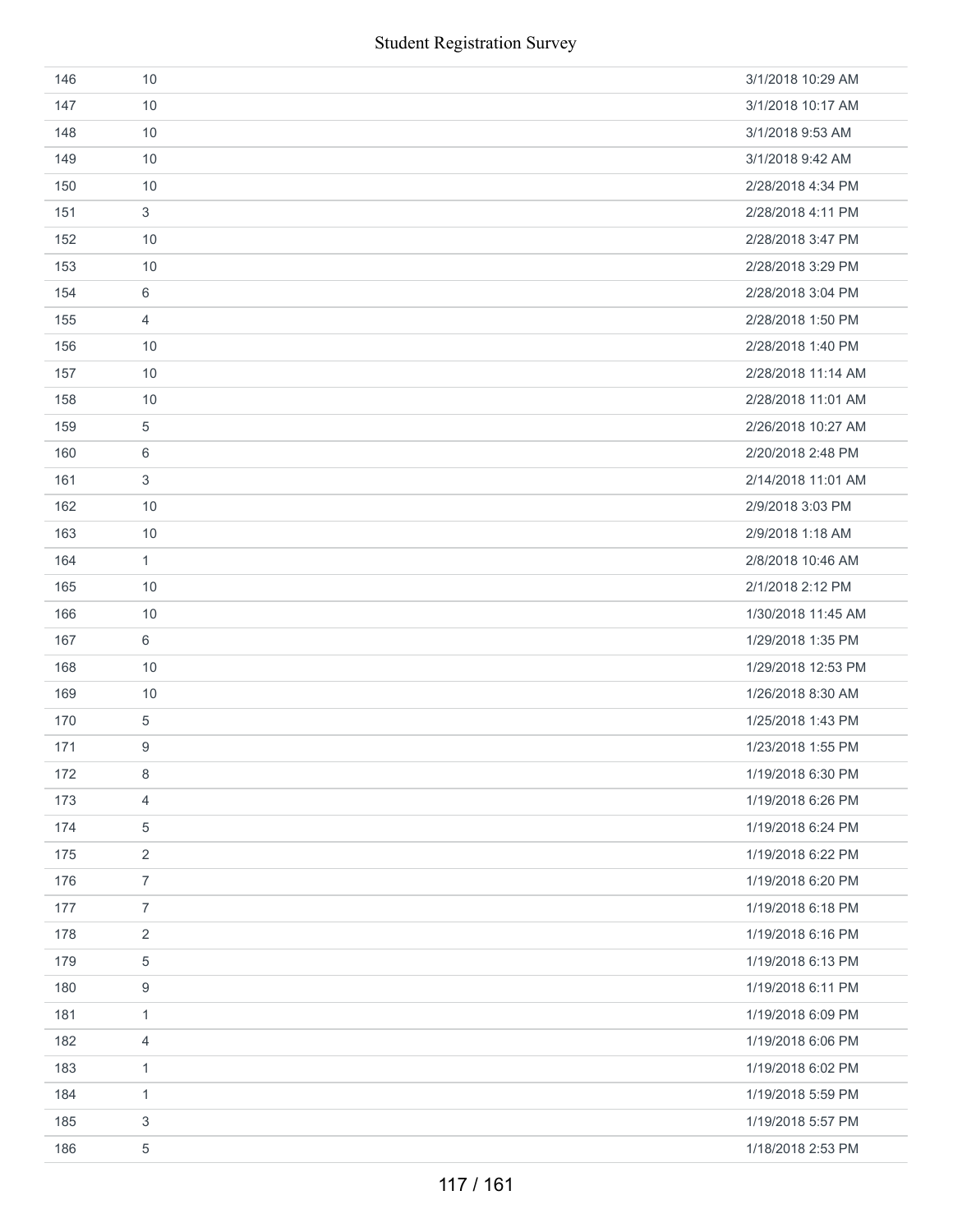| 146 | 10               | 3/1/2018 10:29 AM  |
|-----|------------------|--------------------|
| 147 | 10               | 3/1/2018 10:17 AM  |
| 148 | 10               | 3/1/2018 9:53 AM   |
| 149 | 10               | 3/1/2018 9:42 AM   |
| 150 | 10               | 2/28/2018 4:34 PM  |
| 151 | 3                | 2/28/2018 4:11 PM  |
| 152 | 10               | 2/28/2018 3:47 PM  |
| 153 | 10               | 2/28/2018 3:29 PM  |
| 154 | 6                | 2/28/2018 3:04 PM  |
| 155 | $\overline{4}$   | 2/28/2018 1:50 PM  |
| 156 | 10               | 2/28/2018 1:40 PM  |
| 157 | 10               | 2/28/2018 11:14 AM |
| 158 | 10               | 2/28/2018 11:01 AM |
| 159 | $\,$ 5 $\,$      | 2/26/2018 10:27 AM |
| 160 | 6                | 2/20/2018 2:48 PM  |
| 161 | $\sqrt{3}$       | 2/14/2018 11:01 AM |
| 162 | 10               | 2/9/2018 3:03 PM   |
| 163 | 10               | 2/9/2018 1:18 AM   |
| 164 | $\mathbf{1}$     | 2/8/2018 10:46 AM  |
| 165 | 10               | 2/1/2018 2:12 PM   |
| 166 | 10               | 1/30/2018 11:45 AM |
| 167 | 6                | 1/29/2018 1:35 PM  |
| 168 | 10               | 1/29/2018 12:53 PM |
| 169 | 10               | 1/26/2018 8:30 AM  |
| 170 | $\,$ 5 $\,$      | 1/25/2018 1:43 PM  |
| 171 | 9                | 1/23/2018 1:55 PM  |
| 172 | 8                | 1/19/2018 6:30 PM  |
| 173 | $\overline{4}$   | 1/19/2018 6:26 PM  |
| 174 | 5                | 1/19/2018 6:24 PM  |
| 175 | $\overline{2}$   | 1/19/2018 6:22 PM  |
| 176 | $\overline{7}$   | 1/19/2018 6:20 PM  |
| 177 | $\overline{7}$   | 1/19/2018 6:18 PM  |
| 178 | 2                | 1/19/2018 6:16 PM  |
| 179 | $\,$ 5 $\,$      | 1/19/2018 6:13 PM  |
| 180 | $\boldsymbol{9}$ | 1/19/2018 6:11 PM  |
| 181 | $\mathbf{1}$     | 1/19/2018 6:09 PM  |
| 182 | 4                | 1/19/2018 6:06 PM  |
| 183 | $\mathbf{1}$     | 1/19/2018 6:02 PM  |
| 184 | $\mathbf{1}$     | 1/19/2018 5:59 PM  |
| 185 | 3                | 1/19/2018 5:57 PM  |
| 186 | $\,$ 5 $\,$      | 1/18/2018 2:53 PM  |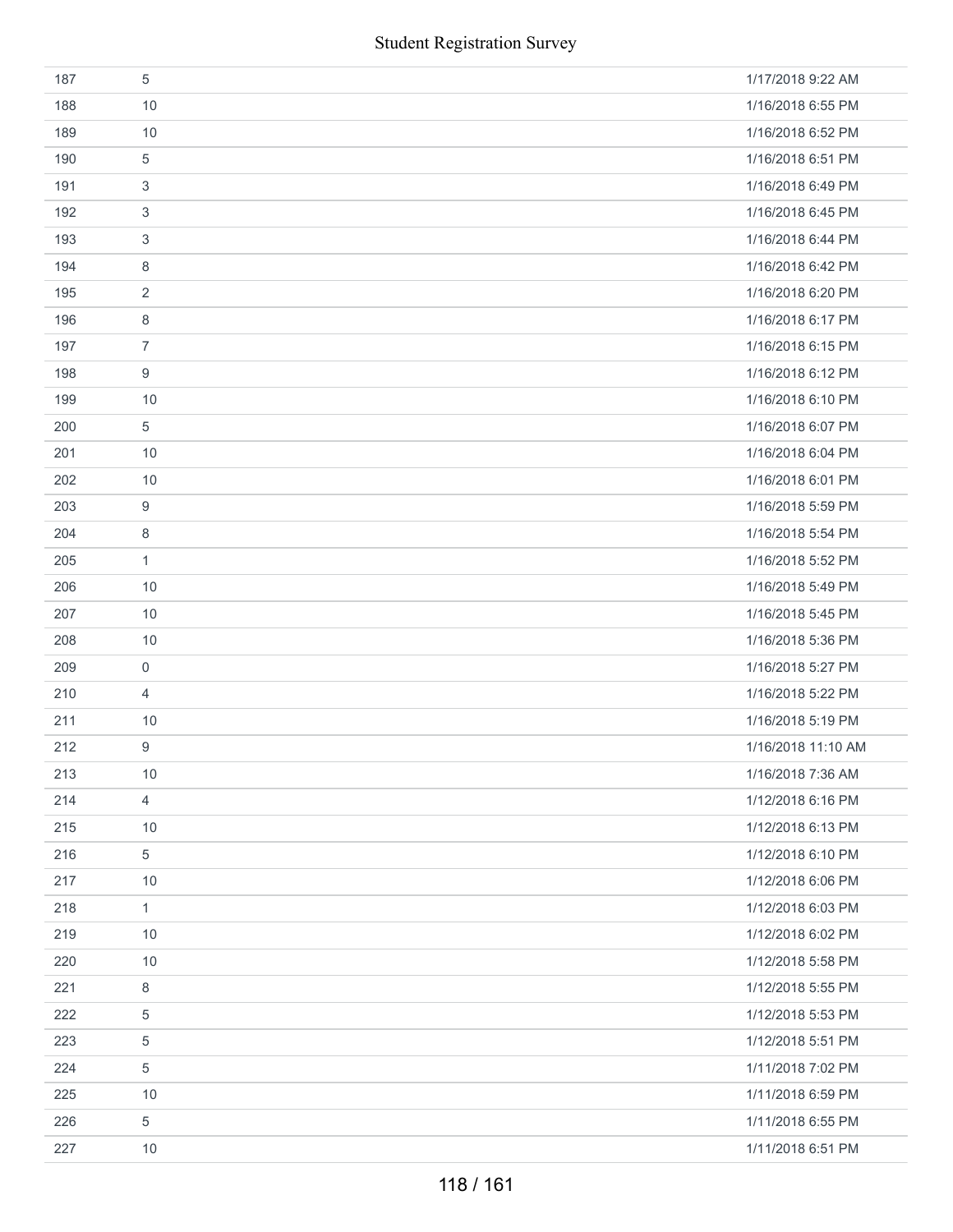|     | <b>Student Registration Survey</b> |                    |
|-----|------------------------------------|--------------------|
| 187 | 5                                  | 1/17/2018 9:22 AM  |
| 188 | 10                                 | 1/16/2018 6:55 PM  |
| 189 | 10                                 | 1/16/2018 6:52 PM  |
| 190 | 5                                  | 1/16/2018 6:51 PM  |
| 191 | 3                                  | 1/16/2018 6:49 PM  |
| 192 | 3                                  | 1/16/2018 6:45 PM  |
| 193 | 3                                  | 1/16/2018 6:44 PM  |
| 194 | 8                                  | 1/16/2018 6:42 PM  |
| 195 | $\overline{2}$                     | 1/16/2018 6:20 PM  |
| 196 | 8                                  | 1/16/2018 6:17 PM  |
| 197 | $\overline{7}$                     | 1/16/2018 6:15 PM  |
| 198 | 9                                  | 1/16/2018 6:12 PM  |
| 199 | 10                                 | 1/16/2018 6:10 PM  |
| 200 | 5                                  | 1/16/2018 6:07 PM  |
| 201 | 10                                 | 1/16/2018 6:04 PM  |
| 202 | 10                                 | 1/16/2018 6:01 PM  |
| 203 | 9                                  | 1/16/2018 5:59 PM  |
| 204 | 8                                  | 1/16/2018 5:54 PM  |
| 205 | $\mathbf{1}$                       | 1/16/2018 5:52 PM  |
| 206 | 10                                 | 1/16/2018 5:49 PM  |
| 207 | 10                                 | 1/16/2018 5:45 PM  |
| 208 | 10                                 | 1/16/2018 5:36 PM  |
| 209 | 0                                  | 1/16/2018 5:27 PM  |
| 210 | $\overline{4}$                     | 1/16/2018 5:22 PM  |
| 211 | 10                                 | 1/16/2018 5:19 PM  |
| 212 | 9                                  | 1/16/2018 11:10 AM |
| 213 | 10                                 | 1/16/2018 7:36 AM  |
| 214 | $\overline{4}$                     | 1/12/2018 6:16 PM  |
| 215 | 10                                 | 1/12/2018 6:13 PM  |
| 216 | 5                                  | 1/12/2018 6:10 PM  |
| 217 | 10                                 | 1/12/2018 6:06 PM  |
| 218 | $\mathbf{1}$                       | 1/12/2018 6:03 PM  |
| 219 | 10                                 | 1/12/2018 6:02 PM  |
| 220 | 10                                 | 1/12/2018 5:58 PM  |
| 221 | 8                                  | 1/12/2018 5:55 PM  |
| 222 | 5                                  | 1/12/2018 5:53 PM  |
| 223 | $\,$ 5 $\,$                        | 1/12/2018 5:51 PM  |
| 224 | 5                                  | 1/11/2018 7:02 PM  |
| 225 | 10                                 | 1/11/2018 6:59 PM  |
| 226 | 5                                  | 1/11/2018 6:55 PM  |
| 227 | 10                                 | 1/11/2018 6:51 PM  |
|     | 118 / 161                          |                    |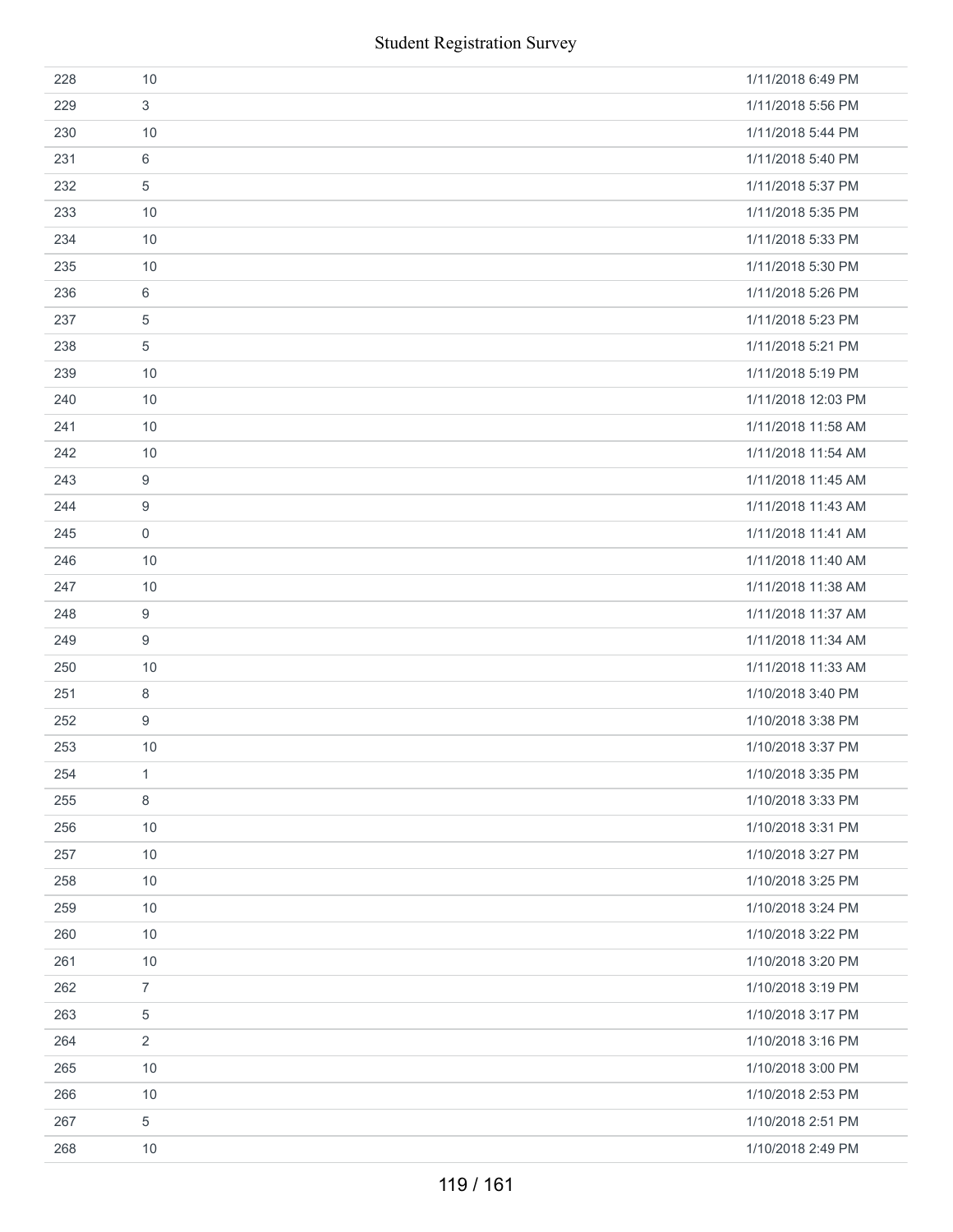|     | <b>Student Registration Survey</b> |                    |
|-----|------------------------------------|--------------------|
| 228 | 10                                 | 1/11/2018 6:49 PM  |
| 229 | 3                                  | 1/11/2018 5:56 PM  |
| 230 | 10                                 | 1/11/2018 5:44 PM  |
| 231 | 6                                  | 1/11/2018 5:40 PM  |
| 232 | 5                                  | 1/11/2018 5:37 PM  |
| 233 | 10                                 | 1/11/2018 5:35 PM  |
| 234 | 10                                 | 1/11/2018 5:33 PM  |
| 235 | 10                                 | 1/11/2018 5:30 PM  |
| 236 | 6                                  | 1/11/2018 5:26 PM  |
| 237 | $\overline{5}$                     | 1/11/2018 5:23 PM  |
| 238 | 5                                  | 1/11/2018 5:21 PM  |
| 239 | 10                                 | 1/11/2018 5:19 PM  |
| 240 | 10                                 | 1/11/2018 12:03 PM |
| 241 | 10                                 | 1/11/2018 11:58 AM |
| 242 | 10                                 | 1/11/2018 11:54 AM |
| 243 | 9                                  | 1/11/2018 11:45 AM |
| 244 | $\boldsymbol{9}$                   | 1/11/2018 11:43 AM |
| 245 | $\boldsymbol{0}$                   | 1/11/2018 11:41 AM |
| 246 | 10                                 | 1/11/2018 11:40 AM |
| 247 | 10                                 | 1/11/2018 11:38 AM |
| 248 | 9                                  | 1/11/2018 11:37 AM |
| 249 | 9                                  | 1/11/2018 11:34 AM |
| 250 | 10                                 | 1/11/2018 11:33 AM |
| 251 | $\,8\,$                            | 1/10/2018 3:40 PM  |
| 252 | $\boldsymbol{9}$                   | 1/10/2018 3:38 PM  |
| 253 | 10                                 | 1/10/2018 3:37 PM  |
| 254 | $\mathbf{1}$                       | 1/10/2018 3:35 PM  |
| 255 | $\,8\,$                            | 1/10/2018 3:33 PM  |
| 256 | 10                                 | 1/10/2018 3:31 PM  |
| 257 | 10                                 | 1/10/2018 3:27 PM  |
| 258 | 10                                 | 1/10/2018 3:25 PM  |
| 259 | 10                                 | 1/10/2018 3:24 PM  |
| 260 | 10                                 | 1/10/2018 3:22 PM  |
| 261 | 10                                 | 1/10/2018 3:20 PM  |
| 262 | $\overline{7}$                     | 1/10/2018 3:19 PM  |
| 263 | $\,$ 5 $\,$                        | 1/10/2018 3:17 PM  |
| 264 | $\sqrt{2}$                         | 1/10/2018 3:16 PM  |
| 265 | 10                                 | 1/10/2018 3:00 PM  |
| 266 | $10$                               | 1/10/2018 2:53 PM  |
| 267 | 5                                  | 1/10/2018 2:51 PM  |
| 268 | 10                                 | 1/10/2018 2:49 PM  |
|     | 119 / 161                          |                    |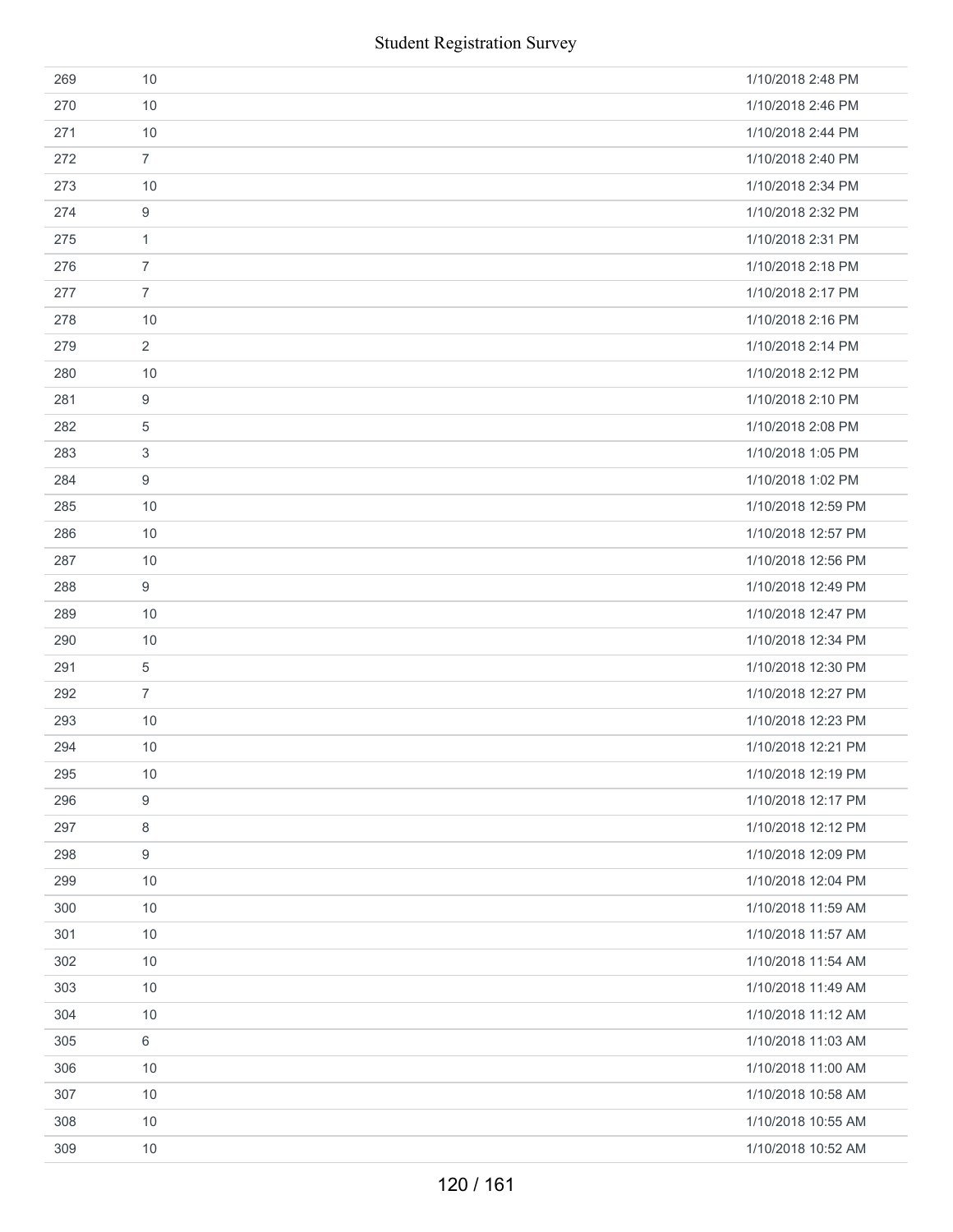|     | <b>Student Registration Survey</b> |                    |
|-----|------------------------------------|--------------------|
| 269 | 10                                 | 1/10/2018 2:48 PM  |
| 270 | 10                                 | 1/10/2018 2:46 PM  |
| 271 | 10                                 | 1/10/2018 2:44 PM  |
| 272 | $\overline{7}$                     | 1/10/2018 2:40 PM  |
| 273 | 10                                 | 1/10/2018 2:34 PM  |
| 274 | $\boldsymbol{9}$                   | 1/10/2018 2:32 PM  |
| 275 | $\mathbf{1}$                       | 1/10/2018 2:31 PM  |
| 276 | $\overline{7}$                     | 1/10/2018 2:18 PM  |
| 277 | $\overline{7}$                     | 1/10/2018 2:17 PM  |
| 278 | 10                                 | 1/10/2018 2:16 PM  |
| 279 | $\overline{2}$                     | 1/10/2018 2:14 PM  |
| 280 | 10                                 | 1/10/2018 2:12 PM  |
| 281 | $\boldsymbol{9}$                   | 1/10/2018 2:10 PM  |
| 282 | 5                                  | 1/10/2018 2:08 PM  |
| 283 | 3                                  | 1/10/2018 1:05 PM  |
| 284 | 9                                  | 1/10/2018 1:02 PM  |
| 285 | 10                                 | 1/10/2018 12:59 PM |
| 286 | 10                                 | 1/10/2018 12:57 PM |
| 287 | 10                                 | 1/10/2018 12:56 PM |
| 288 | 9                                  | 1/10/2018 12:49 PM |
| 289 | 10                                 | 1/10/2018 12:47 PM |
| 290 | 10                                 | 1/10/2018 12:34 PM |
| 291 | $\overline{5}$                     | 1/10/2018 12:30 PM |
| 292 | $\overline{7}$                     | 1/10/2018 12:27 PM |
| 293 | 10                                 | 1/10/2018 12:23 PM |
| 294 | 10                                 | 1/10/2018 12:21 PM |
| 295 | 10                                 | 1/10/2018 12:19 PM |
| 296 | $\boldsymbol{9}$                   | 1/10/2018 12:17 PM |
| 297 | 8                                  | 1/10/2018 12:12 PM |
| 298 | 9                                  | 1/10/2018 12:09 PM |
| 299 | 10                                 | 1/10/2018 12:04 PM |
| 300 | 10                                 | 1/10/2018 11:59 AM |
| 301 | 10                                 | 1/10/2018 11:57 AM |
| 302 | 10                                 | 1/10/2018 11:54 AM |
| 303 | 10                                 | 1/10/2018 11:49 AM |
| 304 | 10                                 | 1/10/2018 11:12 AM |
| 305 | 6                                  | 1/10/2018 11:03 AM |
| 306 | 10                                 | 1/10/2018 11:00 AM |
| 307 | 10                                 | 1/10/2018 10:58 AM |
| 308 | 10                                 | 1/10/2018 10:55 AM |
| 309 | 10                                 | 1/10/2018 10:52 AM |
|     | 120 / 161                          |                    |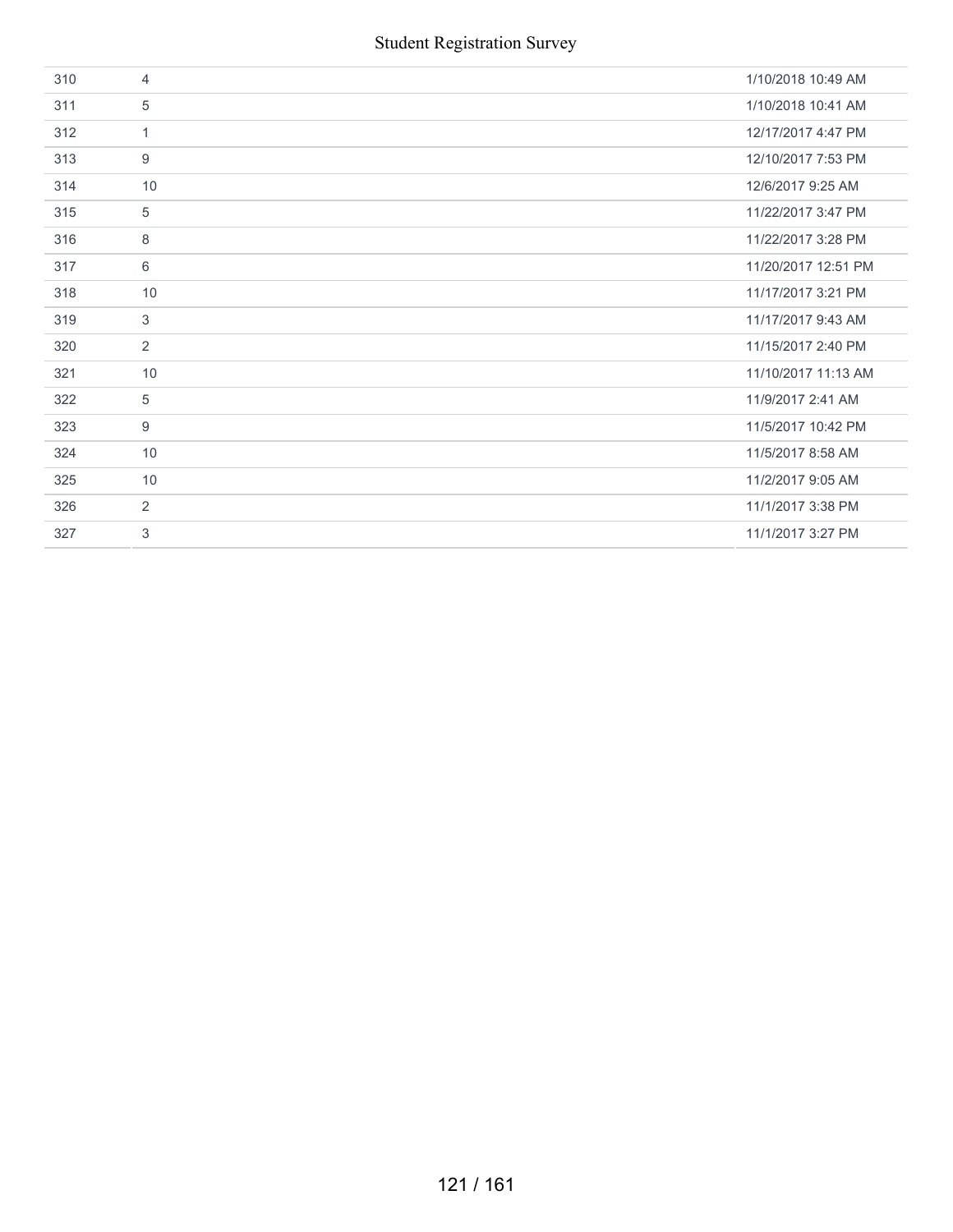| 310 | $\overline{4}$ | 1/10/2018 10:49 AM  |
|-----|----------------|---------------------|
| 311 | 5              | 1/10/2018 10:41 AM  |
| 312 | $\mathbf{1}$   | 12/17/2017 4:47 PM  |
| 313 | 9              | 12/10/2017 7:53 PM  |
| 314 | 10             | 12/6/2017 9:25 AM   |
| 315 | 5              | 11/22/2017 3:47 PM  |
| 316 | 8              | 11/22/2017 3:28 PM  |
| 317 | 6              | 11/20/2017 12:51 PM |
| 318 | 10             | 11/17/2017 3:21 PM  |
| 319 | 3              | 11/17/2017 9:43 AM  |
| 320 | 2              | 11/15/2017 2:40 PM  |
| 321 | 10             | 11/10/2017 11:13 AM |
| 322 | 5              | 11/9/2017 2:41 AM   |
| 323 | 9              | 11/5/2017 10:42 PM  |
| 324 | 10             | 11/5/2017 8:58 AM   |
| 325 | 10             | 11/2/2017 9:05 AM   |
| 326 | 2              | 11/1/2017 3:38 PM   |
| 327 | 3              | 11/1/2017 3:27 PM   |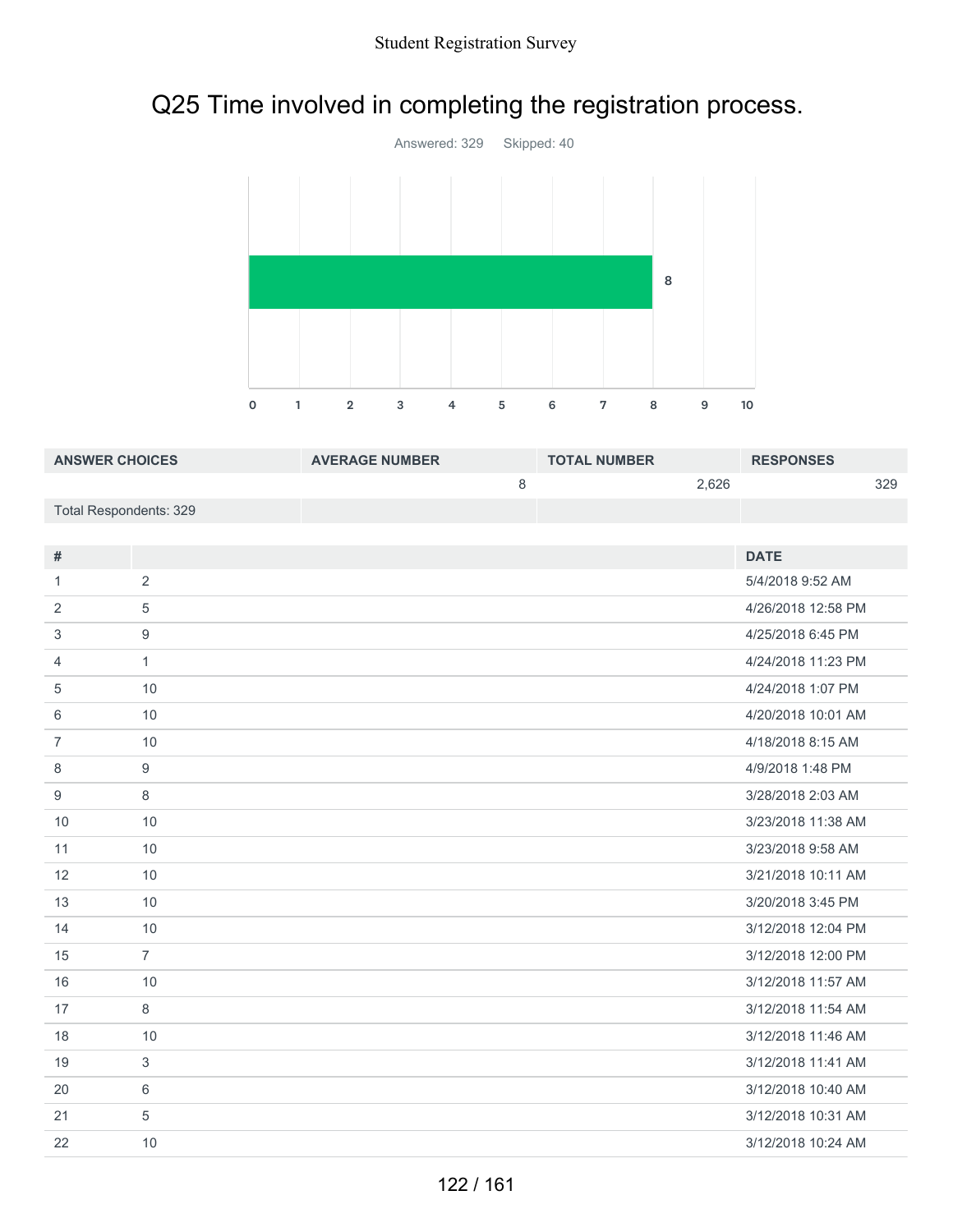# Q25 Time involved in completing the registration process.



| <b>ANSWER CHOICES</b>  | <b>AVERAGE NUMBER</b> | <b>TOTAL NUMBER</b> | <b>RESPONSES</b> |     |
|------------------------|-----------------------|---------------------|------------------|-----|
|                        |                       |                     | 2.626            | 329 |
| Total Respondents: 329 |                       |                     |                  |     |

| #  |                | <b>DATE</b>        |
|----|----------------|--------------------|
| 1  | 2              | 5/4/2018 9:52 AM   |
| 2  | 5              | 4/26/2018 12:58 PM |
| 3  | 9              | 4/25/2018 6:45 PM  |
| 4  | $\mathbf{1}$   | 4/24/2018 11:23 PM |
| 5  | 10             | 4/24/2018 1:07 PM  |
| 6  | 10             | 4/20/2018 10:01 AM |
| 7  | 10             | 4/18/2018 8:15 AM  |
| 8  | $9\,$          | 4/9/2018 1:48 PM   |
| 9  | 8              | 3/28/2018 2:03 AM  |
| 10 | 10             | 3/23/2018 11:38 AM |
| 11 | 10             | 3/23/2018 9:58 AM  |
| 12 | 10             | 3/21/2018 10:11 AM |
| 13 | 10             | 3/20/2018 3:45 PM  |
| 14 | 10             | 3/12/2018 12:04 PM |
| 15 | $\overline{7}$ | 3/12/2018 12:00 PM |
| 16 | 10             | 3/12/2018 11:57 AM |
| 17 | 8              | 3/12/2018 11:54 AM |
| 18 | 10             | 3/12/2018 11:46 AM |
| 19 | 3              | 3/12/2018 11:41 AM |
| 20 | 6              | 3/12/2018 10:40 AM |
| 21 | $\overline{5}$ | 3/12/2018 10:31 AM |
| 22 | 10             | 3/12/2018 10:24 AM |
|    |                |                    |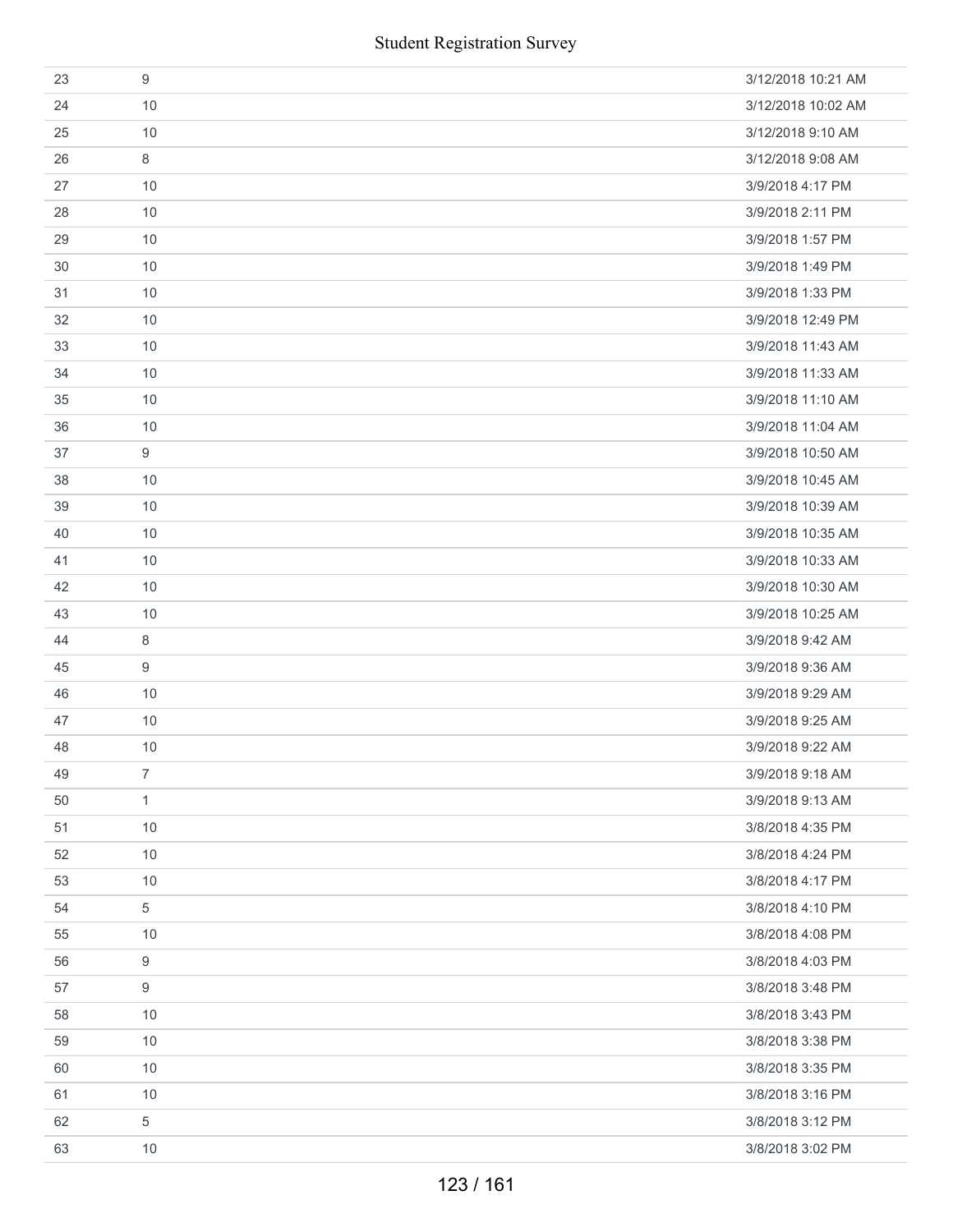| 23 | 9                | 3/12/2018 10:21 AM |
|----|------------------|--------------------|
| 24 | 10               | 3/12/2018 10:02 AM |
| 25 | 10               | 3/12/2018 9:10 AM  |
| 26 | 8                | 3/12/2018 9:08 AM  |
| 27 | 10               | 3/9/2018 4:17 PM   |
| 28 | 10               | 3/9/2018 2:11 PM   |
| 29 | 10               | 3/9/2018 1:57 PM   |
| 30 | 10               | 3/9/2018 1:49 PM   |
| 31 | 10               | 3/9/2018 1:33 PM   |
| 32 | 10               | 3/9/2018 12:49 PM  |
| 33 | 10               | 3/9/2018 11:43 AM  |
| 34 | 10               | 3/9/2018 11:33 AM  |
| 35 | 10               | 3/9/2018 11:10 AM  |
| 36 | 10               | 3/9/2018 11:04 AM  |
| 37 | 9                | 3/9/2018 10:50 AM  |
| 38 | 10               | 3/9/2018 10:45 AM  |
| 39 | 10               | 3/9/2018 10:39 AM  |
| 40 | 10               | 3/9/2018 10:35 AM  |
| 41 | 10               | 3/9/2018 10:33 AM  |
| 42 | 10               | 3/9/2018 10:30 AM  |
| 43 | 10               | 3/9/2018 10:25 AM  |
| 44 | 8                | 3/9/2018 9:42 AM   |
| 45 | 9                | 3/9/2018 9:36 AM   |
| 46 | 10               | 3/9/2018 9:29 AM   |
| 47 | 10               | 3/9/2018 9:25 AM   |
| 48 | 10               | 3/9/2018 9:22 AM   |
| 49 | $\overline{7}$   | 3/9/2018 9:18 AM   |
| 50 | 1                | 3/9/2018 9:13 AM   |
| 51 | 10               | 3/8/2018 4:35 PM   |
| 52 | 10               | 3/8/2018 4:24 PM   |
| 53 | 10               | 3/8/2018 4:17 PM   |
| 54 | 5                | 3/8/2018 4:10 PM   |
| 55 | 10               | 3/8/2018 4:08 PM   |
| 56 | 9                | 3/8/2018 4:03 PM   |
| 57 | $\boldsymbol{9}$ | 3/8/2018 3:48 PM   |
| 58 | 10               | 3/8/2018 3:43 PM   |
| 59 | 10               | 3/8/2018 3:38 PM   |
| 60 | 10               | 3/8/2018 3:35 PM   |
| 61 | 10               | 3/8/2018 3:16 PM   |
| 62 | 5                | 3/8/2018 3:12 PM   |
| 63 | 10               | 3/8/2018 3:02 PM   |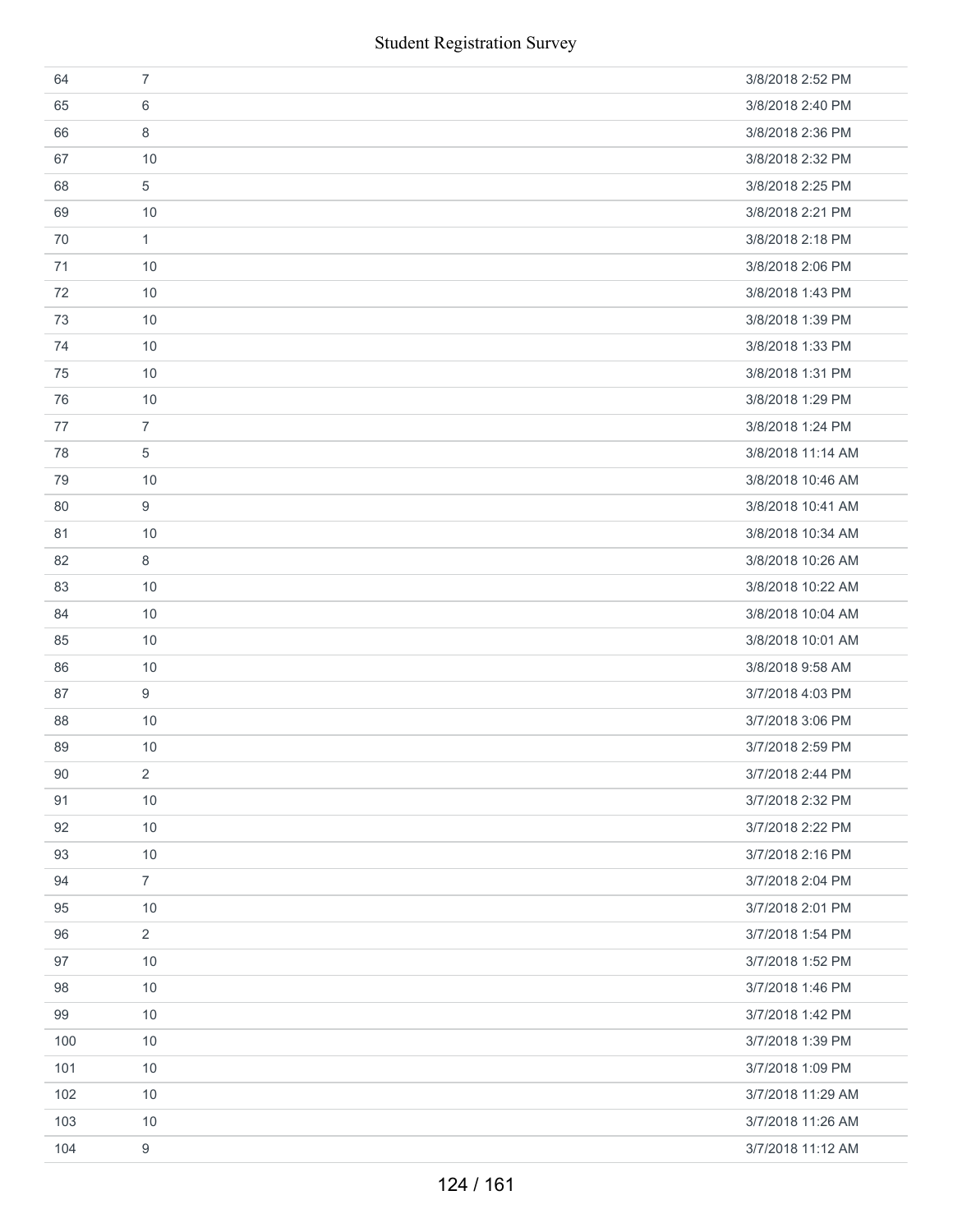|     | <b>Student Registration Survey</b> |                   |
|-----|------------------------------------|-------------------|
| 64  | $\overline{7}$                     | 3/8/2018 2:52 PM  |
| 65  | 6                                  | 3/8/2018 2:40 PM  |
| 66  | 8                                  | 3/8/2018 2:36 PM  |
| 67  | 10                                 | 3/8/2018 2:32 PM  |
| 68  | 5                                  | 3/8/2018 2:25 PM  |
| 69  | 10                                 | 3/8/2018 2:21 PM  |
| 70  | $\mathbf{1}$                       | 3/8/2018 2:18 PM  |
| 71  | 10                                 | 3/8/2018 2:06 PM  |
| 72  | 10                                 | 3/8/2018 1:43 PM  |
| 73  | 10                                 | 3/8/2018 1:39 PM  |
| 74  | 10                                 | 3/8/2018 1:33 PM  |
| 75  | 10                                 | 3/8/2018 1:31 PM  |
| 76  | 10                                 | 3/8/2018 1:29 PM  |
| 77  | $\overline{7}$                     | 3/8/2018 1:24 PM  |
| 78  | 5                                  | 3/8/2018 11:14 AM |
| 79  | 10                                 | 3/8/2018 10:46 AM |
| 80  | 9                                  | 3/8/2018 10:41 AM |
| 81  | 10                                 | 3/8/2018 10:34 AM |
| 82  | 8                                  | 3/8/2018 10:26 AM |
| 83  | 10                                 | 3/8/2018 10:22 AM |
| 84  | 10                                 | 3/8/2018 10:04 AM |
| 85  | 10                                 | 3/8/2018 10:01 AM |
| 86  | 10                                 | 3/8/2018 9:58 AM  |
| 87  | 9                                  | 3/7/2018 4:03 PM  |
| 88  | 10                                 | 3/7/2018 3:06 PM  |
| 89  | 10                                 | 3/7/2018 2:59 PM  |
| 90  | $\overline{2}$                     | 3/7/2018 2:44 PM  |
| 91  | 10                                 | 3/7/2018 2:32 PM  |
| 92  | 10                                 | 3/7/2018 2:22 PM  |
| 93  | 10                                 | 3/7/2018 2:16 PM  |
| 94  | $\overline{7}$                     | 3/7/2018 2:04 PM  |
| 95  | 10                                 | 3/7/2018 2:01 PM  |
| 96  | $\overline{2}$                     | 3/7/2018 1:54 PM  |
| 97  | 10                                 | 3/7/2018 1:52 PM  |
| 98  | 10                                 | 3/7/2018 1:46 PM  |
| 99  | 10                                 | 3/7/2018 1:42 PM  |
| 100 | 10                                 | 3/7/2018 1:39 PM  |
| 101 | 10                                 | 3/7/2018 1:09 PM  |
| 102 | 10                                 | 3/7/2018 11:29 AM |
| 103 | 10                                 | 3/7/2018 11:26 AM |
| 104 | 9                                  | 3/7/2018 11:12 AM |
|     | 124 / 161                          |                   |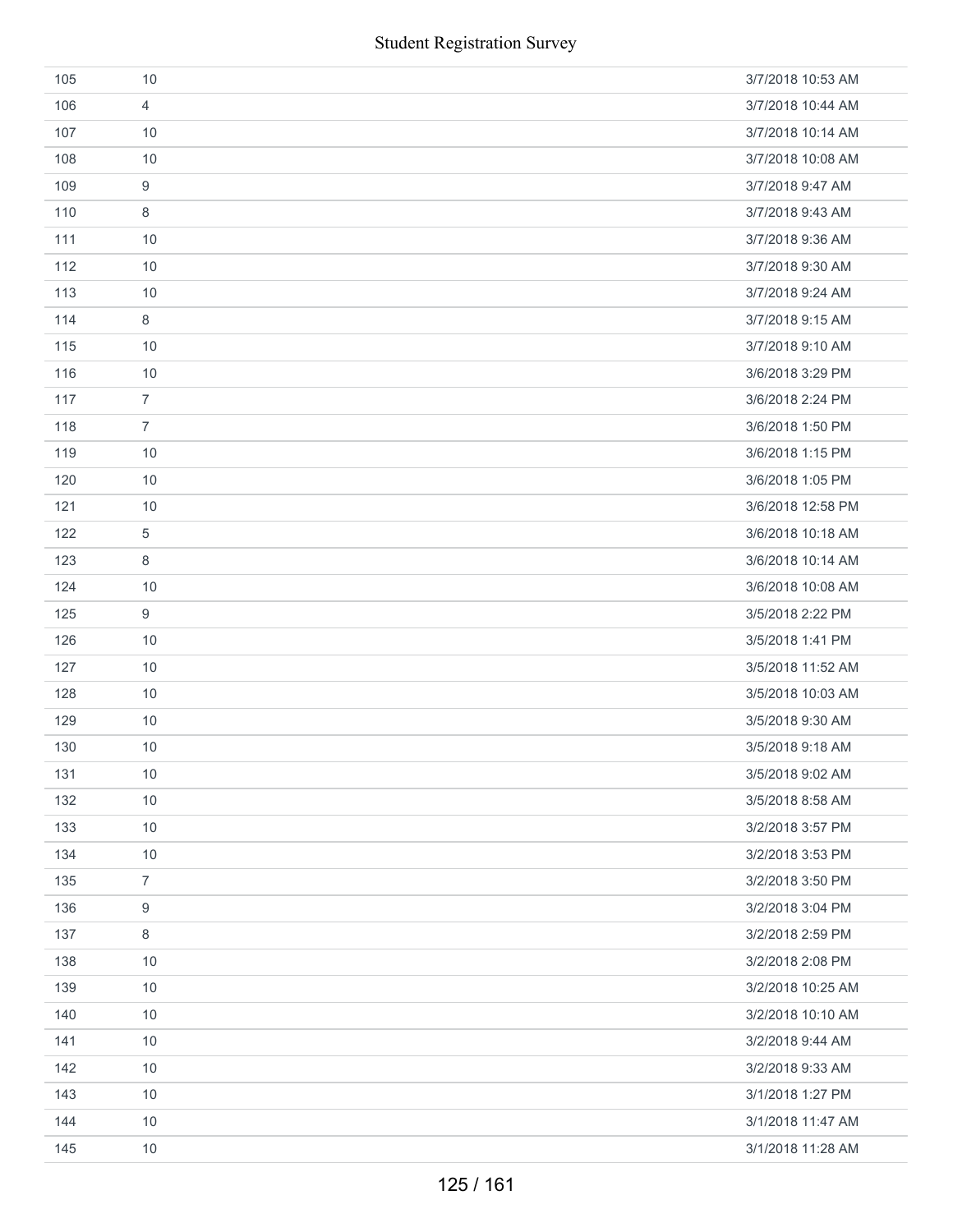|     | <b>Student Registration Survey</b> |                   |  |
|-----|------------------------------------|-------------------|--|
| 105 | 10                                 | 3/7/2018 10:53 AM |  |
| 106 | $\overline{4}$                     | 3/7/2018 10:44 AM |  |
| 107 | 10                                 | 3/7/2018 10:14 AM |  |
| 108 | 10                                 | 3/7/2018 10:08 AM |  |
| 109 | $\boldsymbol{9}$                   | 3/7/2018 9:47 AM  |  |
| 110 | 8                                  | 3/7/2018 9:43 AM  |  |
| 111 | 10                                 | 3/7/2018 9:36 AM  |  |
| 112 | 10                                 | 3/7/2018 9:30 AM  |  |
| 113 | 10                                 | 3/7/2018 9:24 AM  |  |
| 114 | 8                                  | 3/7/2018 9:15 AM  |  |
| 115 | 10                                 | 3/7/2018 9:10 AM  |  |
| 116 | 10                                 | 3/6/2018 3:29 PM  |  |
| 117 | $\overline{7}$                     | 3/6/2018 2:24 PM  |  |
| 118 | $\overline{7}$                     | 3/6/2018 1:50 PM  |  |
| 119 | 10                                 | 3/6/2018 1:15 PM  |  |
| 120 | 10                                 | 3/6/2018 1:05 PM  |  |
| 121 | 10                                 | 3/6/2018 12:58 PM |  |
| 122 | 5                                  | 3/6/2018 10:18 AM |  |
| 123 | 8                                  | 3/6/2018 10:14 AM |  |
| 124 | 10                                 | 3/6/2018 10:08 AM |  |
| 125 | 9                                  | 3/5/2018 2:22 PM  |  |
| 126 | 10                                 | 3/5/2018 1:41 PM  |  |
| 127 | 10                                 | 3/5/2018 11:52 AM |  |
| 128 | 10                                 | 3/5/2018 10:03 AM |  |
| 129 | $10$                               | 3/5/2018 9:30 AM  |  |
| 130 | 10                                 | 3/5/2018 9:18 AM  |  |
| 131 | 10                                 | 3/5/2018 9:02 AM  |  |
| 132 | 10                                 | 3/5/2018 8:58 AM  |  |
| 133 | 10                                 | 3/2/2018 3:57 PM  |  |
| 134 | 10                                 | 3/2/2018 3:53 PM  |  |
| 135 | $\overline{7}$                     | 3/2/2018 3:50 PM  |  |
| 136 | 9                                  | 3/2/2018 3:04 PM  |  |
| 137 | 8                                  | 3/2/2018 2:59 PM  |  |
| 138 | 10                                 | 3/2/2018 2:08 PM  |  |
| 139 | 10                                 | 3/2/2018 10:25 AM |  |
| 140 | 10                                 | 3/2/2018 10:10 AM |  |
| 141 | 10                                 | 3/2/2018 9:44 AM  |  |
| 142 | 10                                 | 3/2/2018 9:33 AM  |  |
| 143 | 10                                 | 3/1/2018 1:27 PM  |  |
| 144 | 10                                 | 3/1/2018 11:47 AM |  |
| 145 | 10                                 | 3/1/2018 11:28 AM |  |
|     | 125 / 161                          |                   |  |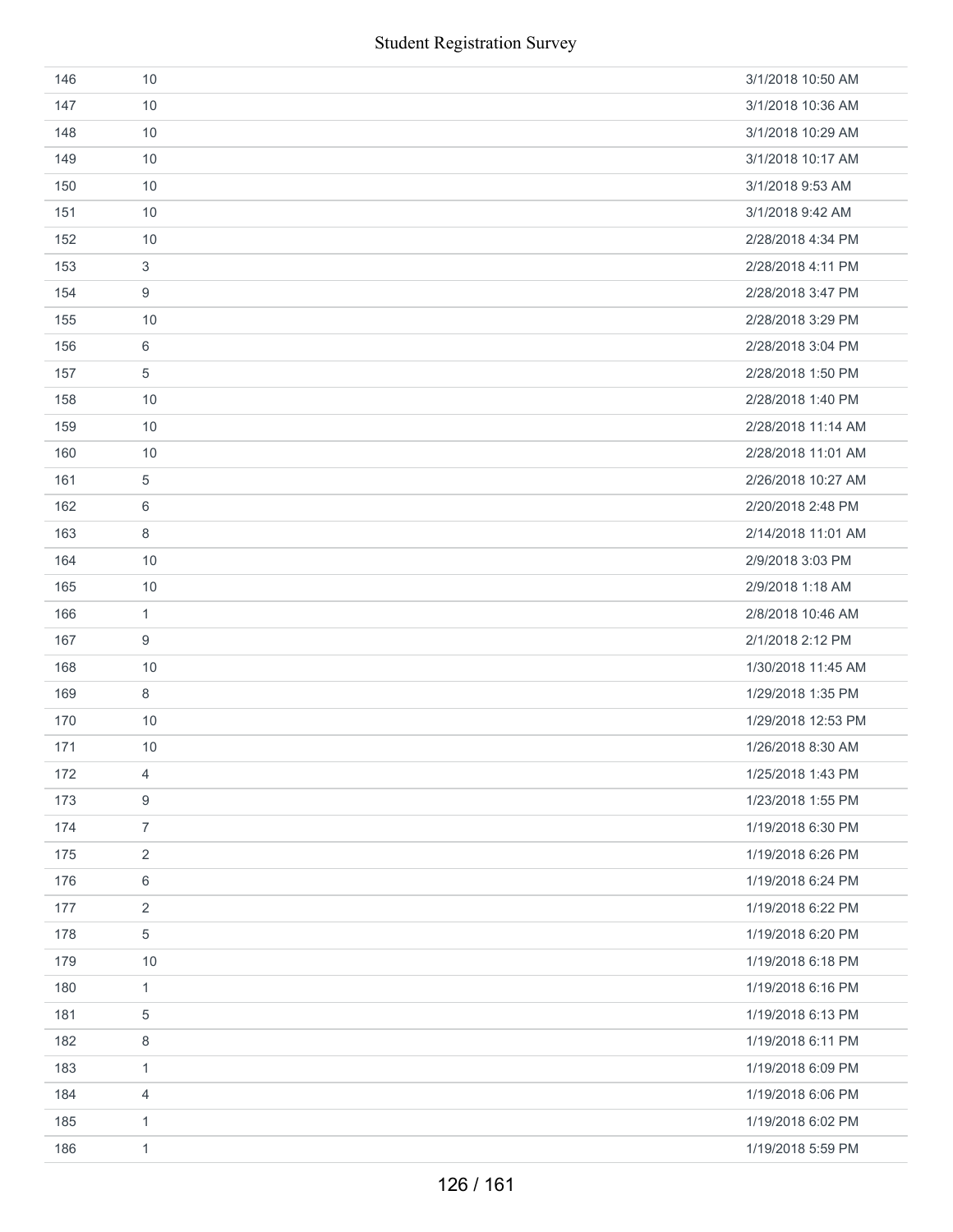| 146 | 10               | 3/1/2018 10:50 AM  |
|-----|------------------|--------------------|
| 147 | 10               | 3/1/2018 10:36 AM  |
| 148 | 10               | 3/1/2018 10:29 AM  |
| 149 | 10               | 3/1/2018 10:17 AM  |
| 150 | 10               | 3/1/2018 9:53 AM   |
| 151 | 10               | 3/1/2018 9:42 AM   |
| 152 | 10               | 2/28/2018 4:34 PM  |
| 153 | $\sqrt{3}$       | 2/28/2018 4:11 PM  |
| 154 | 9                | 2/28/2018 3:47 PM  |
| 155 | 10               | 2/28/2018 3:29 PM  |
| 156 | 6                | 2/28/2018 3:04 PM  |
| 157 | 5                | 2/28/2018 1:50 PM  |
| 158 | 10               | 2/28/2018 1:40 PM  |
| 159 | 10               | 2/28/2018 11:14 AM |
| 160 | 10               | 2/28/2018 11:01 AM |
| 161 | 5                | 2/26/2018 10:27 AM |
| 162 | 6                | 2/20/2018 2:48 PM  |
| 163 | 8                | 2/14/2018 11:01 AM |
| 164 | 10               | 2/9/2018 3:03 PM   |
| 165 | 10               | 2/9/2018 1:18 AM   |
| 166 | $\mathbf{1}$     | 2/8/2018 10:46 AM  |
| 167 | 9                | 2/1/2018 2:12 PM   |
| 168 | 10               | 1/30/2018 11:45 AM |
| 169 | 8                | 1/29/2018 1:35 PM  |
| 170 | 10               | 1/29/2018 12:53 PM |
| 171 | 10               | 1/26/2018 8:30 AM  |
| 172 | 4                | 1/25/2018 1:43 PM  |
| 173 | $\boldsymbol{9}$ | 1/23/2018 1:55 PM  |
| 174 | $\overline{7}$   | 1/19/2018 6:30 PM  |
| 175 | $\sqrt{2}$       | 1/19/2018 6:26 PM  |
| 176 | 6                | 1/19/2018 6:24 PM  |
| 177 | $\sqrt{2}$       | 1/19/2018 6:22 PM  |
| 178 | 5                | 1/19/2018 6:20 PM  |
| 179 | 10               | 1/19/2018 6:18 PM  |
| 180 | $\mathbf{1}$     | 1/19/2018 6:16 PM  |
| 181 | $\,$ 5 $\,$      | 1/19/2018 6:13 PM  |
| 182 | 8                | 1/19/2018 6:11 PM  |
| 183 | $\mathbf{1}$     | 1/19/2018 6:09 PM  |
| 184 | $\overline{4}$   | 1/19/2018 6:06 PM  |
| 185 | $\mathbf{1}$     | 1/19/2018 6:02 PM  |
| 186 | $\mathbf{1}$     | 1/19/2018 5:59 PM  |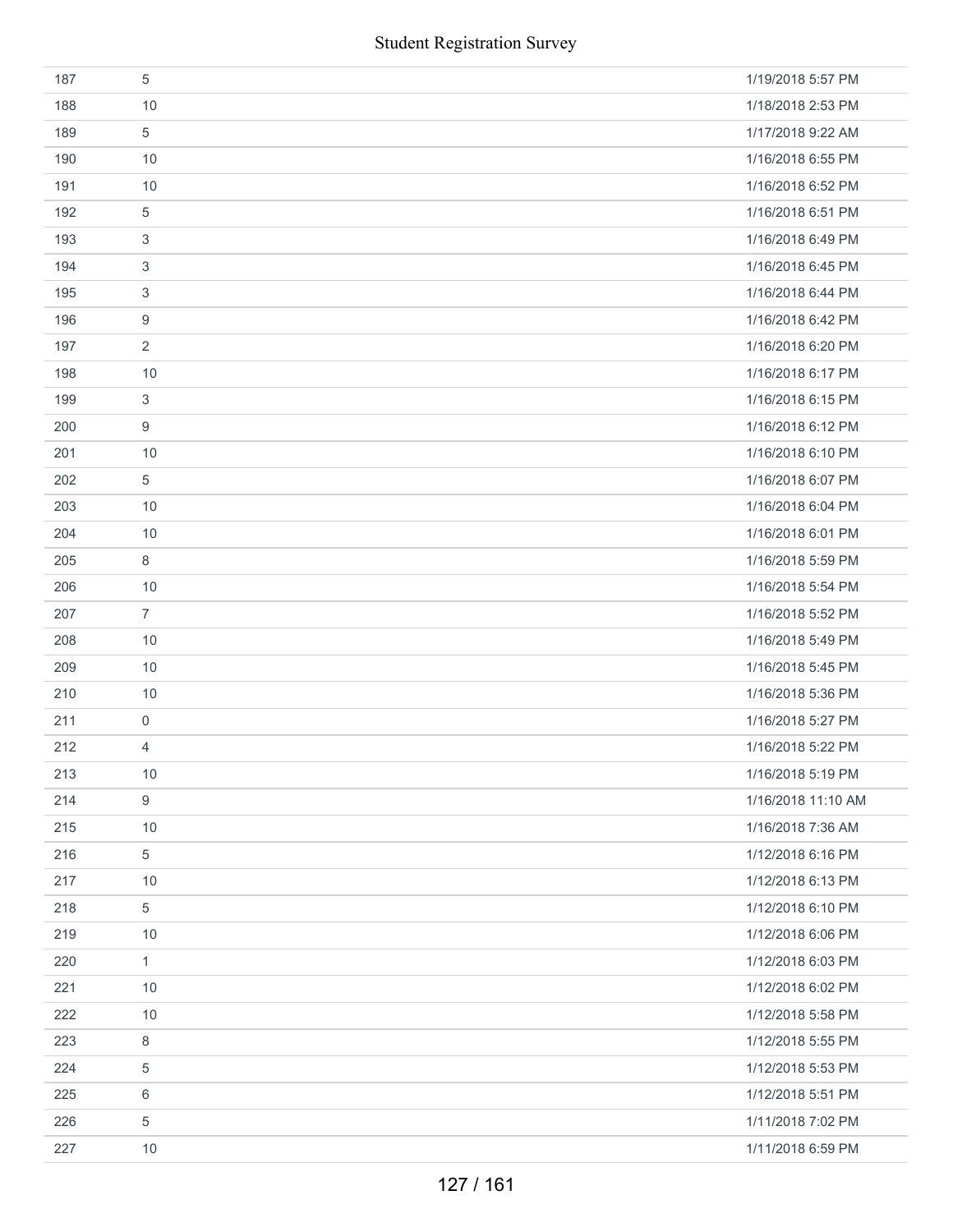|     | <b>Student Registration Survey</b> |                    |
|-----|------------------------------------|--------------------|
| 187 | $\sqrt{5}$                         | 1/19/2018 5:57 PM  |
| 188 | 10                                 | 1/18/2018 2:53 PM  |
| 189 | 5                                  | 1/17/2018 9:22 AM  |
| 190 | 10                                 | 1/16/2018 6:55 PM  |
| 191 | 10                                 | 1/16/2018 6:52 PM  |
| 192 | 5                                  | 1/16/2018 6:51 PM  |
| 193 | 3                                  | 1/16/2018 6:49 PM  |
| 194 | 3                                  | 1/16/2018 6:45 PM  |
| 195 | 3                                  | 1/16/2018 6:44 PM  |
| 196 | 9                                  | 1/16/2018 6:42 PM  |
| 197 | $\overline{2}$                     | 1/16/2018 6:20 PM  |
| 198 | 10                                 | 1/16/2018 6:17 PM  |
| 199 | 3                                  | 1/16/2018 6:15 PM  |
| 200 | $\boldsymbol{9}$                   | 1/16/2018 6:12 PM  |
| 201 | 10                                 | 1/16/2018 6:10 PM  |
| 202 | 5                                  | 1/16/2018 6:07 PM  |
| 203 | 10                                 | 1/16/2018 6:04 PM  |
| 204 | 10                                 | 1/16/2018 6:01 PM  |
| 205 | $\,8\,$                            | 1/16/2018 5:59 PM  |
| 206 | 10                                 | 1/16/2018 5:54 PM  |
| 207 | $\overline{7}$                     | 1/16/2018 5:52 PM  |
| 208 | 10                                 | 1/16/2018 5:49 PM  |
| 209 | 10                                 | 1/16/2018 5:45 PM  |
| 210 | 10                                 | 1/16/2018 5:36 PM  |
| 211 | $\mathsf{O}\xspace$                | 1/16/2018 5:27 PM  |
| 212 | $\overline{4}$                     | 1/16/2018 5:22 PM  |
| 213 | 10                                 | 1/16/2018 5:19 PM  |
| 214 | $\boldsymbol{9}$                   | 1/16/2018 11:10 AM |
| 215 | 10                                 | 1/16/2018 7:36 AM  |
| 216 | 5                                  | 1/12/2018 6:16 PM  |
| 217 | 10                                 | 1/12/2018 6:13 PM  |
| 218 | $\,$ 5 $\,$                        | 1/12/2018 6:10 PM  |
| 219 | 10                                 | 1/12/2018 6:06 PM  |
| 220 | $\mathbf{1}$                       | 1/12/2018 6:03 PM  |
| 221 | 10                                 | 1/12/2018 6:02 PM  |
| 222 | 10                                 | 1/12/2018 5:58 PM  |
| 223 | 8                                  | 1/12/2018 5:55 PM  |
| 224 | $\sqrt{5}$                         | 1/12/2018 5:53 PM  |
| 225 | 6                                  | 1/12/2018 5:51 PM  |
| 226 | $\,$ 5 $\,$                        | 1/11/2018 7:02 PM  |
| 227 | 10                                 | 1/11/2018 6:59 PM  |
|     | 127 / 161                          |                    |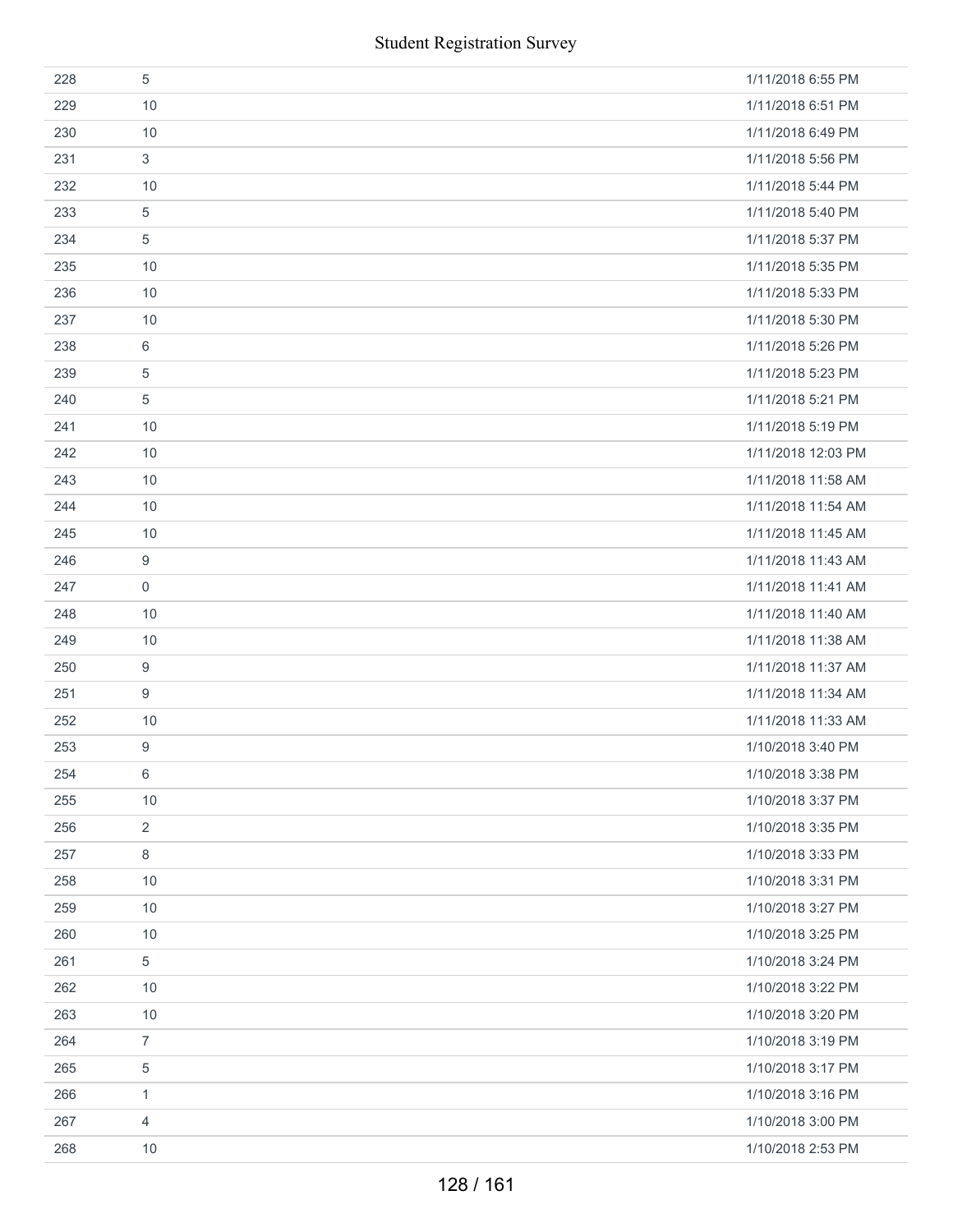| <b>Student Registration Survey</b> |                  |                    |
|------------------------------------|------------------|--------------------|
| 228                                | $\sqrt{5}$       | 1/11/2018 6:55 PM  |
| 229                                | 10               | 1/11/2018 6:51 PM  |
| 230                                | 10               | 1/11/2018 6:49 PM  |
| 231                                | 3                | 1/11/2018 5:56 PM  |
| 232                                | 10               | 1/11/2018 5:44 PM  |
| 233                                | $\sqrt{5}$       | 1/11/2018 5:40 PM  |
| 234                                | 5                | 1/11/2018 5:37 PM  |
| 235                                | 10               | 1/11/2018 5:35 PM  |
| 236                                | 10               | 1/11/2018 5:33 PM  |
| 237                                | 10               | 1/11/2018 5:30 PM  |
| 238                                | 6                | 1/11/2018 5:26 PM  |
| 239                                | $\overline{5}$   | 1/11/2018 5:23 PM  |
| 240                                | 5                | 1/11/2018 5:21 PM  |
| 241                                | 10               | 1/11/2018 5:19 PM  |
| 242                                | 10               | 1/11/2018 12:03 PM |
| 243                                | 10               | 1/11/2018 11:58 AM |
| 244                                | 10               | 1/11/2018 11:54 AM |
| 245                                | 10               | 1/11/2018 11:45 AM |
| 246                                | 9                | 1/11/2018 11:43 AM |
| 247                                | $\boldsymbol{0}$ | 1/11/2018 11:41 AM |
| 248                                | 10               | 1/11/2018 11:40 AM |
| 249                                | 10               | 1/11/2018 11:38 AM |
| 250                                | 9                | 1/11/2018 11:37 AM |
| 251                                | 9                | 1/11/2018 11:34 AM |
| 252                                | 10               | 1/11/2018 11:33 AM |
| 253                                | 9                | 1/10/2018 3:40 PM  |
| 254                                | $\,6\,$          | 1/10/2018 3:38 PM  |
| 255                                | 10               | 1/10/2018 3:37 PM  |
| 256                                | $\overline{2}$   | 1/10/2018 3:35 PM  |
| 257                                | 8                | 1/10/2018 3:33 PM  |
| 258                                | 10               | 1/10/2018 3:31 PM  |
| 259                                | 10               | 1/10/2018 3:27 PM  |
| 260                                | 10               | 1/10/2018 3:25 PM  |
| 261                                | 5                | 1/10/2018 3:24 PM  |
| 262                                | 10               | 1/10/2018 3:22 PM  |
| 263                                | 10               | 1/10/2018 3:20 PM  |
| 264                                | $\boldsymbol{7}$ | 1/10/2018 3:19 PM  |
| 265                                | 5                | 1/10/2018 3:17 PM  |
| 266                                | $\mathbf{1}$     | 1/10/2018 3:16 PM  |
| 267                                | 4                | 1/10/2018 3:00 PM  |
| 268                                | 10               | 1/10/2018 2:53 PM  |
|                                    | 128 / 161        |                    |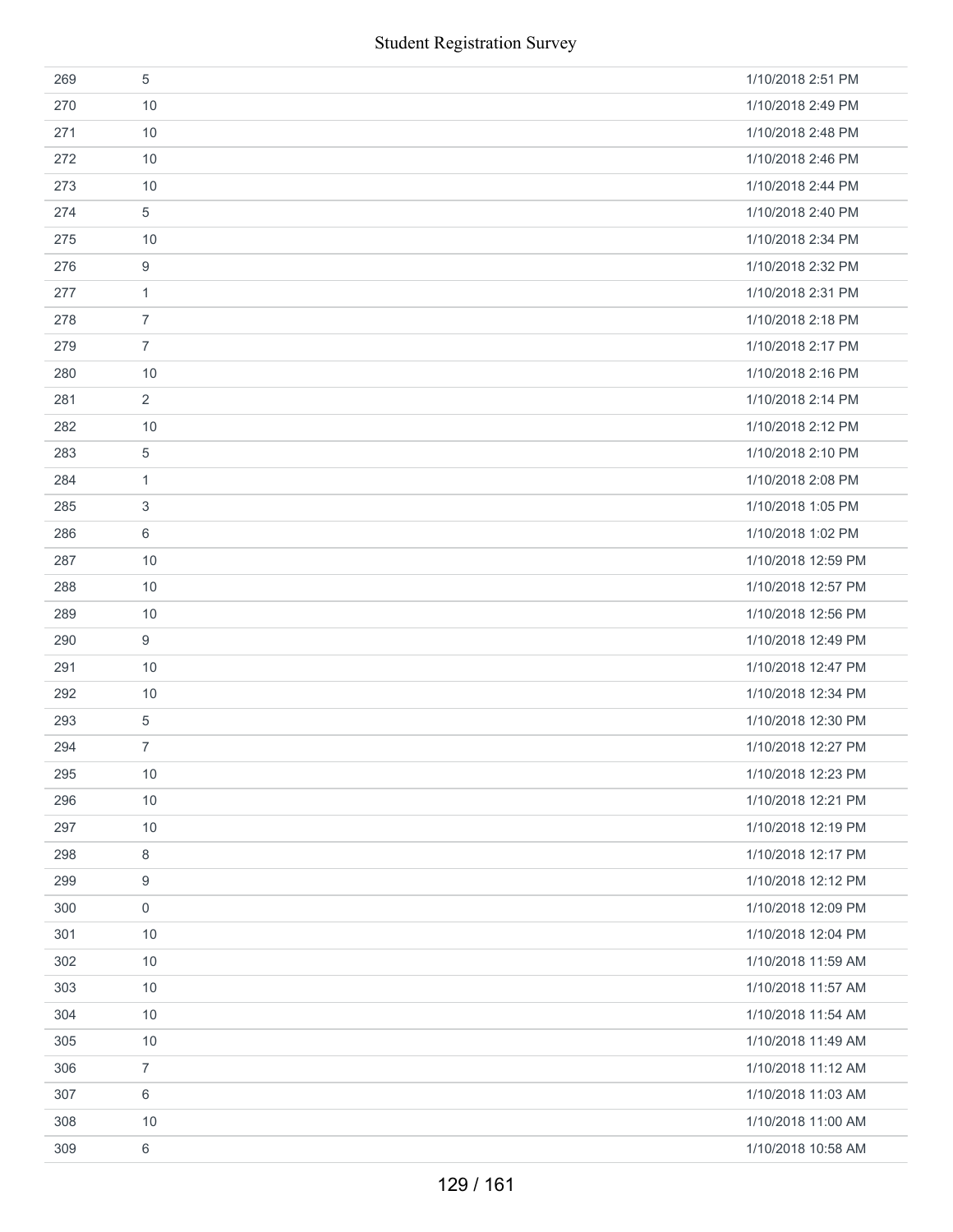|     | <b>Student Registration Survey</b> |                    |
|-----|------------------------------------|--------------------|
| 269 | 5                                  | 1/10/2018 2:51 PM  |
| 270 | 10                                 | 1/10/2018 2:49 PM  |
| 271 | 10                                 | 1/10/2018 2:48 PM  |
| 272 | 10                                 | 1/10/2018 2:46 PM  |
| 273 | 10                                 | 1/10/2018 2:44 PM  |
| 274 | 5                                  | 1/10/2018 2:40 PM  |
| 275 | 10                                 | 1/10/2018 2:34 PM  |
| 276 | $\boldsymbol{9}$                   | 1/10/2018 2:32 PM  |
| 277 | 1                                  | 1/10/2018 2:31 PM  |
| 278 | $\overline{7}$                     | 1/10/2018 2:18 PM  |
| 279 | $\overline{7}$                     | 1/10/2018 2:17 PM  |
| 280 | 10                                 | 1/10/2018 2:16 PM  |
| 281 | $\overline{2}$                     | 1/10/2018 2:14 PM  |
| 282 | 10                                 | 1/10/2018 2:12 PM  |
| 283 | 5                                  | 1/10/2018 2:10 PM  |
| 284 | 1                                  | 1/10/2018 2:08 PM  |
| 285 | 3                                  | 1/10/2018 1:05 PM  |
| 286 | 6                                  | 1/10/2018 1:02 PM  |
| 287 | 10                                 | 1/10/2018 12:59 PM |
| 288 | 10                                 | 1/10/2018 12:57 PM |
| 289 | 10                                 | 1/10/2018 12:56 PM |
| 290 | 9                                  | 1/10/2018 12:49 PM |
| 291 | 10                                 | 1/10/2018 12:47 PM |
| 292 | 10                                 | 1/10/2018 12:34 PM |
| 293 | 5                                  | 1/10/2018 12:30 PM |
| 294 | 7                                  | 1/10/2018 12:27 PM |
| 295 | $10$                               | 1/10/2018 12:23 PM |
| 296 | 10                                 | 1/10/2018 12:21 PM |
| 297 | 10                                 | 1/10/2018 12:19 PM |
| 298 | 8                                  | 1/10/2018 12:17 PM |
| 299 | 9                                  | 1/10/2018 12:12 PM |
| 300 | $\mathsf 0$                        | 1/10/2018 12:09 PM |
| 301 | 10                                 | 1/10/2018 12:04 PM |
| 302 | 10                                 | 1/10/2018 11:59 AM |
| 303 | 10                                 | 1/10/2018 11:57 AM |
| 304 | 10                                 | 1/10/2018 11:54 AM |
| 305 | 10                                 | 1/10/2018 11:49 AM |
| 306 | $\overline{7}$                     | 1/10/2018 11:12 AM |
| 307 | 6                                  | 1/10/2018 11:03 AM |
| 308 | 10                                 | 1/10/2018 11:00 AM |
| 309 | 6                                  | 1/10/2018 10:58 AM |
|     | 129 / 161                          |                    |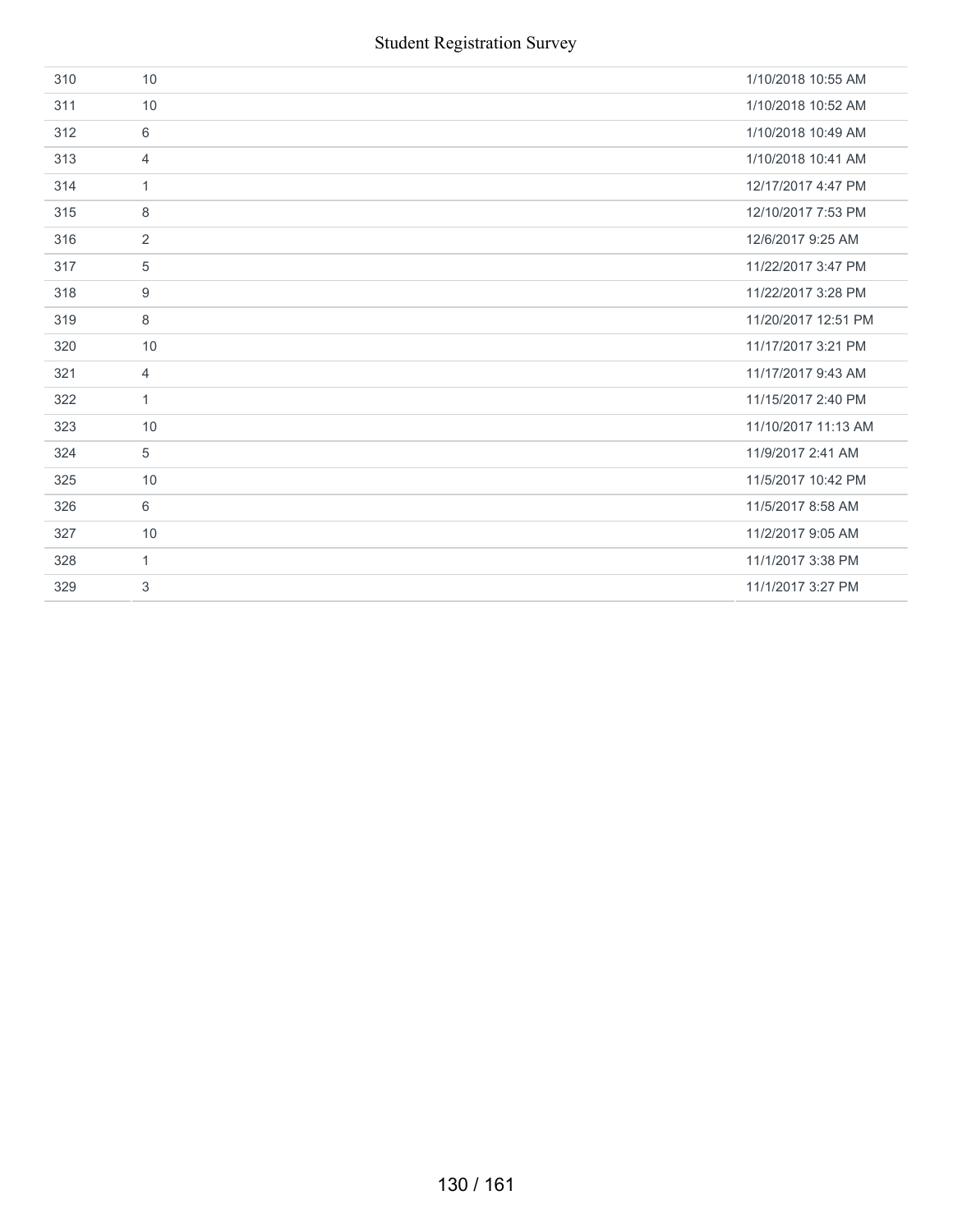| 310 | 10             | 1/10/2018 10:55 AM  |
|-----|----------------|---------------------|
| 311 | 10             | 1/10/2018 10:52 AM  |
| 312 | 6              | 1/10/2018 10:49 AM  |
| 313 | $\overline{4}$ | 1/10/2018 10:41 AM  |
| 314 | $\mathbf{1}$   | 12/17/2017 4:47 PM  |
| 315 | 8              | 12/10/2017 7:53 PM  |
| 316 | $\overline{2}$ | 12/6/2017 9:25 AM   |
| 317 | 5              | 11/22/2017 3:47 PM  |
| 318 | 9              | 11/22/2017 3:28 PM  |
| 319 | 8              | 11/20/2017 12:51 PM |
| 320 | 10             | 11/17/2017 3:21 PM  |
| 321 | $\overline{4}$ | 11/17/2017 9:43 AM  |
| 322 | $\mathbf{1}$   | 11/15/2017 2:40 PM  |
| 323 | 10             | 11/10/2017 11:13 AM |
| 324 | 5              | 11/9/2017 2:41 AM   |
| 325 | 10             | 11/5/2017 10:42 PM  |
| 326 | 6              | 11/5/2017 8:58 AM   |
| 327 | 10             | 11/2/2017 9:05 AM   |
| 328 | $\mathbf{1}$   | 11/1/2017 3:38 PM   |
| 329 | 3              | 11/1/2017 3:27 PM   |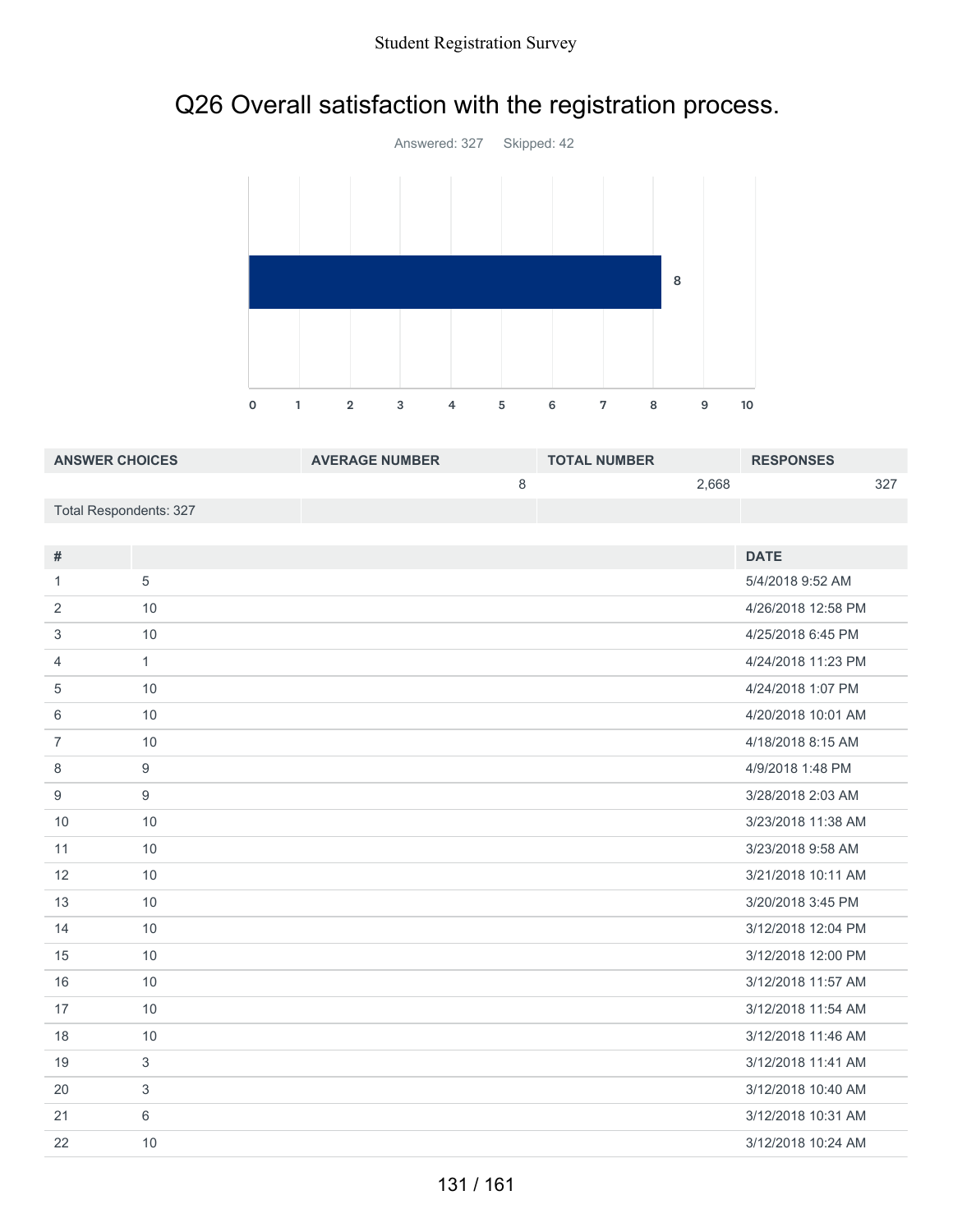### Q26 Overall satisfaction with the registration process.



| <b>ANSWER CHOICES</b>  | <b>AVERAGE NUMBER</b> | <b>TOTAL NUMBER</b> | <b>RESPONSES</b> |
|------------------------|-----------------------|---------------------|------------------|
|                        |                       | 2.668               | 327              |
| Total Respondents: 327 |                       |                     |                  |

| #              |              | <b>DATE</b>        |
|----------------|--------------|--------------------|
| 1              | 5            | 5/4/2018 9:52 AM   |
| 2              | 10           | 4/26/2018 12:58 PM |
| 3              | 10           | 4/25/2018 6:45 PM  |
| 4              | $\mathbf{1}$ | 4/24/2018 11:23 PM |
| 5              | 10           | 4/24/2018 1:07 PM  |
| 6              | 10           | 4/20/2018 10:01 AM |
| $\overline{7}$ | 10           | 4/18/2018 8:15 AM  |
| 8              | 9            | 4/9/2018 1:48 PM   |
| 9              | 9            | 3/28/2018 2:03 AM  |
| 10             | 10           | 3/23/2018 11:38 AM |
| 11             | 10           | 3/23/2018 9:58 AM  |
| 12             | 10           | 3/21/2018 10:11 AM |
| 13             | 10           | 3/20/2018 3:45 PM  |
| 14             | 10           | 3/12/2018 12:04 PM |
| 15             | 10           | 3/12/2018 12:00 PM |
| 16             | 10           | 3/12/2018 11:57 AM |
| 17             | 10           | 3/12/2018 11:54 AM |
| 18             | 10           | 3/12/2018 11:46 AM |
| 19             | 3            | 3/12/2018 11:41 AM |
| 20             | 3            | 3/12/2018 10:40 AM |
| 21             | 6            | 3/12/2018 10:31 AM |
| 22             | 10           | 3/12/2018 10:24 AM |
|                |              |                    |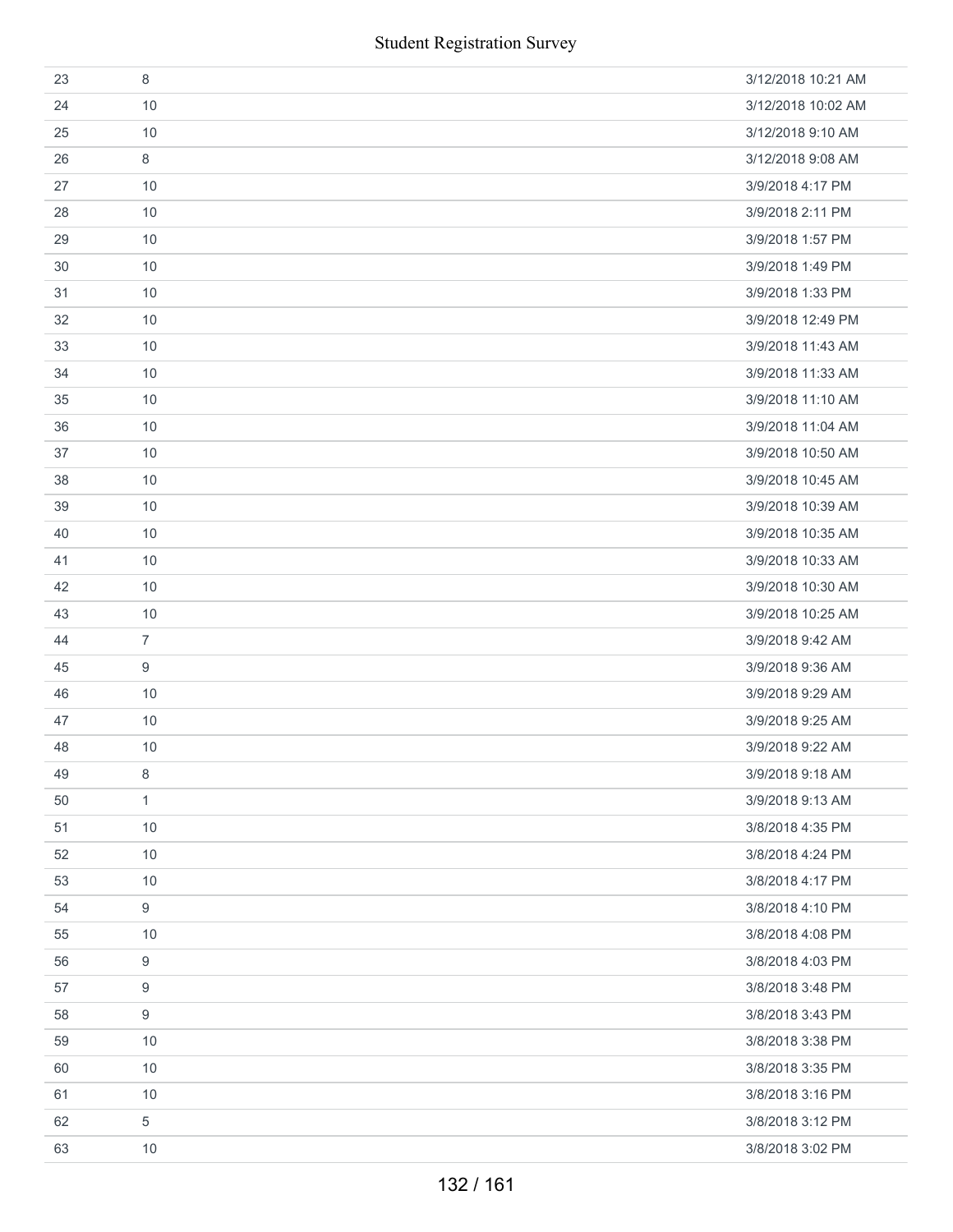| 23 | 8                | 3/12/2018 10:21 AM |
|----|------------------|--------------------|
| 24 | 10               | 3/12/2018 10:02 AM |
| 25 | 10               | 3/12/2018 9:10 AM  |
| 26 | 8                | 3/12/2018 9:08 AM  |
| 27 | 10               | 3/9/2018 4:17 PM   |
| 28 | 10               | 3/9/2018 2:11 PM   |
| 29 | 10               | 3/9/2018 1:57 PM   |
| 30 | 10               | 3/9/2018 1:49 PM   |
| 31 | 10               | 3/9/2018 1:33 PM   |
| 32 | 10               | 3/9/2018 12:49 PM  |
| 33 | 10               | 3/9/2018 11:43 AM  |
| 34 | 10               | 3/9/2018 11:33 AM  |
| 35 | 10               | 3/9/2018 11:10 AM  |
| 36 | 10               | 3/9/2018 11:04 AM  |
| 37 | $10$             | 3/9/2018 10:50 AM  |
| 38 | 10               | 3/9/2018 10:45 AM  |
| 39 | 10               | 3/9/2018 10:39 AM  |
| 40 | 10               | 3/9/2018 10:35 AM  |
| 41 | 10               | 3/9/2018 10:33 AM  |
| 42 | 10               | 3/9/2018 10:30 AM  |
| 43 | 10               | 3/9/2018 10:25 AM  |
| 44 | $\overline{7}$   | 3/9/2018 9:42 AM   |
| 45 | 9                | 3/9/2018 9:36 AM   |
| 46 | 10               | 3/9/2018 9:29 AM   |
| 47 | 10               | 3/9/2018 9:25 AM   |
| 48 | 10               | 3/9/2018 9:22 AM   |
| 49 | 8                | 3/9/2018 9:18 AM   |
| 50 | $\mathbf{1}$     | 3/9/2018 9:13 AM   |
| 51 | 10               | 3/8/2018 4:35 PM   |
| 52 | 10               | 3/8/2018 4:24 PM   |
| 53 | 10               | 3/8/2018 4:17 PM   |
| 54 | $\boldsymbol{9}$ | 3/8/2018 4:10 PM   |
| 55 | 10               | 3/8/2018 4:08 PM   |
| 56 | $\boldsymbol{9}$ | 3/8/2018 4:03 PM   |
| 57 | 9                | 3/8/2018 3:48 PM   |
| 58 | $\boldsymbol{9}$ | 3/8/2018 3:43 PM   |
| 59 | 10               | 3/8/2018 3:38 PM   |
| 60 | 10               | 3/8/2018 3:35 PM   |
| 61 | $10$             | 3/8/2018 3:16 PM   |
| 62 | 5                | 3/8/2018 3:12 PM   |
| 63 | 10               | 3/8/2018 3:02 PM   |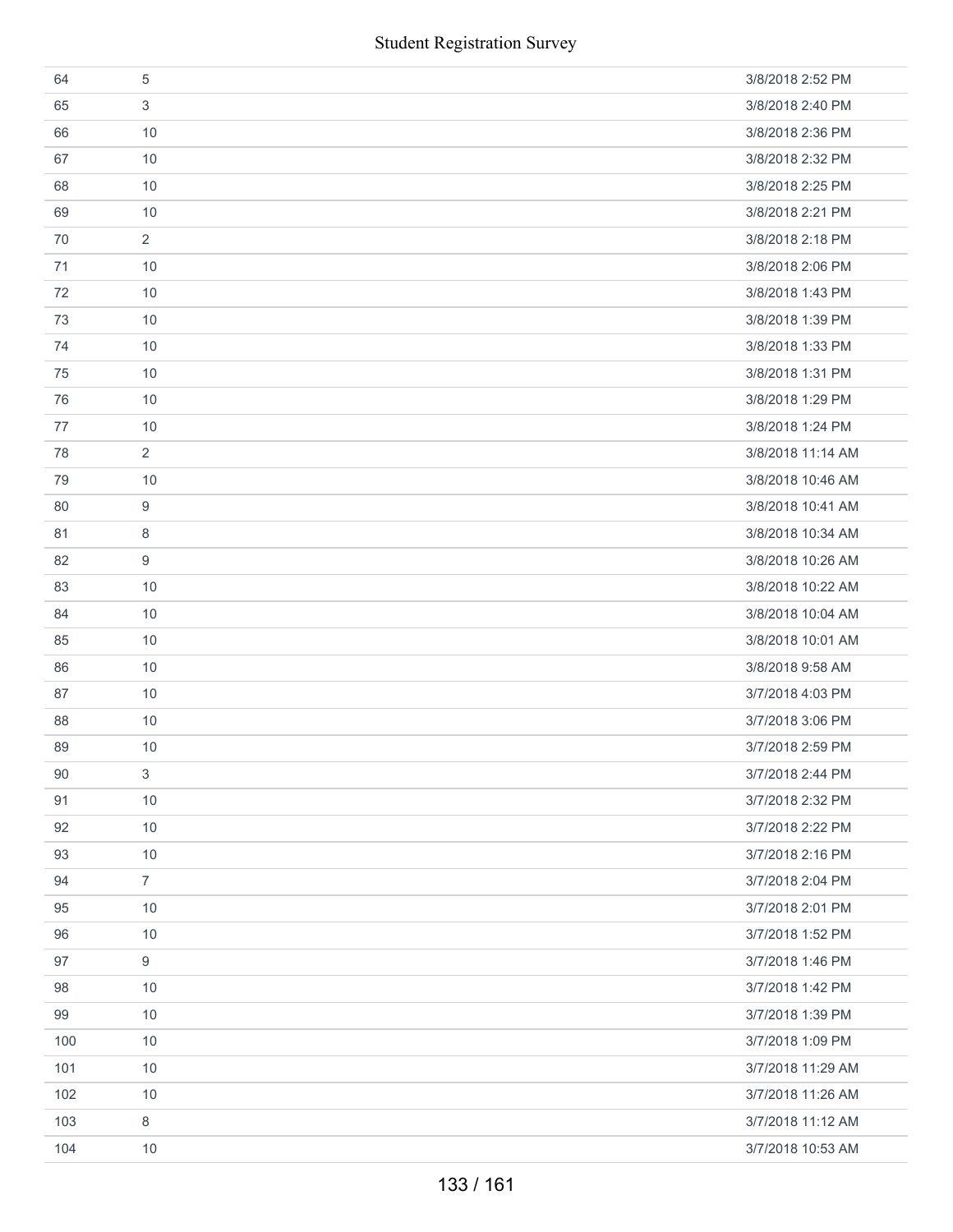|     | <b>Student Registration Survey</b> |                   |  |  |
|-----|------------------------------------|-------------------|--|--|
| 64  | $\sqrt{5}$                         | 3/8/2018 2:52 PM  |  |  |
| 65  | 3                                  | 3/8/2018 2:40 PM  |  |  |
| 66  | 10                                 | 3/8/2018 2:36 PM  |  |  |
| 67  | 10                                 | 3/8/2018 2:32 PM  |  |  |
| 68  | 10                                 | 3/8/2018 2:25 PM  |  |  |
| 69  | 10                                 | 3/8/2018 2:21 PM  |  |  |
| 70  | $\overline{2}$                     | 3/8/2018 2:18 PM  |  |  |
| 71  | 10                                 | 3/8/2018 2:06 PM  |  |  |
| 72  | 10                                 | 3/8/2018 1:43 PM  |  |  |
| 73  | 10                                 | 3/8/2018 1:39 PM  |  |  |
| 74  | 10                                 | 3/8/2018 1:33 PM  |  |  |
| 75  | 10                                 | 3/8/2018 1:31 PM  |  |  |
| 76  | 10                                 | 3/8/2018 1:29 PM  |  |  |
| 77  | 10                                 | 3/8/2018 1:24 PM  |  |  |
| 78  | $\overline{2}$                     | 3/8/2018 11:14 AM |  |  |
| 79  | 10                                 | 3/8/2018 10:46 AM |  |  |
| 80  | 9                                  | 3/8/2018 10:41 AM |  |  |
| 81  | 8                                  | 3/8/2018 10:34 AM |  |  |
| 82  | 9                                  | 3/8/2018 10:26 AM |  |  |
| 83  | 10                                 | 3/8/2018 10:22 AM |  |  |
| 84  | 10                                 | 3/8/2018 10:04 AM |  |  |
| 85  | 10                                 | 3/8/2018 10:01 AM |  |  |
| 86  | 10                                 | 3/8/2018 9:58 AM  |  |  |
| 87  | $10$                               | 3/7/2018 4:03 PM  |  |  |
| 88  | $10$                               | 3/7/2018 3:06 PM  |  |  |
| 89  | 10                                 | 3/7/2018 2:59 PM  |  |  |
| 90  | 3                                  | 3/7/2018 2:44 PM  |  |  |
| 91  | 10                                 | 3/7/2018 2:32 PM  |  |  |
| 92  | 10                                 | 3/7/2018 2:22 PM  |  |  |
| 93  | 10                                 | 3/7/2018 2:16 PM  |  |  |
| 94  | $\overline{7}$                     | 3/7/2018 2:04 PM  |  |  |
| 95  | 10                                 | 3/7/2018 2:01 PM  |  |  |
| 96  | 10                                 | 3/7/2018 1:52 PM  |  |  |
| 97  | 9                                  | 3/7/2018 1:46 PM  |  |  |
| 98  | $10$                               | 3/7/2018 1:42 PM  |  |  |
| 99  | 10                                 | 3/7/2018 1:39 PM  |  |  |
| 100 | 10                                 | 3/7/2018 1:09 PM  |  |  |
| 101 | 10                                 | 3/7/2018 11:29 AM |  |  |
| 102 | 10                                 | 3/7/2018 11:26 AM |  |  |
| 103 | 8                                  | 3/7/2018 11:12 AM |  |  |
| 104 | 10                                 | 3/7/2018 10:53 AM |  |  |
|     | 133 / 161                          |                   |  |  |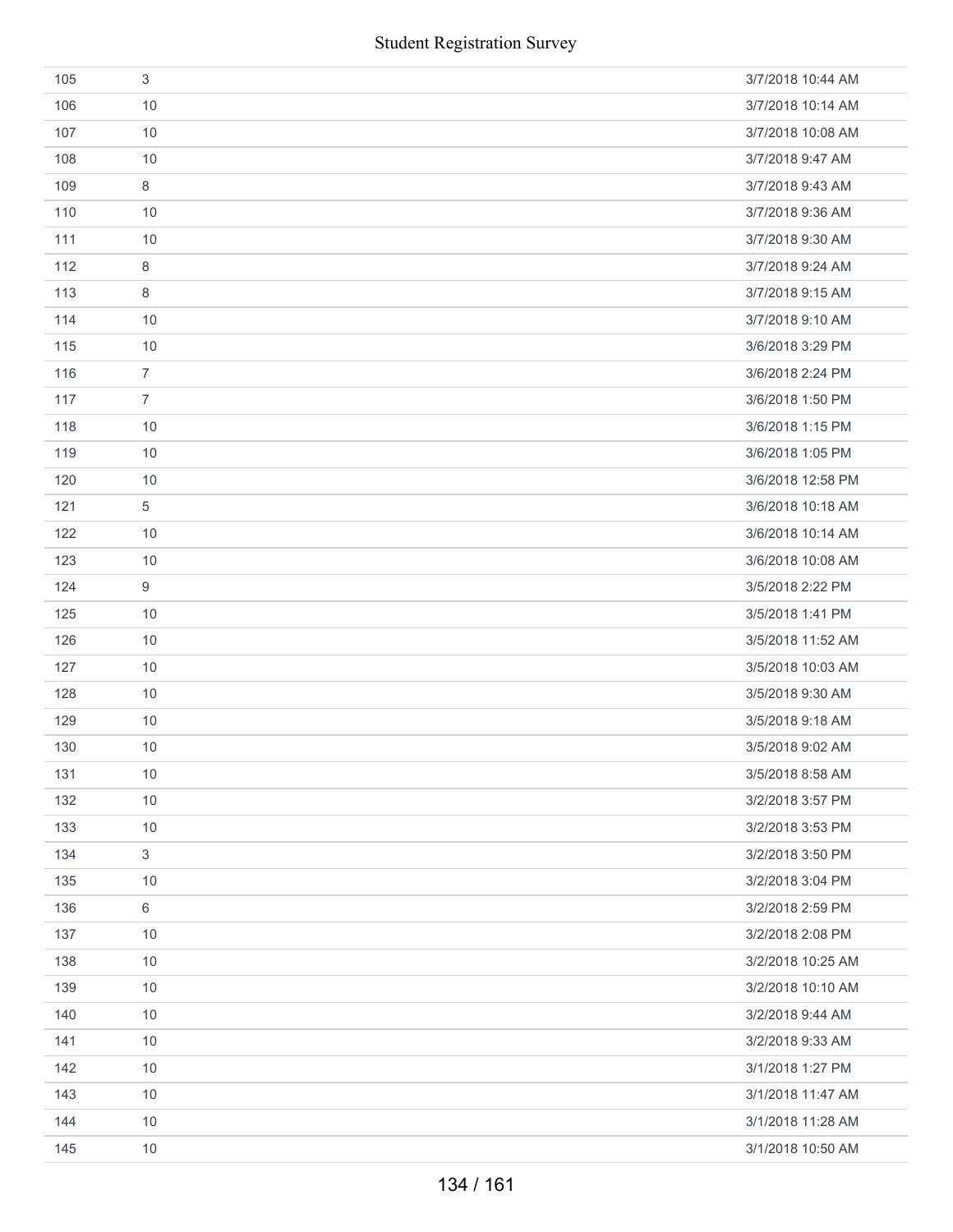|     | <b>Student Registration Survey</b> |                   |
|-----|------------------------------------|-------------------|
| 105 | $\sqrt{3}$                         | 3/7/2018 10:44 AM |
| 106 | 10                                 | 3/7/2018 10:14 AM |
| 107 | 10                                 | 3/7/2018 10:08 AM |
| 108 | 10                                 | 3/7/2018 9:47 AM  |
| 109 | $\,8\,$                            | 3/7/2018 9:43 AM  |
| 110 | 10                                 | 3/7/2018 9:36 AM  |
| 111 | 10                                 | 3/7/2018 9:30 AM  |
| 112 | 8                                  | 3/7/2018 9:24 AM  |
| 113 | 8                                  | 3/7/2018 9:15 AM  |
| 114 | 10                                 | 3/7/2018 9:10 AM  |
| 115 | 10                                 | 3/6/2018 3:29 PM  |
| 116 | $\overline{7}$                     | 3/6/2018 2:24 PM  |
| 117 | $\overline{7}$                     | 3/6/2018 1:50 PM  |
| 118 | 10                                 | 3/6/2018 1:15 PM  |
| 119 | 10                                 | 3/6/2018 1:05 PM  |
| 120 | 10                                 | 3/6/2018 12:58 PM |
| 121 | 5                                  | 3/6/2018 10:18 AM |
| 122 | 10                                 | 3/6/2018 10:14 AM |
| 123 | 10                                 | 3/6/2018 10:08 AM |
| 124 | 9                                  | 3/5/2018 2:22 PM  |
| 125 | 10                                 | 3/5/2018 1:41 PM  |
| 126 | 10                                 | 3/5/2018 11:52 AM |
| 127 | 10                                 | 3/5/2018 10:03 AM |
| 128 | 10                                 | 3/5/2018 9:30 AM  |
| 129 | 10                                 | 3/5/2018 9:18 AM  |
| 130 | 10                                 | 3/5/2018 9:02 AM  |
| 131 | 10                                 | 3/5/2018 8:58 AM  |
| 132 | 10                                 | 3/2/2018 3:57 PM  |
| 133 | 10                                 | 3/2/2018 3:53 PM  |
| 134 | $\mathfrak{S}$                     | 3/2/2018 3:50 PM  |
| 135 | 10                                 | 3/2/2018 3:04 PM  |
| 136 | $\,6\,$                            | 3/2/2018 2:59 PM  |
| 137 | 10                                 | 3/2/2018 2:08 PM  |
| 138 | 10                                 | 3/2/2018 10:25 AM |
| 139 | 10                                 | 3/2/2018 10:10 AM |
| 140 | 10                                 | 3/2/2018 9:44 AM  |
| 141 | 10                                 | 3/2/2018 9:33 AM  |
| 142 | 10                                 | 3/1/2018 1:27 PM  |
| 143 | 10                                 | 3/1/2018 11:47 AM |
| 144 | 10                                 | 3/1/2018 11:28 AM |
| 145 | 10                                 | 3/1/2018 10:50 AM |
|     | 134 / 161                          |                   |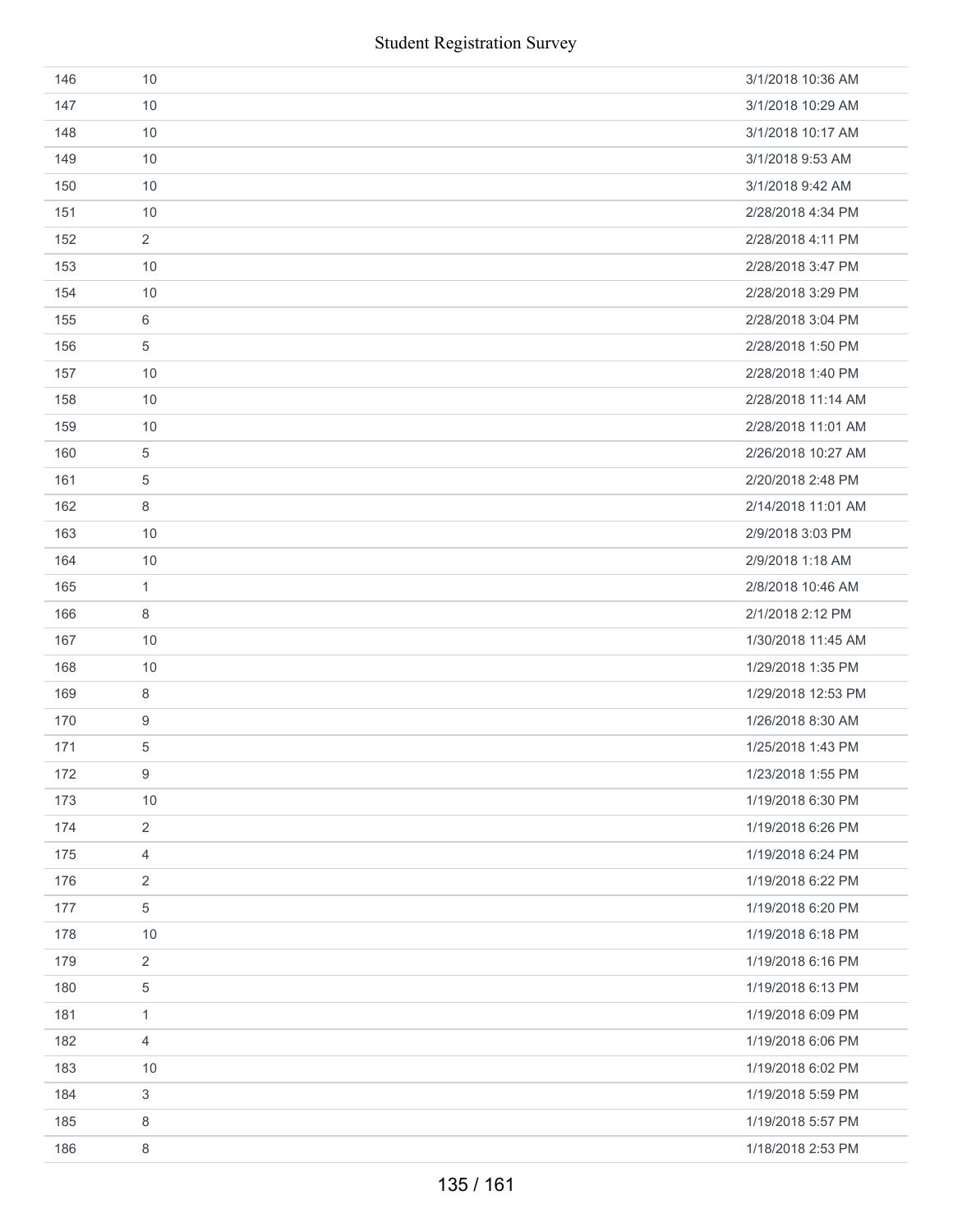| 146 | 10             | 3/1/2018 10:36 AM  |
|-----|----------------|--------------------|
| 147 | 10             | 3/1/2018 10:29 AM  |
| 148 | 10             | 3/1/2018 10:17 AM  |
| 149 | 10             | 3/1/2018 9:53 AM   |
| 150 | 10             | 3/1/2018 9:42 AM   |
| 151 | 10             | 2/28/2018 4:34 PM  |
| 152 | $\overline{2}$ | 2/28/2018 4:11 PM  |
| 153 | 10             | 2/28/2018 3:47 PM  |
| 154 | 10             | 2/28/2018 3:29 PM  |
| 155 | 6              | 2/28/2018 3:04 PM  |
| 156 | 5              | 2/28/2018 1:50 PM  |
| 157 | 10             | 2/28/2018 1:40 PM  |
| 158 | 10             | 2/28/2018 11:14 AM |
| 159 | 10             | 2/28/2018 11:01 AM |
| 160 | 5              | 2/26/2018 10:27 AM |
| 161 | 5              | 2/20/2018 2:48 PM  |
| 162 | 8              | 2/14/2018 11:01 AM |
| 163 | 10             | 2/9/2018 3:03 PM   |
| 164 | 10             | 2/9/2018 1:18 AM   |
| 165 | $\mathbf{1}$   | 2/8/2018 10:46 AM  |
| 166 | 8              | 2/1/2018 2:12 PM   |
| 167 | 10             | 1/30/2018 11:45 AM |
| 168 | 10             | 1/29/2018 1:35 PM  |
| 169 | 8              | 1/29/2018 12:53 PM |
| 170 | 9              | 1/26/2018 8:30 AM  |
| 171 | $\,$ 5 $\,$    | 1/25/2018 1:43 PM  |
| 172 | 9              | 1/23/2018 1:55 PM  |
| 173 | 10             | 1/19/2018 6:30 PM  |
| 174 | $\overline{2}$ | 1/19/2018 6:26 PM  |
| 175 | 4              | 1/19/2018 6:24 PM  |
| 176 | 2              | 1/19/2018 6:22 PM  |
| 177 | 5              | 1/19/2018 6:20 PM  |
| 178 | 10             | 1/19/2018 6:18 PM  |
| 179 | $\overline{2}$ | 1/19/2018 6:16 PM  |
| 180 | 5              | 1/19/2018 6:13 PM  |
| 181 | 1              | 1/19/2018 6:09 PM  |
| 182 | 4              | 1/19/2018 6:06 PM  |
| 183 | 10             | 1/19/2018 6:02 PM  |
| 184 | 3              | 1/19/2018 5:59 PM  |
| 185 | 8              | 1/19/2018 5:57 PM  |
| 186 | 8              | 1/18/2018 2:53 PM  |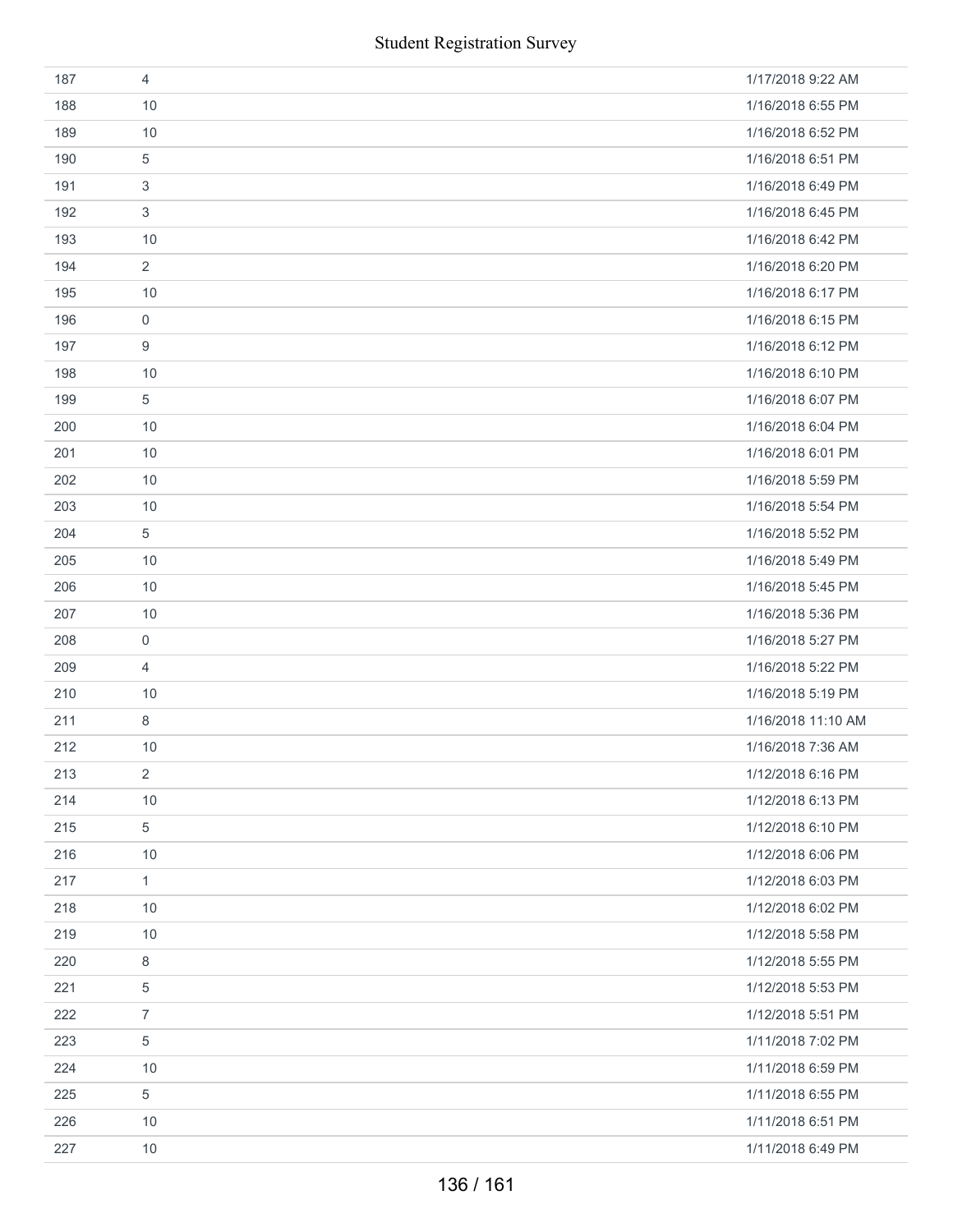|     | <b>Student Registration Survey</b> |                    |  |  |
|-----|------------------------------------|--------------------|--|--|
| 187 | $\overline{4}$                     | 1/17/2018 9:22 AM  |  |  |
| 188 | 10                                 | 1/16/2018 6:55 PM  |  |  |
| 189 | 10                                 | 1/16/2018 6:52 PM  |  |  |
| 190 | 5                                  | 1/16/2018 6:51 PM  |  |  |
| 191 | 3                                  | 1/16/2018 6:49 PM  |  |  |
| 192 | 3                                  | 1/16/2018 6:45 PM  |  |  |
| 193 | 10                                 | 1/16/2018 6:42 PM  |  |  |
| 194 | $\overline{2}$                     | 1/16/2018 6:20 PM  |  |  |
| 195 | 10                                 | 1/16/2018 6:17 PM  |  |  |
| 196 | 0                                  | 1/16/2018 6:15 PM  |  |  |
| 197 | 9                                  | 1/16/2018 6:12 PM  |  |  |
| 198 | 10                                 | 1/16/2018 6:10 PM  |  |  |
| 199 | 5                                  | 1/16/2018 6:07 PM  |  |  |
| 200 | 10                                 | 1/16/2018 6:04 PM  |  |  |
| 201 | 10                                 | 1/16/2018 6:01 PM  |  |  |
| 202 | 10                                 | 1/16/2018 5:59 PM  |  |  |
| 203 | 10                                 | 1/16/2018 5:54 PM  |  |  |
| 204 | 5                                  | 1/16/2018 5:52 PM  |  |  |
| 205 | 10                                 | 1/16/2018 5:49 PM  |  |  |
| 206 | 10                                 | 1/16/2018 5:45 PM  |  |  |
| 207 | 10                                 | 1/16/2018 5:36 PM  |  |  |
| 208 | 0                                  | 1/16/2018 5:27 PM  |  |  |
| 209 | $\overline{4}$                     | 1/16/2018 5:22 PM  |  |  |
| 210 | 10                                 | 1/16/2018 5:19 PM  |  |  |
| 211 | 8                                  | 1/16/2018 11:10 AM |  |  |
| 212 | 10                                 | 1/16/2018 7:36 AM  |  |  |
| 213 | $\overline{2}$                     | 1/12/2018 6:16 PM  |  |  |
| 214 | 10                                 | 1/12/2018 6:13 PM  |  |  |
| 215 | 5                                  | 1/12/2018 6:10 PM  |  |  |
| 216 | 10                                 | 1/12/2018 6:06 PM  |  |  |
| 217 | $\mathbf{1}$                       | 1/12/2018 6:03 PM  |  |  |
| 218 | 10                                 | 1/12/2018 6:02 PM  |  |  |
| 219 | 10                                 | 1/12/2018 5:58 PM  |  |  |
| 220 | 8                                  | 1/12/2018 5:55 PM  |  |  |
| 221 | 5                                  | 1/12/2018 5:53 PM  |  |  |
| 222 | $\overline{7}$                     | 1/12/2018 5:51 PM  |  |  |
| 223 | $\,$ 5 $\,$                        | 1/11/2018 7:02 PM  |  |  |
| 224 | 10                                 | 1/11/2018 6:59 PM  |  |  |
| 225 | 5                                  | 1/11/2018 6:55 PM  |  |  |
| 226 | 10                                 | 1/11/2018 6:51 PM  |  |  |
| 227 | 10                                 | 1/11/2018 6:49 PM  |  |  |
|     | 136 / 161                          |                    |  |  |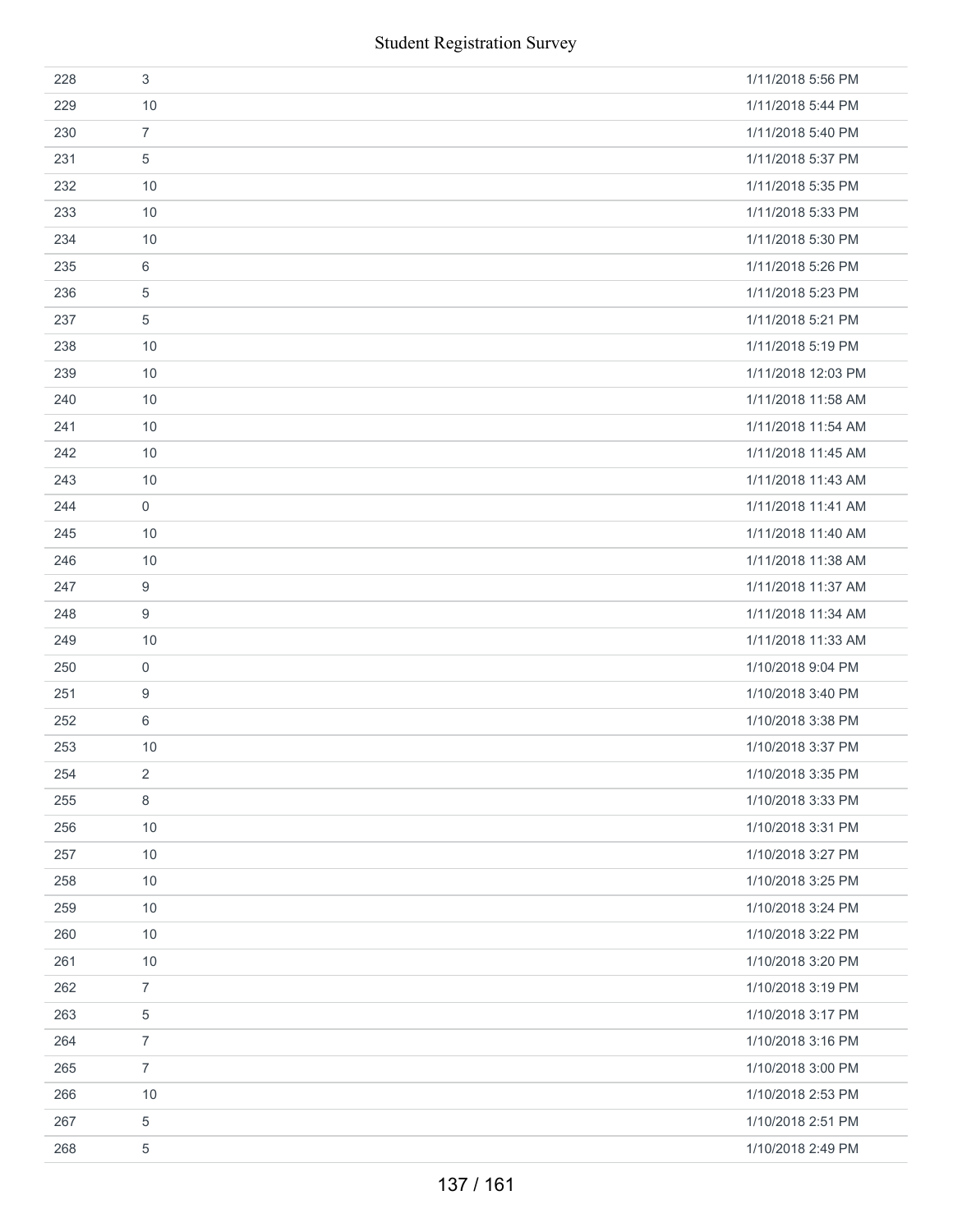|     | <b>Student Registration Survey</b> |                    |  |
|-----|------------------------------------|--------------------|--|
| 228 | $\sqrt{3}$                         | 1/11/2018 5:56 PM  |  |
| 229 | 10                                 | 1/11/2018 5:44 PM  |  |
| 230 | $\overline{7}$                     | 1/11/2018 5:40 PM  |  |
| 231 | 5                                  | 1/11/2018 5:37 PM  |  |
| 232 | 10                                 | 1/11/2018 5:35 PM  |  |
| 233 | 10                                 | 1/11/2018 5:33 PM  |  |
| 234 | 10                                 | 1/11/2018 5:30 PM  |  |
| 235 | 6                                  | 1/11/2018 5:26 PM  |  |
| 236 | 5                                  | 1/11/2018 5:23 PM  |  |
| 237 | $\sqrt{5}$                         | 1/11/2018 5:21 PM  |  |
| 238 | 10                                 | 1/11/2018 5:19 PM  |  |
| 239 | 10                                 | 1/11/2018 12:03 PM |  |
| 240 | 10                                 | 1/11/2018 11:58 AM |  |
| 241 | 10                                 | 1/11/2018 11:54 AM |  |
| 242 | 10                                 | 1/11/2018 11:45 AM |  |
| 243 | 10                                 | 1/11/2018 11:43 AM |  |
| 244 | $\mathsf{O}\xspace$                | 1/11/2018 11:41 AM |  |
| 245 | 10                                 | 1/11/2018 11:40 AM |  |
| 246 | 10                                 | 1/11/2018 11:38 AM |  |
| 247 | 9                                  | 1/11/2018 11:37 AM |  |
| 248 | $\boldsymbol{9}$                   | 1/11/2018 11:34 AM |  |
| 249 | 10                                 | 1/11/2018 11:33 AM |  |
| 250 | $\boldsymbol{0}$                   | 1/10/2018 9:04 PM  |  |
| 251 | 9                                  | 1/10/2018 3:40 PM  |  |
| 252 | 6                                  | 1/10/2018 3:38 PM  |  |
| 253 | 10                                 | 1/10/2018 3:37 PM  |  |
| 254 | $\overline{2}$                     | 1/10/2018 3:35 PM  |  |
| 255 | 8                                  | 1/10/2018 3:33 PM  |  |
| 256 | 10                                 | 1/10/2018 3:31 PM  |  |
| 257 | 10                                 | 1/10/2018 3:27 PM  |  |
| 258 | 10                                 | 1/10/2018 3:25 PM  |  |
| 259 | 10                                 | 1/10/2018 3:24 PM  |  |
| 260 | 10                                 | 1/10/2018 3:22 PM  |  |
| 261 | 10                                 | 1/10/2018 3:20 PM  |  |
| 262 | $\overline{7}$                     | 1/10/2018 3:19 PM  |  |
| 263 | 5                                  | 1/10/2018 3:17 PM  |  |
| 264 | $\boldsymbol{7}$                   | 1/10/2018 3:16 PM  |  |
| 265 | $\overline{7}$                     | 1/10/2018 3:00 PM  |  |
| 266 | 10                                 | 1/10/2018 2:53 PM  |  |
| 267 | 5                                  | 1/10/2018 2:51 PM  |  |
| 268 | 5                                  | 1/10/2018 2:49 PM  |  |
|     | 137 / 161                          |                    |  |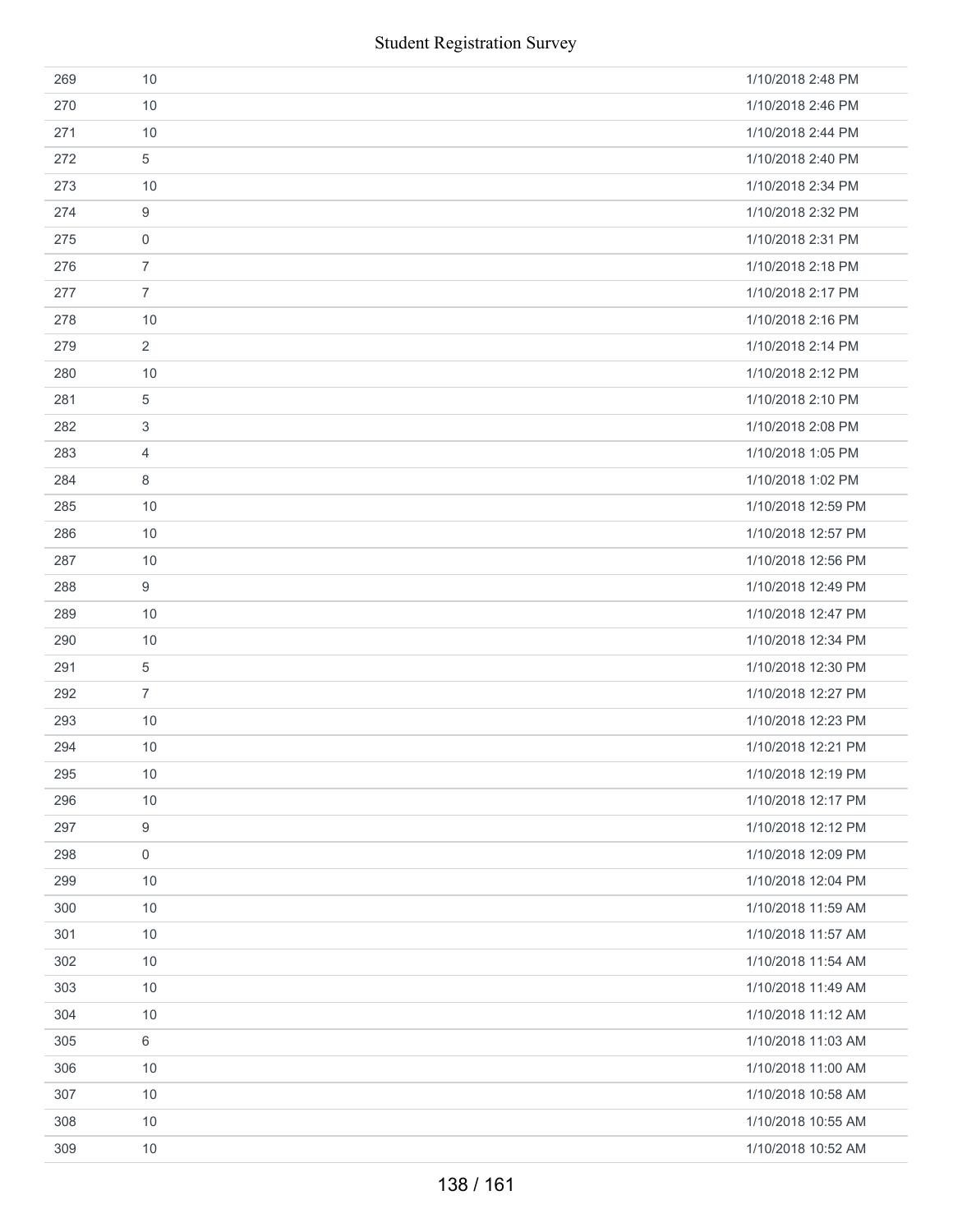|     |                     | <b>Student Registration Survey</b> |
|-----|---------------------|------------------------------------|
| 269 | 10                  | 1/10/2018 2:48 PM                  |
| 270 | 10                  | 1/10/2018 2:46 PM                  |
| 271 | 10                  | 1/10/2018 2:44 PM                  |
| 272 | 5                   | 1/10/2018 2:40 PM                  |
| 273 | 10                  | 1/10/2018 2:34 PM                  |
| 274 | $\boldsymbol{9}$    | 1/10/2018 2:32 PM                  |
| 275 | $\mathsf{O}\xspace$ | 1/10/2018 2:31 PM                  |
| 276 | $\overline{7}$      | 1/10/2018 2:18 PM                  |
| 277 | $\overline{7}$      | 1/10/2018 2:17 PM                  |
| 278 | 10                  | 1/10/2018 2:16 PM                  |
| 279 | $\overline{2}$      | 1/10/2018 2:14 PM                  |
| 280 | 10                  | 1/10/2018 2:12 PM                  |
| 281 | $\sqrt{5}$          | 1/10/2018 2:10 PM                  |
| 282 | $\sqrt{3}$          | 1/10/2018 2:08 PM                  |
| 283 | $\overline{4}$      | 1/10/2018 1:05 PM                  |
| 284 | $\,8\,$             | 1/10/2018 1:02 PM                  |
| 285 | 10                  | 1/10/2018 12:59 PM                 |
| 286 | 10                  | 1/10/2018 12:57 PM                 |
| 287 | 10                  | 1/10/2018 12:56 PM                 |
| 288 | $9\,$               | 1/10/2018 12:49 PM                 |
| 289 | 10                  | 1/10/2018 12:47 PM                 |
| 290 | 10                  | 1/10/2018 12:34 PM                 |
| 291 | $\sqrt{5}$          | 1/10/2018 12:30 PM                 |
| 292 | $\overline{7}$      | 1/10/2018 12:27 PM                 |
| 293 | 10                  | 1/10/2018 12:23 PM                 |
| 294 | 10                  | 1/10/2018 12:21 PM                 |
| 295 | 10                  | 1/10/2018 12:19 PM                 |
| 296 | 10                  | 1/10/2018 12:17 PM                 |
| 297 | $\boldsymbol{9}$    | 1/10/2018 12:12 PM                 |
| 298 | $\mathsf{O}\xspace$ | 1/10/2018 12:09 PM                 |
| 299 | 10                  | 1/10/2018 12:04 PM                 |
| 300 | 10                  | 1/10/2018 11:59 AM                 |
| 301 | 10                  | 1/10/2018 11:57 AM                 |
| 302 | 10                  | 1/10/2018 11:54 AM                 |
| 303 | 10                  | 1/10/2018 11:49 AM                 |
| 304 | 10                  | 1/10/2018 11:12 AM                 |
| 305 | 6                   | 1/10/2018 11:03 AM                 |
| 306 | 10                  | 1/10/2018 11:00 AM                 |
| 307 | 10                  | 1/10/2018 10:58 AM                 |
| 308 | 10                  | 1/10/2018 10:55 AM                 |
| 309 | 10                  | 1/10/2018 10:52 AM                 |
|     |                     | 138 / 161                          |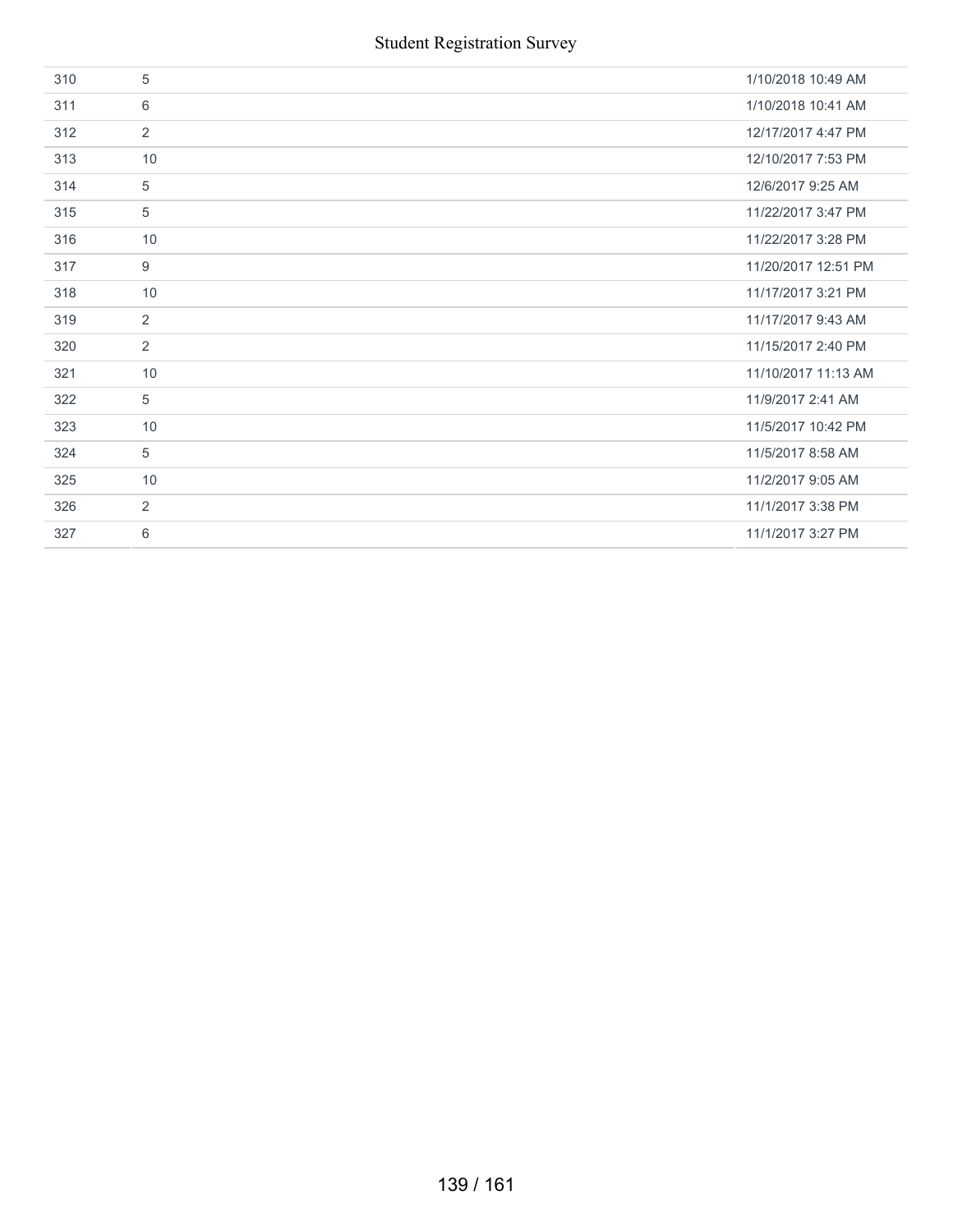| 310 | 5              | 1/10/2018 10:49 AM  |
|-----|----------------|---------------------|
| 311 | 6              | 1/10/2018 10:41 AM  |
| 312 | $\overline{2}$ | 12/17/2017 4:47 PM  |
| 313 | 10             | 12/10/2017 7:53 PM  |
| 314 | 5              | 12/6/2017 9:25 AM   |
| 315 | 5              | 11/22/2017 3:47 PM  |
| 316 | 10             | 11/22/2017 3:28 PM  |
| 317 | 9              | 11/20/2017 12:51 PM |
| 318 | 10             | 11/17/2017 3:21 PM  |
| 319 | $\overline{2}$ | 11/17/2017 9:43 AM  |
| 320 | $\overline{2}$ | 11/15/2017 2:40 PM  |
| 321 | 10             | 11/10/2017 11:13 AM |
| 322 | 5              | 11/9/2017 2:41 AM   |
| 323 | 10             | 11/5/2017 10:42 PM  |
| 324 | 5              | 11/5/2017 8:58 AM   |
| 325 | 10             | 11/2/2017 9:05 AM   |
| 326 | $\overline{2}$ | 11/1/2017 3:38 PM   |
| 327 | 6              | 11/1/2017 3:27 PM   |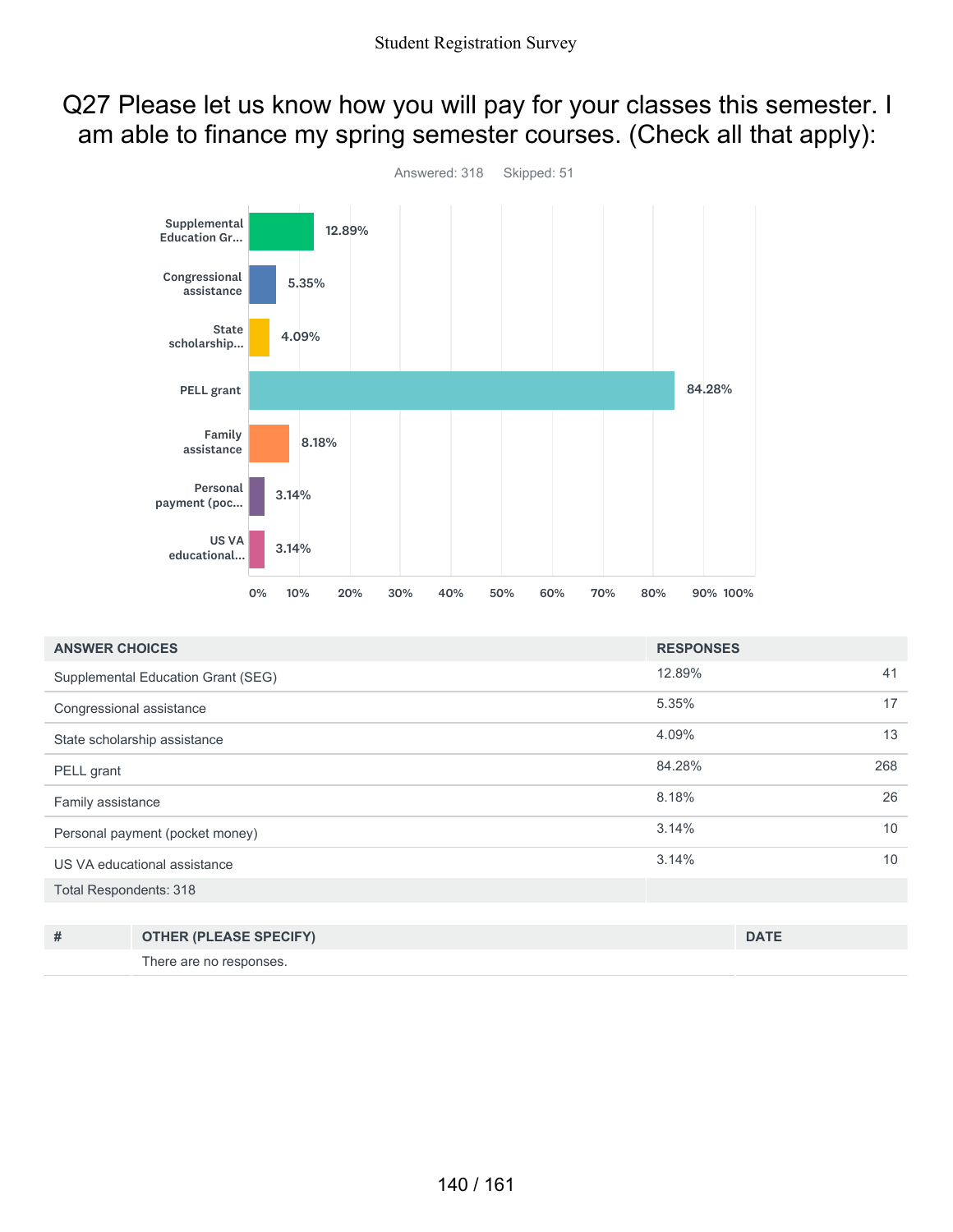#### Q27 Please let us know how you will pay for your classes this semester. I am able to finance my spring semester courses. (Check all that apply):



| <b>ANSWER CHOICES</b>         |                                    | <b>RESPONSES</b> |             |
|-------------------------------|------------------------------------|------------------|-------------|
|                               | Supplemental Education Grant (SEG) | 12.89%           | 41          |
| Congressional assistance      |                                    | 5.35%            | 17          |
|                               | State scholarship assistance       | 4.09%            | 13          |
| PELL grant                    |                                    | 84.28%           | 268         |
| Family assistance             |                                    | 8.18%            | 26          |
|                               | Personal payment (pocket money)    | 3.14%            | 10          |
|                               | US VA educational assistance       | 3.14%            | 10          |
| <b>Total Respondents: 318</b> |                                    |                  |             |
|                               |                                    |                  |             |
| #                             | <b>OTHER (PLEASE SPECIFY)</b>      |                  | <b>DATE</b> |

There are no responses.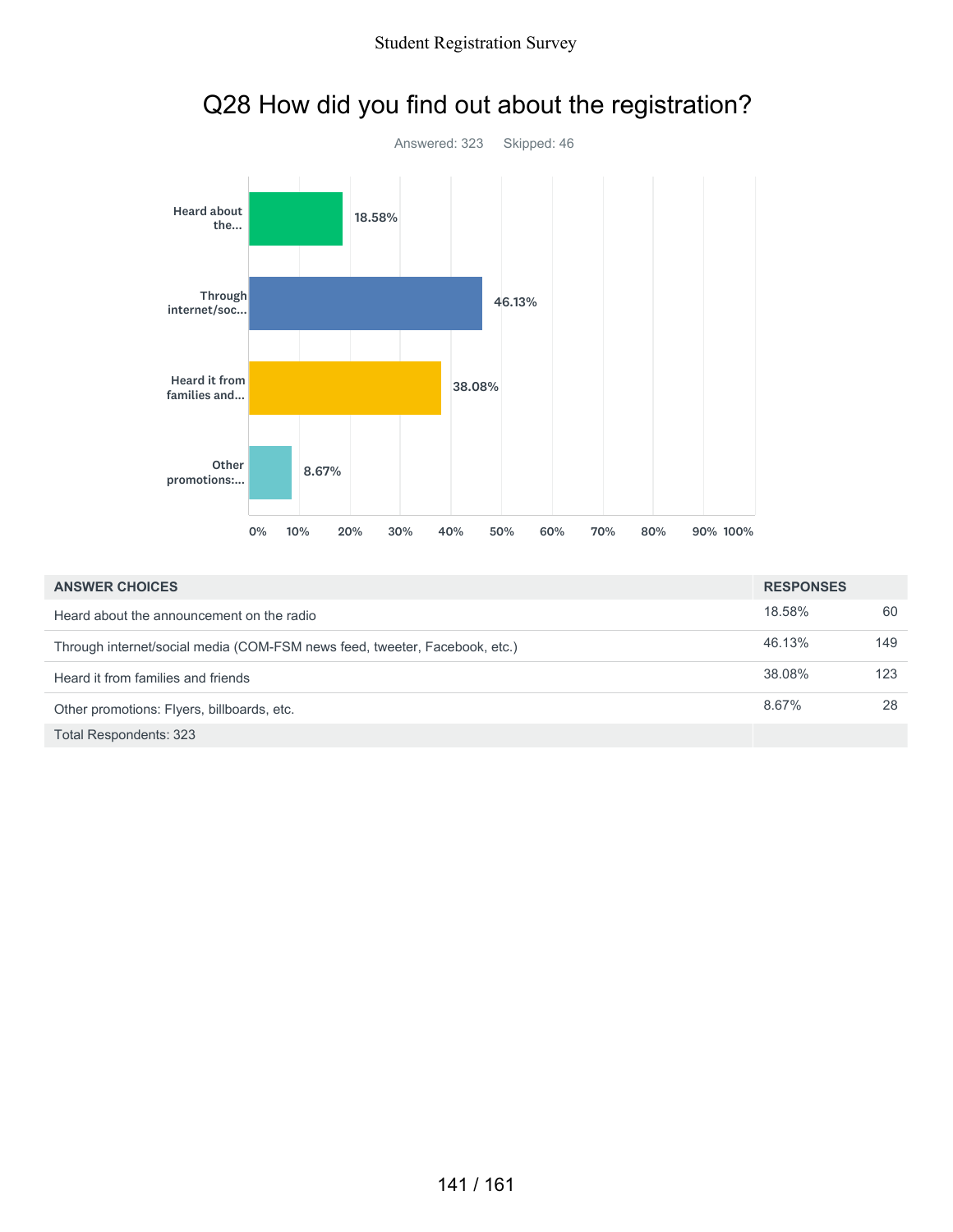

## Q28 How did you find out about the registration?

| <b>ANSWER CHOICES</b>                                                      | <b>RESPONSES</b> |     |
|----------------------------------------------------------------------------|------------------|-----|
| Heard about the announcement on the radio                                  | 18.58%           | 60  |
| Through internet/social media (COM-FSM news feed, tweeter, Facebook, etc.) | 46.13%           | 149 |
| Heard it from families and friends                                         | 38.08%           | 123 |
| Other promotions: Flyers, billboards, etc.                                 | 8.67%            | 28  |
| Total Respondents: 323                                                     |                  |     |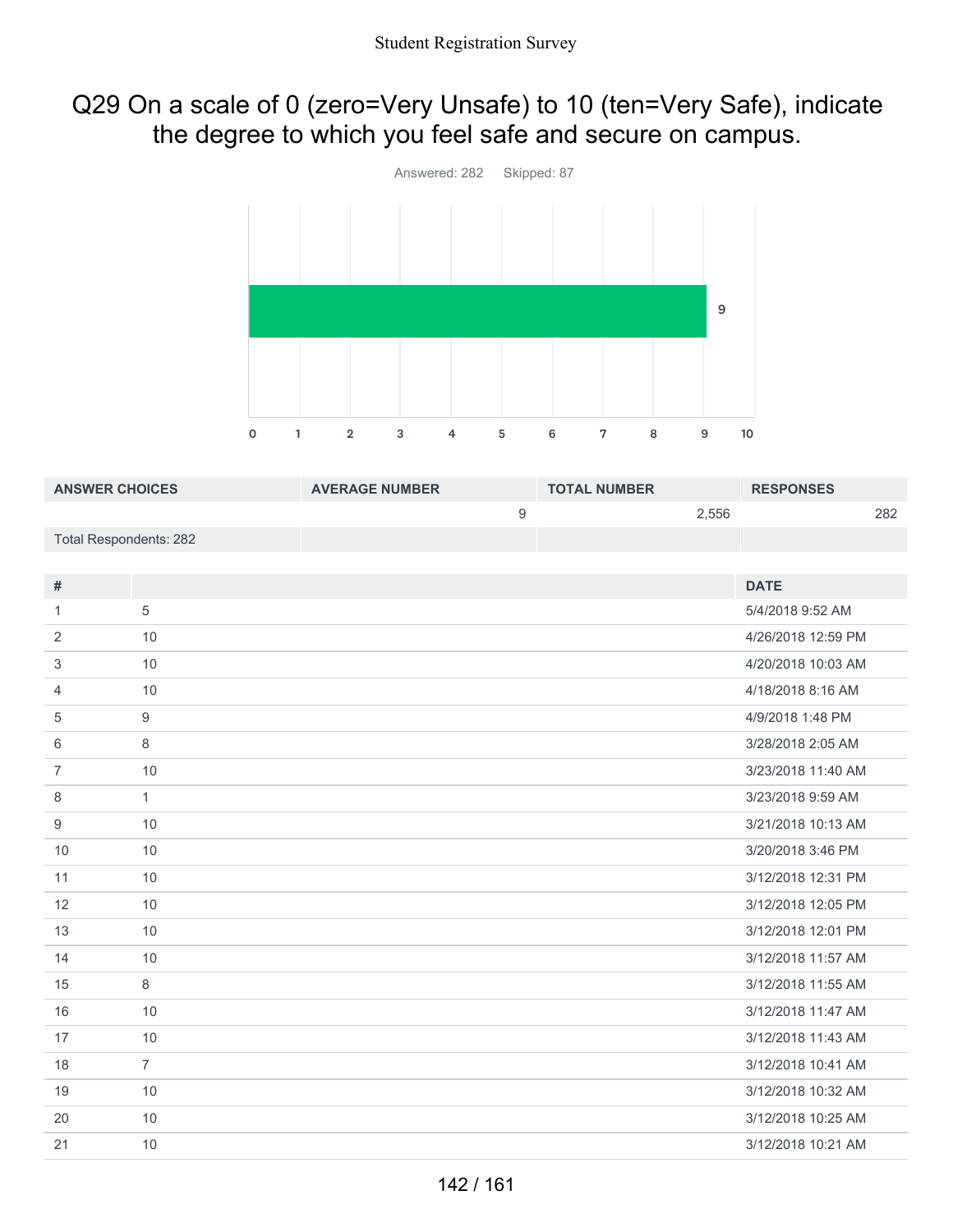#### Q29 On a scale of 0 (zero=Very Unsafe) to 10 (ten=Very Safe), indicate the degree to which you feel safe and secure on campus.



| <b>ANSWER CHOICES</b>         |                  | <b>AVERAGE NUMBER</b> |                  | <b>TOTAL NUMBER</b> |       | <b>RESPONSES</b>   |     |
|-------------------------------|------------------|-----------------------|------------------|---------------------|-------|--------------------|-----|
|                               |                  |                       | $\boldsymbol{9}$ |                     | 2,556 |                    | 282 |
| <b>Total Respondents: 282</b> |                  |                       |                  |                     |       |                    |     |
|                               |                  |                       |                  |                     |       |                    |     |
| $\#$                          |                  |                       |                  |                     |       | <b>DATE</b>        |     |
| 1                             | 5                |                       |                  |                     |       | 5/4/2018 9:52 AM   |     |
| 2                             | 10               |                       |                  |                     |       | 4/26/2018 12:59 PM |     |
| 3                             | 10               |                       |                  |                     |       | 4/20/2018 10:03 AM |     |
| 4                             | 10               |                       |                  |                     |       | 4/18/2018 8:16 AM  |     |
| 5                             | $\boldsymbol{9}$ |                       |                  |                     |       | 4/9/2018 1:48 PM   |     |
| 6                             | 8                |                       |                  |                     |       | 3/28/2018 2:05 AM  |     |
| $\overline{7}$                | 10               |                       |                  |                     |       | 3/23/2018 11:40 AM |     |
| 8                             | $\mathbf{1}$     |                       |                  |                     |       | 3/23/2018 9:59 AM  |     |
| 9                             | 10               |                       |                  |                     |       | 3/21/2018 10:13 AM |     |
| 10                            | 10               |                       |                  |                     |       | 3/20/2018 3:46 PM  |     |
| 11                            | 10               |                       |                  |                     |       | 3/12/2018 12:31 PM |     |
| 12                            | 10               |                       |                  |                     |       | 3/12/2018 12:05 PM |     |
| 13                            | 10               |                       |                  |                     |       | 3/12/2018 12:01 PM |     |
| 14                            | 10               |                       |                  |                     |       | 3/12/2018 11:57 AM |     |
| 15                            | 8                |                       |                  |                     |       | 3/12/2018 11:55 AM |     |
| 16                            | 10               |                       |                  |                     |       | 3/12/2018 11:47 AM |     |
| 17                            | 10               |                       |                  |                     |       | 3/12/2018 11:43 AM |     |
| 18                            | $\overline{7}$   |                       |                  |                     |       | 3/12/2018 10:41 AM |     |
| 19                            | 10               |                       |                  |                     |       | 3/12/2018 10:32 AM |     |
| 20                            | 10               |                       |                  |                     |       | 3/12/2018 10:25 AM |     |
| 21                            | 10               |                       |                  |                     |       | 3/12/2018 10:21 AM |     |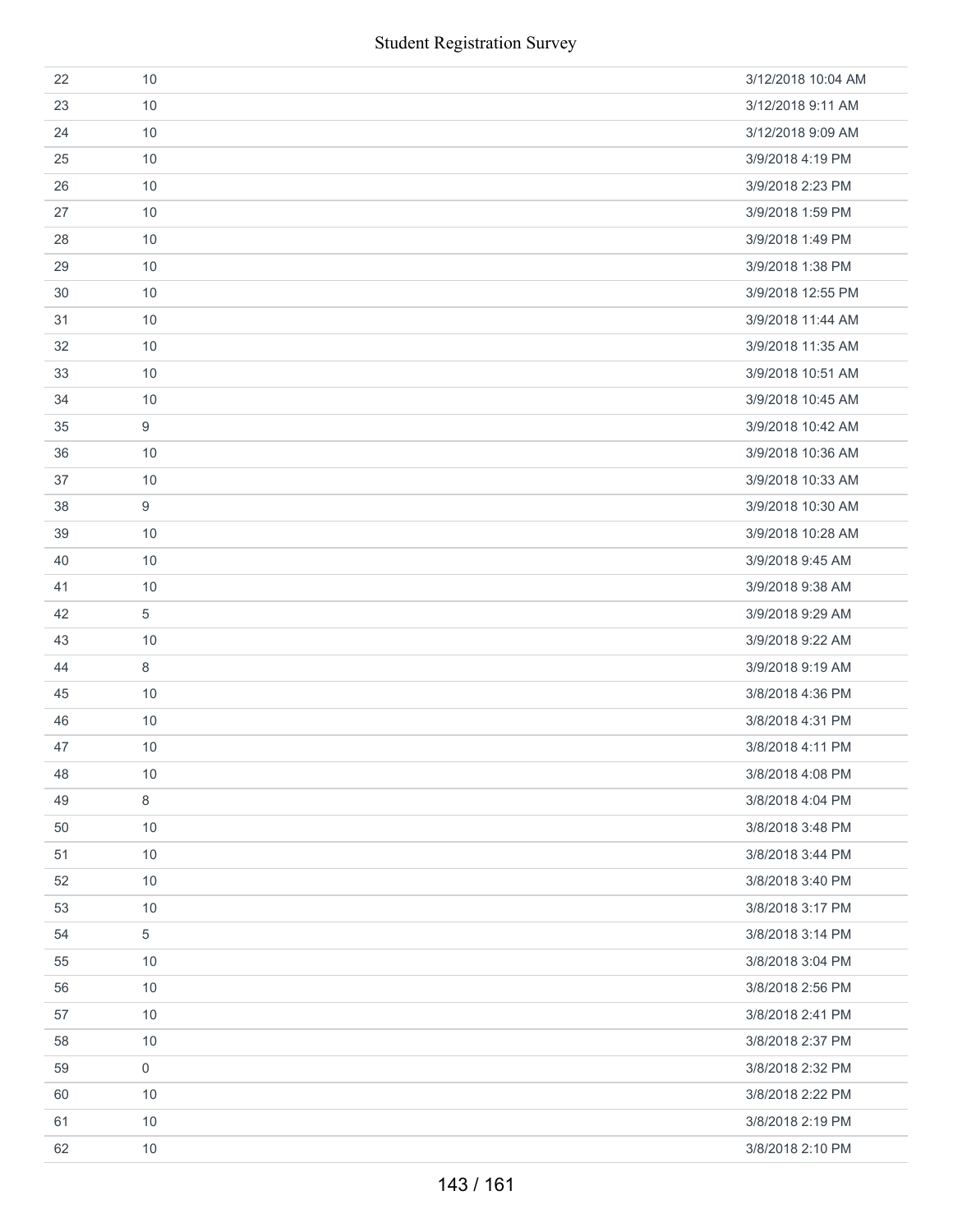| 22 | 10               | 3/12/2018 10:04 AM |
|----|------------------|--------------------|
| 23 | 10               | 3/12/2018 9:11 AM  |
| 24 | 10               | 3/12/2018 9:09 AM  |
| 25 | 10               | 3/9/2018 4:19 PM   |
| 26 | 10               | 3/9/2018 2:23 PM   |
| 27 | 10               | 3/9/2018 1:59 PM   |
| 28 | 10               | 3/9/2018 1:49 PM   |
| 29 | 10               | 3/9/2018 1:38 PM   |
| 30 | 10               | 3/9/2018 12:55 PM  |
| 31 | 10               | 3/9/2018 11:44 AM  |
| 32 | 10               | 3/9/2018 11:35 AM  |
| 33 | 10               | 3/9/2018 10:51 AM  |
| 34 | 10               | 3/9/2018 10:45 AM  |
| 35 | 9                | 3/9/2018 10:42 AM  |
| 36 | 10               | 3/9/2018 10:36 AM  |
| 37 | 10               | 3/9/2018 10:33 AM  |
| 38 | $\boldsymbol{9}$ | 3/9/2018 10:30 AM  |
| 39 | 10               | 3/9/2018 10:28 AM  |
| 40 | 10               | 3/9/2018 9:45 AM   |
| 41 | 10               | 3/9/2018 9:38 AM   |
| 42 | 5                | 3/9/2018 9:29 AM   |
| 43 | 10               | 3/9/2018 9:22 AM   |
| 44 | 8                | 3/9/2018 9:19 AM   |
| 45 | 10               | 3/8/2018 4:36 PM   |
| 46 | 10               | 3/8/2018 4:31 PM   |
| 47 | 10               | 3/8/2018 4:11 PM   |
| 48 | 10               | 3/8/2018 4:08 PM   |
| 49 | 8                | 3/8/2018 4:04 PM   |
| 50 | 10               | 3/8/2018 3:48 PM   |
| 51 | 10               | 3/8/2018 3:44 PM   |
| 52 | 10               | 3/8/2018 3:40 PM   |
| 53 | 10               | 3/8/2018 3:17 PM   |
| 54 | 5                | 3/8/2018 3:14 PM   |
| 55 | 10               | 3/8/2018 3:04 PM   |
| 56 | 10               | 3/8/2018 2:56 PM   |
| 57 | 10               | 3/8/2018 2:41 PM   |
| 58 | 10               | 3/8/2018 2:37 PM   |
| 59 | $\mathbf 0$      | 3/8/2018 2:32 PM   |
| 60 | 10               | 3/8/2018 2:22 PM   |
| 61 | 10               | 3/8/2018 2:19 PM   |
| 62 | 10               | 3/8/2018 2:10 PM   |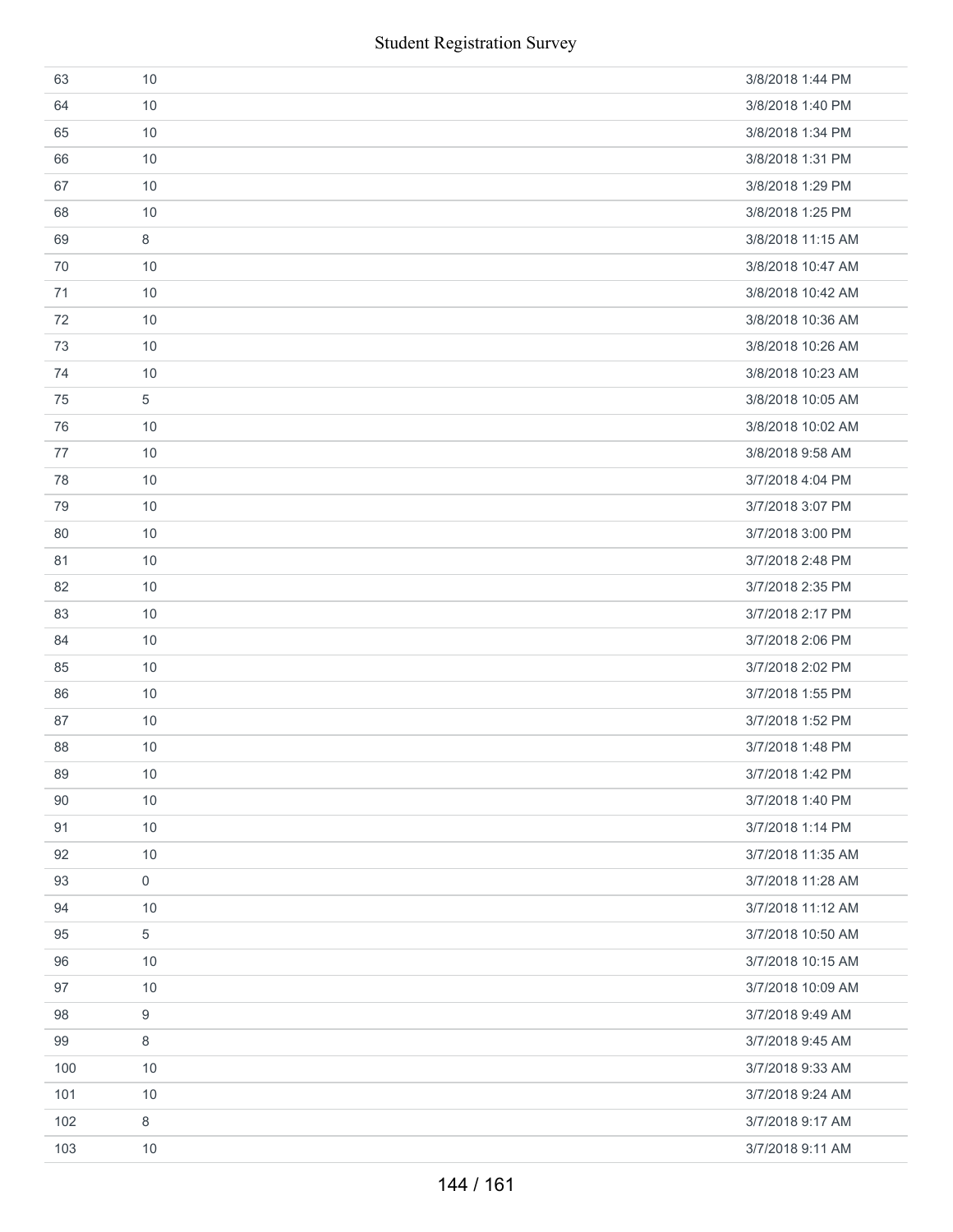|     | <b>Student Registration Survey</b> |                   |
|-----|------------------------------------|-------------------|
| 63  | 10                                 | 3/8/2018 1:44 PM  |
| 64  | 10                                 | 3/8/2018 1:40 PM  |
| 65  | 10                                 | 3/8/2018 1:34 PM  |
| 66  | 10                                 | 3/8/2018 1:31 PM  |
| 67  | 10                                 | 3/8/2018 1:29 PM  |
| 68  | 10                                 | 3/8/2018 1:25 PM  |
| 69  | 8                                  | 3/8/2018 11:15 AM |
| 70  | 10                                 | 3/8/2018 10:47 AM |
| 71  | 10                                 | 3/8/2018 10:42 AM |
| 72  | 10                                 | 3/8/2018 10:36 AM |
| 73  | 10                                 | 3/8/2018 10:26 AM |
| 74  | 10                                 | 3/8/2018 10:23 AM |
| 75  | 5                                  | 3/8/2018 10:05 AM |
| 76  | 10                                 | 3/8/2018 10:02 AM |
| 77  | 10                                 | 3/8/2018 9:58 AM  |
| 78  | 10                                 | 3/7/2018 4:04 PM  |
| 79  | 10                                 | 3/7/2018 3:07 PM  |
| 80  | 10                                 | 3/7/2018 3:00 PM  |
| 81  | 10                                 | 3/7/2018 2:48 PM  |
| 82  | 10                                 | 3/7/2018 2:35 PM  |
| 83  | 10                                 | 3/7/2018 2:17 PM  |
| 84  | 10                                 | 3/7/2018 2:06 PM  |
| 85  | 10                                 | 3/7/2018 2:02 PM  |
| 86  | 10                                 | 3/7/2018 1:55 PM  |
| 87  | 10                                 | 3/7/2018 1:52 PM  |
| 88  | 10                                 | 3/7/2018 1:48 PM  |
| 89  | 10                                 | 3/7/2018 1:42 PM  |
| 90  | 10                                 | 3/7/2018 1:40 PM  |
| 91  | 10                                 | 3/7/2018 1:14 PM  |
| 92  | 10                                 | 3/7/2018 11:35 AM |
| 93  | $\mathbf 0$                        | 3/7/2018 11:28 AM |
| 94  | 10                                 | 3/7/2018 11:12 AM |
| 95  | 5                                  | 3/7/2018 10:50 AM |
| 96  | 10                                 | 3/7/2018 10:15 AM |
| 97  | 10                                 | 3/7/2018 10:09 AM |
| 98  | 9                                  | 3/7/2018 9:49 AM  |
| 99  | 8                                  | 3/7/2018 9:45 AM  |
| 100 | 10                                 | 3/7/2018 9:33 AM  |
| 101 | 10                                 | 3/7/2018 9:24 AM  |
| 102 | 8                                  | 3/7/2018 9:17 AM  |
| 103 | 10                                 | 3/7/2018 9:11 AM  |
|     | 144 / 161                          |                   |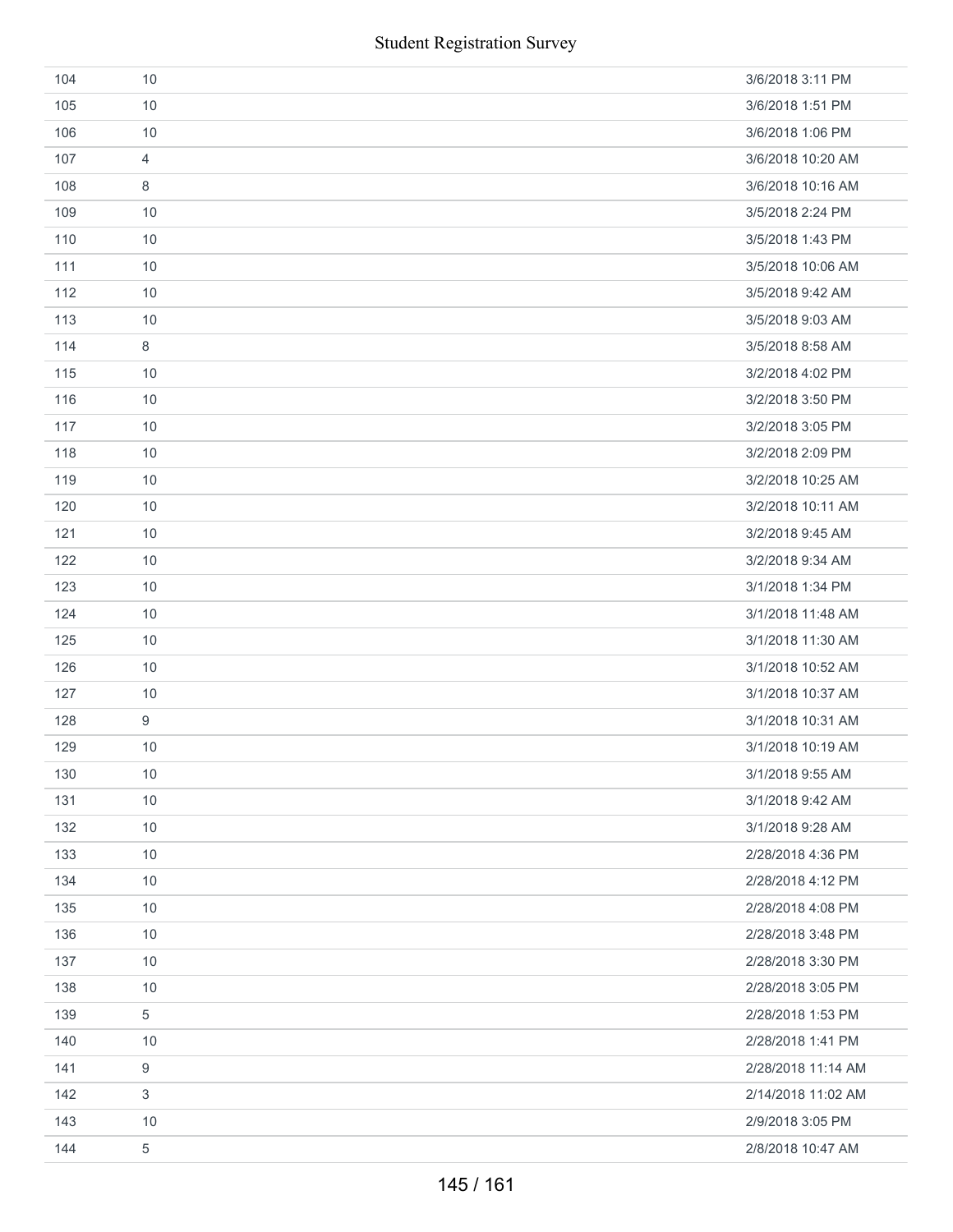| 104 | 10             | 3/6/2018 3:11 PM   |
|-----|----------------|--------------------|
| 105 | 10             | 3/6/2018 1:51 PM   |
| 106 | 10             | 3/6/2018 1:06 PM   |
| 107 | 4              | 3/6/2018 10:20 AM  |
| 108 | 8              | 3/6/2018 10:16 AM  |
| 109 | 10             | 3/5/2018 2:24 PM   |
| 110 | 10             | 3/5/2018 1:43 PM   |
| 111 | 10             | 3/5/2018 10:06 AM  |
| 112 | 10             | 3/5/2018 9:42 AM   |
| 113 | 10             | 3/5/2018 9:03 AM   |
| 114 | 8              | 3/5/2018 8:58 AM   |
| 115 | 10             | 3/2/2018 4:02 PM   |
| 116 | 10             | 3/2/2018 3:50 PM   |
| 117 | 10             | 3/2/2018 3:05 PM   |
| 118 | 10             | 3/2/2018 2:09 PM   |
| 119 | 10             | 3/2/2018 10:25 AM  |
| 120 | 10             | 3/2/2018 10:11 AM  |
| 121 | 10             | 3/2/2018 9:45 AM   |
| 122 | 10             | 3/2/2018 9:34 AM   |
| 123 | 10             | 3/1/2018 1:34 PM   |
| 124 | 10             | 3/1/2018 11:48 AM  |
| 125 | 10             | 3/1/2018 11:30 AM  |
| 126 | 10             | 3/1/2018 10:52 AM  |
| 127 | 10             | 3/1/2018 10:37 AM  |
| 128 | 9              | 3/1/2018 10:31 AM  |
| 129 | 10             | 3/1/2018 10:19 AM  |
| 130 | 10             | 3/1/2018 9:55 AM   |
| 131 | 10             | 3/1/2018 9:42 AM   |
| 132 | 10             | 3/1/2018 9:28 AM   |
| 133 | 10             | 2/28/2018 4:36 PM  |
| 134 | 10             | 2/28/2018 4:12 PM  |
| 135 | 10             | 2/28/2018 4:08 PM  |
| 136 | 10             | 2/28/2018 3:48 PM  |
| 137 | 10             | 2/28/2018 3:30 PM  |
| 138 | 10             | 2/28/2018 3:05 PM  |
| 139 | 5              | 2/28/2018 1:53 PM  |
| 140 | 10             | 2/28/2018 1:41 PM  |
| 141 | 9              | 2/28/2018 11:14 AM |
| 142 | $\mathfrak{S}$ | 2/14/2018 11:02 AM |
| 143 | 10             | 2/9/2018 3:05 PM   |
| 144 | 5              | 2/8/2018 10:47 AM  |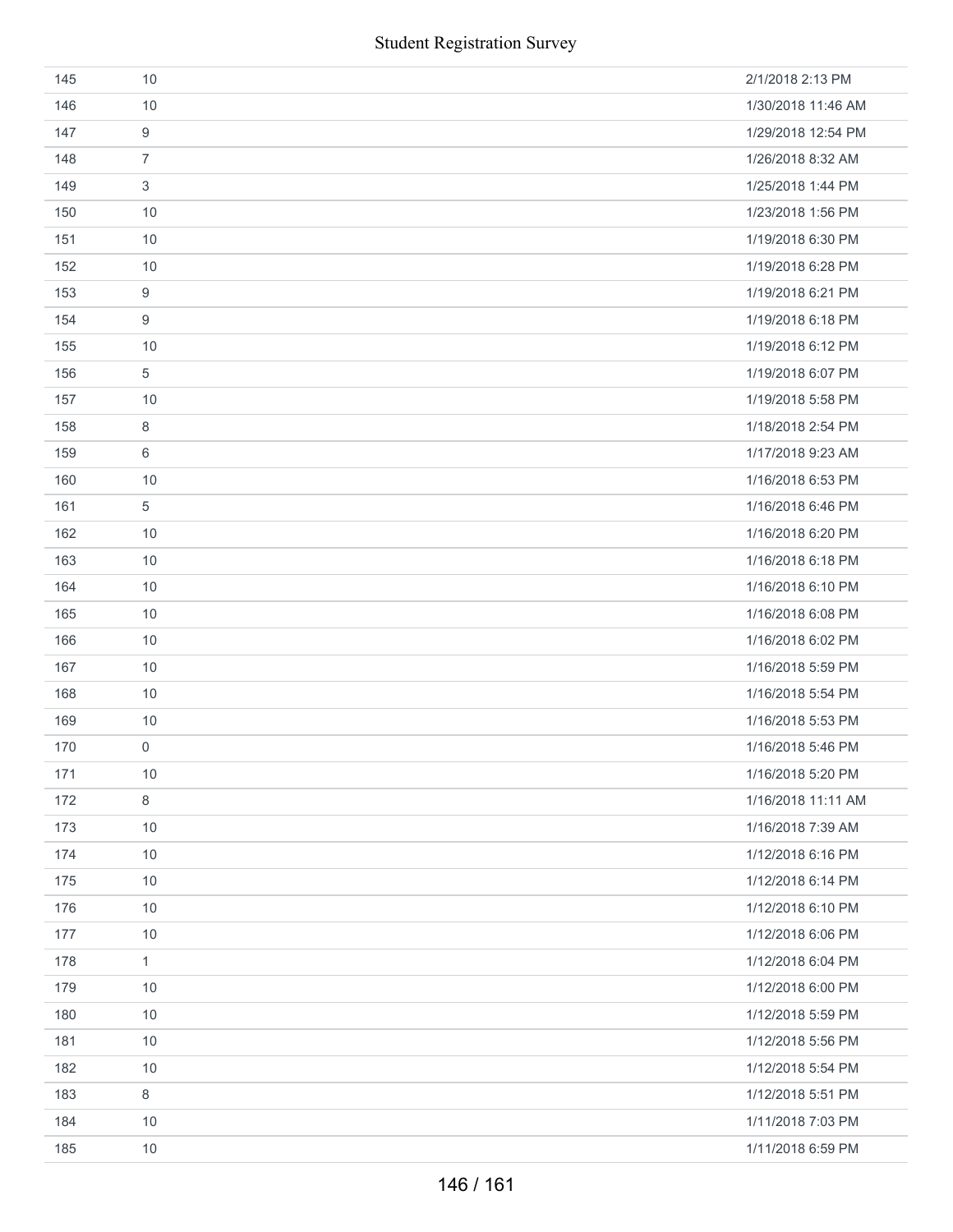| 145 | 10                  | 2/1/2018 2:13 PM   |
|-----|---------------------|--------------------|
| 146 | 10                  | 1/30/2018 11:46 AM |
| 147 | $\boldsymbol{9}$    | 1/29/2018 12:54 PM |
| 148 | $\overline{7}$      | 1/26/2018 8:32 AM  |
| 149 | $\mathfrak{S}$      | 1/25/2018 1:44 PM  |
| 150 | 10                  | 1/23/2018 1:56 PM  |
| 151 | 10                  | 1/19/2018 6:30 PM  |
| 152 | 10                  | 1/19/2018 6:28 PM  |
| 153 | $\boldsymbol{9}$    | 1/19/2018 6:21 PM  |
| 154 | 9                   | 1/19/2018 6:18 PM  |
| 155 | 10                  | 1/19/2018 6:12 PM  |
| 156 | $\sqrt{5}$          | 1/19/2018 6:07 PM  |
| 157 | 10                  | 1/19/2018 5:58 PM  |
| 158 | 8                   | 1/18/2018 2:54 PM  |
| 159 | 6                   | 1/17/2018 9:23 AM  |
| 160 | 10                  | 1/16/2018 6:53 PM  |
| 161 | $\,$ 5 $\,$         | 1/16/2018 6:46 PM  |
| 162 | 10                  | 1/16/2018 6:20 PM  |
| 163 | 10                  | 1/16/2018 6:18 PM  |
| 164 | 10                  | 1/16/2018 6:10 PM  |
| 165 | 10                  | 1/16/2018 6:08 PM  |
| 166 | 10                  | 1/16/2018 6:02 PM  |
| 167 | 10                  | 1/16/2018 5:59 PM  |
| 168 | 10                  | 1/16/2018 5:54 PM  |
| 169 | 10                  | 1/16/2018 5:53 PM  |
| 170 | $\mathsf{O}\xspace$ | 1/16/2018 5:46 PM  |
| 171 | 10                  | 1/16/2018 5:20 PM  |
| 172 | $\,8\,$             | 1/16/2018 11:11 AM |
| 173 | 10                  | 1/16/2018 7:39 AM  |
| 174 | 10                  | 1/12/2018 6:16 PM  |
| 175 | 10                  | 1/12/2018 6:14 PM  |
| 176 | 10                  | 1/12/2018 6:10 PM  |
| 177 | 10                  | 1/12/2018 6:06 PM  |
| 178 | $\mathbf{1}$        | 1/12/2018 6:04 PM  |
| 179 | 10                  | 1/12/2018 6:00 PM  |
| 180 | 10                  | 1/12/2018 5:59 PM  |
| 181 | 10                  | 1/12/2018 5:56 PM  |
| 182 | 10                  | 1/12/2018 5:54 PM  |
| 183 | $\,8\,$             | 1/12/2018 5:51 PM  |
| 184 | 10                  | 1/11/2018 7:03 PM  |
| 185 | 10                  | 1/11/2018 6:59 PM  |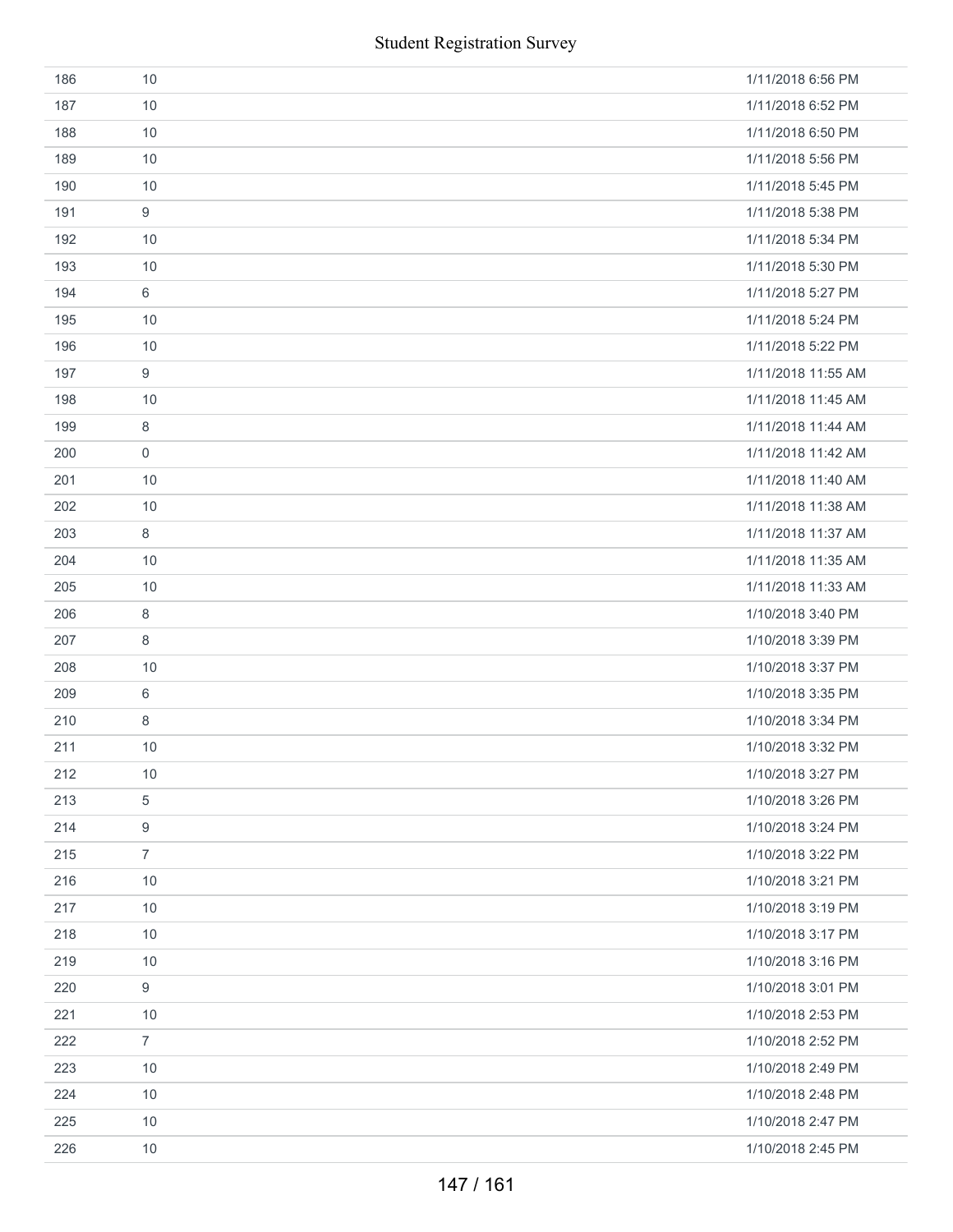|     | <b>Student Registration Survey</b> |                    |
|-----|------------------------------------|--------------------|
| 186 | 10                                 | 1/11/2018 6:56 PM  |
| 187 | 10                                 | 1/11/2018 6:52 PM  |
| 188 | 10                                 | 1/11/2018 6:50 PM  |
| 189 | 10                                 | 1/11/2018 5:56 PM  |
| 190 | 10                                 | 1/11/2018 5:45 PM  |
| 191 | $\boldsymbol{9}$                   | 1/11/2018 5:38 PM  |
| 192 | 10                                 | 1/11/2018 5:34 PM  |
| 193 | 10                                 | 1/11/2018 5:30 PM  |
| 194 | 6                                  | 1/11/2018 5:27 PM  |
| 195 | 10                                 | 1/11/2018 5:24 PM  |
| 196 | 10                                 | 1/11/2018 5:22 PM  |
| 197 | 9                                  | 1/11/2018 11:55 AM |
| 198 | 10                                 | 1/11/2018 11:45 AM |
| 199 | $\,8\,$                            | 1/11/2018 11:44 AM |
| 200 | $\mathbf 0$                        | 1/11/2018 11:42 AM |
| 201 | 10                                 | 1/11/2018 11:40 AM |
| 202 | 10                                 | 1/11/2018 11:38 AM |
| 203 | 8                                  | 1/11/2018 11:37 AM |
| 204 | 10                                 | 1/11/2018 11:35 AM |
| 205 | 10                                 | 1/11/2018 11:33 AM |
| 206 | $\,8\,$                            | 1/10/2018 3:40 PM  |
| 207 | 8                                  | 1/10/2018 3:39 PM  |
| 208 | 10                                 | 1/10/2018 3:37 PM  |
| 209 | $\,6\,$                            | 1/10/2018 3:35 PM  |
| 210 | 8                                  | 1/10/2018 3:34 PM  |
| 211 | 10                                 | 1/10/2018 3:32 PM  |
| 212 | 10                                 | 1/10/2018 3:27 PM  |
| 213 | 5                                  | 1/10/2018 3:26 PM  |
| 214 | 9                                  | 1/10/2018 3:24 PM  |
| 215 | $\overline{7}$                     | 1/10/2018 3:22 PM  |
| 216 | $10$                               | 1/10/2018 3:21 PM  |
| 217 | 10                                 | 1/10/2018 3:19 PM  |
| 218 | 10                                 | 1/10/2018 3:17 PM  |
| 219 | 10                                 | 1/10/2018 3:16 PM  |
| 220 | 9                                  | 1/10/2018 3:01 PM  |
| 221 | 10                                 | 1/10/2018 2:53 PM  |
| 222 | $\overline{7}$                     | 1/10/2018 2:52 PM  |
| 223 | 10                                 | 1/10/2018 2:49 PM  |
| 224 | 10                                 | 1/10/2018 2:48 PM  |
| 225 | 10                                 | 1/10/2018 2:47 PM  |
| 226 | 10                                 | 1/10/2018 2:45 PM  |
|     | 147 / 161                          |                    |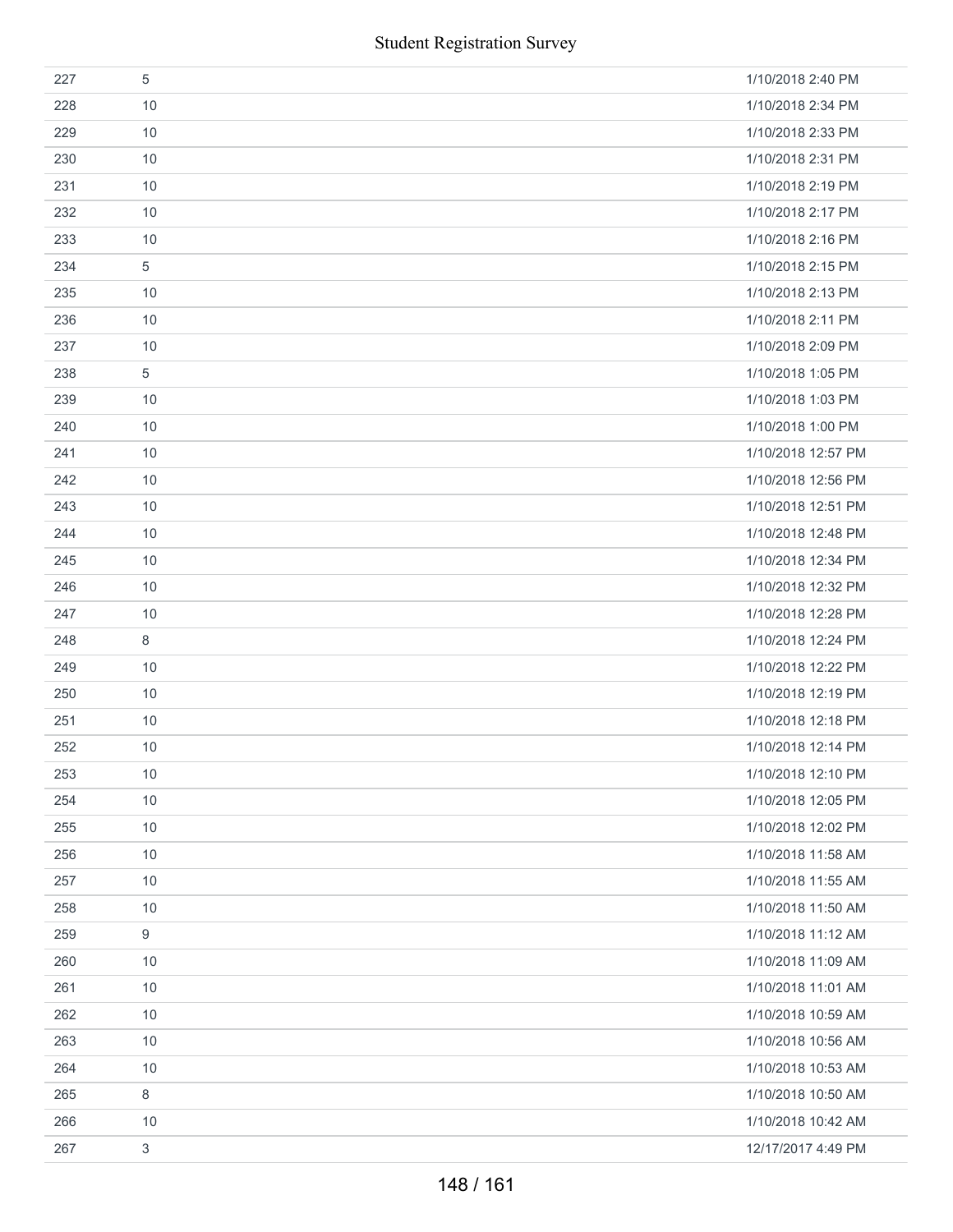| 227 | 5    | 1/10/2018 2:40 PM  |
|-----|------|--------------------|
| 228 | 10   | 1/10/2018 2:34 PM  |
| 229 | 10   | 1/10/2018 2:33 PM  |
| 230 | 10   | 1/10/2018 2:31 PM  |
| 231 | 10   | 1/10/2018 2:19 PM  |
| 232 | 10   | 1/10/2018 2:17 PM  |
| 233 | 10   | 1/10/2018 2:16 PM  |
| 234 | 5    | 1/10/2018 2:15 PM  |
| 235 | 10   | 1/10/2018 2:13 PM  |
| 236 | 10   | 1/10/2018 2:11 PM  |
| 237 | 10   | 1/10/2018 2:09 PM  |
| 238 | 5    | 1/10/2018 1:05 PM  |
| 239 | 10   | 1/10/2018 1:03 PM  |
| 240 | 10   | 1/10/2018 1:00 PM  |
| 241 | 10   | 1/10/2018 12:57 PM |
| 242 | 10   | 1/10/2018 12:56 PM |
| 243 | 10   | 1/10/2018 12:51 PM |
| 244 | 10   | 1/10/2018 12:48 PM |
| 245 | 10   | 1/10/2018 12:34 PM |
| 246 | 10   | 1/10/2018 12:32 PM |
| 247 | 10   | 1/10/2018 12:28 PM |
| 248 | 8    | 1/10/2018 12:24 PM |
| 249 | 10   | 1/10/2018 12:22 PM |
| 250 | 10   | 1/10/2018 12:19 PM |
| 251 | 10   | 1/10/2018 12:18 PM |
| 252 | 10   | 1/10/2018 12:14 PM |
| 253 | 10   | 1/10/2018 12:10 PM |
| 254 | 10   | 1/10/2018 12:05 PM |
| 255 | $10$ | 1/10/2018 12:02 PM |
| 256 | 10   | 1/10/2018 11:58 AM |
| 257 | 10   | 1/10/2018 11:55 AM |
| 258 | 10   | 1/10/2018 11:50 AM |
| 259 | 9    | 1/10/2018 11:12 AM |
| 260 | 10   | 1/10/2018 11:09 AM |
| 261 | 10   | 1/10/2018 11:01 AM |
| 262 | 10   | 1/10/2018 10:59 AM |
| 263 | 10   | 1/10/2018 10:56 AM |
| 264 | 10   | 1/10/2018 10:53 AM |
| 265 | 8    | 1/10/2018 10:50 AM |
| 266 | 10   | 1/10/2018 10:42 AM |
| 267 | 3    | 12/17/2017 4:49 PM |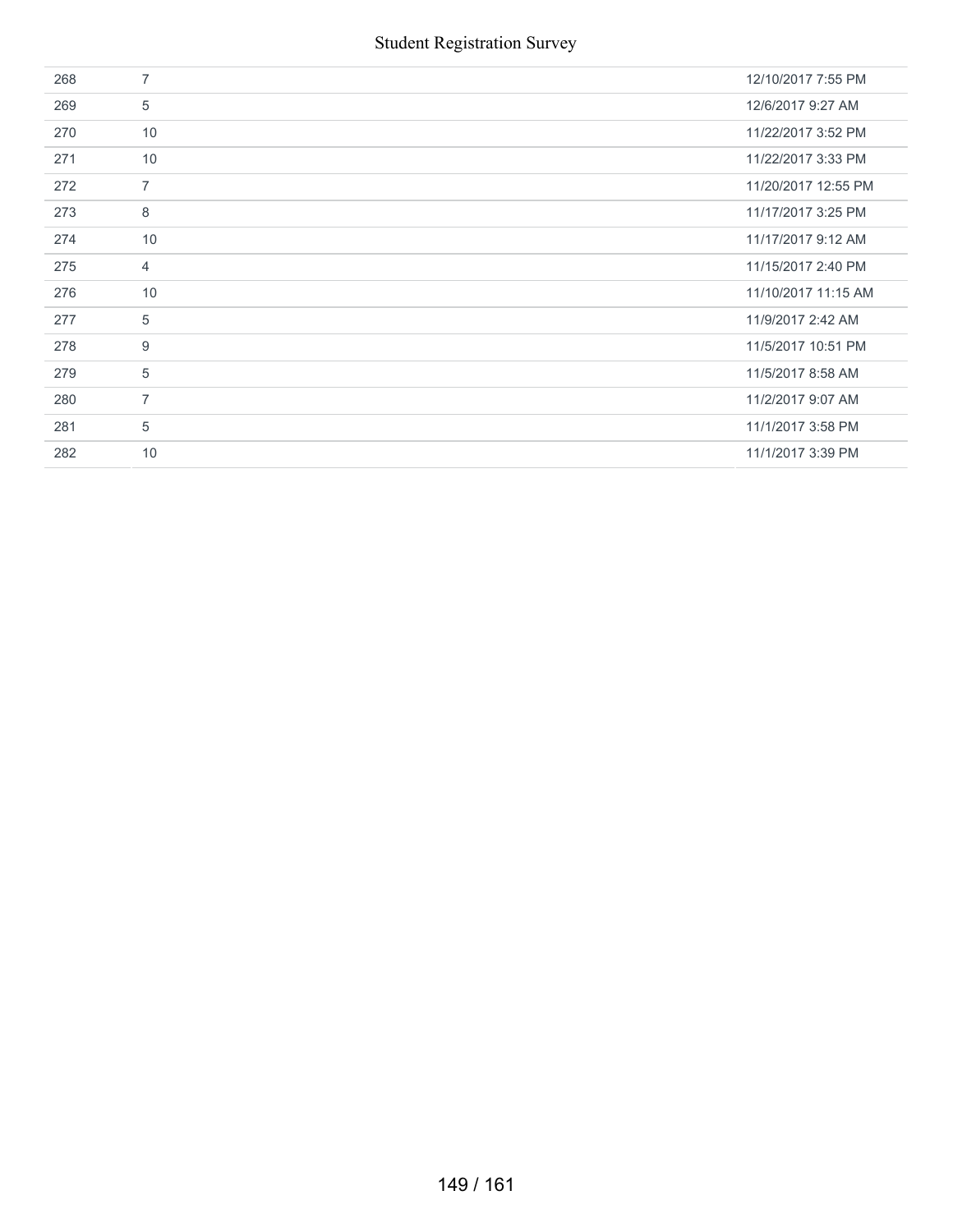| 268 | $\overline{7}$ | 12/10/2017 7:55 PM  |
|-----|----------------|---------------------|
| 269 | 5              | 12/6/2017 9:27 AM   |
| 270 | 10             | 11/22/2017 3:52 PM  |
| 271 | 10             | 11/22/2017 3:33 PM  |
| 272 | $\overline{7}$ | 11/20/2017 12:55 PM |
| 273 | 8              | 11/17/2017 3:25 PM  |
| 274 | 10             | 11/17/2017 9:12 AM  |
| 275 | $\overline{4}$ | 11/15/2017 2:40 PM  |
| 276 | 10             | 11/10/2017 11:15 AM |
| 277 | $\overline{5}$ | 11/9/2017 2:42 AM   |
| 278 | 9              | 11/5/2017 10:51 PM  |
| 279 | $\overline{5}$ | 11/5/2017 8:58 AM   |
| 280 | $\overline{7}$ | 11/2/2017 9:07 AM   |
| 281 | $\overline{5}$ | 11/1/2017 3:58 PM   |
| 282 | 10             | 11/1/2017 3:39 PM   |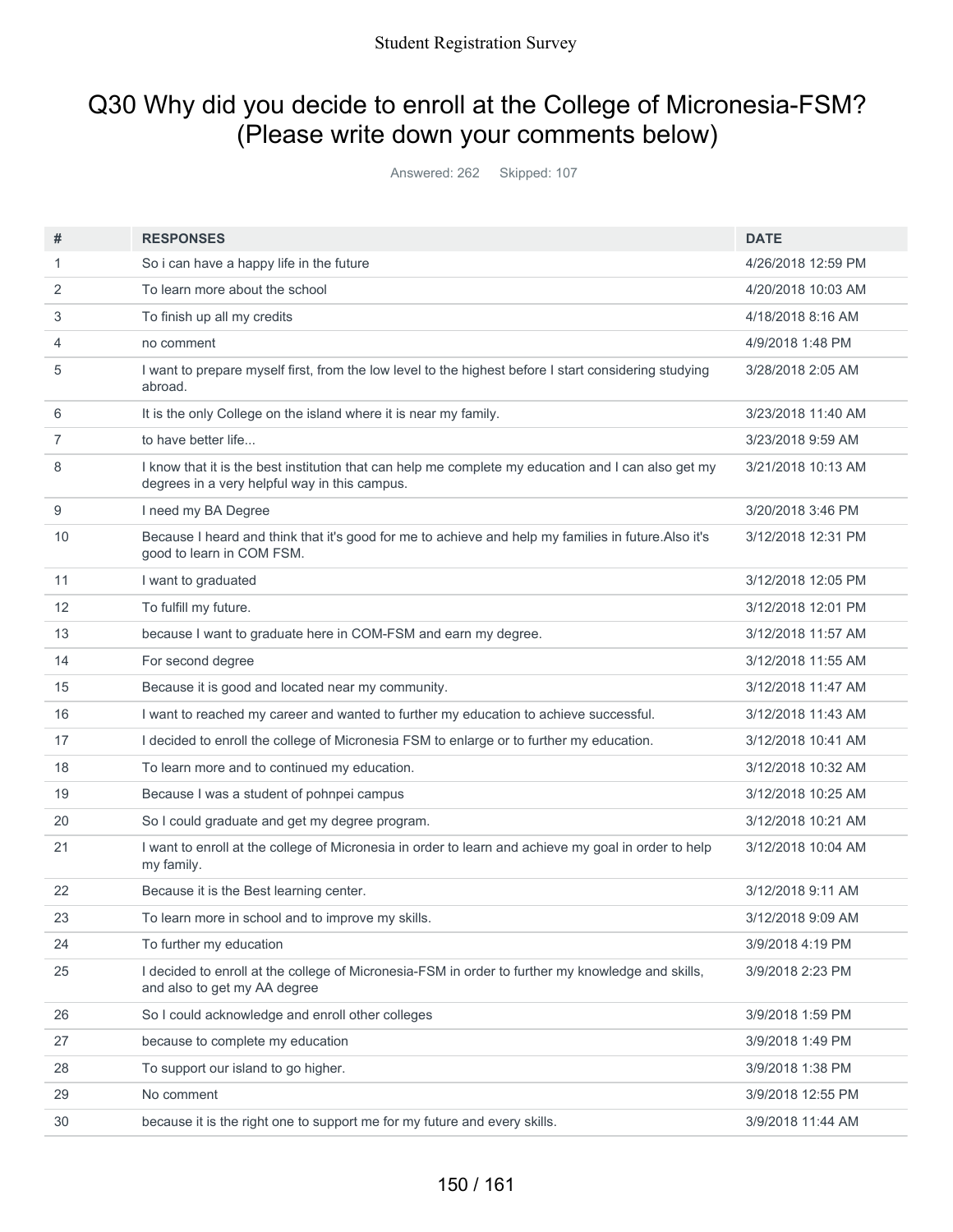# Q30 Why did you decide to enroll at the College of Micronesia-FSM? (Please write down your comments below)

Answered: 262 Skipped: 107

| #  | <b>RESPONSES</b>                                                                                                                                     | <b>DATE</b>        |
|----|------------------------------------------------------------------------------------------------------------------------------------------------------|--------------------|
| 1  | So i can have a happy life in the future                                                                                                             | 4/26/2018 12:59 PM |
| 2  | To learn more about the school                                                                                                                       | 4/20/2018 10:03 AM |
| 3  | To finish up all my credits                                                                                                                          | 4/18/2018 8:16 AM  |
| 4  | no comment                                                                                                                                           | 4/9/2018 1:48 PM   |
| 5  | I want to prepare myself first, from the low level to the highest before I start considering studying<br>abroad.                                     | 3/28/2018 2:05 AM  |
| 6  | It is the only College on the island where it is near my family.                                                                                     | 3/23/2018 11:40 AM |
| 7  | to have better life                                                                                                                                  | 3/23/2018 9:59 AM  |
| 8  | I know that it is the best institution that can help me complete my education and I can also get my<br>degrees in a very helpful way in this campus. | 3/21/2018 10:13 AM |
| 9  | I need my BA Degree                                                                                                                                  | 3/20/2018 3:46 PM  |
| 10 | Because I heard and think that it's good for me to achieve and help my families in future. Also it's<br>good to learn in COM FSM.                    | 3/12/2018 12:31 PM |
| 11 | I want to graduated                                                                                                                                  | 3/12/2018 12:05 PM |
| 12 | To fulfill my future.                                                                                                                                | 3/12/2018 12:01 PM |
| 13 | because I want to graduate here in COM-FSM and earn my degree.                                                                                       | 3/12/2018 11:57 AM |
| 14 | For second degree                                                                                                                                    | 3/12/2018 11:55 AM |
| 15 | Because it is good and located near my community.                                                                                                    | 3/12/2018 11:47 AM |
| 16 | I want to reached my career and wanted to further my education to achieve successful.                                                                | 3/12/2018 11:43 AM |
| 17 | I decided to enroll the college of Micronesia FSM to enlarge or to further my education.                                                             | 3/12/2018 10:41 AM |
| 18 | To learn more and to continued my education.                                                                                                         | 3/12/2018 10:32 AM |
| 19 | Because I was a student of pohnpei campus                                                                                                            | 3/12/2018 10:25 AM |
| 20 | So I could graduate and get my degree program.                                                                                                       | 3/12/2018 10:21 AM |
| 21 | I want to enroll at the college of Micronesia in order to learn and achieve my goal in order to help<br>my family.                                   | 3/12/2018 10:04 AM |
| 22 | Because it is the Best learning center.                                                                                                              | 3/12/2018 9:11 AM  |
| 23 | To learn more in school and to improve my skills.                                                                                                    | 3/12/2018 9:09 AM  |
| 24 | To further my education                                                                                                                              | 3/9/2018 4:19 PM   |
| 25 | I decided to enroll at the college of Micronesia-FSM in order to further my knowledge and skills,<br>and also to get my AA degree                    | 3/9/2018 2:23 PM   |
| 26 | So I could acknowledge and enroll other colleges                                                                                                     | 3/9/2018 1:59 PM   |
| 27 | because to complete my education                                                                                                                     | 3/9/2018 1:49 PM   |
| 28 | To support our island to go higher.                                                                                                                  | 3/9/2018 1:38 PM   |
| 29 | No comment                                                                                                                                           | 3/9/2018 12:55 PM  |
| 30 | because it is the right one to support me for my future and every skills.                                                                            | 3/9/2018 11:44 AM  |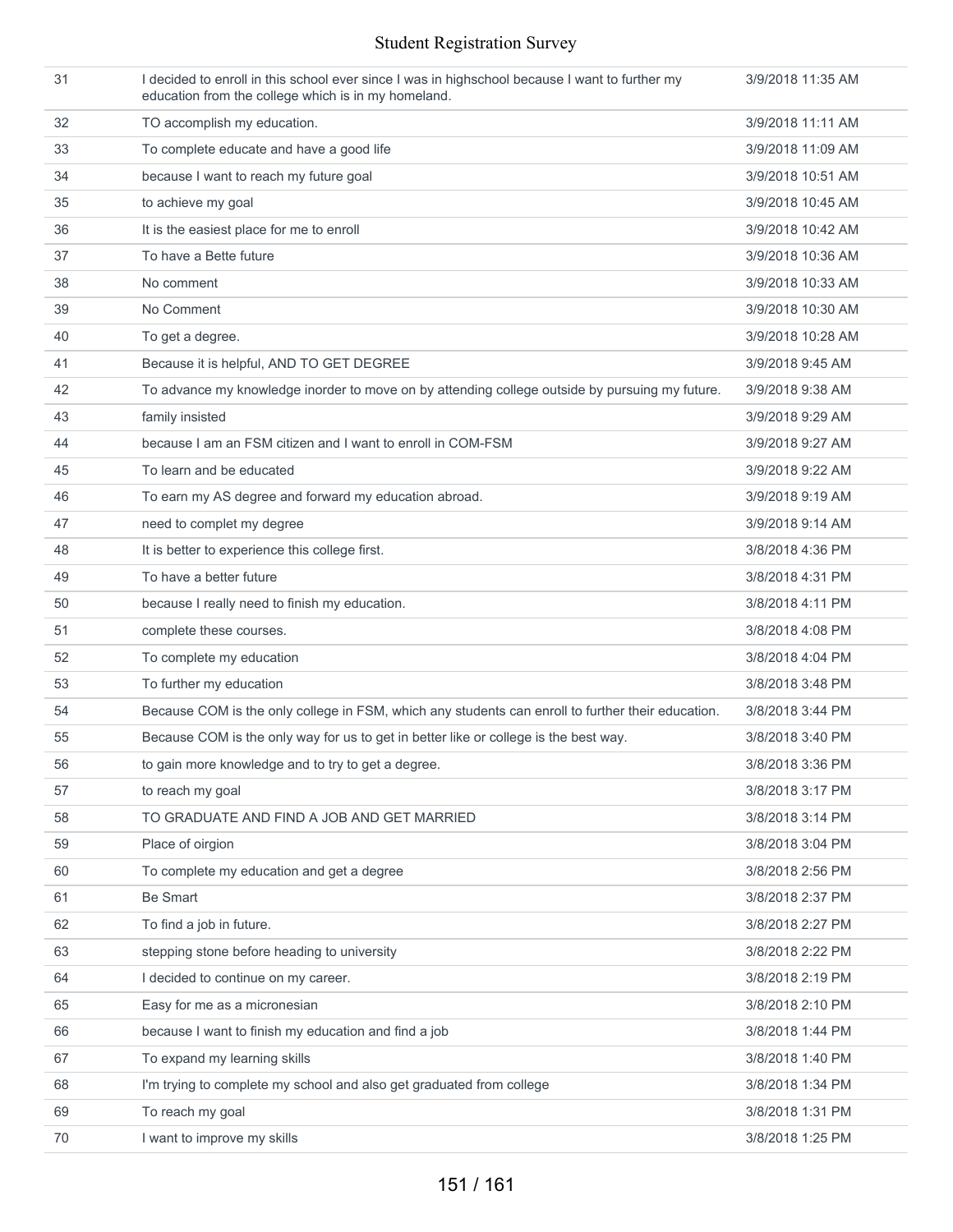| 31 | I decided to enroll in this school ever since I was in highschool because I want to further my<br>education from the college which is in my homeland. | 3/9/2018 11:35 AM |
|----|-------------------------------------------------------------------------------------------------------------------------------------------------------|-------------------|
| 32 | TO accomplish my education.                                                                                                                           | 3/9/2018 11:11 AM |
| 33 | To complete educate and have a good life                                                                                                              | 3/9/2018 11:09 AM |
| 34 | because I want to reach my future goal                                                                                                                | 3/9/2018 10:51 AM |
| 35 | to achieve my goal                                                                                                                                    | 3/9/2018 10:45 AM |
| 36 | It is the easiest place for me to enroll                                                                                                              | 3/9/2018 10:42 AM |
| 37 | To have a Bette future                                                                                                                                | 3/9/2018 10:36 AM |
| 38 | No comment                                                                                                                                            | 3/9/2018 10:33 AM |
| 39 | No Comment                                                                                                                                            | 3/9/2018 10:30 AM |
| 40 | To get a degree.                                                                                                                                      | 3/9/2018 10:28 AM |
| 41 | Because it is helpful, AND TO GET DEGREE                                                                                                              | 3/9/2018 9:45 AM  |
| 42 | To advance my knowledge inorder to move on by attending college outside by pursuing my future.                                                        | 3/9/2018 9:38 AM  |
| 43 | family insisted                                                                                                                                       | 3/9/2018 9:29 AM  |
| 44 | because I am an FSM citizen and I want to enroll in COM-FSM                                                                                           | 3/9/2018 9:27 AM  |
| 45 | To learn and be educated                                                                                                                              | 3/9/2018 9:22 AM  |
| 46 | To earn my AS degree and forward my education abroad.                                                                                                 | 3/9/2018 9:19 AM  |
| 47 | need to complet my degree                                                                                                                             | 3/9/2018 9:14 AM  |
| 48 | It is better to experience this college first.                                                                                                        | 3/8/2018 4:36 PM  |
| 49 | To have a better future                                                                                                                               | 3/8/2018 4:31 PM  |
| 50 | because I really need to finish my education.                                                                                                         | 3/8/2018 4:11 PM  |
| 51 | complete these courses.                                                                                                                               | 3/8/2018 4:08 PM  |
| 52 | To complete my education                                                                                                                              | 3/8/2018 4:04 PM  |
| 53 | To further my education                                                                                                                               | 3/8/2018 3:48 PM  |
| 54 | Because COM is the only college in FSM, which any students can enroll to further their education.                                                     | 3/8/2018 3:44 PM  |
| 55 | Because COM is the only way for us to get in better like or college is the best way.                                                                  | 3/8/2018 3:40 PM  |
| 56 | to gain more knowledge and to try to get a degree.                                                                                                    | 3/8/2018 3:36 PM  |
| 57 | to reach my goal                                                                                                                                      | 3/8/2018 3:17 PM  |
| 58 | TO GRADUATE AND FIND A JOB AND GET MARRIED                                                                                                            | 3/8/2018 3:14 PM  |
| 59 | Place of oirgion                                                                                                                                      | 3/8/2018 3:04 PM  |
| 60 | To complete my education and get a degree                                                                                                             | 3/8/2018 2:56 PM  |
| 61 | <b>Be Smart</b>                                                                                                                                       | 3/8/2018 2:37 PM  |
| 62 | To find a job in future.                                                                                                                              | 3/8/2018 2:27 PM  |
| 63 | stepping stone before heading to university                                                                                                           | 3/8/2018 2:22 PM  |
| 64 | I decided to continue on my career.                                                                                                                   | 3/8/2018 2:19 PM  |
| 65 | Easy for me as a micronesian                                                                                                                          | 3/8/2018 2:10 PM  |
| 66 | because I want to finish my education and find a job                                                                                                  | 3/8/2018 1:44 PM  |
| 67 | To expand my learning skills                                                                                                                          | 3/8/2018 1:40 PM  |
| 68 | I'm trying to complete my school and also get graduated from college                                                                                  | 3/8/2018 1:34 PM  |
| 69 | To reach my goal                                                                                                                                      | 3/8/2018 1:31 PM  |
| 70 | I want to improve my skills                                                                                                                           | 3/8/2018 1:25 PM  |
|    |                                                                                                                                                       |                   |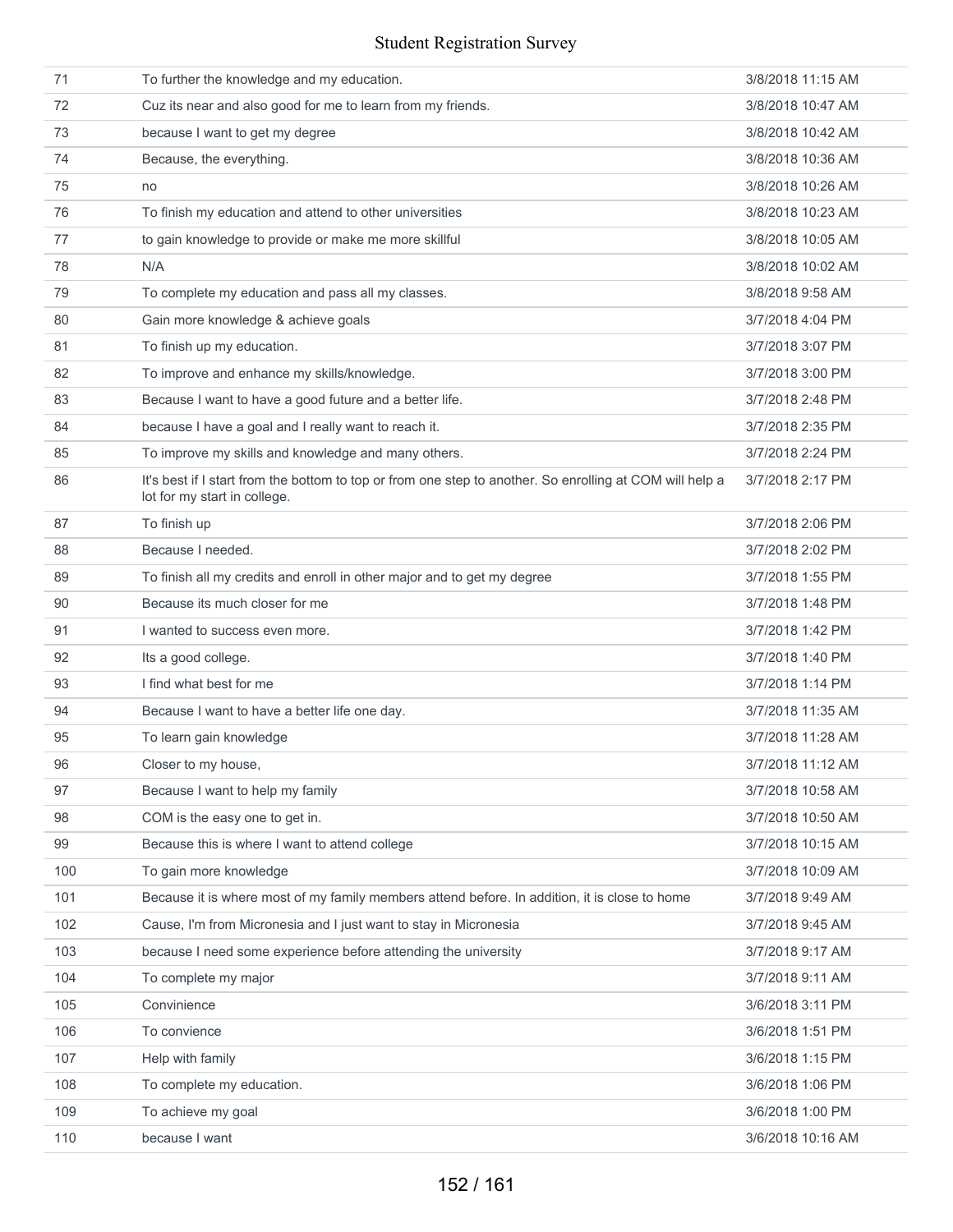| 71  | To further the knowledge and my education.                                                                                               | 3/8/2018 11:15 AM |
|-----|------------------------------------------------------------------------------------------------------------------------------------------|-------------------|
| 72  | Cuz its near and also good for me to learn from my friends.                                                                              | 3/8/2018 10:47 AM |
| 73  | because I want to get my degree                                                                                                          | 3/8/2018 10:42 AM |
| 74  | Because, the everything.                                                                                                                 | 3/8/2018 10:36 AM |
| 75  | no                                                                                                                                       | 3/8/2018 10:26 AM |
| 76  | To finish my education and attend to other universities                                                                                  | 3/8/2018 10:23 AM |
| 77  | to gain knowledge to provide or make me more skillful                                                                                    | 3/8/2018 10:05 AM |
| 78  | N/A                                                                                                                                      | 3/8/2018 10:02 AM |
| 79  | To complete my education and pass all my classes.                                                                                        | 3/8/2018 9:58 AM  |
| 80  | Gain more knowledge & achieve goals                                                                                                      | 3/7/2018 4:04 PM  |
| 81  | To finish up my education.                                                                                                               | 3/7/2018 3:07 PM  |
| 82  | To improve and enhance my skills/knowledge.                                                                                              | 3/7/2018 3:00 PM  |
| 83  | Because I want to have a good future and a better life.                                                                                  | 3/7/2018 2:48 PM  |
| 84  | because I have a goal and I really want to reach it.                                                                                     | 3/7/2018 2:35 PM  |
| 85  | To improve my skills and knowledge and many others.                                                                                      | 3/7/2018 2:24 PM  |
| 86  | It's best if I start from the bottom to top or from one step to another. So enrolling at COM will help a<br>lot for my start in college. | 3/7/2018 2:17 PM  |
| 87  | To finish up                                                                                                                             | 3/7/2018 2:06 PM  |
| 88  | Because I needed.                                                                                                                        | 3/7/2018 2:02 PM  |
| 89  | To finish all my credits and enroll in other major and to get my degree                                                                  | 3/7/2018 1:55 PM  |
| 90  | Because its much closer for me                                                                                                           | 3/7/2018 1:48 PM  |
| 91  | I wanted to success even more.                                                                                                           | 3/7/2018 1:42 PM  |
| 92  | Its a good college.                                                                                                                      | 3/7/2018 1:40 PM  |
| 93  | I find what best for me                                                                                                                  | 3/7/2018 1:14 PM  |
| 94  | Because I want to have a better life one day.                                                                                            | 3/7/2018 11:35 AM |
| 95  | To learn gain knowledge                                                                                                                  | 3/7/2018 11:28 AM |
| 96  | Closer to my house,                                                                                                                      | 3/7/2018 11:12 AM |
| 97  | Because I want to help my family                                                                                                         | 3/7/2018 10:58 AM |
| 98  | COM is the easy one to get in.                                                                                                           | 3/7/2018 10:50 AM |
| 99  | Because this is where I want to attend college                                                                                           | 3/7/2018 10:15 AM |
| 100 | To gain more knowledge                                                                                                                   | 3/7/2018 10:09 AM |
| 101 | Because it is where most of my family members attend before. In addition, it is close to home                                            | 3/7/2018 9:49 AM  |
| 102 | Cause, I'm from Micronesia and I just want to stay in Micronesia                                                                         | 3/7/2018 9:45 AM  |
| 103 | because I need some experience before attending the university                                                                           | 3/7/2018 9:17 AM  |
| 104 | To complete my major                                                                                                                     | 3/7/2018 9:11 AM  |
| 105 | Convinience                                                                                                                              | 3/6/2018 3:11 PM  |
| 106 | To convience                                                                                                                             | 3/6/2018 1:51 PM  |
| 107 | Help with family                                                                                                                         | 3/6/2018 1:15 PM  |
| 108 | To complete my education.                                                                                                                | 3/6/2018 1:06 PM  |
| 109 | To achieve my goal                                                                                                                       | 3/6/2018 1:00 PM  |
| 110 | because I want                                                                                                                           | 3/6/2018 10:16 AM |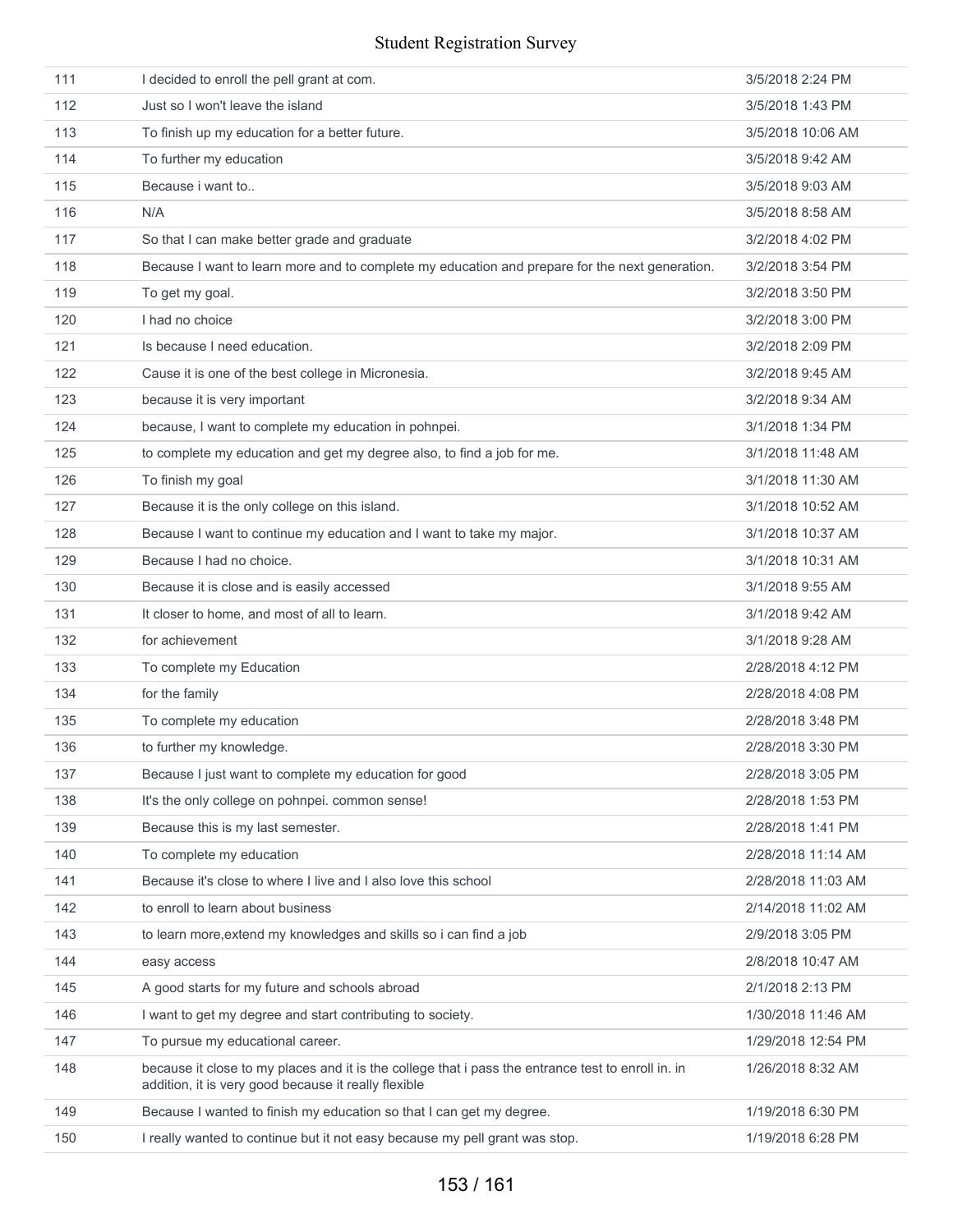| 111 | I decided to enroll the pell grant at com.                                                                                                                 | 3/5/2018 2:24 PM   |
|-----|------------------------------------------------------------------------------------------------------------------------------------------------------------|--------------------|
| 112 | Just so I won't leave the island                                                                                                                           | 3/5/2018 1:43 PM   |
| 113 | To finish up my education for a better future.                                                                                                             | 3/5/2018 10:06 AM  |
| 114 | To further my education                                                                                                                                    | 3/5/2018 9:42 AM   |
| 115 | Because <i>i</i> want to                                                                                                                                   | 3/5/2018 9:03 AM   |
| 116 | N/A                                                                                                                                                        | 3/5/2018 8:58 AM   |
| 117 | So that I can make better grade and graduate                                                                                                               | 3/2/2018 4:02 PM   |
| 118 | Because I want to learn more and to complete my education and prepare for the next generation.                                                             | 3/2/2018 3:54 PM   |
| 119 | To get my goal.                                                                                                                                            | 3/2/2018 3:50 PM   |
| 120 | I had no choice                                                                                                                                            | 3/2/2018 3:00 PM   |
| 121 | Is because I need education.                                                                                                                               | 3/2/2018 2:09 PM   |
| 122 | Cause it is one of the best college in Micronesia.                                                                                                         | 3/2/2018 9:45 AM   |
| 123 | because it is very important                                                                                                                               | 3/2/2018 9:34 AM   |
| 124 | because, I want to complete my education in pohnpei.                                                                                                       | 3/1/2018 1:34 PM   |
| 125 | to complete my education and get my degree also, to find a job for me.                                                                                     | 3/1/2018 11:48 AM  |
| 126 | To finish my goal                                                                                                                                          | 3/1/2018 11:30 AM  |
| 127 | Because it is the only college on this island.                                                                                                             | 3/1/2018 10:52 AM  |
| 128 | Because I want to continue my education and I want to take my major.                                                                                       | 3/1/2018 10:37 AM  |
| 129 | Because I had no choice.                                                                                                                                   | 3/1/2018 10:31 AM  |
| 130 | Because it is close and is easily accessed                                                                                                                 | 3/1/2018 9:55 AM   |
| 131 | It closer to home, and most of all to learn.                                                                                                               | 3/1/2018 9:42 AM   |
| 132 | for achievement                                                                                                                                            | 3/1/2018 9:28 AM   |
| 133 | To complete my Education                                                                                                                                   | 2/28/2018 4:12 PM  |
| 134 | for the family                                                                                                                                             | 2/28/2018 4:08 PM  |
| 135 | To complete my education                                                                                                                                   | 2/28/2018 3:48 PM  |
| 136 | to further my knowledge.                                                                                                                                   | 2/28/2018 3:30 PM  |
| 137 | Because I just want to complete my education for good                                                                                                      | 2/28/2018 3:05 PM  |
| 138 | It's the only college on pohnpei. common sense!                                                                                                            | 2/28/2018 1:53 PM  |
| 139 | Because this is my last semester.                                                                                                                          | 2/28/2018 1:41 PM  |
| 140 | To complete my education                                                                                                                                   | 2/28/2018 11:14 AM |
| 141 | Because it's close to where I live and I also love this school                                                                                             | 2/28/2018 11:03 AM |
| 142 | to enroll to learn about business                                                                                                                          | 2/14/2018 11:02 AM |
| 143 | to learn more, extend my knowledges and skills so i can find a job                                                                                         | 2/9/2018 3:05 PM   |
| 144 | easy access                                                                                                                                                | 2/8/2018 10:47 AM  |
| 145 | A good starts for my future and schools abroad                                                                                                             | 2/1/2018 2:13 PM   |
| 146 | I want to get my degree and start contributing to society.                                                                                                 | 1/30/2018 11:46 AM |
| 147 | To pursue my educational career.                                                                                                                           | 1/29/2018 12:54 PM |
| 148 | because it close to my places and it is the college that i pass the entrance test to enroll in. in<br>addition, it is very good because it really flexible | 1/26/2018 8:32 AM  |
| 149 | Because I wanted to finish my education so that I can get my degree.                                                                                       | 1/19/2018 6:30 PM  |
| 150 | I really wanted to continue but it not easy because my pell grant was stop.                                                                                | 1/19/2018 6:28 PM  |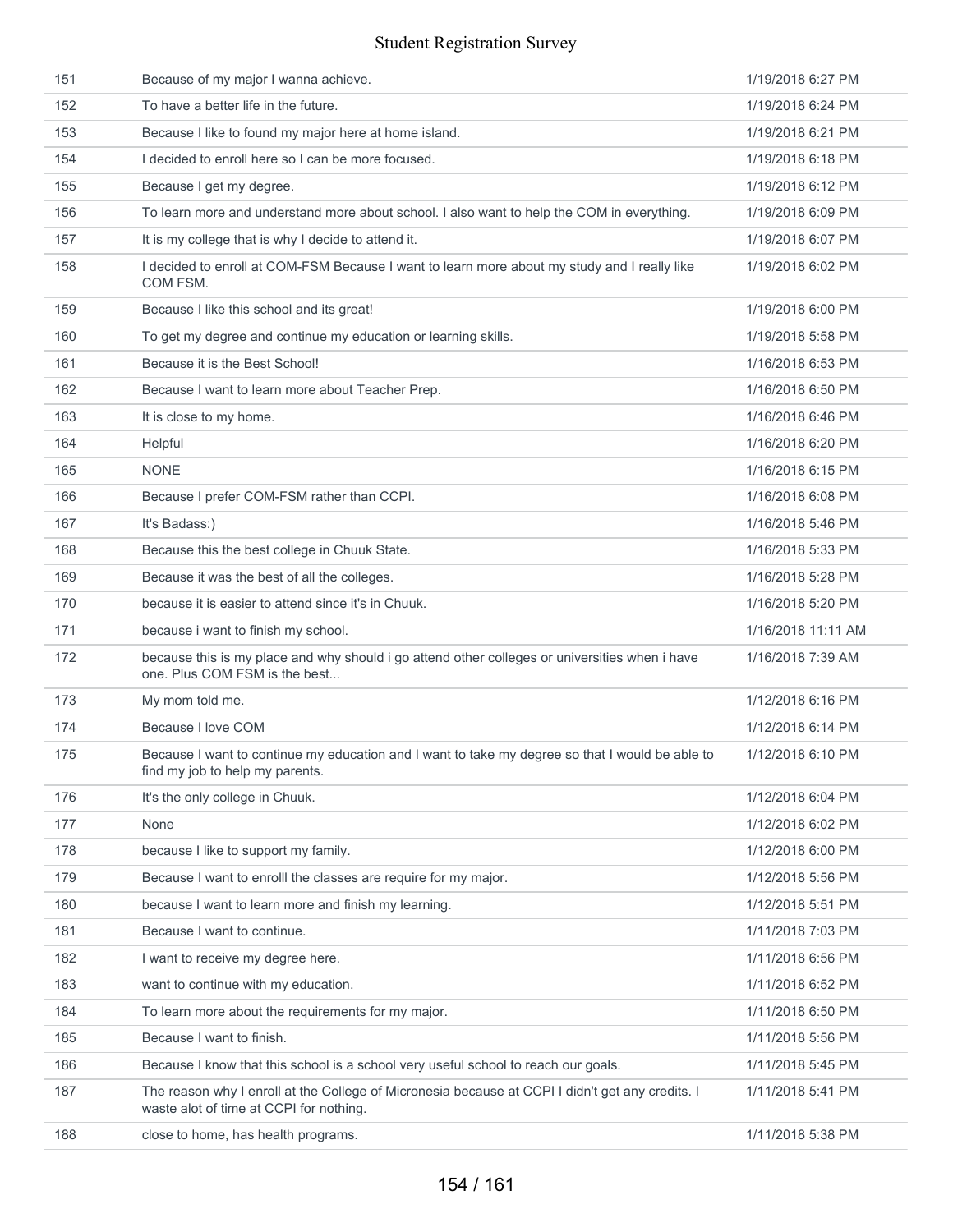| 151 | Because of my major I wanna achieve.                                                                                                        | 1/19/2018 6:27 PM  |
|-----|---------------------------------------------------------------------------------------------------------------------------------------------|--------------------|
| 152 | To have a better life in the future.                                                                                                        | 1/19/2018 6:24 PM  |
| 153 | Because I like to found my major here at home island.                                                                                       | 1/19/2018 6:21 PM  |
| 154 | I decided to enroll here so I can be more focused.                                                                                          | 1/19/2018 6:18 PM  |
| 155 | Because I get my degree.                                                                                                                    | 1/19/2018 6:12 PM  |
| 156 | To learn more and understand more about school. I also want to help the COM in everything.                                                  | 1/19/2018 6:09 PM  |
| 157 | It is my college that is why I decide to attend it.                                                                                         | 1/19/2018 6:07 PM  |
| 158 | I decided to enroll at COM-FSM Because I want to learn more about my study and I really like<br>COM FSM.                                    | 1/19/2018 6:02 PM  |
| 159 | Because I like this school and its great!                                                                                                   | 1/19/2018 6:00 PM  |
| 160 | To get my degree and continue my education or learning skills.                                                                              | 1/19/2018 5:58 PM  |
| 161 | Because it is the Best School!                                                                                                              | 1/16/2018 6:53 PM  |
| 162 | Because I want to learn more about Teacher Prep.                                                                                            | 1/16/2018 6:50 PM  |
| 163 | It is close to my home.                                                                                                                     | 1/16/2018 6:46 PM  |
| 164 | Helpful                                                                                                                                     | 1/16/2018 6:20 PM  |
| 165 | <b>NONE</b>                                                                                                                                 | 1/16/2018 6:15 PM  |
| 166 | Because I prefer COM-FSM rather than CCPI.                                                                                                  | 1/16/2018 6:08 PM  |
| 167 | It's Badass:)                                                                                                                               | 1/16/2018 5:46 PM  |
| 168 | Because this the best college in Chuuk State.                                                                                               | 1/16/2018 5:33 PM  |
| 169 | Because it was the best of all the colleges.                                                                                                | 1/16/2018 5:28 PM  |
| 170 | because it is easier to attend since it's in Chuuk.                                                                                         | 1/16/2018 5:20 PM  |
| 171 | because i want to finish my school.                                                                                                         | 1/16/2018 11:11 AM |
| 172 | because this is my place and why should i go attend other colleges or universities when i have<br>one. Plus COM FSM is the best             | 1/16/2018 7:39 AM  |
| 173 | My mom told me.                                                                                                                             | 1/12/2018 6:16 PM  |
| 174 | Because I love COM                                                                                                                          | 1/12/2018 6:14 PM  |
| 175 | Because I want to continue my education and I want to take my degree so that I would be able to<br>find my job to help my parents.          | 1/12/2018 6:10 PM  |
| 176 | It's the only college in Chuuk.                                                                                                             | 1/12/2018 6:04 PM  |
| 177 | None                                                                                                                                        | 1/12/2018 6:02 PM  |
| 178 | because I like to support my family.                                                                                                        | 1/12/2018 6:00 PM  |
| 179 | Because I want to enrolll the classes are require for my major.                                                                             | 1/12/2018 5:56 PM  |
| 180 | because I want to learn more and finish my learning.                                                                                        | 1/12/2018 5:51 PM  |
| 181 | Because I want to continue.                                                                                                                 | 1/11/2018 7:03 PM  |
| 182 | I want to receive my degree here.                                                                                                           | 1/11/2018 6:56 PM  |
| 183 | want to continue with my education.                                                                                                         | 1/11/2018 6:52 PM  |
| 184 | To learn more about the requirements for my major.                                                                                          | 1/11/2018 6:50 PM  |
| 185 | Because I want to finish.                                                                                                                   | 1/11/2018 5:56 PM  |
| 186 | Because I know that this school is a school very useful school to reach our goals.                                                          | 1/11/2018 5:45 PM  |
| 187 | The reason why I enroll at the College of Micronesia because at CCPI I didn't get any credits. I<br>waste alot of time at CCPI for nothing. | 1/11/2018 5:41 PM  |
| 188 | close to home, has health programs.                                                                                                         | 1/11/2018 5:38 PM  |
|     |                                                                                                                                             |                    |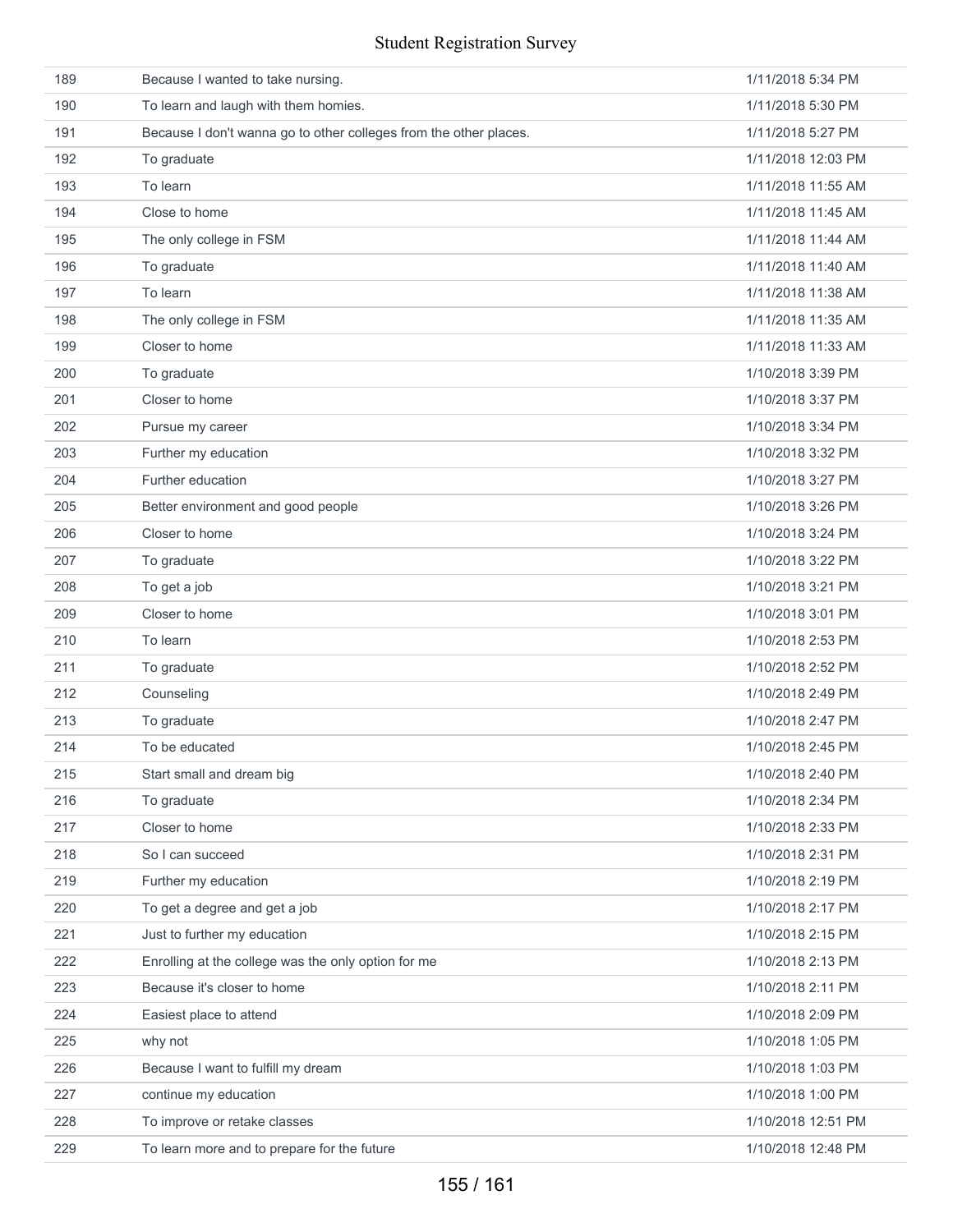| 189 | Because I wanted to take nursing.                                 | 1/11/2018 5:34 PM  |
|-----|-------------------------------------------------------------------|--------------------|
| 190 | To learn and laugh with them homies.                              | 1/11/2018 5:30 PM  |
| 191 | Because I don't wanna go to other colleges from the other places. | 1/11/2018 5:27 PM  |
| 192 | To graduate                                                       | 1/11/2018 12:03 PM |
| 193 | To learn                                                          | 1/11/2018 11:55 AM |
| 194 | Close to home                                                     | 1/11/2018 11:45 AM |
| 195 | The only college in FSM                                           | 1/11/2018 11:44 AM |
| 196 | To graduate                                                       | 1/11/2018 11:40 AM |
| 197 | To learn                                                          | 1/11/2018 11:38 AM |
| 198 | The only college in FSM                                           | 1/11/2018 11:35 AM |
| 199 | Closer to home                                                    | 1/11/2018 11:33 AM |
| 200 | To graduate                                                       | 1/10/2018 3:39 PM  |
| 201 | Closer to home                                                    | 1/10/2018 3:37 PM  |
| 202 | Pursue my career                                                  | 1/10/2018 3:34 PM  |
| 203 | Further my education                                              | 1/10/2018 3:32 PM  |
| 204 | Further education                                                 | 1/10/2018 3:27 PM  |
| 205 | Better environment and good people                                | 1/10/2018 3:26 PM  |
| 206 | Closer to home                                                    | 1/10/2018 3:24 PM  |
| 207 | To graduate                                                       | 1/10/2018 3:22 PM  |
| 208 | To get a job                                                      | 1/10/2018 3:21 PM  |
| 209 | Closer to home                                                    | 1/10/2018 3:01 PM  |
| 210 | To learn                                                          | 1/10/2018 2:53 PM  |
| 211 | To graduate                                                       | 1/10/2018 2:52 PM  |
| 212 | Counseling                                                        | 1/10/2018 2:49 PM  |
| 213 | To graduate                                                       | 1/10/2018 2:47 PM  |
| 214 | To be educated                                                    | 1/10/2018 2:45 PM  |
| 215 | Start small and dream big                                         | 1/10/2018 2:40 PM  |
| 216 | To graduate                                                       | 1/10/2018 2:34 PM  |
| 217 | Closer to home                                                    | 1/10/2018 2:33 PM  |
| 218 | So I can succeed                                                  | 1/10/2018 2:31 PM  |
| 219 | Further my education                                              | 1/10/2018 2:19 PM  |
| 220 | To get a degree and get a job                                     | 1/10/2018 2:17 PM  |
| 221 | Just to further my education                                      | 1/10/2018 2:15 PM  |
| 222 | Enrolling at the college was the only option for me               | 1/10/2018 2:13 PM  |
| 223 | Because it's closer to home                                       | 1/10/2018 2:11 PM  |
| 224 | Easiest place to attend                                           | 1/10/2018 2:09 PM  |
| 225 | why not                                                           | 1/10/2018 1:05 PM  |
| 226 | Because I want to fulfill my dream                                | 1/10/2018 1:03 PM  |
| 227 | continue my education                                             | 1/10/2018 1:00 PM  |
| 228 | To improve or retake classes                                      | 1/10/2018 12:51 PM |
| 229 | To learn more and to prepare for the future                       | 1/10/2018 12:48 PM |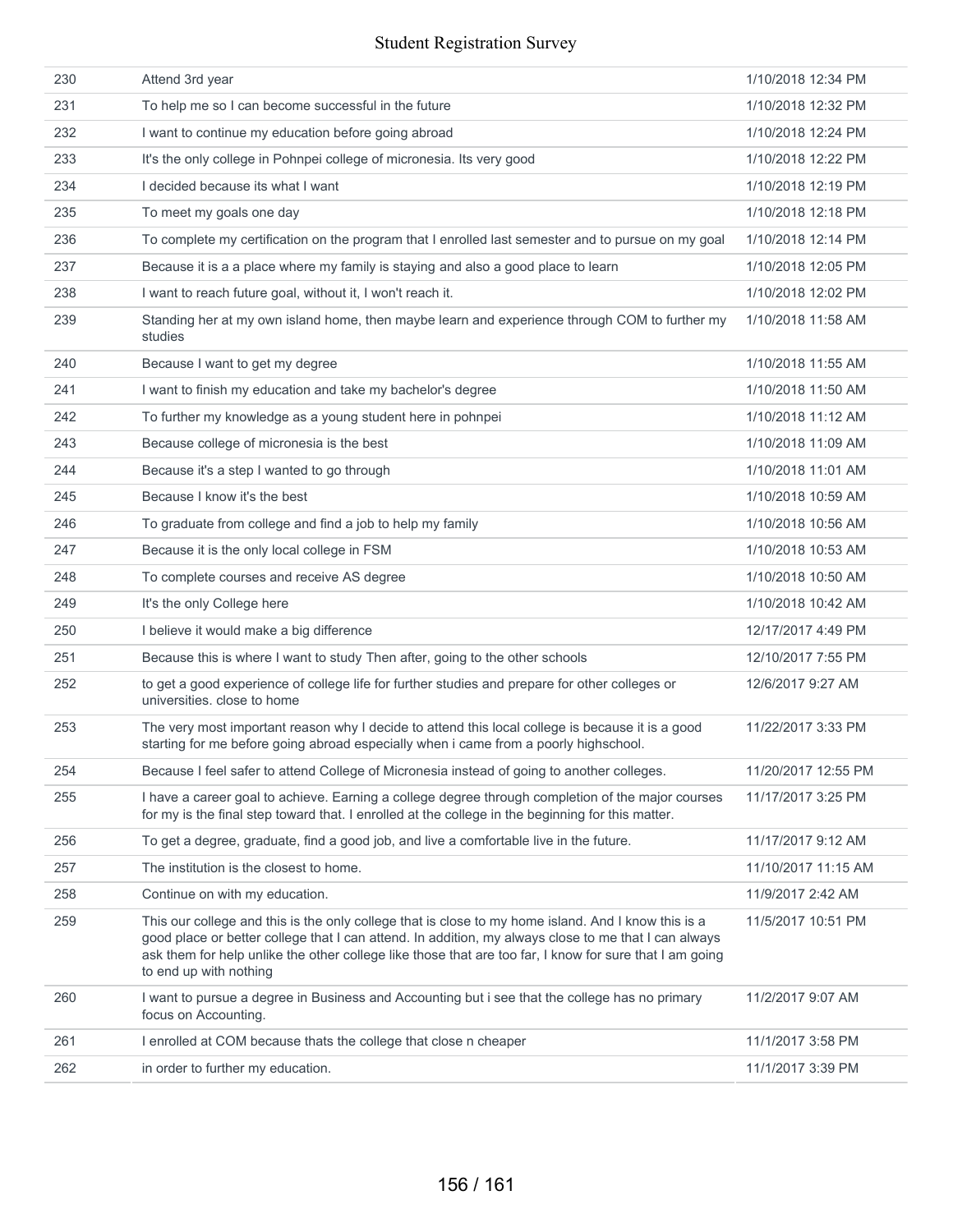| 231<br>To help me so I can become successful in the future<br>1/10/2018 12:32 PM<br>232<br>I want to continue my education before going abroad<br>1/10/2018 12:24 PM<br>233<br>It's the only college in Pohnpei college of micronesia. Its very good<br>1/10/2018 12:22 PM<br>I decided because its what I want<br>234<br>1/10/2018 12:19 PM<br>235<br>To meet my goals one day<br>1/10/2018 12:18 PM<br>236<br>To complete my certification on the program that I enrolled last semester and to pursue on my goal<br>1/10/2018 12:14 PM<br>237<br>Because it is a a place where my family is staying and also a good place to learn<br>1/10/2018 12:05 PM |  |
|------------------------------------------------------------------------------------------------------------------------------------------------------------------------------------------------------------------------------------------------------------------------------------------------------------------------------------------------------------------------------------------------------------------------------------------------------------------------------------------------------------------------------------------------------------------------------------------------------------------------------------------------------------|--|
|                                                                                                                                                                                                                                                                                                                                                                                                                                                                                                                                                                                                                                                            |  |
|                                                                                                                                                                                                                                                                                                                                                                                                                                                                                                                                                                                                                                                            |  |
|                                                                                                                                                                                                                                                                                                                                                                                                                                                                                                                                                                                                                                                            |  |
|                                                                                                                                                                                                                                                                                                                                                                                                                                                                                                                                                                                                                                                            |  |
|                                                                                                                                                                                                                                                                                                                                                                                                                                                                                                                                                                                                                                                            |  |
|                                                                                                                                                                                                                                                                                                                                                                                                                                                                                                                                                                                                                                                            |  |
|                                                                                                                                                                                                                                                                                                                                                                                                                                                                                                                                                                                                                                                            |  |
| 238<br>I want to reach future goal, without it, I won't reach it.<br>1/10/2018 12:02 PM                                                                                                                                                                                                                                                                                                                                                                                                                                                                                                                                                                    |  |
| 239<br>Standing her at my own island home, then maybe learn and experience through COM to further my<br>1/10/2018 11:58 AM<br>studies                                                                                                                                                                                                                                                                                                                                                                                                                                                                                                                      |  |
| 240<br>Because I want to get my degree<br>1/10/2018 11:55 AM                                                                                                                                                                                                                                                                                                                                                                                                                                                                                                                                                                                               |  |
| 241<br>I want to finish my education and take my bachelor's degree<br>1/10/2018 11:50 AM                                                                                                                                                                                                                                                                                                                                                                                                                                                                                                                                                                   |  |
| 242<br>To further my knowledge as a young student here in pohnpei<br>1/10/2018 11:12 AM                                                                                                                                                                                                                                                                                                                                                                                                                                                                                                                                                                    |  |
| 243<br>Because college of micronesia is the best<br>1/10/2018 11:09 AM                                                                                                                                                                                                                                                                                                                                                                                                                                                                                                                                                                                     |  |
| Because it's a step I wanted to go through<br>1/10/2018 11:01 AM<br>244                                                                                                                                                                                                                                                                                                                                                                                                                                                                                                                                                                                    |  |
| Because I know it's the best<br>245<br>1/10/2018 10:59 AM                                                                                                                                                                                                                                                                                                                                                                                                                                                                                                                                                                                                  |  |
| To graduate from college and find a job to help my family<br>1/10/2018 10:56 AM<br>246                                                                                                                                                                                                                                                                                                                                                                                                                                                                                                                                                                     |  |
| 247<br>Because it is the only local college in FSM<br>1/10/2018 10:53 AM                                                                                                                                                                                                                                                                                                                                                                                                                                                                                                                                                                                   |  |
| 248<br>To complete courses and receive AS degree<br>1/10/2018 10:50 AM                                                                                                                                                                                                                                                                                                                                                                                                                                                                                                                                                                                     |  |
| 249<br>It's the only College here<br>1/10/2018 10:42 AM                                                                                                                                                                                                                                                                                                                                                                                                                                                                                                                                                                                                    |  |
| 250<br>I believe it would make a big difference<br>12/17/2017 4:49 PM                                                                                                                                                                                                                                                                                                                                                                                                                                                                                                                                                                                      |  |
| 251<br>Because this is where I want to study Then after, going to the other schools<br>12/10/2017 7:55 PM                                                                                                                                                                                                                                                                                                                                                                                                                                                                                                                                                  |  |
| 252<br>to get a good experience of college life for further studies and prepare for other colleges or<br>12/6/2017 9:27 AM<br>universities. close to home                                                                                                                                                                                                                                                                                                                                                                                                                                                                                                  |  |
| 253<br>The very most important reason why I decide to attend this local college is because it is a good<br>11/22/2017 3:33 PM<br>starting for me before going abroad especially when i came from a poorly highschool.                                                                                                                                                                                                                                                                                                                                                                                                                                      |  |
| 254<br>Because I feel safer to attend College of Micronesia instead of going to another colleges.<br>11/20/2017 12:55 PM                                                                                                                                                                                                                                                                                                                                                                                                                                                                                                                                   |  |
| 255<br>I have a career goal to achieve. Earning a college degree through completion of the major courses<br>11/17/2017 3:25 PM<br>for my is the final step toward that. I enrolled at the college in the beginning for this matter.                                                                                                                                                                                                                                                                                                                                                                                                                        |  |
| 256<br>To get a degree, graduate, find a good job, and live a comfortable live in the future.<br>11/17/2017 9:12 AM                                                                                                                                                                                                                                                                                                                                                                                                                                                                                                                                        |  |
| 257<br>The institution is the closest to home.<br>11/10/2017 11:15 AM                                                                                                                                                                                                                                                                                                                                                                                                                                                                                                                                                                                      |  |
| 258<br>Continue on with my education.<br>11/9/2017 2:42 AM                                                                                                                                                                                                                                                                                                                                                                                                                                                                                                                                                                                                 |  |
| 259<br>This our college and this is the only college that is close to my home island. And I know this is a<br>11/5/2017 10:51 PM<br>good place or better college that I can attend. In addition, my always close to me that I can always<br>ask them for help unlike the other college like those that are too far, I know for sure that I am going<br>to end up with nothing                                                                                                                                                                                                                                                                              |  |
| 260<br>I want to pursue a degree in Business and Accounting but i see that the college has no primary<br>11/2/2017 9:07 AM<br>focus on Accounting.                                                                                                                                                                                                                                                                                                                                                                                                                                                                                                         |  |
| 261<br>I enrolled at COM because thats the college that close n cheaper<br>11/1/2017 3:58 PM                                                                                                                                                                                                                                                                                                                                                                                                                                                                                                                                                               |  |
| 262<br>in order to further my education.<br>11/1/2017 3:39 PM                                                                                                                                                                                                                                                                                                                                                                                                                                                                                                                                                                                              |  |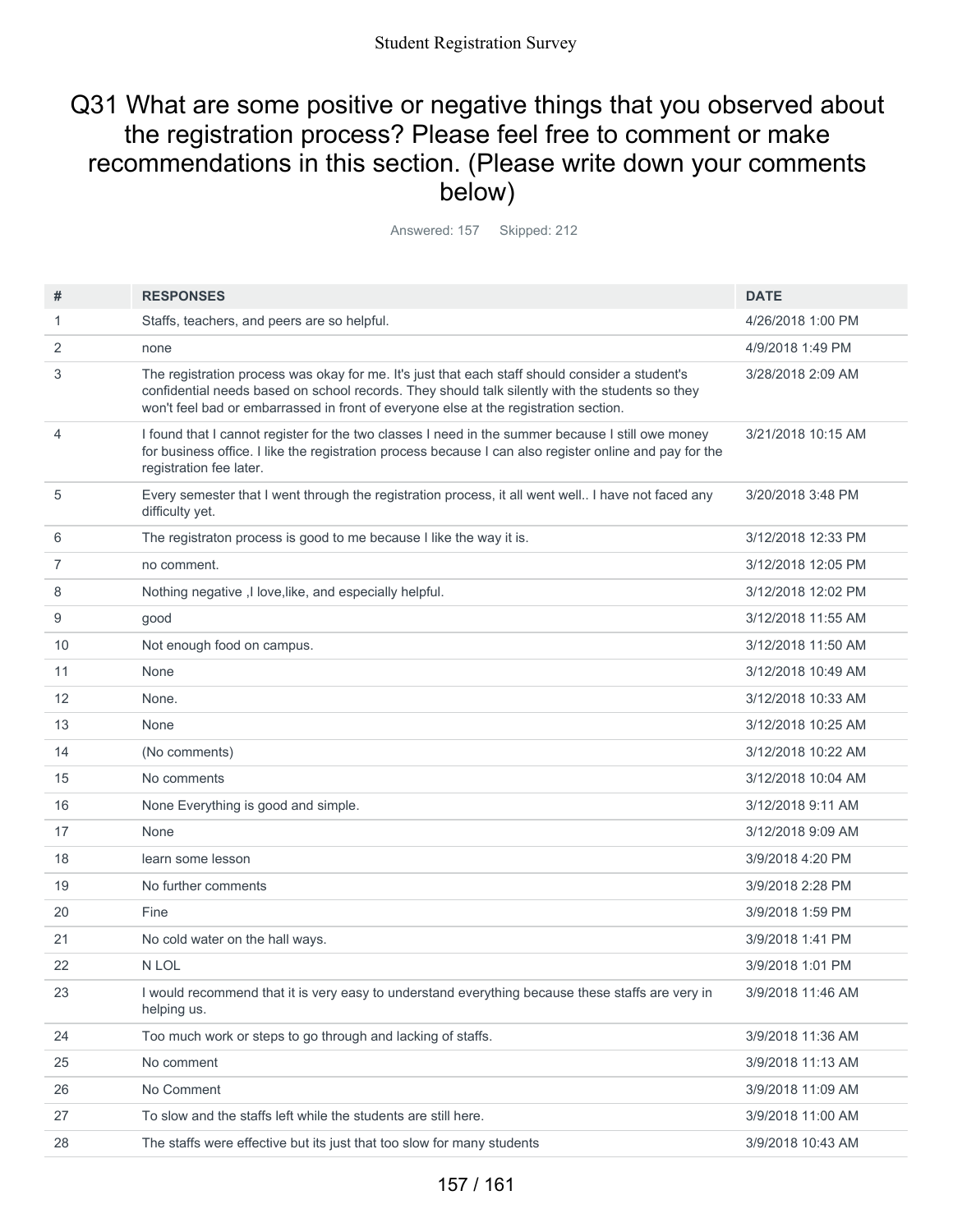## Q31 What are some positive or negative things that you observed about the registration process? Please feel free to comment or make recommendations in this section. (Please write down your comments below)

Answered: 157 Skipped: 212

| #  | <b>RESPONSES</b>                                                                                                                                                                                                                                                                           | <b>DATE</b>        |
|----|--------------------------------------------------------------------------------------------------------------------------------------------------------------------------------------------------------------------------------------------------------------------------------------------|--------------------|
| 1  | Staffs, teachers, and peers are so helpful.                                                                                                                                                                                                                                                | 4/26/2018 1:00 PM  |
| 2  | none                                                                                                                                                                                                                                                                                       | 4/9/2018 1:49 PM   |
| 3  | The registration process was okay for me. It's just that each staff should consider a student's<br>confidential needs based on school records. They should talk silently with the students so they<br>won't feel bad or embarrassed in front of everyone else at the registration section. | 3/28/2018 2:09 AM  |
| 4  | I found that I cannot register for the two classes I need in the summer because I still owe money<br>for business office. I like the registration process because I can also register online and pay for the<br>registration fee later.                                                    | 3/21/2018 10:15 AM |
| 5  | Every semester that I went through the registration process, it all went well I have not faced any<br>difficulty yet.                                                                                                                                                                      | 3/20/2018 3:48 PM  |
| 6  | The registraton process is good to me because I like the way it is.                                                                                                                                                                                                                        | 3/12/2018 12:33 PM |
| 7  | no comment.                                                                                                                                                                                                                                                                                | 3/12/2018 12:05 PM |
| 8  | Nothing negative, I love, like, and especially helpful.                                                                                                                                                                                                                                    | 3/12/2018 12:02 PM |
| 9  | good                                                                                                                                                                                                                                                                                       | 3/12/2018 11:55 AM |
| 10 | Not enough food on campus.                                                                                                                                                                                                                                                                 | 3/12/2018 11:50 AM |
| 11 | None                                                                                                                                                                                                                                                                                       | 3/12/2018 10:49 AM |
| 12 | None.                                                                                                                                                                                                                                                                                      | 3/12/2018 10:33 AM |
| 13 | None                                                                                                                                                                                                                                                                                       | 3/12/2018 10:25 AM |
| 14 | (No comments)                                                                                                                                                                                                                                                                              | 3/12/2018 10:22 AM |
| 15 | No comments                                                                                                                                                                                                                                                                                | 3/12/2018 10:04 AM |
| 16 | None Everything is good and simple.                                                                                                                                                                                                                                                        | 3/12/2018 9:11 AM  |
| 17 | None                                                                                                                                                                                                                                                                                       | 3/12/2018 9:09 AM  |
| 18 | learn some lesson                                                                                                                                                                                                                                                                          | 3/9/2018 4:20 PM   |
| 19 | No further comments                                                                                                                                                                                                                                                                        | 3/9/2018 2:28 PM   |
| 20 | Fine                                                                                                                                                                                                                                                                                       | 3/9/2018 1:59 PM   |
| 21 | No cold water on the hall ways.                                                                                                                                                                                                                                                            | 3/9/2018 1:41 PM   |
| 22 | N LOL                                                                                                                                                                                                                                                                                      | 3/9/2018 1:01 PM   |
| 23 | I would recommend that it is very easy to understand everything because these staffs are very in<br>helping us.                                                                                                                                                                            | 3/9/2018 11:46 AM  |
| 24 | Too much work or steps to go through and lacking of staffs.                                                                                                                                                                                                                                | 3/9/2018 11:36 AM  |
| 25 | No comment                                                                                                                                                                                                                                                                                 | 3/9/2018 11:13 AM  |
| 26 | No Comment                                                                                                                                                                                                                                                                                 | 3/9/2018 11:09 AM  |
| 27 | To slow and the staffs left while the students are still here.                                                                                                                                                                                                                             | 3/9/2018 11:00 AM  |
| 28 | The staffs were effective but its just that too slow for many students                                                                                                                                                                                                                     | 3/9/2018 10:43 AM  |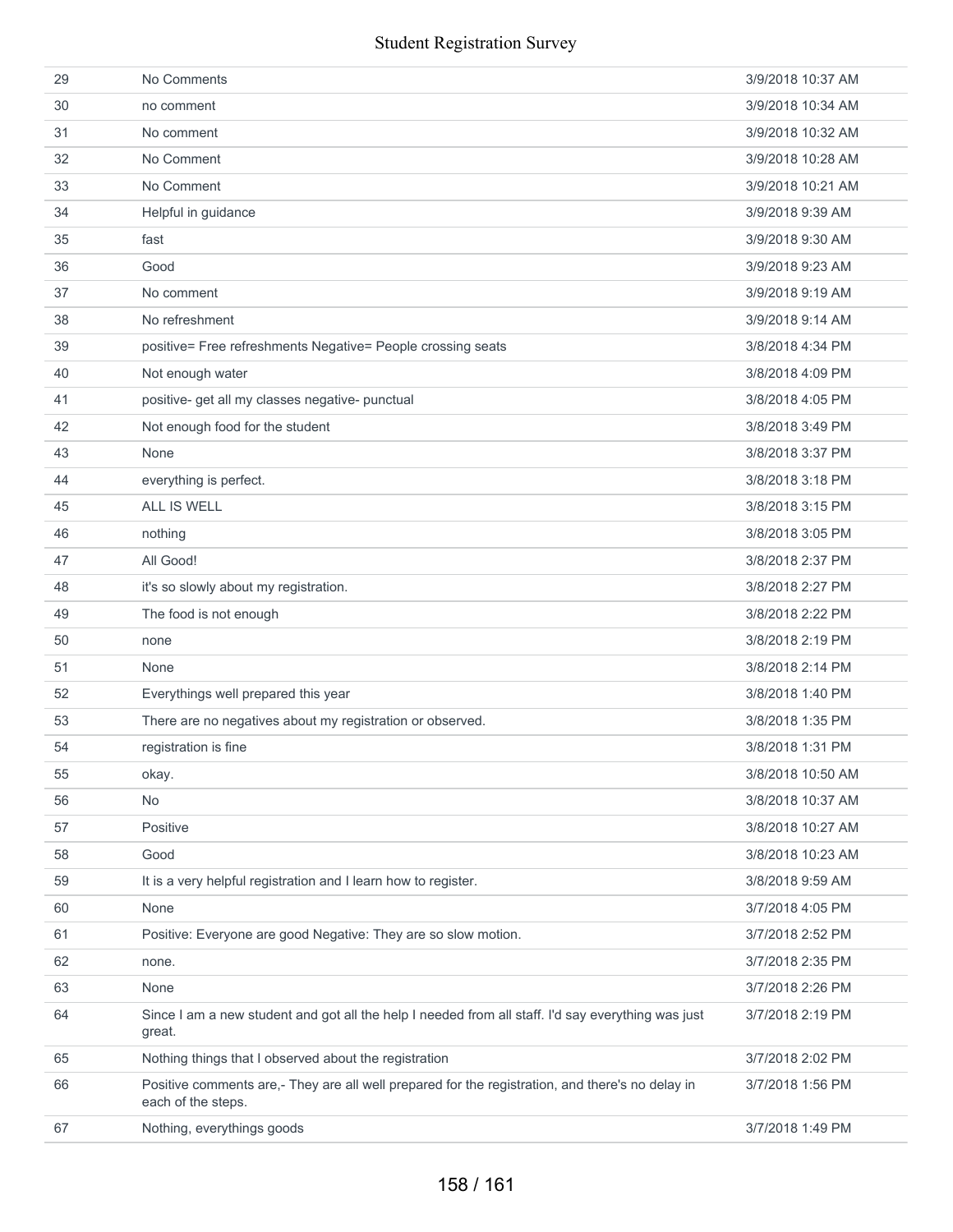| 29 | No Comments                                                                                                            | 3/9/2018 10:37 AM |
|----|------------------------------------------------------------------------------------------------------------------------|-------------------|
| 30 | no comment                                                                                                             | 3/9/2018 10:34 AM |
| 31 | No comment                                                                                                             | 3/9/2018 10:32 AM |
| 32 | No Comment                                                                                                             | 3/9/2018 10:28 AM |
| 33 | No Comment                                                                                                             | 3/9/2018 10:21 AM |
| 34 | Helpful in guidance                                                                                                    | 3/9/2018 9:39 AM  |
| 35 | fast                                                                                                                   | 3/9/2018 9:30 AM  |
| 36 | Good                                                                                                                   | 3/9/2018 9:23 AM  |
| 37 | No comment                                                                                                             | 3/9/2018 9:19 AM  |
| 38 | No refreshment                                                                                                         | 3/9/2018 9:14 AM  |
| 39 | positive= Free refreshments Negative= People crossing seats                                                            | 3/8/2018 4:34 PM  |
| 40 | Not enough water                                                                                                       | 3/8/2018 4:09 PM  |
| 41 | positive- get all my classes negative- punctual                                                                        | 3/8/2018 4:05 PM  |
| 42 | Not enough food for the student                                                                                        | 3/8/2018 3:49 PM  |
| 43 | None                                                                                                                   | 3/8/2018 3:37 PM  |
| 44 | everything is perfect.                                                                                                 | 3/8/2018 3:18 PM  |
| 45 | ALL IS WELL                                                                                                            | 3/8/2018 3:15 PM  |
| 46 | nothing                                                                                                                | 3/8/2018 3:05 PM  |
| 47 | All Good!                                                                                                              | 3/8/2018 2:37 PM  |
| 48 | it's so slowly about my registration.                                                                                  | 3/8/2018 2:27 PM  |
| 49 | The food is not enough                                                                                                 | 3/8/2018 2:22 PM  |
| 50 | none                                                                                                                   | 3/8/2018 2:19 PM  |
| 51 | None                                                                                                                   | 3/8/2018 2:14 PM  |
| 52 | Everythings well prepared this year                                                                                    | 3/8/2018 1:40 PM  |
| 53 | There are no negatives about my registration or observed.                                                              | 3/8/2018 1:35 PM  |
| 54 | registration is fine                                                                                                   | 3/8/2018 1:31 PM  |
| 55 | okay.                                                                                                                  | 3/8/2018 10:50 AM |
| 56 | No                                                                                                                     | 3/8/2018 10:37 AM |
| 57 | Positive                                                                                                               | 3/8/2018 10:27 AM |
| 58 | Good                                                                                                                   | 3/8/2018 10:23 AM |
| 59 | It is a very helpful registration and I learn how to register.                                                         | 3/8/2018 9:59 AM  |
| 60 | None                                                                                                                   | 3/7/2018 4:05 PM  |
| 61 | Positive: Everyone are good Negative: They are so slow motion.                                                         | 3/7/2018 2:52 PM  |
| 62 | none.                                                                                                                  | 3/7/2018 2:35 PM  |
| 63 | None                                                                                                                   | 3/7/2018 2:26 PM  |
| 64 | Since I am a new student and got all the help I needed from all staff. I'd say everything was just<br>great.           | 3/7/2018 2:19 PM  |
| 65 | Nothing things that I observed about the registration                                                                  | 3/7/2018 2:02 PM  |
| 66 | Positive comments are,- They are all well prepared for the registration, and there's no delay in<br>each of the steps. | 3/7/2018 1:56 PM  |
| 67 | Nothing, everythings goods                                                                                             | 3/7/2018 1:49 PM  |
|    |                                                                                                                        |                   |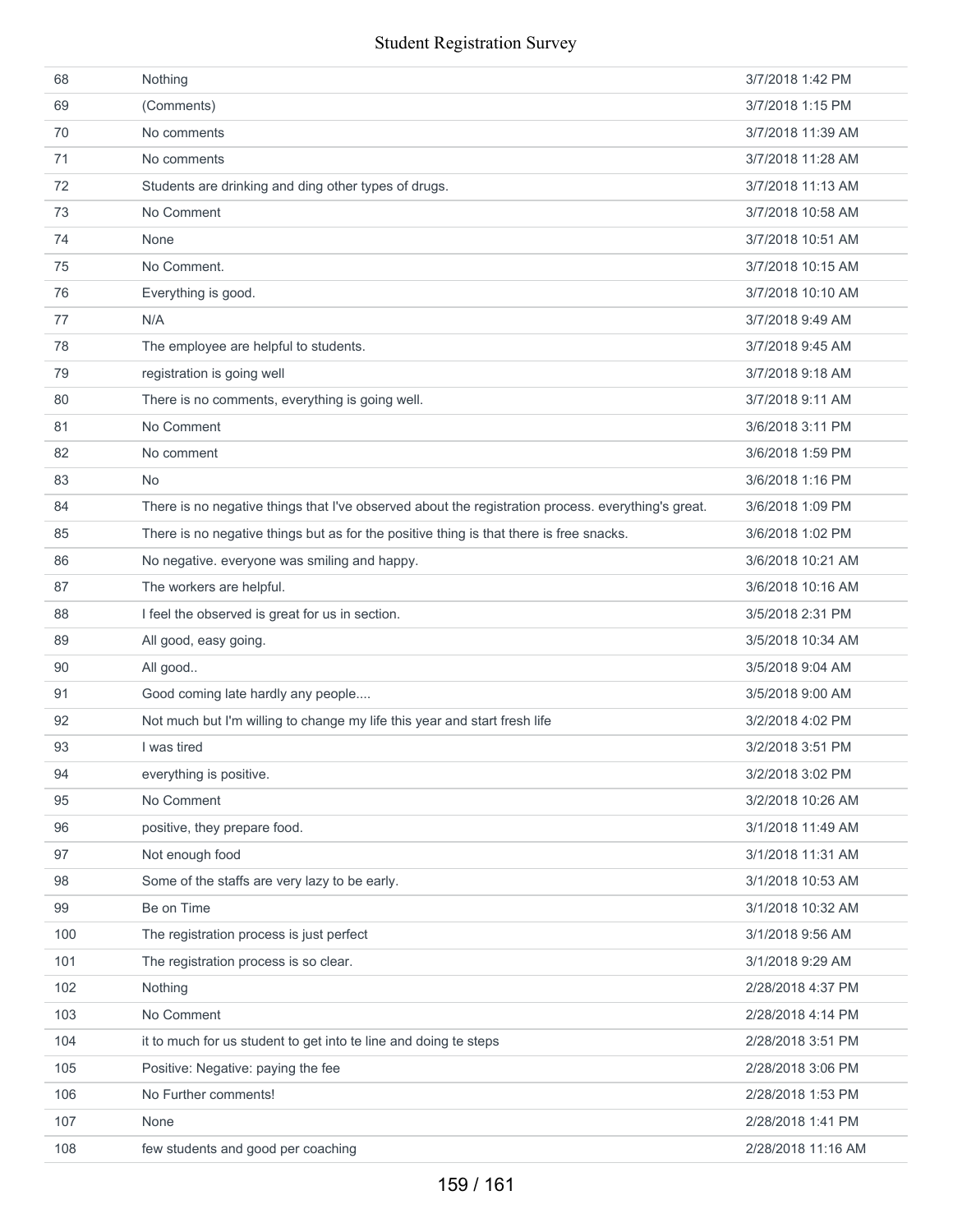| 68  | Nothing                                                                                            | 3/7/2018 1:42 PM   |
|-----|----------------------------------------------------------------------------------------------------|--------------------|
| 69  | (Comments)                                                                                         | 3/7/2018 1:15 PM   |
| 70  | No comments                                                                                        | 3/7/2018 11:39 AM  |
| 71  | No comments                                                                                        | 3/7/2018 11:28 AM  |
| 72  | Students are drinking and ding other types of drugs.                                               | 3/7/2018 11:13 AM  |
| 73  | No Comment                                                                                         | 3/7/2018 10:58 AM  |
| 74  | None                                                                                               | 3/7/2018 10:51 AM  |
| 75  | No Comment.                                                                                        | 3/7/2018 10:15 AM  |
| 76  | Everything is good.                                                                                | 3/7/2018 10:10 AM  |
| 77  | N/A                                                                                                | 3/7/2018 9:49 AM   |
| 78  | The employee are helpful to students.                                                              | 3/7/2018 9:45 AM   |
| 79  | registration is going well                                                                         | 3/7/2018 9:18 AM   |
| 80  | There is no comments, everything is going well.                                                    | 3/7/2018 9:11 AM   |
| 81  | No Comment                                                                                         | 3/6/2018 3:11 PM   |
| 82  | No comment                                                                                         | 3/6/2018 1:59 PM   |
| 83  | <b>No</b>                                                                                          | 3/6/2018 1:16 PM   |
| 84  | There is no negative things that I've observed about the registration process. everything's great. | 3/6/2018 1:09 PM   |
| 85  | There is no negative things but as for the positive thing is that there is free snacks.            | 3/6/2018 1:02 PM   |
| 86  | No negative. everyone was smiling and happy.                                                       | 3/6/2018 10:21 AM  |
| 87  | The workers are helpful.                                                                           | 3/6/2018 10:16 AM  |
| 88  | I feel the observed is great for us in section.                                                    | 3/5/2018 2:31 PM   |
| 89  | All good, easy going.                                                                              | 3/5/2018 10:34 AM  |
| 90  | All good                                                                                           | 3/5/2018 9:04 AM   |
| 91  | Good coming late hardly any people                                                                 | 3/5/2018 9:00 AM   |
| 92  | Not much but I'm willing to change my life this year and start fresh life                          | 3/2/2018 4:02 PM   |
| 93  | I was tired                                                                                        | 3/2/2018 3:51 PM   |
| 94  | everything is positive.                                                                            | 3/2/2018 3:02 PM   |
| 95  | No Comment                                                                                         | 3/2/2018 10:26 AM  |
| 96  | positive, they prepare food.                                                                       | 3/1/2018 11:49 AM  |
| 97  | Not enough food                                                                                    | 3/1/2018 11:31 AM  |
| 98  | Some of the staffs are very lazy to be early.                                                      | 3/1/2018 10:53 AM  |
| 99  | Be on Time                                                                                         | 3/1/2018 10:32 AM  |
| 100 | The registration process is just perfect                                                           | 3/1/2018 9:56 AM   |
| 101 | The registration process is so clear.                                                              | 3/1/2018 9:29 AM   |
| 102 | Nothing                                                                                            | 2/28/2018 4:37 PM  |
| 103 | No Comment                                                                                         | 2/28/2018 4:14 PM  |
| 104 | it to much for us student to get into te line and doing te steps                                   | 2/28/2018 3:51 PM  |
| 105 | Positive: Negative: paying the fee                                                                 | 2/28/2018 3:06 PM  |
| 106 | No Further comments!                                                                               | 2/28/2018 1:53 PM  |
| 107 | None                                                                                               | 2/28/2018 1:41 PM  |
| 108 | few students and good per coaching                                                                 | 2/28/2018 11:16 AM |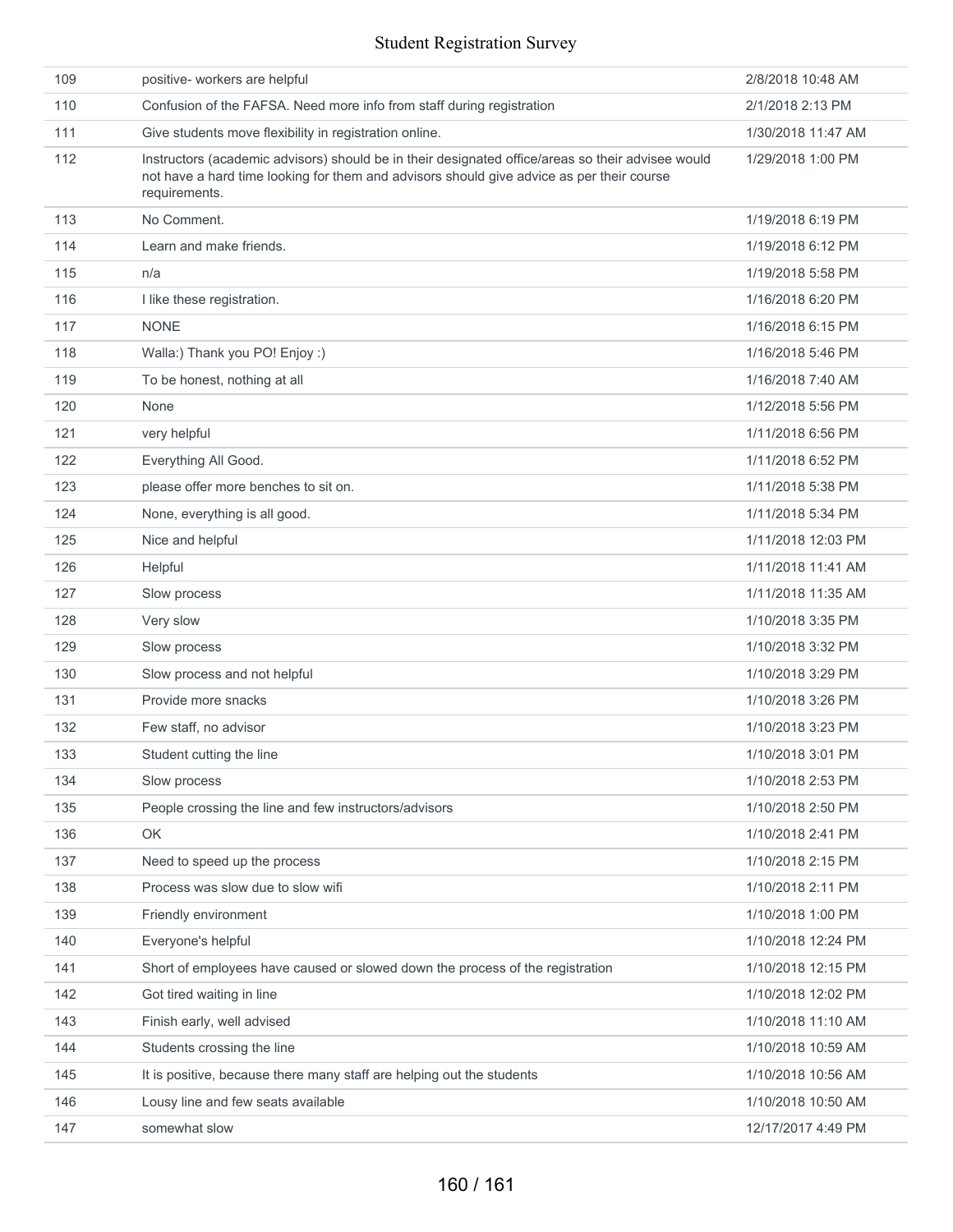| 109 | positive- workers are helpful                                                                                                                                                                                   | 2/8/2018 10:48 AM  |
|-----|-----------------------------------------------------------------------------------------------------------------------------------------------------------------------------------------------------------------|--------------------|
| 110 | Confusion of the FAFSA. Need more info from staff during registration                                                                                                                                           | 2/1/2018 2:13 PM   |
| 111 | Give students move flexibility in registration online.                                                                                                                                                          | 1/30/2018 11:47 AM |
| 112 | Instructors (academic advisors) should be in their designated office/areas so their advisee would<br>not have a hard time looking for them and advisors should give advice as per their course<br>requirements. | 1/29/2018 1:00 PM  |
| 113 | No Comment.                                                                                                                                                                                                     | 1/19/2018 6:19 PM  |
| 114 | Learn and make friends.                                                                                                                                                                                         | 1/19/2018 6:12 PM  |
| 115 | n/a                                                                                                                                                                                                             | 1/19/2018 5:58 PM  |
| 116 | I like these registration.                                                                                                                                                                                      | 1/16/2018 6:20 PM  |
| 117 | <b>NONE</b>                                                                                                                                                                                                     | 1/16/2018 6:15 PM  |
| 118 | Walla:) Thank you PO! Enjoy :)                                                                                                                                                                                  | 1/16/2018 5:46 PM  |
| 119 | To be honest, nothing at all                                                                                                                                                                                    | 1/16/2018 7:40 AM  |
| 120 | None                                                                                                                                                                                                            | 1/12/2018 5:56 PM  |
| 121 | very helpful                                                                                                                                                                                                    | 1/11/2018 6:56 PM  |
| 122 | Everything All Good.                                                                                                                                                                                            | 1/11/2018 6:52 PM  |
| 123 | please offer more benches to sit on.                                                                                                                                                                            | 1/11/2018 5:38 PM  |
| 124 | None, everything is all good.                                                                                                                                                                                   | 1/11/2018 5:34 PM  |
| 125 | Nice and helpful                                                                                                                                                                                                | 1/11/2018 12:03 PM |
| 126 | Helpful                                                                                                                                                                                                         | 1/11/2018 11:41 AM |
| 127 | Slow process                                                                                                                                                                                                    | 1/11/2018 11:35 AM |
| 128 | Very slow                                                                                                                                                                                                       | 1/10/2018 3:35 PM  |
| 129 | Slow process                                                                                                                                                                                                    | 1/10/2018 3:32 PM  |
| 130 | Slow process and not helpful                                                                                                                                                                                    | 1/10/2018 3:29 PM  |
| 131 | Provide more snacks                                                                                                                                                                                             | 1/10/2018 3:26 PM  |
| 132 | Few staff, no advisor                                                                                                                                                                                           | 1/10/2018 3:23 PM  |
| 133 | Student cutting the line                                                                                                                                                                                        | 1/10/2018 3:01 PM  |
| 134 | Slow process                                                                                                                                                                                                    | 1/10/2018 2:53 PM  |
| 135 | People crossing the line and few instructors/advisors                                                                                                                                                           | 1/10/2018 2:50 PM  |
| 136 | OK                                                                                                                                                                                                              | 1/10/2018 2:41 PM  |
| 137 | Need to speed up the process                                                                                                                                                                                    | 1/10/2018 2:15 PM  |
| 138 | Process was slow due to slow wifi                                                                                                                                                                               | 1/10/2018 2:11 PM  |
| 139 | Friendly environment                                                                                                                                                                                            | 1/10/2018 1:00 PM  |
| 140 | Everyone's helpful                                                                                                                                                                                              | 1/10/2018 12:24 PM |
| 141 | Short of employees have caused or slowed down the process of the registration                                                                                                                                   | 1/10/2018 12:15 PM |
| 142 | Got tired waiting in line                                                                                                                                                                                       | 1/10/2018 12:02 PM |
| 143 | Finish early, well advised                                                                                                                                                                                      | 1/10/2018 11:10 AM |
| 144 | Students crossing the line                                                                                                                                                                                      | 1/10/2018 10:59 AM |
| 145 | It is positive, because there many staff are helping out the students                                                                                                                                           | 1/10/2018 10:56 AM |
| 146 | Lousy line and few seats available                                                                                                                                                                              | 1/10/2018 10:50 AM |
| 147 | somewhat slow                                                                                                                                                                                                   | 12/17/2017 4:49 PM |
|     |                                                                                                                                                                                                                 |                    |